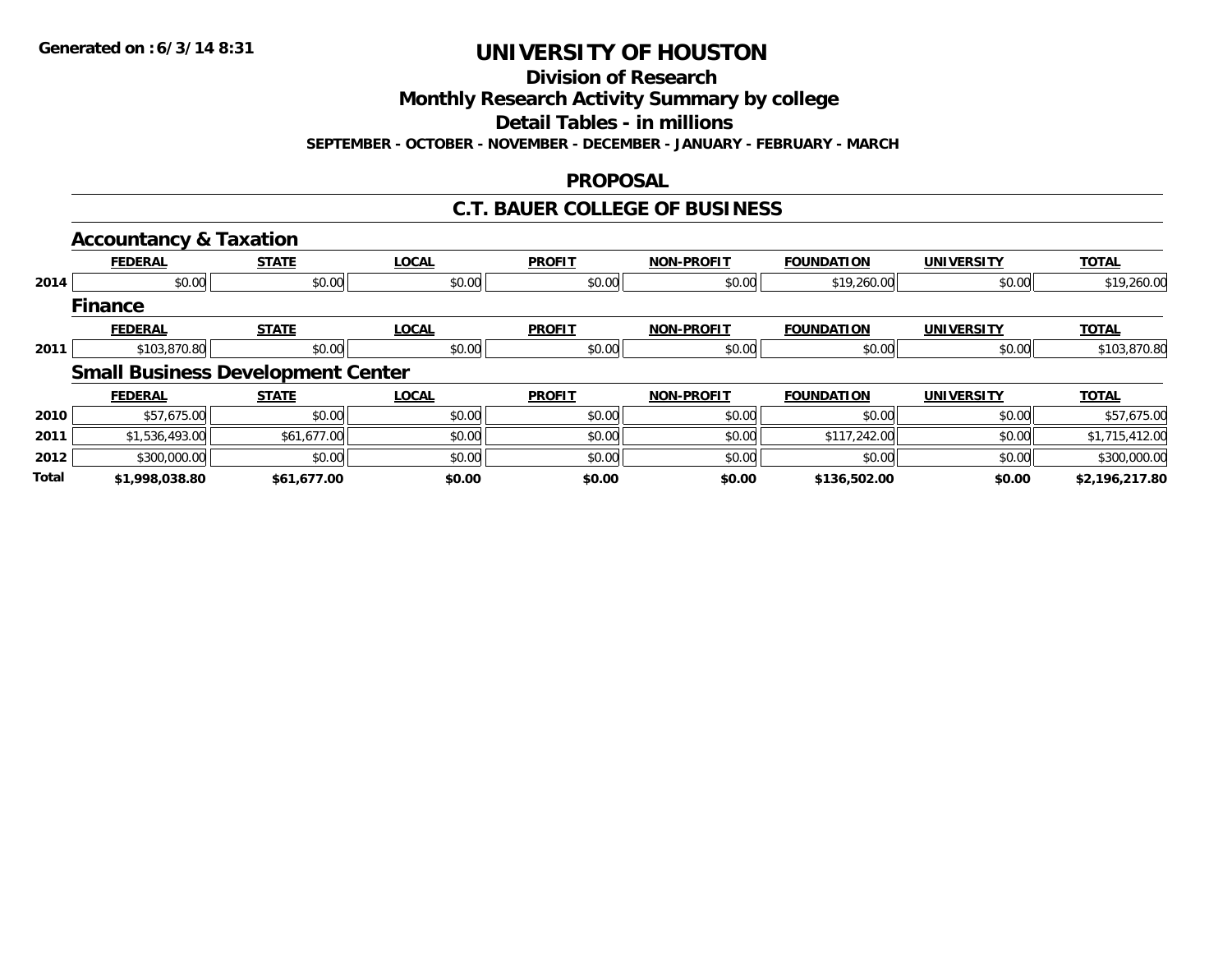**Division of Research**

**Monthly Research Activity Summary by college**

**Detail Tables - in millions**

**SEPTEMBER - OCTOBER - NOVEMBER - DECEMBER - JANUARY - FEBRUARY - MARCH**

### **PROPOSAL**

### **C.T. BAUER COLLEGE OF BUSINESS**

|       | <b>Accountancy &amp; Taxation</b>        |              |              |               |                   |                   |                   |                |
|-------|------------------------------------------|--------------|--------------|---------------|-------------------|-------------------|-------------------|----------------|
|       | <b>FEDERAL</b>                           | <b>STATE</b> | <b>LOCAL</b> | <b>PROFIT</b> | <b>NON-PROFIT</b> | <b>FOUNDATION</b> | <b>UNIVERSITY</b> | <b>TOTAL</b>   |
| 2014  | \$0.00                                   | \$0.00       | \$0.00       | \$0.00        | \$0.00            | \$19,260.00       | \$0.00            | \$19,260.00    |
|       | <b>Finance</b>                           |              |              |               |                   |                   |                   |                |
|       | <b>FEDERAL</b>                           | <b>STATE</b> | <b>LOCAL</b> | <b>PROFIT</b> | <b>NON-PROFIT</b> | <b>FOUNDATION</b> | <b>UNIVERSITY</b> | <b>TOTAL</b>   |
| 2011  | \$103,870.80                             | \$0.00       | \$0.00       | \$0.00        | \$0.00            | \$0.00            | \$0.00            | \$103,870.80   |
|       | <b>Small Business Development Center</b> |              |              |               |                   |                   |                   |                |
|       | <b>FEDERAL</b>                           | <b>STATE</b> | <b>LOCAL</b> | <b>PROFIT</b> | <b>NON-PROFIT</b> | <b>FOUNDATION</b> | <b>UNIVERSITY</b> | <b>TOTAL</b>   |
| 2010  | \$57,675.00                              | \$0.00       | \$0.00       | \$0.00        | \$0.00            | \$0.00            | \$0.00            | \$57,675.00    |
| 2011  | \$1,536,493.00                           | \$61,677.00  | \$0.00       | \$0.00        | \$0.00            | \$117,242.00      | \$0.00            | \$1,715,412.00 |
| 2012  | \$300,000.00                             | \$0.00       | \$0.00       | \$0.00        | \$0.00            | \$0.00            | \$0.00            | \$300,000.00   |
| Total | \$1,998,038.80                           | \$61,677.00  | \$0.00       | \$0.00        | \$0.00            | \$136,502.00      | \$0.00            | \$2,196,217.80 |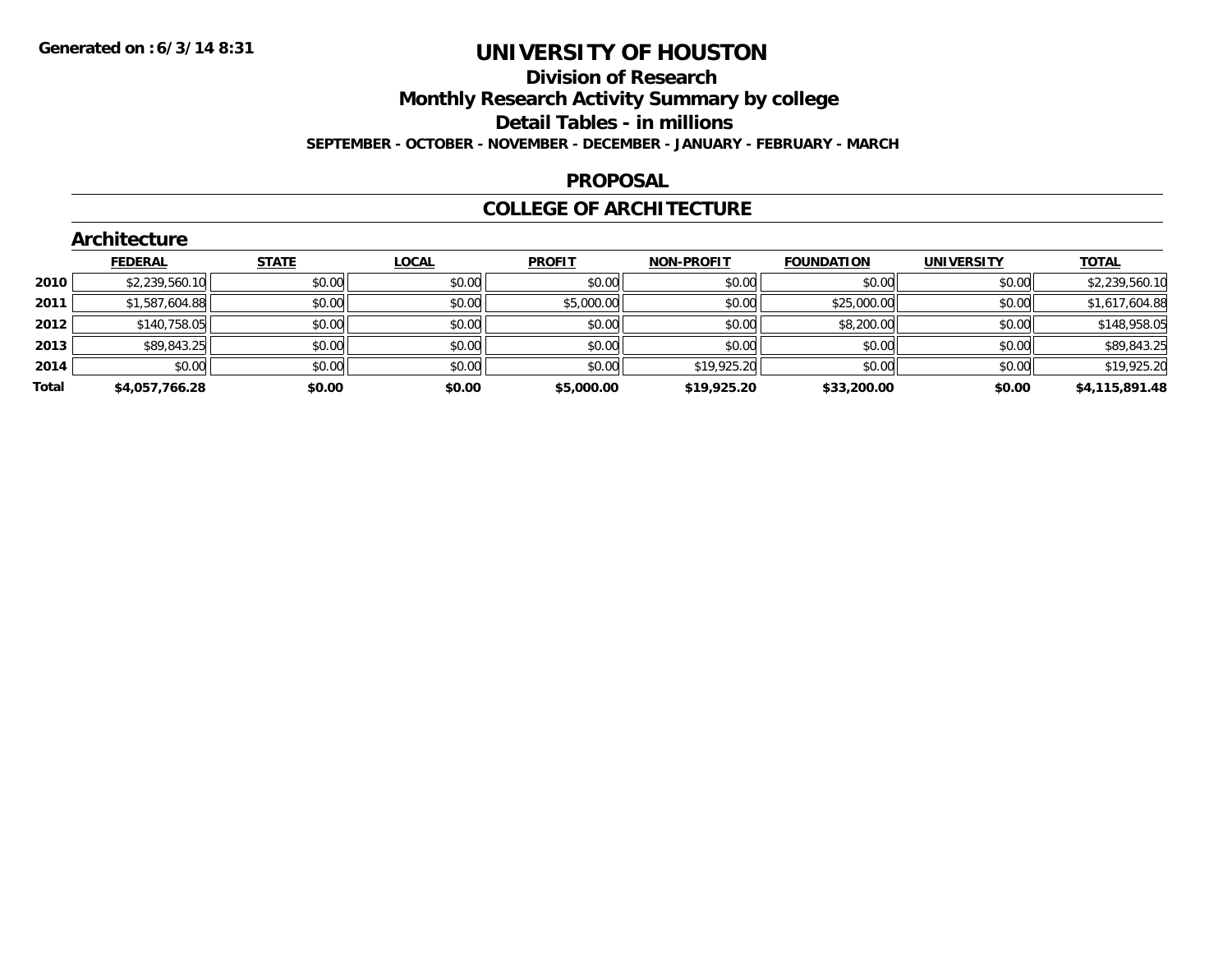## **Division of Research Monthly Research Activity Summary by college**

#### **Detail Tables - in millions**

**SEPTEMBER - OCTOBER - NOVEMBER - DECEMBER - JANUARY - FEBRUARY - MARCH**

#### **PROPOSAL**

### **COLLEGE OF ARCHITECTURE**

|       | Architecture   |              |              |               |                   |                   |                   |                |  |  |  |  |  |
|-------|----------------|--------------|--------------|---------------|-------------------|-------------------|-------------------|----------------|--|--|--|--|--|
|       | <b>FEDERAL</b> | <b>STATE</b> | <b>LOCAL</b> | <b>PROFIT</b> | <b>NON-PROFIT</b> | <b>FOUNDATION</b> | <b>UNIVERSITY</b> | <b>TOTAL</b>   |  |  |  |  |  |
| 2010  | \$2,239,560.10 | \$0.00       | \$0.00       | \$0.00        | \$0.00            | \$0.00            | \$0.00            | \$2,239,560.10 |  |  |  |  |  |
| 2011  | \$1,587,604.88 | \$0.00       | \$0.00       | \$5,000.00    | \$0.00            | \$25,000.00       | \$0.00            | \$1,617,604.88 |  |  |  |  |  |
| 2012  | \$140,758.05   | \$0.00       | \$0.00       | \$0.00        | \$0.00            | \$8,200.00        | \$0.00            | \$148,958.05   |  |  |  |  |  |
| 2013  | \$89,843.25    | \$0.00       | \$0.00       | \$0.00        | \$0.00            | \$0.00            | \$0.00            | \$89,843.25    |  |  |  |  |  |
| 2014  | \$0.00         | \$0.00       | \$0.00       | \$0.00        | \$19,925.20       | \$0.00            | \$0.00            | \$19,925.20    |  |  |  |  |  |
| Total | \$4,057,766.28 | \$0.00       | \$0.00       | \$5,000.00    | \$19,925.20       | \$33,200.00       | \$0.00            | \$4,115,891.48 |  |  |  |  |  |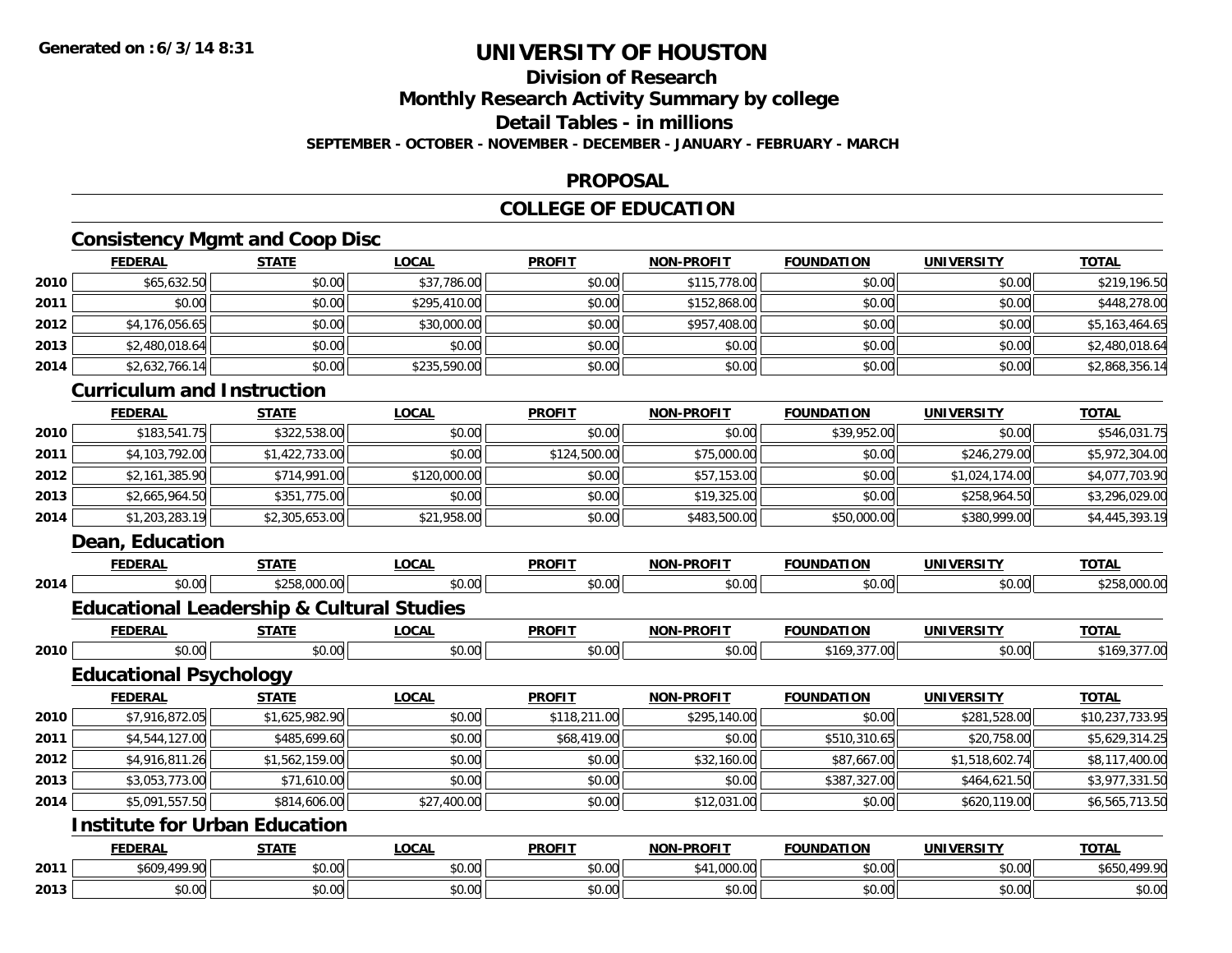## **Division of Research**

**Monthly Research Activity Summary by college**

**Detail Tables - in millions**

**SEPTEMBER - OCTOBER - NOVEMBER - DECEMBER - JANUARY - FEBRUARY - MARCH**

#### **PROPOSAL**

### **COLLEGE OF EDUCATION**

### **Consistency Mgmt and Coop Disc**

|      | <b>FEDERAL</b>                                       | <b>STATE</b>   | <b>LOCAL</b> | <b>PROFIT</b> | <b>NON-PROFIT</b> | <b>FOUNDATION</b> | <b>UNIVERSITY</b> | <b>TOTAL</b>    |  |  |  |
|------|------------------------------------------------------|----------------|--------------|---------------|-------------------|-------------------|-------------------|-----------------|--|--|--|
| 2010 | \$65,632.50                                          | \$0.00         | \$37,786.00  | \$0.00        | \$115,778.00      | \$0.00            | \$0.00            | \$219,196.50    |  |  |  |
| 2011 | \$0.00                                               | \$0.00         | \$295,410.00 | \$0.00        | \$152,868.00      | \$0.00            | \$0.00            | \$448,278.00    |  |  |  |
| 2012 | \$4,176,056.65                                       | \$0.00         | \$30,000.00  | \$0.00        | \$957,408.00      | \$0.00            | \$0.00            | \$5,163,464.65  |  |  |  |
| 2013 | \$2,480,018.64                                       | \$0.00         | \$0.00       | \$0.00        | \$0.00            | \$0.00            | \$0.00            | \$2,480,018.64  |  |  |  |
| 2014 | \$2,632,766.14                                       | \$0.00         | \$235,590.00 | \$0.00        | \$0.00            | \$0.00            | \$0.00            | \$2,868,356.14  |  |  |  |
|      | <b>Curriculum and Instruction</b>                    |                |              |               |                   |                   |                   |                 |  |  |  |
|      | <b>FEDERAL</b>                                       | <b>STATE</b>   | <b>LOCAL</b> | <b>PROFIT</b> | <b>NON-PROFIT</b> | <b>FOUNDATION</b> | <b>UNIVERSITY</b> | <b>TOTAL</b>    |  |  |  |
| 2010 | \$183,541.75                                         | \$322,538.00   | \$0.00       | \$0.00        | \$0.00            | \$39,952.00       | \$0.00            | \$546,031.75    |  |  |  |
| 2011 | \$4,103,792.00                                       | \$1,422,733.00 | \$0.00       | \$124,500.00  | \$75,000.00       | \$0.00            | \$246,279.00      | \$5,972,304.00  |  |  |  |
| 2012 | \$2,161,385.90                                       | \$714,991.00   | \$120,000.00 | \$0.00        | \$57,153.00       | \$0.00            | \$1,024,174.00    | \$4,077,703.90  |  |  |  |
| 2013 | \$2,665,964.50                                       | \$351,775.00   | \$0.00       | \$0.00        | \$19,325.00       | \$0.00            | \$258,964.50      | \$3,296,029.00  |  |  |  |
| 2014 | \$1,203,283.19                                       | \$2,305,653.00 | \$21,958.00  | \$0.00        | \$483,500.00      | \$50,000.00       | \$380,999.00      | \$4,445,393.19  |  |  |  |
|      | Dean, Education                                      |                |              |               |                   |                   |                   |                 |  |  |  |
|      | <b>FEDERAL</b>                                       | <b>STATE</b>   | <b>LOCAL</b> | <b>PROFIT</b> | <b>NON-PROFIT</b> | <b>FOUNDATION</b> | <b>UNIVERSITY</b> | <b>TOTAL</b>    |  |  |  |
| 2014 | \$0.00                                               | \$258,000.00   | \$0.00       | \$0.00        | \$0.00            | \$0.00            | \$0.00            | \$258,000.00    |  |  |  |
|      | <b>Educational Leadership &amp; Cultural Studies</b> |                |              |               |                   |                   |                   |                 |  |  |  |
|      | <b>FEDERAL</b>                                       | <b>STATE</b>   | <b>LOCAL</b> | <b>PROFIT</b> | <b>NON-PROFIT</b> | <b>FOUNDATION</b> | <b>UNIVERSITY</b> | <b>TOTAL</b>    |  |  |  |
| 2010 | \$0.00                                               | \$0.00         | \$0.00       | \$0.00        | \$0.00            | \$169,377.00      | \$0.00            | \$169,377.00    |  |  |  |
|      | <b>Educational Psychology</b>                        |                |              |               |                   |                   |                   |                 |  |  |  |
|      | <b>FEDERAL</b>                                       | <b>STATE</b>   | <b>LOCAL</b> | <b>PROFIT</b> | NON-PROFIT        | <b>FOUNDATION</b> | <b>UNIVERSITY</b> | <b>TOTAL</b>    |  |  |  |
| 2010 | \$7,916,872.05                                       | \$1,625,982.90 | \$0.00       | \$118,211.00  | \$295,140.00      | \$0.00            | \$281,528.00      | \$10,237,733.95 |  |  |  |
| 2011 | \$4,544,127.00                                       | \$485,699.60   | \$0.00       | \$68,419.00   | \$0.00            | \$510,310.65      | \$20,758.00       | \$5,629,314.25  |  |  |  |
| 2012 | \$4,916,811.26                                       | \$1,562,159.00 | \$0.00       | \$0.00        | \$32,160.00       | \$87,667.00       | \$1,518,602.74    | \$8,117,400.00  |  |  |  |
| 2013 | \$3,053,773.00                                       | \$71,610.00    | \$0.00       | \$0.00        | \$0.00            | \$387,327.00      | \$464,621.50      | \$3,977,331.50  |  |  |  |
| 2014 | \$5,091,557.50                                       | \$814,606.00   | \$27,400.00  | \$0.00        | \$12,031.00       | \$0.00            | \$620,119.00      | \$6,565,713.50  |  |  |  |
|      | <b>Institute for Urban Education</b>                 |                |              |               |                   |                   |                   |                 |  |  |  |
|      | <b>FEDERAL</b>                                       | <b>STATE</b>   | <b>LOCAL</b> | <b>PROFIT</b> | <b>NON-PROFIT</b> | <b>FOUNDATION</b> | <b>UNIVERSITY</b> | <b>TOTAL</b>    |  |  |  |
| 2011 | \$609,499.90                                         | \$0.00         | \$0.00       | \$0.00        | \$41,000.00       | \$0.00            | \$0.00            | \$650,499.90    |  |  |  |
| 2013 | \$0.00                                               | \$0.00         | \$0.00       | \$0.00        | \$0.00            | \$0.00            | \$0.00            | \$0.00          |  |  |  |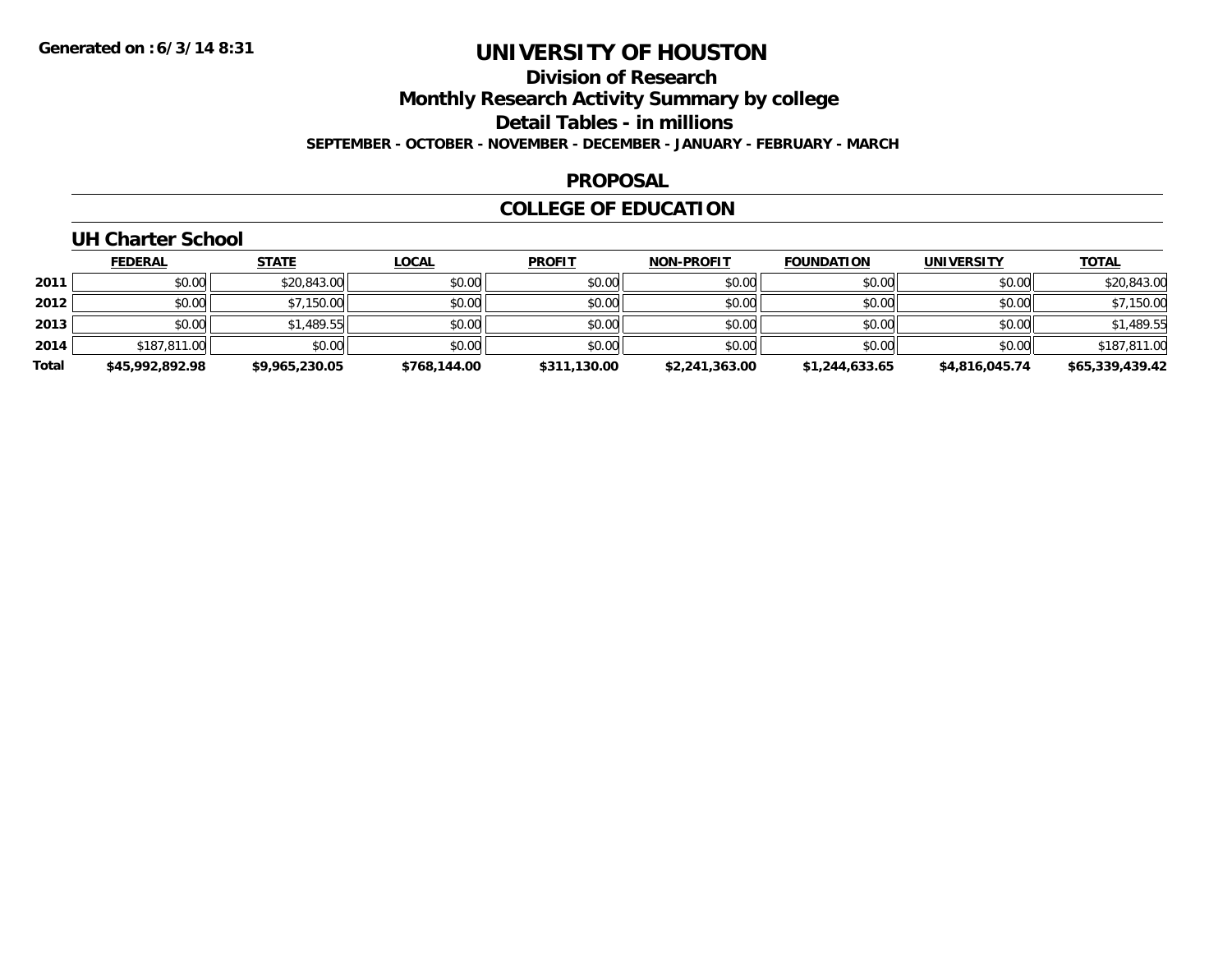# **Division of Research**

**Monthly Research Activity Summary by college**

**Detail Tables - in millions**

**SEPTEMBER - OCTOBER - NOVEMBER - DECEMBER - JANUARY - FEBRUARY - MARCH**

### **PROPOSAL**

### **COLLEGE OF EDUCATION**

### **UH Charter School**

|       | <u>FEDERAL</u>  | <b>STATE</b>   | <b>LOCAL</b> | <b>PROFIT</b> | <b>NON-PROFIT</b> | <b>FOUNDATION</b> | <b>UNIVERSITY</b> | <b>TOTAL</b>    |
|-------|-----------------|----------------|--------------|---------------|-------------------|-------------------|-------------------|-----------------|
| 2011  | \$0.00          | \$20,843.00    | \$0.00       | \$0.00        | \$0.00            | \$0.00            | \$0.00            | \$20,843.00     |
| 2012  | \$0.00          | \$7,150.00     | \$0.00       | \$0.00        | \$0.00            | \$0.00            | \$0.00            | \$7,150.00      |
| 2013  | \$0.00          | \$1,489.55     | \$0.00       | \$0.00        | \$0.00            | \$0.00            | \$0.00            | \$1,489.55      |
| 2014  | \$187,811.00    | \$0.00         | \$0.00       | \$0.00        | \$0.00            | \$0.00            | \$0.00            | \$187,811.00    |
| Total | \$45,992,892.98 | \$9,965,230.05 | \$768,144.00 | \$311,130.00  | \$2,241,363.00    | \$1,244,633.65    | \$4,816,045.74    | \$65,339,439.42 |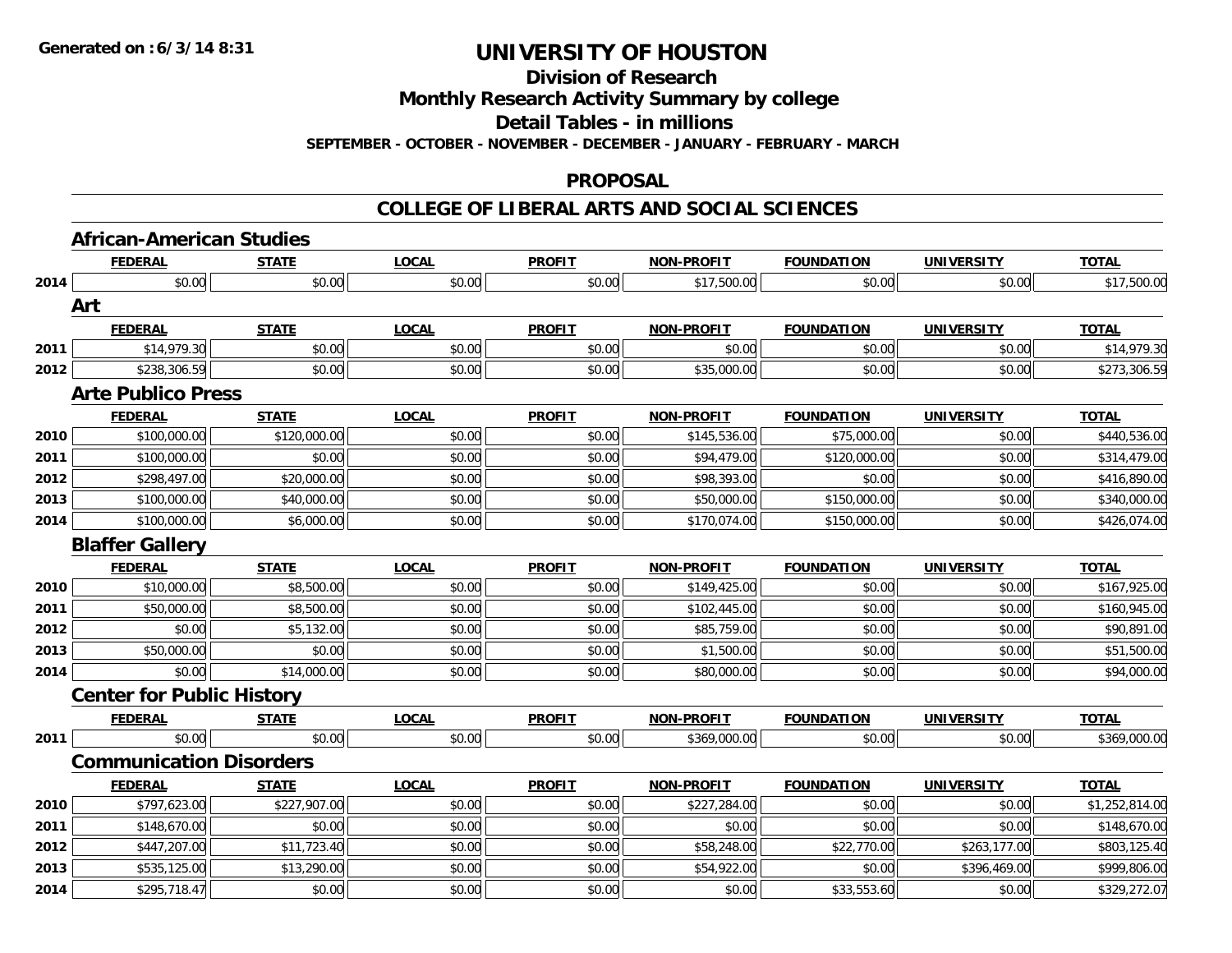**Division of Research**

**Monthly Research Activity Summary by college**

**Detail Tables - in millions**

**SEPTEMBER - OCTOBER - NOVEMBER - DECEMBER - JANUARY - FEBRUARY - MARCH**

#### **PROPOSAL**

|      | <b>African-American Studies</b>  |              |              |               |                   |                   |                   |                |
|------|----------------------------------|--------------|--------------|---------------|-------------------|-------------------|-------------------|----------------|
|      | <b>FEDERAL</b>                   | <b>STATE</b> | <b>LOCAL</b> | <b>PROFIT</b> | <b>NON-PROFIT</b> | <b>FOUNDATION</b> | <b>UNIVERSITY</b> | <b>TOTAL</b>   |
| 2014 | \$0.00                           | \$0.00       | \$0.00       | \$0.00        | \$17,500.00       | \$0.00            | \$0.00            | \$17,500.00    |
|      | Art                              |              |              |               |                   |                   |                   |                |
|      | <b>FEDERAL</b>                   | <b>STATE</b> | <b>LOCAL</b> | <b>PROFIT</b> | <b>NON-PROFIT</b> | <b>FOUNDATION</b> | <b>UNIVERSITY</b> | <b>TOTAL</b>   |
| 2011 | \$14,979.30                      | \$0.00       | \$0.00       | \$0.00        | \$0.00            | \$0.00            | \$0.00            | \$14,979.30    |
| 2012 | \$238,306.59                     | \$0.00       | \$0.00       | \$0.00        | \$35,000.00       | \$0.00            | \$0.00            | \$273,306.59   |
|      | <b>Arte Publico Press</b>        |              |              |               |                   |                   |                   |                |
|      | <b>FEDERAL</b>                   | <b>STATE</b> | <b>LOCAL</b> | <b>PROFIT</b> | <b>NON-PROFIT</b> | <b>FOUNDATION</b> | <b>UNIVERSITY</b> | <b>TOTAL</b>   |
| 2010 | \$100,000.00                     | \$120,000.00 | \$0.00       | \$0.00        | \$145,536.00      | \$75,000.00       | \$0.00            | \$440,536.00   |
| 2011 | \$100,000.00                     | \$0.00       | \$0.00       | \$0.00        | \$94,479.00       | \$120,000.00      | \$0.00            | \$314,479.00   |
| 2012 | \$298,497.00                     | \$20,000.00  | \$0.00       | \$0.00        | \$98,393.00       | \$0.00            | \$0.00            | \$416,890.00   |
| 2013 | \$100,000.00                     | \$40,000.00  | \$0.00       | \$0.00        | \$50,000.00       | \$150,000.00      | \$0.00            | \$340,000.00   |
| 2014 | \$100,000.00                     | \$6,000.00   | \$0.00       | \$0.00        | \$170,074.00      | \$150,000.00      | \$0.00            | \$426,074.00   |
|      | <b>Blaffer Gallery</b>           |              |              |               |                   |                   |                   |                |
|      | <b>FEDERAL</b>                   | <b>STATE</b> | <b>LOCAL</b> | <b>PROFIT</b> | <b>NON-PROFIT</b> | <b>FOUNDATION</b> | <b>UNIVERSITY</b> | <b>TOTAL</b>   |
| 2010 | \$10,000.00                      | \$8,500.00   | \$0.00       | \$0.00        | \$149,425.00      | \$0.00            | \$0.00            | \$167,925.00   |
| 2011 | \$50,000.00                      | \$8,500.00   | \$0.00       | \$0.00        | \$102,445.00      | \$0.00            | \$0.00            | \$160,945.00   |
| 2012 | \$0.00                           | \$5,132.00   | \$0.00       | \$0.00        | \$85,759.00       | \$0.00            | \$0.00            | \$90,891.00    |
| 2013 | \$50,000.00                      | \$0.00       | \$0.00       | \$0.00        | \$1,500.00        | \$0.00            | \$0.00            | \$51,500.00    |
| 2014 | \$0.00                           | \$14,000.00  | \$0.00       | \$0.00        | \$80,000.00       | \$0.00            | \$0.00            | \$94,000.00    |
|      | <b>Center for Public History</b> |              |              |               |                   |                   |                   |                |
|      | <b>FEDERAL</b>                   | <b>STATE</b> | <b>LOCAL</b> | <b>PROFIT</b> | <b>NON-PROFIT</b> | <b>FOUNDATION</b> | <b>UNIVERSITY</b> | <b>TOTAL</b>   |
| 2011 | \$0.00                           | \$0.00       | \$0.00       | \$0.00        | \$369,000.00      | \$0.00            | \$0.00            | \$369,000.00   |
|      | <b>Communication Disorders</b>   |              |              |               |                   |                   |                   |                |
|      | <b>FEDERAL</b>                   | <b>STATE</b> | <b>LOCAL</b> | <b>PROFIT</b> | <b>NON-PROFIT</b> | <b>FOUNDATION</b> | <b>UNIVERSITY</b> | <b>TOTAL</b>   |
| 2010 | \$797.623.00                     | \$227,907.00 | \$0.00       | \$0.00        | \$227,284.00      | \$0.00            | \$0.00            | \$1,252,814.00 |
| 2011 | \$148,670.00                     | \$0.00       | \$0.00       | \$0.00        | \$0.00            | \$0.00            | \$0.00            | \$148,670.00   |
| 2012 | \$447,207.00                     | \$11,723.40  | \$0.00       | \$0.00        | \$58,248.00       | \$22,770.00       | \$263,177.00      | \$803,125.40   |
| 2013 | \$535,125.00                     | \$13,290.00  | \$0.00       | \$0.00        | \$54,922.00       | \$0.00            | \$396,469.00      | \$999,806.00   |
| 2014 | \$295,718.47                     | \$0.00       | \$0.00       | \$0.00        | \$0.00            | \$33,553.60       | \$0.00            | \$329,272.07   |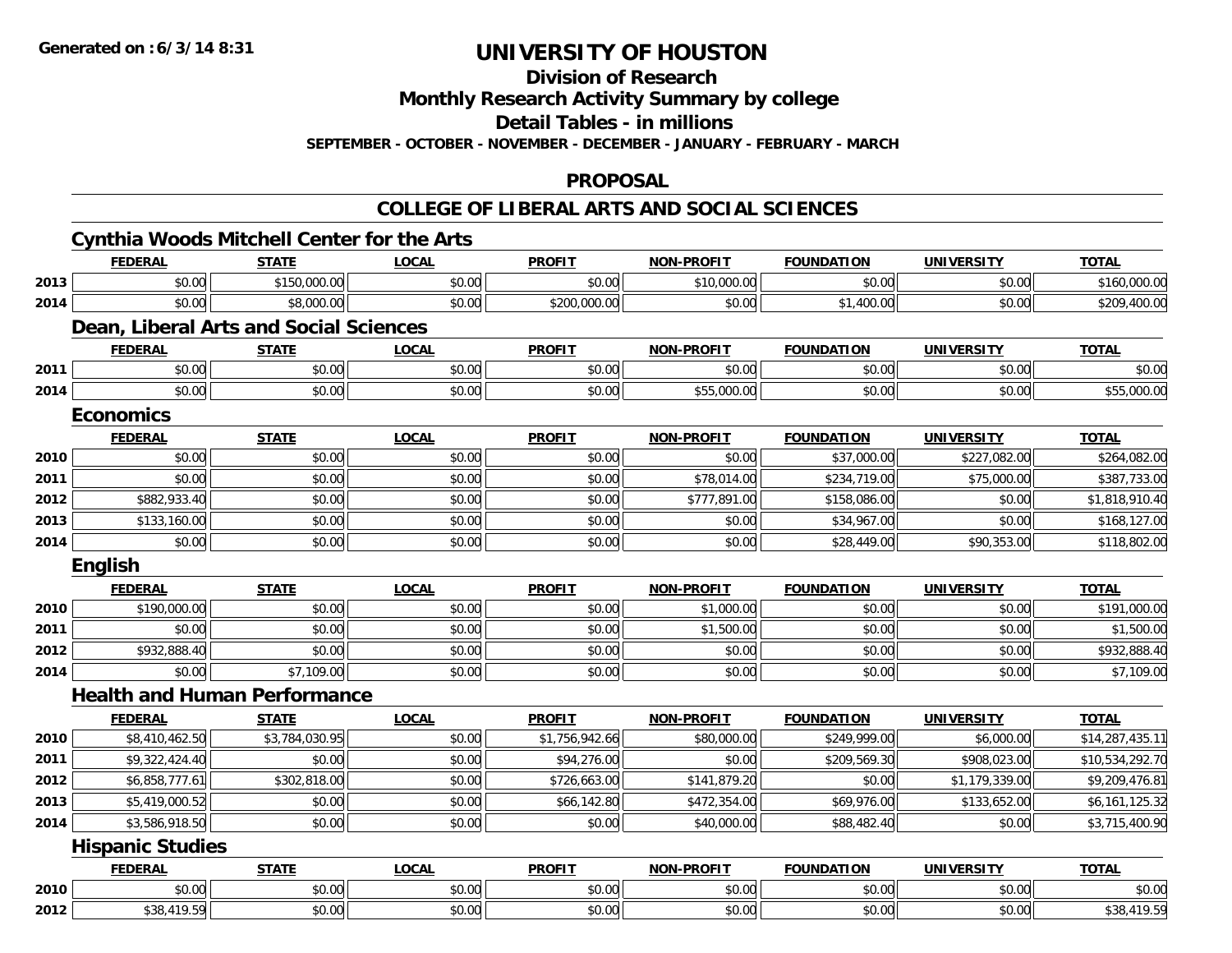**Division of Research**

**Monthly Research Activity Summary by college**

**Detail Tables - in millions**

**SEPTEMBER - OCTOBER - NOVEMBER - DECEMBER - JANUARY - FEBRUARY - MARCH**

### **PROPOSAL**

|      | <b>FEDERAL</b>                         | <b>STATE</b>   | <b>LOCAL</b> | <b>PROFIT</b>  | <b>NON-PROFIT</b> | <b>FOUNDATION</b> | <b>UNIVERSITY</b> | <b>TOTAL</b>    |
|------|----------------------------------------|----------------|--------------|----------------|-------------------|-------------------|-------------------|-----------------|
| 2013 | \$0.00                                 | \$150,000.00   | \$0.00       | \$0.00         | \$10,000.00       | \$0.00            | \$0.00            | \$160,000.00    |
| 2014 | \$0.00                                 | \$8,000.00     | \$0.00       | \$200,000.00   | \$0.00            | \$1,400.00        | \$0.00            | \$209,400.00    |
|      | Dean, Liberal Arts and Social Sciences |                |              |                |                   |                   |                   |                 |
|      | <b>FEDERAL</b>                         | <b>STATE</b>   | <b>LOCAL</b> | <b>PROFIT</b>  | <b>NON-PROFIT</b> | <b>FOUNDATION</b> | <b>UNIVERSITY</b> | <b>TOTAL</b>    |
| 2011 | \$0.00                                 | \$0.00         | \$0.00       | \$0.00         | \$0.00            | \$0.00            | \$0.00            | \$0.00          |
| 2014 | \$0.00                                 | \$0.00         | \$0.00       | \$0.00         | \$55,000.00       | \$0.00            | \$0.00            | \$55,000.00     |
|      | <b>Economics</b>                       |                |              |                |                   |                   |                   |                 |
|      | <b>FEDERAL</b>                         | <b>STATE</b>   | <b>LOCAL</b> | <b>PROFIT</b>  | <b>NON-PROFIT</b> | <b>FOUNDATION</b> | <b>UNIVERSITY</b> | <b>TOTAL</b>    |
| 2010 | \$0.00                                 | \$0.00         | \$0.00       | \$0.00         | \$0.00            | \$37,000.00       | \$227,082.00      | \$264,082.00    |
| 2011 | \$0.00                                 | \$0.00         | \$0.00       | \$0.00         | \$78,014.00       | \$234,719.00      | \$75,000.00       | \$387,733.00    |
| 2012 | \$882,933.40                           | \$0.00         | \$0.00       | \$0.00         | \$777,891.00      | \$158,086.00      | \$0.00            | \$1,818,910.40  |
| 2013 | \$133,160.00                           | \$0.00         | \$0.00       | \$0.00         | \$0.00            | \$34,967.00       | \$0.00            | \$168,127.00    |
| 2014 | \$0.00                                 | \$0.00         | \$0.00       | \$0.00         | \$0.00            | \$28,449.00       | \$90,353.00       | \$118,802.00    |
|      | English                                |                |              |                |                   |                   |                   |                 |
|      | <b>FEDERAL</b>                         | <b>STATE</b>   | <b>LOCAL</b> | <b>PROFIT</b>  | <b>NON-PROFIT</b> | <b>FOUNDATION</b> | <b>UNIVERSITY</b> | <b>TOTAL</b>    |
| 2010 | \$190,000.00                           | \$0.00         | \$0.00       | \$0.00         | \$1,000.00        | \$0.00            | \$0.00            | \$191,000.00    |
| 2011 | \$0.00                                 | \$0.00         | \$0.00       | \$0.00         | \$1,500.00        | \$0.00            | \$0.00            | \$1,500.00      |
| 2012 | \$932,888.40                           | \$0.00         | \$0.00       | \$0.00         | \$0.00            | \$0.00            | \$0.00            | \$932,888.40    |
| 2014 | \$0.00                                 | \$7,109.00     | \$0.00       | \$0.00         | \$0.00            | \$0.00            | \$0.00            | \$7,109.00      |
|      | <b>Health and Human Performance</b>    |                |              |                |                   |                   |                   |                 |
|      | <b>FEDERAL</b>                         | <b>STATE</b>   | <b>LOCAL</b> | <b>PROFIT</b>  | <b>NON-PROFIT</b> | <b>FOUNDATION</b> | <b>UNIVERSITY</b> | <b>TOTAL</b>    |
| 2010 | \$8,410,462.50                         | \$3,784,030.95 | \$0.00       | \$1,756,942.66 | \$80,000.00       | \$249,999.00      | \$6,000.00        | \$14,287,435.11 |
| 2011 | $\overline{\$9,322,424.40}$            | \$0.00         | \$0.00       | \$94,276.00    | \$0.00            | \$209,569.30      | \$908,023.00      | \$10,534,292.70 |
| 2012 | \$6,858,777.61                         | \$302,818.00   | \$0.00       | \$726,663.00   | \$141,879.20      | \$0.00            | \$1,179,339.00    | \$9,209,476.81  |
| 2013 | \$5,419,000.52                         | \$0.00         | \$0.00       | \$66,142.80    | \$472,354.00      | \$69,976.00       | \$133,652.00      | \$6,161,125.32  |
| 2014 | \$3,586,918.50                         | \$0.00         | \$0.00       | \$0.00         | \$40,000.00       | \$88,482.40       | \$0.00            | \$3,715,400.90  |
|      | <b>Hispanic Studies</b>                |                |              |                |                   |                   |                   |                 |
|      |                                        |                |              |                |                   |                   |                   |                 |
|      | <b>FEDERAL</b>                         | <b>STATE</b>   | <b>LOCAL</b> | <b>PROFIT</b>  | <b>NON-PROFIT</b> | <b>FOUNDATION</b> | <b>UNIVERSITY</b> | <b>TOTAL</b>    |
| 2010 | \$0.00                                 | \$0.00         | \$0.00       | \$0.00         | \$0.00            | \$0.00            | \$0.00            | \$0.00          |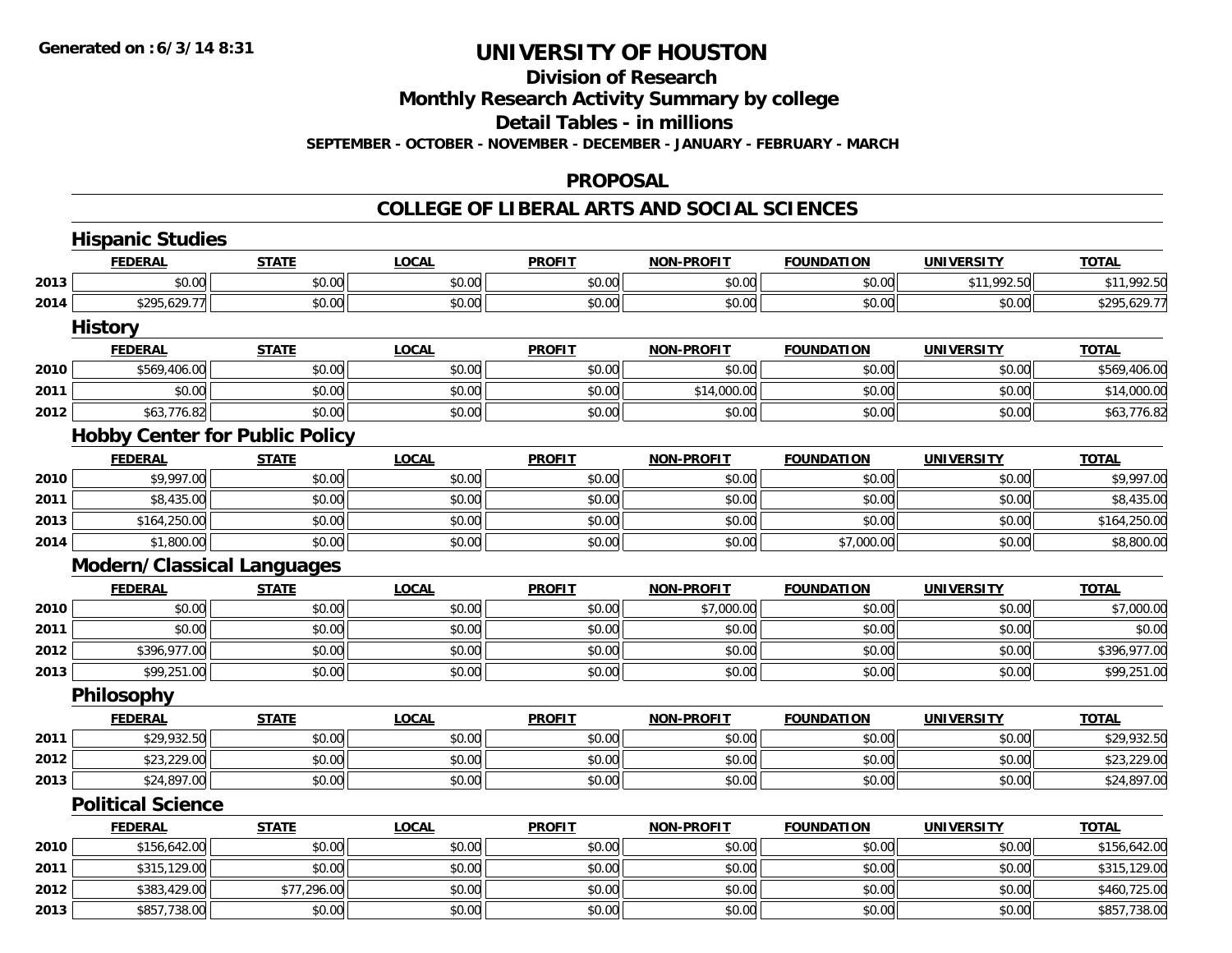## **Division of Research**

**Monthly Research Activity Summary by college**

**Detail Tables - in millions**

**SEPTEMBER - OCTOBER - NOVEMBER - DECEMBER - JANUARY - FEBRUARY - MARCH**

#### **PROPOSAL**

|      | <b>Hispanic Studies</b>               |              |              |               |                   |                   |                   |              |
|------|---------------------------------------|--------------|--------------|---------------|-------------------|-------------------|-------------------|--------------|
|      | <b>FEDERAL</b>                        | <b>STATE</b> | <b>LOCAL</b> | <b>PROFIT</b> | <b>NON-PROFIT</b> | <b>FOUNDATION</b> | <b>UNIVERSITY</b> | <b>TOTAL</b> |
| 2013 | \$0.00                                | \$0.00       | \$0.00       | \$0.00        | \$0.00            | \$0.00            | \$11,992.50       | \$11,992.50  |
| 2014 | \$295,629.77                          | \$0.00       | \$0.00       | \$0.00        | \$0.00            | \$0.00            | \$0.00            | \$295,629.77 |
|      | <b>History</b>                        |              |              |               |                   |                   |                   |              |
|      | <b>FEDERAL</b>                        | <b>STATE</b> | <b>LOCAL</b> | <b>PROFIT</b> | <b>NON-PROFIT</b> | <b>FOUNDATION</b> | <b>UNIVERSITY</b> | <b>TOTAL</b> |
| 2010 | \$569,406.00                          | \$0.00       | \$0.00       | \$0.00        | \$0.00            | \$0.00            | \$0.00            | \$569,406.00 |
| 2011 | \$0.00                                | \$0.00       | \$0.00       | \$0.00        | \$14,000.00       | \$0.00            | \$0.00            | \$14,000.00  |
| 2012 | \$63,776.82                           | \$0.00       | \$0.00       | \$0.00        | \$0.00            | \$0.00            | \$0.00            | \$63,776.82  |
|      | <b>Hobby Center for Public Policy</b> |              |              |               |                   |                   |                   |              |
|      | <b>FEDERAL</b>                        | <b>STATE</b> | <b>LOCAL</b> | <b>PROFIT</b> | <b>NON-PROFIT</b> | <b>FOUNDATION</b> | <b>UNIVERSITY</b> | <b>TOTAL</b> |
| 2010 | \$9,997.00                            | \$0.00       | \$0.00       | \$0.00        | \$0.00            | \$0.00            | \$0.00            | \$9,997.00   |
| 2011 | \$8,435.00                            | \$0.00       | \$0.00       | \$0.00        | \$0.00            | \$0.00            | \$0.00            | \$8,435.00   |
| 2013 | \$164,250.00                          | \$0.00       | \$0.00       | \$0.00        | \$0.00            | \$0.00            | \$0.00            | \$164,250.00 |
| 2014 | \$1,800.00                            | \$0.00       | \$0.00       | \$0.00        | \$0.00            | \$7,000.00        | \$0.00            | \$8,800.00   |
|      | <b>Modern/Classical Languages</b>     |              |              |               |                   |                   |                   |              |
|      | <b>FEDERAL</b>                        | <b>STATE</b> | <b>LOCAL</b> | <b>PROFIT</b> | <b>NON-PROFIT</b> | <b>FOUNDATION</b> | <b>UNIVERSITY</b> | <b>TOTAL</b> |
| 2010 | \$0.00                                | \$0.00       | \$0.00       | \$0.00        | \$7,000.00        | \$0.00            | \$0.00            | \$7,000.00   |
| 2011 | \$0.00                                | \$0.00       | \$0.00       | \$0.00        | \$0.00            | \$0.00            | \$0.00            | \$0.00       |
| 2012 | \$396,977.00                          | \$0.00       | \$0.00       | \$0.00        | \$0.00            | \$0.00            | \$0.00            | \$396,977.00 |
| 2013 | \$99,251.00                           | \$0.00       | \$0.00       | \$0.00        | \$0.00            | \$0.00            | \$0.00            | \$99,251.00  |
|      | Philosophy                            |              |              |               |                   |                   |                   |              |
|      | <b>FEDERAL</b>                        | <b>STATE</b> | <b>LOCAL</b> | <b>PROFIT</b> | <b>NON-PROFIT</b> | <b>FOUNDATION</b> | <b>UNIVERSITY</b> | <b>TOTAL</b> |
| 2011 | \$29,932.50                           | \$0.00       | \$0.00       | \$0.00        | \$0.00            | \$0.00            | \$0.00            | \$29,932.50  |
| 2012 | \$23,229.00                           | \$0.00       | \$0.00       | \$0.00        | \$0.00            | \$0.00            | \$0.00            | \$23,229.00  |
| 2013 | \$24,897.00                           | \$0.00       | \$0.00       | \$0.00        | \$0.00            | \$0.00            | \$0.00            | \$24,897.00  |
|      | <b>Political Science</b>              |              |              |               |                   |                   |                   |              |
|      | <b>FEDERAL</b>                        | <b>STATE</b> | <b>LOCAL</b> | <b>PROFIT</b> | <b>NON-PROFIT</b> | <b>FOUNDATION</b> | <b>UNIVERSITY</b> | <b>TOTAL</b> |
| 2010 | \$156,642.00                          | \$0.00       | \$0.00       | \$0.00        | \$0.00            | \$0.00            | \$0.00            | \$156,642.00 |
| 2011 | \$315,129.00                          | \$0.00       | \$0.00       | \$0.00        | \$0.00            | \$0.00            | \$0.00            | \$315,129.00 |
| 2012 | \$383,429.00                          | \$77,296.00  | \$0.00       | \$0.00        | \$0.00            | \$0.00            | \$0.00            | \$460,725.00 |
| 2013 | \$857,738.00                          | \$0.00       | \$0.00       | \$0.00        | \$0.00            | \$0.00            | \$0.00            | \$857,738.00 |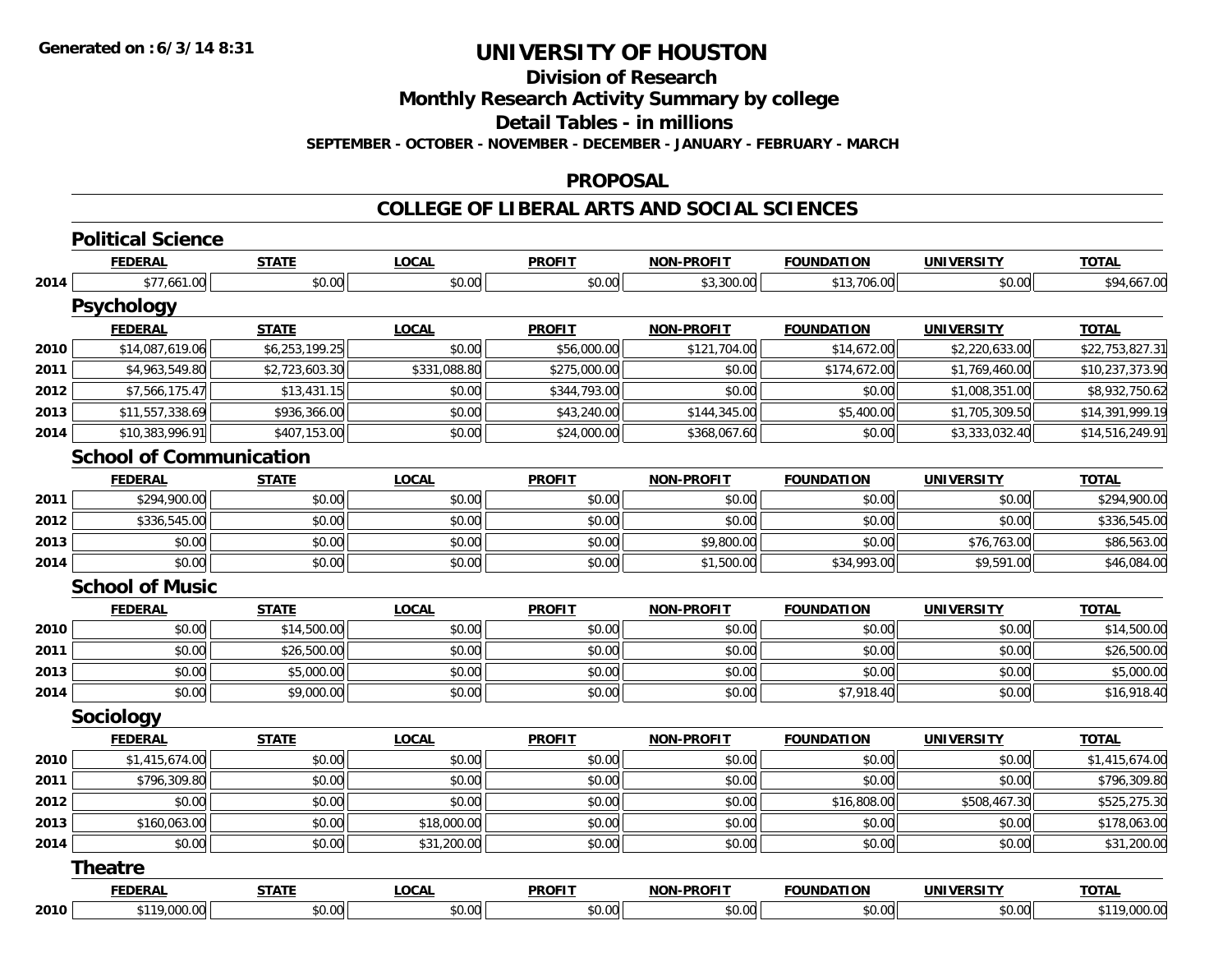**Division of Research**

**Monthly Research Activity Summary by college**

**Detail Tables - in millions**

**SEPTEMBER - OCTOBER - NOVEMBER - DECEMBER - JANUARY - FEBRUARY - MARCH**

#### **PROPOSAL**

| <b>FEDERAL</b>  | <b>STATE</b>                                             | <b>LOCAL</b>                                                                         | <b>PROFIT</b> | <b>NON-PROFIT</b> | <b>FOUNDATION</b> | <b>UNIVERSITY</b> | <b>TOTAL</b>    |
|-----------------|----------------------------------------------------------|--------------------------------------------------------------------------------------|---------------|-------------------|-------------------|-------------------|-----------------|
| \$77,661.00     | \$0.00                                                   | \$0.00                                                                               | \$0.00        | \$3,300.00        | \$13,706.00       | \$0.00            | \$94,667.00     |
|                 |                                                          |                                                                                      |               |                   |                   |                   |                 |
| <b>FEDERAL</b>  | <b>STATE</b>                                             | <b>LOCAL</b>                                                                         | <b>PROFIT</b> | <b>NON-PROFIT</b> | <b>FOUNDATION</b> | <b>UNIVERSITY</b> | <b>TOTAL</b>    |
| \$14,087,619.06 | \$6,253,199.25                                           | \$0.00                                                                               | \$56,000.00   | \$121,704.00      | \$14,672.00       | \$2,220,633.00    | \$22,753,827.31 |
| \$4,963,549.80  | \$2,723,603.30                                           | \$331,088.80                                                                         | \$275,000.00  | \$0.00            | \$174,672.00      | \$1,769,460.00    | \$10,237,373.90 |
| \$7,566,175.47  | \$13,431.15                                              | \$0.00                                                                               | \$344,793.00  | \$0.00            | \$0.00            | \$1,008,351.00    | \$8,932,750.62  |
| \$11,557,338.69 | \$936,366.00                                             | \$0.00                                                                               | \$43,240.00   | \$144,345.00      | \$5,400.00        | \$1,705,309.50    | \$14,391,999.19 |
| \$10,383,996.91 | \$407,153.00                                             | \$0.00                                                                               | \$24,000.00   | \$368,067.60      | \$0.00            | \$3,333,032.40    | \$14,516,249.91 |
|                 |                                                          |                                                                                      |               |                   |                   |                   |                 |
| <b>FEDERAL</b>  | <b>STATE</b>                                             | <b>LOCAL</b>                                                                         | <b>PROFIT</b> | <b>NON-PROFIT</b> | <b>FOUNDATION</b> | <b>UNIVERSITY</b> | <b>TOTAL</b>    |
| \$294,900.00    | \$0.00                                                   | \$0.00                                                                               | \$0.00        | \$0.00            | \$0.00            | \$0.00            | \$294,900.00    |
| \$336,545.00    | \$0.00                                                   | \$0.00                                                                               | \$0.00        | \$0.00            | \$0.00            | \$0.00            | \$336,545.00    |
| \$0.00          | \$0.00                                                   | \$0.00                                                                               | \$0.00        | \$9,800.00        | \$0.00            | \$76,763.00       | \$86,563.00     |
| \$0.00          | \$0.00                                                   | \$0.00                                                                               | \$0.00        | \$1,500.00        | \$34,993.00       | \$9,591.00        | \$46,084.00     |
|                 |                                                          |                                                                                      |               |                   |                   |                   |                 |
| <b>FEDERAL</b>  | <b>STATE</b>                                             | <b>LOCAL</b>                                                                         | <b>PROFIT</b> | <b>NON-PROFIT</b> | <b>FOUNDATION</b> | <b>UNIVERSITY</b> | <b>TOTAL</b>    |
| \$0.00          | \$14,500.00                                              | \$0.00                                                                               | \$0.00        | \$0.00            | \$0.00            | \$0.00            | \$14,500.00     |
| \$0.00          | \$26,500.00                                              | \$0.00                                                                               | \$0.00        | \$0.00            | \$0.00            | \$0.00            | \$26,500.00     |
| \$0.00          | \$5,000.00                                               | \$0.00                                                                               | \$0.00        | \$0.00            | \$0.00            | \$0.00            | \$5,000.00      |
| \$0.00          | \$9,000.00                                               | \$0.00                                                                               | \$0.00        | \$0.00            | \$7,918.40        | \$0.00            | \$16,918.40     |
|                 |                                                          |                                                                                      |               |                   |                   |                   |                 |
| <b>FEDERAL</b>  | <b>STATE</b>                                             | <b>LOCAL</b>                                                                         | <b>PROFIT</b> | <b>NON-PROFIT</b> | <b>FOUNDATION</b> | <b>UNIVERSITY</b> | <b>TOTAL</b>    |
| \$1,415,674.00  | \$0.00                                                   | \$0.00                                                                               | \$0.00        | \$0.00            | \$0.00            | \$0.00            | \$1,415,674.00  |
| \$796,309.80    | \$0.00                                                   | \$0.00                                                                               | \$0.00        | \$0.00            | \$0.00            | \$0.00            | \$796,309.80    |
| \$0.00          | \$0.00                                                   | \$0.00                                                                               | \$0.00        | \$0.00            | \$16,808.00       | \$508,467.30      | \$525,275.30    |
| \$160,063.00    | \$0.00                                                   | \$18,000.00                                                                          | \$0.00        | \$0.00            | \$0.00            | \$0.00            | \$178,063.00    |
| \$0.00          | \$0.00                                                   | \$31,200.00                                                                          | \$0.00        | \$0.00            | \$0.00            | \$0.00            | \$31,200.00     |
|                 |                                                          |                                                                                      |               |                   |                   |                   |                 |
| <b>FEDERAL</b>  | <b>STATE</b>                                             | <b>LOCAL</b>                                                                         | <b>PROFIT</b> | <b>NON-PROFIT</b> | <b>FOUNDATION</b> | <b>UNIVERSITY</b> | <b>TOTAL</b>    |
| \$119,000.00    | \$0.00                                                   | \$0.00                                                                               | \$0.00        | \$0.00            | \$0.00            | \$0.00            | \$119,000.00    |
| 2014            | <b>Psychology</b><br>Sociology<br><b>Theatre</b><br>2010 | <b>Political Science</b><br><b>School of Communication</b><br><b>School of Music</b> |               |                   |                   |                   |                 |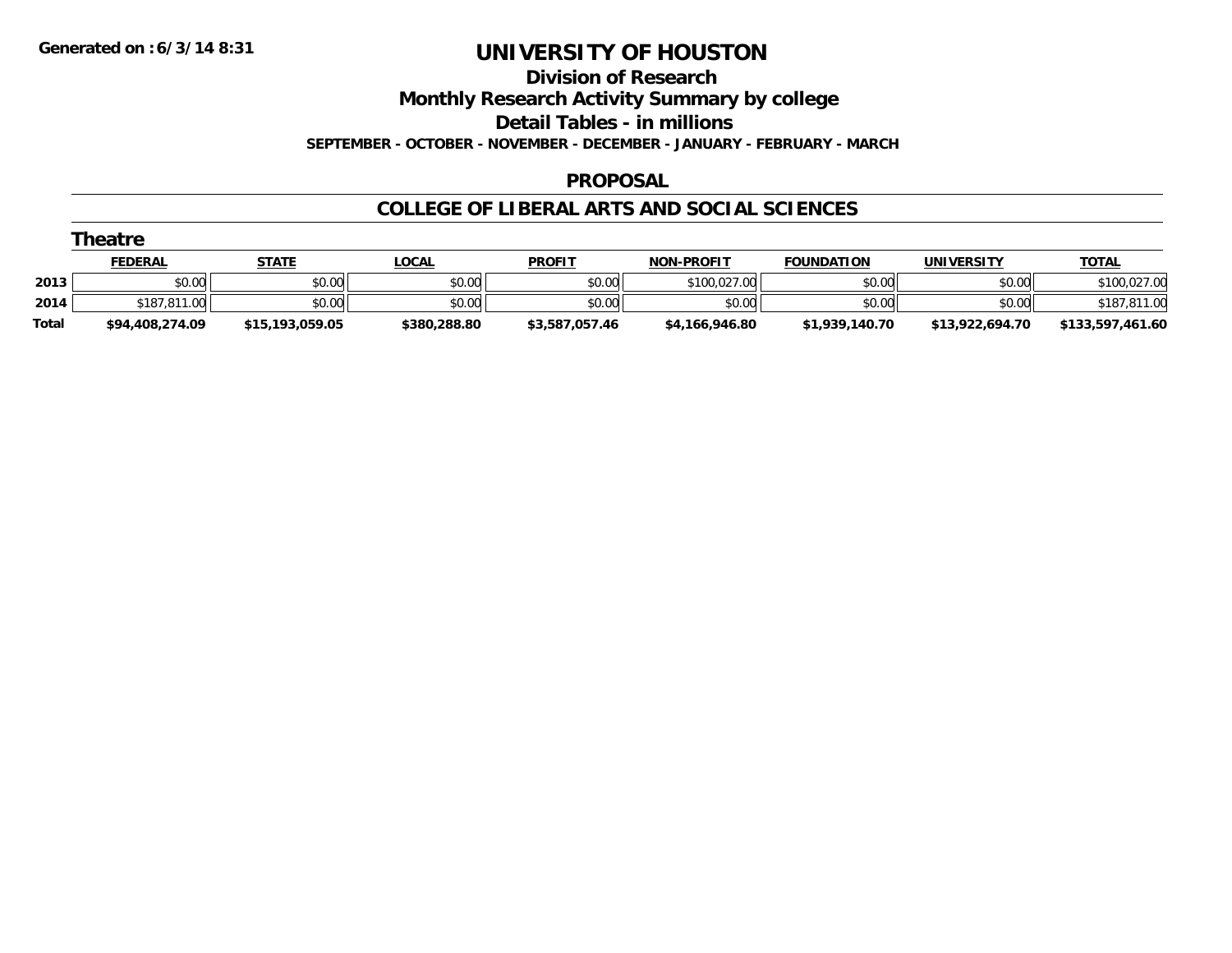#### **Division of Research**

**Monthly Research Activity Summary by college**

**Detail Tables - in millions**

**SEPTEMBER - OCTOBER - NOVEMBER - DECEMBER - JANUARY - FEBRUARY - MARCH**

### **PROPOSAL**

|              | Theatre         |                 |              |                |                   |                   |                 |                  |
|--------------|-----------------|-----------------|--------------|----------------|-------------------|-------------------|-----------------|------------------|
|              | <b>FEDERAL</b>  | STATE           | <u>LOCAL</u> | <b>PROFIT</b>  | <b>NON-PROFIT</b> | <b>FOUNDATION</b> | UNIVERSITY      | <b>TOTAL</b>     |
| 2013         | \$0.00          | \$0.00          | \$0.00       | \$0.00         | \$100.027.00      | \$0.00            | \$0.00          | \$100,027.00     |
| 2014         | \$187,811,00    | \$0.00          | \$0.00       | \$0.00         | \$0.00            | \$0.00            | \$0.00          | \$187,811.00     |
| <b>Total</b> | \$94,408,274.09 | \$15,193,059.05 | \$380,288.80 | \$3,587,057.46 | \$4,166,946.80    | \$1,939,140.70    | \$13,922,694.70 | \$133,597,461.60 |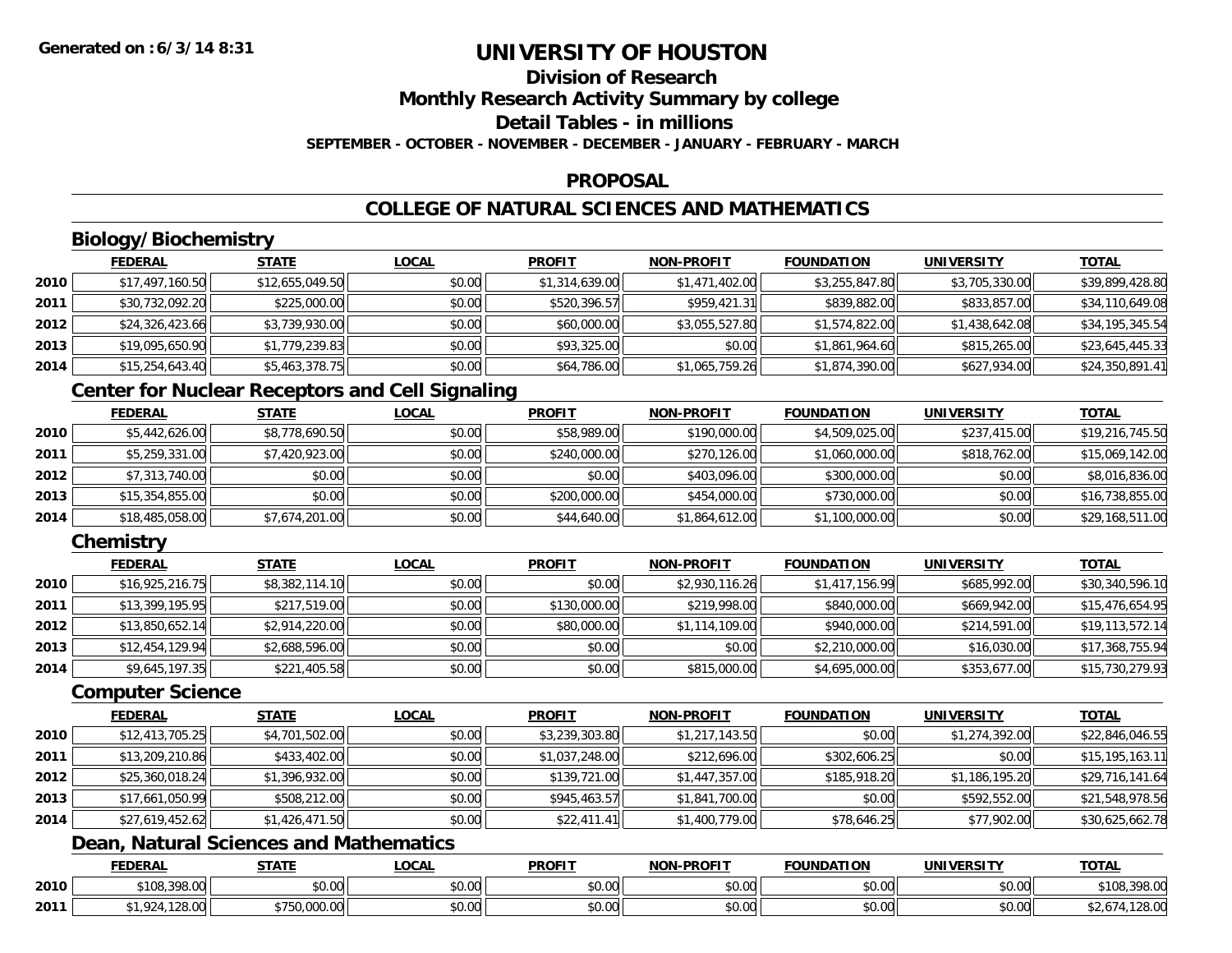### **Division of ResearchMonthly Research Activity Summary by college**

**Detail Tables - in millions**

**SEPTEMBER - OCTOBER - NOVEMBER - DECEMBER - JANUARY - FEBRUARY - MARCH**

### **PROPOSAL**

### **COLLEGE OF NATURAL SCIENCES AND MATHEMATICS**

### **Biology/Biochemistry**

|      | <b>FEDERAL</b>  | <b>STATE</b>    | <u>LOCAL</u> | <b>PROFIT</b>  | <b>NON-PROFIT</b> | <b>FOUNDATION</b> | <b>UNIVERSITY</b> | <b>TOTAL</b>    |
|------|-----------------|-----------------|--------------|----------------|-------------------|-------------------|-------------------|-----------------|
| 2010 | \$17,497,160.50 | \$12,655,049.50 | \$0.00       | \$1,314,639.00 | \$1,471,402.00    | \$3,255,847.80    | \$3,705,330.00    | \$39,899,428.80 |
| 2011 | \$30,732,092.20 | \$225,000.00    | \$0.00       | \$520,396.57   | \$959,421.31      | \$839,882.00      | \$833,857.00      | \$34,110,649.08 |
| 2012 | \$24,326,423.66 | \$3,739,930.00  | \$0.00       | \$60,000.00    | \$3,055,527.80    | \$1,574,822.00    | \$1,438,642.08    | \$34,195,345.54 |
| 2013 | \$19,095,650.90 | \$1,779,239.83  | \$0.00       | \$93,325.00    | \$0.00            | \$1,861,964.60    | \$815,265.00      | \$23,645,445.33 |
| 2014 | \$15,254,643.40 | \$5,463,378.75  | \$0.00       | \$64,786.00    | \$1,065,759.26    | \$1,874,390.00    | \$627,934.00      | \$24,350,891.41 |

### **Center for Nuclear Receptors and Cell Signaling**

|      | <b>FEDERAL</b>  | <b>STATE</b>   | <b>LOCAL</b> | <b>PROFIT</b> | <b>NON-PROFIT</b> | <b>FOUNDATION</b> | <b>UNIVERSITY</b> | <u>TOTAL</u>    |
|------|-----------------|----------------|--------------|---------------|-------------------|-------------------|-------------------|-----------------|
| 2010 | \$5,442,626.00  | \$8,778,690.50 | \$0.00       | \$58,989.00   | \$190,000.00      | \$4,509,025.00    | \$237,415.00      | \$19,216,745.50 |
| 2011 | \$5,259,331.00  | \$7,420,923.00 | \$0.00       | \$240,000.00  | \$270,126,00      | \$1,060,000.00    | \$818,762,00      | \$15,069,142.00 |
| 2012 | \$7,313,740.00  | \$0.00         | \$0.00       | \$0.00        | \$403,096.00      | \$300,000.00      | \$0.00            | \$8,016,836.00  |
| 2013 | \$15,354,855.00 | \$0.00         | \$0.00       | \$200,000.00  | \$454,000.00      | \$730,000.00      | \$0.00            | \$16,738,855.00 |
| 2014 | \$18,485,058.00 | \$7,674,201.00 | \$0.00       | \$44,640.00   | \$1,864,612.00    | \$1,100,000.00    | \$0.00            | \$29,168,511.00 |

### **Chemistry**

|      | <b>FEDERAL</b>  | <b>STATE</b>   | <b>LOCAL</b> | <b>PROFIT</b> | <b>NON-PROFIT</b> | <b>FOUNDATION</b> | <b>UNIVERSITY</b> | <u>TOTAL</u>    |
|------|-----------------|----------------|--------------|---------------|-------------------|-------------------|-------------------|-----------------|
| 2010 | \$16,925,216.75 | \$8,382,114.10 | \$0.00       | \$0.00        | \$2,930,116.26    | \$1,417,156.99    | \$685,992.00      | \$30,340,596.10 |
| 2011 | \$13,399,195.95 | \$217,519.00   | \$0.00       | \$130,000.00  | \$219,998.00      | \$840,000.00      | \$669,942.00      | \$15,476,654.95 |
| 2012 | \$13,850,652.14 | \$2,914,220.00 | \$0.00       | \$80,000.00   | \$1,114,109.00    | \$940,000.00      | \$214,591.00      | \$19,113,572.14 |
| 2013 | \$12,454,129.94 | \$2,688,596.00 | \$0.00       | \$0.00        | \$0.00            | \$2,210,000.00    | \$16,030.00       | \$17,368,755.94 |
| 2014 | \$9,645,197.35  | \$221,405.58   | \$0.00       | \$0.00        | \$815,000.00      | \$4,695,000.00    | \$353,677.00      | \$15,730,279.93 |

#### **Computer Science**

|      | <b>FEDERAL</b>  | <b>STATE</b>   | <b>LOCAL</b> | <b>PROFIT</b>  | <b>NON-PROFIT</b> | <b>FOUNDATION</b> | <b>UNIVERSITY</b> | <b>TOTAL</b>    |
|------|-----------------|----------------|--------------|----------------|-------------------|-------------------|-------------------|-----------------|
| 2010 | \$12,413,705.25 | \$4,701,502.00 | \$0.00       | \$3,239,303.80 | \$1,217,143.50    | \$0.00            | \$1,274,392.00    | \$22,846,046.55 |
| 2011 | \$13,209,210.86 | \$433,402.00   | \$0.00       | \$1,037,248.00 | \$212,696.00      | \$302,606.25      | \$0.00            | \$15,195,163.11 |
| 2012 | \$25,360,018.24 | \$1,396,932.00 | \$0.00       | \$139,721.00   | \$1,447,357.00    | \$185,918.20      | \$1,186,195.20    | \$29,716,141.64 |
| 2013 | \$17,661,050.99 | \$508,212.00   | \$0.00       | \$945,463.57   | \$1,841,700.00    | \$0.00            | \$592,552.00      | \$21,548,978.56 |
| 2014 | \$27,619,452.62 | \$1,426,471.50 | \$0.00       | \$22,411.41    | \$1,400,779.00    | \$78,646.25       | \$77,902.00       | \$30,625,662.78 |

## **Dean, Natural Sciences and Mathematics**

|      | <b>FEDERAL</b>        | <b>CTATI</b> | <b>_OCAL</b>              | <b>PROFIT</b>              | <b>M-PROF!</b><br><b>NICHI</b> | UNDATION             | UNIVERSITY | ᆩᇧ           |
|------|-----------------------|--------------|---------------------------|----------------------------|--------------------------------|----------------------|------------|--------------|
| 2010 | \$108,398.00<br>70.UU | \$0.00       | $\sim$<br>$\sim$<br>70.UU | 0.00<br>טט.טי              | 0000<br>vv.vv                  | 0000<br>JU.UU        | \$0.00     | \$108,398.00 |
| 2011 | ′.o.∪∪                | $\sim$       | $\sim$ 00<br>PU.UU        | $*$ $\cap$ $\cap$<br>טט.טע | $\sim$ 00<br>PO.OO             | 0000<br><b>JU.UU</b> | \$0.00     | 120.UU       |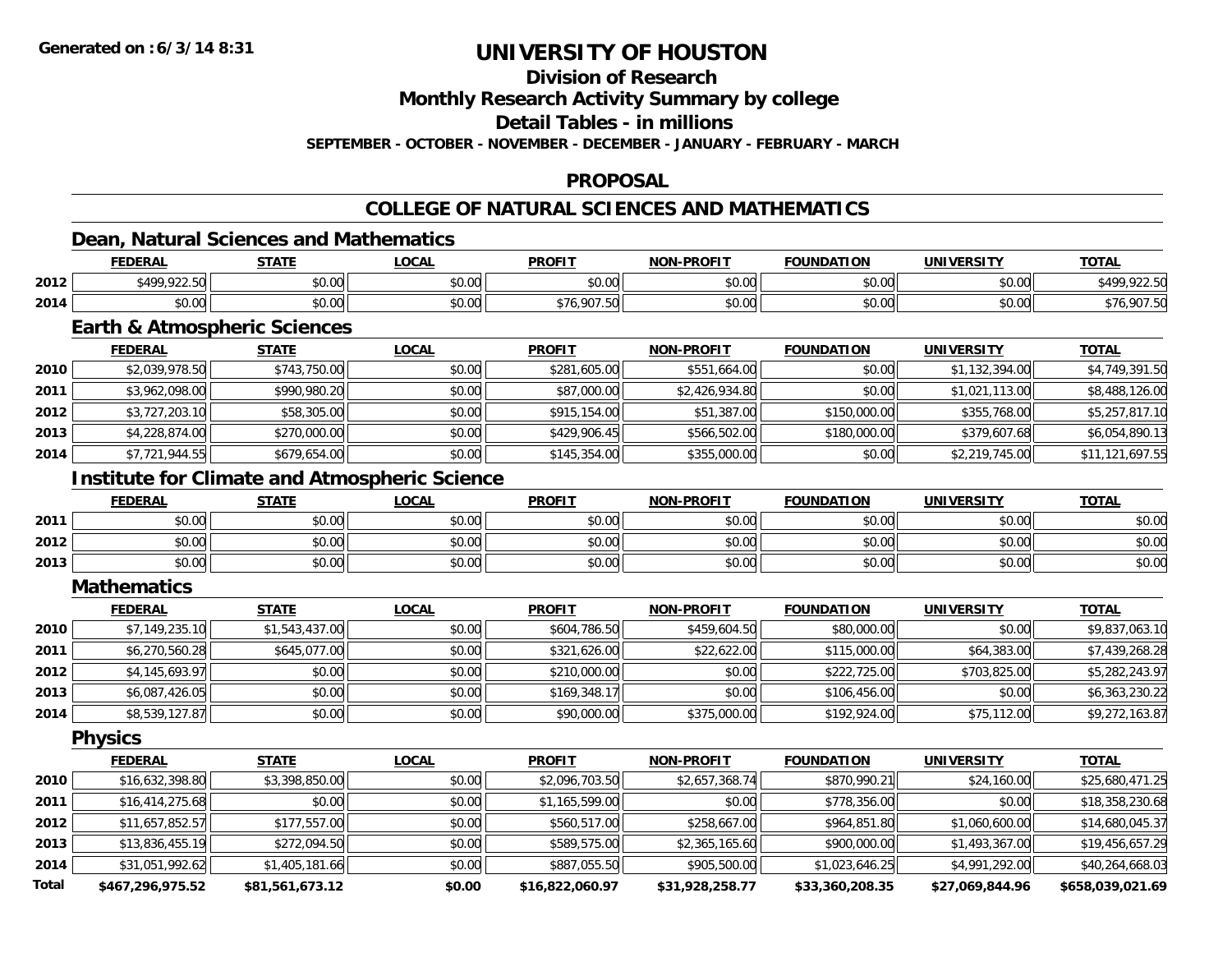### **Division of Research**

**Monthly Research Activity Summary by college**

**Detail Tables - in millions**

**SEPTEMBER - OCTOBER - NOVEMBER - DECEMBER - JANUARY - FEBRUARY - MARCH**

#### **PROPOSAL**

### **COLLEGE OF NATURAL SCIENCES AND MATHEMATICS**

### **Dean, Natural Sciences and Mathematics**

|      | -DERAL       | <b>STATE</b>               | <b>OCAL</b>   | <b>PROFIT</b> | -PROFIT<br><b>NON</b> | <b>FOUNDATION</b>      | <b>IINIVEDSITV</b> | <b>TOTAL</b>  |
|------|--------------|----------------------------|---------------|---------------|-----------------------|------------------------|--------------------|---------------|
| 2012 | *499 922 50H | ልስ ሀሀ<br>JU.UU             | 0000<br>PO.OO | 0000<br>JU.UL | nn na<br>pu.uu        | $\sim$ $\sim$<br>JU.UU | nn nn<br>J∪.∪∪     | 100<br>$\sim$ |
| 2014 | \$0.00       | $*$ $\cap$ $\cap$<br>JU.UU | 0000<br>JU.UU | ററ            | 0000<br>JU.UU         | $\sim$ 00<br>JU.UU     | $\sim$ 00<br>JU.UU | . ററ:         |

### **Earth & Atmospheric Sciences**

|      | <b>FEDERAL</b> | <b>STATE</b> | <b>LOCAL</b> | <b>PROFIT</b> | <b>NON-PROFIT</b> | <b>FOUNDATION</b> | <b>UNIVERSITY</b> | <b>TOTAL</b>    |
|------|----------------|--------------|--------------|---------------|-------------------|-------------------|-------------------|-----------------|
| 2010 | \$2,039,978.50 | \$743,750.00 | \$0.00       | \$281,605.00  | \$551,664.00      | \$0.00            | \$1,132,394.00    | \$4,749,391.50  |
| 2011 | \$3,962,098.00 | \$990,980.20 | \$0.00       | \$87,000.00   | \$2,426,934.80    | \$0.00            | \$1,021,113.00    | \$8,488,126.00  |
| 2012 | \$3,727,203.10 | \$58,305.00  | \$0.00       | \$915,154.00  | \$51,387.00       | \$150,000.00      | \$355,768,00      | \$5,257,817.10  |
| 2013 | \$4,228,874.00 | \$270,000.00 | \$0.00       | \$429,906.45  | \$566,502.00      | \$180,000.00      | \$379,607.68      | \$6,054,890.13  |
| 2014 | \$7,721,944.55 | \$679,654.00 | \$0.00       | \$145,354.00  | \$355,000.00      | \$0.00            | \$2,219,745.00    | \$11,121,697.55 |

### **Institute for Climate and Atmospheric Science**

|      | <b>FEDERAL</b> | <b>STATE</b> | <u>_OCAL</u>            | <b>PROFIT</b>                                            | <b>NON-PROFIT</b> | <b>FOUNDATION</b> | <b>UNIVERSITY</b> | <b>TOTAL</b> |
|------|----------------|--------------|-------------------------|----------------------------------------------------------|-------------------|-------------------|-------------------|--------------|
| 2011 | \$0.00         | \$0.00       | 0.00<br>DU.UU           | ≮N UU<br>JU.UU                                           | \$0.00            | \$0.00            | \$0.00            | \$0.00       |
| 2012 | \$0.00         | \$0.00       | 0 <sup>n</sup><br>DU.UG | $\mathsf{A}\cap\mathsf{A}\cap\mathsf{A}$<br><b>JU.UU</b> | \$0.00            | \$0.00            | \$0.00            | \$0.00       |
| 2013 | \$0.00         | \$0.00       | 0000<br>\$U.UU          | <b>SU.UU</b>                                             | \$0.00            | \$0.00            | \$0.00            | \$0.00       |

#### **Mathematics**

|      | <b>FEDERAL</b> | <b>STATE</b>   | <u>LOCAL</u> | <b>PROFIT</b> | NON-PROFIT   | <b>FOUNDATION</b> | <b>UNIVERSITY</b> | <b>TOTAL</b>   |
|------|----------------|----------------|--------------|---------------|--------------|-------------------|-------------------|----------------|
| 2010 | \$7,149,235.10 | \$1,543,437.00 | \$0.00       | \$604,786.50  | \$459,604.50 | \$80,000.00       | \$0.00            | \$9,837,063.10 |
| 2011 | \$6,270,560.28 | \$645,077.00   | \$0.00       | \$321,626.00  | \$22,622.00  | \$115,000.00      | \$64,383.00       | \$7,439,268.28 |
| 2012 | \$4,145,693.97 | \$0.00         | \$0.00       | \$210,000.00  | \$0.00       | \$222,725.00      | \$703,825.00      | \$5,282,243.97 |
| 2013 | \$6,087,426.05 | \$0.00         | \$0.00       | \$169,348.17  | \$0.00       | \$106,456.00      | \$0.00            | \$6,363,230.22 |
| 2014 | \$8,539,127.87 | \$0.00         | \$0.00       | \$90,000.00   | \$375,000.00 | \$192,924.00      | \$75,112.00       | \$9,272,163.87 |

**Physics**

|              | <b>FEDERAL</b>   | <b>STATE</b>    | <u>LOCAL</u> | <b>PROFIT</b>   | <b>NON-PROFIT</b> | <b>FOUNDATION</b> | <b>UNIVERSITY</b> | <b>TOTAL</b>     |
|--------------|------------------|-----------------|--------------|-----------------|-------------------|-------------------|-------------------|------------------|
| 2010         | \$16,632,398.80  | \$3,398,850.00  | \$0.00       | \$2,096,703.50  | \$2,657,368.74    | \$870,990.21      | \$24,160.00       | \$25,680,471.25  |
| 2011         | \$16,414,275.68  | \$0.00          | \$0.00       | \$1,165,599.00  | \$0.00            | \$778,356.00      | \$0.00            | \$18,358,230.68  |
| 2012         | \$11,657,852.57  | \$177,557.00    | \$0.00       | \$560,517.00    | \$258,667.00      | \$964,851.80      | \$1,060,600.00    | \$14,680,045.37  |
| 2013         | \$13,836,455.19  | \$272,094.50    | \$0.00       | \$589,575.00    | \$2,365,165.60    | \$900,000.00      | \$1,493,367.00    | \$19,456,657.29  |
| 2014         | \$31,051,992.62  | \$1,405,181.66  | \$0.00       | \$887,055.50    | \$905,500.00      | \$1,023,646.25    | \$4,991,292.00    | \$40,264,668.03  |
| <b>Total</b> | \$467,296,975.52 | \$81,561,673.12 | \$0.00       | \$16,822,060.97 | \$31,928,258.77   | \$33,360,208.35   | \$27,069,844.96   | \$658.039.021.69 |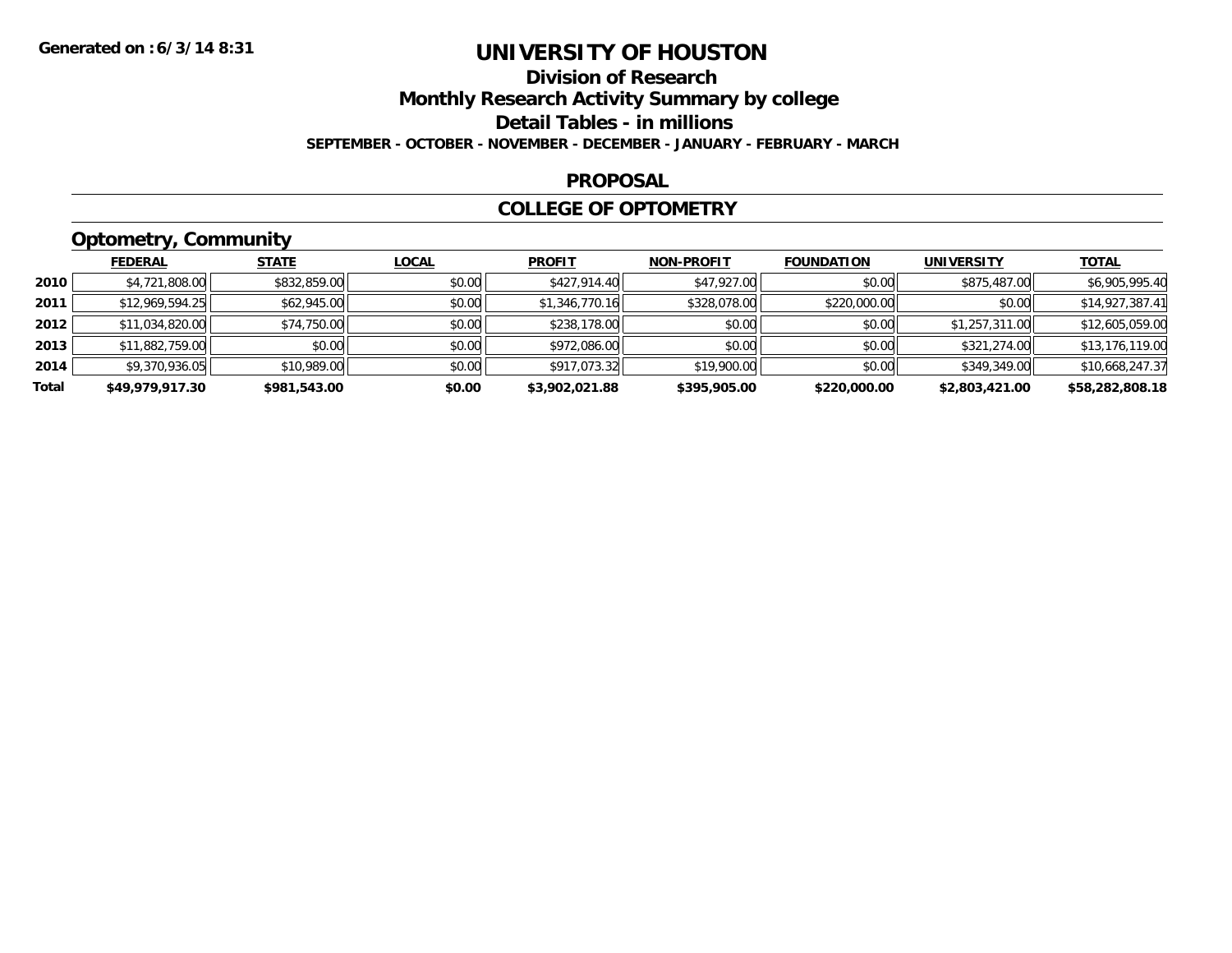### **Division of ResearchMonthly Research Activity Summary by college Detail Tables - in millions SEPTEMBER - OCTOBER - NOVEMBER - DECEMBER - JANUARY - FEBRUARY - MARCH**

#### **PROPOSAL**

### **COLLEGE OF OPTOMETRY**

## **Optometry, Community**

|       | <b>FEDERAL</b>  | <b>STATE</b> | <b>LOCAL</b> | <b>PROFIT</b>  | <b>NON-PROFIT</b> | <b>FOUNDATION</b> | <b>UNIVERSITY</b> | <b>TOTAL</b>    |
|-------|-----------------|--------------|--------------|----------------|-------------------|-------------------|-------------------|-----------------|
| 2010  | \$4,721,808.00  | \$832,859.00 | \$0.00       | \$427,914.40   | \$47,927.00       | \$0.00            | \$875,487.00      | \$6,905,995.40  |
| 2011  | \$12,969,594.25 | \$62,945.00  | \$0.00       | \$1,346,770.16 | \$328,078.00      | \$220,000.00      | \$0.00            | \$14,927,387.41 |
| 2012  | \$11,034,820.00 | \$74,750.00  | \$0.00       | \$238,178.00   | \$0.00            | \$0.00            | \$1,257,311.00    | \$12,605,059.00 |
| 2013  | \$11,882,759.00 | \$0.00       | \$0.00       | \$972,086.00   | \$0.00            | \$0.00            | \$321,274.00      | \$13,176,119.00 |
| 2014  | \$9,370,936.05  | \$10,989.00  | \$0.00       | \$917,073.32   | \$19,900.00       | \$0.00            | \$349,349.00      | \$10,668,247.37 |
| Total | \$49,979,917.30 | \$981,543.00 | \$0.00       | \$3,902,021.88 | \$395,905.00      | \$220,000.00      | \$2,803,421.00    | \$58,282,808.18 |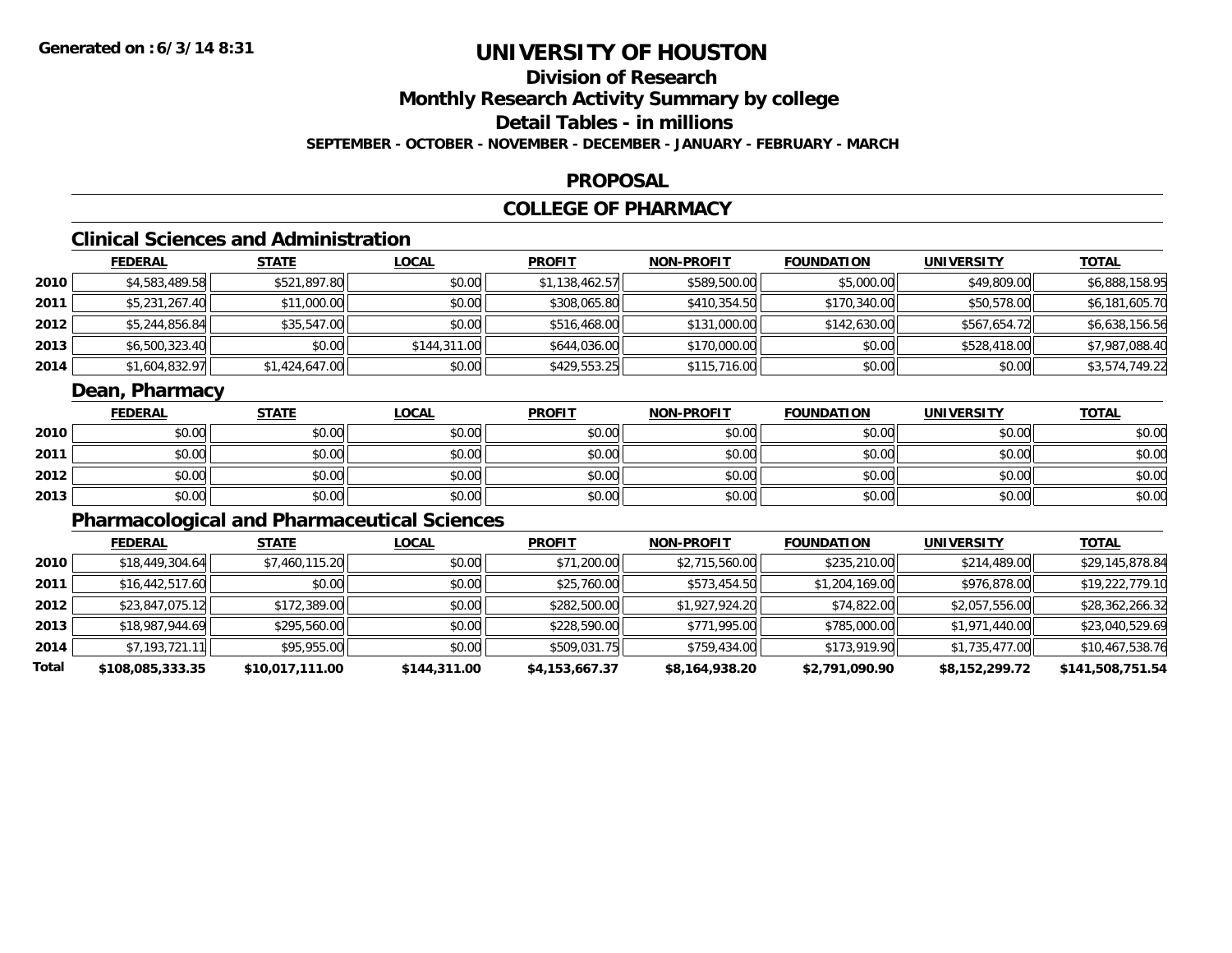## **Division of ResearchMonthly Research Activity Summary by college**

### **Detail Tables - in millions**

**SEPTEMBER - OCTOBER - NOVEMBER - DECEMBER - JANUARY - FEBRUARY - MARCH**

#### **PROPOSAL**

### **COLLEGE OF PHARMACY**

### **Clinical Sciences and Administration**

|        | <b>FEDERAL</b> | <u>STATE</u>   | <b>LOCAL</b> | <b>PROFIT</b>  | <b>NON-PROFIT</b> | <b>FOUNDATION</b> | <b>UNIVERSITY</b> | <b>TOTAL</b>   |
|--------|----------------|----------------|--------------|----------------|-------------------|-------------------|-------------------|----------------|
| ا 2010 | \$4,583,489.58 | \$521,897.80   | \$0.00       | \$1,138,462.57 | \$589,500.00      | \$5,000.00        | \$49,809.00       | \$6,888,158.95 |
| 2011   | \$5,231,267.40 | \$11,000.00    | \$0.00       | \$308,065.80   | \$410,354.50      | \$170,340.00      | \$50,578.00       | \$6,181,605.70 |
| 2012   | \$5,244,856.84 | \$35,547.00    | \$0.00       | \$516,468.00   | \$131,000.00      | \$142,630.00      | \$567,654.72      | \$6,638,156.56 |
| 2013   | \$6,500,323.40 | \$0.00         | \$144,311,00 | \$644,036.00   | \$170,000.00      | \$0.00            | \$528,418.00      | \$7,987,088.40 |
| 2014   | \$1,604,832.97 | \$1,424,647.00 | \$0.00       | \$429,553.25   | \$115,716.00      | \$0.00            | \$0.00            | \$3,574,749.22 |

### **Dean, Pharmacy**

|      | <b>FEDERAL</b> | <b>STATE</b> | <u>LOCAL</u> | <b>PROFIT</b> | <b>NON-PROFIT</b> | <b>FOUNDATION</b> | <b>UNIVERSITY</b> | <b>TOTAL</b> |
|------|----------------|--------------|--------------|---------------|-------------------|-------------------|-------------------|--------------|
| 2010 | \$0.00         | \$0.00       | \$0.00       | \$0.00        | \$0.00            | \$0.00            | \$0.00            | \$0.00       |
| 2011 | \$0.00         | \$0.00       | \$0.00       | \$0.00        | \$0.00            | \$0.00            | \$0.00            | \$0.00       |
| 2012 | \$0.00         | \$0.00       | \$0.00       | \$0.00        | \$0.00            | \$0.00            | \$0.00            | \$0.00       |
| 2013 | \$0.00         | \$0.00       | \$0.00       | \$0.00        | \$0.00            | \$0.00            | \$0.00            | \$0.00       |

### **Pharmacological and Pharmaceutical Sciences**

|       | <b>FEDERAL</b>   | <b>STATE</b>    | <b>LOCAL</b> | <b>PROFIT</b>  | <b>NON-PROFIT</b> | <b>FOUNDATION</b> | UNIVERSITY     | <b>TOTAL</b>     |
|-------|------------------|-----------------|--------------|----------------|-------------------|-------------------|----------------|------------------|
| 2010  | \$18,449,304.64  | \$7,460,115.20  | \$0.00       | \$71,200.00    | \$2,715,560.00    | \$235,210.00      | \$214,489.00   | \$29,145,878.84  |
| 2011  | \$16,442,517.60  | \$0.00          | \$0.00       | \$25,760.00    | \$573,454.50      | \$1,204,169.00    | \$976,878.00   | \$19,222,779.10  |
| 2012  | \$23,847,075.12  | \$172,389.00    | \$0.00       | \$282,500.00   | \$1,927,924.20    | \$74,822.00       | \$2,057,556.00 | \$28,362,266.32  |
| 2013  | \$18,987,944.69  | \$295,560.00    | \$0.00       | \$228,590.00   | \$771,995.00      | \$785,000.00      | \$1,971,440.00 | \$23,040,529.69  |
| 2014  | \$7,193,721.11   | \$95,955.00     | \$0.00       | \$509,031.75   | \$759,434.00      | \$173,919.90      | \$1,735,477.00 | \$10,467,538.76  |
| Total | \$108,085,333.35 | \$10,017,111.00 | \$144,311.00 | \$4,153,667.37 | \$8,164,938.20    | \$2,791,090.90    | \$8,152,299.72 | \$141,508,751.54 |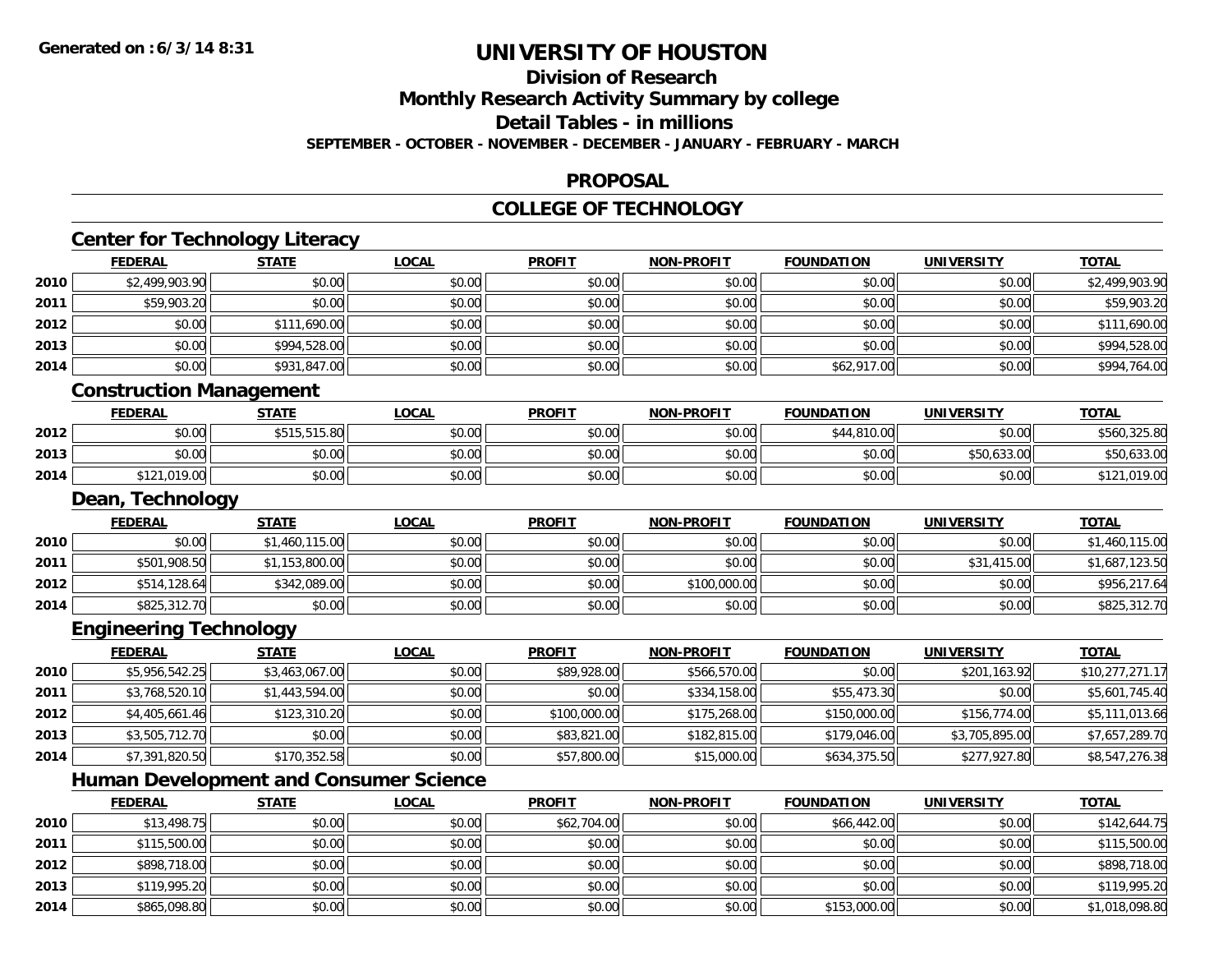**2014**

## **UNIVERSITY OF HOUSTON**

## **Division of Research**

**Monthly Research Activity Summary by college**

**Detail Tables - in millions**

**SEPTEMBER - OCTOBER - NOVEMBER - DECEMBER - JANUARY - FEBRUARY - MARCH**

### **PROPOSAL**

### **COLLEGE OF TECHNOLOGY**

|      | <b>FEDERAL</b>                 | <b>STATE</b>                                  | <b>LOCAL</b> | <b>PROFIT</b> | <b>NON-PROFIT</b> | <b>FOUNDATION</b> | <b>UNIVERSITY</b> | <b>TOTAL</b>    |
|------|--------------------------------|-----------------------------------------------|--------------|---------------|-------------------|-------------------|-------------------|-----------------|
| 2010 | \$2,499,903.90                 | \$0.00                                        | \$0.00       | \$0.00        | \$0.00            | \$0.00            | \$0.00            | \$2,499,903.90  |
| 2011 | \$59,903.20                    | \$0.00                                        | \$0.00       | \$0.00        | \$0.00            | \$0.00            | \$0.00            | \$59,903.20     |
| 2012 | \$0.00                         | \$111,690.00                                  | \$0.00       | \$0.00        | \$0.00            | \$0.00            | \$0.00            | \$111,690.00    |
| 2013 | \$0.00                         | \$994,528.00                                  | \$0.00       | \$0.00        | \$0.00            | \$0.00            | \$0.00            | \$994,528.00    |
| 2014 | \$0.00                         | \$931,847.00                                  | \$0.00       | \$0.00        | \$0.00            | \$62,917.00       | \$0.00            | \$994,764.00    |
|      | <b>Construction Management</b> |                                               |              |               |                   |                   |                   |                 |
|      | <b>FEDERAL</b>                 | <b>STATE</b>                                  | <b>LOCAL</b> | <b>PROFIT</b> | <b>NON-PROFIT</b> | <b>FOUNDATION</b> | <b>UNIVERSITY</b> | <b>TOTAL</b>    |
| 2012 | \$0.00                         | \$515,515.80                                  | \$0.00       | \$0.00        | \$0.00            | \$44,810.00       | \$0.00            | \$560,325.80    |
| 2013 | \$0.00                         | \$0.00                                        | \$0.00       | \$0.00        | \$0.00            | \$0.00            | \$50,633.00       | \$50,633.00     |
| 2014 | \$121,019.00                   | \$0.00                                        | \$0.00       | \$0.00        | \$0.00            | \$0.00            | \$0.00            | \$121,019.00    |
|      | Dean, Technology               |                                               |              |               |                   |                   |                   |                 |
|      | <b>FEDERAL</b>                 | <b>STATE</b>                                  | <b>LOCAL</b> | <b>PROFIT</b> | <b>NON-PROFIT</b> | <b>FOUNDATION</b> | <b>UNIVERSITY</b> | <b>TOTAL</b>    |
| 2010 | \$0.00                         | \$1,460,115.00                                | \$0.00       | \$0.00        | \$0.00            | \$0.00            | \$0.00            | \$1,460,115.00  |
| 2011 | \$501,908.50                   | \$1,153,800.00                                | \$0.00       | \$0.00        | \$0.00            | \$0.00            | \$31,415.00       | \$1,687,123.50  |
| 2012 | \$514,128.64                   | \$342,089.00                                  | \$0.00       | \$0.00        | \$100,000.00      | \$0.00            | \$0.00            | \$956,217.64    |
| 2014 | \$825,312.70                   | \$0.00                                        | \$0.00       | \$0.00        | \$0.00            | \$0.00            | \$0.00            | \$825,312.70    |
|      | <b>Engineering Technology</b>  |                                               |              |               |                   |                   |                   |                 |
|      | <b>FEDERAL</b>                 | <b>STATE</b>                                  | <b>LOCAL</b> | <b>PROFIT</b> | <b>NON-PROFIT</b> | <b>FOUNDATION</b> | <b>UNIVERSITY</b> | <b>TOTAL</b>    |
| 2010 | \$5,956,542.25                 | \$3,463,067.00                                | \$0.00       | \$89,928.00   | \$566,570.00      | \$0.00            | \$201,163.92      | \$10,277,271.17 |
| 2011 | \$3,768,520.10                 | \$1,443,594.00                                | \$0.00       | \$0.00        | \$334,158.00      | \$55,473.30       | \$0.00            | \$5,601,745.40  |
| 2012 | \$4,405,661.46                 | \$123,310.20                                  | \$0.00       | \$100,000.00  | \$175,268.00      | \$150,000.00      | \$156,774.00      | \$5,111,013.66  |
| 2013 | \$3,505,712.70                 | \$0.00                                        | \$0.00       | \$83,821.00   | \$182,815.00      | \$179,046.00      | \$3,705,895.00    | \$7,657,289.70  |
| 2014 | \$7,391,820.50                 | \$170,352.58                                  | \$0.00       | \$57,800.00   | \$15,000.00       | \$634,375.50      | \$277,927.80      | \$8,547,276.38  |
|      |                                | <b>Human Development and Consumer Science</b> |              |               |                   |                   |                   |                 |
|      | <b>FEDERAL</b>                 | <b>STATE</b>                                  | <b>LOCAL</b> | <b>PROFIT</b> | <b>NON-PROFIT</b> | <b>FOUNDATION</b> | <b>UNIVERSITY</b> | <b>TOTAL</b>    |
| 2010 | \$13,498.75                    | \$0.00                                        | \$0.00       | \$62,704.00   | \$0.00            | \$66,442.00       | \$0.00            | \$142,644.75    |
| 2011 | \$115,500.00                   | \$0.00                                        | \$0.00       | \$0.00        | \$0.00            | \$0.00            | \$0.00            | \$115,500.00    |
| 2012 | \$898,718.00                   | \$0.00                                        | \$0.00       | \$0.00        | \$0.00            | \$0.00            | \$0.00            | \$898,718.00    |
| 2013 | \$119,995.20                   | \$0.00                                        | \$0.00       | \$0.00        | \$0.00            | \$0.00            | \$0.00            | \$119,995.20    |

 $\textbf{4} \parallel \textcolor{red}{\textbf{8865,098.80}} \parallel \textcolor{red}{\textbf{80.00}} \parallel \textcolor{red}{\textbf{80.00}} \parallel \textcolor{red}{\textbf{80.00}} \parallel \textcolor{red}{\textbf{80.00}} \parallel \textcolor{red}{\textbf{80.00}} \parallel \textcolor{red}{\textbf{80.00}} \parallel \textcolor{red}{\textbf{80.00}} \parallel \textcolor{red}{\textbf{80.00}} \parallel \textcolor{red}{\textbf{80.00}} \parallel \textcolor{red}{\textbf{80.00}} \parallel \textcolor{red}{\textbf$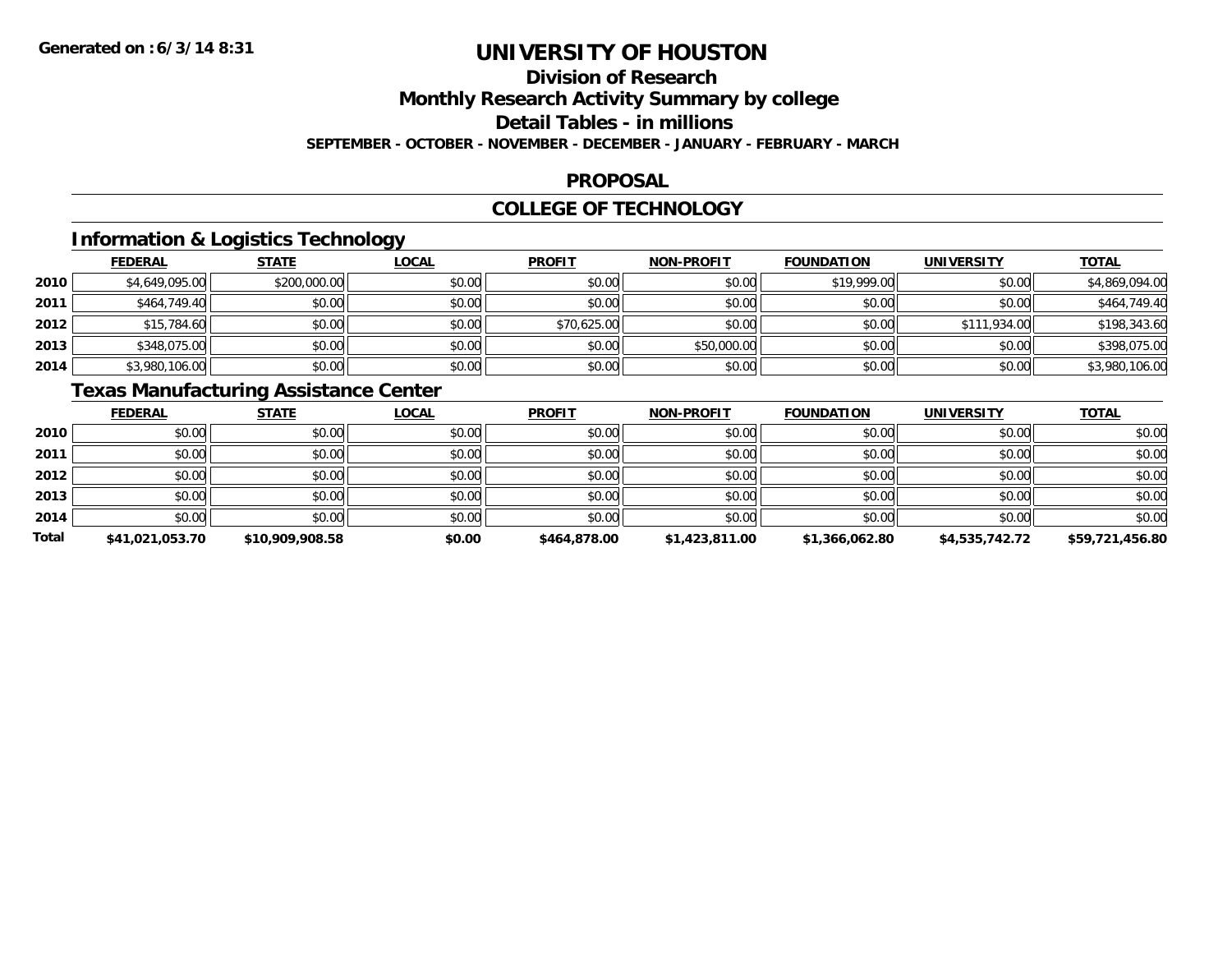# **Division of Research**

**Monthly Research Activity Summary by college**

**Detail Tables - in millions**

**SEPTEMBER - OCTOBER - NOVEMBER - DECEMBER - JANUARY - FEBRUARY - MARCH**

### **PROPOSAL**

### **COLLEGE OF TECHNOLOGY**

### **Information & Logistics Technology**

|      | <b>FEDERAL</b> | <b>STATE</b> | <u>LOCAL</u> | <b>PROFIT</b> | <b>NON-PROFIT</b> | <b>FOUNDATION</b> | <b>UNIVERSITY</b> | <b>TOTAL</b>   |
|------|----------------|--------------|--------------|---------------|-------------------|-------------------|-------------------|----------------|
| 2010 | \$4,649,095.00 | \$200,000.00 | \$0.00       | \$0.00        | \$0.00            | \$19,999.00       | \$0.00            | \$4,869,094.00 |
| 2011 | \$464,749.40   | \$0.00       | \$0.00       | \$0.00        | \$0.00            | \$0.00            | \$0.00            | \$464,749.40   |
| 2012 | \$15,784.60    | \$0.00       | \$0.00       | \$70,625.00   | \$0.00            | \$0.00            | \$111,934.00      | \$198,343.60   |
| 2013 | \$348,075.00   | \$0.00       | \$0.00       | \$0.00        | \$50,000.00       | \$0.00            | \$0.00            | \$398,075.00   |
| 2014 | \$3,980,106.00 | \$0.00       | \$0.00       | \$0.00        | \$0.00            | \$0.00            | \$0.00            | \$3,980,106.00 |

### **Texas Manufacturing Assistance Center**

|              | <b>FEDERAL</b>  | <b>STATE</b>    | <u>LOCAL</u> | <b>PROFIT</b> | <b>NON-PROFIT</b> | <b>FOUNDATION</b> | <b>UNIVERSITY</b> | <b>TOTAL</b>    |
|--------------|-----------------|-----------------|--------------|---------------|-------------------|-------------------|-------------------|-----------------|
| 2010         | \$0.00          | \$0.00          | \$0.00       | \$0.00        | \$0.00            | \$0.00            | \$0.00            | \$0.00          |
| 2011         | \$0.00          | \$0.00          | \$0.00       | \$0.00        | \$0.00            | \$0.00            | \$0.00            | \$0.00          |
| 2012         | \$0.00          | \$0.00          | \$0.00       | \$0.00        | \$0.00            | \$0.00            | \$0.00            | \$0.00          |
| 2013         | \$0.00          | \$0.00          | \$0.00       | \$0.00        | \$0.00            | \$0.00            | \$0.00            | \$0.00          |
| 2014         | \$0.00          | \$0.00          | \$0.00       | \$0.00        | \$0.00            | \$0.00            | \$0.00            | \$0.00          |
| <b>Total</b> | \$41,021,053.70 | \$10,909,908.58 | \$0.00       | \$464,878.00  | \$1,423,811.00    | \$1,366,062.80    | \$4,535,742.72    | \$59,721,456.80 |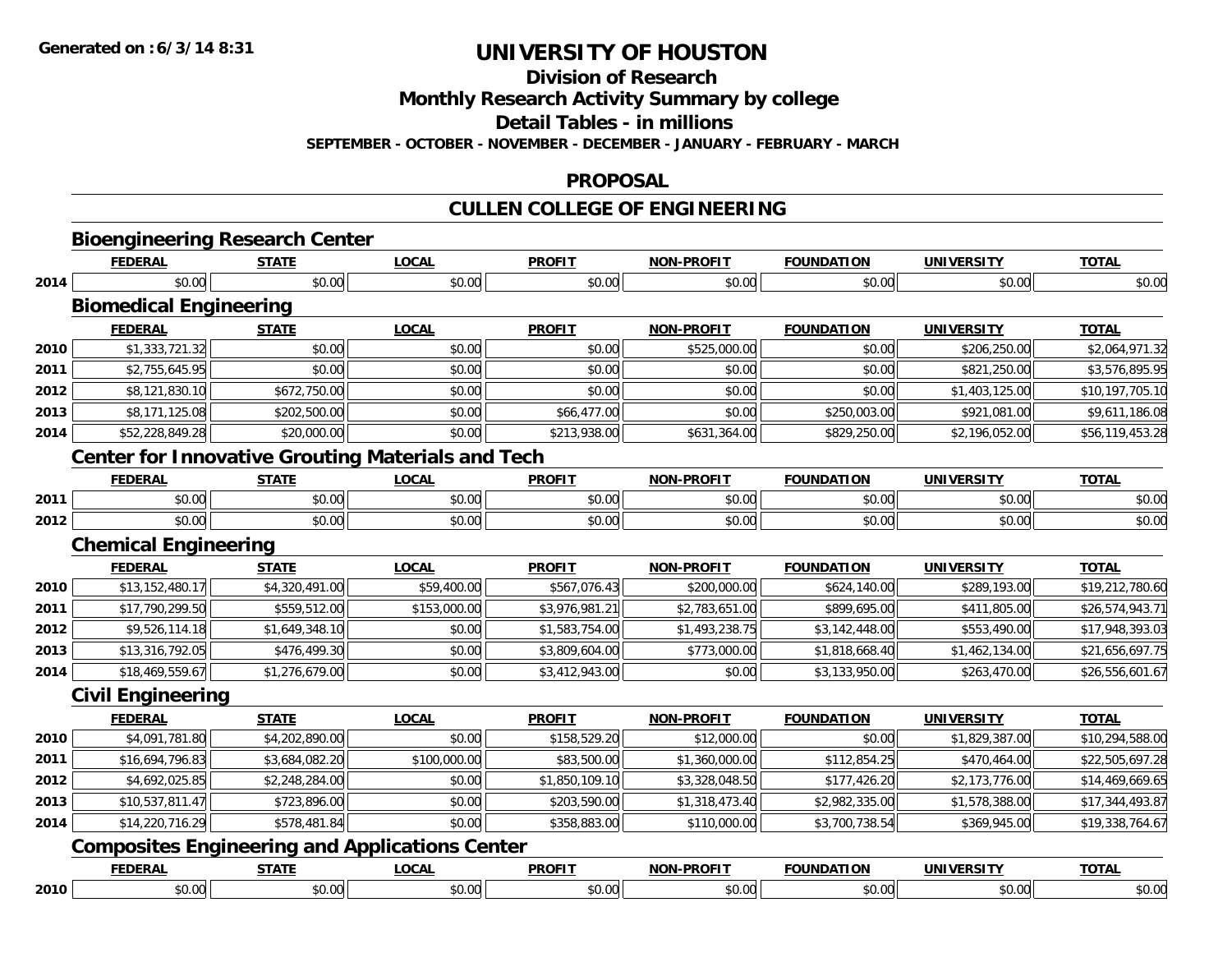**Division of Research**

**Monthly Research Activity Summary by college**

**Detail Tables - in millions**

**SEPTEMBER - OCTOBER - NOVEMBER - DECEMBER - JANUARY - FEBRUARY - MARCH**

#### **PROPOSAL**

## **CULLEN COLLEGE OF ENGINEERING**

|      | <b>FEDERAL</b>                                                          | <b>STATE</b>   | <b>LOCAL</b>                                             | <b>PROFIT</b>  | <b>NON-PROFIT</b> | <b>FOUNDATION</b> | <b>UNIVERSITY</b> | <b>TOTAL</b>    |
|------|-------------------------------------------------------------------------|----------------|----------------------------------------------------------|----------------|-------------------|-------------------|-------------------|-----------------|
| 2014 | \$0.00                                                                  | \$0.00         | \$0.00                                                   | \$0.00         | \$0.00            | \$0.00            | \$0.00            | \$0.00          |
|      | <b>Biomedical Engineering</b>                                           |                |                                                          |                |                   |                   |                   |                 |
|      | <b>FEDERAL</b>                                                          | <b>STATE</b>   | <b>LOCAL</b>                                             | <b>PROFIT</b>  | <b>NON-PROFIT</b> | <b>FOUNDATION</b> | <b>UNIVERSITY</b> | <b>TOTAL</b>    |
| 2010 | \$1,333,721.32                                                          | \$0.00         | \$0.00                                                   | \$0.00         | \$525,000.00      | \$0.00            | \$206,250.00      | \$2,064,971.32  |
| 2011 | \$2,755,645.95                                                          | \$0.00         | \$0.00                                                   | \$0.00         | \$0.00            | \$0.00            | \$821,250.00      | \$3,576,895.95  |
| 2012 | \$8,121,830.10                                                          | \$672,750.00   | \$0.00                                                   | \$0.00         | \$0.00            | \$0.00            | \$1,403,125.00    | \$10,197,705.10 |
| 2013 | \$8,171,125.08                                                          | \$202,500.00   | \$0.00                                                   | \$66,477.00    | \$0.00            | \$250,003.00      | \$921,081.00      | \$9,611,186.08  |
| 2014 | \$52,228,849.28                                                         | \$20,000.00    | \$0.00                                                   | \$213,938.00   | \$631,364.00      | \$829,250.00      | \$2,196,052.00    | \$56,119,453.28 |
|      |                                                                         |                | <b>Center for Innovative Grouting Materials and Tech</b> |                |                   |                   |                   |                 |
|      | <b>FEDERAL</b>                                                          | <b>STATE</b>   | <b>LOCAL</b>                                             | <b>PROFIT</b>  | <b>NON-PROFIT</b> | <b>FOUNDATION</b> | <b>UNIVERSITY</b> | <b>TOTAL</b>    |
| 2011 | \$0.00                                                                  | \$0.00         | \$0.00                                                   | \$0.00         | \$0.00            | \$0.00            | \$0.00            | \$0.00          |
| 2012 | \$0.00                                                                  | \$0.00         | \$0.00                                                   | \$0.00         | \$0.00            | \$0.00            | \$0.00            | \$0.00          |
|      | <b>Chemical Engineering</b>                                             |                |                                                          |                |                   |                   |                   |                 |
|      | <b>FEDERAL</b>                                                          | <b>STATE</b>   | <b>LOCAL</b>                                             | <b>PROFIT</b>  | <b>NON-PROFIT</b> | <b>FOUNDATION</b> | <b>UNIVERSITY</b> | <b>TOTAL</b>    |
| 2010 | \$13,152,480.17                                                         | \$4,320,491.00 | \$59,400.00                                              | \$567,076.43   | \$200,000.00      | \$624,140.00      | \$289,193.00      | \$19,212,780.60 |
| 2011 | \$17,790,299.50                                                         | \$559,512.00   | \$153,000.00                                             | \$3,976,981.21 | \$2,783,651.00    | \$899,695.00      | \$411,805.00      | \$26,574,943.71 |
| 2012 | \$9,526,114.18                                                          | \$1,649,348.10 | \$0.00                                                   | \$1,583,754.00 | \$1,493,238.75    | \$3,142,448.00    | \$553,490.00      | \$17,948,393.03 |
| 2013 | \$13,316,792.05                                                         | \$476,499.30   | \$0.00                                                   | \$3,809,604.00 | \$773,000.00      | \$1,818,668.40    | \$1,462,134.00    | \$21,656,697.75 |
| 2014 | \$18,469,559.67                                                         | \$1,276,679.00 | \$0.00                                                   | \$3,412,943.00 | \$0.00            | \$3,133,950.00    | \$263,470.00      | \$26,556,601.67 |
|      | <b>Civil Engineering</b>                                                |                |                                                          |                |                   |                   |                   |                 |
|      | <b>FEDERAL</b>                                                          | <b>STATE</b>   | <b>LOCAL</b>                                             | <b>PROFIT</b>  | <b>NON-PROFIT</b> | <b>FOUNDATION</b> | <b>UNIVERSITY</b> | <b>TOTAL</b>    |
| 2010 | \$4,091,781.80                                                          | \$4,202,890.00 | \$0.00                                                   | \$158,529.20   | \$12,000.00       | \$0.00            | \$1,829,387.00    | \$10,294,588.00 |
| 2011 | \$16,694,796.83                                                         | \$3,684,082.20 | \$100,000.00                                             | \$83,500.00    | \$1,360,000.00    | \$112,854.25      | \$470,464.00      | \$22,505,697.28 |
| 2012 | \$4,692,025.85                                                          | \$2,248,284.00 | \$0.00                                                   | \$1,850,109.10 | \$3,328,048.50    | \$177,426.20      | \$2,173,776.00    | \$14,469,669.65 |
| 2013 | \$10,537,811.47                                                         | \$723,896.00   | \$0.00                                                   | \$203,590.00   | \$1,318,473.40    | \$2,982,335.00    | \$1,578,388.00    | \$17,344,493.87 |
|      | \$14,220,716.29                                                         | \$578,481.84   | \$0.00                                                   | \$358,883.00   | \$110,000.00      | \$3,700,738.54    | \$369,945.00      | \$19,338,764.67 |
|      |                                                                         |                |                                                          |                |                   |                   |                   |                 |
|      |                                                                         |                |                                                          |                |                   |                   |                   |                 |
| 2014 | <b>Composites Engineering and Applications Center</b><br><b>FEDERAL</b> | <b>STATE</b>   | <b>LOCAL</b>                                             | <b>PROFIT</b>  | <b>NON-PROFIT</b> | <b>FOUNDATION</b> | <b>UNIVERSITY</b> | <b>TOTAL</b>    |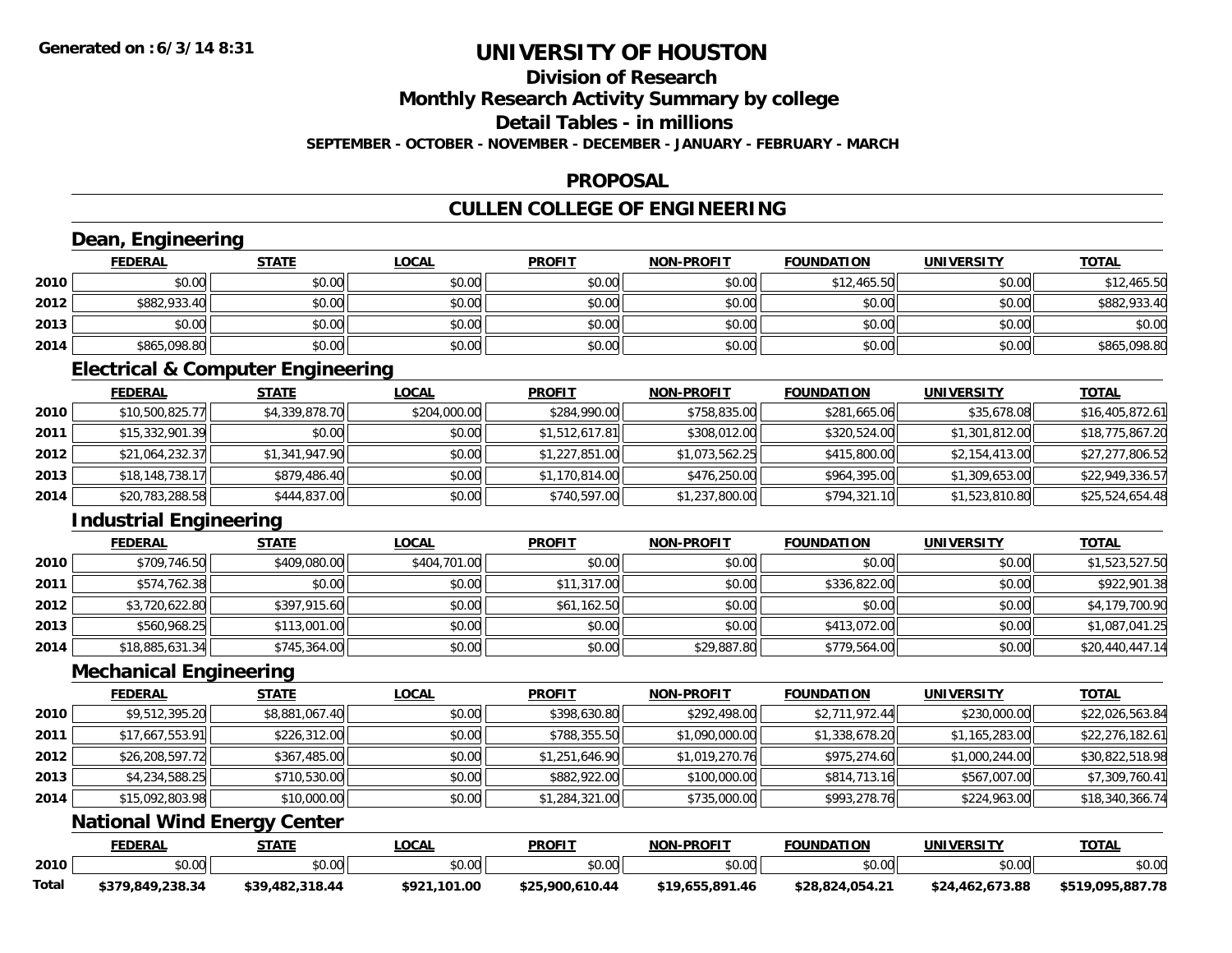## **Division of Research**

**Monthly Research Activity Summary by college**

**Detail Tables - in millions**

**SEPTEMBER - OCTOBER - NOVEMBER - DECEMBER - JANUARY - FEBRUARY - MARCH**

#### **PROPOSAL**

## **CULLEN COLLEGE OF ENGINEERING**

|       | <b>FEDERAL</b>                     | <b>STATE</b>                                 | <b>LOCAL</b> | <b>PROFIT</b>   | <b>NON-PROFIT</b> | <b>FOUNDATION</b> | <b>UNIVERSITY</b> | <b>TOTAL</b>     |
|-------|------------------------------------|----------------------------------------------|--------------|-----------------|-------------------|-------------------|-------------------|------------------|
| 2010  | \$0.00                             | \$0.00                                       | \$0.00       | \$0.00          | \$0.00            | \$12,465.50       | \$0.00            | \$12,465.50      |
| 2012  | \$882,933.40                       | \$0.00                                       | \$0.00       | \$0.00          | \$0.00            | \$0.00            | \$0.00            | \$882,933.40     |
| 2013  | \$0.00                             | \$0.00                                       | \$0.00       | \$0.00          | \$0.00            | \$0.00            | \$0.00            | \$0.00           |
| 2014  | \$865,098.80                       | \$0.00                                       | \$0.00       | \$0.00          | \$0.00            | \$0.00            | \$0.00            | \$865,098.80     |
|       |                                    | <b>Electrical &amp; Computer Engineering</b> |              |                 |                   |                   |                   |                  |
|       | <b>FEDERAL</b>                     | <b>STATE</b>                                 | <b>LOCAL</b> | <b>PROFIT</b>   | <b>NON-PROFIT</b> | <b>FOUNDATION</b> | <b>UNIVERSITY</b> | <b>TOTAL</b>     |
| 2010  | \$10,500,825.77                    | \$4,339,878.70                               | \$204,000.00 | \$284,990.00    | \$758,835.00      | \$281,665.06      | \$35,678.08       | \$16,405,872.61  |
| 2011  | \$15,332,901.39                    | \$0.00                                       | \$0.00       | \$1,512,617.81  | \$308,012.00      | \$320,524.00      | \$1,301,812.00    | \$18,775,867.20  |
| 2012  | \$21,064,232.37                    | \$1,341,947.90                               | \$0.00       | \$1,227,851.00  | \$1,073,562.25    | \$415,800.00      | \$2,154,413.00    | \$27,277,806.52  |
| 2013  | \$18,148,738.17                    | \$879,486.40                                 | \$0.00       | \$1,170,814.00  | \$476,250.00      | \$964,395.00      | \$1,309,653.00    | \$22,949,336.57  |
| 2014  | \$20,783,288.58                    | \$444,837.00                                 | \$0.00       | \$740,597.00    | \$1,237,800.00    | \$794,321.10      | \$1,523,810.80    | \$25,524,654.48  |
|       | <b>Industrial Engineering</b>      |                                              |              |                 |                   |                   |                   |                  |
|       | <b>FEDERAL</b>                     | <b>STATE</b>                                 | <b>LOCAL</b> | <b>PROFIT</b>   | <b>NON-PROFIT</b> | <b>FOUNDATION</b> | <b>UNIVERSITY</b> | <b>TOTAL</b>     |
| 2010  | \$709,746.50                       | \$409,080.00                                 | \$404,701.00 | \$0.00          | \$0.00            | \$0.00            | \$0.00            | \$1,523,527.50   |
| 2011  | \$574,762.38                       | \$0.00                                       | \$0.00       | \$11,317.00     | \$0.00            | \$336,822.00      | \$0.00            | \$922,901.38     |
| 2012  | \$3,720,622.80                     | \$397,915.60                                 | \$0.00       | \$61,162.50     | \$0.00            | \$0.00            | \$0.00            | \$4,179,700.90   |
| 2013  | \$560,968.25                       | \$113,001.00                                 | \$0.00       | \$0.00          | \$0.00            | \$413,072.00      | \$0.00            | \$1,087,041.25   |
| 2014  | \$18,885,631.34                    | \$745,364.00                                 | \$0.00       | \$0.00          | \$29,887.80       | \$779,564.00      | \$0.00            | \$20,440,447.14  |
|       | <b>Mechanical Engineering</b>      |                                              |              |                 |                   |                   |                   |                  |
|       | <b>FEDERAL</b>                     | <b>STATE</b>                                 | <b>LOCAL</b> | <b>PROFIT</b>   | <b>NON-PROFIT</b> | <b>FOUNDATION</b> | <b>UNIVERSITY</b> | <b>TOTAL</b>     |
| 2010  | \$9,512,395.20                     | \$8,881,067.40                               | \$0.00       | \$398,630.80    | \$292,498.00      | \$2,711,972.44    | \$230,000.00      | \$22,026,563.84  |
| 2011  | \$17,667,553.91                    | \$226,312.00                                 | \$0.00       | \$788,355.50    | \$1,090,000.00    | \$1,338,678.20    | \$1,165,283.00    | \$22,276,182.61  |
| 2012  | \$26,208,597.72                    | \$367,485.00                                 | \$0.00       | \$1,251,646.90  | \$1,019,270.76    | \$975,274.60      | \$1,000,244.00    | \$30,822,518.98  |
| 2013  | \$4,234,588.25                     | \$710,530.00                                 | \$0.00       | \$882,922.00    | \$100,000.00      | \$814,713.16      | \$567,007.00      | \$7,309,760.41   |
| 2014  | \$15,092,803.98                    | \$10,000.00                                  | \$0.00       | \$1,284,321.00  | \$735,000.00      | \$993,278.76      | \$224,963.00      | \$18,340,366.74  |
|       | <b>National Wind Energy Center</b> |                                              |              |                 |                   |                   |                   |                  |
|       | <b>FEDERAL</b>                     | <b>STATE</b>                                 | <b>LOCAL</b> | <b>PROFIT</b>   | <b>NON-PROFIT</b> | <b>FOUNDATION</b> | <b>UNIVERSITY</b> | <b>TOTAL</b>     |
| 2010  | \$0.00                             | \$0.00                                       | \$0.00       | \$0.00          | \$0.00            | \$0.00            | \$0.00            | \$0.00           |
| Total | \$379,849,238.34                   | \$39,482,318.44                              | \$921,101.00 | \$25,900,610.44 | \$19,655,891.46   | \$28,824,054.21   | \$24,462,673.88   | \$519,095,887.78 |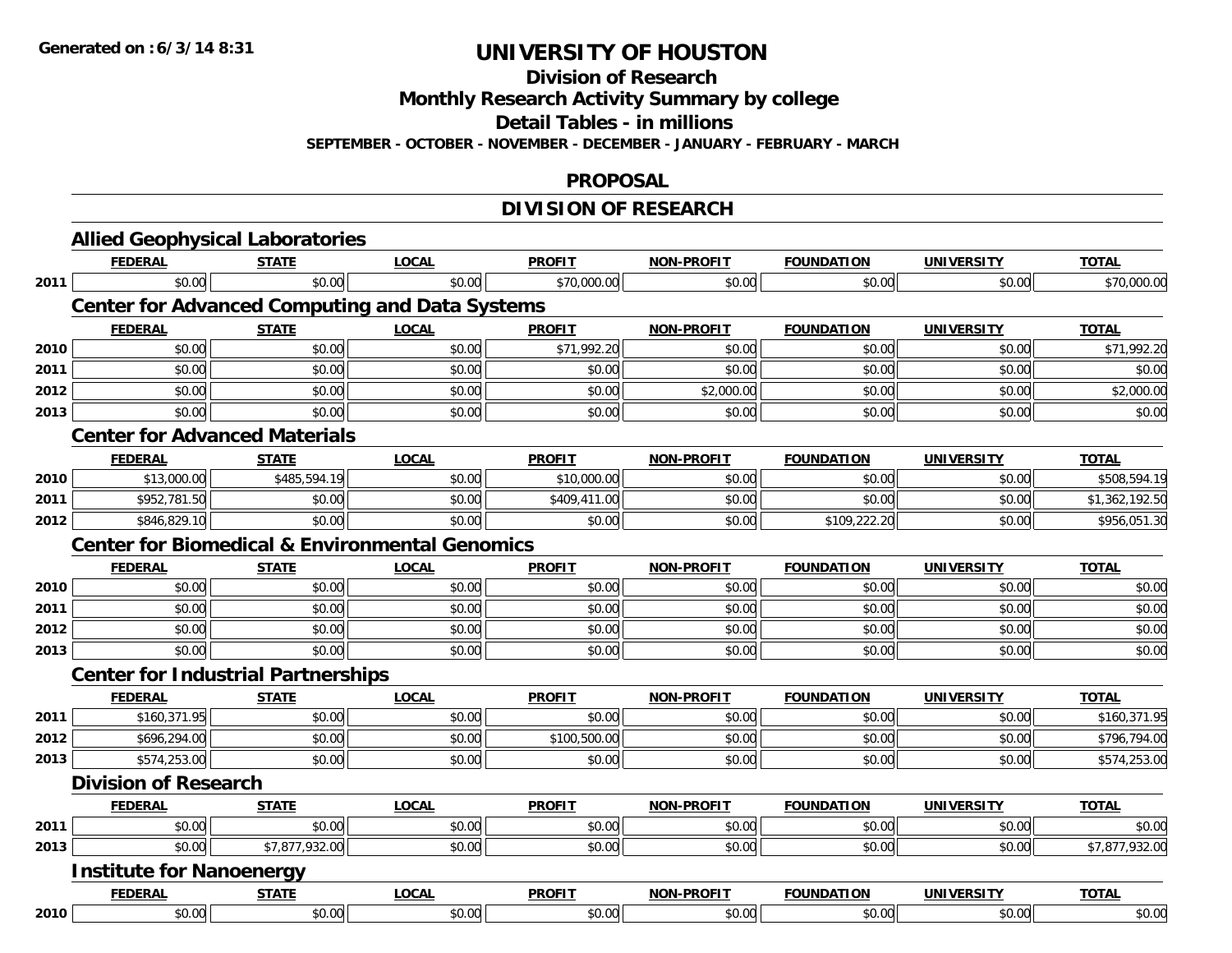**Division of Research**

**Monthly Research Activity Summary by college**

**Detail Tables - in millions**

**SEPTEMBER - OCTOBER - NOVEMBER - DECEMBER - JANUARY - FEBRUARY - MARCH**

#### **PROPOSAL**

### **DIVISION OF RESEARCH**

|      | <b>FEDERAL</b>                                            | <b>STATE</b>   | <b>LOCAL</b> | <b>PROFIT</b> | <b>NON-PROFIT</b> | <b>FOUNDATION</b> | <b>UNIVERSITY</b> | <b>TOTAL</b>   |
|------|-----------------------------------------------------------|----------------|--------------|---------------|-------------------|-------------------|-------------------|----------------|
| 2011 | \$0.00                                                    | \$0.00         | \$0.00       | \$70,000.00   | \$0.00            | \$0.00            | \$0.00            | \$70,000.00    |
|      | <b>Center for Advanced Computing and Data Systems</b>     |                |              |               |                   |                   |                   |                |
|      | <b>FEDERAL</b>                                            | <b>STATE</b>   | <b>LOCAL</b> | <b>PROFIT</b> | <b>NON-PROFIT</b> | <b>FOUNDATION</b> | <b>UNIVERSITY</b> | <b>TOTAL</b>   |
| 2010 | \$0.00                                                    | \$0.00         | \$0.00       | \$71,992.20   | \$0.00            | \$0.00            | \$0.00            | \$71,992.20    |
| 2011 | \$0.00                                                    | \$0.00         | \$0.00       | \$0.00        | \$0.00            | \$0.00            | \$0.00            | \$0.00         |
| 2012 | \$0.00                                                    | \$0.00         | \$0.00       | \$0.00        | \$2,000.00        | \$0.00            | \$0.00            | \$2,000.00     |
| 2013 | \$0.00                                                    | \$0.00         | \$0.00       | \$0.00        | \$0.00            | \$0.00            | \$0.00            | \$0.00         |
|      | <b>Center for Advanced Materials</b>                      |                |              |               |                   |                   |                   |                |
|      | <b>FEDERAL</b>                                            | <b>STATE</b>   | <b>LOCAL</b> | <b>PROFIT</b> | <b>NON-PROFIT</b> | <b>FOUNDATION</b> | <b>UNIVERSITY</b> | <b>TOTAL</b>   |
| 2010 | \$13,000.00                                               | \$485,594.19   | \$0.00       | \$10,000.00   | \$0.00            | \$0.00            | \$0.00            | \$508,594.19   |
| 2011 | \$952,781.50                                              | \$0.00         | \$0.00       | \$409,411.00  | \$0.00            | \$0.00            | \$0.00            | \$1,362,192.50 |
| 2012 | \$846,829.10                                              | \$0.00         | \$0.00       | \$0.00        | \$0.00            | \$109,222.20      | \$0.00            | \$956,051.30   |
|      | <b>Center for Biomedical &amp; Environmental Genomics</b> |                |              |               |                   |                   |                   |                |
|      | <b>FEDERAL</b>                                            | <b>STATE</b>   | <b>LOCAL</b> | <b>PROFIT</b> | <b>NON-PROFIT</b> | <b>FOUNDATION</b> | <b>UNIVERSITY</b> | <b>TOTAL</b>   |
| 2010 | \$0.00                                                    | \$0.00         | \$0.00       | \$0.00        | \$0.00            | \$0.00            | \$0.00            | \$0.00         |
| 2011 | \$0.00                                                    | \$0.00         | \$0.00       | \$0.00        | \$0.00            | \$0.00            | \$0.00            | \$0.00         |
| 2012 | \$0.00                                                    | \$0.00         | \$0.00       | \$0.00        | \$0.00            | \$0.00            | \$0.00            | \$0.00         |
| 2013 | \$0.00                                                    | \$0.00         | \$0.00       | \$0.00        | \$0.00            | \$0.00            | \$0.00            | \$0.00         |
|      | <b>Center for Industrial Partnerships</b>                 |                |              |               |                   |                   |                   |                |
|      | <b>FEDERAL</b>                                            | <b>STATE</b>   | <b>LOCAL</b> | <b>PROFIT</b> | <b>NON-PROFIT</b> | <b>FOUNDATION</b> | <b>UNIVERSITY</b> | <b>TOTAL</b>   |
| 2011 | \$160,371.95                                              | \$0.00         | \$0.00       | \$0.00        | \$0.00            | \$0.00            | \$0.00            | \$160,371.95   |
| 2012 | \$696,294.00                                              | \$0.00         | \$0.00       | \$100,500.00  | \$0.00            | \$0.00            | \$0.00            | \$796,794.00   |
| 2013 | \$574,253.00                                              | \$0.00         | \$0.00       | \$0.00        | \$0.00            | \$0.00            | \$0.00            | \$574,253.00   |
|      | <b>Division of Research</b>                               |                |              |               |                   |                   |                   |                |
|      | <b>FEDERAL</b>                                            | <b>STATE</b>   | <b>LOCAL</b> | <b>PROFIT</b> | <b>NON-PROFIT</b> | <b>FOUNDATION</b> | <b>UNIVERSITY</b> | <b>TOTAL</b>   |
| 2011 | \$0.00                                                    | \$0.00         | \$0.00       | \$0.00        | \$0.00            | \$0.00            | \$0.00            | \$0.00         |
| 2013 | \$0.00                                                    | \$7,877,932.00 | \$0.00       | \$0.00        | \$0.00            | \$0.00            | \$0.00            | \$7,877,932.00 |
|      | <b>Institute for Nanoenergy</b>                           |                |              |               |                   |                   |                   |                |
|      | <b>FEDERAL</b>                                            | <b>STATE</b>   | <b>LOCAL</b> | <b>PROFIT</b> | <b>NON-PROFIT</b> | <b>FOUNDATION</b> | <b>UNIVERSITY</b> | <b>TOTAL</b>   |
| 2010 | \$0.00                                                    | \$0.00         | \$0.00       | \$0.00        | \$0.00            | \$0.00            | \$0.00            | \$0.00         |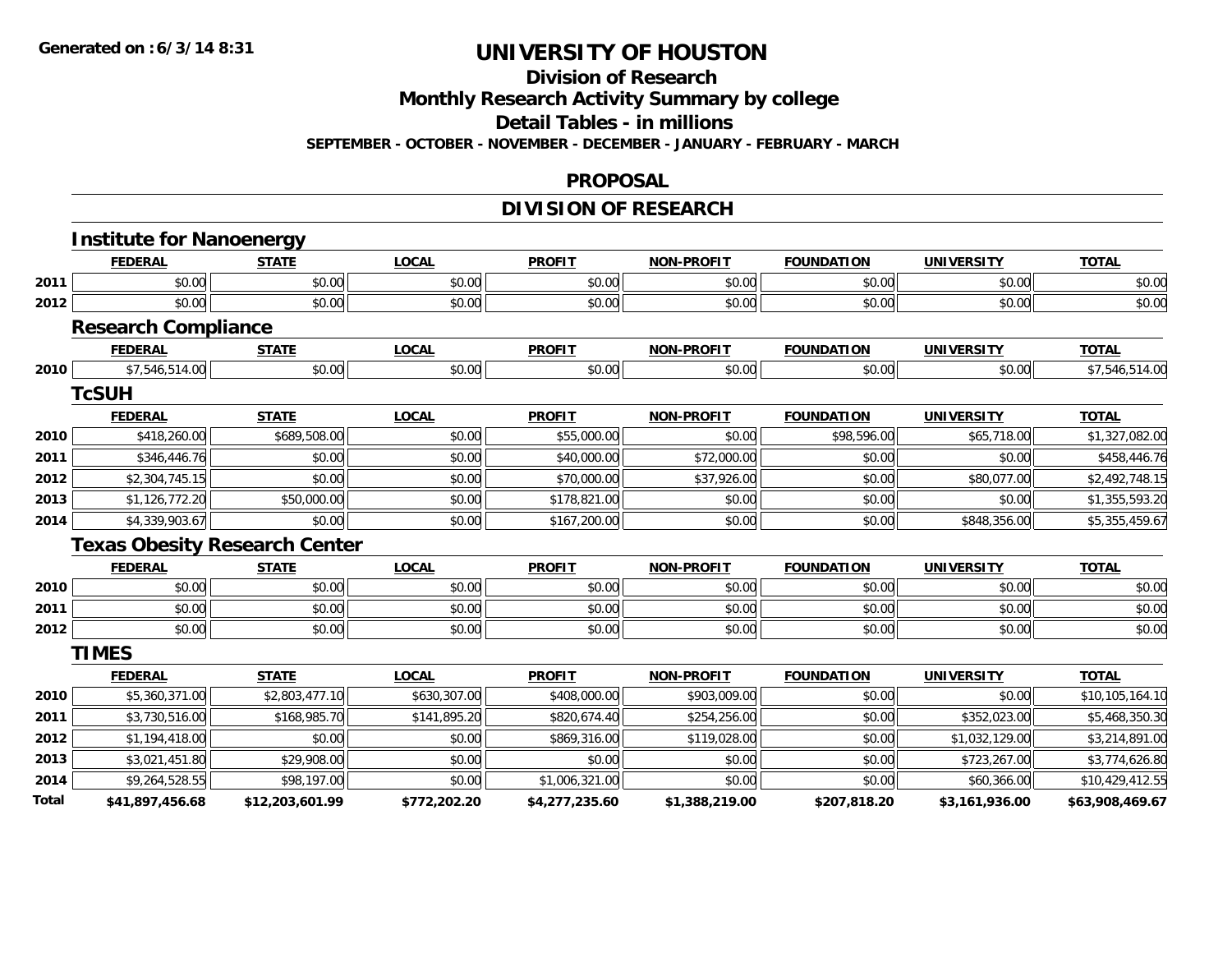#### **Division of Research**

**Monthly Research Activity Summary by college**

**Detail Tables - in millions**

**SEPTEMBER - OCTOBER - NOVEMBER - DECEMBER - JANUARY - FEBRUARY - MARCH**

#### **PROPOSAL**

### **DIVISION OF RESEARCH**

|       | <b>Institute for Nanoenergy</b>      |                 |              |                |                   |                   |                   |                 |
|-------|--------------------------------------|-----------------|--------------|----------------|-------------------|-------------------|-------------------|-----------------|
|       | <b>FEDERAL</b>                       | <b>STATE</b>    | <b>LOCAL</b> | <b>PROFIT</b>  | <b>NON-PROFIT</b> | <b>FOUNDATION</b> | <b>UNIVERSITY</b> | <b>TOTAL</b>    |
| 2011  | \$0.00                               | \$0.00          | \$0.00       | \$0.00         | \$0.00            | \$0.00            | \$0.00            | \$0.00          |
| 2012  | \$0.00                               | \$0.00          | \$0.00       | \$0.00         | \$0.00            | \$0.00            | \$0.00            | \$0.00          |
|       | <b>Research Compliance</b>           |                 |              |                |                   |                   |                   |                 |
|       | <b>FEDERAL</b>                       | <b>STATE</b>    | <b>LOCAL</b> | <b>PROFIT</b>  | <b>NON-PROFIT</b> | <b>FOUNDATION</b> | <b>UNIVERSITY</b> | <b>TOTAL</b>    |
| 2010  | \$7,546,514.00                       | \$0.00          | \$0.00       | \$0.00         | \$0.00            | \$0.00            | \$0.00            | \$7,546,514.00  |
|       | <b>TcSUH</b>                         |                 |              |                |                   |                   |                   |                 |
|       | <b>FEDERAL</b>                       | <b>STATE</b>    | <b>LOCAL</b> | <b>PROFIT</b>  | <b>NON-PROFIT</b> | <b>FOUNDATION</b> | <b>UNIVERSITY</b> | <b>TOTAL</b>    |
| 2010  | \$418,260.00                         | \$689,508.00    | \$0.00       | \$55,000.00    | \$0.00            | \$98,596.00       | \$65,718.00       | \$1,327,082.00  |
| 2011  | \$346,446.76                         | \$0.00          | \$0.00       | \$40,000.00    | \$72,000.00       | \$0.00            | \$0.00            | \$458,446.76    |
| 2012  | \$2,304,745.15                       | \$0.00          | \$0.00       | \$70,000.00    | \$37,926.00       | \$0.00            | \$80,077.00       | \$2,492,748.15  |
| 2013  | \$1,126,772.20                       | \$50,000.00     | \$0.00       | \$178,821.00   | \$0.00            | \$0.00            | \$0.00            | \$1,355,593.20  |
| 2014  | \$4,339,903.67                       | \$0.00          | \$0.00       | \$167,200.00   | \$0.00            | \$0.00            | \$848,356.00      | \$5,355,459.67  |
|       | <b>Texas Obesity Research Center</b> |                 |              |                |                   |                   |                   |                 |
|       | <b>FEDERAL</b>                       | <b>STATE</b>    | <b>LOCAL</b> | <b>PROFIT</b>  | <b>NON-PROFIT</b> | <b>FOUNDATION</b> | <b>UNIVERSITY</b> | <b>TOTAL</b>    |
| 2010  | \$0.00                               | \$0.00          | \$0.00       | \$0.00         | \$0.00            | \$0.00            | \$0.00            | \$0.00          |
| 2011  | \$0.00                               | \$0.00          | \$0.00       | \$0.00         | \$0.00            | \$0.00            | \$0.00            | \$0.00          |
| 2012  | \$0.00                               | \$0.00          | \$0.00       | \$0.00         | \$0.00            | \$0.00            | \$0.00            | \$0.00          |
|       | <b>TIMES</b>                         |                 |              |                |                   |                   |                   |                 |
|       | <b>FEDERAL</b>                       | <b>STATE</b>    | <b>LOCAL</b> | <b>PROFIT</b>  | <b>NON-PROFIT</b> | <b>FOUNDATION</b> | <b>UNIVERSITY</b> | <b>TOTAL</b>    |
| 2010  | \$5,360,371.00                       | \$2,803,477.10  | \$630,307.00 | \$408,000.00   | \$903,009.00      | \$0.00            | \$0.00            | \$10,105,164.10 |
| 2011  | \$3,730,516.00                       | \$168,985.70    | \$141,895.20 | \$820,674.40   | \$254,256.00      | \$0.00            | \$352,023.00      | \$5,468,350.30  |
| 2012  | \$1,194,418.00                       | \$0.00          | \$0.00       | \$869,316.00   | \$119,028.00      | \$0.00            | \$1,032,129.00    | \$3,214,891.00  |
| 2013  | \$3,021,451.80                       | \$29,908.00     | \$0.00       | \$0.00         | \$0.00            | \$0.00            | \$723,267.00      | \$3,774,626.80  |
| 2014  | \$9,264,528.55                       | \$98,197.00     | \$0.00       | \$1,006,321.00 | \$0.00            | \$0.00            | \$60,366.00       | \$10,429,412.55 |
| Total | \$41,897,456.68                      | \$12,203,601.99 | \$772,202.20 | \$4,277,235.60 | \$1,388,219.00    | \$207,818.20      | \$3,161,936.00    | \$63,908,469.67 |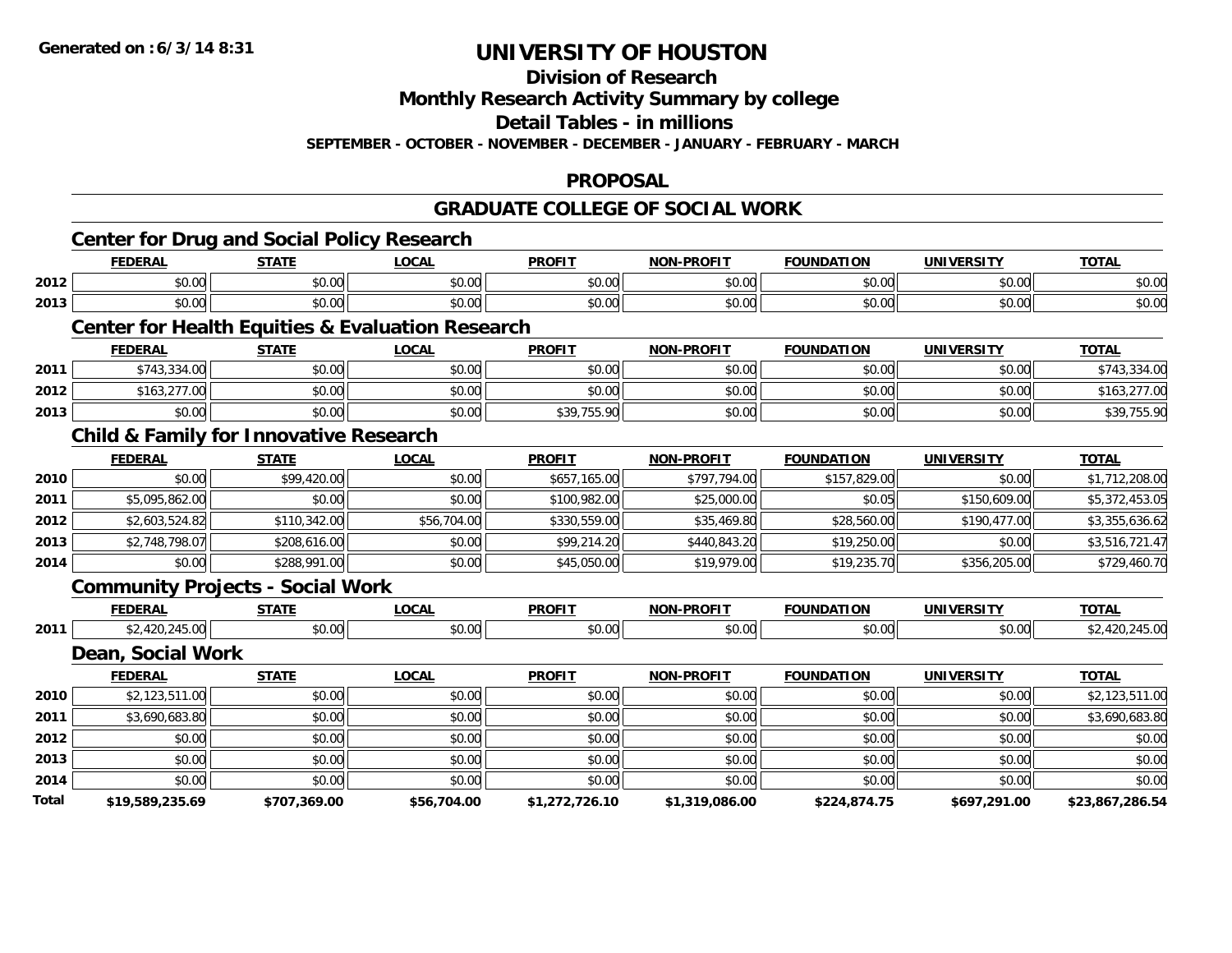**Division of Research**

**Monthly Research Activity Summary by college**

**Detail Tables - in millions**

**SEPTEMBER - OCTOBER - NOVEMBER - DECEMBER - JANUARY - FEBRUARY - MARCH**

### **PROPOSAL**

## **GRADUATE COLLEGE OF SOCIAL WORK**

|       | <b>Center for Drug and Social Policy Research</b> |              |                                                             |                |                   |                   |                   |                 |
|-------|---------------------------------------------------|--------------|-------------------------------------------------------------|----------------|-------------------|-------------------|-------------------|-----------------|
|       | <b>FEDERAL</b>                                    | <b>STATE</b> | <b>LOCAL</b>                                                | <b>PROFIT</b>  | <b>NON-PROFIT</b> | <b>FOUNDATION</b> | <b>UNIVERSITY</b> | <b>TOTAL</b>    |
| 2012  | \$0.00                                            | \$0.00       | \$0.00                                                      | \$0.00         | \$0.00            | \$0.00            | \$0.00            | \$0.00          |
| 2013  | \$0.00                                            | \$0.00       | \$0.00                                                      | \$0.00         | \$0.00            | \$0.00            | \$0.00            | \$0.00          |
|       |                                                   |              | <b>Center for Health Equities &amp; Evaluation Research</b> |                |                   |                   |                   |                 |
|       | <b>FEDERAL</b>                                    | <b>STATE</b> | <b>LOCAL</b>                                                | <b>PROFIT</b>  | <b>NON-PROFIT</b> | <b>FOUNDATION</b> | <b>UNIVERSITY</b> | <b>TOTAL</b>    |
| 2011  | \$743,334.00                                      | \$0.00       | \$0.00                                                      | \$0.00         | \$0.00            | \$0.00            | \$0.00            | \$743,334.00    |
| 2012  | \$163,277.00                                      | \$0.00       | \$0.00                                                      | \$0.00         | \$0.00            | \$0.00            | \$0.00            | \$163,277.00    |
| 2013  | \$0.00                                            | \$0.00       | \$0.00                                                      | \$39,755.90    | \$0.00            | \$0.00            | \$0.00            | \$39,755.90     |
|       | <b>Child &amp; Family for Innovative Research</b> |              |                                                             |                |                   |                   |                   |                 |
|       | <b>FEDERAL</b>                                    | <b>STATE</b> | <b>LOCAL</b>                                                | <b>PROFIT</b>  | <b>NON-PROFIT</b> | <b>FOUNDATION</b> | <b>UNIVERSITY</b> | <b>TOTAL</b>    |
| 2010  | \$0.00                                            | \$99,420.00  | \$0.00                                                      | \$657,165.00   | \$797,794.00      | \$157,829.00      | \$0.00            | \$1,712,208.00  |
| 2011  | \$5,095,862.00                                    | \$0.00       | \$0.00                                                      | \$100,982.00   | \$25,000.00       | \$0.05            | \$150,609.00      | \$5,372,453.05  |
| 2012  | \$2,603,524.82                                    | \$110,342.00 | \$56,704.00                                                 | \$330,559.00   | \$35,469.80       | \$28,560.00       | \$190,477.00      | \$3,355,636.62  |
| 2013  | \$2,748,798.07                                    | \$208,616.00 | \$0.00                                                      | \$99,214.20    | \$440,843.20      | \$19,250.00       | \$0.00            | \$3,516,721.47  |
| 2014  | \$0.00                                            | \$288,991.00 | \$0.00                                                      | \$45,050.00    | \$19,979.00       | \$19,235.70       | \$356,205.00      | \$729,460.70    |
|       | <b>Community Projects - Social Work</b>           |              |                                                             |                |                   |                   |                   |                 |
|       | <b>FEDERAL</b>                                    | <b>STATE</b> | <b>LOCAL</b>                                                | <b>PROFIT</b>  | <b>NON-PROFIT</b> | <b>FOUNDATION</b> | <b>UNIVERSITY</b> | <b>TOTAL</b>    |
| 2011  | \$2,420,245.00                                    | \$0.00       | \$0.00                                                      | \$0.00         | \$0.00            | \$0.00            | \$0.00            | \$2,420,245.00  |
|       | Dean, Social Work                                 |              |                                                             |                |                   |                   |                   |                 |
|       | <b>FEDERAL</b>                                    | <b>STATE</b> | <b>LOCAL</b>                                                | <b>PROFIT</b>  | <b>NON-PROFIT</b> | <b>FOUNDATION</b> | <b>UNIVERSITY</b> | <b>TOTAL</b>    |
| 2010  | \$2,123,511.00                                    | \$0.00       | \$0.00                                                      | \$0.00         | \$0.00            | \$0.00            | \$0.00            | \$2,123,511.00  |
| 2011  | \$3,690,683.80                                    | \$0.00       | \$0.00                                                      | \$0.00         | \$0.00            | \$0.00            | \$0.00            | \$3,690,683.80  |
| 2012  | \$0.00                                            | \$0.00       | \$0.00                                                      | \$0.00         | \$0.00            | \$0.00            | \$0.00            | \$0.00          |
| 2013  | \$0.00                                            | \$0.00       | \$0.00                                                      | \$0.00         | \$0.00            | \$0.00            | \$0.00            | \$0.00          |
| 2014  | \$0.00                                            | \$0.00       | \$0.00                                                      | \$0.00         | \$0.00            | \$0.00            | \$0.00            | \$0.00          |
| Total | \$19,589,235.69                                   | \$707,369.00 | \$56,704.00                                                 | \$1,272,726.10 | \$1,319,086.00    | \$224,874.75      | \$697,291.00      | \$23,867,286.54 |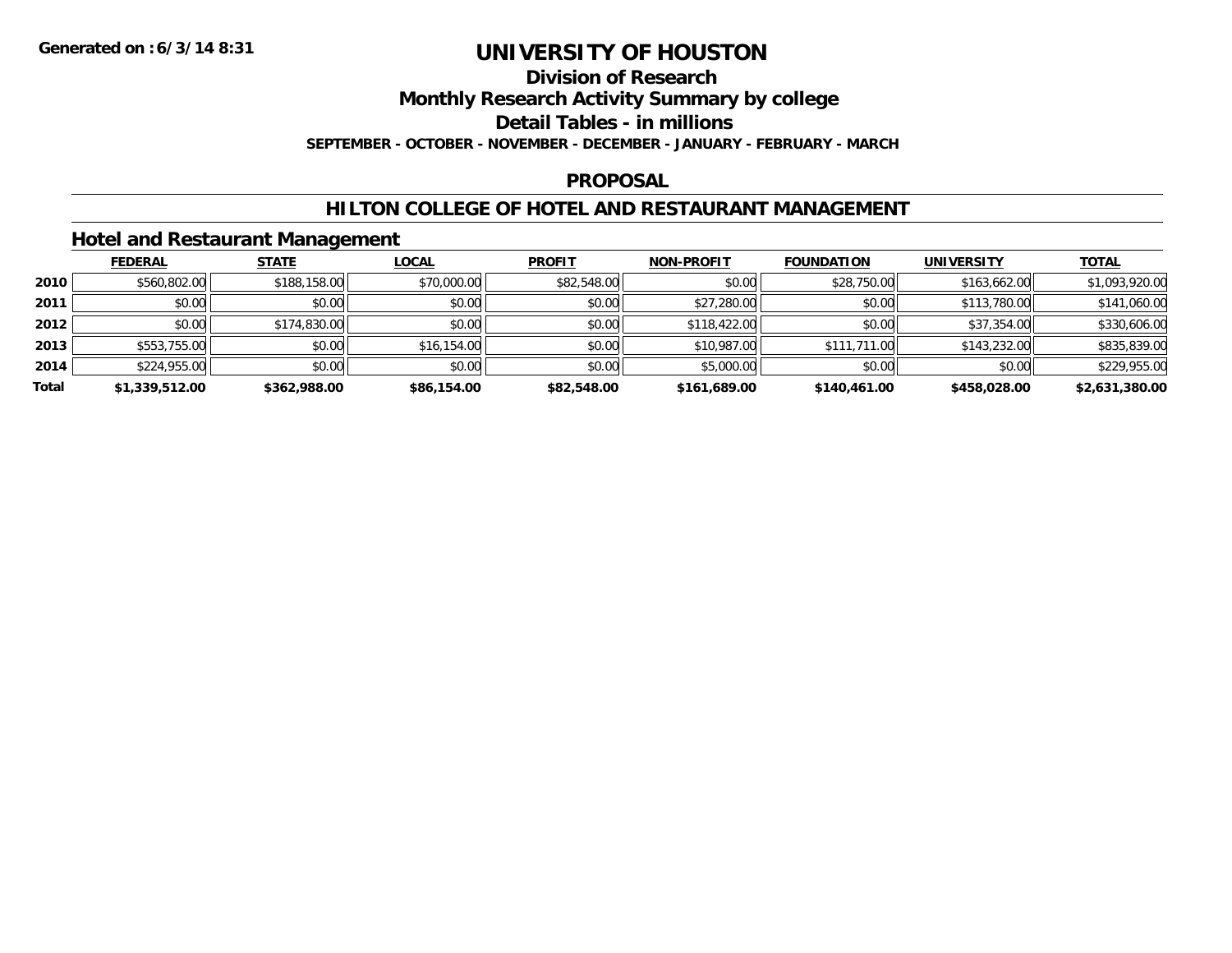#### **Division of Research**

**Monthly Research Activity Summary by college**

**Detail Tables - in millions**

**SEPTEMBER - OCTOBER - NOVEMBER - DECEMBER - JANUARY - FEBRUARY - MARCH**

#### **PROPOSAL**

### **HILTON COLLEGE OF HOTEL AND RESTAURANT MANAGEMENT**

### **Hotel and Restaurant Management**

|       | <b>FEDERAL</b> | <b>STATE</b> | <b>LOCAL</b> | <b>PROFIT</b> | <b>NON-PROFIT</b> | <b>FOUNDATION</b> | <b>UNIVERSITY</b> | <b>TOTAL</b>   |
|-------|----------------|--------------|--------------|---------------|-------------------|-------------------|-------------------|----------------|
| 2010  | \$560,802.00   | \$188,158.00 | \$70,000.00  | \$82,548.00   | \$0.00            | \$28,750.00       | \$163,662.00      | \$1,093,920.00 |
| 2011  | \$0.00         | \$0.00       | \$0.00       | \$0.00        | \$27,280.00       | \$0.00            | \$113,780.00      | \$141,060.00   |
| 2012  | \$0.00         | \$174,830.00 | \$0.00       | \$0.00        | \$118,422.00      | \$0.00            | \$37,354.00       | \$330,606.00   |
| 2013  | \$553,755.00   | \$0.00       | \$16,154.00  | \$0.00        | \$10,987.00       | \$111,711.00      | \$143,232.00      | \$835,839.00   |
| 2014  | \$224,955.00   | \$0.00       | \$0.00       | \$0.00        | \$5,000.00        | \$0.00            | \$0.00            | \$229,955.00   |
| Total | \$1,339,512.00 | \$362,988.00 | \$86,154.00  | \$82,548.00   | \$161,689.00      | \$140,461.00      | \$458,028.00      | \$2,631,380.00 |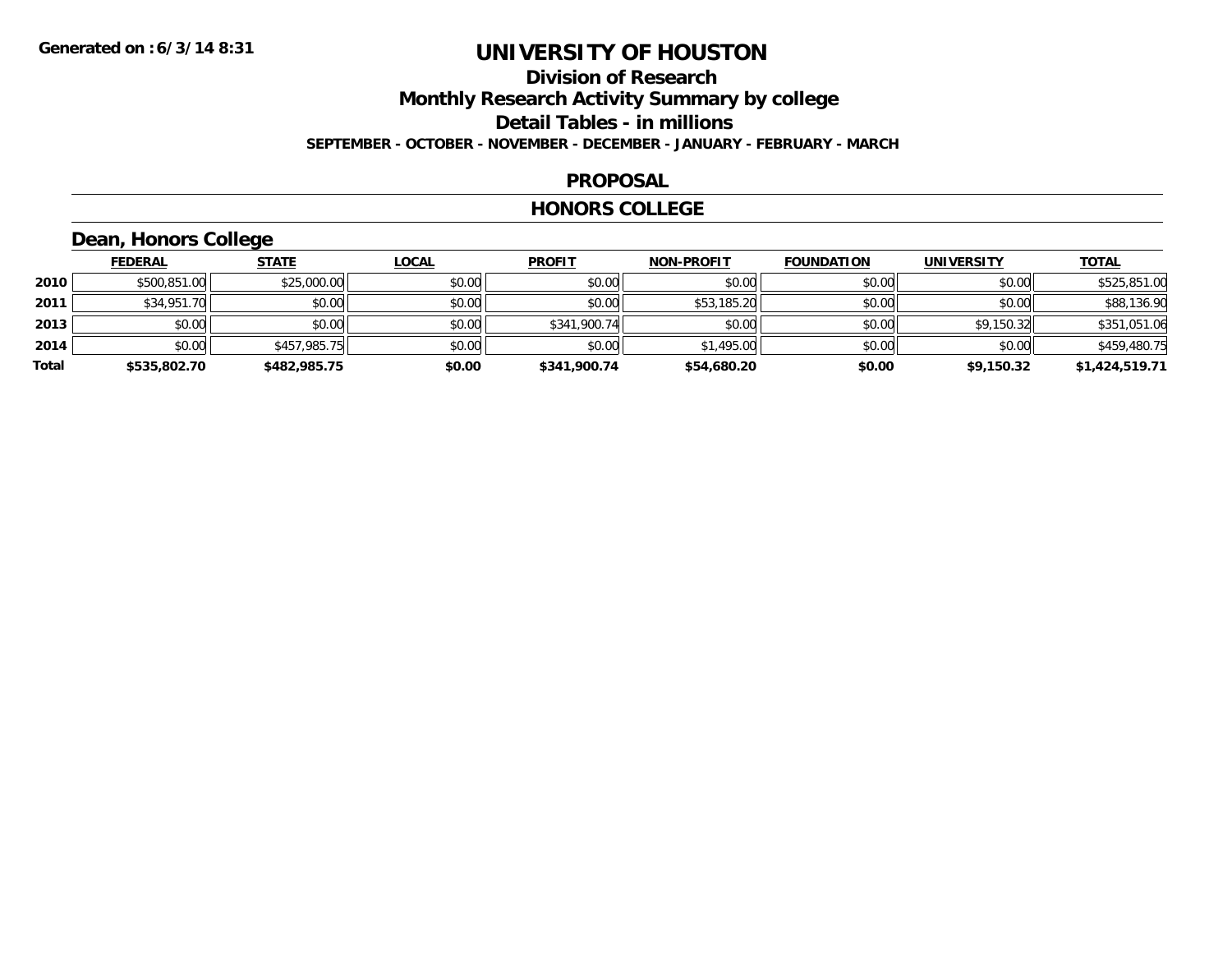### **Division of Research Monthly Research Activity Summary by college Detail Tables - in millions SEPTEMBER - OCTOBER - NOVEMBER - DECEMBER - JANUARY - FEBRUARY - MARCH**

#### **PROPOSAL**

#### **HONORS COLLEGE**

## **Dean, Honors College**

|       | <b>FEDERAL</b> | <b>STATE</b> | <b>LOCAL</b> | <b>PROFIT</b> | <b>NON-PROFIT</b> | <b>FOUNDATION</b> | <b>UNIVERSITY</b> | <u>TOTAL</u>   |
|-------|----------------|--------------|--------------|---------------|-------------------|-------------------|-------------------|----------------|
| 2010  | \$500.851.00   | \$25,000.00  | \$0.00       | \$0.00        | \$0.00            | \$0.00            | \$0.00            | \$525,851.00   |
| 2011  | \$34,951.70    | \$0.00       | \$0.00       | \$0.00        | \$53,185.20       | \$0.00            | \$0.00            | \$88,136.90    |
| 2013  | \$0.00         | \$0.00       | \$0.00       | \$341,900.74  | \$0.00            | \$0.00            | \$9,150.32        | \$351,051.06   |
| 2014  | \$0.00         | \$457,985.75 | \$0.00       | \$0.00        | \$1,495.00        | \$0.00            | \$0.00            | \$459,480.75   |
| Total | \$535,802.70   | \$482,985.75 | \$0.00       | \$341,900.74  | \$54,680.20       | \$0.00            | \$9,150.32        | \$1,424,519.71 |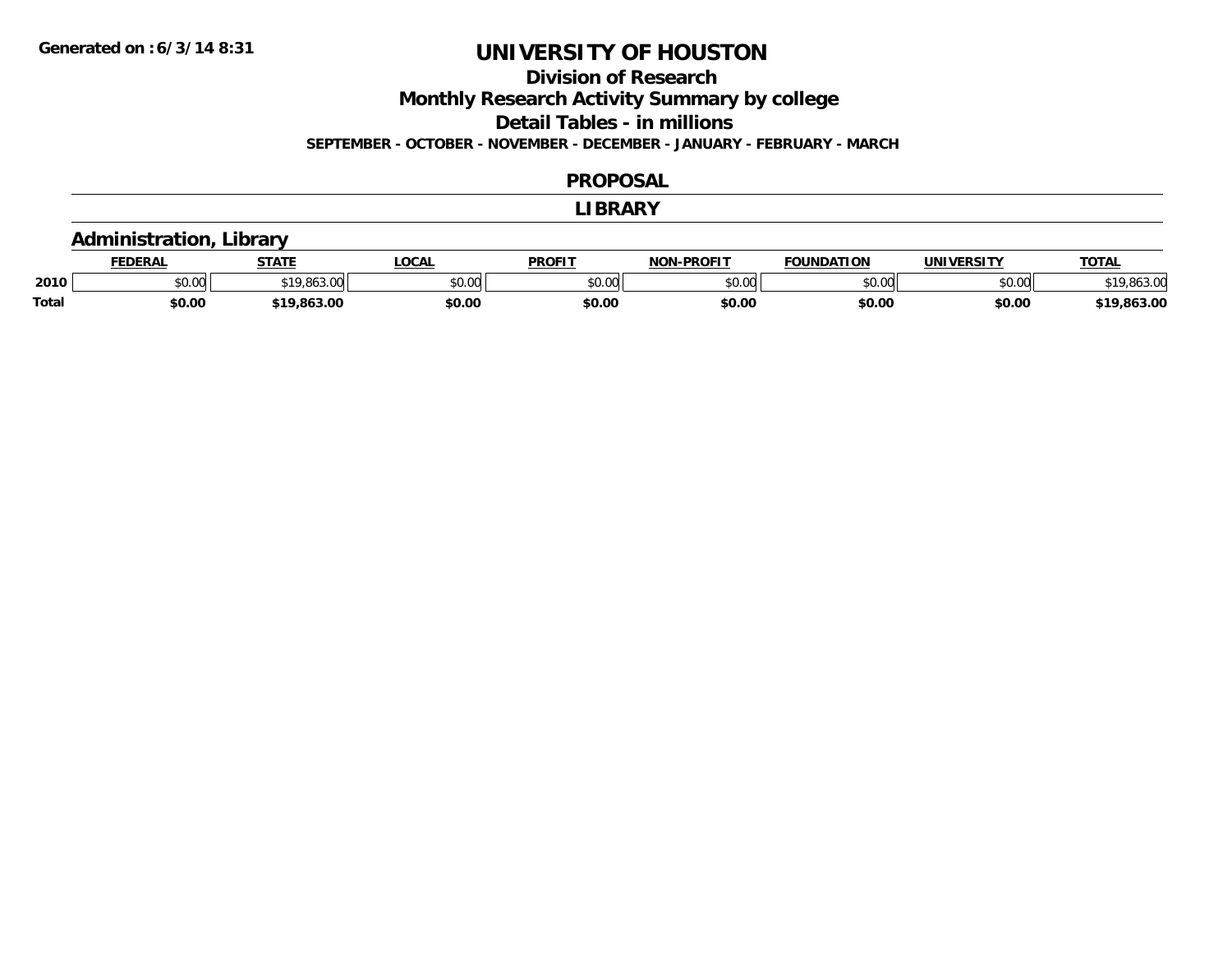## **Division of Research**

**Monthly Research Activity Summary by college**

**Detail Tables - in millions**

**SEPTEMBER - OCTOBER - NOVEMBER - DECEMBER - JANUARY - FEBRUARY - MARCH**

#### **PROPOSAL**

#### **LIBRARY**

### **Administration, Library**

|              | DERAI  | <b>STATE</b>                 | <b>LOCAL</b>            | <b>PROFIT</b> | <b>DDAEIT</b><br><b>ארות</b> | <b>DATION</b>                      | UNIVERSITY | TOTA.                 |
|--------------|--------|------------------------------|-------------------------|---------------|------------------------------|------------------------------------|------------|-----------------------|
| 2010         | \$0.00 | -863                         | 0 <sup>n</sup><br>50.UC | 0000<br>JU.UU | 0000<br>,uu                  | $\mathfrak{c}\cap\mathfrak{a}\cap$ | \$0.00     | 0.0000<br>,,,,,,,,,,, |
| <b>Total</b> | \$0.00 | . OLD OC<br>t 1 C<br>.803.00 | \$0.00                  | \$0.00        | \$0.00                       | \$0.00                             | \$0.00     | 863.00                |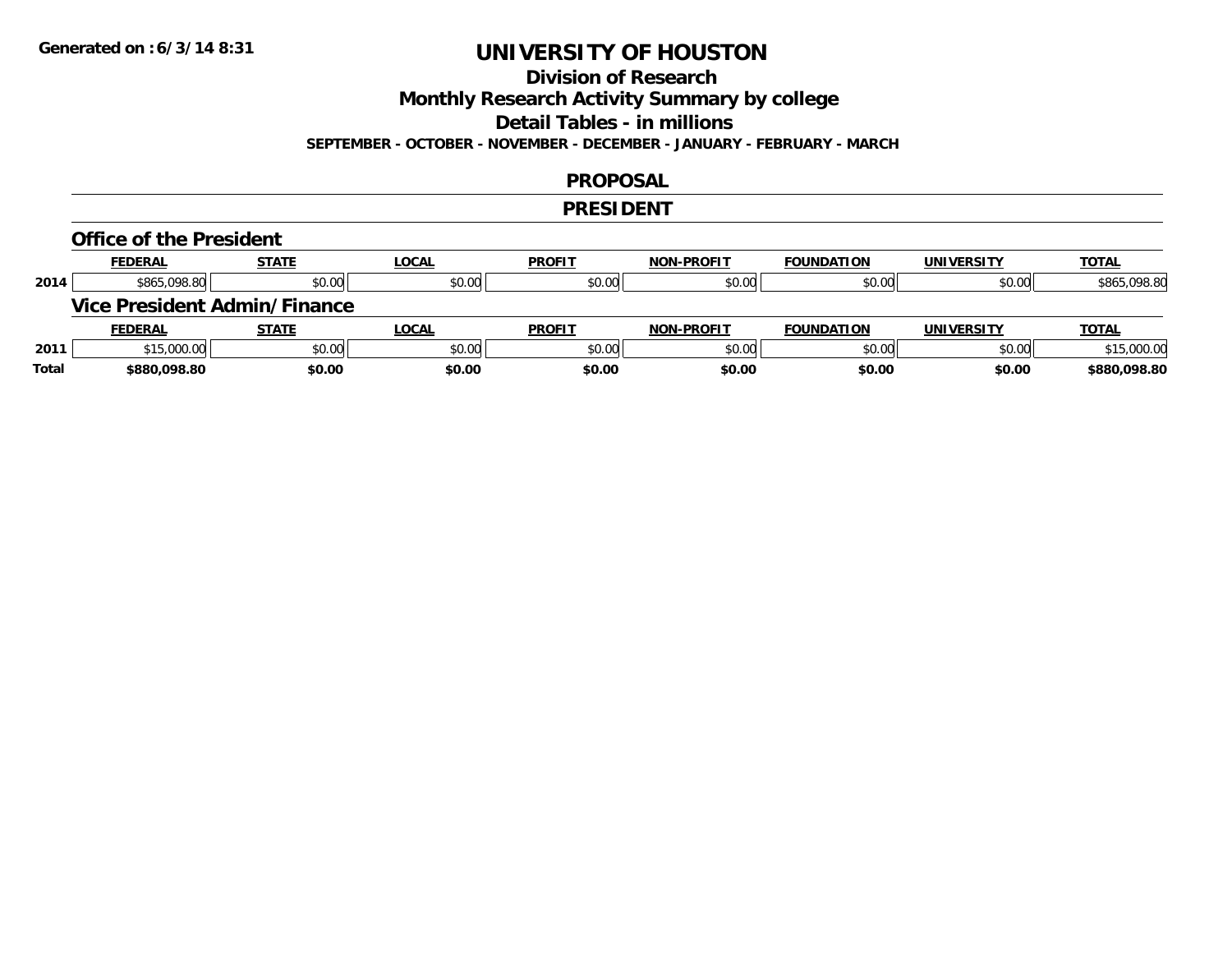## **Division of Research**

**Monthly Research Activity Summary by college**

**Detail Tables - in millions**

**SEPTEMBER - OCTOBER - NOVEMBER - DECEMBER - JANUARY - FEBRUARY - MARCH**

#### **PROPOSAL**

#### **PRESIDENT**

#### **Office of the President**

|      | <b>FEDERAL</b> | <b>STATE</b>                        | <u>LOCAL</u> | <b>PROFIT</b> | <b>NON-PROFIT</b> | <b>FOUNDATION</b> | <b>UNIVERSITY</b> | <b>TOTAL</b> |
|------|----------------|-------------------------------------|--------------|---------------|-------------------|-------------------|-------------------|--------------|
| 2014 | \$865,098.80   | \$0.00                              | \$0.00       | \$0.00        | \$0.00            | \$0.00            | \$0.00            | \$865,098.80 |
|      |                | <b>Vice President Admin/Finance</b> |              |               |                   |                   |                   |              |
|      |                |                                     |              |               |                   |                   |                   |              |
|      | <b>FEDERAL</b> | <b>STATE</b>                        | <u>LOCAL</u> | <b>PROFIT</b> | <b>NON-PROFIT</b> | <b>FOUNDATION</b> | <b>UNIVERSITY</b> | <b>TOTAL</b> |
| 2011 | \$15,000.00    | \$0.00                              | \$0.00       | \$0.00        | \$0.00            | \$0.00            | \$0.00            | \$15,000.00  |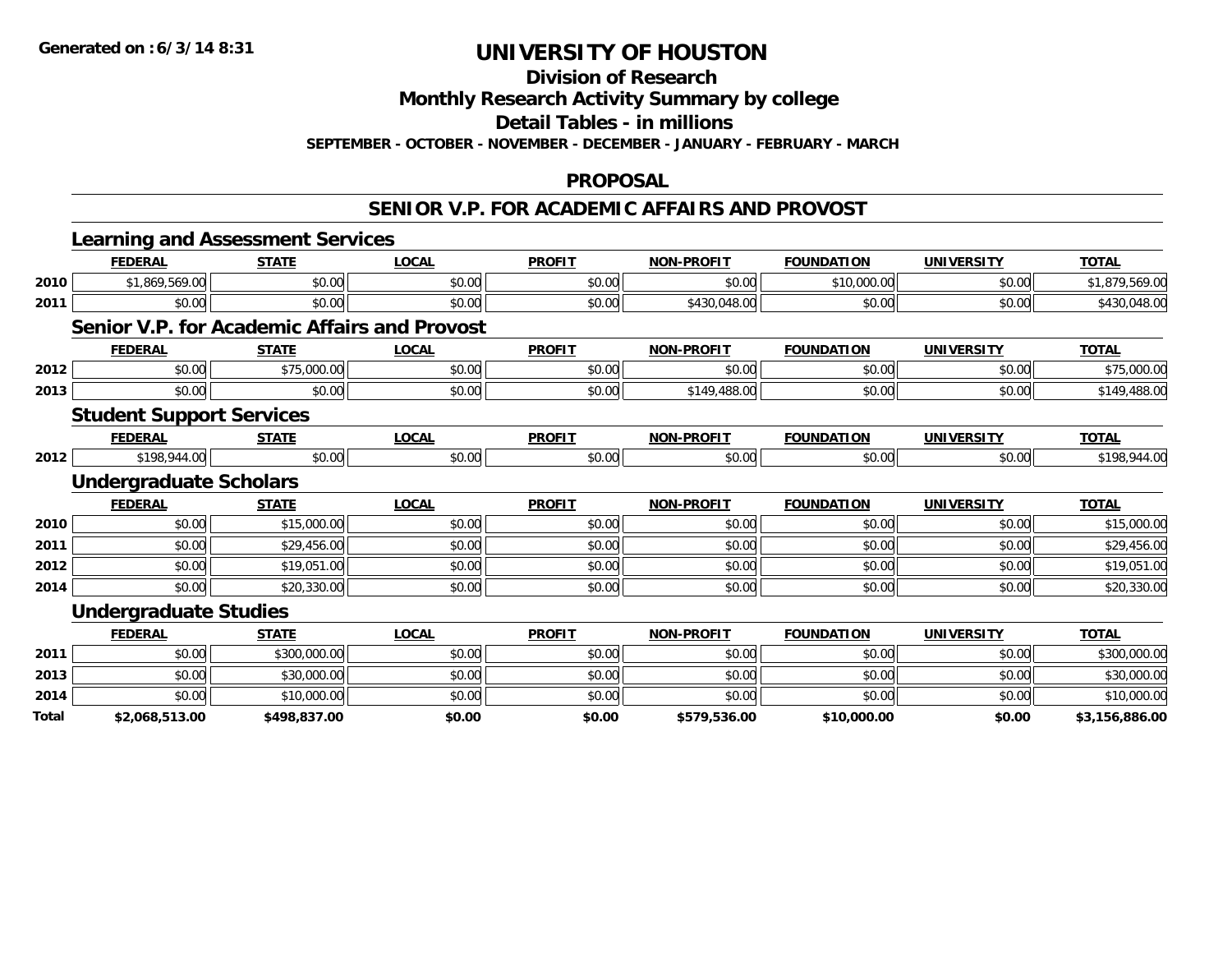**Division of Research**

**Monthly Research Activity Summary by college**

**Detail Tables - in millions**

**SEPTEMBER - OCTOBER - NOVEMBER - DECEMBER - JANUARY - FEBRUARY - MARCH**

#### **PROPOSAL**

### **SENIOR V.P. FOR ACADEMIC AFFAIRS AND PROVOST**

|              | <b>Learning and Assessment Services</b>             |              |              |               |                   |                   |                   |                |
|--------------|-----------------------------------------------------|--------------|--------------|---------------|-------------------|-------------------|-------------------|----------------|
|              | <b>FEDERAL</b>                                      | <b>STATE</b> | <b>LOCAL</b> | <b>PROFIT</b> | <b>NON-PROFIT</b> | <b>FOUNDATION</b> | <b>UNIVERSITY</b> | <b>TOTAL</b>   |
| 2010         | \$1,869,569.00                                      | \$0.00       | \$0.00       | \$0.00        | \$0.00            | \$10,000.00       | \$0.00            | \$1,879,569.00 |
| 2011         | \$0.00                                              | \$0.00       | \$0.00       | \$0.00        | \$430,048.00      | \$0.00            | \$0.00            | \$430,048.00   |
|              | <b>Senior V.P. for Academic Affairs and Provost</b> |              |              |               |                   |                   |                   |                |
|              | <b>FEDERAL</b>                                      | <b>STATE</b> | <b>LOCAL</b> | <b>PROFIT</b> | <b>NON-PROFIT</b> | <b>FOUNDATION</b> | <b>UNIVERSITY</b> | <b>TOTAL</b>   |
| 2012         | \$0.00                                              | \$75,000.00  | \$0.00       | \$0.00        | \$0.00            | \$0.00            | \$0.00            | \$75,000.00    |
| 2013         | \$0.00                                              | \$0.00       | \$0.00       | \$0.00        | \$149,488.00      | \$0.00            | \$0.00            | \$149,488.00   |
|              | <b>Student Support Services</b>                     |              |              |               |                   |                   |                   |                |
|              | <b>FEDERAL</b>                                      | <b>STATE</b> | <b>LOCAL</b> | <b>PROFIT</b> | <b>NON-PROFIT</b> | <b>FOUNDATION</b> | <b>UNIVERSITY</b> | <b>TOTAL</b>   |
| 2012         | \$198,944.00                                        | \$0.00       | \$0.00       | \$0.00        | \$0.00            | \$0.00            | \$0.00            | \$198,944.00   |
|              | <b>Undergraduate Scholars</b>                       |              |              |               |                   |                   |                   |                |
|              | <b>FEDERAL</b>                                      | <b>STATE</b> | <b>LOCAL</b> | <b>PROFIT</b> | <b>NON-PROFIT</b> | <b>FOUNDATION</b> | <b>UNIVERSITY</b> | <b>TOTAL</b>   |
| 2010         | \$0.00                                              | \$15,000.00  | \$0.00       | \$0.00        | \$0.00            | \$0.00            | \$0.00            | \$15,000.00    |
| 2011         | \$0.00                                              | \$29,456.00  | \$0.00       | \$0.00        | \$0.00            | \$0.00            | \$0.00            | \$29,456.00    |
| 2012         | \$0.00                                              | \$19,051.00  | \$0.00       | \$0.00        | \$0.00            | \$0.00            | \$0.00            | \$19,051.00    |
| 2014         | \$0.00                                              | \$20,330.00  | \$0.00       | \$0.00        | \$0.00            | \$0.00            | \$0.00            | \$20,330.00    |
|              | <b>Undergraduate Studies</b>                        |              |              |               |                   |                   |                   |                |
|              | <b>FEDERAL</b>                                      | <b>STATE</b> | <b>LOCAL</b> | <b>PROFIT</b> | <b>NON-PROFIT</b> | <b>FOUNDATION</b> | <b>UNIVERSITY</b> | <b>TOTAL</b>   |
| 2011         | \$0.00                                              | \$300,000.00 | \$0.00       | \$0.00        | \$0.00            | \$0.00            | \$0.00            | \$300,000.00   |
| 2013         | \$0.00                                              | \$30,000.00  | \$0.00       | \$0.00        | \$0.00            | \$0.00            | \$0.00            | \$30,000.00    |
| 2014         | \$0.00                                              | \$10,000.00  | \$0.00       | \$0.00        | \$0.00            | \$0.00            | \$0.00            | \$10,000.00    |
| <b>Total</b> | \$2,068,513.00                                      | \$498,837.00 | \$0.00       | \$0.00        | \$579,536.00      | \$10,000.00       | \$0.00            | \$3,156,886.00 |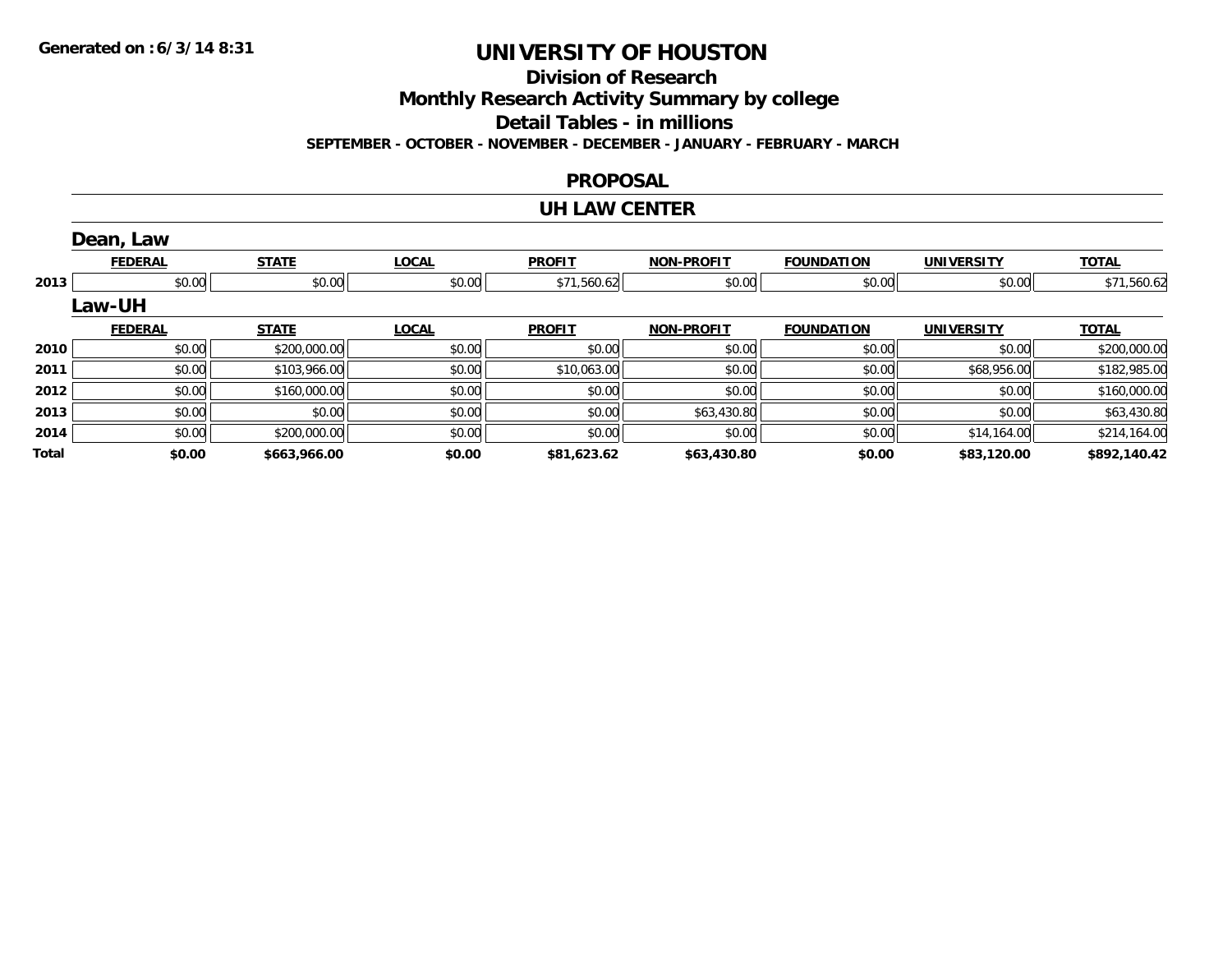**Division of Research**

**Monthly Research Activity Summary by college**

**Detail Tables - in millions**

**SEPTEMBER - OCTOBER - NOVEMBER - DECEMBER - JANUARY - FEBRUARY - MARCH**

#### **PROPOSAL**

#### **UH LAW CENTER**

|       | Dean, Law      |              |              |               |                   |                   |                   |              |
|-------|----------------|--------------|--------------|---------------|-------------------|-------------------|-------------------|--------------|
|       | <b>FEDERAL</b> | <b>STATE</b> | <b>LOCAL</b> | <b>PROFIT</b> | <b>NON-PROFIT</b> | <b>FOUNDATION</b> | <b>UNIVERSITY</b> | <b>TOTAL</b> |
| 2013  | \$0.00         | \$0.00       | \$0.00       | \$71,560.62   | \$0.00            | \$0.00            | \$0.00            | \$71,560.62  |
|       | Law-UH         |              |              |               |                   |                   |                   |              |
|       | <b>FEDERAL</b> | <b>STATE</b> | <b>LOCAL</b> | <b>PROFIT</b> | <b>NON-PROFIT</b> | <b>FOUNDATION</b> | <b>UNIVERSITY</b> | <b>TOTAL</b> |
| 2010  | \$0.00         | \$200,000.00 | \$0.00       | \$0.00        | \$0.00            | \$0.00            | \$0.00            | \$200,000.00 |
| 2011  | \$0.00         | \$103,966.00 | \$0.00       | \$10,063.00   | \$0.00            | \$0.00            | \$68,956.00       | \$182,985.00 |
| 2012  | \$0.00         | \$160,000.00 | \$0.00       | \$0.00        | \$0.00            | \$0.00            | \$0.00            | \$160,000.00 |
| 2013  | \$0.00         | \$0.00       | \$0.00       | \$0.00        | \$63,430.80       | \$0.00            | \$0.00            | \$63,430.80  |
| 2014  | \$0.00         | \$200,000.00 | \$0.00       | \$0.00        | \$0.00            | \$0.00            | \$14,164.00       | \$214,164.00 |
| Total | \$0.00         | \$663,966.00 | \$0.00       | \$81,623.62   | \$63,430.80       | \$0.00            | \$83,120.00       | \$892,140.42 |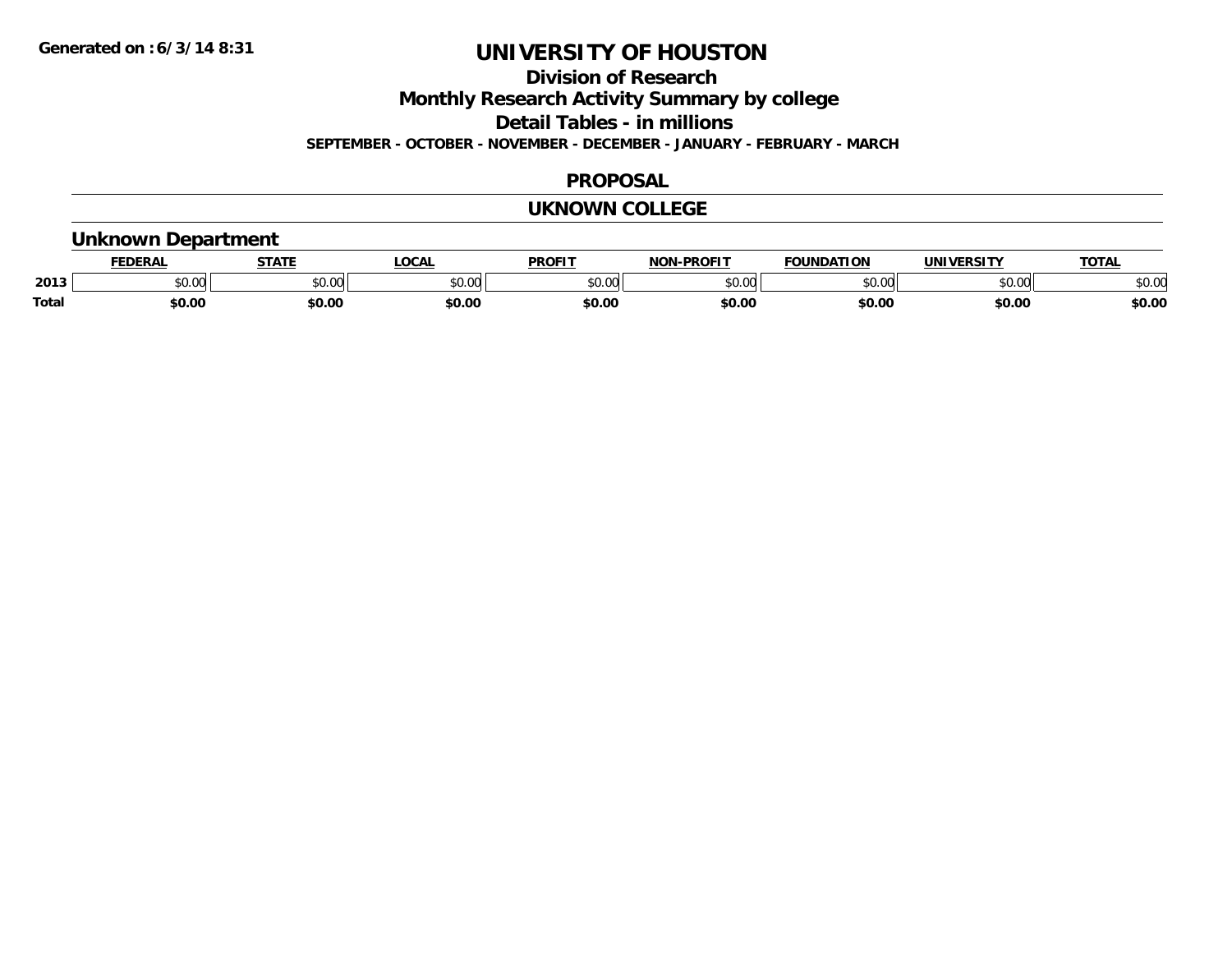**Division of Research**

**Monthly Research Activity Summary by college**

**Detail Tables - in millions**

**SEPTEMBER - OCTOBER - NOVEMBER - DECEMBER - JANUARY - FEBRUARY - MARCH**

### **PROPOSAL**

### **UKNOWN COLLEGE**

### **Unknown Department**

|              | <b>JERAI</b> | <b>STATE</b> | <b>LOCAL</b>      | <b>PROFIT</b>       | <b>DDAEIT</b><br><b>BIAB</b> | ΙΑΤΙΩΝ | JNI V<br><b>IEDCITY</b> | TOTA.  |
|--------------|--------------|--------------|-------------------|---------------------|------------------------------|--------|-------------------------|--------|
| 2013         | \$0.00       | JU.          | $\sim$ 00<br>ט.טע | 0000<br>JU.UU       | ስ ለሰ<br>ט.טע                 | 0000   | \$0.00                  | \$0.00 |
| <b>Total</b> | 60.00        | \$0.00       | \$0.00            | <b>¢∩ ∩</b><br>DU.U | \$0.00                       | \$0.00 | \$0.00                  | \$0.00 |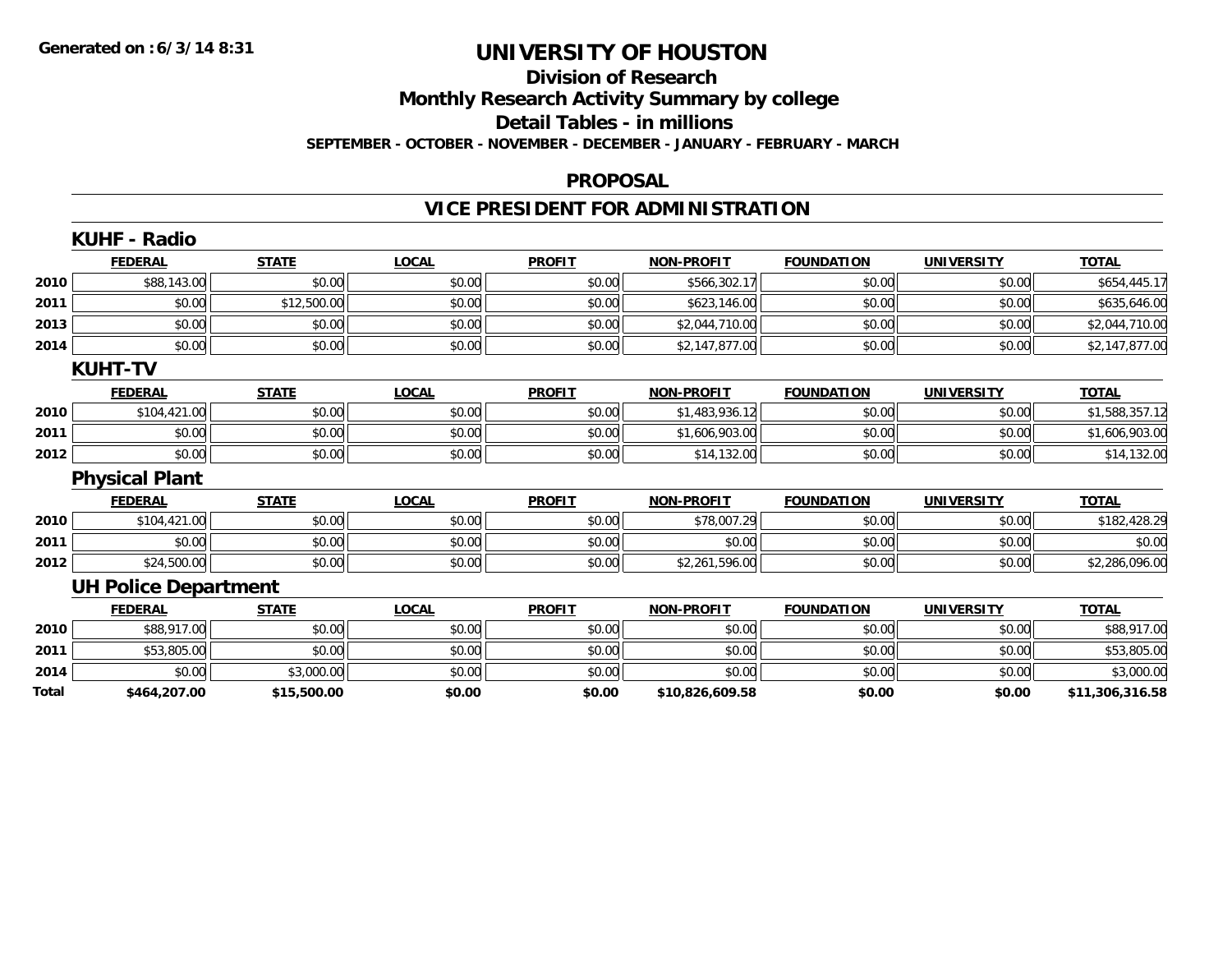### **Division of ResearchMonthly Research Activity Summary by college Detail Tables - in millions SEPTEMBER - OCTOBER - NOVEMBER - DECEMBER - JANUARY - FEBRUARY - MARCH**

#### **PROPOSAL**

### **VICE PRESIDENT FOR ADMINISTRATION**

|       | <b>KUHF - Radio</b>         |              |              |               |                   |                   |                   |                 |
|-------|-----------------------------|--------------|--------------|---------------|-------------------|-------------------|-------------------|-----------------|
|       | <b>FEDERAL</b>              | <b>STATE</b> | <b>LOCAL</b> | <b>PROFIT</b> | <b>NON-PROFIT</b> | <b>FOUNDATION</b> | <b>UNIVERSITY</b> | <b>TOTAL</b>    |
| 2010  | \$88,143.00                 | \$0.00       | \$0.00       | \$0.00        | \$566,302.17      | \$0.00            | \$0.00            | \$654,445.17    |
| 2011  | \$0.00                      | \$12,500.00  | \$0.00       | \$0.00        | \$623,146.00      | \$0.00            | \$0.00            | \$635,646.00    |
| 2013  | \$0.00                      | \$0.00       | \$0.00       | \$0.00        | \$2,044,710.00    | \$0.00            | \$0.00            | \$2,044,710.00  |
| 2014  | \$0.00                      | \$0.00       | \$0.00       | \$0.00        | \$2,147,877.00    | \$0.00            | \$0.00            | \$2,147,877.00  |
|       | <b>KUHT-TV</b>              |              |              |               |                   |                   |                   |                 |
|       | <b>FEDERAL</b>              | <b>STATE</b> | <b>LOCAL</b> | <b>PROFIT</b> | <b>NON-PROFIT</b> | <b>FOUNDATION</b> | <b>UNIVERSITY</b> | <b>TOTAL</b>    |
| 2010  | \$104,421.00                | \$0.00       | \$0.00       | \$0.00        | \$1,483,936.12    | \$0.00            | \$0.00            | \$1,588,357.12  |
| 2011  | \$0.00                      | \$0.00       | \$0.00       | \$0.00        | \$1,606,903.00    | \$0.00            | \$0.00            | \$1,606,903.00  |
| 2012  | \$0.00                      | \$0.00       | \$0.00       | \$0.00        | \$14,132.00       | \$0.00            | \$0.00            | \$14,132.00     |
|       | <b>Physical Plant</b>       |              |              |               |                   |                   |                   |                 |
|       | <b>FEDERAL</b>              | <b>STATE</b> | <b>LOCAL</b> | <b>PROFIT</b> | <b>NON-PROFIT</b> | <b>FOUNDATION</b> | <b>UNIVERSITY</b> | <b>TOTAL</b>    |
| 2010  | \$104,421.00                | \$0.00       | \$0.00       | \$0.00        | \$78,007.29       | \$0.00            | \$0.00            | \$182,428.29    |
| 2011  | \$0.00                      | \$0.00       | \$0.00       | \$0.00        | \$0.00            | \$0.00            | \$0.00            | \$0.00          |
| 2012  | \$24,500.00                 | \$0.00       | \$0.00       | \$0.00        | \$2,261,596.00    | \$0.00            | \$0.00            | \$2,286,096.00  |
|       | <b>UH Police Department</b> |              |              |               |                   |                   |                   |                 |
|       | <b>FEDERAL</b>              | <b>STATE</b> | <b>LOCAL</b> | <b>PROFIT</b> | <b>NON-PROFIT</b> | <b>FOUNDATION</b> | <b>UNIVERSITY</b> | <b>TOTAL</b>    |
| 2010  | \$88,917.00                 | \$0.00       | \$0.00       | \$0.00        | \$0.00            | \$0.00            | \$0.00            | \$88,917.00     |
| 2011  | \$53,805.00                 | \$0.00       | \$0.00       | \$0.00        | \$0.00            | \$0.00            | \$0.00            | \$53,805.00     |
| 2014  | \$0.00                      | \$3,000.00   | \$0.00       | \$0.00        | \$0.00            | \$0.00            | \$0.00            | \$3,000.00      |
| Total | \$464,207.00                | \$15,500.00  | \$0.00       | \$0.00        | \$10,826,609.58   | \$0.00            | \$0.00            | \$11,306,316.58 |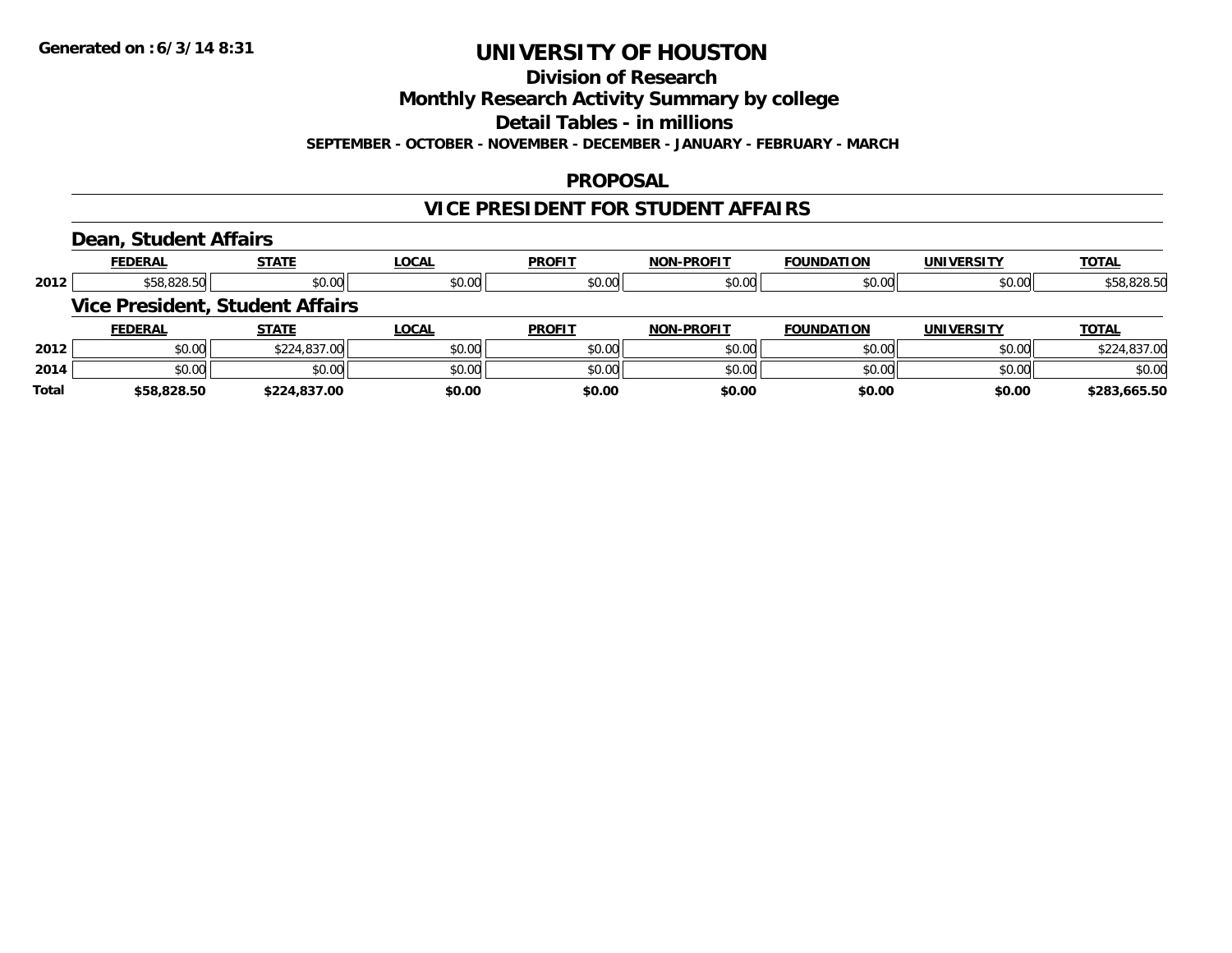#### **Division of Research**

**Monthly Research Activity Summary by college**

**Detail Tables - in millions**

**SEPTEMBER - OCTOBER - NOVEMBER - DECEMBER - JANUARY - FEBRUARY - MARCH**

#### **PROPOSAL**

### **VICE PRESIDENT FOR STUDENT AFFAIRS**

#### **Dean, Student Affairs**

|       | <b>FEDERAL</b> | <b>STATE</b>                           | <b>LOCAL</b> | <b>PROFIT</b> | <b>NON-PROFIT</b> | <b>FOUNDATION</b> | <b>UNIVERSITY</b> | <b>TOTAL</b> |
|-------|----------------|----------------------------------------|--------------|---------------|-------------------|-------------------|-------------------|--------------|
| 2012  | \$58,828.50    | \$0.00                                 | \$0.00       | \$0.00        | \$0.00            | \$0.00            | \$0.00            | \$58,828.50  |
|       |                | <b>Vice President, Student Affairs</b> |              |               |                   |                   |                   |              |
|       | <b>FEDERAL</b> | <b>STATE</b>                           | <b>LOCAL</b> | <b>PROFIT</b> | <b>NON-PROFIT</b> | <b>FOUNDATION</b> | <b>UNIVERSITY</b> | <b>TOTAL</b> |
| 2012  | \$0.00         | \$224,837.00                           | \$0.00       | \$0.00        | \$0.00            | \$0.00            | \$0.00            | \$224,837.00 |
| 2014  | \$0.00         | \$0.00                                 | \$0.00       | \$0.00        | \$0.00            | \$0.00            | \$0.00            | \$0.00       |
| Total | \$58,828.50    | \$224,837.00                           | \$0.00       | \$0.00        | \$0.00            | \$0.00            | \$0.00            | \$283,665.50 |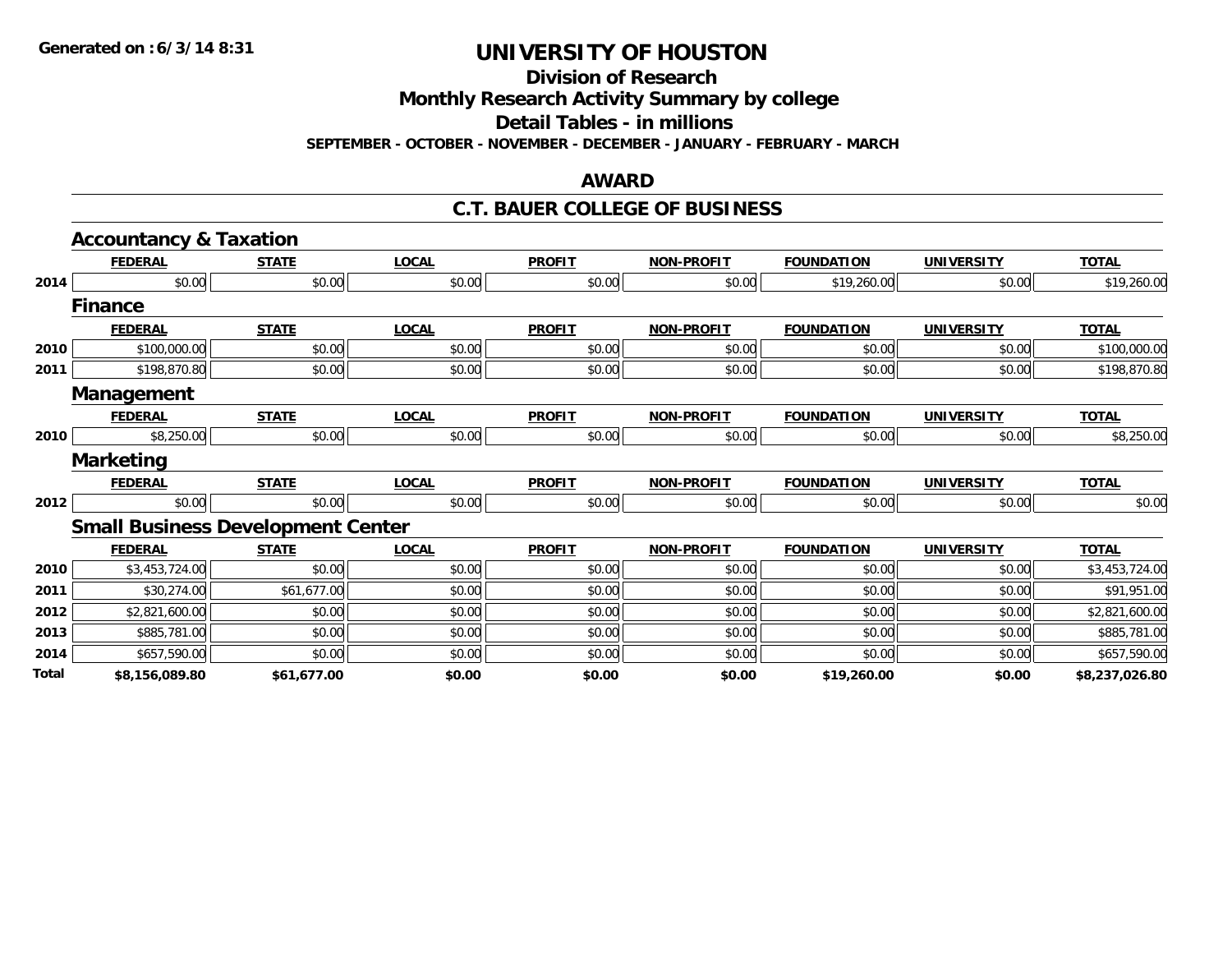**Division of Research**

**Monthly Research Activity Summary by college**

**Detail Tables - in millions**

**SEPTEMBER - OCTOBER - NOVEMBER - DECEMBER - JANUARY - FEBRUARY - MARCH**

#### **AWARD**

#### **C.T. BAUER COLLEGE OF BUSINESS**

|       | <b>Accountancy &amp; Taxation</b>        |              |              |               |                   |                   |                   |                |
|-------|------------------------------------------|--------------|--------------|---------------|-------------------|-------------------|-------------------|----------------|
|       | <b>FEDERAL</b>                           | <b>STATE</b> | <b>LOCAL</b> | <b>PROFIT</b> | <b>NON-PROFIT</b> | <b>FOUNDATION</b> | <b>UNIVERSITY</b> | <b>TOTAL</b>   |
| 2014  | \$0.00                                   | \$0.00       | \$0.00       | \$0.00        | \$0.00            | \$19,260.00       | \$0.00            | \$19,260.00    |
|       | <b>Finance</b>                           |              |              |               |                   |                   |                   |                |
|       | <b>FEDERAL</b>                           | <b>STATE</b> | <b>LOCAL</b> | <b>PROFIT</b> | <b>NON-PROFIT</b> | <b>FOUNDATION</b> | <b>UNIVERSITY</b> | <b>TOTAL</b>   |
| 2010  | \$100,000.00                             | \$0.00       | \$0.00       | \$0.00        | \$0.00            | \$0.00            | \$0.00            | \$100,000.00   |
| 2011  | \$198,870.80                             | \$0.00       | \$0.00       | \$0.00        | \$0.00            | \$0.00            | \$0.00            | \$198,870.80   |
|       | Management                               |              |              |               |                   |                   |                   |                |
|       | <b>FEDERAL</b>                           | <b>STATE</b> | <b>LOCAL</b> | <b>PROFIT</b> | <b>NON-PROFIT</b> | <b>FOUNDATION</b> | <b>UNIVERSITY</b> | <b>TOTAL</b>   |
| 2010  | \$8,250.00                               | \$0.00       | \$0.00       | \$0.00        | \$0.00            | \$0.00            | \$0.00            | \$8,250.00     |
|       | <b>Marketing</b>                         |              |              |               |                   |                   |                   |                |
|       | <b>FEDERAL</b>                           | <b>STATE</b> | <b>LOCAL</b> | <b>PROFIT</b> | <b>NON-PROFIT</b> | <b>FOUNDATION</b> | <b>UNIVERSITY</b> | <b>TOTAL</b>   |
| 2012  | \$0.00                                   | \$0.00       | \$0.00       | \$0.00        | \$0.00            | \$0.00            | \$0.00            | \$0.00         |
|       | <b>Small Business Development Center</b> |              |              |               |                   |                   |                   |                |
|       | <b>FEDERAL</b>                           | <b>STATE</b> | <b>LOCAL</b> | <b>PROFIT</b> | <b>NON-PROFIT</b> | <b>FOUNDATION</b> | <b>UNIVERSITY</b> | <b>TOTAL</b>   |
| 2010  | \$3,453,724.00                           | \$0.00       | \$0.00       | \$0.00        | \$0.00            | \$0.00            | \$0.00            | \$3,453,724.00 |
| 2011  | \$30,274.00                              | \$61,677.00  | \$0.00       | \$0.00        | \$0.00            | \$0.00            | \$0.00            | \$91,951.00    |
| 2012  | \$2,821,600.00                           | \$0.00       | \$0.00       | \$0.00        | \$0.00            | \$0.00            | \$0.00            | \$2,821,600.00 |
| 2013  | \$885,781.00                             | \$0.00       | \$0.00       | \$0.00        | \$0.00            | \$0.00            | \$0.00            | \$885,781.00   |
| 2014  | \$657,590.00                             | \$0.00       | \$0.00       | \$0.00        | \$0.00            | \$0.00            | \$0.00            | \$657,590.00   |
| Total | \$8,156,089.80                           | \$61,677.00  | \$0.00       | \$0.00        | \$0.00            | \$19,260.00       | \$0.00            | \$8,237,026.80 |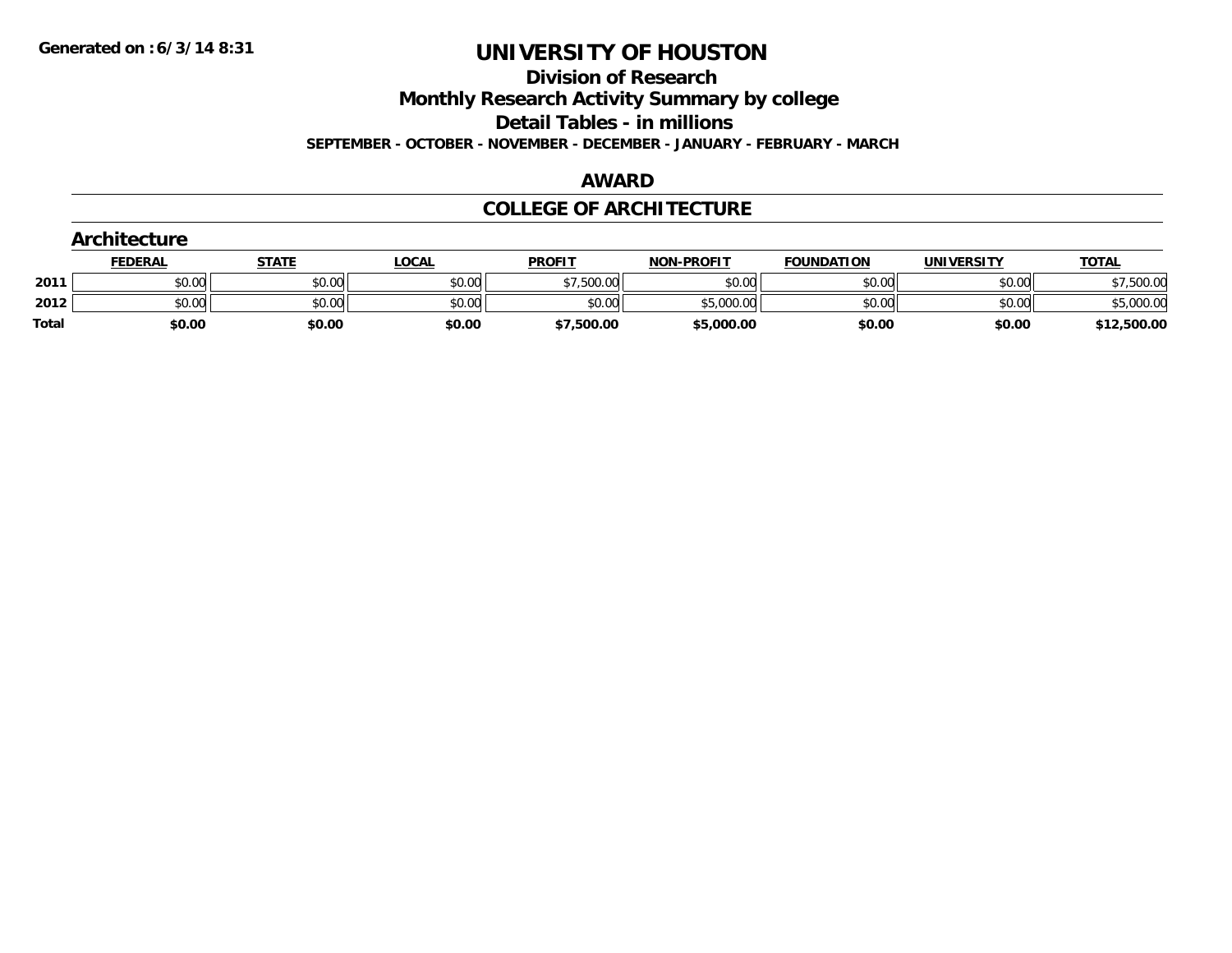**Division of Research**

**Monthly Research Activity Summary by college**

**Detail Tables - in millions**

**SEPTEMBER - OCTOBER - NOVEMBER - DECEMBER - JANUARY - FEBRUARY - MARCH**

#### **AWARD**

### **COLLEGE OF ARCHITECTURE**

|              | Architecture   |              |              |               |                   |                   |                   |              |
|--------------|----------------|--------------|--------------|---------------|-------------------|-------------------|-------------------|--------------|
|              | <b>FEDERAL</b> | <b>STATE</b> | <u>LOCAL</u> | <b>PROFIT</b> | <b>NON-PROFIT</b> | <b>FOUNDATION</b> | <b>UNIVERSITY</b> | <b>TOTAL</b> |
| 2011         | \$0.00         | \$0.00       | \$0.00       | \$7,500.00    | \$0.00            | \$0.00            | \$0.00            | \$7,500.00   |
| 2012         | \$0.00         | \$0.00       | \$0.00       | \$0.00        | \$5,000.00        | \$0.00            | \$0.00            | \$5,000.00   |
| <b>Total</b> | \$0.00         | \$0.00       | \$0.00       | \$7,500.00    | \$5,000.00        | \$0.00            | \$0.00            | \$12,500.00  |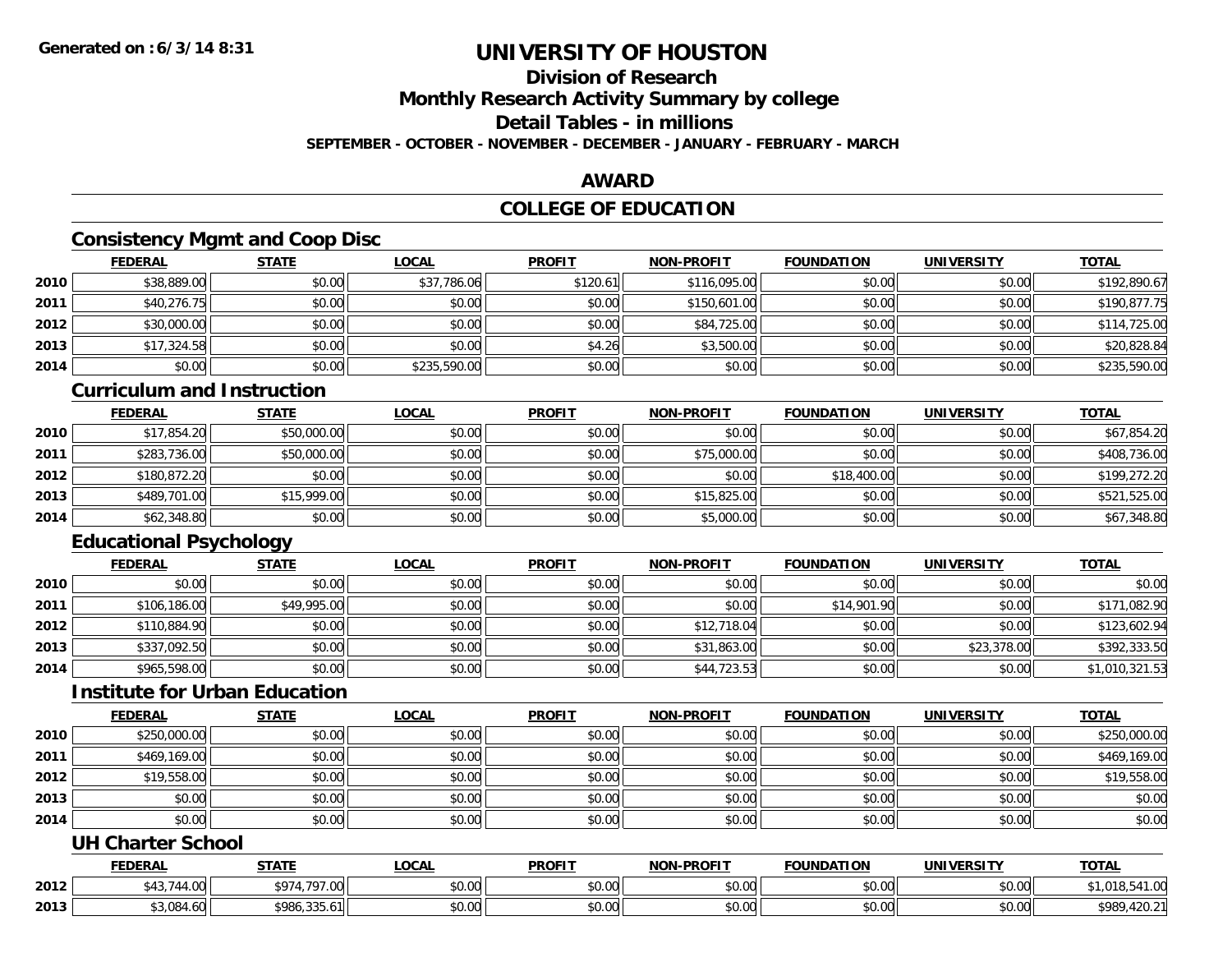## **Division of Research**

**Monthly Research Activity Summary by college**

**Detail Tables - in millions**

**SEPTEMBER - OCTOBER - NOVEMBER - DECEMBER - JANUARY - FEBRUARY - MARCH**

### **AWARD**

### **COLLEGE OF EDUCATION**

### **Consistency Mgmt and Coop Disc**

|      | <b>FEDERAL</b> | <b>STATE</b> | <b>LOCAL</b> | <b>PROFIT</b> | <b>NON-PROFIT</b> | <b>FOUNDATION</b> | <b>UNIVERSITY</b> | <b>TOTAL</b> |
|------|----------------|--------------|--------------|---------------|-------------------|-------------------|-------------------|--------------|
| 2010 | \$38,889.00    | \$0.00       | \$37,786.06  | \$120.61      | \$116,095.00      | \$0.00            | \$0.00            | \$192,890.67 |
| 2011 | \$40,276.75    | \$0.00       | \$0.00       | \$0.00        | \$150,601.00      | \$0.00            | \$0.00            | \$190,877.75 |
| 2012 | \$30,000.00    | \$0.00       | \$0.00       | \$0.00        | \$84,725.00       | \$0.00            | \$0.00            | \$114,725.00 |
| 2013 | \$17,324.58    | \$0.00       | \$0.00       | \$4.26        | \$3,500.00        | \$0.00            | \$0.00            | \$20,828.84  |
| 2014 | \$0.00         | \$0.00       | \$235,590.00 | \$0.00        | \$0.00            | \$0.00            | \$0.00            | \$235,590.00 |

#### **Curriculum and Instruction**

|      | <u>FEDERAL</u> | <b>STATE</b> | <b>LOCAL</b> | <b>PROFIT</b> | <b>NON-PROFIT</b> | <b>FOUNDATION</b> | <b>UNIVERSITY</b> | <b>TOTAL</b> |
|------|----------------|--------------|--------------|---------------|-------------------|-------------------|-------------------|--------------|
| 2010 | \$17,854.20    | \$50,000.00  | \$0.00       | \$0.00        | \$0.00            | \$0.00            | \$0.00            | \$67,854.20  |
| 2011 | \$283,736.00   | \$50,000.00  | \$0.00       | \$0.00        | \$75,000.00       | \$0.00            | \$0.00            | \$408,736.00 |
| 2012 | \$180,872.20   | \$0.00       | \$0.00       | \$0.00        | \$0.00            | \$18,400.00       | \$0.00            | \$199,272.20 |
| 2013 | \$489,701.00   | \$15,999.00  | \$0.00       | \$0.00        | \$15,825.00       | \$0.00            | \$0.00            | \$521,525.00 |
| 2014 | \$62,348.80    | \$0.00       | \$0.00       | \$0.00        | \$5,000.00        | \$0.00            | \$0.00            | \$67,348.80  |

## **Educational Psychology**

|      | <b>FEDERAL</b> | <u>STATE</u> | <u>LOCAL</u> | <b>PROFIT</b> | <b>NON-PROFIT</b> | <b>FOUNDATION</b> | <b>UNIVERSITY</b> | <b>TOTAL</b>   |
|------|----------------|--------------|--------------|---------------|-------------------|-------------------|-------------------|----------------|
| 2010 | \$0.00         | \$0.00       | \$0.00       | \$0.00        | \$0.00            | \$0.00            | \$0.00            | \$0.00         |
| 2011 | \$106,186,00   | \$49,995.00  | \$0.00       | \$0.00        | \$0.00            | \$14,901.90       | \$0.00            | \$171,082.90   |
| 2012 | \$110,884.90   | \$0.00       | \$0.00       | \$0.00        | \$12,718.04       | \$0.00            | \$0.00            | \$123,602.94   |
| 2013 | \$337,092.50   | \$0.00       | \$0.00       | \$0.00        | \$31,863.00       | \$0.00            | \$23,378.00       | \$392,333.50   |
| 2014 | \$965,598.00   | \$0.00       | \$0.00       | \$0.00        | \$44,723.53       | \$0.00            | \$0.00            | \$1,010,321.53 |

### **Institute for Urban Education**

|      | <b>FEDERAL</b> | <b>STATE</b> | <b>LOCAL</b> | <b>PROFIT</b> | <b>NON-PROFIT</b> | <b>FOUNDATION</b> | <b>UNIVERSITY</b> | <b>TOTAL</b> |
|------|----------------|--------------|--------------|---------------|-------------------|-------------------|-------------------|--------------|
| 2010 | \$250,000.00   | \$0.00       | \$0.00       | \$0.00        | \$0.00            | \$0.00            | \$0.00            | \$250,000.00 |
| 2011 | \$469,169.00   | \$0.00       | \$0.00       | \$0.00        | \$0.00            | \$0.00            | \$0.00            | \$469,169.00 |
| 2012 | \$19,558.00    | \$0.00       | \$0.00       | \$0.00        | \$0.00            | \$0.00            | \$0.00            | \$19,558.00  |
| 2013 | \$0.00         | \$0.00       | \$0.00       | \$0.00        | \$0.00            | \$0.00            | \$0.00            | \$0.00       |
| 2014 | \$0.00         | \$0.00       | \$0.00       | \$0.00        | \$0.00            | \$0.00            | \$0.00            | \$0.00       |

### **UH Charter School**

|      | <b>FEDERAL</b>       | <b>STATE</b>              | _OCAL              | <b>PROFIT</b> | NON-DDOELT           | <b>FOUNDATION</b> | UNIVERSITY | <b>TOTAL</b>                                      |
|------|----------------------|---------------------------|--------------------|---------------|----------------------|-------------------|------------|---------------------------------------------------|
| 2012 | $\sim$<br>4.VV<br>ℸ◡ | \$97<br>707.00            | $\sim$ 00<br>vv.vv | 0000<br>vu.vu | 0.00<br>pu.uu        | \$0.00            | \$0.00     | $\lambda$ $\lambda$ $\lambda$<br>, 10.04<br>. . U |
| 2013 | \$3.084              | 225<br>4004<br>986.335.61 | $\sim$ 00<br>vv.vv | 0000<br>JU.UU | 0.00<br><b>DU.UU</b> | \$0.00            | \$0.00     | \$989<br>™ 4Z∪.⊾                                  |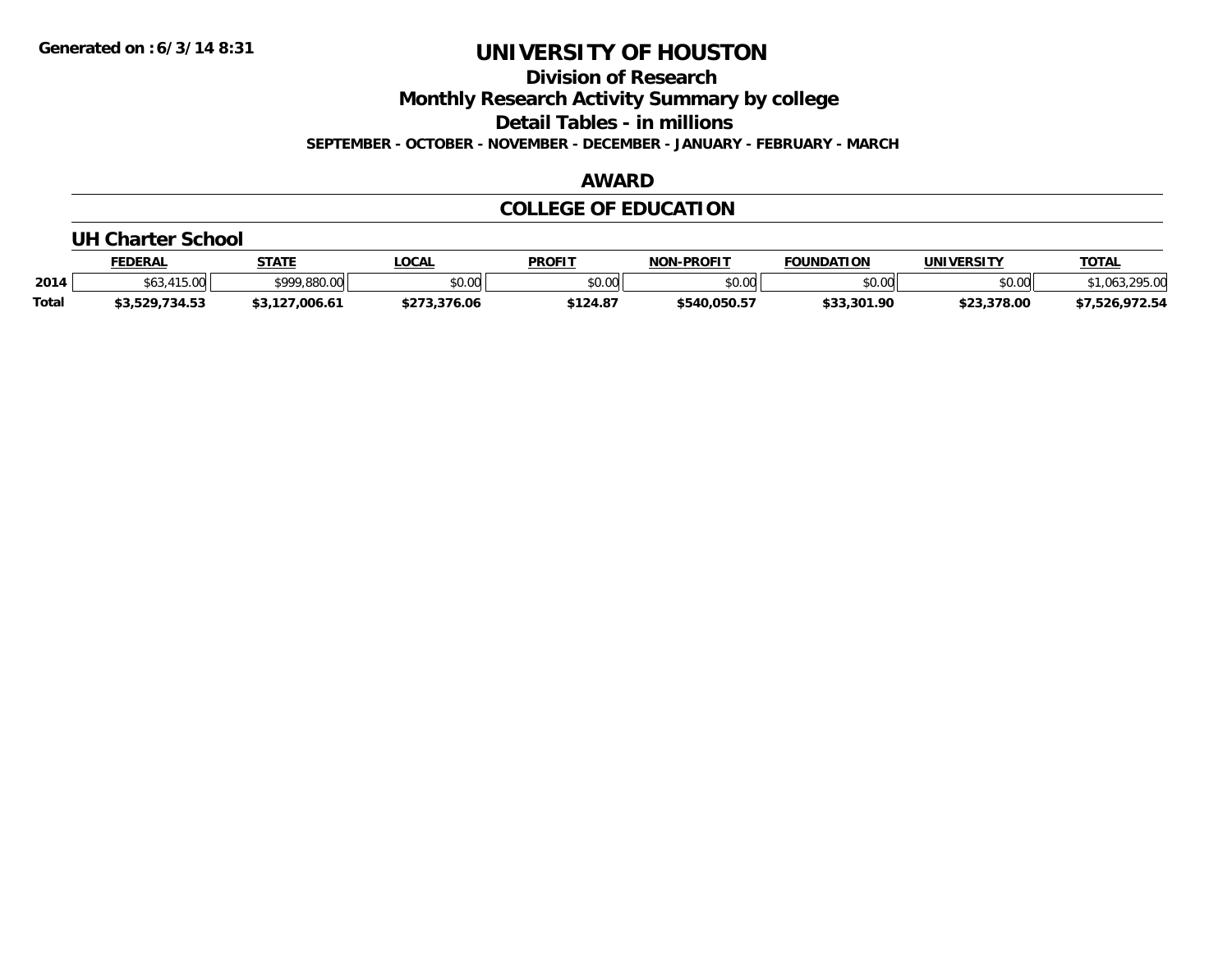**Division of Research**

**Monthly Research Activity Summary by college**

**Detail Tables - in millions**

**SEPTEMBER - OCTOBER - NOVEMBER - DECEMBER - JANUARY - FEBRUARY - MARCH**

### **AWARD**

### **COLLEGE OF EDUCATION**

#### **UH Charter School**

|              | <b>FEDERAL</b>       | <b>STATE</b><br>171 | LOCAL                | <b>PROFIT</b>  | NON-PROFIT    | <b>FOUNDATION</b> | UNIVERSITY  | TOTA.                    |
|--------------|----------------------|---------------------|----------------------|----------------|---------------|-------------------|-------------|--------------------------|
| 2014         | $\overline{a}$<br>טש | \$999,880,00        | 0.00<br><b>DU.UU</b> | \$0.01<br>vu.u | 0000<br>JU.UU | \$0.00            | \$0.00      | 2050<br>٬ ባራ″            |
| <b>Total</b> | 734.53<br>53,529     |                     |                      | \$124.87       | \$540,050.57  | よつつ<br>.301.90    | \$23,378.00 | 072E<br>′ ∠ ت.<br>- د. ک |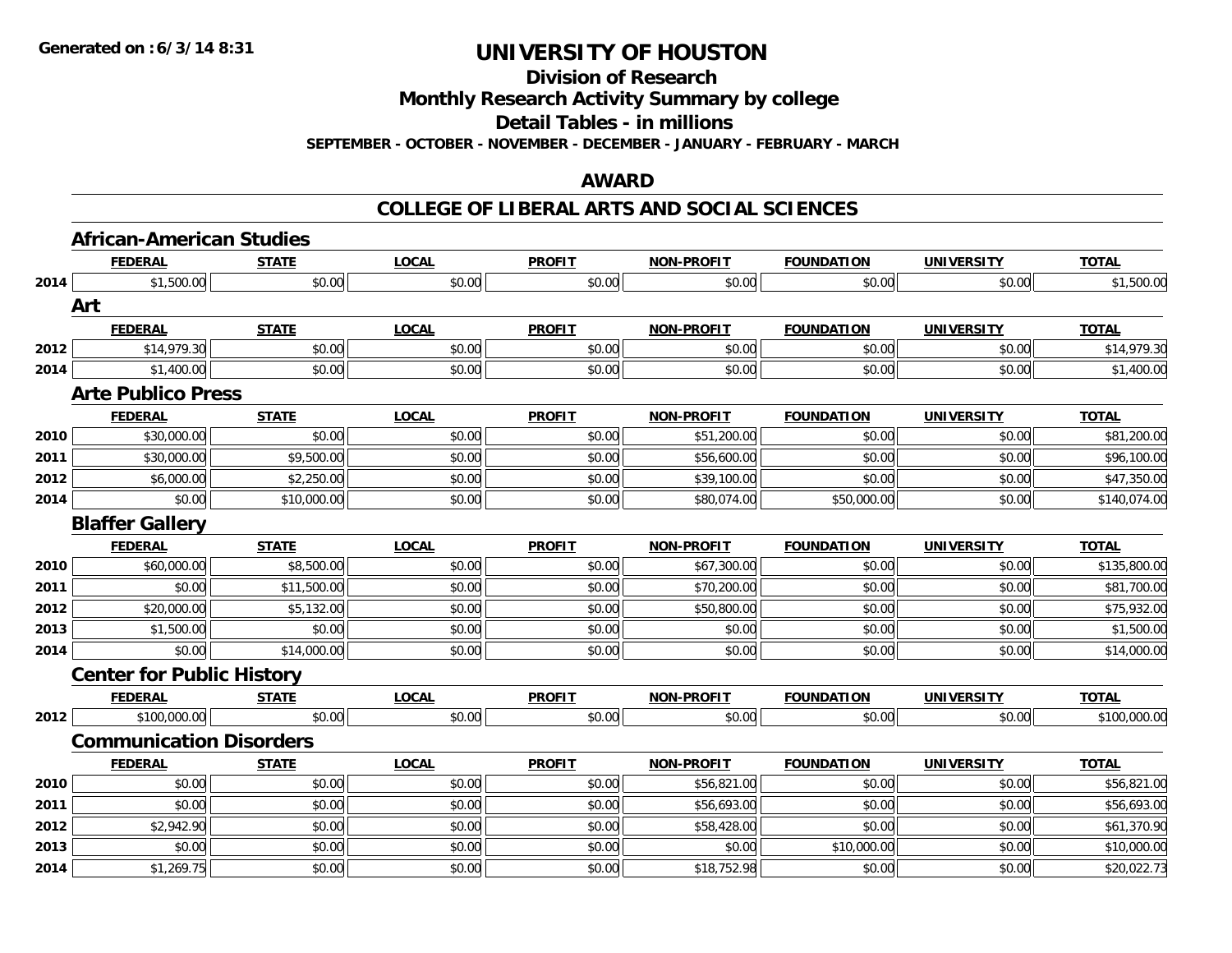**Division of Research**

**Monthly Research Activity Summary by college**

**Detail Tables - in millions**

**SEPTEMBER - OCTOBER - NOVEMBER - DECEMBER - JANUARY - FEBRUARY - MARCH**

### **AWARD**

|      | <b>African-American Studies</b>  |              |              |               |                   |                   |                   |              |
|------|----------------------------------|--------------|--------------|---------------|-------------------|-------------------|-------------------|--------------|
|      | <b>FEDERAL</b>                   | <b>STATE</b> | <b>LOCAL</b> | <b>PROFIT</b> | <b>NON-PROFIT</b> | <b>FOUNDATION</b> | <b>UNIVERSITY</b> | <b>TOTAL</b> |
| 2014 | \$1,500.00                       | \$0.00       | \$0.00       | \$0.00        | \$0.00            | \$0.00            | \$0.00            | \$1,500.00   |
|      | Art                              |              |              |               |                   |                   |                   |              |
|      | <b>FEDERAL</b>                   | <b>STATE</b> | <b>LOCAL</b> | <b>PROFIT</b> | <b>NON-PROFIT</b> | <b>FOUNDATION</b> | <b>UNIVERSITY</b> | <b>TOTAL</b> |
| 2012 | \$14,979.30                      | \$0.00       | \$0.00       | \$0.00        | \$0.00            | \$0.00            | \$0.00            | \$14,979.30  |
| 2014 | \$1,400.00                       | \$0.00       | \$0.00       | \$0.00        | \$0.00            | \$0.00            | \$0.00            | \$1,400.00   |
|      | <b>Arte Publico Press</b>        |              |              |               |                   |                   |                   |              |
|      | <b>FEDERAL</b>                   | <b>STATE</b> | <b>LOCAL</b> | <b>PROFIT</b> | <b>NON-PROFIT</b> | <b>FOUNDATION</b> | <b>UNIVERSITY</b> | <b>TOTAL</b> |
| 2010 | \$30,000.00                      | \$0.00       | \$0.00       | \$0.00        | \$51,200.00       | \$0.00            | \$0.00            | \$81,200.00  |
| 2011 | \$30,000.00                      | \$9,500.00   | \$0.00       | \$0.00        | \$56,600.00       | \$0.00            | \$0.00            | \$96,100.00  |
| 2012 | \$6,000.00                       | \$2,250.00   | \$0.00       | \$0.00        | \$39,100.00       | \$0.00            | \$0.00            | \$47,350.00  |
| 2014 | \$0.00                           | \$10,000.00  | \$0.00       | \$0.00        | \$80,074.00       | \$50,000.00       | \$0.00            | \$140,074.00 |
|      | <b>Blaffer Gallery</b>           |              |              |               |                   |                   |                   |              |
|      | <b>FEDERAL</b>                   | <b>STATE</b> | <b>LOCAL</b> | <b>PROFIT</b> | <b>NON-PROFIT</b> | <b>FOUNDATION</b> | <b>UNIVERSITY</b> | <b>TOTAL</b> |
| 2010 | \$60,000.00                      | \$8,500.00   | \$0.00       | \$0.00        | \$67,300.00       | \$0.00            | \$0.00            | \$135,800.00 |
| 2011 | \$0.00                           | \$11,500.00  | \$0.00       | \$0.00        | \$70,200.00       | \$0.00            | \$0.00            | \$81,700.00  |
| 2012 | \$20,000.00                      | \$5,132.00   | \$0.00       | \$0.00        | \$50,800.00       | \$0.00            | \$0.00            | \$75,932.00  |
| 2013 | \$1,500.00                       | \$0.00       | \$0.00       | \$0.00        | \$0.00            | \$0.00            | \$0.00            | \$1,500.00   |
| 2014 | \$0.00                           | \$14,000.00  | \$0.00       | \$0.00        | \$0.00            | \$0.00            | \$0.00            | \$14,000.00  |
|      | <b>Center for Public History</b> |              |              |               |                   |                   |                   |              |
|      | <b>FEDERAL</b>                   | <b>STATE</b> | <b>LOCAL</b> | <b>PROFIT</b> | <b>NON-PROFIT</b> | <b>FOUNDATION</b> | <b>UNIVERSITY</b> | <b>TOTAL</b> |
| 2012 | \$100,000.00                     | \$0.00       | \$0.00       | \$0.00        | \$0.00            | \$0.00            | \$0.00            | \$100,000.00 |
|      | <b>Communication Disorders</b>   |              |              |               |                   |                   |                   |              |
|      | <b>FEDERAL</b>                   | <b>STATE</b> | <b>LOCAL</b> | <b>PROFIT</b> | <b>NON-PROFIT</b> | <b>FOUNDATION</b> | <b>UNIVERSITY</b> | <b>TOTAL</b> |
| 2010 | \$0.00                           | \$0.00       | \$0.00       | \$0.00        | \$56,821.00       | \$0.00            | \$0.00            | \$56,821.00  |
| 2011 | \$0.00                           | \$0.00       | \$0.00       | \$0.00        | \$56,693.00       | \$0.00            | \$0.00            | \$56,693.00  |
| 2012 | \$2,942.90                       | \$0.00       | \$0.00       | \$0.00        | \$58,428.00       | \$0.00            | \$0.00            | \$61,370.90  |
| 2013 | \$0.00                           | \$0.00       | \$0.00       | \$0.00        | \$0.00            | \$10,000.00       | \$0.00            | \$10,000.00  |
| 2014 | \$1,269.75                       | \$0.00       | \$0.00       | \$0.00        | \$18,752.98       | \$0.00            | \$0.00            | \$20,022.73  |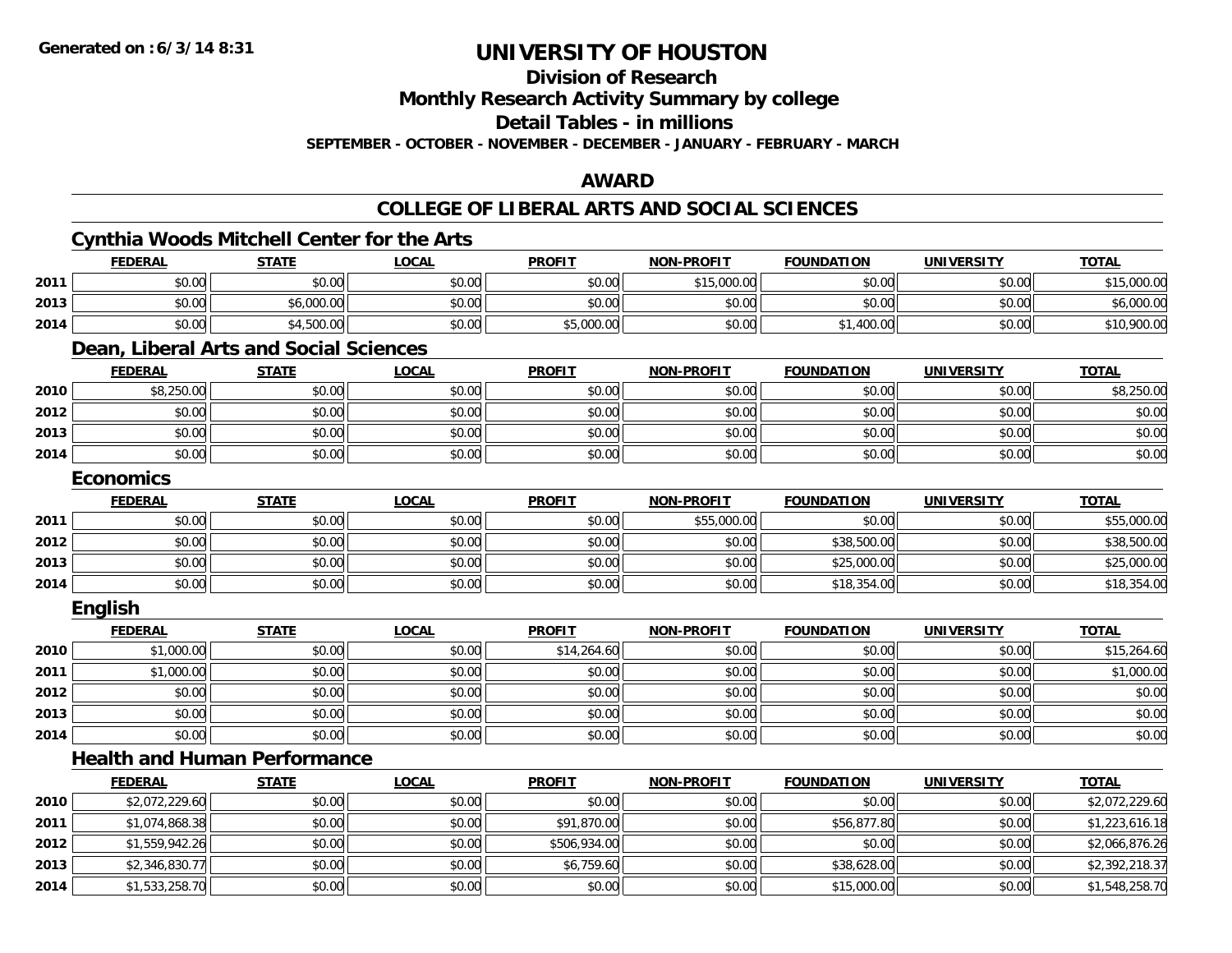**2014**

## **UNIVERSITY OF HOUSTON**

**Division of Research**

**Monthly Research Activity Summary by college**

**Detail Tables - in millions**

**SEPTEMBER - OCTOBER - NOVEMBER - DECEMBER - JANUARY - FEBRUARY - MARCH**

### **AWARD**

### **COLLEGE OF LIBERAL ARTS AND SOCIAL SCIENCES**

|      |                  | <b>Cynthia Woods Mitchell Center for the Arts</b> |              |               |                   |                   |                   |                |
|------|------------------|---------------------------------------------------|--------------|---------------|-------------------|-------------------|-------------------|----------------|
|      | <b>FEDERAL</b>   | <b>STATE</b>                                      | <b>LOCAL</b> | <b>PROFIT</b> | <b>NON-PROFIT</b> | <b>FOUNDATION</b> | <b>UNIVERSITY</b> | <b>TOTAL</b>   |
| 2011 | \$0.00           | \$0.00                                            | \$0.00       | \$0.00        | \$15,000.00       | \$0.00            | \$0.00            | \$15,000.00    |
| 2013 | \$0.00           | \$6,000.00                                        | \$0.00       | \$0.00        | \$0.00            | \$0.00            | \$0.00            | \$6,000.00     |
| 2014 | \$0.00           | \$4,500.00                                        | \$0.00       | \$5,000.00    | \$0.00            | \$1,400.00        | \$0.00            | \$10,900.00    |
|      |                  | Dean, Liberal Arts and Social Sciences            |              |               |                   |                   |                   |                |
|      | <b>FEDERAL</b>   | <b>STATE</b>                                      | <b>LOCAL</b> | <b>PROFIT</b> | <b>NON-PROFIT</b> | <b>FOUNDATION</b> | <b>UNIVERSITY</b> | <b>TOTAL</b>   |
| 2010 | \$8,250.00       | \$0.00                                            | \$0.00       | \$0.00        | \$0.00            | \$0.00            | \$0.00            | \$8,250.00     |
| 2012 | \$0.00           | \$0.00                                            | \$0.00       | \$0.00        | \$0.00            | \$0.00            | \$0.00            | \$0.00         |
| 2013 | \$0.00           | \$0.00                                            | \$0.00       | \$0.00        | \$0.00            | \$0.00            | \$0.00            | \$0.00         |
| 2014 | \$0.00           | \$0.00                                            | \$0.00       | \$0.00        | \$0.00            | \$0.00            | \$0.00            | \$0.00         |
|      | <b>Economics</b> |                                                   |              |               |                   |                   |                   |                |
|      | <b>FEDERAL</b>   | <b>STATE</b>                                      | <b>LOCAL</b> | <b>PROFIT</b> | <b>NON-PROFIT</b> | <b>FOUNDATION</b> | <b>UNIVERSITY</b> | <b>TOTAL</b>   |
| 2011 | \$0.00           | \$0.00                                            | \$0.00       | \$0.00        | \$55,000.00       | \$0.00            | \$0.00            | \$55,000.00    |
| 2012 | \$0.00           | \$0.00                                            | \$0.00       | \$0.00        | \$0.00            | \$38,500.00       | \$0.00            | \$38,500.00    |
| 2013 | \$0.00           | \$0.00                                            | \$0.00       | \$0.00        | \$0.00            | \$25,000.00       | \$0.00            | \$25,000.00    |
| 2014 | \$0.00           | \$0.00                                            | \$0.00       | \$0.00        | \$0.00            | \$18,354.00       | \$0.00            | \$18,354.00    |
|      | <b>English</b>   |                                                   |              |               |                   |                   |                   |                |
|      | <b>FEDERAL</b>   | <b>STATE</b>                                      | <b>LOCAL</b> | <b>PROFIT</b> | <b>NON-PROFIT</b> | <b>FOUNDATION</b> | <b>UNIVERSITY</b> | <b>TOTAL</b>   |
| 2010 | \$1,000.00       | \$0.00                                            | \$0.00       | \$14,264.60   | \$0.00            | \$0.00            | \$0.00            | \$15,264.60    |
| 2011 | \$1,000.00       | \$0.00                                            | \$0.00       | \$0.00        | \$0.00            | \$0.00            | \$0.00            | \$1,000.00     |
| 2012 | \$0.00           | \$0.00                                            | \$0.00       | \$0.00        | \$0.00            | \$0.00            | \$0.00            | \$0.00         |
| 2013 | \$0.00           | \$0.00                                            | \$0.00       | \$0.00        | \$0.00            | \$0.00            | \$0.00            | \$0.00         |
| 2014 | \$0.00           | \$0.00                                            | \$0.00       | \$0.00        | \$0.00            | \$0.00            | \$0.00            | \$0.00         |
|      |                  | <b>Health and Human Performance</b>               |              |               |                   |                   |                   |                |
|      | <b>FEDERAL</b>   | <b>STATE</b>                                      | <b>LOCAL</b> | <b>PROFIT</b> | <b>NON-PROFIT</b> | <b>FOUNDATION</b> | <b>UNIVERSITY</b> | <b>TOTAL</b>   |
| 2010 | \$2,072,229.60   | \$0.00                                            | \$0.00       | \$0.00        | \$0.00            | \$0.00            | \$0.00            | \$2,072,229.60 |
| 2011 | \$1,074,868.38   | \$0.00                                            | \$0.00       | \$91,870.00   | \$0.00            | \$56,877.80       | \$0.00            | \$1,223,616.18 |
| 2012 | \$1,559,942.26   | \$0.00                                            | \$0.00       | \$506,934.00  | \$0.00            | \$0.00            | \$0.00            | \$2,066,876.26 |
| 2013 | \$2,346,830.77   | \$0.00                                            | \$0.00       | \$6,759.60    | \$0.00            | \$38,628.00       | \$0.00            | \$2,392,218.37 |

4 \$1,533,258.70 \$0.00 \$0.00 \$0.00 \$0.00 \$0.00 \$0.00 \$0.00 \$0.00 \$15,000.00 \$15,000.00 \$0.00 \$1,548,258.70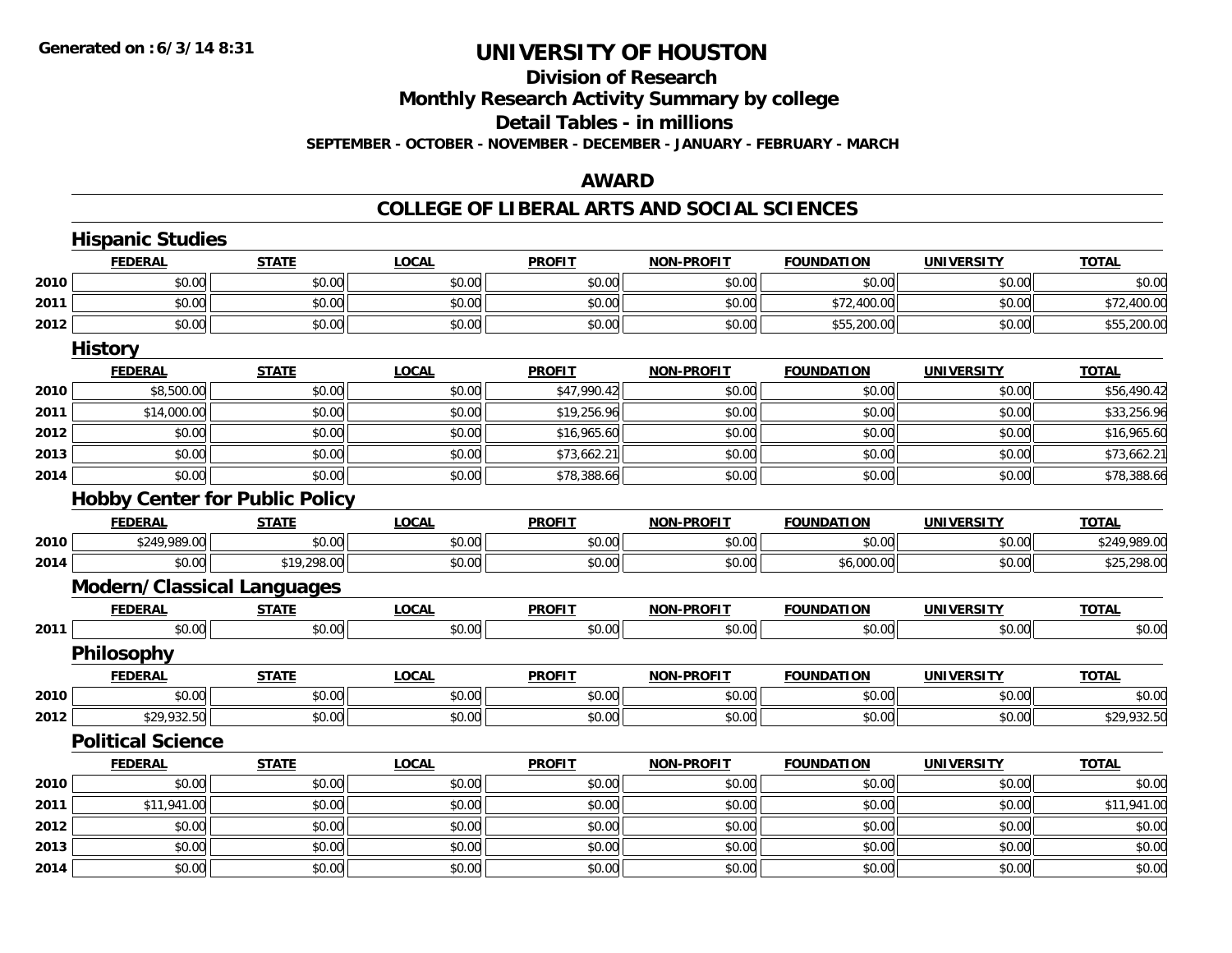### **Division of ResearchMonthly Research Activity Summary by college Detail Tables - in millions SEPTEMBER - OCTOBER - NOVEMBER - DECEMBER - JANUARY - FEBRUARY - MARCH**

### **AWARD**

|      | <b>Hispanic Studies</b>               |              |              |               |                   |                   |                   |              |
|------|---------------------------------------|--------------|--------------|---------------|-------------------|-------------------|-------------------|--------------|
|      | <b>FEDERAL</b>                        | <b>STATE</b> | <b>LOCAL</b> | <b>PROFIT</b> | <b>NON-PROFIT</b> | <b>FOUNDATION</b> | <b>UNIVERSITY</b> | <b>TOTAL</b> |
| 2010 | \$0.00                                | \$0.00       | \$0.00       | \$0.00        | \$0.00            | \$0.00            | \$0.00            | \$0.00       |
| 2011 | \$0.00                                | \$0.00       | \$0.00       | \$0.00        | \$0.00            | \$72,400.00       | \$0.00            | \$72,400.00  |
| 2012 | \$0.00                                | \$0.00       | \$0.00       | \$0.00        | \$0.00            | \$55,200.00       | \$0.00            | \$55,200.00  |
|      | <b>History</b>                        |              |              |               |                   |                   |                   |              |
|      | <b>FEDERAL</b>                        | <b>STATE</b> | <b>LOCAL</b> | <b>PROFIT</b> | <b>NON-PROFIT</b> | <b>FOUNDATION</b> | <b>UNIVERSITY</b> | <b>TOTAL</b> |
| 2010 | \$8,500.00                            | \$0.00       | \$0.00       | \$47,990.42   | \$0.00            | \$0.00            | \$0.00            | \$56,490.42  |
| 2011 | \$14,000.00                           | \$0.00       | \$0.00       | \$19,256.96   | \$0.00            | \$0.00            | \$0.00            | \$33,256.96  |
| 2012 | \$0.00                                | \$0.00       | \$0.00       | \$16,965.60   | \$0.00            | \$0.00            | \$0.00            | \$16,965.60  |
| 2013 | \$0.00                                | \$0.00       | \$0.00       | \$73,662.21   | \$0.00            | \$0.00            | \$0.00            | \$73,662.21  |
| 2014 | \$0.00                                | \$0.00       | \$0.00       | \$78,388.66   | \$0.00            | \$0.00            | \$0.00            | \$78,388.66  |
|      | <b>Hobby Center for Public Policy</b> |              |              |               |                   |                   |                   |              |
|      | <b>FEDERAL</b>                        | <b>STATE</b> | <b>LOCAL</b> | <b>PROFIT</b> | <b>NON-PROFIT</b> | <b>FOUNDATION</b> | <b>UNIVERSITY</b> | <b>TOTAL</b> |
| 2010 | \$249,989.00                          | \$0.00       | \$0.00       | \$0.00        | \$0.00            | \$0.00            | \$0.00            | \$249,989.00 |
| 2014 | \$0.00                                | \$19,298.00  | \$0.00       | \$0.00        | \$0.00            | \$6,000.00        | \$0.00            | \$25,298.00  |
|      | <b>Modern/Classical Languages</b>     |              |              |               |                   |                   |                   |              |
|      | <b>FEDERAL</b>                        | <b>STATE</b> | <b>LOCAL</b> | <b>PROFIT</b> | <b>NON-PROFIT</b> | <b>FOUNDATION</b> | <b>UNIVERSITY</b> | <b>TOTAL</b> |
| 2011 | \$0.00                                | \$0.00       | \$0.00       | \$0.00        | \$0.00            | \$0.00            | \$0.00            | \$0.00       |
|      | Philosophy                            |              |              |               |                   |                   |                   |              |
|      | <b>FEDERAL</b>                        | <b>STATE</b> | <b>LOCAL</b> | <b>PROFIT</b> | <b>NON-PROFIT</b> | <b>FOUNDATION</b> | <b>UNIVERSITY</b> | <b>TOTAL</b> |
| 2010 | \$0.00                                | \$0.00       | \$0.00       | \$0.00        | \$0.00            | \$0.00            | \$0.00            | \$0.00       |
| 2012 | \$29,932.50                           | \$0.00       | \$0.00       | \$0.00        | \$0.00            | \$0.00            | \$0.00            | \$29,932.50  |
|      | <b>Political Science</b>              |              |              |               |                   |                   |                   |              |
|      | <b>FEDERAL</b>                        | <b>STATE</b> | <b>LOCAL</b> | <b>PROFIT</b> | <b>NON-PROFIT</b> | <b>FOUNDATION</b> | <b>UNIVERSITY</b> | <b>TOTAL</b> |
| 2010 | \$0.00                                | \$0.00       | \$0.00       | \$0.00        | \$0.00            | \$0.00            | \$0.00            | \$0.00       |
| 2011 | \$11,941.00                           | \$0.00       | \$0.00       | \$0.00        | \$0.00            | \$0.00            | \$0.00            | \$11,941.00  |
| 2012 | \$0.00                                | \$0.00       | \$0.00       | \$0.00        | \$0.00            | \$0.00            | \$0.00            | \$0.00       |
| 2013 | \$0.00                                | \$0.00       | \$0.00       | \$0.00        | \$0.00            | \$0.00            | \$0.00            | \$0.00       |
| 2014 | \$0.00                                | \$0.00       | \$0.00       | \$0.00        | \$0.00            | \$0.00            | \$0.00            | \$0.00       |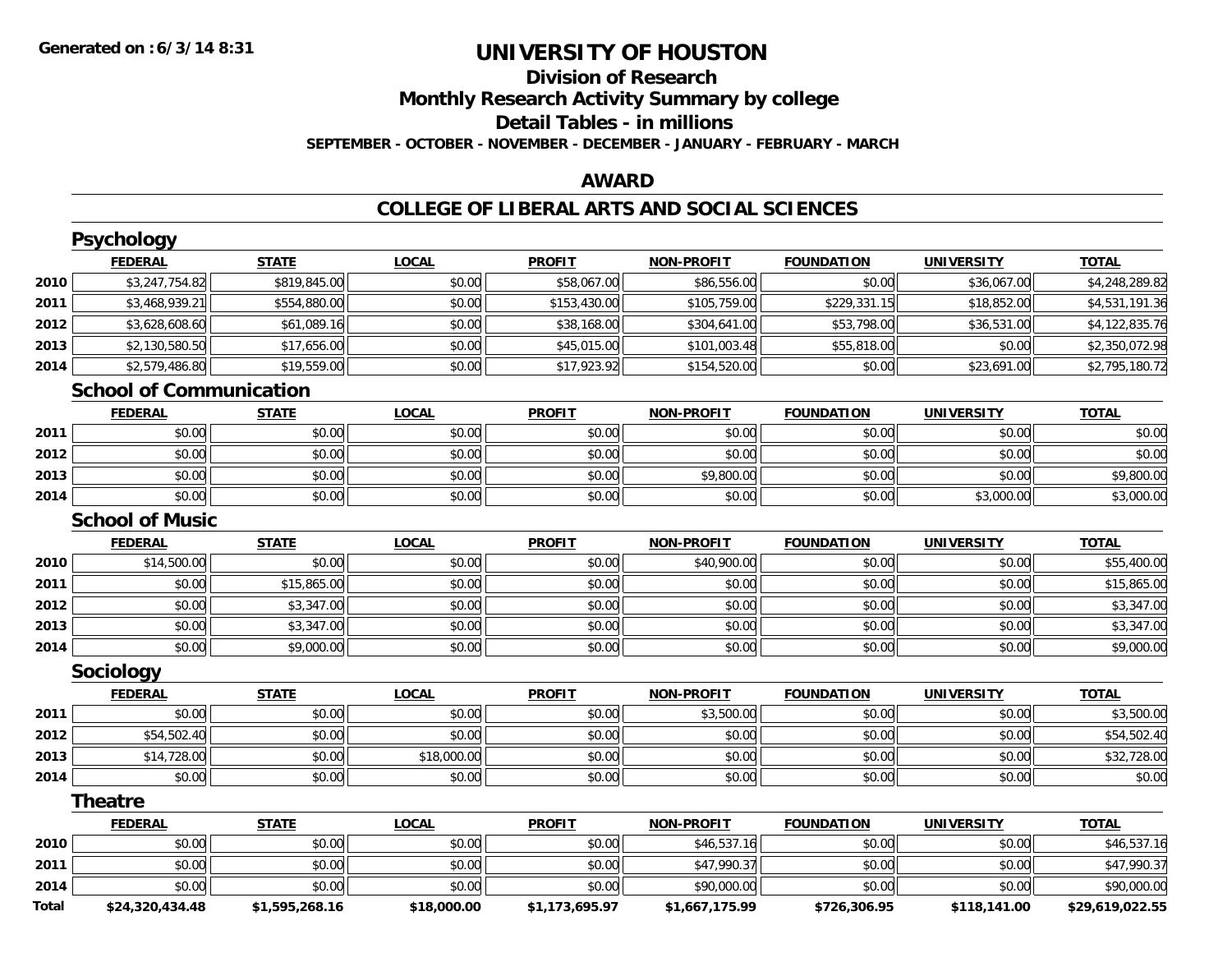### **Division of ResearchMonthly Research Activity Summary by college Detail Tables - in millions SEPTEMBER - OCTOBER - NOVEMBER - DECEMBER - JANUARY - FEBRUARY - MARCH**

### **AWARD**

### **COLLEGE OF LIBERAL ARTS AND SOCIAL SCIENCES**

|              | Psychology                     |                |              |                |                   |                   |                   |                 |
|--------------|--------------------------------|----------------|--------------|----------------|-------------------|-------------------|-------------------|-----------------|
|              | <b>FEDERAL</b>                 | <b>STATE</b>   | <b>LOCAL</b> | <b>PROFIT</b>  | <b>NON-PROFIT</b> | <b>FOUNDATION</b> | <b>UNIVERSITY</b> | <b>TOTAL</b>    |
| 2010         | \$3,247,754.82                 | \$819,845.00   | \$0.00       | \$58,067.00    | \$86,556.00       | \$0.00            | \$36,067.00       | \$4,248,289.82  |
| 2011         | \$3,468,939.21                 | \$554,880.00   | \$0.00       | \$153,430.00   | \$105,759.00      | \$229,331.15      | \$18,852.00       | \$4,531,191.36  |
| 2012         | \$3,628,608.60                 | \$61,089.16    | \$0.00       | \$38,168.00    | \$304,641.00      | \$53,798.00       | \$36,531.00       | \$4,122,835.76  |
| 2013         | \$2,130,580.50                 | \$17,656.00    | \$0.00       | \$45,015.00    | \$101,003.48      | \$55,818.00       | \$0.00            | \$2,350,072.98  |
| 2014         | \$2,579,486.80                 | \$19,559.00    | \$0.00       | \$17,923.92    | \$154,520.00      | \$0.00            | \$23,691.00       | \$2,795,180.72  |
|              | <b>School of Communication</b> |                |              |                |                   |                   |                   |                 |
|              | <b>FEDERAL</b>                 | <b>STATE</b>   | <b>LOCAL</b> | <b>PROFIT</b>  | <b>NON-PROFIT</b> | <b>FOUNDATION</b> | <b>UNIVERSITY</b> | <b>TOTAL</b>    |
| 2011         | \$0.00                         | \$0.00         | \$0.00       | \$0.00         | \$0.00            | \$0.00            | \$0.00            | \$0.00          |
| 2012         | \$0.00                         | \$0.00         | \$0.00       | \$0.00         | \$0.00            | \$0.00            | \$0.00            | \$0.00          |
| 2013         | \$0.00                         | \$0.00         | \$0.00       | \$0.00         | \$9,800.00        | \$0.00            | \$0.00            | \$9,800.00      |
| 2014         | \$0.00                         | \$0.00         | \$0.00       | \$0.00         | \$0.00            | \$0.00            | \$3,000.00        | \$3,000.00      |
|              | <b>School of Music</b>         |                |              |                |                   |                   |                   |                 |
|              | <b>FEDERAL</b>                 | <b>STATE</b>   | <b>LOCAL</b> | <b>PROFIT</b>  | <b>NON-PROFIT</b> | <b>FOUNDATION</b> | <b>UNIVERSITY</b> | <b>TOTAL</b>    |
| 2010         | \$14,500.00                    | \$0.00         | \$0.00       | \$0.00         | \$40,900.00       | \$0.00            | \$0.00            | \$55,400.00     |
| 2011         | \$0.00                         | \$15,865.00    | \$0.00       | \$0.00         | \$0.00            | \$0.00            | \$0.00            | \$15,865.00     |
| 2012         | \$0.00                         | \$3,347.00     | \$0.00       | \$0.00         | \$0.00            | \$0.00            | \$0.00            | \$3,347.00      |
| 2013         | \$0.00                         | \$3,347.00     | \$0.00       | \$0.00         | \$0.00            | \$0.00            | \$0.00            | \$3,347.00      |
| 2014         | \$0.00                         | \$9,000.00     | \$0.00       | \$0.00         | \$0.00            | \$0.00            | \$0.00            | \$9,000.00      |
|              | Sociology                      |                |              |                |                   |                   |                   |                 |
|              | <b>FEDERAL</b>                 | <b>STATE</b>   | <b>LOCAL</b> | <b>PROFIT</b>  | <b>NON-PROFIT</b> | <b>FOUNDATION</b> | <b>UNIVERSITY</b> | <b>TOTAL</b>    |
| 2011         | \$0.00                         | \$0.00         | \$0.00       | \$0.00         | \$3,500.00        | \$0.00            | \$0.00            | \$3,500.00      |
| 2012         | \$54,502.40                    | \$0.00         | \$0.00       | \$0.00         | \$0.00            | \$0.00            | \$0.00            | \$54,502.40     |
| 2013         | \$14,728.00                    | \$0.00         | \$18,000.00  | \$0.00         | \$0.00            | \$0.00            | \$0.00            | \$32,728.00     |
| 2014         | \$0.00                         | \$0.00         | \$0.00       | \$0.00         | \$0.00            | \$0.00            | \$0.00            | \$0.00          |
|              | <b>Theatre</b>                 |                |              |                |                   |                   |                   |                 |
|              | <b>FEDERAL</b>                 | <b>STATE</b>   | <b>LOCAL</b> | <b>PROFIT</b>  | <b>NON-PROFIT</b> | <b>FOUNDATION</b> | <b>UNIVERSITY</b> | <b>TOTAL</b>    |
| 2010         | \$0.00                         | \$0.00         | \$0.00       | \$0.00         | \$46,537.16       | \$0.00            | \$0.00            | \$46,537.16     |
| 2011         | \$0.00                         | \$0.00         | \$0.00       | \$0.00         | \$47,990.37       | \$0.00            | \$0.00            | \$47,990.37     |
| 2014         | \$0.00                         | \$0.00         | \$0.00       | \$0.00         | \$90,000.00       | \$0.00            | \$0.00            | \$90,000.00     |
| <b>Total</b> | \$24,320,434.48                | \$1,595,268.16 | \$18,000.00  | \$1,173,695.97 | \$1,667,175.99    | \$726,306.95      | \$118,141.00      | \$29.619.022.55 |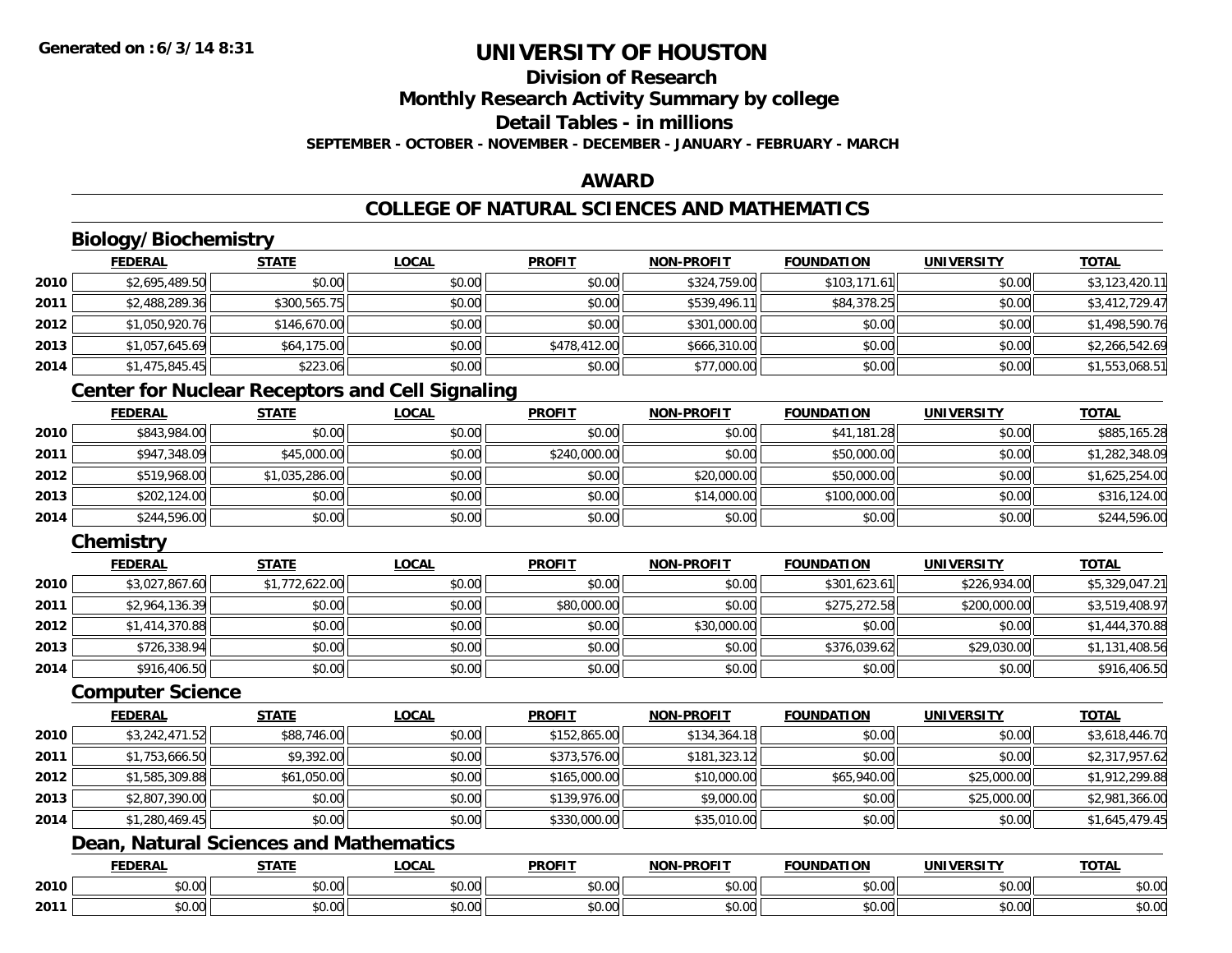#### **Division of ResearchMonthly Research Activity Summary by college Detail Tables - in millionsSEPTEMBER - OCTOBER - NOVEMBER - DECEMBER - JANUARY - FEBRUARY - MARCH**

### **AWARD**

### **COLLEGE OF NATURAL SCIENCES AND MATHEMATICS**

### **Biology/Biochemistry**

|      | <b>FEDERAL</b> | <b>STATE</b> | <u>LOCAL</u> | <b>PROFIT</b> | <b>NON-PROFIT</b> | <b>FOUNDATION</b> | <b>UNIVERSITY</b> | <b>TOTAL</b>   |
|------|----------------|--------------|--------------|---------------|-------------------|-------------------|-------------------|----------------|
| 2010 | \$2,695,489.50 | \$0.00       | \$0.00       | \$0.00        | \$324,759.00      | \$103,171.61      | \$0.00            | \$3,123,420.11 |
| 2011 | \$2,488,289.36 | \$300,565.75 | \$0.00       | \$0.00        | \$539,496.11      | \$84,378.25       | \$0.00            | \$3,412,729.47 |
| 2012 | \$1,050,920.76 | \$146,670.00 | \$0.00       | \$0.00        | \$301,000.00      | \$0.00            | \$0.00            | \$1,498,590.76 |
| 2013 | \$1,057,645.69 | \$64,175.00  | \$0.00       | \$478,412.00  | \$666,310.00      | \$0.00            | \$0.00            | \$2,266,542.69 |
| 2014 | \$1,475,845.45 | \$223.06     | \$0.00       | \$0.00        | \$77,000.00       | \$0.00            | \$0.00            | \$1,553,068.51 |

### **Center for Nuclear Receptors and Cell Signaling**

|      | <b>FEDERAL</b> | <b>STATE</b>   | <u>LOCAL</u> | <b>PROFIT</b> | <b>NON-PROFIT</b> | <b>FOUNDATION</b> | <b>UNIVERSITY</b> | <b>TOTAL</b>   |
|------|----------------|----------------|--------------|---------------|-------------------|-------------------|-------------------|----------------|
| 2010 | \$843,984.00   | \$0.00         | \$0.00       | \$0.00        | \$0.00            | \$41,181.28       | \$0.00            | \$885,165.28   |
| 2011 | \$947,348.09   | \$45,000.00    | \$0.00       | \$240,000.00  | \$0.00            | \$50,000.00       | \$0.00            | \$1,282,348.09 |
| 2012 | \$519,968.00   | \$1,035,286.00 | \$0.00       | \$0.00        | \$20,000.00       | \$50,000.00       | \$0.00            | \$1,625,254.00 |
| 2013 | \$202,124.00   | \$0.00         | \$0.00       | \$0.00        | \$14,000.00       | \$100,000.00      | \$0.00            | \$316,124.00   |
| 2014 | \$244,596.00   | \$0.00         | \$0.00       | \$0.00        | \$0.00            | \$0.00            | \$0.00            | \$244,596.00   |

### **Chemistry**

|      | <b>FEDERAL</b> | <b>STATE</b>   | <b>LOCAL</b> | <b>PROFIT</b> | <b>NON-PROFIT</b> | <b>FOUNDATION</b> | <b>UNIVERSITY</b> | <b>TOTAL</b>   |
|------|----------------|----------------|--------------|---------------|-------------------|-------------------|-------------------|----------------|
| 2010 | \$3,027,867.60 | \$1,772,622.00 | \$0.00       | \$0.00        | \$0.00            | \$301,623.61      | \$226,934.00      | \$5,329,047.21 |
| 2011 | \$2,964,136.39 | \$0.00         | \$0.00       | \$80,000.00   | \$0.00            | \$275,272.58      | \$200,000.00      | \$3,519,408.97 |
| 2012 | \$1,414,370.88 | \$0.00         | \$0.00       | \$0.00        | \$30,000.00       | \$0.00            | \$0.00            | \$1,444,370.88 |
| 2013 | \$726,338.94   | \$0.00         | \$0.00       | \$0.00        | \$0.00            | \$376,039.62      | \$29,030.00       | \$1,131,408.56 |
| 2014 | \$916,406.50   | \$0.00         | \$0.00       | \$0.00        | \$0.00            | \$0.00            | \$0.00            | \$916,406.50   |

#### **Computer Science**

|      | <b>FEDERAL</b> | <b>STATE</b> | <b>LOCAL</b> | <b>PROFIT</b> | <b>NON-PROFIT</b> | <b>FOUNDATION</b> | <b>UNIVERSITY</b> | <b>TOTAL</b>   |
|------|----------------|--------------|--------------|---------------|-------------------|-------------------|-------------------|----------------|
| 2010 | \$3,242,471.52 | \$88,746.00  | \$0.00       | \$152,865.00  | \$134,364.18      | \$0.00            | \$0.00            | \$3,618,446.70 |
| 2011 | \$1,753,666.50 | \$9,392.00   | \$0.00       | \$373,576.00  | \$181,323.12      | \$0.00            | \$0.00            | \$2,317,957.62 |
| 2012 | \$1,585,309.88 | \$61,050.00  | \$0.00       | \$165,000.00  | \$10,000.00       | \$65,940.00       | \$25,000.00       | \$1,912,299.88 |
| 2013 | \$2,807,390.00 | \$0.00       | \$0.00       | \$139,976.00  | \$9,000.00        | \$0.00            | \$25,000.00       | \$2,981,366.00 |
| 2014 | \$1,280,469.45 | \$0.00       | \$0.00       | \$330,000.00  | \$35,010.00       | \$0.00            | \$0.00            | \$1,645,479.45 |

### **Dean, Natural Sciences and Mathematics**

|      | <b>FEDERAL</b> | <b>CTATE</b>    | LOCAI              | <b>PROFIT</b> | <b>DDAEIT</b><br><b>MAN</b><br>ж. | <b>FOUNDATION</b> | UNIVERSITY           | <b>TOTAL</b>             |
|------|----------------|-----------------|--------------------|---------------|-----------------------------------|-------------------|----------------------|--------------------------|
| 2010 | ልስ ባህ<br>שט.טע | ሖጣ<br>JU.UU     | $\sim$ 00<br>DU.UU | 0000<br>JU.UU | $\sim$<br>$\sim$<br>PO.OO         | 0000<br>JU.UU     | 0000<br><b>DU.UG</b> | $\sim$<br><b>JU.UU</b>   |
| 2011 | \$0.00         | $\sim$<br>JU.UU | $\sim$ 00<br>PU.UU | 0000<br>JU.UU | 0.00<br>vv.vv                     | 0.00<br>JU.UU     | 0000<br><b>DU.UG</b> | $\cdots$<br><b>JU.UU</b> |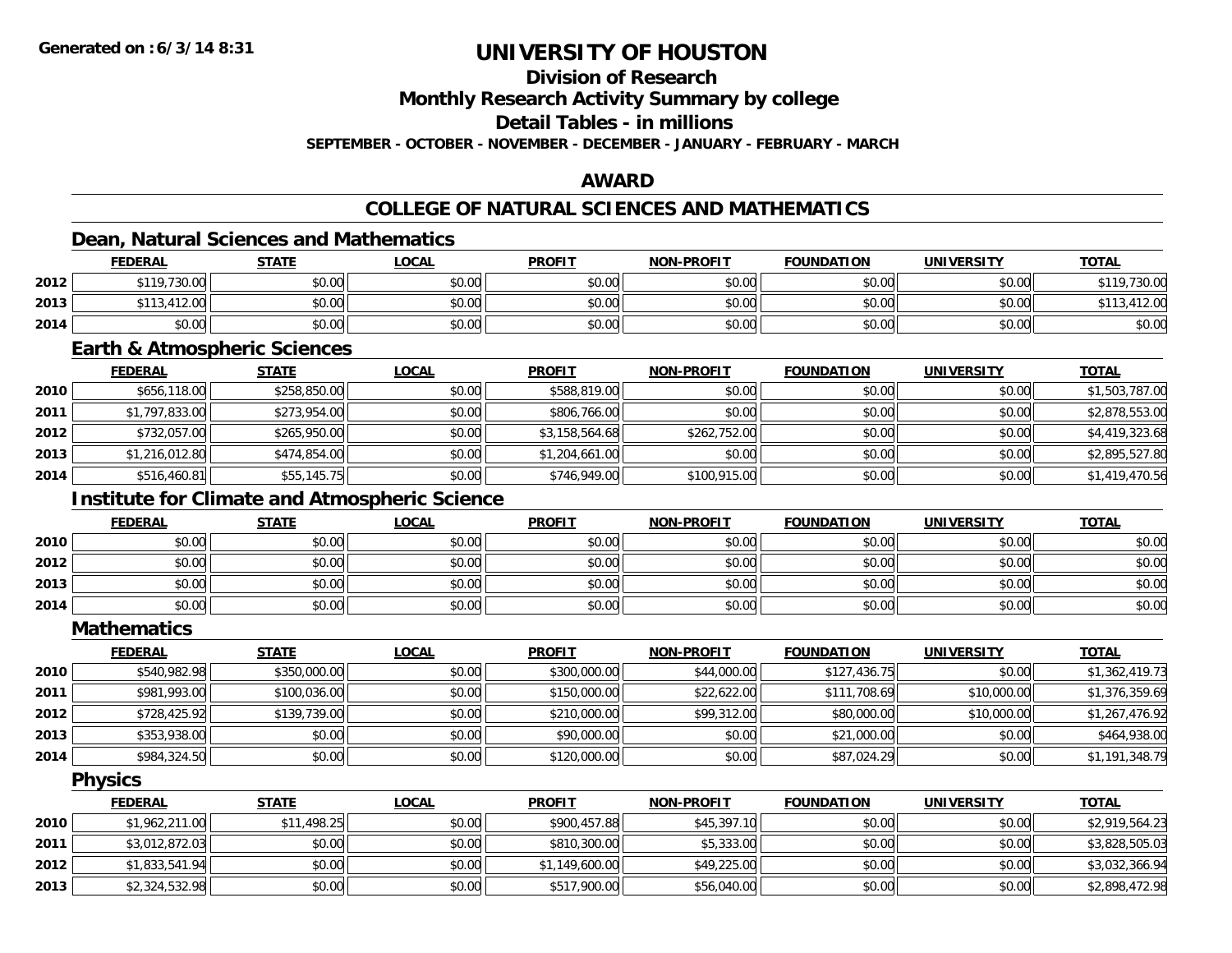### **Division of Research**

**Monthly Research Activity Summary by college**

**Detail Tables - in millions**

**SEPTEMBER - OCTOBER - NOVEMBER - DECEMBER - JANUARY - FEBRUARY - MARCH**

### **AWARD**

### **COLLEGE OF NATURAL SCIENCES AND MATHEMATICS**

### **Dean, Natural Sciences and Mathematics**

|      | <b>FEDERAL</b>         | <b>STATE</b> | LOCAL  | <b>PROFIT</b> | <b>NON-PROFIT</b> | <b>FOUNDATION</b> | UNIVERSITY | <b>TOTAL</b> |
|------|------------------------|--------------|--------|---------------|-------------------|-------------------|------------|--------------|
| 2012 | \$119,730.00           | \$0.00       | \$0.00 | \$0.00        | \$0.00            | \$0.00            | \$0.00     | \$119,730.00 |
| 2013 | .412.00<br>$+110$<br>. | \$0.00       | \$0.00 | \$0.00        | \$0.00            | \$0.00            | \$0.00     |              |
| 2014 | \$0.00                 | \$0.00       | \$0.00 | \$0.00        | \$0.00            | \$0.00            | \$0.00     | \$0.00       |

#### **Earth & Atmospheric Sciences**

|      | <b>FEDERAL</b> | <b>STATE</b> | <b>LOCAL</b> | <b>PROFIT</b>  | <b>NON-PROFIT</b> | <b>FOUNDATION</b> | <b>UNIVERSITY</b> | <u>TOTAL</u>   |
|------|----------------|--------------|--------------|----------------|-------------------|-------------------|-------------------|----------------|
| 2010 | \$656,118.00   | \$258,850.00 | \$0.00       | \$588,819.00   | \$0.00            | \$0.00            | \$0.00            | \$1,503,787.00 |
| 2011 | \$1,797,833.00 | \$273,954.00 | \$0.00       | \$806,766.00   | \$0.00            | \$0.00            | \$0.00            | \$2,878,553.00 |
| 2012 | \$732,057.00   | \$265,950.00 | \$0.00       | \$3,158,564.68 | \$262,752.00      | \$0.00            | \$0.00            | \$4,419,323.68 |
| 2013 | \$1,216,012.80 | \$474,854,00 | \$0.00       | \$1,204,661.00 | \$0.00            | \$0.00            | \$0.00            | \$2,895,527.80 |
| 2014 | \$516,460.81   | \$55,145.75  | \$0.00       | \$746,949.00   | \$100,915.00      | \$0.00            | \$0.00            | \$1,419,470.56 |

### **Institute for Climate and Atmospheric Science**

|      | <b>FEDERAL</b> | <b>STATE</b> | <u>LOCAL</u> | <b>PROFIT</b> | <b>NON-PROFIT</b> | <b>FOUNDATION</b> | <b>UNIVERSITY</b> | <b>TOTAL</b> |
|------|----------------|--------------|--------------|---------------|-------------------|-------------------|-------------------|--------------|
| 2010 | \$0.00         | \$0.00       | \$0.00       | \$0.00        | \$0.00            | \$0.00            | \$0.00            | \$0.00       |
| 2012 | \$0.00         | \$0.00       | \$0.00       | \$0.00        | \$0.00            | \$0.00            | \$0.00            | \$0.00       |
| 2013 | \$0.00         | \$0.00       | \$0.00       | \$0.00        | \$0.00            | \$0.00            | \$0.00            | \$0.00       |
| 2014 | \$0.00         | \$0.00       | \$0.00       | \$0.00        | \$0.00            | \$0.00            | \$0.00            | \$0.00       |

**Mathematics**

|      | <b>FEDERAL</b> | <b>STATE</b> | <u>LOCAL</u> | <b>PROFIT</b> | <b>NON-PROFIT</b> | <b>FOUNDATION</b> | <b>UNIVERSITY</b> | <b>TOTAL</b>   |
|------|----------------|--------------|--------------|---------------|-------------------|-------------------|-------------------|----------------|
| 2010 | \$540,982.98   | \$350,000.00 | \$0.00       | \$300,000.00  | \$44,000.00       | \$127,436.75      | \$0.00            | \$1,362,419.73 |
| 2011 | \$981,993.00   | \$100,036.00 | \$0.00       | \$150,000.00  | \$22,622.00       | \$111,708.69      | \$10,000.00       | \$1,376,359.69 |
| 2012 | \$728,425.92   | \$139,739.00 | \$0.00       | \$210,000.00  | \$99,312.00       | \$80,000.00       | \$10,000.00       | \$1,267,476.92 |
| 2013 | \$353,938.00   | \$0.00       | \$0.00       | \$90,000.00   | \$0.00            | \$21,000.00       | \$0.00            | \$464,938.00   |
| 2014 | \$984,324.50   | \$0.00       | \$0.00       | \$120,000.00  | \$0.00            | \$87,024.29       | \$0.00            | \$1,191,348.79 |

**Physics**

|      | <b>FEDERAL</b> | <u>STATE</u> | <u>LOCAL</u> | <b>PROFIT</b>  | <b>NON-PROFIT</b> | <b>FOUNDATION</b> | <b>UNIVERSITY</b> | <b>TOTAL</b>   |
|------|----------------|--------------|--------------|----------------|-------------------|-------------------|-------------------|----------------|
| 2010 | \$1,962,211.00 | \$11,498.25  | \$0.00       | \$900,457.88   | \$45,397.10       | \$0.00            | \$0.00            | \$2,919,564.23 |
| 2011 | \$3,012,872.03 | \$0.00       | \$0.00       | \$810,300.00   | \$5,333.00        | \$0.00            | \$0.00            | \$3,828,505.03 |
| 2012 | \$1,833,541.94 | \$0.00       | \$0.00       | \$1,149,600.00 | \$49,225.00       | \$0.00            | \$0.00            | \$3,032,366.94 |
| 2013 | \$2,324,532.98 | \$0.00       | \$0.00       | \$517,900.00   | \$56,040.00       | \$0.00            | \$0.00            | \$2,898,472.98 |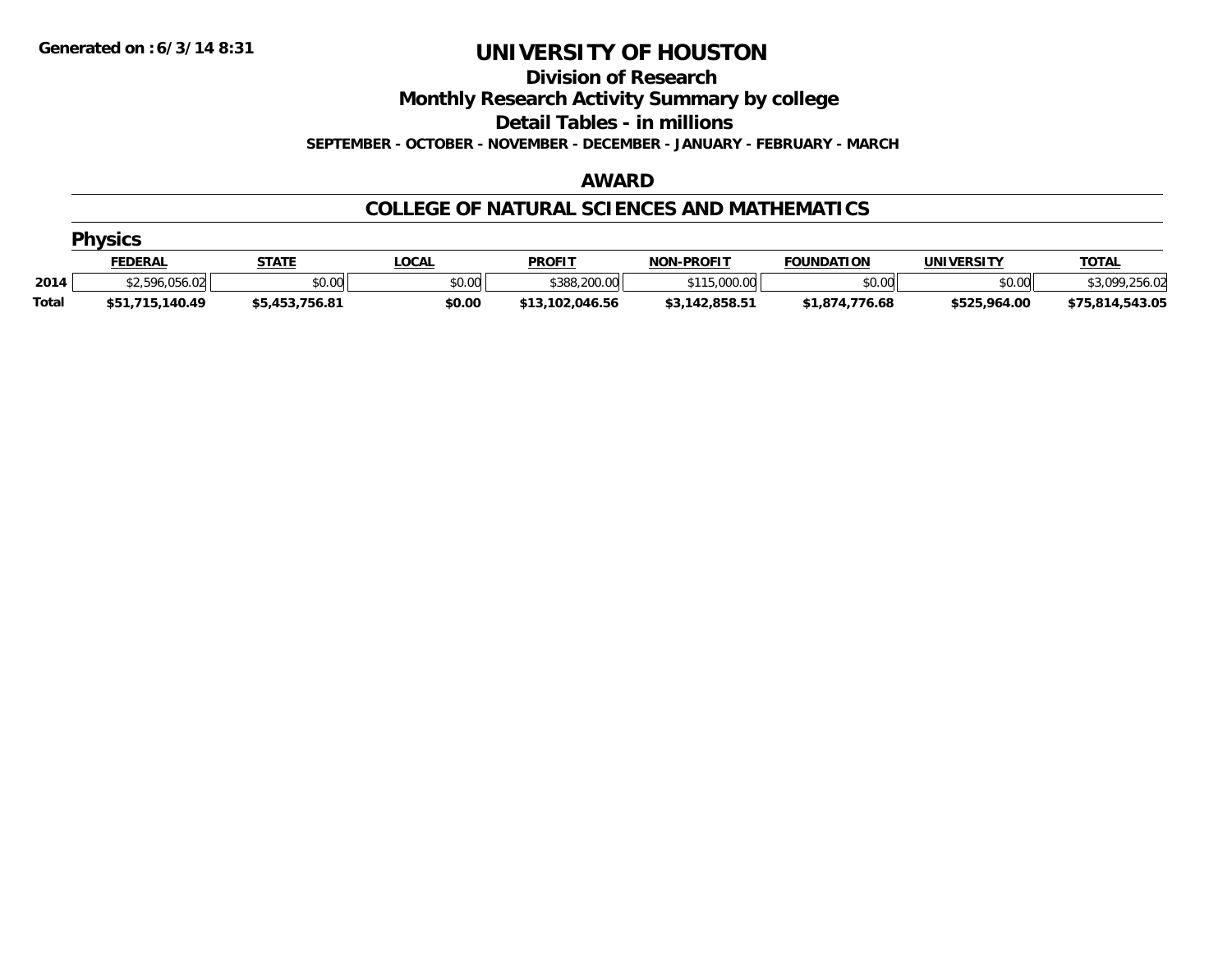#### **Division of Research**

**Monthly Research Activity Summary by college**

**Detail Tables - in millions**

**SEPTEMBER - OCTOBER - NOVEMBER - DECEMBER - JANUARY - FEBRUARY - MARCH**

#### **AWARD**

#### **COLLEGE OF NATURAL SCIENCES AND MATHEMATICS**

|              | <b>Physics</b>  |                |             |                 |                   |                   |              |                 |  |  |  |  |
|--------------|-----------------|----------------|-------------|-----------------|-------------------|-------------------|--------------|-----------------|--|--|--|--|
|              | <b>FEDERAL</b>  | <b>STATE</b>   | <b>OCAL</b> | <b>PROFIT</b>   | <b>NON-PROFIT</b> | <b>FOUNDATION</b> | UNIVERSITY   | <b>TOTAL</b>    |  |  |  |  |
| 2014         | \$2,596,056.02  | \$0.00         | \$0.00      | \$388,200.00    | \$115,000.00      | \$0.00            | \$0.00       | \$3,099,256.02  |  |  |  |  |
| <b>Total</b> | \$51,715,140.49 | \$5,453,756.81 | \$0.00      | \$13,102,046.56 | \$3,142,858.51    | \$1,874,776.68    | \$525,964.00 | \$75,814,543.05 |  |  |  |  |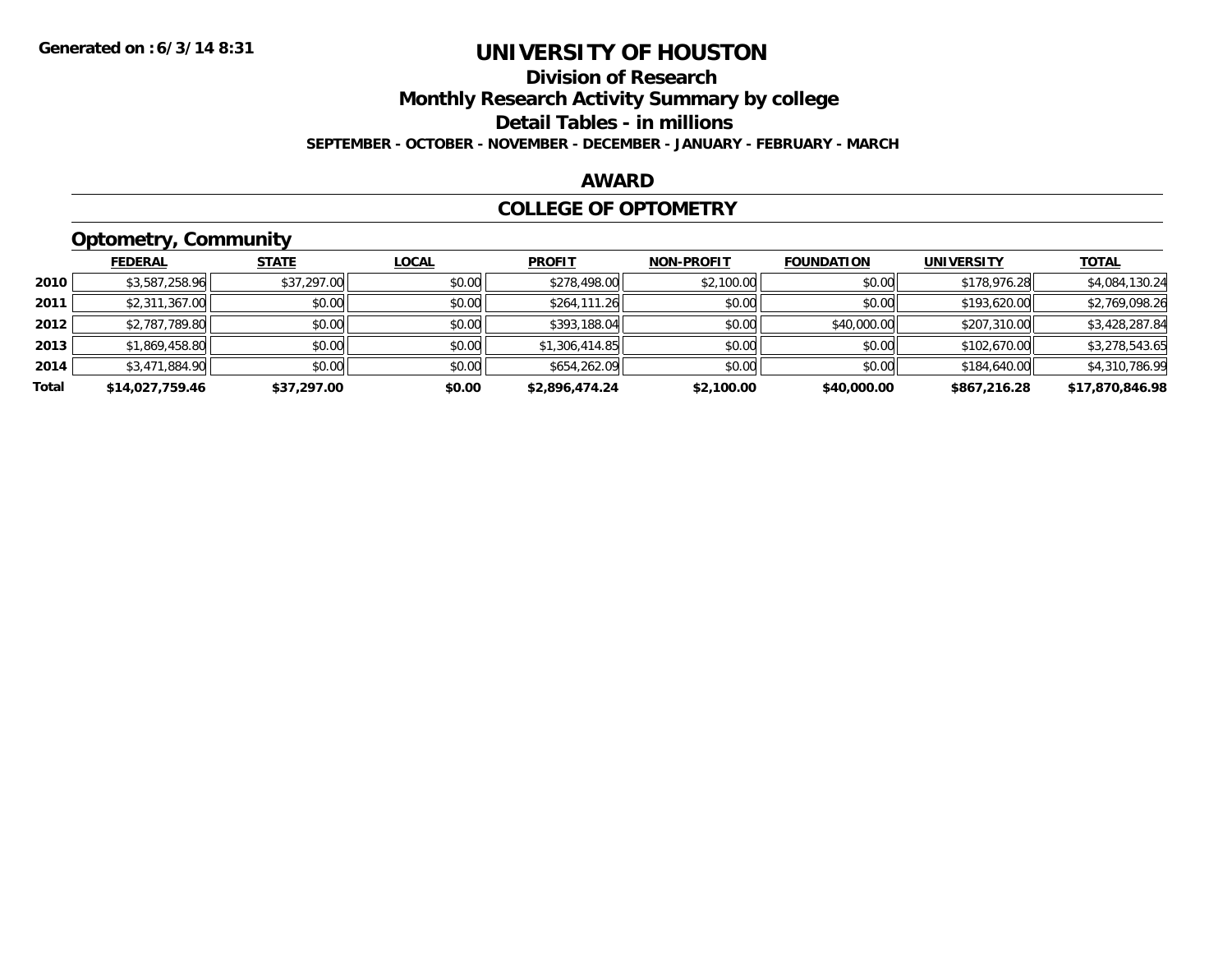### **Division of ResearchMonthly Research Activity Summary by college Detail Tables - in millions SEPTEMBER - OCTOBER - NOVEMBER - DECEMBER - JANUARY - FEBRUARY - MARCH**

#### **AWARD**

### **COLLEGE OF OPTOMETRY**

### **Optometry, Community**

|       | <b>FEDERAL</b>  | <b>STATE</b> | <b>LOCAL</b> | <b>PROFIT</b>  | <b>NON-PROFIT</b> | <b>FOUNDATION</b> | <b>UNIVERSITY</b> | <b>TOTAL</b>    |
|-------|-----------------|--------------|--------------|----------------|-------------------|-------------------|-------------------|-----------------|
| 2010  | \$3,587,258.96  | \$37,297.00  | \$0.00       | \$278,498.00   | \$2,100.00        | \$0.00            | \$178,976.28      | \$4,084,130.24  |
| 2011  | \$2,311,367.00  | \$0.00       | \$0.00       | \$264,111.26   | \$0.00            | \$0.00            | \$193,620.00      | \$2,769,098.26  |
| 2012  | \$2,787,789.80  | \$0.00       | \$0.00       | \$393,188.04   | \$0.00            | \$40,000.00       | \$207,310.00      | \$3,428,287.84  |
| 2013  | \$1,869,458.80  | \$0.00       | \$0.00       | \$1,306,414.85 | \$0.00            | \$0.00            | \$102,670.00      | \$3,278,543.65  |
| 2014  | \$3,471,884.90  | \$0.00       | \$0.00       | \$654,262.09   | \$0.00            | \$0.00            | \$184,640.00      | \$4,310,786.99  |
| Total | \$14,027,759.46 | \$37,297.00  | \$0.00       | \$2,896,474.24 | \$2,100.00        | \$40,000.00       | \$867,216.28      | \$17,870,846.98 |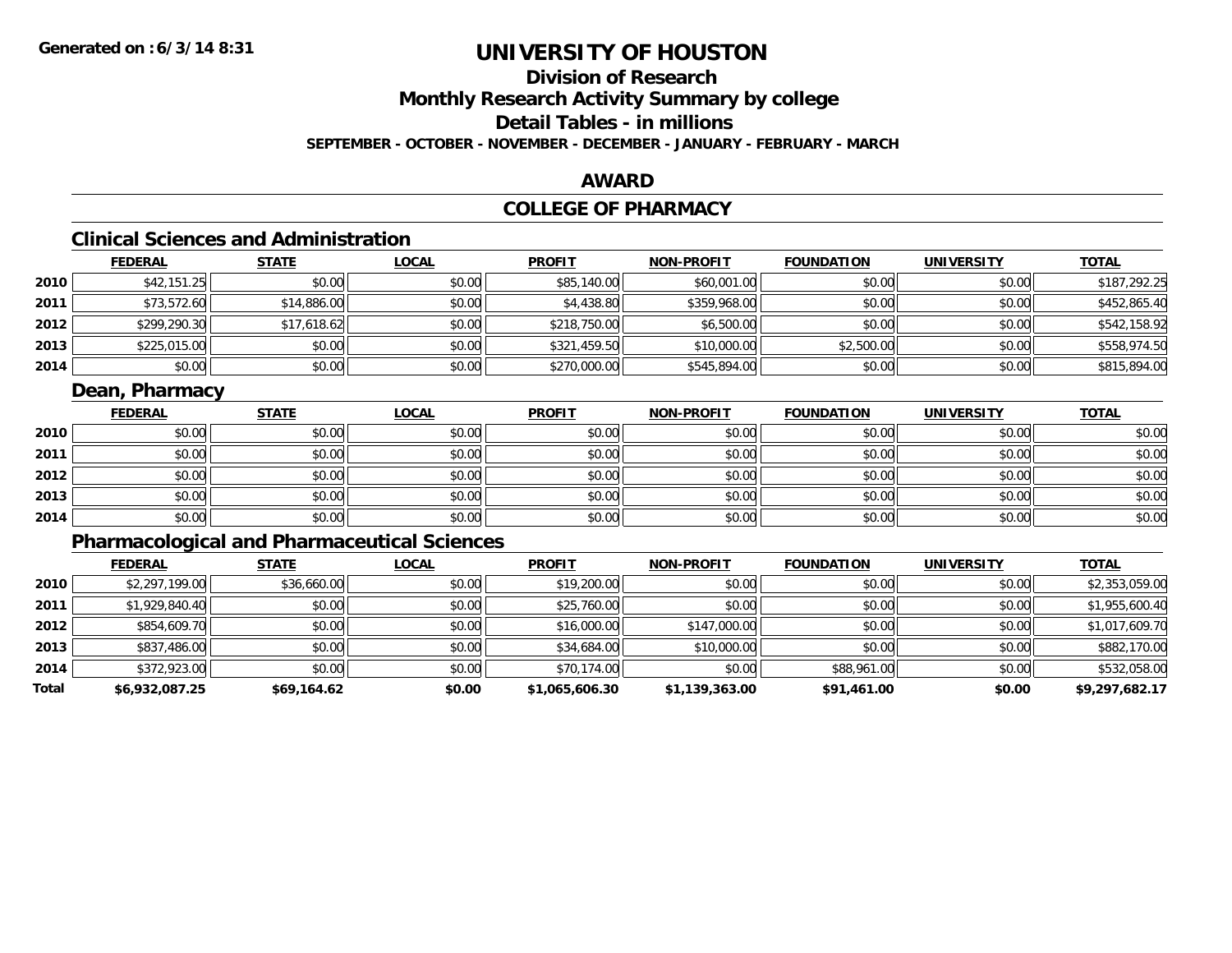### **Division of Research**

**Monthly Research Activity Summary by college**

**Detail Tables - in millions**

**SEPTEMBER - OCTOBER - NOVEMBER - DECEMBER - JANUARY - FEBRUARY - MARCH**

### **AWARD**

### **COLLEGE OF PHARMACY**

### **Clinical Sciences and Administration**

|      | <b>FEDERAL</b> | <b>STATE</b> | <b>LOCAL</b> | <b>PROFIT</b> | <b>NON-PROFIT</b> | <b>FOUNDATION</b> | <b>UNIVERSITY</b> | <b>TOTAL</b> |
|------|----------------|--------------|--------------|---------------|-------------------|-------------------|-------------------|--------------|
| 2010 | \$42,151.25    | \$0.00       | \$0.00       | \$85,140.00   | \$60,001.00       | \$0.00            | \$0.00            | \$187,292.25 |
| 2011 | \$73,572.60    | \$14,886.00  | \$0.00       | \$4,438.80    | \$359,968.00      | \$0.00            | \$0.00            | \$452,865.40 |
| 2012 | \$299,290.30   | \$17,618.62  | \$0.00       | \$218,750.00  | \$6,500.00        | \$0.00            | \$0.00            | \$542,158.92 |
| 2013 | \$225,015.00   | \$0.00       | \$0.00       | \$321,459.50  | \$10,000.00       | \$2,500.00        | \$0.00            | \$558,974.50 |
| 2014 | \$0.00         | \$0.00       | \$0.00       | \$270,000.00  | \$545,894.00      | \$0.00            | \$0.00            | \$815,894.00 |

### **Dean, Pharmacy**

|      | <b>FEDERAL</b> | <b>STATE</b> | <u>LOCAL</u> | <b>PROFIT</b> | <b>NON-PROFIT</b> | <b>FOUNDATION</b> | <b>UNIVERSITY</b> | <b>TOTAL</b> |
|------|----------------|--------------|--------------|---------------|-------------------|-------------------|-------------------|--------------|
| 2010 | \$0.00         | \$0.00       | \$0.00       | \$0.00        | \$0.00            | \$0.00            | \$0.00            | \$0.00       |
| 2011 | \$0.00         | \$0.00       | \$0.00       | \$0.00        | \$0.00            | \$0.00            | \$0.00            | \$0.00       |
| 2012 | \$0.00         | \$0.00       | \$0.00       | \$0.00        | \$0.00            | \$0.00            | \$0.00            | \$0.00       |
| 2013 | \$0.00         | \$0.00       | \$0.00       | \$0.00        | \$0.00            | \$0.00            | \$0.00            | \$0.00       |
| 2014 | \$0.00         | \$0.00       | \$0.00       | \$0.00        | \$0.00            | \$0.00            | \$0.00            | \$0.00       |

### **Pharmacological and Pharmaceutical Sciences**

|       | <b>FEDERAL</b> | <b>STATE</b> | <b>LOCAL</b> | <b>PROFIT</b>  | <b>NON-PROFIT</b> | <b>FOUNDATION</b> | <b>UNIVERSITY</b> | <b>TOTAL</b>   |
|-------|----------------|--------------|--------------|----------------|-------------------|-------------------|-------------------|----------------|
| 2010  | \$2,297,199.00 | \$36,660.00  | \$0.00       | \$19,200.00    | \$0.00            | \$0.00            | \$0.00            | \$2,353,059.00 |
| 2011  | \$1,929,840.40 | \$0.00       | \$0.00       | \$25,760.00    | \$0.00            | \$0.00            | \$0.00            | \$1,955,600.40 |
| 2012  | \$854,609.70   | \$0.00       | \$0.00       | \$16,000.00    | \$147,000.00      | \$0.00            | \$0.00            | \$1,017,609.70 |
| 2013  | \$837,486.00   | \$0.00       | \$0.00       | \$34,684.00    | \$10,000.00       | \$0.00            | \$0.00            | \$882,170.00   |
| 2014  | \$372,923.00   | \$0.00       | \$0.00       | \$70,174.00    | \$0.00            | \$88,961.00       | \$0.00            | \$532,058.00   |
| Total | \$6,932,087.25 | \$69,164.62  | \$0.00       | \$1,065,606.30 | \$1,139,363.00    | \$91,461.00       | \$0.00            | \$9,297,682.17 |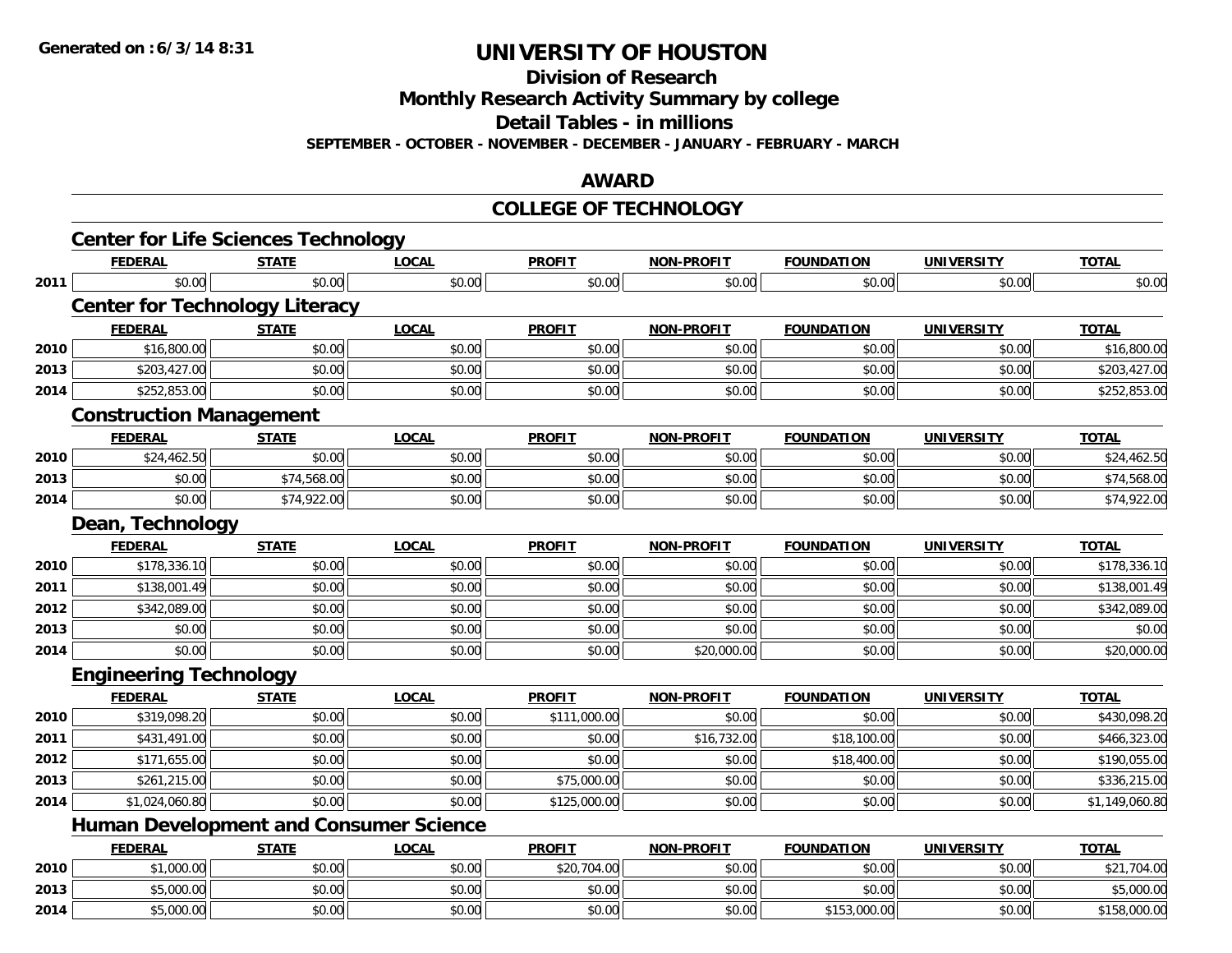**Division of Research**

**Monthly Research Activity Summary by college**

**Detail Tables - in millions**

**SEPTEMBER - OCTOBER - NOVEMBER - DECEMBER - JANUARY - FEBRUARY - MARCH**

### **AWARD**

#### **COLLEGE OF TECHNOLOGY**

|      | <b>Center for Life Sciences Technology</b>    |              |              |               |                   |                   |                   |                |
|------|-----------------------------------------------|--------------|--------------|---------------|-------------------|-------------------|-------------------|----------------|
|      | <b>FEDERAL</b>                                | <b>STATE</b> | <b>LOCAL</b> | <b>PROFIT</b> | <b>NON-PROFIT</b> | <b>FOUNDATION</b> | <b>UNIVERSITY</b> | <b>TOTAL</b>   |
| 2011 | \$0.00                                        | \$0.00       | \$0.00       | \$0.00        | \$0.00            | \$0.00            | \$0.00            | \$0.00         |
|      | <b>Center for Technology Literacy</b>         |              |              |               |                   |                   |                   |                |
|      | <b>FEDERAL</b>                                | <b>STATE</b> | <b>LOCAL</b> | <b>PROFIT</b> | <b>NON-PROFIT</b> | <b>FOUNDATION</b> | <b>UNIVERSITY</b> | <b>TOTAL</b>   |
| 2010 | \$16,800.00                                   | \$0.00       | \$0.00       | \$0.00        | \$0.00            | \$0.00            | \$0.00            | \$16,800.00    |
| 2013 | \$203,427.00                                  | \$0.00       | \$0.00       | \$0.00        | \$0.00            | \$0.00            | \$0.00            | \$203,427.00   |
| 2014 | \$252,853.00                                  | \$0.00       | \$0.00       | \$0.00        | \$0.00            | \$0.00            | \$0.00            | \$252,853.00   |
|      | <b>Construction Management</b>                |              |              |               |                   |                   |                   |                |
|      | <b>FEDERAL</b>                                | <b>STATE</b> | <b>LOCAL</b> | <b>PROFIT</b> | <b>NON-PROFIT</b> | <b>FOUNDATION</b> | <b>UNIVERSITY</b> | <b>TOTAL</b>   |
| 2010 | \$24,462.50                                   | \$0.00       | \$0.00       | \$0.00        | \$0.00            | \$0.00            | \$0.00            | \$24,462.50    |
| 2013 | \$0.00                                        | \$74,568.00  | \$0.00       | \$0.00        | \$0.00            | \$0.00            | \$0.00            | \$74,568.00    |
| 2014 | \$0.00                                        | \$74,922.00  | \$0.00       | \$0.00        | \$0.00            | \$0.00            | \$0.00            | \$74,922.00    |
|      | Dean, Technology                              |              |              |               |                   |                   |                   |                |
|      | <b>FEDERAL</b>                                | <b>STATE</b> | <b>LOCAL</b> | <b>PROFIT</b> | <b>NON-PROFIT</b> | <b>FOUNDATION</b> | <b>UNIVERSITY</b> | <b>TOTAL</b>   |
| 2010 | \$178,336.10                                  | \$0.00       | \$0.00       | \$0.00        | \$0.00            | \$0.00            | \$0.00            | \$178,336.10   |
| 2011 | \$138,001.49                                  | \$0.00       | \$0.00       | \$0.00        | \$0.00            | \$0.00            | \$0.00            | \$138,001.49   |
| 2012 | \$342,089.00                                  | \$0.00       | \$0.00       | \$0.00        | \$0.00            | \$0.00            | \$0.00            | \$342,089.00   |
| 2013 | \$0.00                                        | \$0.00       | \$0.00       | \$0.00        | \$0.00            | \$0.00            | \$0.00            | \$0.00         |
| 2014 | \$0.00                                        | \$0.00       | \$0.00       | \$0.00        | \$20,000.00       | \$0.00            | \$0.00            | \$20,000.00    |
|      | <b>Engineering Technology</b>                 |              |              |               |                   |                   |                   |                |
|      | <b>FEDERAL</b>                                | <b>STATE</b> | <b>LOCAL</b> | <b>PROFIT</b> | <b>NON-PROFIT</b> | <b>FOUNDATION</b> | <b>UNIVERSITY</b> | <b>TOTAL</b>   |
| 2010 | \$319,098.20                                  | \$0.00       | \$0.00       | \$111,000.00  | \$0.00            | \$0.00            | \$0.00            | \$430,098.20   |
| 2011 | \$431,491.00                                  | \$0.00       | \$0.00       | \$0.00        | \$16,732.00       | \$18,100.00       | \$0.00            | \$466,323.00   |
| 2012 | \$171,655.00                                  | \$0.00       | \$0.00       | \$0.00        | \$0.00            | \$18,400.00       | \$0.00            | \$190,055.00   |
| 2013 | \$261,215.00                                  | \$0.00       | \$0.00       | \$75,000.00   | \$0.00            | \$0.00            | \$0.00            | \$336,215.00   |
| 2014 | \$1,024,060.80                                | \$0.00       | \$0.00       | \$125,000.00  | \$0.00            | \$0.00            | \$0.00            | \$1,149,060.80 |
|      | <b>Human Development and Consumer Science</b> |              |              |               |                   |                   |                   |                |
|      | <b>FEDERAL</b>                                | <b>STATE</b> | <b>LOCAL</b> | <b>PROFIT</b> | <b>NON-PROFIT</b> | <b>FOUNDATION</b> | <b>UNIVERSITY</b> | <b>TOTAL</b>   |
| 2010 | \$1,000.00                                    | \$0.00       | \$0.00       | \$20,704.00   | \$0.00            | \$0.00            | \$0.00            | \$21,704.00    |
| 2013 | \$5,000.00                                    | \$0.00       | \$0.00       | \$0.00        | \$0.00            | \$0.00            | \$0.00            | \$5,000.00     |
| 2014 | \$5,000.00                                    | \$0.00       | \$0.00       | \$0.00        | \$0.00            | \$153,000.00      | \$0.00            | \$158,000.00   |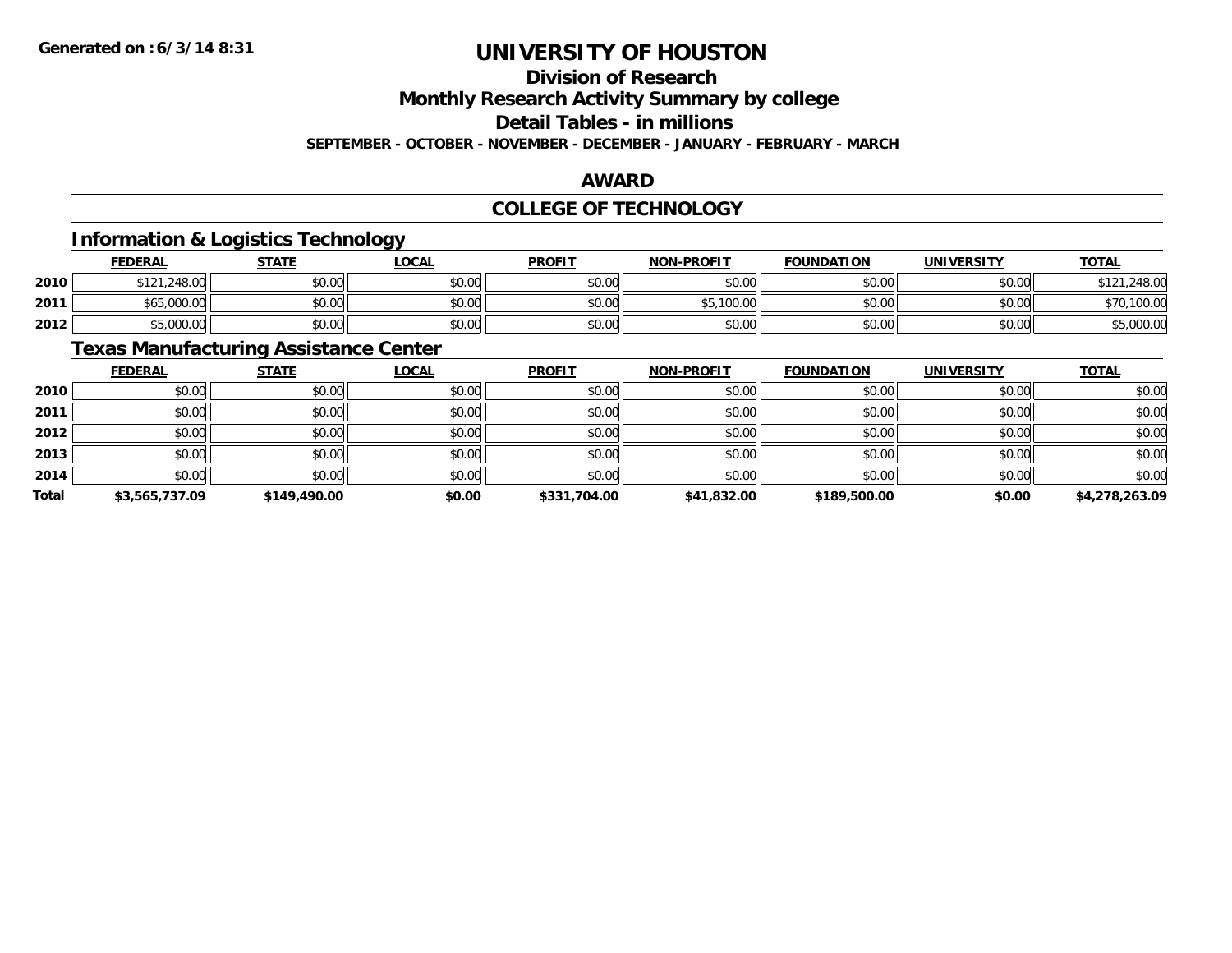### **Division of Research**

**Monthly Research Activity Summary by college**

**Detail Tables - in millions**

**SEPTEMBER - OCTOBER - NOVEMBER - DECEMBER - JANUARY - FEBRUARY - MARCH**

### **AWARD**

### **COLLEGE OF TECHNOLOGY**

### **Information & Logistics Technology**

|      | <b>FEDERAL</b>         | <b>STATE</b>   | <u>LOCAL</u>         | <b>PROFIT</b> | <b>NON-PROFIT</b>    | <b>FOUNDATION</b> | <b>UNIVERSITY</b> | <b>TOTAL</b> |
|------|------------------------|----------------|----------------------|---------------|----------------------|-------------------|-------------------|--------------|
| 2010 | .248.00<br><b>¢121</b> | ደስ ሰሰ<br>DU.UU | 0000<br>JU.UU        | \$0.00        | \$0.00               | \$0.00            | \$0.00            | .248.00      |
| 2011 | \$65,000.00            | \$0.00         | 0000<br>JU.UU        | \$0.00        | $E = 1000$<br>TUU.UU | \$0.00            | \$0.00            | ,100.00      |
| 2012 | \$5,000.00             | \$0.00         | 0000<br><b>DU.UU</b> | \$0.00        | \$0.00               | \$0.00            | \$0.00            | -5,000.0Ր    |

### **Texas Manufacturing Assistance Center**

|       | <b>FEDERAL</b> | <b>STATE</b> | <b>LOCAL</b> | <b>PROFIT</b> | <b>NON-PROFIT</b> | <b>FOUNDATION</b> | <b>UNIVERSITY</b> | <b>TOTAL</b>   |
|-------|----------------|--------------|--------------|---------------|-------------------|-------------------|-------------------|----------------|
| 2010  | \$0.00         | \$0.00       | \$0.00       | \$0.00        | \$0.00            | \$0.00            | \$0.00            | \$0.00         |
| 2011  | \$0.00         | \$0.00       | \$0.00       | \$0.00        | \$0.00            | \$0.00            | \$0.00            | \$0.00         |
| 2012  | \$0.00         | \$0.00       | \$0.00       | \$0.00        | \$0.00            | \$0.00            | \$0.00            | \$0.00         |
| 2013  | \$0.00         | \$0.00       | \$0.00       | \$0.00        | \$0.00            | \$0.00            | \$0.00            | \$0.00         |
| 2014  | \$0.00         | \$0.00       | \$0.00       | \$0.00        | \$0.00            | \$0.00            | \$0.00            | \$0.00         |
| Total | \$3,565,737.09 | \$149,490.00 | \$0.00       | \$331,704.00  | \$41,832.00       | \$189,500.00      | \$0.00            | \$4,278,263.09 |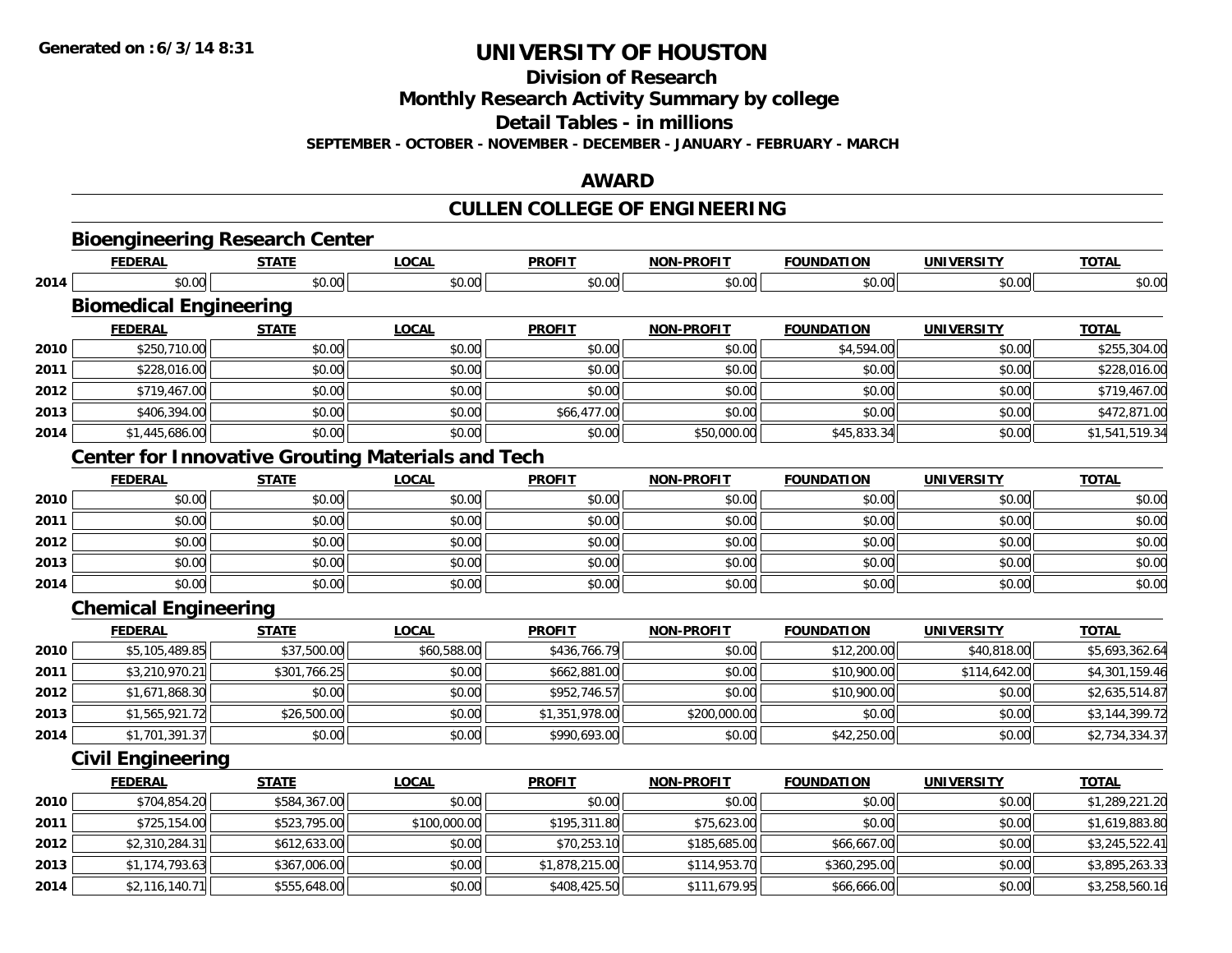**Division of Research**

**Monthly Research Activity Summary by college**

**Detail Tables - in millions**

**SEPTEMBER - OCTOBER - NOVEMBER - DECEMBER - JANUARY - FEBRUARY - MARCH**

#### **AWARD**

### **CULLEN COLLEGE OF ENGINEERING**

|      |                               | <b>Bioengineering Research Center</b>                    |              |                |                   |                   |                   |                |
|------|-------------------------------|----------------------------------------------------------|--------------|----------------|-------------------|-------------------|-------------------|----------------|
|      | <b>FEDERAL</b>                | <b>STATE</b>                                             | <b>LOCAL</b> | <b>PROFIT</b>  | <b>NON-PROFIT</b> | <b>FOUNDATION</b> | <b>UNIVERSITY</b> | <b>TOTAL</b>   |
| 2014 | \$0.00                        | \$0.00                                                   | \$0.00       | \$0.00         | \$0.00            | \$0.00            | \$0.00            | \$0.00         |
|      | <b>Biomedical Engineering</b> |                                                          |              |                |                   |                   |                   |                |
|      | <b>FEDERAL</b>                | <b>STATE</b>                                             | <b>LOCAL</b> | <b>PROFIT</b>  | <b>NON-PROFIT</b> | <b>FOUNDATION</b> | <b>UNIVERSITY</b> | <b>TOTAL</b>   |
| 2010 | \$250,710.00                  | \$0.00                                                   | \$0.00       | \$0.00         | \$0.00            | \$4,594.00        | \$0.00            | \$255,304.00   |
| 2011 | \$228,016.00                  | \$0.00                                                   | \$0.00       | \$0.00         | \$0.00            | \$0.00            | \$0.00            | \$228,016.00   |
| 2012 | \$719,467.00                  | \$0.00                                                   | \$0.00       | \$0.00         | \$0.00            | \$0.00            | \$0.00            | \$719,467.00   |
| 2013 | \$406,394.00                  | \$0.00                                                   | \$0.00       | \$66,477.00    | \$0.00            | \$0.00            | \$0.00            | \$472,871.00   |
| 2014 | \$1,445,686.00                | \$0.00                                                   | \$0.00       | \$0.00         | \$50,000.00       | \$45,833.34       | \$0.00            | \$1,541,519.34 |
|      |                               | <b>Center for Innovative Grouting Materials and Tech</b> |              |                |                   |                   |                   |                |
|      | <b>FEDERAL</b>                | <b>STATE</b>                                             | <b>LOCAL</b> | <b>PROFIT</b>  | <b>NON-PROFIT</b> | <b>FOUNDATION</b> | <b>UNIVERSITY</b> | <b>TOTAL</b>   |
| 2010 | \$0.00                        | \$0.00                                                   | \$0.00       | \$0.00         | \$0.00            | \$0.00            | \$0.00            | \$0.00         |
| 2011 | \$0.00                        | \$0.00                                                   | \$0.00       | \$0.00         | \$0.00            | \$0.00            | \$0.00            | \$0.00         |
| 2012 | \$0.00                        | \$0.00                                                   | \$0.00       | \$0.00         | \$0.00            | \$0.00            | \$0.00            | \$0.00         |
| 2013 | \$0.00                        | \$0.00                                                   | \$0.00       | \$0.00         | \$0.00            | \$0.00            | \$0.00            | \$0.00         |
| 2014 | \$0.00                        | \$0.00                                                   | \$0.00       | \$0.00         | \$0.00            | \$0.00            | \$0.00            | \$0.00         |
|      | <b>Chemical Engineering</b>   |                                                          |              |                |                   |                   |                   |                |
|      | <b>FEDERAL</b>                | <b>STATE</b>                                             | <b>LOCAL</b> | <b>PROFIT</b>  | <b>NON-PROFIT</b> | <b>FOUNDATION</b> | <b>UNIVERSITY</b> | <b>TOTAL</b>   |
| 2010 | \$5,105,489.85                | \$37,500.00                                              | \$60,588.00  | \$436,766.79   | \$0.00            | \$12,200.00       | \$40,818.00       | \$5,693,362.64 |
| 2011 | \$3,210,970.21                | \$301,766.25                                             | \$0.00       | \$662,881.00   | \$0.00            | \$10,900.00       | \$114,642.00      | \$4,301,159.46 |
| 2012 | \$1,671,868.30                | \$0.00                                                   | \$0.00       | \$952,746.57   | \$0.00            | \$10,900.00       | \$0.00            | \$2,635,514.87 |
| 2013 | \$1,565,921.72                | \$26,500.00                                              | \$0.00       | \$1,351,978.00 | \$200,000.00      | \$0.00            | \$0.00            | \$3,144,399.72 |
| 2014 | \$1,701,391.37                | \$0.00                                                   | \$0.00       | \$990,693.00   | \$0.00            | \$42,250.00       | \$0.00            | \$2,734,334.37 |
|      | <b>Civil Engineering</b>      |                                                          |              |                |                   |                   |                   |                |
|      | <b>FEDERAL</b>                | <b>STATE</b>                                             | <b>LOCAL</b> | <b>PROFIT</b>  | <b>NON-PROFIT</b> | <b>FOUNDATION</b> | <b>UNIVERSITY</b> | <b>TOTAL</b>   |
| 2010 | \$704,854.20                  | \$584,367.00                                             | \$0.00       | \$0.00         | \$0.00            | \$0.00            | \$0.00            | \$1,289,221.20 |
| 2011 | \$725,154.00                  | \$523,795.00                                             | \$100,000.00 | \$195,311.80   | \$75,623.00       | \$0.00            | \$0.00            | \$1,619,883.80 |
| 2012 | \$2,310,284.31                | \$612,633.00                                             | \$0.00       | \$70,253.10    | \$185,685.00      | \$66,667.00       | \$0.00            | \$3,245,522.41 |
| 2013 | \$1,174,793.63                | \$367,006.00                                             | \$0.00       | \$1,878,215.00 | \$114,953.70      | \$360,295.00      | \$0.00            | \$3,895,263.33 |
| 2014 | \$2,116,140.71                | \$555,648.00                                             | \$0.00       | \$408,425.50   | \$111,679.95      | \$66,666.00       | \$0.00            | \$3,258,560.16 |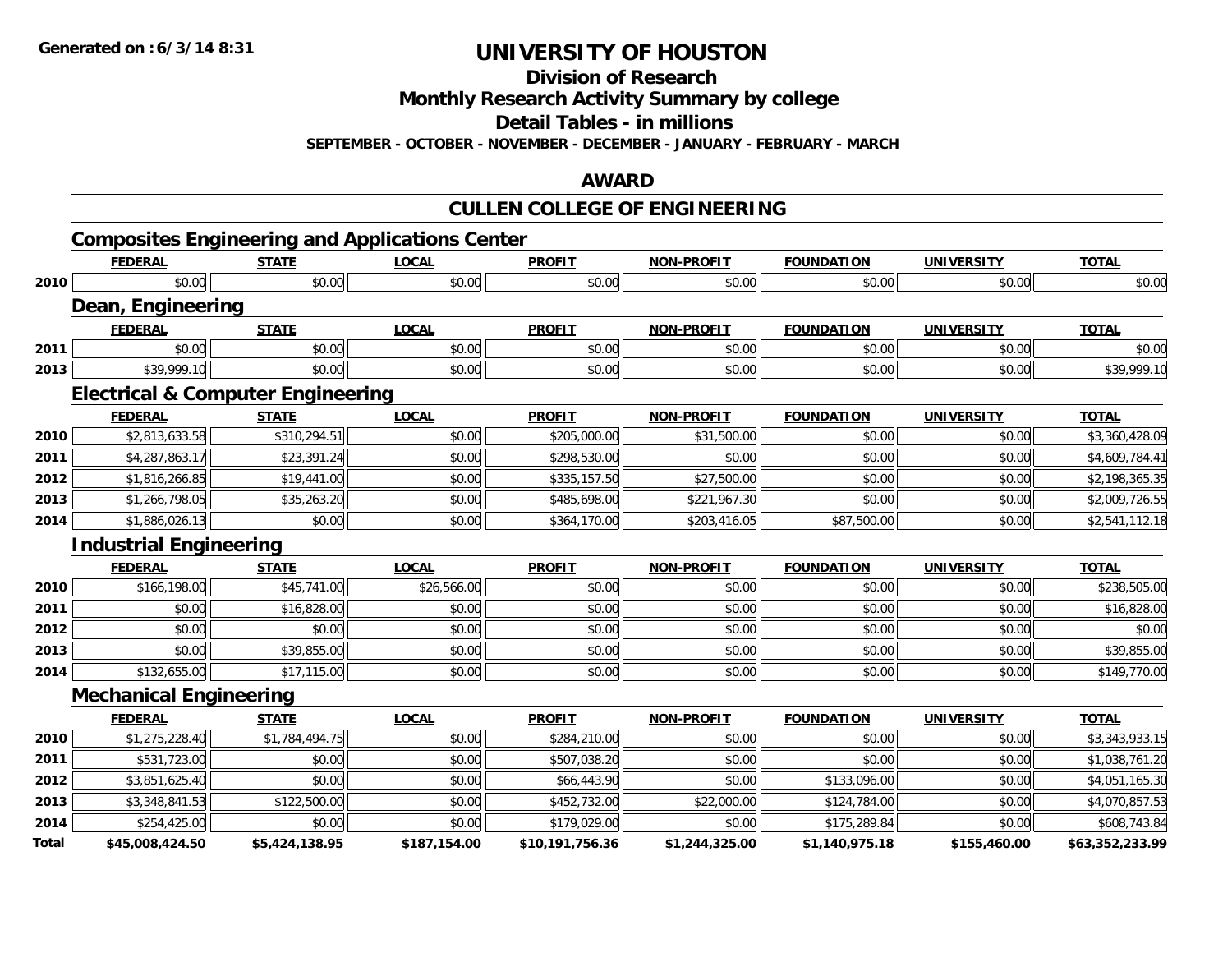**Division of Research**

**Monthly Research Activity Summary by college**

**Detail Tables - in millions**

**SEPTEMBER - OCTOBER - NOVEMBER - DECEMBER - JANUARY - FEBRUARY - MARCH**

### **AWARD**

### **CULLEN COLLEGE OF ENGINEERING**

|       |                                                       |                |              |                 | <u>UULLEIN UULLEUL UI LINUIINLEINIINU</u> |                   |                   |                 |
|-------|-------------------------------------------------------|----------------|--------------|-----------------|-------------------------------------------|-------------------|-------------------|-----------------|
|       | <b>Composites Engineering and Applications Center</b> |                |              |                 |                                           |                   |                   |                 |
|       | <b>FEDERAL</b>                                        | <b>STATE</b>   | <b>LOCAL</b> | <b>PROFIT</b>   | <b>NON-PROFIT</b>                         | <b>FOUNDATION</b> | <b>UNIVERSITY</b> | <b>TOTAL</b>    |
| 2010  | \$0.00                                                | \$0.00         | \$0.00       | \$0.00          | \$0.00                                    | \$0.00            | \$0.00            | \$0.00          |
|       | Dean, Engineering                                     |                |              |                 |                                           |                   |                   |                 |
|       | <b>FEDERAL</b>                                        | <b>STATE</b>   | <b>LOCAL</b> | <b>PROFIT</b>   | <b>NON-PROFIT</b>                         | <b>FOUNDATION</b> | <b>UNIVERSITY</b> | <b>TOTAL</b>    |
| 2011  | \$0.00                                                | \$0.00         | \$0.00       | \$0.00          | \$0.00                                    | \$0.00            | \$0.00            | \$0.00          |
| 2013  | \$39,999.10                                           | \$0.00         | \$0.00       | \$0.00          | \$0.00                                    | \$0.00            | \$0.00            | \$39,999.10     |
|       | <b>Electrical &amp; Computer Engineering</b>          |                |              |                 |                                           |                   |                   |                 |
|       | <b>FEDERAL</b>                                        | <b>STATE</b>   | <b>LOCAL</b> | <b>PROFIT</b>   | <b>NON-PROFIT</b>                         | <b>FOUNDATION</b> | <b>UNIVERSITY</b> | <b>TOTAL</b>    |
| 2010  | \$2,813,633.58                                        | \$310,294.51   | \$0.00       | \$205,000.00    | \$31,500.00                               | \$0.00            | \$0.00            | \$3,360,428.09  |
| 2011  | \$4,287,863.17                                        | \$23,391.24    | \$0.00       | \$298,530.00    | \$0.00                                    | \$0.00            | \$0.00            | \$4,609,784.41  |
| 2012  | \$1,816,266.85                                        | \$19,441.00    | \$0.00       | \$335,157.50    | \$27,500.00                               | \$0.00            | \$0.00            | \$2,198,365.35  |
| 2013  | \$1,266,798.05                                        | \$35,263.20    | \$0.00       | \$485,698.00    | \$221,967.30                              | \$0.00            | \$0.00            | \$2,009,726.55  |
| 2014  | \$1,886,026.13                                        | \$0.00         | \$0.00       | \$364,170.00    | \$203,416.05                              | \$87,500.00       | \$0.00            | \$2,541,112.18  |
|       | <b>Industrial Engineering</b>                         |                |              |                 |                                           |                   |                   |                 |
|       | <b>FEDERAL</b>                                        | <b>STATE</b>   | <b>LOCAL</b> | <b>PROFIT</b>   | <b>NON-PROFIT</b>                         | <b>FOUNDATION</b> | <b>UNIVERSITY</b> | <b>TOTAL</b>    |
| 2010  | \$166,198.00                                          | \$45,741.00    | \$26,566.00  | \$0.00          | \$0.00                                    | \$0.00            | \$0.00            | \$238,505.00    |
| 2011  | \$0.00                                                | \$16,828.00    | \$0.00       | \$0.00          | \$0.00                                    | \$0.00            | \$0.00            | \$16,828.00     |
| 2012  | \$0.00                                                | \$0.00         | \$0.00       | \$0.00          | \$0.00                                    | \$0.00            | \$0.00            | \$0.00          |
| 2013  | \$0.00                                                | \$39,855.00    | \$0.00       | \$0.00          | \$0.00                                    | \$0.00            | \$0.00            | \$39,855.00     |
| 2014  | \$132,655.00                                          | \$17,115.00    | \$0.00       | \$0.00          | \$0.00                                    | \$0.00            | \$0.00            | \$149,770.00    |
|       | <b>Mechanical Engineering</b>                         |                |              |                 |                                           |                   |                   |                 |
|       | <b>FEDERAL</b>                                        | <b>STATE</b>   | <b>LOCAL</b> | <b>PROFIT</b>   | <b>NON-PROFIT</b>                         | <b>FOUNDATION</b> | <b>UNIVERSITY</b> | <b>TOTAL</b>    |
| 2010  | \$1,275,228.40                                        | \$1,784,494.75 | \$0.00       | \$284,210.00    | \$0.00                                    | \$0.00            | \$0.00            | \$3,343,933.15  |
| 2011  | \$531,723.00                                          | \$0.00         | \$0.00       | \$507,038.20    | \$0.00                                    | \$0.00            | \$0.00            | \$1,038,761.20  |
| 2012  | \$3,851,625.40                                        | \$0.00         | \$0.00       | \$66,443.90     | \$0.00                                    | \$133,096.00      | \$0.00            | \$4,051,165.30  |
| 2013  | \$3,348,841.53                                        | \$122,500.00   | \$0.00       | \$452,732.00    | \$22,000.00                               | \$124,784.00      | \$0.00            | \$4,070,857.53  |
| 2014  | \$254,425.00                                          | \$0.00         | \$0.00       | \$179,029.00    | \$0.00                                    | \$175,289.84      | \$0.00            | \$608,743.84    |
| Total | \$45,008,424.50                                       | \$5,424,138.95 | \$187,154.00 | \$10,191,756.36 | \$1,244,325.00                            | \$1,140,975.18    | \$155,460.00      | \$63,352,233.99 |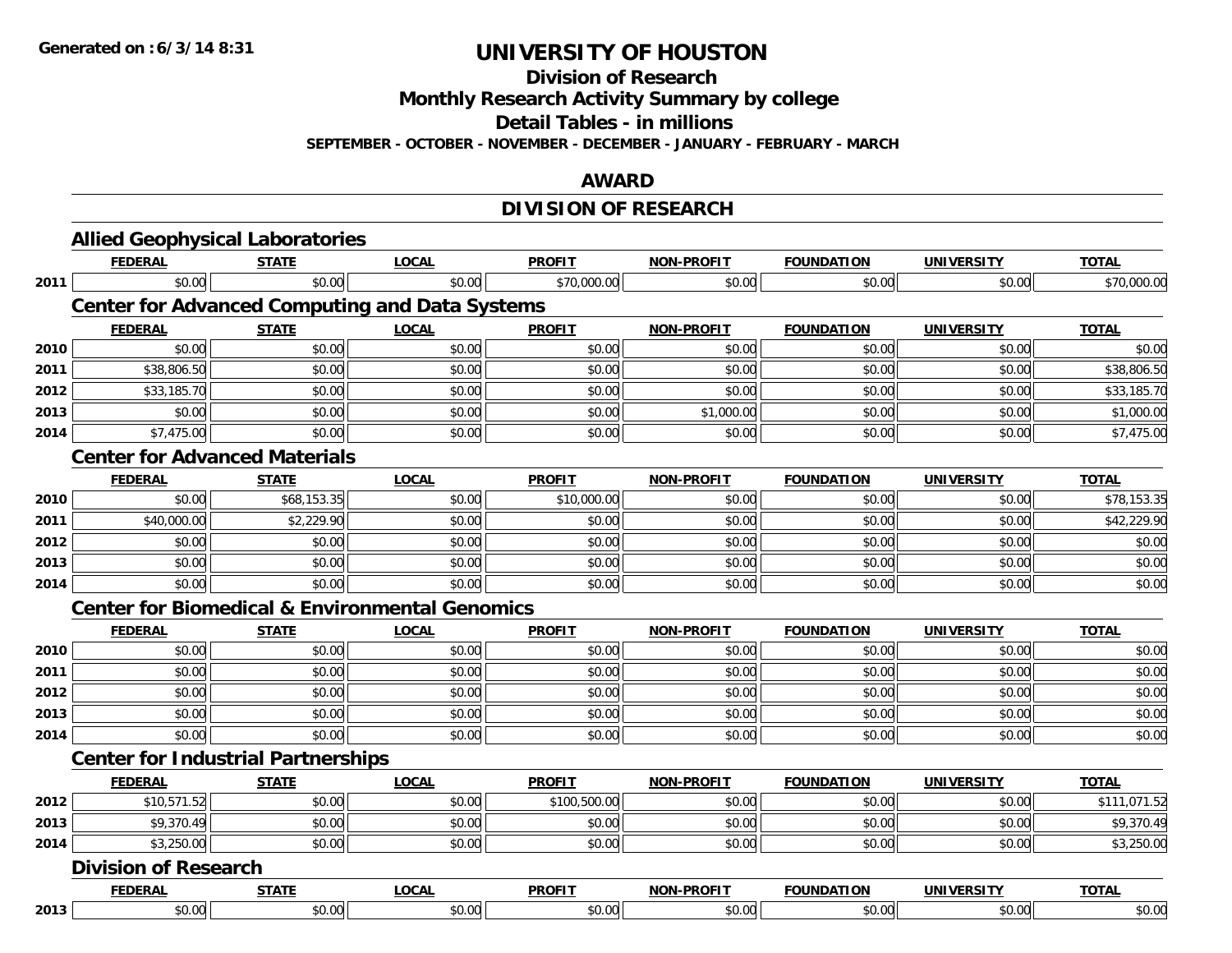**Division of Research**

**Monthly Research Activity Summary by college**

**Detail Tables - in millions**

**SEPTEMBER - OCTOBER - NOVEMBER - DECEMBER - JANUARY - FEBRUARY - MARCH**

### **AWARD**

### **DIVISION OF RESEARCH**

|      | <b>Allied Geophysical Laboratories</b>                    |              |              |               |                   |                   |                   |              |  |  |
|------|-----------------------------------------------------------|--------------|--------------|---------------|-------------------|-------------------|-------------------|--------------|--|--|
|      | <b>FEDERAL</b>                                            | <b>STATE</b> | <b>LOCAL</b> | <b>PROFIT</b> | <b>NON-PROFIT</b> | <b>FOUNDATION</b> | <b>UNIVERSITY</b> | <b>TOTAL</b> |  |  |
| 2011 | \$0.00                                                    | \$0.00       | \$0.00       | \$70,000.00   | \$0.00            | \$0.00            | \$0.00            | \$70,000.00  |  |  |
|      | <b>Center for Advanced Computing and Data Systems</b>     |              |              |               |                   |                   |                   |              |  |  |
|      | <b>FEDERAL</b>                                            | <b>STATE</b> | <b>LOCAL</b> | <b>PROFIT</b> | <b>NON-PROFIT</b> | <b>FOUNDATION</b> | <b>UNIVERSITY</b> | <b>TOTAL</b> |  |  |
| 2010 | \$0.00                                                    | \$0.00       | \$0.00       | \$0.00        | \$0.00            | \$0.00            | \$0.00            | \$0.00       |  |  |
| 2011 | \$38,806.50                                               | \$0.00       | \$0.00       | \$0.00        | \$0.00            | \$0.00            | \$0.00            | \$38,806.50  |  |  |
| 2012 | \$33,185.70                                               | \$0.00       | \$0.00       | \$0.00        | \$0.00            | \$0.00            | \$0.00            | \$33,185.70  |  |  |
| 2013 | \$0.00                                                    | \$0.00       | \$0.00       | \$0.00        | \$1,000.00        | \$0.00            | \$0.00            | \$1,000.00   |  |  |
| 2014 | \$7,475.00                                                | \$0.00       | \$0.00       | \$0.00        | \$0.00            | \$0.00            | \$0.00            | \$7,475.00   |  |  |
|      | <b>Center for Advanced Materials</b>                      |              |              |               |                   |                   |                   |              |  |  |
|      | <b>FEDERAL</b>                                            | <b>STATE</b> | <b>LOCAL</b> | <b>PROFIT</b> | <b>NON-PROFIT</b> | <b>FOUNDATION</b> | <b>UNIVERSITY</b> | <b>TOTAL</b> |  |  |
| 2010 | \$0.00                                                    | \$68,153.35  | \$0.00       | \$10,000.00   | \$0.00            | \$0.00            | \$0.00            | \$78,153.35  |  |  |
| 2011 | \$40,000.00                                               | \$2,229.90   | \$0.00       | \$0.00        | \$0.00            | \$0.00            | \$0.00            | \$42,229.90  |  |  |
| 2012 | \$0.00                                                    | \$0.00       | \$0.00       | \$0.00        | \$0.00            | \$0.00            | \$0.00            | \$0.00       |  |  |
| 2013 | \$0.00                                                    | \$0.00       | \$0.00       | \$0.00        | \$0.00            | \$0.00            | \$0.00            | \$0.00       |  |  |
| 2014 | \$0.00                                                    | \$0.00       | \$0.00       | \$0.00        | \$0.00            | \$0.00            | \$0.00            | \$0.00       |  |  |
|      | <b>Center for Biomedical &amp; Environmental Genomics</b> |              |              |               |                   |                   |                   |              |  |  |
|      | <b>FEDERAL</b>                                            | <b>STATE</b> | <b>LOCAL</b> | <b>PROFIT</b> | <b>NON-PROFIT</b> | <b>FOUNDATION</b> | <b>UNIVERSITY</b> | <b>TOTAL</b> |  |  |
| 2010 | \$0.00                                                    | \$0.00       | \$0.00       | \$0.00        | \$0.00            | \$0.00            | \$0.00            | \$0.00       |  |  |
| 2011 | \$0.00                                                    | \$0.00       | \$0.00       | \$0.00        | \$0.00            | \$0.00            | \$0.00            | \$0.00       |  |  |
| 2012 | \$0.00                                                    | \$0.00       | \$0.00       | \$0.00        | \$0.00            | \$0.00            | \$0.00            | \$0.00       |  |  |
| 2013 | \$0.00                                                    | \$0.00       | \$0.00       | \$0.00        | \$0.00            | \$0.00            | \$0.00            | \$0.00       |  |  |
| 2014 | \$0.00                                                    | \$0.00       | \$0.00       | \$0.00        | \$0.00            | \$0.00            | \$0.00            | \$0.00       |  |  |
|      | <b>Center for Industrial Partnerships</b>                 |              |              |               |                   |                   |                   |              |  |  |
|      | <b>FEDERAL</b>                                            | <b>STATE</b> | <b>LOCAL</b> | <b>PROFIT</b> | <b>NON-PROFIT</b> | <b>FOUNDATION</b> | <b>UNIVERSITY</b> | <b>TOTAL</b> |  |  |
| 2012 | \$10,571.52                                               | \$0.00       | \$0.00       | \$100,500.00  | \$0.00            | \$0.00            | \$0.00            | \$111,071.52 |  |  |
| 2013 | \$9,370.49                                                | \$0.00       | \$0.00       | \$0.00        | \$0.00            | \$0.00            | \$0.00            | \$9,370.49   |  |  |
| 2014 | \$3,250.00                                                | \$0.00       | \$0.00       | \$0.00        | \$0.00            | \$0.00            | \$0.00            | \$3,250.00   |  |  |
|      | <b>Division of Research</b>                               |              |              |               |                   |                   |                   |              |  |  |
|      | <b>FEDERAL</b>                                            | <b>STATE</b> | <b>LOCAL</b> | <b>PROFIT</b> | <b>NON-PROFIT</b> | <b>FOUNDATION</b> | <b>UNIVERSITY</b> | <b>TOTAL</b> |  |  |
| 2013 | \$0.00                                                    | \$0.00       | \$0.00       | \$0.00        | \$0.00            | \$0.00            | \$0.00            | \$0.00       |  |  |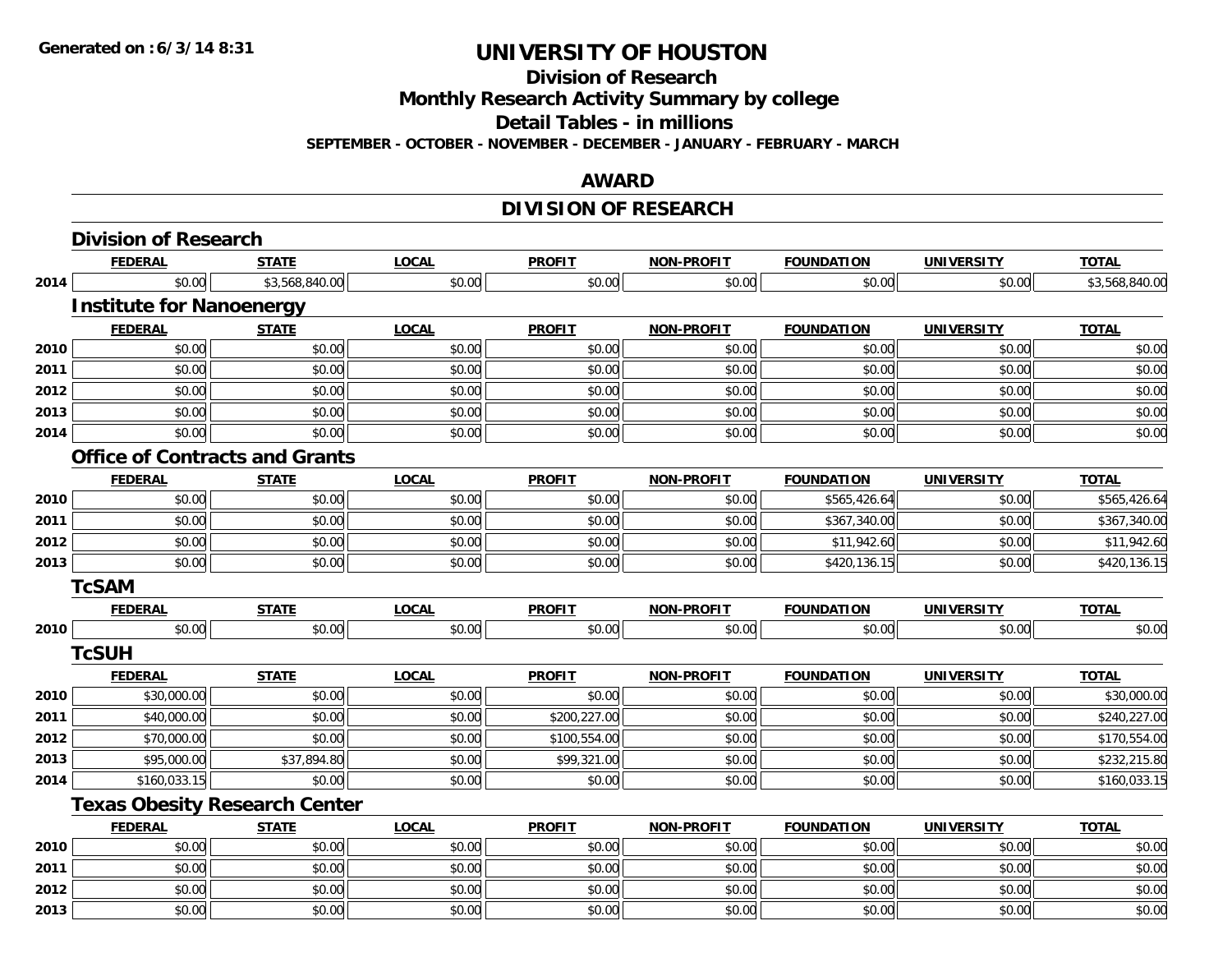**Division of Research**

**Monthly Research Activity Summary by college**

**Detail Tables - in millions**

**SEPTEMBER - OCTOBER - NOVEMBER - DECEMBER - JANUARY - FEBRUARY - MARCH**

### **AWARD**

### **DIVISION OF RESEARCH**

|      | <b>Division of Research</b>           |                |              |               |                   |                   |                   |                |
|------|---------------------------------------|----------------|--------------|---------------|-------------------|-------------------|-------------------|----------------|
|      | <b>FEDERAL</b>                        | <b>STATE</b>   | <b>LOCAL</b> | <b>PROFIT</b> | NON-PROFIT        | <b>FOUNDATION</b> | <b>UNIVERSITY</b> | <b>TOTAL</b>   |
| 2014 | \$0.00                                | \$3,568,840.00 | \$0.00       | \$0.00        | \$0.00            | \$0.00            | \$0.00            | \$3,568,840.00 |
|      | <b>Institute for Nanoenergy</b>       |                |              |               |                   |                   |                   |                |
|      | <b>FEDERAL</b>                        | <b>STATE</b>   | <b>LOCAL</b> | <b>PROFIT</b> | <b>NON-PROFIT</b> | <b>FOUNDATION</b> | <b>UNIVERSITY</b> | <b>TOTAL</b>   |
| 2010 | \$0.00                                | \$0.00         | \$0.00       | \$0.00        | \$0.00            | \$0.00            | \$0.00            | \$0.00         |
| 2011 | \$0.00                                | \$0.00         | \$0.00       | \$0.00        | \$0.00            | \$0.00            | \$0.00            | \$0.00         |
| 2012 | \$0.00                                | \$0.00         | \$0.00       | \$0.00        | \$0.00            | \$0.00            | \$0.00            | \$0.00         |
| 2013 | \$0.00                                | \$0.00         | \$0.00       | \$0.00        | \$0.00            | \$0.00            | \$0.00            | \$0.00         |
| 2014 | \$0.00                                | \$0.00         | \$0.00       | \$0.00        | \$0.00            | \$0.00            | \$0.00            | \$0.00         |
|      | <b>Office of Contracts and Grants</b> |                |              |               |                   |                   |                   |                |
|      | <b>FEDERAL</b>                        | <b>STATE</b>   | <b>LOCAL</b> | <b>PROFIT</b> | <b>NON-PROFIT</b> | <b>FOUNDATION</b> | <b>UNIVERSITY</b> | <b>TOTAL</b>   |
| 2010 | \$0.00                                | \$0.00         | \$0.00       | \$0.00        | \$0.00            | \$565,426.64      | \$0.00            | \$565,426.64   |
| 2011 | \$0.00                                | \$0.00         | \$0.00       | \$0.00        | \$0.00            | \$367,340.00      | \$0.00            | \$367,340.00   |
| 2012 | \$0.00                                | \$0.00         | \$0.00       | \$0.00        | \$0.00            | \$11,942.60       | \$0.00            | \$11,942.60    |
| 2013 | \$0.00                                | \$0.00         | \$0.00       | \$0.00        | \$0.00            | \$420,136.15      | \$0.00            | \$420,136.15   |
|      | <b>TcSAM</b>                          |                |              |               |                   |                   |                   |                |
|      | <b>FEDERAL</b>                        | <b>STATE</b>   | <b>LOCAL</b> | <b>PROFIT</b> | <b>NON-PROFIT</b> | <b>FOUNDATION</b> | <b>UNIVERSITY</b> | <b>TOTAL</b>   |
| 2010 | \$0.00                                | \$0.00         | \$0.00       | \$0.00        | \$0.00            | \$0.00            | \$0.00            | \$0.00         |
|      | <b>TcSUH</b>                          |                |              |               |                   |                   |                   |                |
|      | <b>FEDERAL</b>                        | <b>STATE</b>   | <b>LOCAL</b> | <b>PROFIT</b> | <b>NON-PROFIT</b> | <b>FOUNDATION</b> | <b>UNIVERSITY</b> | <b>TOTAL</b>   |
| 2010 | \$30,000.00                           | \$0.00         | \$0.00       | \$0.00        | \$0.00            | \$0.00            | \$0.00            | \$30,000.00    |
| 2011 | \$40,000.00                           | \$0.00         | \$0.00       | \$200,227.00  | \$0.00            | \$0.00            | \$0.00            | \$240,227.00   |
| 2012 | \$70,000.00                           | \$0.00         | \$0.00       | \$100,554.00  | \$0.00            | \$0.00            | \$0.00            | \$170,554.00   |
| 2013 | \$95,000.00                           | \$37,894.80    | \$0.00       | \$99,321.00   | \$0.00            | \$0.00            | \$0.00            | \$232,215.80   |
| 2014 | \$160,033.15                          | \$0.00         | \$0.00       | \$0.00        | \$0.00            | \$0.00            | \$0.00            | \$160,033.15   |
|      | <b>Texas Obesity Research Center</b>  |                |              |               |                   |                   |                   |                |
|      | <b>FEDERAL</b>                        | <b>STATE</b>   | <b>LOCAL</b> | <b>PROFIT</b> | <b>NON-PROFIT</b> | <b>FOUNDATION</b> | <b>UNIVERSITY</b> | <b>TOTAL</b>   |
| 2010 | \$0.00                                | \$0.00         | \$0.00       | \$0.00        | \$0.00            | \$0.00            | \$0.00            | \$0.00         |
| 2011 | \$0.00                                | \$0.00         | \$0.00       | \$0.00        | \$0.00            | \$0.00            | \$0.00            | \$0.00         |
| 2012 | \$0.00                                | \$0.00         | \$0.00       | \$0.00        | \$0.00            | \$0.00            | \$0.00            | \$0.00         |
| 2013 | \$0.00                                | \$0.00         | \$0.00       | \$0.00        | \$0.00            | \$0.00            | \$0.00            | \$0.00         |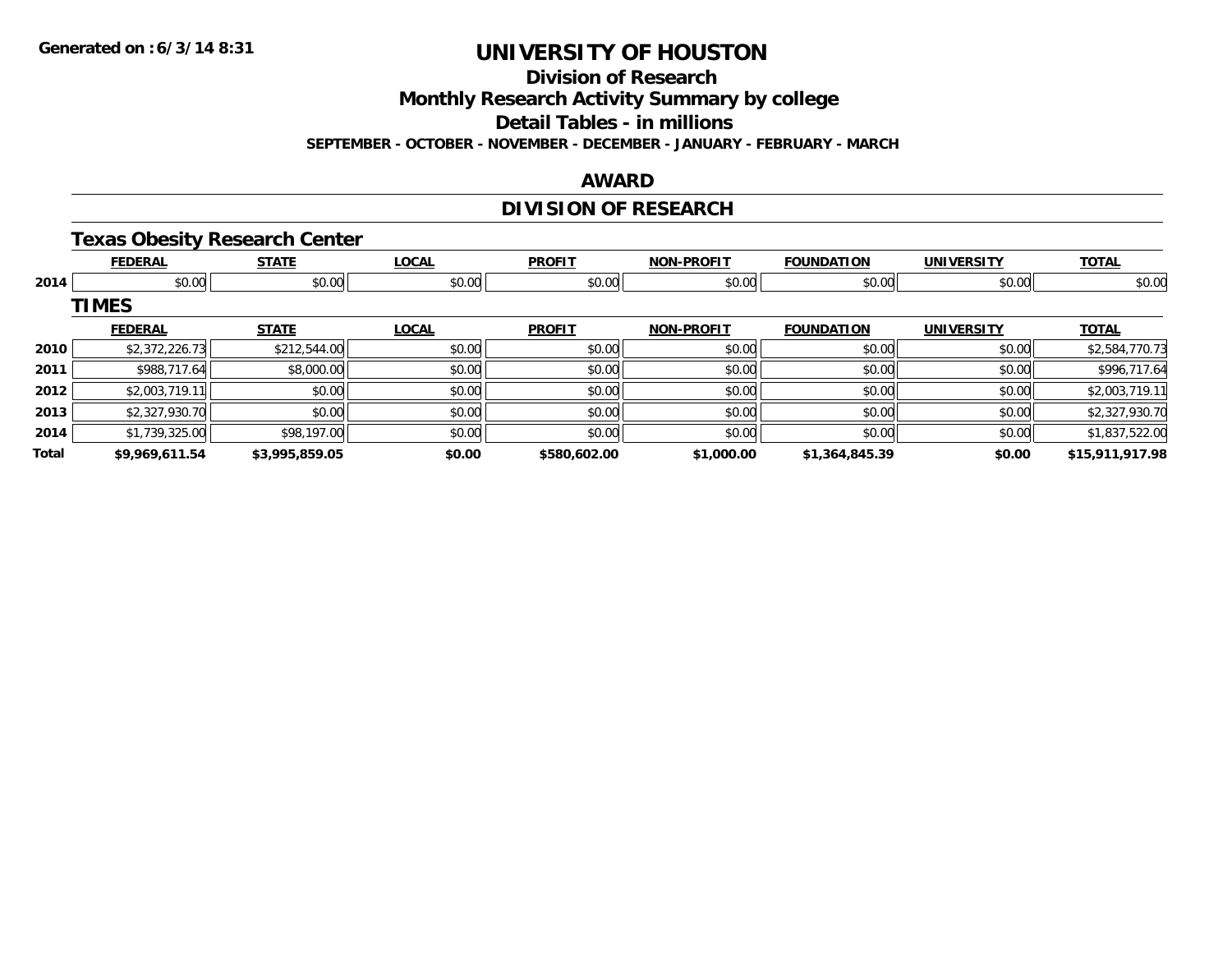**Division of Research**

**Monthly Research Activity Summary by college**

**Detail Tables - in millions**

**SEPTEMBER - OCTOBER - NOVEMBER - DECEMBER - JANUARY - FEBRUARY - MARCH**

### **AWARD**

### **DIVISION OF RESEARCH**

#### **Texas Obesity Research Center**

|       | <b>FEDERAL</b> | <b>STATE</b>   | <b>LOCAL</b> | <b>PROFIT</b> | <b>NON-PROFIT</b> | <b>FOUNDATION</b> | <b>UNIVERSITY</b> | <b>TOTAL</b>    |
|-------|----------------|----------------|--------------|---------------|-------------------|-------------------|-------------------|-----------------|
| 2014  | \$0.00         | \$0.00         | \$0.00       | \$0.00        | \$0.00            | \$0.00            | \$0.00            | \$0.00          |
|       | <b>TIMES</b>   |                |              |               |                   |                   |                   |                 |
|       | <b>FEDERAL</b> | <b>STATE</b>   | <b>LOCAL</b> | <b>PROFIT</b> | <b>NON-PROFIT</b> | <b>FOUNDATION</b> | <b>UNIVERSITY</b> | <b>TOTAL</b>    |
| 2010  | \$2,372,226.73 | \$212,544.00   | \$0.00       | \$0.00        | \$0.00            | \$0.00            | \$0.00            | \$2,584,770.73  |
| 2011  | \$988,717.64   | \$8,000.00     | \$0.00       | \$0.00        | \$0.00            | \$0.00            | \$0.00            | \$996,717.64    |
| 2012  | \$2,003,719.11 | \$0.00         | \$0.00       | \$0.00        | \$0.00            | \$0.00            | \$0.00            | \$2,003,719.11  |
| 2013  | \$2,327,930.70 | \$0.00         | \$0.00       | \$0.00        | \$0.00            | \$0.00            | \$0.00            | \$2,327,930.70  |
| 2014  | \$1,739,325.00 | \$98,197.00    | \$0.00       | \$0.00        | \$0.00            | \$0.00            | \$0.00            | \$1,837,522.00  |
| Total | \$9,969,611.54 | \$3,995,859.05 | \$0.00       | \$580,602.00  | \$1,000.00        | \$1,364,845.39    | \$0.00            | \$15,911,917.98 |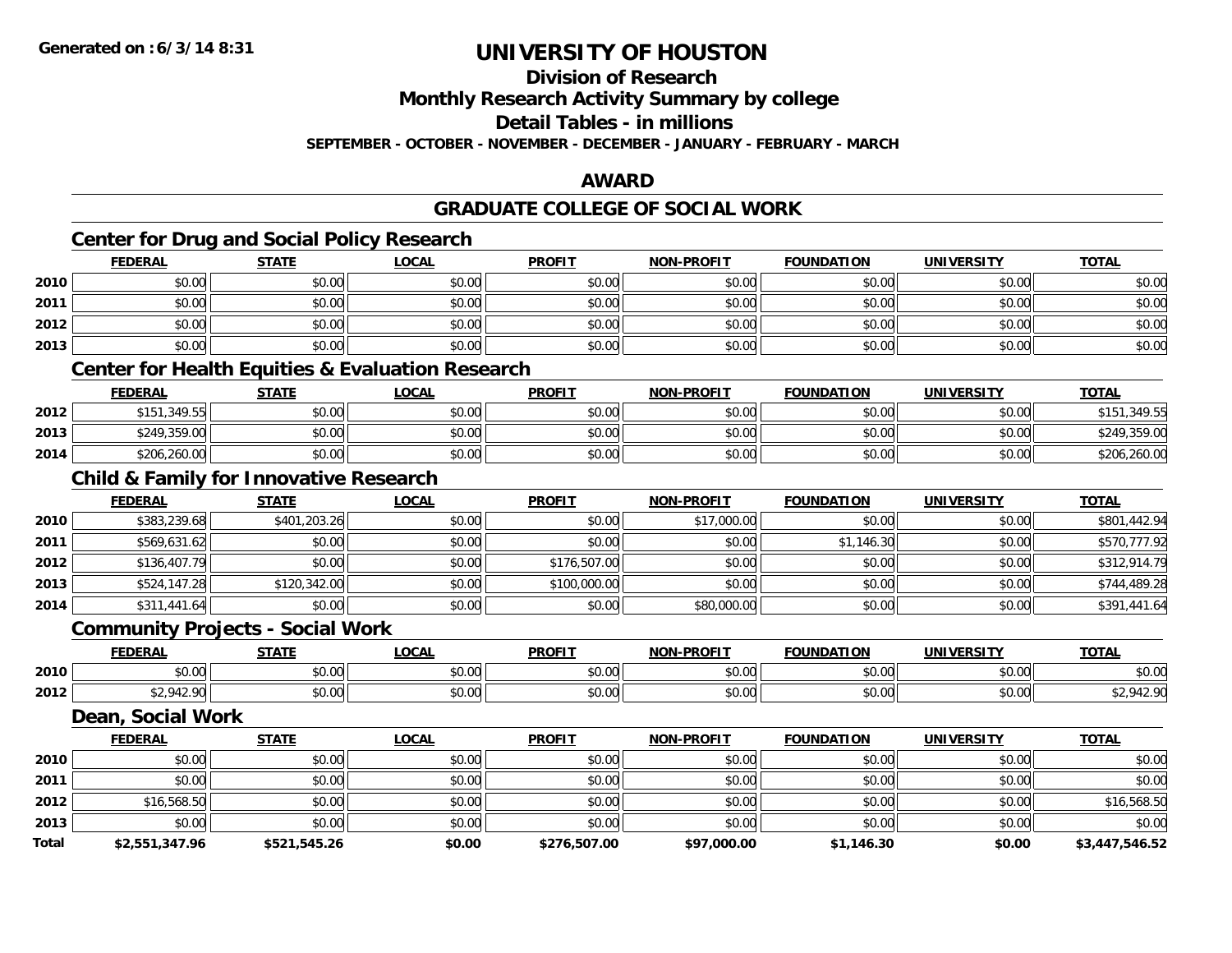**Total**

### **UNIVERSITY OF HOUSTON**

**Division of Research**

**Monthly Research Activity Summary by college**

**Detail Tables - in millions**

**SEPTEMBER - OCTOBER - NOVEMBER - DECEMBER - JANUARY - FEBRUARY - MARCH**

### **AWARD**

#### **GRADUATE COLLEGE OF SOCIAL WORK**

# **Center for Drug and Social Policy Research**

|      | <u>FEDERAL</u>                                    | <b>STATE</b> | LOCAL                                                       | <u>PROFIT</u> | <u>NON-PROFIT</u> | <u>FOUNDATION</u> | <u>UNIVERSITY</u> | <u>TOTAL</u> |
|------|---------------------------------------------------|--------------|-------------------------------------------------------------|---------------|-------------------|-------------------|-------------------|--------------|
| 2010 | \$0.00                                            | \$0.00       | \$0.00                                                      | \$0.00        | \$0.00            | \$0.00            | \$0.00            | \$0.00       |
| 2011 | \$0.00                                            | \$0.00       | \$0.00                                                      | \$0.00        | \$0.00            | \$0.00            | \$0.00            | \$0.00       |
| 2012 | \$0.00                                            | \$0.00       | \$0.00                                                      | \$0.00        | \$0.00            | \$0.00            | \$0.00            | \$0.00       |
| 2013 | \$0.00                                            | \$0.00       | \$0.00                                                      | \$0.00        | \$0.00            | \$0.00            | \$0.00            | \$0.00       |
|      |                                                   |              | <b>Center for Health Equities &amp; Evaluation Research</b> |               |                   |                   |                   |              |
|      | <b>FEDERAL</b>                                    | <b>STATE</b> | <b>LOCAL</b>                                                | <b>PROFIT</b> | <b>NON-PROFIT</b> | <b>FOUNDATION</b> | <b>UNIVERSITY</b> | <b>TOTAL</b> |
| 2012 | \$151,349.55                                      | \$0.00       | \$0.00                                                      | \$0.00        | \$0.00            | \$0.00            | \$0.00            | \$151,349.55 |
| 2013 | \$249,359.00                                      | \$0.00       | \$0.00                                                      | \$0.00        | \$0.00            | \$0.00            | \$0.00            | \$249,359.00 |
| 2014 | \$206,260.00                                      | \$0.00       | \$0.00                                                      | \$0.00        | \$0.00            | \$0.00            | \$0.00            | \$206,260.00 |
|      | <b>Child &amp; Family for Innovative Research</b> |              |                                                             |               |                   |                   |                   |              |
|      | <b>FEDERAL</b>                                    | <b>STATE</b> | <b>LOCAL</b>                                                | <b>PROFIT</b> | <b>NON-PROFIT</b> | <b>FOUNDATION</b> | <b>UNIVERSITY</b> | <b>TOTAL</b> |
| 2010 | \$383,239.68                                      | \$401,203.26 | \$0.00                                                      | \$0.00        | \$17,000.00       | \$0.00            | \$0.00            | \$801,442.94 |
| 2011 | \$569,631.62                                      | \$0.00       | \$0.00                                                      | \$0.00        | \$0.00            | \$1,146.30        | \$0.00            | \$570,777.92 |
| 2012 | \$136,407.79                                      | \$0.00       | \$0.00                                                      | \$176,507.00  | \$0.00            | \$0.00            | \$0.00            | \$312,914.79 |
| 2013 | \$524,147.28                                      | \$120,342.00 | \$0.00                                                      | \$100,000.00  | \$0.00            | \$0.00            | \$0.00            | \$744,489.28 |
| 2014 | \$311,441.64                                      | \$0.00       | \$0.00                                                      | \$0.00        | \$80,000.00       | \$0.00            | \$0.00            | \$391,441.64 |
|      | <b>Community Projects - Social Work</b>           |              |                                                             |               |                   |                   |                   |              |
|      | <b>FEDERAL</b>                                    | <b>STATE</b> | <b>LOCAL</b>                                                | <b>PROFIT</b> | <b>NON-PROFIT</b> | <b>FOUNDATION</b> | <b>UNIVERSITY</b> | <b>TOTAL</b> |
| 2010 | \$0.00                                            | \$0.00       | \$0.00                                                      | \$0.00        | \$0.00            | \$0.00            | \$0.00            | \$0.00       |
| 2012 | \$2,942.90                                        | \$0.00       | \$0.00                                                      | \$0.00        | \$0.00            | \$0.00            | \$0.00            | \$2,942.90   |
|      | Dean, Social Work                                 |              |                                                             |               |                   |                   |                   |              |
|      | <b>FEDERAL</b>                                    | <b>STATE</b> | <b>LOCAL</b>                                                | <b>PROFIT</b> | NON-PROFIT        | <b>FOUNDATION</b> | <b>UNIVERSITY</b> | <b>TOTAL</b> |
| 2010 | \$0.00                                            | \$0.00       | \$0.00                                                      | \$0.00        | \$0.00            | \$0.00            | \$0.00            | \$0.00       |
| 2011 | \$0.00                                            | \$0.00       | \$0.00                                                      | \$0.00        | \$0.00            | \$0.00            | \$0.00            | \$0.00       |
| 2012 | \$16,568.50                                       | \$0.00       | \$0.00                                                      | \$0.00        | \$0.00            | \$0.00            | \$0.00            | \$16,568.50  |
| 2013 | \$0.00                                            | \$0.00       | \$0.00                                                      | \$0.00        | \$0.00            | \$0.00            | \$0.00            | \$0.00       |

**\$2,551,347.96 \$521,545.26 \$0.00 \$276,507.00 \$97,000.00 \$1,146.30 \$0.00 \$3,447,546.52**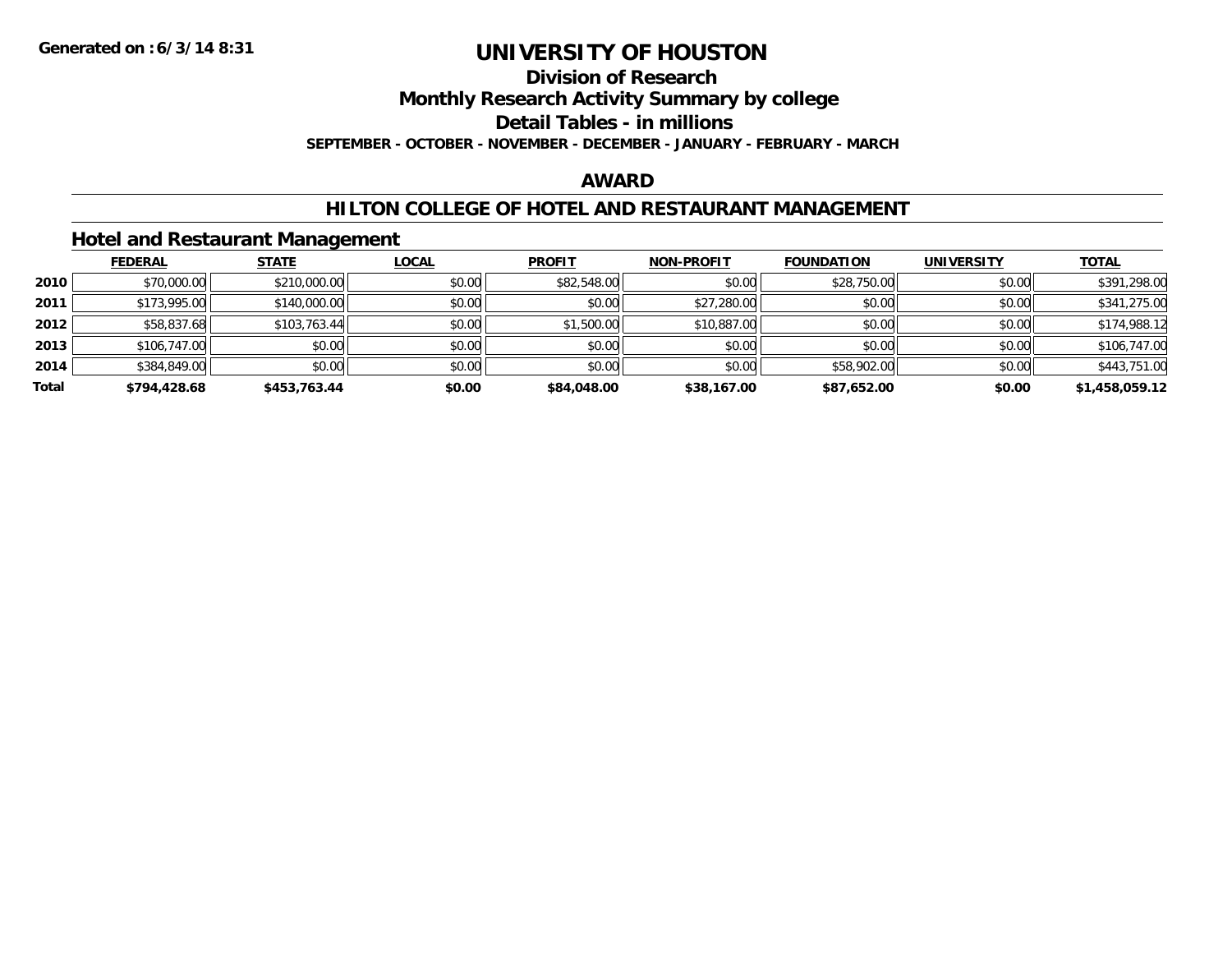#### **Division of Research**

**Monthly Research Activity Summary by college**

**Detail Tables - in millions**

**SEPTEMBER - OCTOBER - NOVEMBER - DECEMBER - JANUARY - FEBRUARY - MARCH**

### **AWARD**

#### **HILTON COLLEGE OF HOTEL AND RESTAURANT MANAGEMENT**

#### **Hotel and Restaurant Management**

|       | <b>FEDERAL</b> | <b>STATE</b> | <b>LOCAL</b> | <b>PROFIT</b> | <b>NON-PROFIT</b> | <b>FOUNDATION</b> | <b>UNIVERSITY</b> | <b>TOTAL</b>   |
|-------|----------------|--------------|--------------|---------------|-------------------|-------------------|-------------------|----------------|
| 2010  | \$70,000.00    | \$210,000.00 | \$0.00       | \$82,548.00   | \$0.00            | \$28,750.00       | \$0.00            | \$391,298.00   |
| 2011  | \$173,995.00   | \$140,000.00 | \$0.00       | \$0.00        | \$27,280.00       | \$0.00            | \$0.00            | \$341,275.00   |
| 2012  | \$58,837.68    | \$103,763.44 | \$0.00       | \$1,500.00    | \$10,887.00       | \$0.00            | \$0.00            | \$174,988.12   |
| 2013  | \$106,747.00   | \$0.00       | \$0.00       | \$0.00        | \$0.00            | \$0.00            | \$0.00            | \$106,747.00   |
| 2014  | \$384,849.00   | \$0.00       | \$0.00       | \$0.00        | \$0.00            | \$58,902.00       | \$0.00            | \$443,751.00   |
| Total | \$794,428.68   | \$453.763.44 | \$0.00       | \$84,048,00   | \$38,167.00       | \$87,652.00       | \$0.00            | \$1,458,059.12 |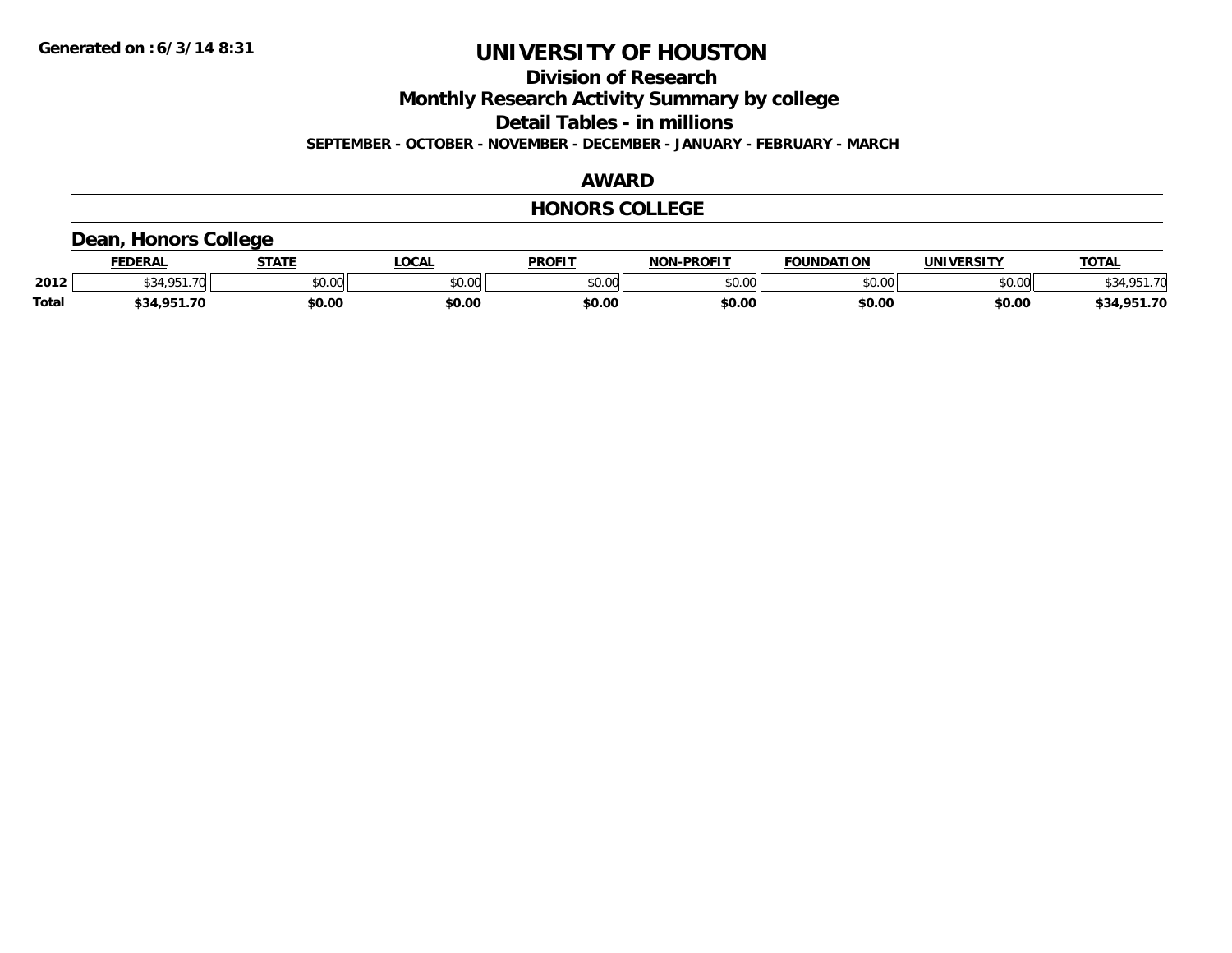**Division of Research**

**Monthly Research Activity Summary by college**

**Detail Tables - in millions**

**SEPTEMBER - OCTOBER - NOVEMBER - DECEMBER - JANUARY - FEBRUARY - MARCH**

### **AWARD**

#### **HONORS COLLEGE**

### **Dean, Honors College**

|              | <b>FEDERAL</b>           | <b>STATE</b> | <b>_OCAL</b>  | <b>PROFIT</b> | <b>NON-PROFIT</b> | <b>FOUNDATION</b> | <b>UNIVERSITY</b> | TOTA.                  |
|--------------|--------------------------|--------------|---------------|---------------|-------------------|-------------------|-------------------|------------------------|
| 2012         | $\overline{\phantom{0}}$ | \$0.00       | 0000<br>DU.UU | \$0.00        | 60.00<br>JU.UU    | \$0.00            | \$0.00            | 0.51.70<br>\$34,901.70 |
| <b>Total</b> | .951.70<br>\$34          | \$0.00       | \$0.00        | \$0.00        | \$0.00            | \$0.00            | \$0.00            | ,951.70<br>\$34        |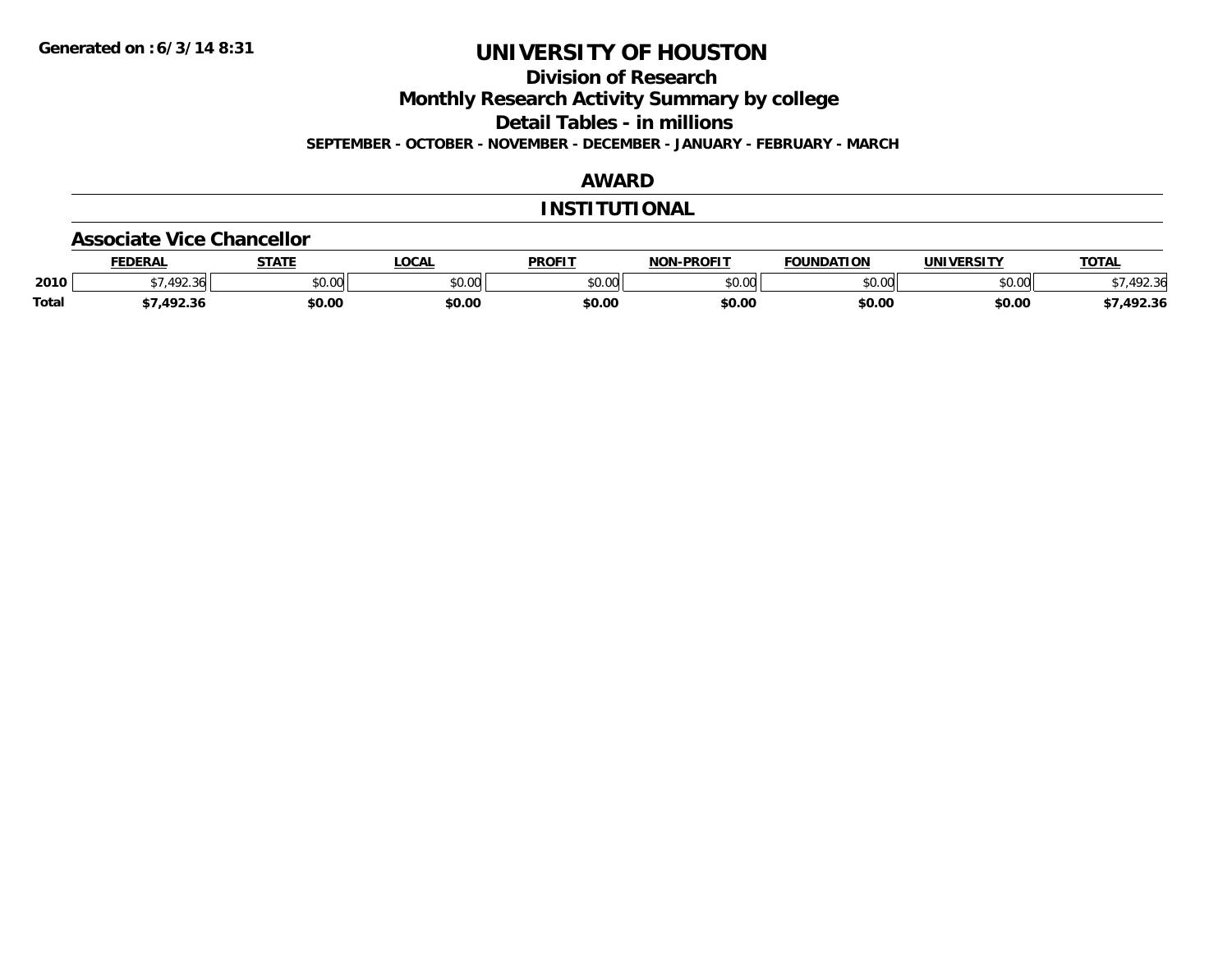**Division of Research**

**Monthly Research Activity Summary by college**

**Detail Tables - in millions**

**SEPTEMBER - OCTOBER - NOVEMBER - DECEMBER - JANUARY - FEBRUARY - MARCH**

### **AWARD**

#### **INSTITUTIONAL**

#### **Associate Vice Chancellor**

|              | <b>FEDERAL</b>  | <b>STATE</b> | <b>OCAL</b>             | <b>PROFIT</b> | -PROFIT<br>NON- | <b>FOUNDATION</b> | UNIVERSITY | <b>TOTAL</b> |
|--------------|-----------------|--------------|-------------------------|---------------|-----------------|-------------------|------------|--------------|
| 2010         | .492.36         | \$0.00       | 0 <sub>n</sub><br>JU.UU | \$0.00        | ልስ ለሰ<br>pu.uu  | \$0.00            | \$0.00     |              |
| <b>Total</b> | 1023<br>,492.30 | \$0.00       | \$0.00                  | \$0.00        | \$0.00          | \$0.00            | \$0.00     | 7,492.36     |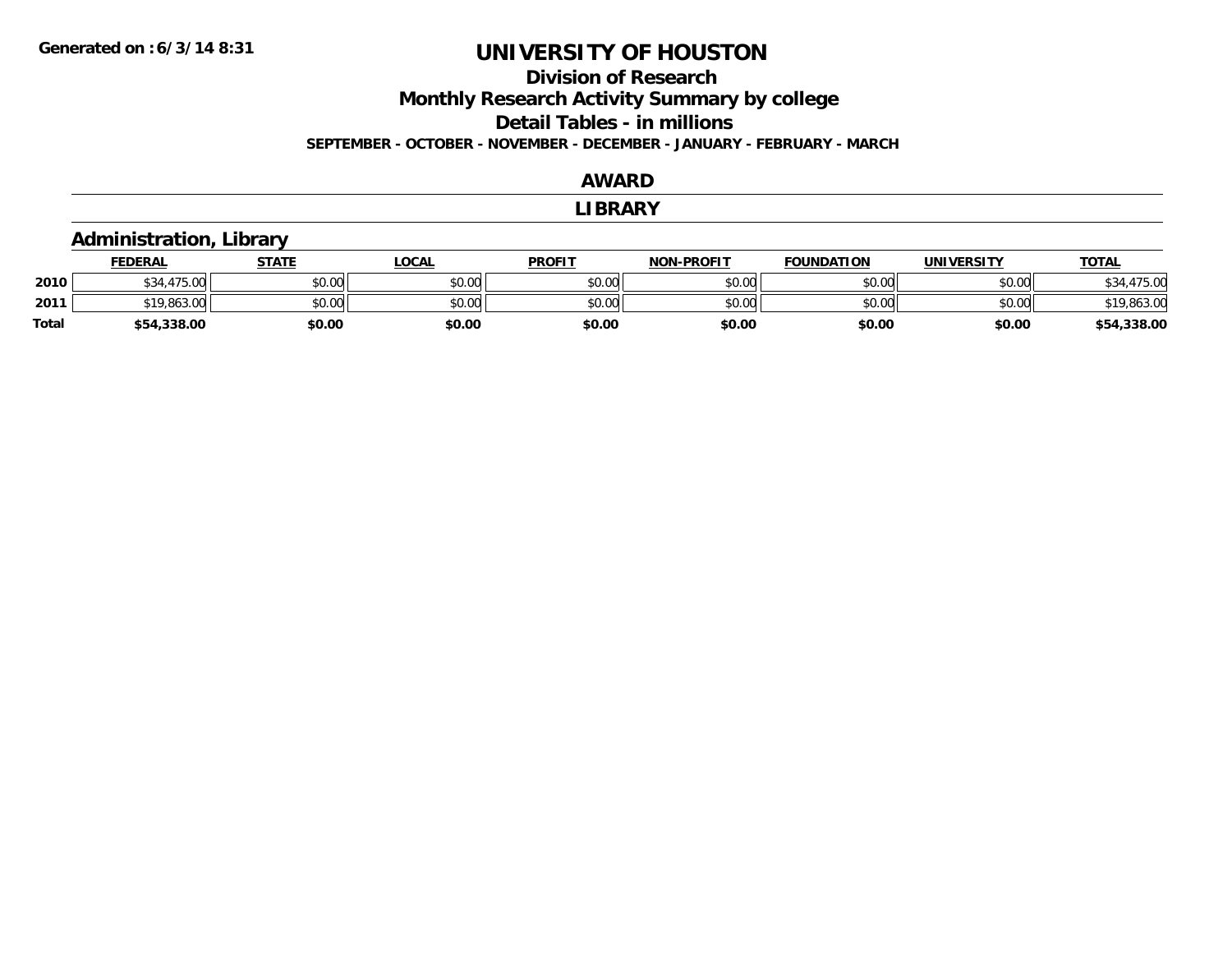### **Division of ResearchMonthly Research Activity Summary by college Detail Tables - in millions SEPTEMBER - OCTOBER - NOVEMBER - DECEMBER - JANUARY - FEBRUARY - MARCH**

#### **AWARD**

#### **LIBRARY**

#### **Administration, Library FEDERAL STATE LOCAL PROFIT NON-PROFIT FOUNDATION UNIVERSITY TOTALTOTAL 2010** $\textsf{[0]} \quad \textsf{[0]} \quad \textsf{[0]} \quad \textsf{[0]} \quad \textsf{[0]} \quad \textsf{[0]} \quad \textsf{[0]} \quad \textsf{[0]} \quad \textsf{[0]} \quad \textsf{[0]} \quad \textsf{[0]} \quad \textsf{[0]} \quad \textsf{[0]} \quad \textsf{[0]} \quad \textsf{[0]} \quad \textsf{[0]} \quad \textsf{[0]} \quad \textsf{[0]} \quad \textsf{[0]} \quad \textsf{[0]} \quad \textsf{[0]} \quad \textsf{[0]} \quad \textsf{[0]} \quad \textsf{[0]} \quad \textsf{$ **2011**1 \$19,863.00 \$0.00 \$0.00 \$0.00 \$0.00 \$0.00 \$0.00 \$0.00 \$0.00 \$0.00 \$0.00 \$0.00 \$0.00 \$19,863.00 \$19,863.00 **Total\$54,338.00 \$0.00 \$0.00 \$0.00 \$0.00 \$0.00 \$0.00 \$54,338.00**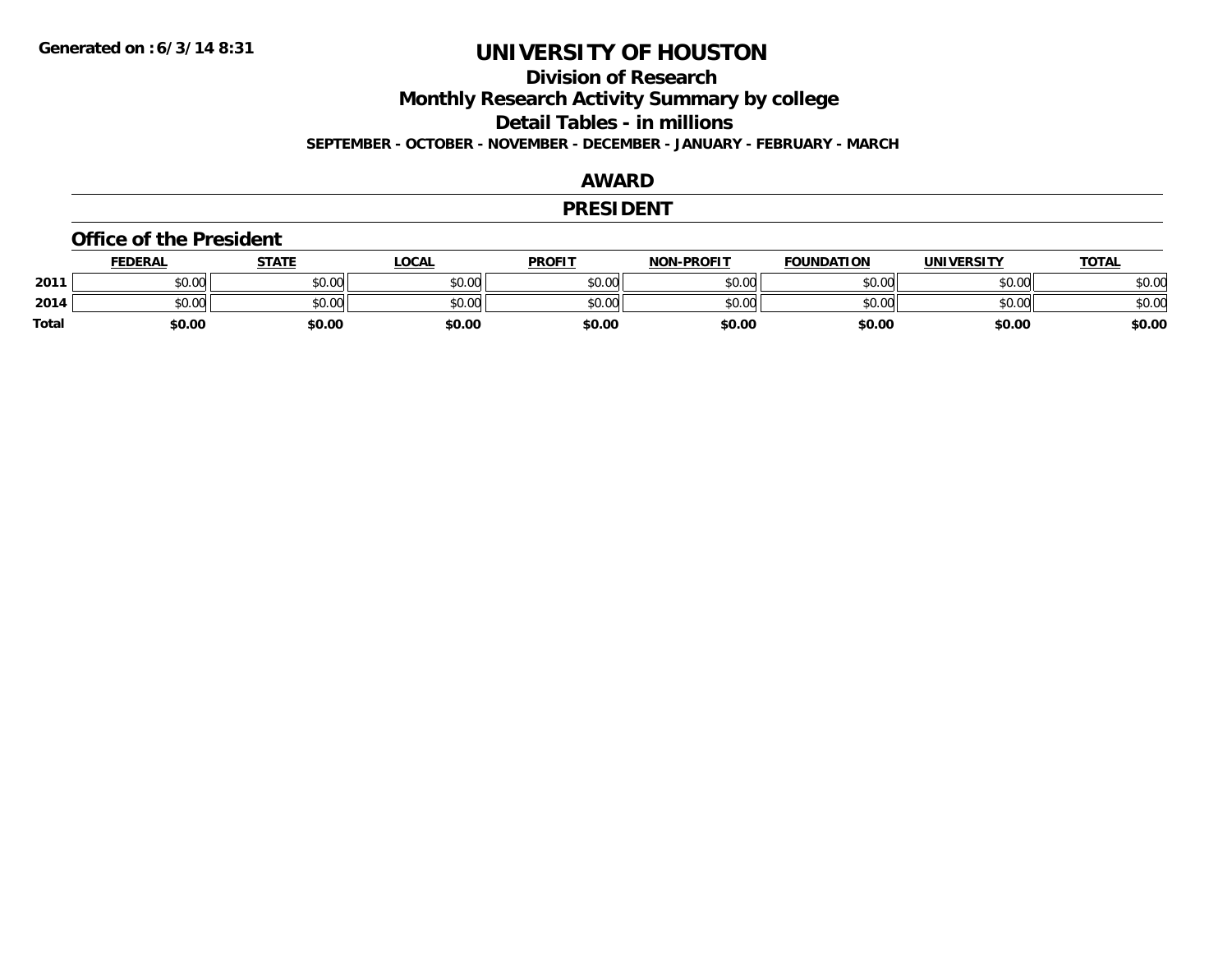### **Division of ResearchMonthly Research Activity Summary by college**

**Detail Tables - in millions**

**SEPTEMBER - OCTOBER - NOVEMBER - DECEMBER - JANUARY - FEBRUARY - MARCH**

### **AWARD**

#### **PRESIDENT**

#### **Office of the President**

|       | <b>FEDERAL</b> | STATE  | <b>LOCAL</b> | <b>PROFIT</b> | <b>NON-PROFIT</b> | <b>FOUNDATION</b> | UNIVERSITY | <u> ΤΟΤΑL</u> |
|-------|----------------|--------|--------------|---------------|-------------------|-------------------|------------|---------------|
| 2011  | \$0.00         | \$0.00 | \$0.00       | \$0.00        | \$0.00            | \$0.00            | \$0.00     | \$0.00        |
| 2014  | \$0.00         | \$0.00 | \$0.00       | \$0.00        | \$0.00            | \$0.00            | \$0.00     | \$0.00        |
| Total | \$0.00         | \$0.00 | \$0.00       | \$0.00        | \$0.00            | \$0.00            | \$0.00     | \$0.00        |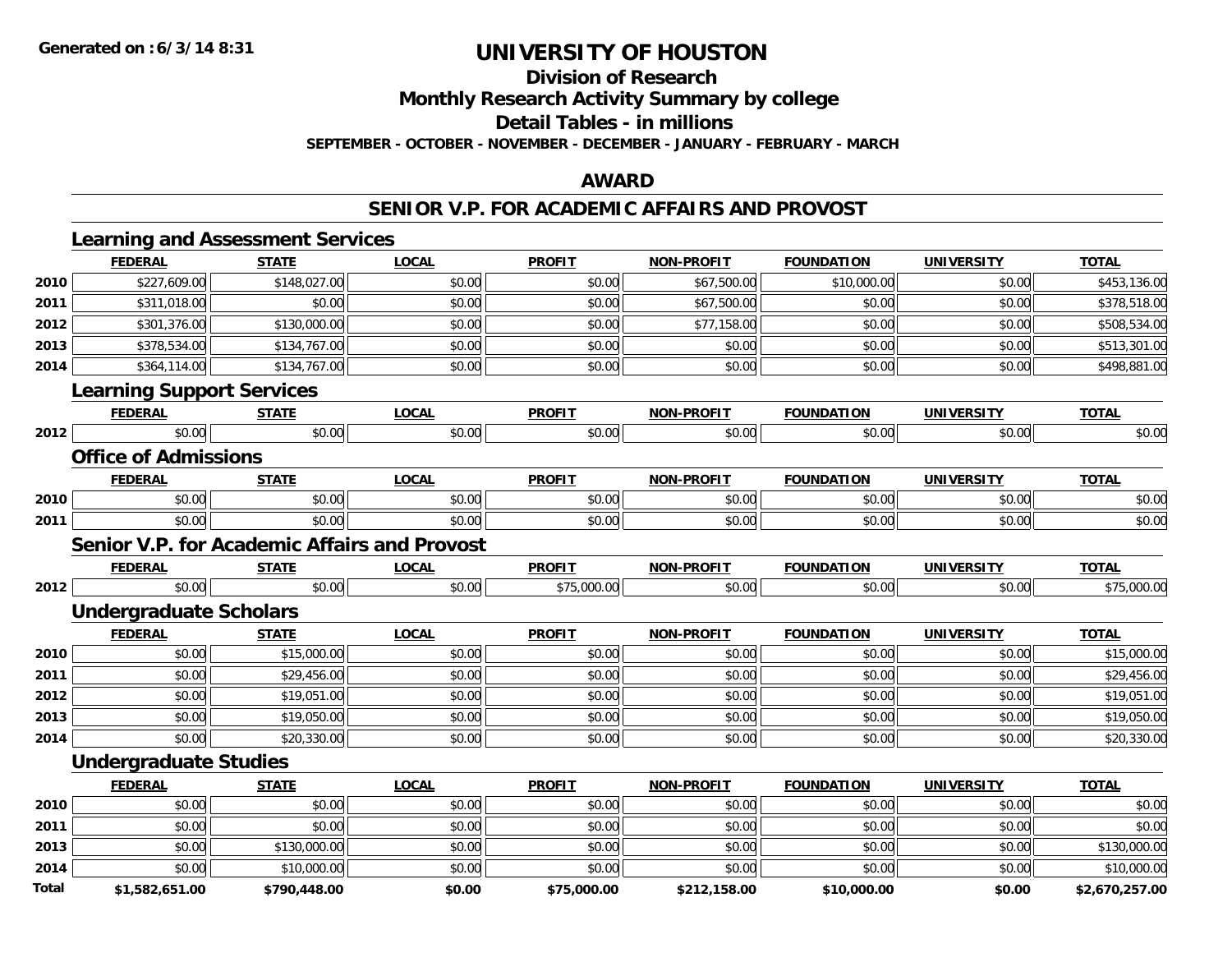**Division of Research**

**Monthly Research Activity Summary by college**

**Detail Tables - in millions**

**SEPTEMBER - OCTOBER - NOVEMBER - DECEMBER - JANUARY - FEBRUARY - MARCH**

### **AWARD**

#### **SENIOR V.P. FOR ACADEMIC AFFAIRS AND PROVOST**

|      | <b>Learning and Assessment Services</b><br><b>FEDERAL</b> | <b>STATE</b> | <b>LOCAL</b> | <b>PROFIT</b> | <b>NON-PROFIT</b> | <b>FOUNDATION</b> | <b>UNIVERSITY</b> | <b>TOTAL</b> |
|------|-----------------------------------------------------------|--------------|--------------|---------------|-------------------|-------------------|-------------------|--------------|
| 2010 | \$227,609.00                                              | \$148,027.00 | \$0.00       | \$0.00        | \$67,500.00       | \$10,000.00       | \$0.00            | \$453,136.00 |
| 2011 | \$311,018.00                                              | \$0.00       | \$0.00       | \$0.00        | \$67,500.00       | \$0.00            | \$0.00            | \$378,518.00 |
| 2012 | \$301,376.00                                              | \$130,000.00 | \$0.00       | \$0.00        | \$77,158.00       | \$0.00            | \$0.00            | \$508,534.00 |
| 2013 | \$378,534.00                                              | \$134,767.00 | \$0.00       | \$0.00        | \$0.00            | \$0.00            | \$0.00            | \$513,301.00 |
| 2014 | \$364,114.00                                              | \$134,767.00 | \$0.00       | \$0.00        | \$0.00            | \$0.00            | \$0.00            | \$498,881.00 |
|      | <b>Learning Support Services</b>                          |              |              |               |                   |                   |                   |              |
|      | <b>FEDERAL</b>                                            | <b>STATE</b> | <b>LOCAL</b> | <b>PROFIT</b> | <b>NON-PROFIT</b> | <b>FOUNDATION</b> | <b>UNIVERSITY</b> | <b>TOTAL</b> |
| 2012 | \$0.00                                                    | \$0.00       | \$0.00       | \$0.00        | \$0.00            | \$0.00            | \$0.00            | \$0.00       |
|      | <b>Office of Admissions</b>                               |              |              |               |                   |                   |                   |              |
|      | <b>FEDERAL</b>                                            | <b>STATE</b> | <b>LOCAL</b> | <b>PROFIT</b> | <b>NON-PROFIT</b> | <b>FOUNDATION</b> | <b>UNIVERSITY</b> | <b>TOTAL</b> |
| 2010 | \$0.00                                                    | \$0.00       | \$0.00       | \$0.00        | \$0.00            | \$0.00            | \$0.00            | \$0.00       |
| 2011 | \$0.00                                                    | \$0.00       | \$0.00       | \$0.00        | \$0.00            | \$0.00            | \$0.00            | \$0.00       |
|      | <b>Senior V.P. for Academic Affairs and Provost</b>       |              |              |               |                   |                   |                   |              |
|      | <b>FEDERAL</b>                                            | <b>STATE</b> | <b>LOCAL</b> | <b>PROFIT</b> | <b>NON-PROFIT</b> | <b>FOUNDATION</b> | <b>UNIVERSITY</b> | <b>TOTAL</b> |
| 2012 | \$0.00                                                    | \$0.00       | \$0.00       | \$75,000.00   | \$0.00            | \$0.00            | \$0.00            | \$75,000.00  |
|      | <b>Undergraduate Scholars</b>                             |              |              |               |                   |                   |                   |              |
|      | <b>FEDERAL</b>                                            | <b>STATE</b> | <b>LOCAL</b> | <b>PROFIT</b> | <b>NON-PROFIT</b> | <b>FOUNDATION</b> | <b>UNIVERSITY</b> | <b>TOTAL</b> |
| 2010 | \$0.00                                                    | \$15,000.00  | \$0.00       | \$0.00        | \$0.00            | \$0.00            | \$0.00            | \$15,000.00  |
| 2011 | \$0.00                                                    | \$29,456.00  | \$0.00       | \$0.00        | \$0.00            | \$0.00            | \$0.00            | \$29,456.00  |
| 2012 | \$0.00                                                    | \$19,051.00  | \$0.00       | \$0.00        | \$0.00            | \$0.00            | \$0.00            | \$19,051.00  |
| 2013 | \$0.00                                                    | \$19,050.00  | \$0.00       | \$0.00        | \$0.00            | \$0.00            | \$0.00            | \$19,050.00  |
| 2014 | \$0.00                                                    | \$20,330.00  | \$0.00       | \$0.00        | \$0.00            | \$0.00            | \$0.00            | \$20,330.00  |
|      | <b>Undergraduate Studies</b>                              |              |              |               |                   |                   |                   |              |
|      | <b>FEDERAL</b>                                            | <b>STATE</b> | <b>LOCAL</b> | <b>PROFIT</b> | <b>NON-PROFIT</b> | <b>FOUNDATION</b> | <b>UNIVERSITY</b> | <b>TOTAL</b> |
| 2010 | \$0.00                                                    | \$0.00       | \$0.00       | \$0.00        | \$0.00            | \$0.00            | \$0.00            | \$0.00       |
| 2011 | \$0.00                                                    | \$0.00       | \$0.00       | \$0.00        | \$0.00            | \$0.00            | \$0.00            | \$0.00       |
| 2013 | \$0.00                                                    | \$130,000.00 | \$0.00       | \$0.00        | \$0.00            | \$0.00            | \$0.00            | \$130,000.00 |
|      |                                                           |              |              |               |                   |                   |                   |              |
| 2014 | \$0.00                                                    | \$10,000.00  | \$0.00       | \$0.00        | \$0.00            | \$0.00            | \$0.00            | \$10,000.00  |

**\$1,582,651.00 \$790,448.00 \$0.00 \$75,000.00 \$212,158.00 \$10,000.00 \$0.00 \$2,670,257.00**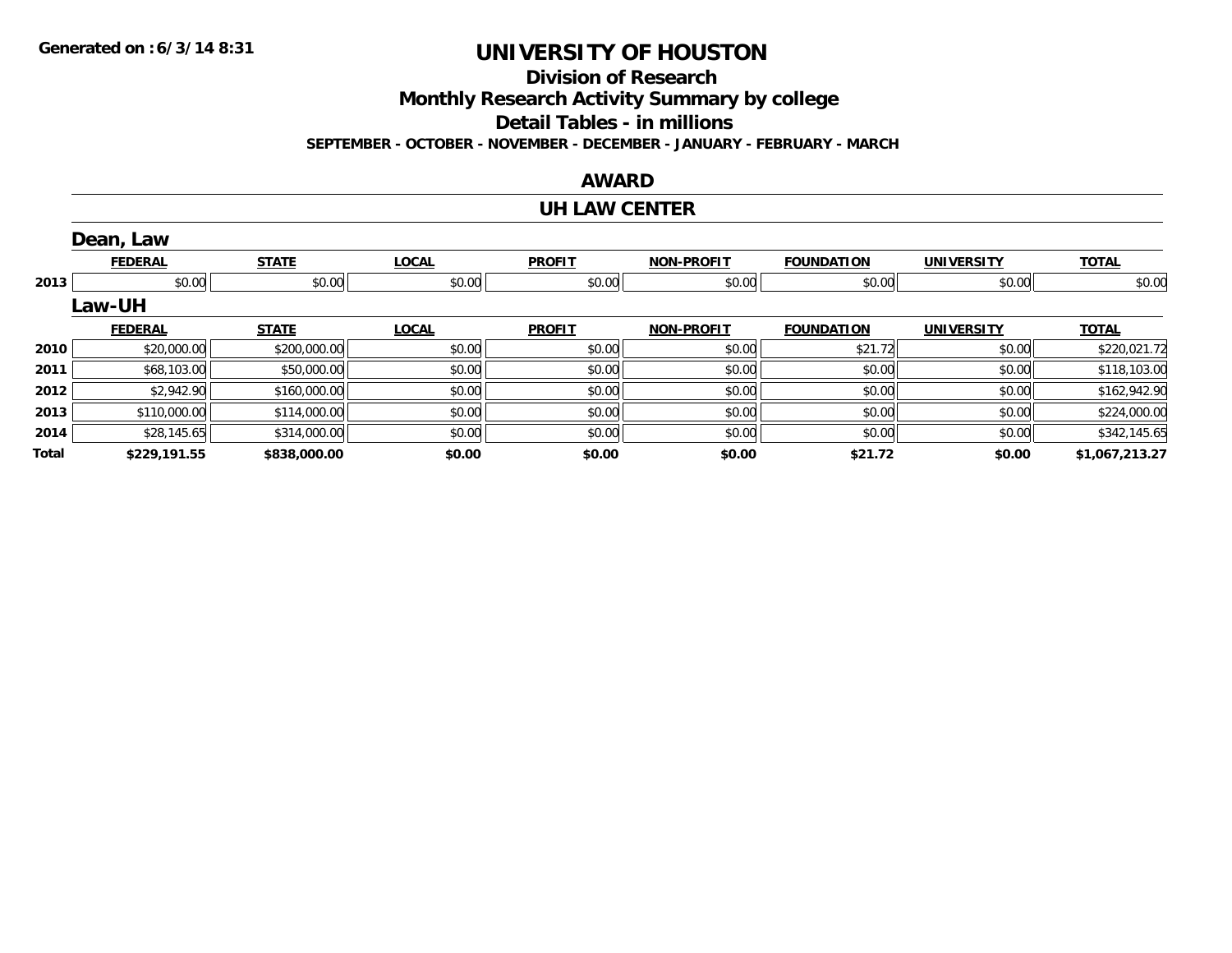**Division of Research**

**Monthly Research Activity Summary by college**

**Detail Tables - in millions**

**SEPTEMBER - OCTOBER - NOVEMBER - DECEMBER - JANUARY - FEBRUARY - MARCH**

#### **AWARD**

#### **UH LAW CENTER**

|       | Dean, Law      |              |              |               |                   |                   |                   |                |
|-------|----------------|--------------|--------------|---------------|-------------------|-------------------|-------------------|----------------|
|       | <b>FEDERAL</b> | <b>STATE</b> | <b>LOCAL</b> | <b>PROFIT</b> | <b>NON-PROFIT</b> | <b>FOUNDATION</b> | <b>UNIVERSITY</b> | <b>TOTAL</b>   |
| 2013  | \$0.00         | \$0.00       | \$0.00       | \$0.00        | \$0.00            | \$0.00            | \$0.00            | \$0.00         |
|       | Law-UH         |              |              |               |                   |                   |                   |                |
|       | <b>FEDERAL</b> | <b>STATE</b> | <b>LOCAL</b> | <b>PROFIT</b> | <b>NON-PROFIT</b> | <b>FOUNDATION</b> | <b>UNIVERSITY</b> | <b>TOTAL</b>   |
| 2010  | \$20,000.00    | \$200,000.00 | \$0.00       | \$0.00        | \$0.00            | \$21.72           | \$0.00            | \$220,021.72   |
| 2011  | \$68,103.00    | \$50,000.00  | \$0.00       | \$0.00        | \$0.00            | \$0.00            | \$0.00            | \$118,103.00   |
| 2012  | \$2,942.90     | \$160,000.00 | \$0.00       | \$0.00        | \$0.00            | \$0.00            | \$0.00            | \$162,942.90   |
| 2013  | \$110,000.00   | \$114,000.00 | \$0.00       | \$0.00        | \$0.00            | \$0.00            | \$0.00            | \$224,000.00   |
| 2014  | \$28,145.65    | \$314,000.00 | \$0.00       | \$0.00        | \$0.00            | \$0.00            | \$0.00            | \$342,145.65   |
| Total | \$229,191.55   | \$838,000.00 | \$0.00       | \$0.00        | \$0.00            | \$21.72           | \$0.00            | \$1,067,213.27 |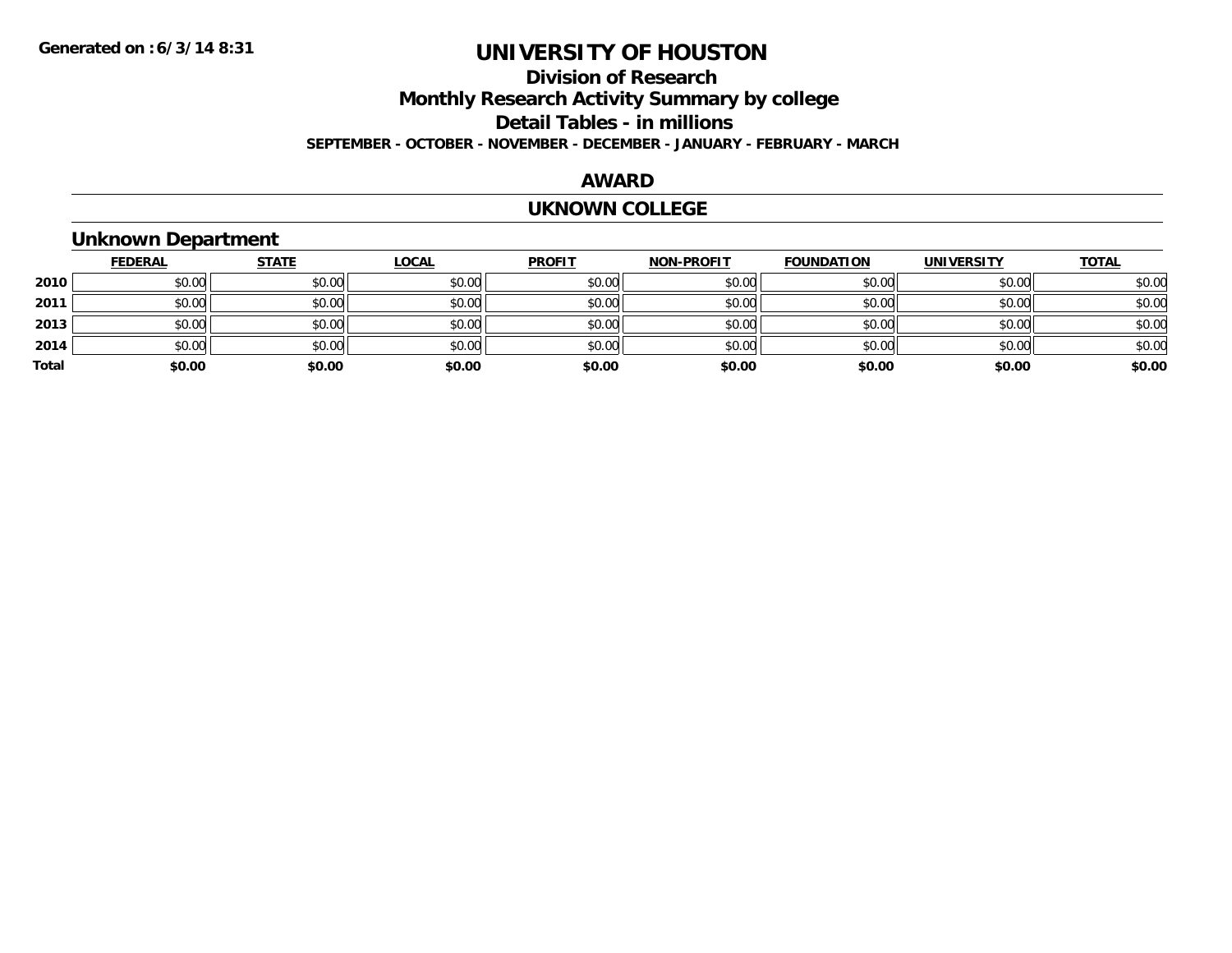### **Division of ResearchMonthly Research Activity Summary by college Detail Tables - in millions SEPTEMBER - OCTOBER - NOVEMBER - DECEMBER - JANUARY - FEBRUARY - MARCH**

### **AWARD**

#### **UKNOWN COLLEGE**

### **Unknown Department**

|       | <b>FEDERAL</b> | <b>STATE</b> | <u>LOCAL</u> | <b>PROFIT</b> | <b>NON-PROFIT</b> | <b>FOUNDATION</b> | <b>UNIVERSITY</b> | <b>TOTAL</b> |
|-------|----------------|--------------|--------------|---------------|-------------------|-------------------|-------------------|--------------|
| 2010  | \$0.00         | \$0.00       | \$0.00       | \$0.00        | \$0.00            | \$0.00            | \$0.00            | \$0.00       |
| 2011  | \$0.00         | \$0.00       | \$0.00       | \$0.00        | \$0.00            | \$0.00            | \$0.00            | \$0.00       |
| 2013  | \$0.00         | \$0.00       | \$0.00       | \$0.00        | \$0.00            | \$0.00            | \$0.00            | \$0.00       |
| 2014  | \$0.00         | \$0.00       | \$0.00       | \$0.00        | \$0.00            | \$0.00            | \$0.00            | \$0.00       |
| Total | \$0.00         | \$0.00       | \$0.00       | \$0.00        | \$0.00            | \$0.00            | \$0.00            | \$0.00       |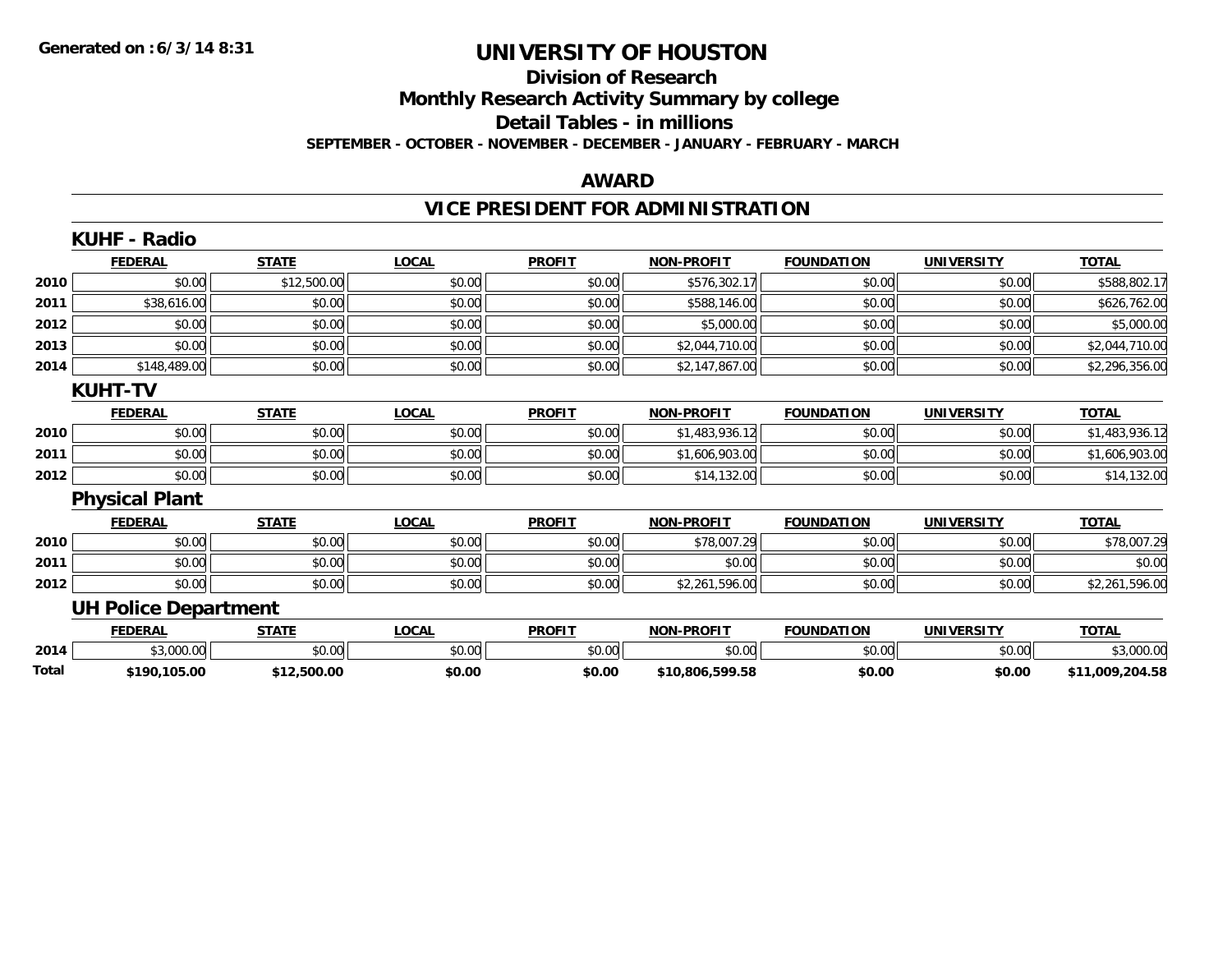#### **Division of Research Monthly Research Activity Summary by college Detail Tables - in millions SEPTEMBER - OCTOBER - NOVEMBER - DECEMBER - JANUARY - FEBRUARY - MARCH**

#### **AWARD**

### **VICE PRESIDENT FOR ADMINISTRATION**

|       | <b>KUHF - Radio</b>         |              |              |               |                   |                   |                   |                 |
|-------|-----------------------------|--------------|--------------|---------------|-------------------|-------------------|-------------------|-----------------|
|       | <b>FEDERAL</b>              | <b>STATE</b> | <b>LOCAL</b> | <b>PROFIT</b> | <b>NON-PROFIT</b> | <b>FOUNDATION</b> | <b>UNIVERSITY</b> | <b>TOTAL</b>    |
| 2010  | \$0.00                      | \$12,500.00  | \$0.00       | \$0.00        | \$576,302.17      | \$0.00            | \$0.00            | \$588,802.17    |
| 2011  | \$38,616.00                 | \$0.00       | \$0.00       | \$0.00        | \$588,146.00      | \$0.00            | \$0.00            | \$626,762.00    |
| 2012  | \$0.00                      | \$0.00       | \$0.00       | \$0.00        | \$5,000.00        | \$0.00            | \$0.00            | \$5,000.00      |
| 2013  | \$0.00                      | \$0.00       | \$0.00       | \$0.00        | \$2,044,710.00    | \$0.00            | \$0.00            | \$2,044,710.00  |
| 2014  | \$148,489.00                | \$0.00       | \$0.00       | \$0.00        | \$2,147,867.00    | \$0.00            | \$0.00            | \$2,296,356.00  |
|       | <b>KUHT-TV</b>              |              |              |               |                   |                   |                   |                 |
|       | <b>FEDERAL</b>              | <b>STATE</b> | <b>LOCAL</b> | <b>PROFIT</b> | <b>NON-PROFIT</b> | <b>FOUNDATION</b> | <b>UNIVERSITY</b> | <b>TOTAL</b>    |
| 2010  | \$0.00                      | \$0.00       | \$0.00       | \$0.00        | \$1,483,936.12    | \$0.00            | \$0.00            | \$1,483,936.12  |
| 2011  | \$0.00                      | \$0.00       | \$0.00       | \$0.00        | \$1,606,903.00    | \$0.00            | \$0.00            | \$1,606,903.00  |
| 2012  | \$0.00                      | \$0.00       | \$0.00       | \$0.00        | \$14,132.00       | \$0.00            | \$0.00            | \$14,132.00     |
|       | <b>Physical Plant</b>       |              |              |               |                   |                   |                   |                 |
|       | <b>FEDERAL</b>              | <b>STATE</b> | <b>LOCAL</b> | <b>PROFIT</b> | <b>NON-PROFIT</b> | <b>FOUNDATION</b> | <b>UNIVERSITY</b> | <b>TOTAL</b>    |
| 2010  | \$0.00                      | \$0.00       | \$0.00       | \$0.00        | \$78,007.29       | \$0.00            | \$0.00            | \$78,007.29     |
| 2011  | \$0.00                      | \$0.00       | \$0.00       | \$0.00        | \$0.00            | \$0.00            | \$0.00            | \$0.00          |
| 2012  | \$0.00                      | \$0.00       | \$0.00       | \$0.00        | \$2,261,596.00    | \$0.00            | \$0.00            | \$2,261,596.00  |
|       | <b>UH Police Department</b> |              |              |               |                   |                   |                   |                 |
|       | <b>FEDERAL</b>              | <b>STATE</b> | <b>LOCAL</b> | <b>PROFIT</b> | <b>NON-PROFIT</b> | <b>FOUNDATION</b> | <b>UNIVERSITY</b> | <b>TOTAL</b>    |
| 2014  | \$3,000.00                  | \$0.00       | \$0.00       | \$0.00        | \$0.00            | \$0.00            | \$0.00            | \$3,000.00      |
| Total | \$190,105.00                | \$12,500.00  | \$0.00       | \$0.00        | \$10,806,599.58   | \$0.00            | \$0.00            | \$11,009,204.58 |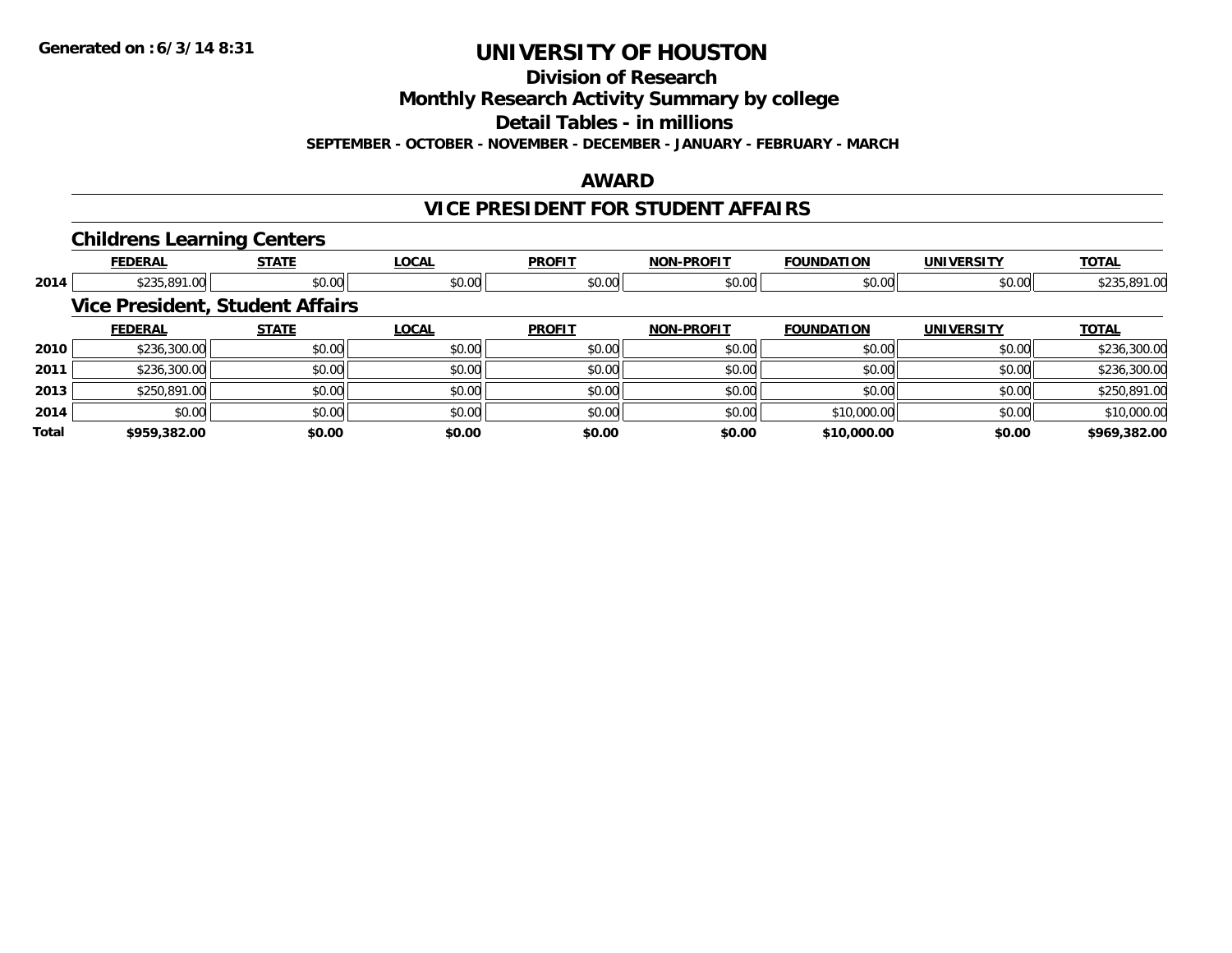**Division of Research**

**Monthly Research Activity Summary by college**

**Detail Tables - in millions**

**SEPTEMBER - OCTOBER - NOVEMBER - DECEMBER - JANUARY - FEBRUARY - MARCH**

#### **AWARD**

### **VICE PRESIDENT FOR STUDENT AFFAIRS**

#### **Childrens Learning Centers**

|       | <b>FEDERAL</b>                         | <b>STATE</b> | <b>LOCAL</b> | <b>PROFIT</b> | <b>NON-PROFIT</b> | <b>FOUNDATION</b> | <b>UNIVERSITY</b> | <b>TOTAL</b> |
|-------|----------------------------------------|--------------|--------------|---------------|-------------------|-------------------|-------------------|--------------|
| 2014  | \$235,891.00                           | \$0.00       | \$0.00       | \$0.00        | \$0.00            | \$0.00            | \$0.00            | \$235,891.00 |
|       | <b>Vice President, Student Affairs</b> |              |              |               |                   |                   |                   |              |
|       | <b>FEDERAL</b>                         | <b>STATE</b> | <b>LOCAL</b> | <b>PROFIT</b> | <b>NON-PROFIT</b> | <b>FOUNDATION</b> | <b>UNIVERSITY</b> | <b>TOTAL</b> |
| 2010  | \$236,300.00                           | \$0.00       | \$0.00       | \$0.00        | \$0.00            | \$0.00            | \$0.00            | \$236,300.00 |
| 2011  | \$236,300.00                           | \$0.00       | \$0.00       | \$0.00        | \$0.00            | \$0.00            | \$0.00            | \$236,300.00 |
| 2013  | \$250,891.00                           | \$0.00       | \$0.00       | \$0.00        | \$0.00            | \$0.00            | \$0.00            | \$250,891.00 |
| 2014  | \$0.00                                 | \$0.00       | \$0.00       | \$0.00        | \$0.00            | \$10,000.00       | \$0.00            | \$10,000.00  |
| Total | \$959,382.00                           | \$0.00       | \$0.00       | \$0.00        | \$0.00            | \$10,000.00       | \$0.00            | \$969,382.00 |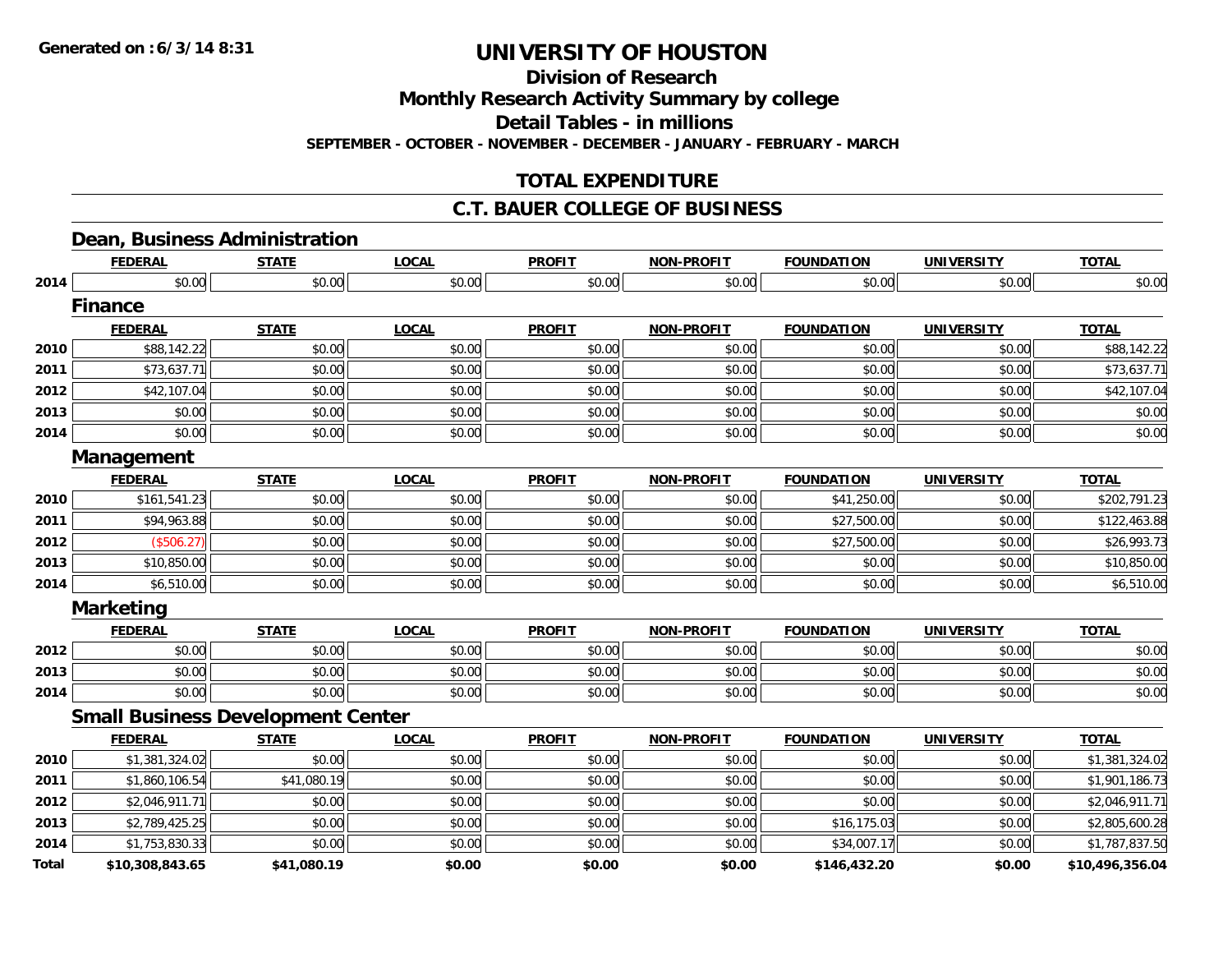**Division of Research**

**Monthly Research Activity Summary by college**

**Detail Tables - in millions**

**SEPTEMBER - OCTOBER - NOVEMBER - DECEMBER - JANUARY - FEBRUARY - MARCH**

### **TOTAL EXPENDITURE**

### **C.T. BAUER COLLEGE OF BUSINESS**

### **Dean, Business Administration**

|              | <b>FEDERAL</b>                           | <b>STATE</b> | <b>LOCAL</b> | <b>PROFIT</b> | <b>NON-PROFIT</b> | <b>FOUNDATION</b> | <b>UNIVERSITY</b> | <b>TOTAL</b>    |
|--------------|------------------------------------------|--------------|--------------|---------------|-------------------|-------------------|-------------------|-----------------|
| 2014         | \$0.00                                   | \$0.00       | \$0.00       | \$0.00        | \$0.00            | \$0.00            | \$0.00            | \$0.00          |
|              | <b>Finance</b>                           |              |              |               |                   |                   |                   |                 |
|              | <b>FEDERAL</b>                           | <b>STATE</b> | <b>LOCAL</b> | <b>PROFIT</b> | <b>NON-PROFIT</b> | <b>FOUNDATION</b> | <b>UNIVERSITY</b> | <b>TOTAL</b>    |
| 2010         | \$88,142.22                              | \$0.00       | \$0.00       | \$0.00        | \$0.00            | \$0.00            | \$0.00            | \$88,142.22     |
| 2011         | \$73,637.71                              | \$0.00       | \$0.00       | \$0.00        | \$0.00            | \$0.00            | \$0.00            | \$73,637.71     |
| 2012         | \$42,107.04                              | \$0.00       | \$0.00       | \$0.00        | \$0.00            | \$0.00            | \$0.00            | \$42,107.04     |
| 2013         | \$0.00                                   | \$0.00       | \$0.00       | \$0.00        | \$0.00            | \$0.00            | \$0.00            | \$0.00          |
| 2014         | \$0.00                                   | \$0.00       | \$0.00       | \$0.00        | \$0.00            | \$0.00            | \$0.00            | \$0.00          |
|              | Management                               |              |              |               |                   |                   |                   |                 |
|              | <b>FEDERAL</b>                           | <b>STATE</b> | <b>LOCAL</b> | <b>PROFIT</b> | <b>NON-PROFIT</b> | <b>FOUNDATION</b> | <b>UNIVERSITY</b> | <b>TOTAL</b>    |
| 2010         | \$161,541.23                             | \$0.00       | \$0.00       | \$0.00        | \$0.00            | \$41,250.00       | \$0.00            | \$202,791.23    |
| 2011         | \$94,963.88                              | \$0.00       | \$0.00       | \$0.00        | \$0.00            | \$27,500.00       | \$0.00            | \$122,463.88    |
| 2012         | (\$506.27)                               | \$0.00       | \$0.00       | \$0.00        | \$0.00            | \$27,500.00       | \$0.00            | \$26,993.73     |
| 2013         | \$10,850.00                              | \$0.00       | \$0.00       | \$0.00        | \$0.00            | \$0.00            | \$0.00            | \$10,850.00     |
| 2014         | \$6,510.00                               | \$0.00       | \$0.00       | \$0.00        | \$0.00            | \$0.00            | \$0.00            | \$6,510.00      |
|              | <b>Marketing</b>                         |              |              |               |                   |                   |                   |                 |
|              | <b>FEDERAL</b>                           | <b>STATE</b> | <b>LOCAL</b> | <b>PROFIT</b> | <b>NON-PROFIT</b> | <b>FOUNDATION</b> | <b>UNIVERSITY</b> | <b>TOTAL</b>    |
| 2012         | \$0.00                                   | \$0.00       | \$0.00       | \$0.00        | \$0.00            | \$0.00            | \$0.00            | \$0.00          |
| 2013         | \$0.00                                   | \$0.00       | \$0.00       | \$0.00        | \$0.00            | \$0.00            | \$0.00            | \$0.00          |
| 2014         | \$0.00                                   | \$0.00       | \$0.00       | \$0.00        | \$0.00            | \$0.00            | \$0.00            | \$0.00          |
|              | <b>Small Business Development Center</b> |              |              |               |                   |                   |                   |                 |
|              | <b>FEDERAL</b>                           | <b>STATE</b> | <b>LOCAL</b> | <b>PROFIT</b> | <b>NON-PROFIT</b> | <b>FOUNDATION</b> | <b>UNIVERSITY</b> | <b>TOTAL</b>    |
| 2010         | \$1,381,324.02                           | \$0.00       | \$0.00       | \$0.00        | \$0.00            | \$0.00            | \$0.00            | \$1,381,324.02  |
| 2011         | \$1,860,106.54                           | \$41,080.19  | \$0.00       | \$0.00        | \$0.00            | \$0.00            | \$0.00            | \$1,901,186.73  |
| 2012         | \$2,046,911.71                           | \$0.00       | \$0.00       | \$0.00        | \$0.00            | \$0.00            | \$0.00            | \$2,046,911.71  |
| 2013         | \$2,789,425.25                           | \$0.00       | \$0.00       | \$0.00        | \$0.00            | \$16,175.03       | \$0.00            | \$2,805,600.28  |
| 2014         | \$1,753,830.33                           | \$0.00       | \$0.00       | \$0.00        | \$0.00            | \$34,007.17       | \$0.00            | \$1,787,837.50  |
| <b>Total</b> | \$10,308,843.65                          | \$41,080.19  | \$0.00       | \$0.00        | \$0.00            | \$146,432.20      | \$0.00            | \$10,496,356.04 |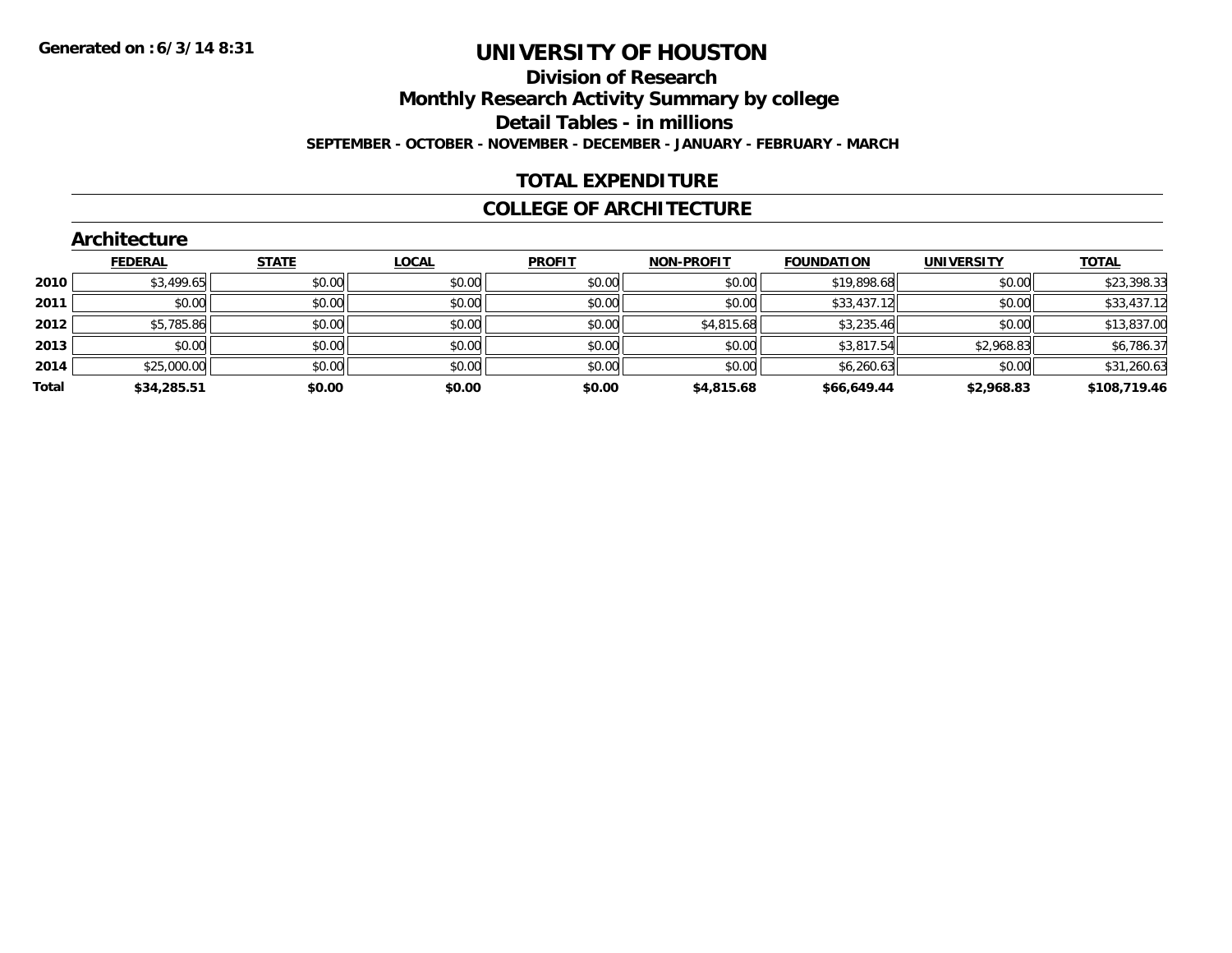### **Division of Research Monthly Research Activity Summary by college Detail Tables - in millions SEPTEMBER - OCTOBER - NOVEMBER - DECEMBER - JANUARY - FEBRUARY - MARCH**

#### **TOTAL EXPENDITURE**

#### **COLLEGE OF ARCHITECTURE**

|       | <b>Architecture</b> |              |              |               |                   |                   |                   |              |
|-------|---------------------|--------------|--------------|---------------|-------------------|-------------------|-------------------|--------------|
|       | <b>FEDERAL</b>      | <b>STATE</b> | <b>LOCAL</b> | <b>PROFIT</b> | <b>NON-PROFIT</b> | <b>FOUNDATION</b> | <b>UNIVERSITY</b> | <b>TOTAL</b> |
| 2010  | \$3,499.65          | \$0.00       | \$0.00       | \$0.00        | \$0.00            | \$19,898.68       | \$0.00            | \$23,398.33  |
| 2011  | \$0.00              | \$0.00       | \$0.00       | \$0.00        | \$0.00            | \$33,437.12       | \$0.00            | \$33,437.12  |
| 2012  | \$5,785.86          | \$0.00       | \$0.00       | \$0.00        | \$4,815.68        | \$3,235.46        | \$0.00            | \$13,837.00  |
| 2013  | \$0.00              | \$0.00       | \$0.00       | \$0.00        | \$0.00            | \$3,817.54        | \$2,968.83        | \$6,786.37   |
| 2014  | \$25,000.00         | \$0.00       | \$0.00       | \$0.00        | \$0.00            | \$6,260.63        | \$0.00            | \$31,260.63  |
| Total | \$34,285.51         | \$0.00       | \$0.00       | \$0.00        | \$4,815.68        | \$66,649.44       | \$2,968.83        | \$108,719.46 |

#### **Architecture**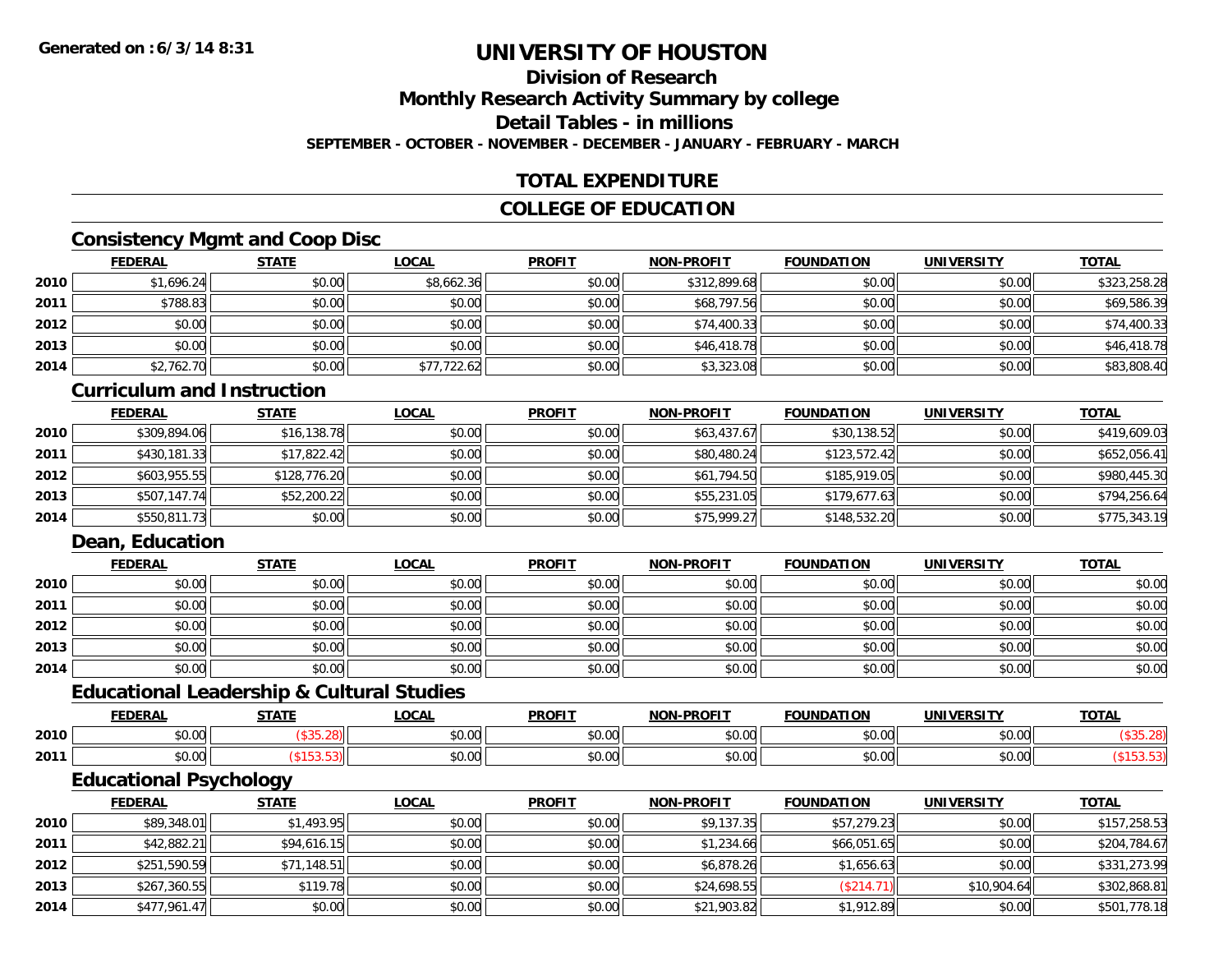#### **Division of ResearchMonthly Research Activity Summary by college Detail Tables - in millions SEPTEMBER - OCTOBER - NOVEMBER - DECEMBER - JANUARY - FEBRUARY - MARCH**

### **TOTAL EXPENDITURE**

### **COLLEGE OF EDUCATION**

### **Consistency Mgmt and Coop Disc**

|      | <b>FEDERAL</b> | <b>STATE</b> | <u>LOCAL</u> | <b>PROFIT</b> | <b>NON-PROFIT</b> | <b>FOUNDATION</b> | <b>UNIVERSITY</b> | <u>TOTAL</u> |
|------|----------------|--------------|--------------|---------------|-------------------|-------------------|-------------------|--------------|
| 2010 | \$1,696.24     | \$0.00       | \$8,662.36   | \$0.00        | \$312,899.68      | \$0.00            | \$0.00            | \$323,258.28 |
| 2011 | \$788.83       | \$0.00       | \$0.00       | \$0.00        | \$68,797.56       | \$0.00            | \$0.00            | \$69,586.39  |
| 2012 | \$0.00         | \$0.00       | \$0.00       | \$0.00        | \$74,400.33       | \$0.00            | \$0.00            | \$74,400.33  |
| 2013 | \$0.00         | \$0.00       | \$0.00       | \$0.00        | \$46,418.78       | \$0.00            | \$0.00            | \$46,418.78  |
| 2014 | \$2,762.70     | \$0.00       | \$77,722.62  | \$0.00        | \$3,323.08        | \$0.00            | \$0.00            | \$83,808.40  |

#### **Curriculum and Instruction**

|      | <b>FEDERAL</b> | <b>STATE</b> | <u>LOCAL</u> | <b>PROFIT</b> | <b>NON-PROFIT</b> | <b>FOUNDATION</b> | <b>UNIVERSITY</b> | <b>TOTAL</b> |
|------|----------------|--------------|--------------|---------------|-------------------|-------------------|-------------------|--------------|
| 2010 | \$309,894.06   | \$16,138.78  | \$0.00       | \$0.00        | \$63,437.67       | \$30,138.52       | \$0.00            | \$419,609.03 |
| 2011 | \$430,181.33   | \$17,822.42  | \$0.00       | \$0.00        | \$80,480.24       | \$123,572.42      | \$0.00            | \$652,056.41 |
| 2012 | \$603.955.55   | \$128,776.20 | \$0.00       | \$0.00        | \$61,794.50       | \$185,919.05      | \$0.00            | \$980,445.30 |
| 2013 | \$507,147.74   | \$52,200.22  | \$0.00       | \$0.00        | \$55,231.05       | \$179,677.63      | \$0.00            | \$794,256.64 |
| 2014 | \$550,811.73   | \$0.00       | \$0.00       | \$0.00        | \$75,999.27       | \$148,532.20      | \$0.00            | \$775,343.19 |

### **Dean, Education**

|      | <b>FEDERAL</b> | <b>STATE</b> | <u>LOCAL</u> | <b>PROFIT</b> | <b>NON-PROFIT</b> | <b>FOUNDATION</b> | <b>UNIVERSITY</b> | <b>TOTAL</b> |
|------|----------------|--------------|--------------|---------------|-------------------|-------------------|-------------------|--------------|
| 2010 | \$0.00         | \$0.00       | \$0.00       | \$0.00        | \$0.00            | \$0.00            | \$0.00            | \$0.00       |
| 2011 | \$0.00         | \$0.00       | \$0.00       | \$0.00        | \$0.00            | \$0.00            | \$0.00            | \$0.00       |
| 2012 | \$0.00         | \$0.00       | \$0.00       | \$0.00        | \$0.00            | \$0.00            | \$0.00            | \$0.00       |
| 2013 | \$0.00         | \$0.00       | \$0.00       | \$0.00        | \$0.00            | \$0.00            | \$0.00            | \$0.00       |
| 2014 | \$0.00         | \$0.00       | \$0.00       | \$0.00        | \$0.00            | \$0.00            | \$0.00            | \$0.00       |

#### **Educational Leadership & Cultural Studies**

|      | <b>FEDERAL</b>                 | <b>CTATE</b> | <b>OCAL</b> | <b>PROFIT</b>          | <b>DDAFIT</b><br>NON. | <b>FOUNDATION</b> | UNIVERSITY     | <b>TOTAL</b> |
|------|--------------------------------|--------------|-------------|------------------------|-----------------------|-------------------|----------------|--------------|
| 2010 | $\sim$<br>$\sim$<br>טט.טע      |              | \$0.00      | 0 <sub>n</sub><br>JU.U | 0000<br>vv.vv         | 0000<br>ט.טע      | 0000<br>JU.UU. |              |
| 2011 | $\sim$<br>$\sim$ $\sim$<br>טט. |              | \$0.00      | 0 <sub>n</sub><br>JU.U | 0000<br>vv.vv         | 0.00              | \$0.00         |              |

### **Educational Psychology**

|      | <b>FEDERAL</b> | <u>STATE</u> | <b>LOCAL</b> | <b>PROFIT</b> | <b>NON-PROFIT</b> | <b>FOUNDATION</b> | <b>UNIVERSITY</b> | <b>TOTAL</b> |
|------|----------------|--------------|--------------|---------------|-------------------|-------------------|-------------------|--------------|
| 2010 | \$89,348.01    | \$1,493.95   | \$0.00       | \$0.00        | \$9,137.35        | \$57,279.23       | \$0.00            | \$157,258.53 |
| 2011 | \$42,882.21    | \$94,616.15  | \$0.00       | \$0.00        | \$1,234.66        | \$66,051.65       | \$0.00            | \$204,784.67 |
| 2012 | \$251,590.59   | \$71,148.51  | \$0.00       | \$0.00        | \$6,878.26        | \$1,656.63        | \$0.00            | \$331,273.99 |
| 2013 | \$267,360.55   | \$119.78     | \$0.00       | \$0.00        | \$24,698.55       | (\$214.71)        | \$10,904.64       | \$302,868.81 |
| 2014 | \$477,961.47   | \$0.00       | \$0.00       | \$0.00        | \$21,903.82       | \$1,912.89        | \$0.00            | \$501,778.18 |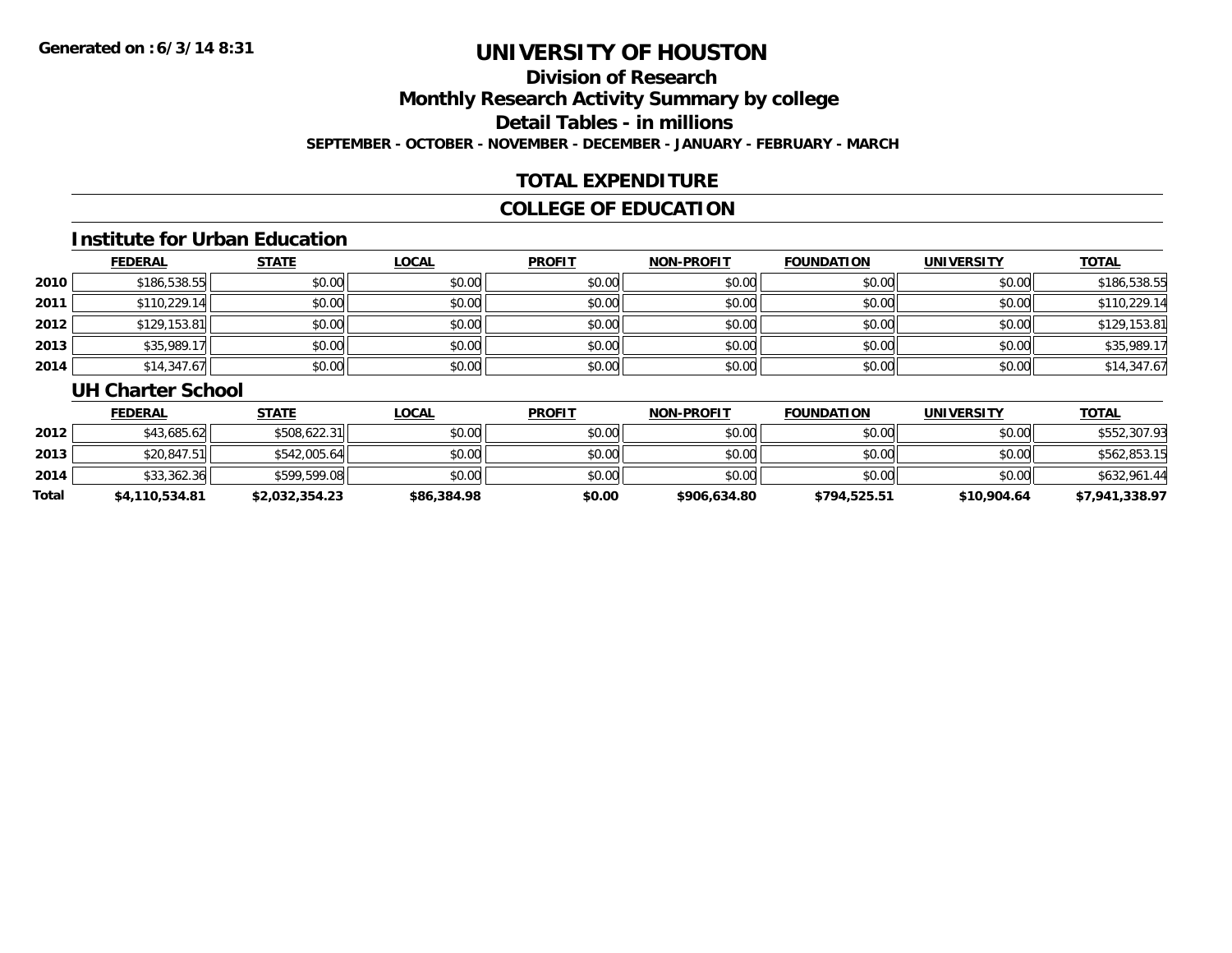### **Division of ResearchMonthly Research Activity Summary by college Detail Tables - in millions SEPTEMBER - OCTOBER - NOVEMBER - DECEMBER - JANUARY - FEBRUARY - MARCH**

### **TOTAL EXPENDITURE**

### **COLLEGE OF EDUCATION**

#### **Institute for Urban Education**

|      | <b>FEDERAL</b> | <b>STATE</b> | <b>LOCAL</b> | <b>PROFIT</b> | <b>NON-PROFIT</b> | <b>FOUNDATION</b> | <b>UNIVERSITY</b> | <b>TOTAL</b> |
|------|----------------|--------------|--------------|---------------|-------------------|-------------------|-------------------|--------------|
| 2010 | \$186,538.55   | \$0.00       | \$0.00       | \$0.00        | \$0.00            | \$0.00            | \$0.00            | \$186,538.55 |
| 2011 | \$110,229.14   | \$0.00       | \$0.00       | \$0.00        | \$0.00            | \$0.00            | \$0.00            | \$110,229.14 |
| 2012 | \$129,153.81   | \$0.00       | \$0.00       | \$0.00        | \$0.00            | \$0.00            | \$0.00            | \$129,153.81 |
| 2013 | \$35,989.17    | \$0.00       | \$0.00       | \$0.00        | \$0.00            | \$0.00            | \$0.00            | \$35,989.17  |
| 2014 | \$14,347.67    | \$0.00       | \$0.00       | \$0.00        | \$0.00            | \$0.00            | \$0.00            | \$14,347.67  |

#### **UH Charter School**

|       | <b>FEDERAL</b> | <u>STATE</u>   | <u>LOCAL</u> | <b>PROFIT</b> | <b>NON-PROFIT</b> | <b>FOUNDATION</b> | <b>UNIVERSITY</b> | <b>TOTAL</b>   |
|-------|----------------|----------------|--------------|---------------|-------------------|-------------------|-------------------|----------------|
| 2012  | \$43,685.62    | \$508,622.31   | \$0.00       | \$0.00        | \$0.00            | \$0.00            | \$0.00            | \$552,307.93   |
| 2013  | \$20,847.51    | \$542,005.64   | \$0.00       | \$0.00        | \$0.00            | \$0.00            | \$0.00            | \$562,853.15   |
| 2014  | \$33,362.36    | \$599,599.08   | \$0.00       | \$0.00        | \$0.00            | \$0.00            | \$0.00            | \$632,961.44   |
| Total | \$4,110,534.81 | \$2,032,354.23 | \$86,384.98  | \$0.00        | \$906,634.80      | \$794,525.51      | \$10,904.64       | \$7,941,338.97 |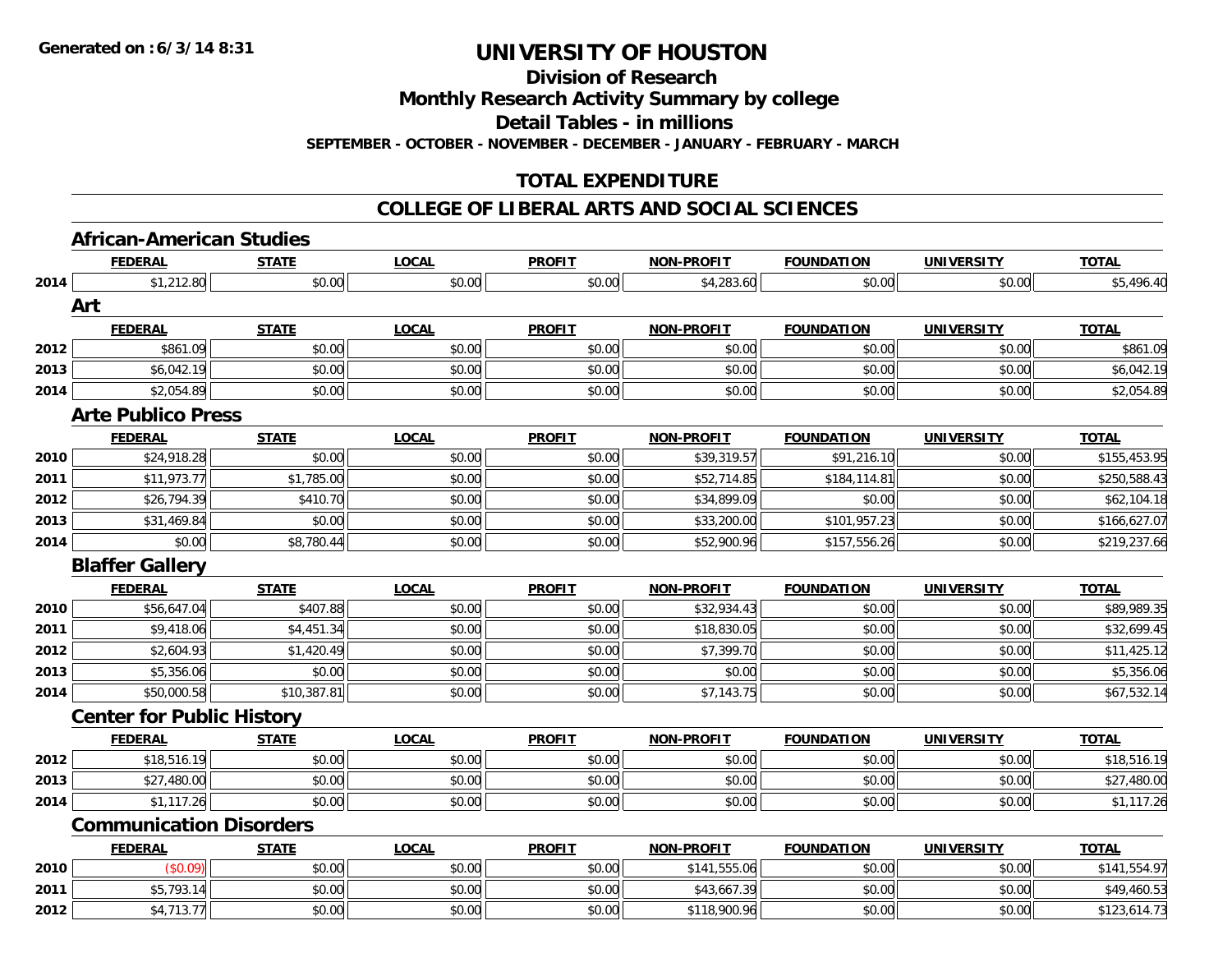**Division of Research**

**Monthly Research Activity Summary by college**

**Detail Tables - in millions**

**SEPTEMBER - OCTOBER - NOVEMBER - DECEMBER - JANUARY - FEBRUARY - MARCH**

### **TOTAL EXPENDITURE**

#### **COLLEGE OF LIBERAL ARTS AND SOCIAL SCIENCES**

## **African-American Studies**

|      | <b>FEDERAL</b>                   | <b>STATE</b> | <b>LOCAL</b> | <b>PROFIT</b> | <b>NON-PROFIT</b> | <b>FOUNDATION</b> | <b>UNIVERSITY</b> | <b>TOTAL</b> |
|------|----------------------------------|--------------|--------------|---------------|-------------------|-------------------|-------------------|--------------|
| 2014 | \$1,212.80                       | \$0.00       | \$0.00       | \$0.00        | \$4,283.60        | \$0.00            | \$0.00            | \$5,496.40   |
|      | Art                              |              |              |               |                   |                   |                   |              |
|      | <b>FEDERAL</b>                   | <b>STATE</b> | <b>LOCAL</b> | <b>PROFIT</b> | <b>NON-PROFIT</b> | <b>FOUNDATION</b> | <b>UNIVERSITY</b> | <b>TOTAL</b> |
| 2012 | \$861.09                         | \$0.00       | \$0.00       | \$0.00        | \$0.00            | \$0.00            | \$0.00            | \$861.09     |
| 2013 | \$6,042.19                       | \$0.00       | \$0.00       | \$0.00        | \$0.00            | \$0.00            | \$0.00            | \$6,042.19   |
| 2014 | \$2,054.89                       | \$0.00       | \$0.00       | \$0.00        | \$0.00            | \$0.00            | \$0.00            | \$2,054.89   |
|      | <b>Arte Publico Press</b>        |              |              |               |                   |                   |                   |              |
|      | <b>FEDERAL</b>                   | <b>STATE</b> | <b>LOCAL</b> | <b>PROFIT</b> | <b>NON-PROFIT</b> | <b>FOUNDATION</b> | <b>UNIVERSITY</b> | <b>TOTAL</b> |
| 2010 | \$24,918.28                      | \$0.00       | \$0.00       | \$0.00        | \$39,319.57       | \$91,216.10       | \$0.00            | \$155,453.95 |
| 2011 | \$11,973.77                      | \$1,785.00   | \$0.00       | \$0.00        | \$52,714.85       | \$184,114.81      | \$0.00            | \$250,588.43 |
| 2012 | \$26,794.39                      | \$410.70     | \$0.00       | \$0.00        | \$34,899.09       | \$0.00            | \$0.00            | \$62,104.18  |
| 2013 | \$31,469.84                      | \$0.00       | \$0.00       | \$0.00        | \$33,200.00       | \$101,957.23      | \$0.00            | \$166,627.07 |
| 2014 | \$0.00                           | \$8,780.44   | \$0.00       | \$0.00        | \$52,900.96       | \$157,556.26      | \$0.00            | \$219,237.66 |
|      | <b>Blaffer Gallery</b>           |              |              |               |                   |                   |                   |              |
|      | <b>FEDERAL</b>                   | <b>STATE</b> | <b>LOCAL</b> | <b>PROFIT</b> | <b>NON-PROFIT</b> | <b>FOUNDATION</b> | <b>UNIVERSITY</b> | <b>TOTAL</b> |
| 2010 | \$56,647.04                      | \$407.88     | \$0.00       | \$0.00        | \$32,934.43       | \$0.00            | \$0.00            | \$89,989.35  |
| 2011 | \$9,418.06                       | \$4,451.34   | \$0.00       | \$0.00        | \$18,830.05       | \$0.00            | \$0.00            | \$32,699.45  |
| 2012 | \$2,604.93                       | \$1,420.49   | \$0.00       | \$0.00        | \$7,399.70        | \$0.00            | \$0.00            | \$11,425.12  |
| 2013 | \$5,356.06                       | \$0.00       | \$0.00       | \$0.00        | \$0.00            | \$0.00            | \$0.00            | \$5,356.06   |
| 2014 | \$50,000.58                      | \$10,387.81  | \$0.00       | \$0.00        | \$7,143.75        | \$0.00            | \$0.00            | \$67,532.14  |
|      | <b>Center for Public History</b> |              |              |               |                   |                   |                   |              |
|      | <b>FEDERAL</b>                   | <b>STATE</b> | <b>LOCAL</b> | <b>PROFIT</b> | <b>NON-PROFIT</b> | <b>FOUNDATION</b> | <b>UNIVERSITY</b> | <b>TOTAL</b> |
| 2012 | \$18,516.19                      | \$0.00       | \$0.00       | \$0.00        | \$0.00            | \$0.00            | \$0.00            | \$18,516.19  |
| 2013 | \$27,480.00                      | \$0.00       | \$0.00       | \$0.00        | \$0.00            | \$0.00            | \$0.00            | \$27,480.00  |
| 2014 | \$1,117.26                       | \$0.00       | \$0.00       | \$0.00        | \$0.00            | \$0.00            | \$0.00            | \$1,117.26   |
|      | <b>Communication Disorders</b>   |              |              |               |                   |                   |                   |              |
|      | <b>FEDERAL</b>                   | <b>STATE</b> | <b>LOCAL</b> | <b>PROFIT</b> | <b>NON-PROFIT</b> | <b>FOUNDATION</b> | <b>UNIVERSITY</b> | <b>TOTAL</b> |
| 2010 | (\$0.09)                         | \$0.00       | \$0.00       | \$0.00        | \$141,555.06      | \$0.00            | \$0.00            | \$141,554.97 |
| 2011 | \$5,793.14                       | \$0.00       | \$0.00       | \$0.00        | \$43,667.39       | \$0.00            | \$0.00            | \$49,460.53  |
| 2012 | \$4,713.77                       | \$0.00       | \$0.00       | \$0.00        | \$118,900.96      | \$0.00            | \$0.00            | \$123,614.73 |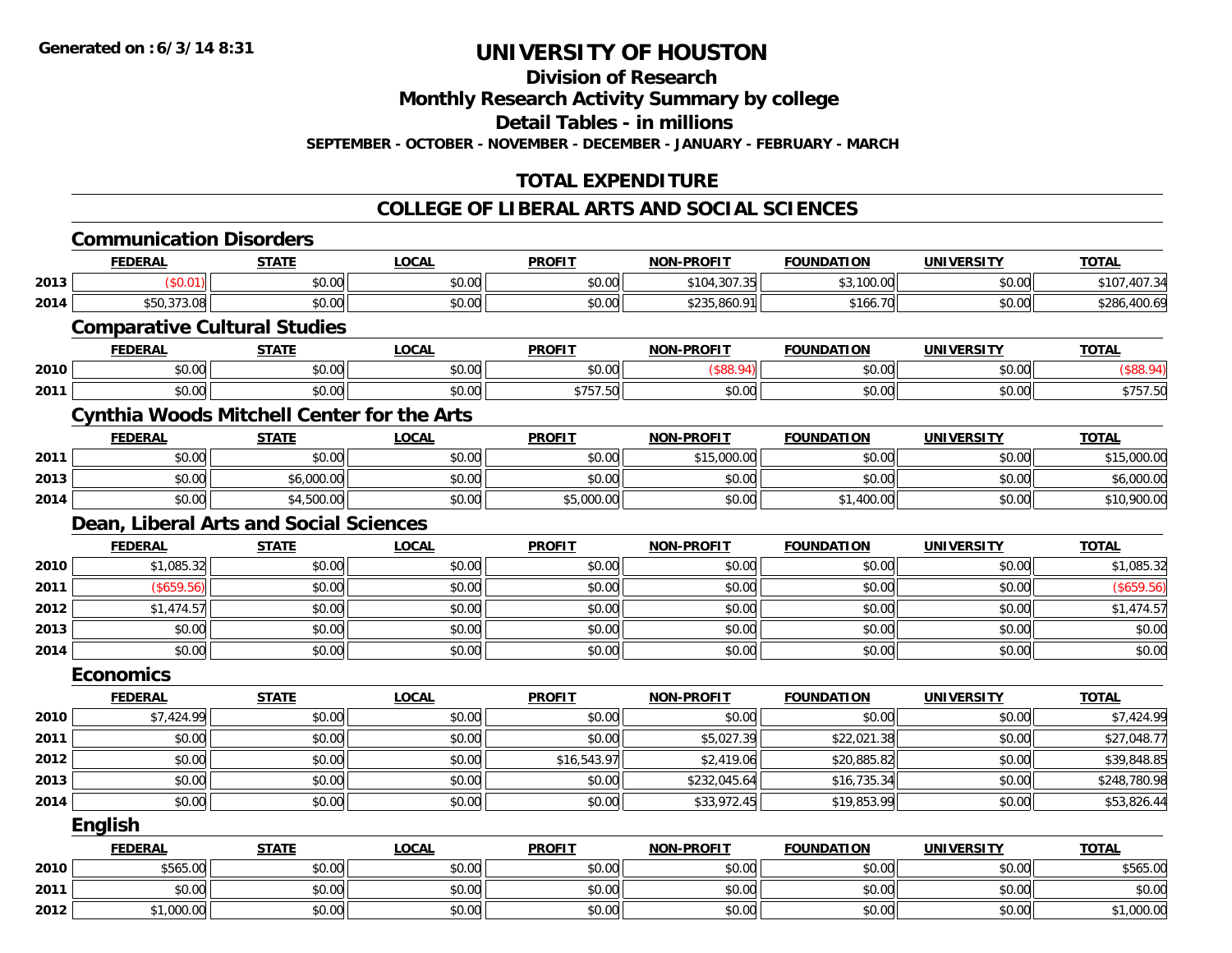**Division of Research**

**Monthly Research Activity Summary by college**

**Detail Tables - in millions**

**SEPTEMBER - OCTOBER - NOVEMBER - DECEMBER - JANUARY - FEBRUARY - MARCH**

### **TOTAL EXPENDITURE**

#### **COLLEGE OF LIBERAL ARTS AND SOCIAL SCIENCES**

|      | <b>Communication Disorders</b>                    |              |              |               |                   |                   |                   |              |
|------|---------------------------------------------------|--------------|--------------|---------------|-------------------|-------------------|-------------------|--------------|
|      | <b>FEDERAL</b>                                    | <b>STATE</b> | <b>LOCAL</b> | <b>PROFIT</b> | <b>NON-PROFIT</b> | <b>FOUNDATION</b> | <b>UNIVERSITY</b> | <b>TOTAL</b> |
| 2013 | (\$0.01)                                          | \$0.00       | \$0.00       | \$0.00        | \$104,307.35      | \$3,100.00        | \$0.00            | \$107,407.34 |
| 2014 | \$50,373.08                                       | \$0.00       | \$0.00       | \$0.00        | \$235,860.91      | \$166.70          | \$0.00            | \$286,400.69 |
|      | <b>Comparative Cultural Studies</b>               |              |              |               |                   |                   |                   |              |
|      | <b>FEDERAL</b>                                    | <b>STATE</b> | <b>LOCAL</b> | <b>PROFIT</b> | <b>NON-PROFIT</b> | <b>FOUNDATION</b> | <b>UNIVERSITY</b> | <b>TOTAL</b> |
| 2010 | \$0.00                                            | \$0.00       | \$0.00       | \$0.00        | (\$88.94)         | \$0.00            | \$0.00            | (\$88.94)    |
| 2011 | \$0.00                                            | \$0.00       | \$0.00       | \$757.50      | \$0.00            | \$0.00            | \$0.00            | \$757.50     |
|      | <b>Cynthia Woods Mitchell Center for the Arts</b> |              |              |               |                   |                   |                   |              |
|      | <b>FEDERAL</b>                                    | <b>STATE</b> | <b>LOCAL</b> | <b>PROFIT</b> | <b>NON-PROFIT</b> | <b>FOUNDATION</b> | <b>UNIVERSITY</b> | <b>TOTAL</b> |
| 2011 | \$0.00                                            | \$0.00       | \$0.00       | \$0.00        | \$15,000.00       | \$0.00            | \$0.00            | \$15,000.00  |
| 2013 | \$0.00                                            | \$6,000.00   | \$0.00       | \$0.00        | \$0.00            | \$0.00            | \$0.00            | \$6,000.00   |
| 2014 | \$0.00                                            | \$4,500.00   | \$0.00       | \$5,000.00    | \$0.00            | \$1,400.00        | \$0.00            | \$10,900.00  |
|      | Dean, Liberal Arts and Social Sciences            |              |              |               |                   |                   |                   |              |
|      | <b>FEDERAL</b>                                    | <b>STATE</b> | <b>LOCAL</b> | <b>PROFIT</b> | <b>NON-PROFIT</b> | <b>FOUNDATION</b> | <b>UNIVERSITY</b> | <b>TOTAL</b> |
| 2010 | \$1,085.32                                        | \$0.00       | \$0.00       | \$0.00        | \$0.00            | \$0.00            | \$0.00            | \$1,085.32   |
| 2011 | (\$659.56)                                        | \$0.00       | \$0.00       | \$0.00        | \$0.00            | \$0.00            | \$0.00            | (\$659.56)   |
| 2012 | \$1,474.57                                        | \$0.00       | \$0.00       | \$0.00        | \$0.00            | \$0.00            | \$0.00            | \$1,474.57   |
| 2013 | \$0.00                                            | \$0.00       | \$0.00       | \$0.00        | \$0.00            | \$0.00            | \$0.00            | \$0.00       |
| 2014 | \$0.00                                            | \$0.00       | \$0.00       | \$0.00        | \$0.00            | \$0.00            | \$0.00            | \$0.00       |
|      | <b>Economics</b>                                  |              |              |               |                   |                   |                   |              |
|      | <b>FEDERAL</b>                                    | <b>STATE</b> | <b>LOCAL</b> | <b>PROFIT</b> | <b>NON-PROFIT</b> | <b>FOUNDATION</b> | <b>UNIVERSITY</b> | <b>TOTAL</b> |
| 2010 | \$7,424.99                                        | \$0.00       | \$0.00       | \$0.00        | \$0.00            | \$0.00            | \$0.00            | \$7,424.99   |
| 2011 | \$0.00                                            | \$0.00       | \$0.00       | \$0.00        | \$5,027.39        | \$22,021.38       | \$0.00            | \$27,048.77  |
| 2012 | \$0.00                                            | \$0.00       | \$0.00       | \$16,543.97   | \$2,419.06        | \$20,885.82       | \$0.00            | \$39,848.85  |
| 2013 | \$0.00                                            | \$0.00       | \$0.00       | \$0.00        | \$232,045.64      | \$16,735.34       | \$0.00            | \$248,780.98 |
| 2014 | \$0.00                                            | \$0.00       | \$0.00       | \$0.00        | \$33,972.45       | \$19,853.99       | \$0.00            | \$53,826.44  |
|      | <b>English</b>                                    |              |              |               |                   |                   |                   |              |
|      | <b>FEDERAL</b>                                    | <b>STATE</b> | <b>LOCAL</b> | <b>PROFIT</b> | <b>NON-PROFIT</b> | <b>FOUNDATION</b> | <b>UNIVERSITY</b> | <b>TOTAL</b> |
| 2010 | \$565.00                                          | \$0.00       | \$0.00       | \$0.00        | \$0.00            | \$0.00            | \$0.00            | \$565.00     |
| 2011 | \$0.00                                            | \$0.00       | \$0.00       | \$0.00        | \$0.00            | \$0.00            | \$0.00            | \$0.00       |
| 2012 | \$1,000.00                                        | \$0.00       | \$0.00       | \$0.00        | \$0.00            | \$0.00            | \$0.00            | \$1,000.00   |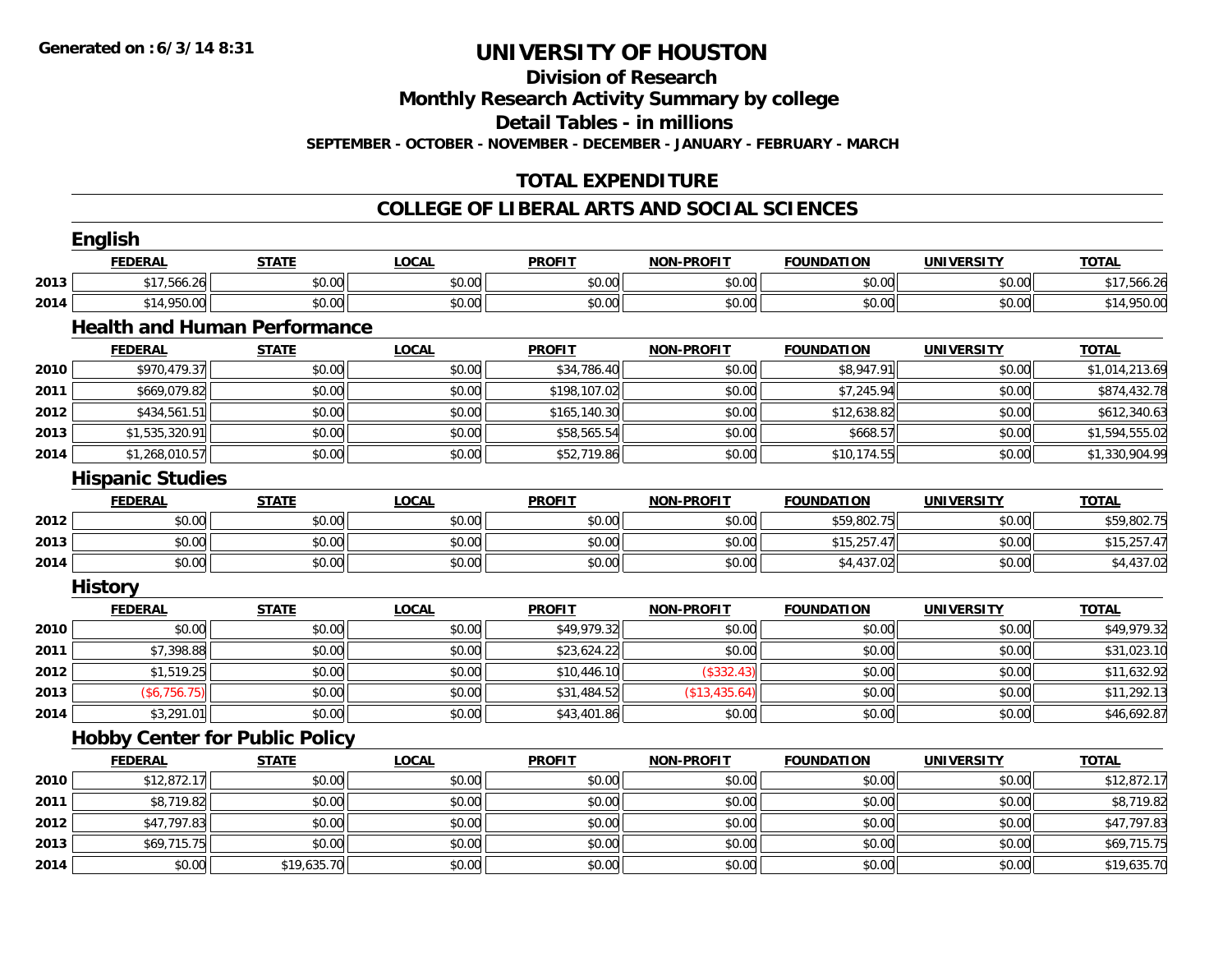#### **Division of Research**

**Monthly Research Activity Summary by college**

**Detail Tables - in millions**

**SEPTEMBER - OCTOBER - NOVEMBER - DECEMBER - JANUARY - FEBRUARY - MARCH**

### **TOTAL EXPENDITURE**

#### **COLLEGE OF LIBERAL ARTS AND SOCIAL SCIENCES**

|      | <b>English</b>                        |              |              |               |                   |                   |                   |                |
|------|---------------------------------------|--------------|--------------|---------------|-------------------|-------------------|-------------------|----------------|
|      | <b>FEDERAL</b>                        | <b>STATE</b> | <b>LOCAL</b> | <b>PROFIT</b> | <b>NON-PROFIT</b> | <b>FOUNDATION</b> | <b>UNIVERSITY</b> | <b>TOTAL</b>   |
| 2013 | \$17,566.26                           | \$0.00       | \$0.00       | \$0.00        | \$0.00            | \$0.00            | \$0.00            | \$17,566.26    |
| 2014 | \$14,950.00                           | \$0.00       | \$0.00       | \$0.00        | \$0.00            | \$0.00            | \$0.00            | \$14,950.00    |
|      | <b>Health and Human Performance</b>   |              |              |               |                   |                   |                   |                |
|      | <b>FEDERAL</b>                        | <b>STATE</b> | <b>LOCAL</b> | <b>PROFIT</b> | <b>NON-PROFIT</b> | <b>FOUNDATION</b> | <b>UNIVERSITY</b> | <b>TOTAL</b>   |
| 2010 | \$970,479.37                          | \$0.00       | \$0.00       | \$34,786.40   | \$0.00            | \$8,947.91        | \$0.00            | \$1,014,213.69 |
| 2011 | \$669,079.82                          | \$0.00       | \$0.00       | \$198,107.02  | \$0.00            | \$7,245.94        | \$0.00            | \$874,432.78   |
| 2012 | \$434,561.51                          | \$0.00       | \$0.00       | \$165,140.30  | \$0.00            | \$12,638.82       | \$0.00            | \$612,340.63   |
| 2013 | \$1,535,320.91                        | \$0.00       | \$0.00       | \$58,565.54   | \$0.00            | \$668.57          | \$0.00            | \$1,594,555.02 |
| 2014 | \$1,268,010.57                        | \$0.00       | \$0.00       | \$52,719.86   | \$0.00            | \$10,174.55       | \$0.00            | \$1,330,904.99 |
|      | <b>Hispanic Studies</b>               |              |              |               |                   |                   |                   |                |
|      | <b>FEDERAL</b>                        | <b>STATE</b> | <b>LOCAL</b> | <b>PROFIT</b> | <b>NON-PROFIT</b> | <b>FOUNDATION</b> | <b>UNIVERSITY</b> | <b>TOTAL</b>   |
| 2012 | \$0.00                                | \$0.00       | \$0.00       | \$0.00        | \$0.00            | \$59,802.75       | \$0.00            | \$59,802.75    |
| 2013 | \$0.00                                | \$0.00       | \$0.00       | \$0.00        | \$0.00            | \$15,257.47       | \$0.00            | \$15,257.47    |
| 2014 | \$0.00                                | \$0.00       | \$0.00       | \$0.00        | \$0.00            | \$4,437.02        | \$0.00            | \$4,437.02     |
|      | <b>History</b>                        |              |              |               |                   |                   |                   |                |
|      | <b>FEDERAL</b>                        | <b>STATE</b> | <b>LOCAL</b> | <b>PROFIT</b> | <b>NON-PROFIT</b> | <b>FOUNDATION</b> | <b>UNIVERSITY</b> | <b>TOTAL</b>   |
| 2010 | \$0.00                                | \$0.00       | \$0.00       | \$49,979.32   | \$0.00            | \$0.00            | \$0.00            | \$49,979.32    |
| 2011 | \$7,398.88                            | \$0.00       | \$0.00       | \$23,624.22   | \$0.00            | \$0.00            | \$0.00            | \$31,023.10    |
| 2012 | \$1,519.25                            | \$0.00       | \$0.00       | \$10,446.10   | (\$332.43)        | \$0.00            | \$0.00            | \$11,632.92    |
| 2013 | (\$6,756.75)                          | \$0.00       | \$0.00       | \$31,484.52   | (\$13,435.64)     | \$0.00            | \$0.00            | \$11,292.13    |
| 2014 | \$3,291.01                            | \$0.00       | \$0.00       | \$43,401.86   | \$0.00            | \$0.00            | \$0.00            | \$46,692.87    |
|      | <b>Hobby Center for Public Policy</b> |              |              |               |                   |                   |                   |                |
|      | <b>FEDERAL</b>                        | <b>STATE</b> | <b>LOCAL</b> | <b>PROFIT</b> | <b>NON-PROFIT</b> | <b>FOUNDATION</b> | <b>UNIVERSITY</b> | <b>TOTAL</b>   |
| 2010 | \$12,872.17                           | \$0.00       | \$0.00       | \$0.00        | \$0.00            | \$0.00            | \$0.00            | \$12,872.17    |
| 2011 | \$8,719.82                            | \$0.00       | \$0.00       | \$0.00        | \$0.00            | \$0.00            | \$0.00            | \$8,719.82     |
| 2012 | \$47,797.83                           | \$0.00       | \$0.00       | \$0.00        | \$0.00            | \$0.00            | \$0.00            | \$47,797.83    |
| 2013 | \$69,715.75                           | \$0.00       | \$0.00       | \$0.00        | \$0.00            | \$0.00            | \$0.00            | \$69,715.75    |
| 2014 | \$0.00                                | \$19,635.70  | \$0.00       | \$0.00        | \$0.00            | \$0.00            | \$0.00            | \$19,635.70    |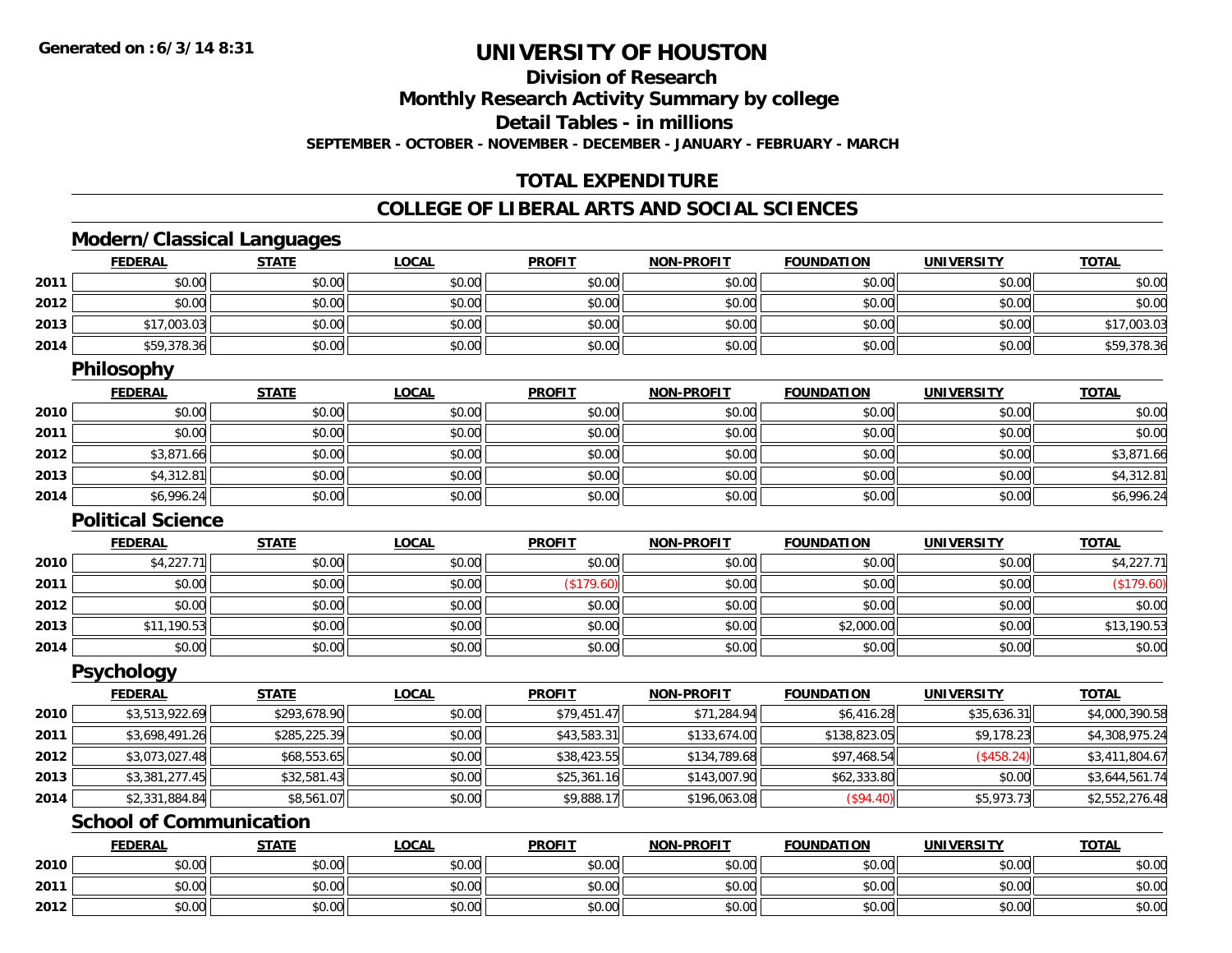**2012**

### **UNIVERSITY OF HOUSTON**

### **Division of Research**

**Monthly Research Activity Summary by college**

**Detail Tables - in millions**

**SEPTEMBER - OCTOBER - NOVEMBER - DECEMBER - JANUARY - FEBRUARY - MARCH**

### **TOTAL EXPENDITURE**

#### **COLLEGE OF LIBERAL ARTS AND SOCIAL SCIENCES**

### **Modern/Classical Languages**

|      | <b>FEDERAL</b>                 | <b>STATE</b> | <b>LOCAL</b> | <b>PROFIT</b> | <b>NON-PROFIT</b> | <b>FOUNDATION</b> | <b>UNIVERSITY</b> | <b>TOTAL</b>   |
|------|--------------------------------|--------------|--------------|---------------|-------------------|-------------------|-------------------|----------------|
| 2011 | \$0.00                         | \$0.00       | \$0.00       | \$0.00        | \$0.00            | \$0.00            | \$0.00            | \$0.00         |
| 2012 | \$0.00                         | \$0.00       | \$0.00       | \$0.00        | \$0.00            | \$0.00            | \$0.00            | \$0.00         |
| 2013 | \$17,003.03                    | \$0.00       | \$0.00       | \$0.00        | \$0.00            | \$0.00            | \$0.00            | \$17,003.03    |
| 2014 | \$59,378.36                    | \$0.00       | \$0.00       | \$0.00        | \$0.00            | \$0.00            | \$0.00            | \$59,378.36    |
|      | <b>Philosophy</b>              |              |              |               |                   |                   |                   |                |
|      | <b>FEDERAL</b>                 | <b>STATE</b> | <b>LOCAL</b> | <b>PROFIT</b> | <b>NON-PROFIT</b> | <b>FOUNDATION</b> | <b>UNIVERSITY</b> | <b>TOTAL</b>   |
| 2010 | \$0.00                         | \$0.00       | \$0.00       | \$0.00        | \$0.00            | \$0.00            | \$0.00            | \$0.00         |
| 2011 | \$0.00                         | \$0.00       | \$0.00       | \$0.00        | \$0.00            | \$0.00            | \$0.00            | \$0.00         |
| 2012 | \$3,871.66                     | \$0.00       | \$0.00       | \$0.00        | \$0.00            | \$0.00            | \$0.00            | \$3,871.66     |
| 2013 | \$4,312.81                     | \$0.00       | \$0.00       | \$0.00        | \$0.00            | \$0.00            | \$0.00            | \$4,312.81     |
| 2014 | \$6,996.24                     | \$0.00       | \$0.00       | \$0.00        | \$0.00            | \$0.00            | \$0.00            | \$6,996.24     |
|      | <b>Political Science</b>       |              |              |               |                   |                   |                   |                |
|      | <b>FEDERAL</b>                 | <b>STATE</b> | <b>LOCAL</b> | <b>PROFIT</b> | <b>NON-PROFIT</b> | <b>FOUNDATION</b> | <b>UNIVERSITY</b> | <b>TOTAL</b>   |
| 2010 | \$4,227.71                     | \$0.00       | \$0.00       | \$0.00        | \$0.00            | \$0.00            | \$0.00            | \$4,227.71     |
| 2011 | \$0.00                         | \$0.00       | \$0.00       | (\$179.60)    | \$0.00            | \$0.00            | \$0.00            | (\$179.60)     |
| 2012 | \$0.00                         | \$0.00       | \$0.00       | \$0.00        | \$0.00            | \$0.00            | \$0.00            | \$0.00         |
| 2013 | \$11,190.53                    | \$0.00       | \$0.00       | \$0.00        | \$0.00            | \$2,000.00        | \$0.00            | \$13,190.53    |
| 2014 | \$0.00                         | \$0.00       | \$0.00       | \$0.00        | \$0.00            | \$0.00            | \$0.00            | \$0.00         |
|      | <b>Psychology</b>              |              |              |               |                   |                   |                   |                |
|      | <b>FEDERAL</b>                 | <b>STATE</b> | <b>LOCAL</b> | <b>PROFIT</b> | <b>NON-PROFIT</b> | <b>FOUNDATION</b> | <b>UNIVERSITY</b> | <b>TOTAL</b>   |
| 2010 | \$3,513,922.69                 | \$293,678.90 | \$0.00       | \$79,451.47   | \$71,284.94       | \$6,416.28        | \$35,636.31       | \$4,000,390.58 |
| 2011 | \$3,698,491.26                 | \$285,225.39 | \$0.00       | \$43,583.31   | \$133,674.00      | \$138,823.05      | \$9,178.23        | \$4,308,975.24 |
| 2012 | \$3,073,027.48                 | \$68,553.65  | \$0.00       | \$38,423.55   | \$134,789.68      | \$97,468.54       | (\$458.24)        | \$3,411,804.67 |
| 2013 | \$3,381,277.45                 | \$32,581.43  | \$0.00       | \$25,361.16   | \$143,007.90      | \$62,333.80       | \$0.00            | \$3,644,561.74 |
| 2014 | \$2,331,884.84                 | \$8,561.07   | \$0.00       | \$9,888.17    | \$196,063.08      | (\$94.40)         | \$5,973.73        | \$2,552,276.48 |
|      | <b>School of Communication</b> |              |              |               |                   |                   |                   |                |
|      | <b>FEDERAL</b>                 | <b>STATE</b> | <b>LOCAL</b> | <b>PROFIT</b> | <b>NON-PROFIT</b> | <b>FOUNDATION</b> | <b>UNIVERSITY</b> | <b>TOTAL</b>   |
| 2010 | \$0.00                         | \$0.00       | \$0.00       | \$0.00        | \$0.00            | \$0.00            | \$0.00            | \$0.00         |
| 2011 | \$0.00                         | \$0.00       | \$0.00       | \$0.00        | \$0.00            | \$0.00            | \$0.00            | \$0.00         |

2 | \$0.00 \$0.00 \$0.00 \$0.00 \$0.00 \$0.00 \$0.00 \$0.00 \$0.00 \$0.00 \$0.00 \$0.00 \$0.00 \$0.00 \$0.00 \$0.00 \$0.00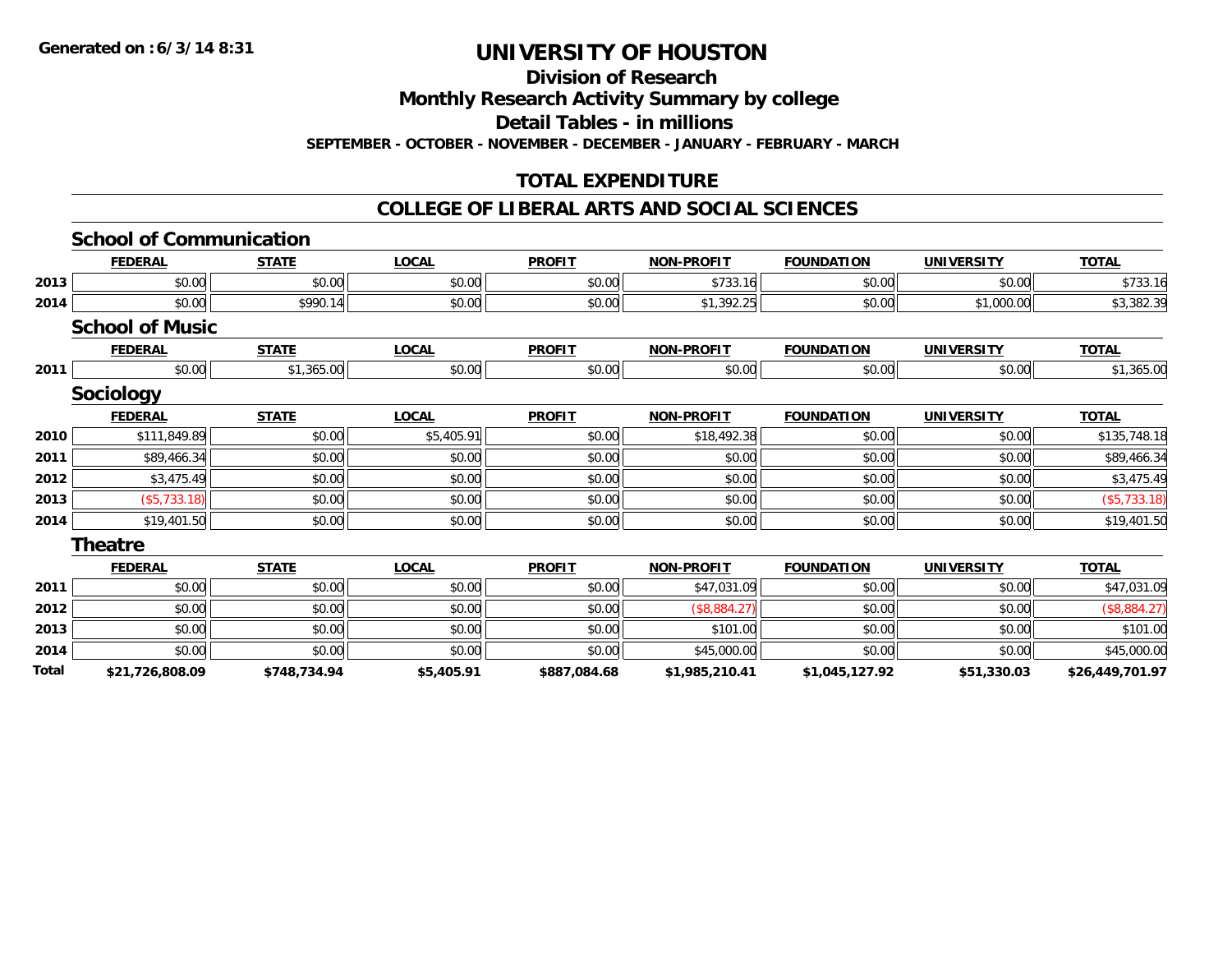**Division of Research**

**Monthly Research Activity Summary by college**

**Detail Tables - in millions**

**SEPTEMBER - OCTOBER - NOVEMBER - DECEMBER - JANUARY - FEBRUARY - MARCH**

### **TOTAL EXPENDITURE**

#### **COLLEGE OF LIBERAL ARTS AND SOCIAL SCIENCES**

|       | <b>School of Communication</b> |              |              |               |                   |                   |                   |                 |
|-------|--------------------------------|--------------|--------------|---------------|-------------------|-------------------|-------------------|-----------------|
|       | <b>FEDERAL</b>                 | <b>STATE</b> | <b>LOCAL</b> | <b>PROFIT</b> | <b>NON-PROFIT</b> | <b>FOUNDATION</b> | <b>UNIVERSITY</b> | <b>TOTAL</b>    |
| 2013  | \$0.00                         | \$0.00       | \$0.00       | \$0.00        | \$733.16          | \$0.00            | \$0.00            | \$733.16        |
| 2014  | \$0.00                         | \$990.14     | \$0.00       | \$0.00        | \$1,392.25        | \$0.00            | \$1,000.00        | \$3,382.39      |
|       | <b>School of Music</b>         |              |              |               |                   |                   |                   |                 |
|       | <b>FEDERAL</b>                 | <b>STATE</b> | <b>LOCAL</b> | <b>PROFIT</b> | <b>NON-PROFIT</b> | <b>FOUNDATION</b> | <b>UNIVERSITY</b> | <b>TOTAL</b>    |
| 2011  | \$0.00                         | \$1,365.00   | \$0.00       | \$0.00        | \$0.00            | \$0.00            | \$0.00            | \$1,365.00      |
|       | <b>Sociology</b>               |              |              |               |                   |                   |                   |                 |
|       | <b>FEDERAL</b>                 | <b>STATE</b> | <b>LOCAL</b> | <b>PROFIT</b> | <b>NON-PROFIT</b> | <b>FOUNDATION</b> | <b>UNIVERSITY</b> | <b>TOTAL</b>    |
| 2010  | \$111,849.89                   | \$0.00       | \$5,405.91   | \$0.00        | \$18,492.38       | \$0.00            | \$0.00            | \$135,748.18    |
| 2011  | \$89,466.34                    | \$0.00       | \$0.00       | \$0.00        | \$0.00            | \$0.00            | \$0.00            | \$89,466.34     |
| 2012  | \$3,475.49                     | \$0.00       | \$0.00       | \$0.00        | \$0.00            | \$0.00            | \$0.00            | \$3,475.49      |
| 2013  | ( \$5,733.18)                  | \$0.00       | \$0.00       | \$0.00        | \$0.00            | \$0.00            | \$0.00            | (\$5,733.18)    |
| 2014  | \$19,401.50                    | \$0.00       | \$0.00       | \$0.00        | \$0.00            | \$0.00            | \$0.00            | \$19,401.50     |
|       | <b>Theatre</b>                 |              |              |               |                   |                   |                   |                 |
|       | <b>FEDERAL</b>                 | <b>STATE</b> | <b>LOCAL</b> | <b>PROFIT</b> | <b>NON-PROFIT</b> | <b>FOUNDATION</b> | <b>UNIVERSITY</b> | <b>TOTAL</b>    |
| 2011  | \$0.00                         | \$0.00       | \$0.00       | \$0.00        | \$47,031.09       | \$0.00            | \$0.00            | \$47,031.09     |
| 2012  | \$0.00                         | \$0.00       | \$0.00       | \$0.00        | (\$8,884.27)      | \$0.00            | \$0.00            | (\$8,884.27)    |
| 2013  | \$0.00                         | \$0.00       | \$0.00       | \$0.00        | \$101.00          | \$0.00            | \$0.00            | \$101.00        |
| 2014  | \$0.00                         | \$0.00       | \$0.00       | \$0.00        | \$45,000.00       | \$0.00            | \$0.00            | \$45,000.00     |
| Total | \$21,726,808.09                | \$748.734.94 | \$5,405.91   | \$887,084.68  | \$1,985,210.41    | \$1,045,127.92    | \$51,330.03       | \$26,449,701.97 |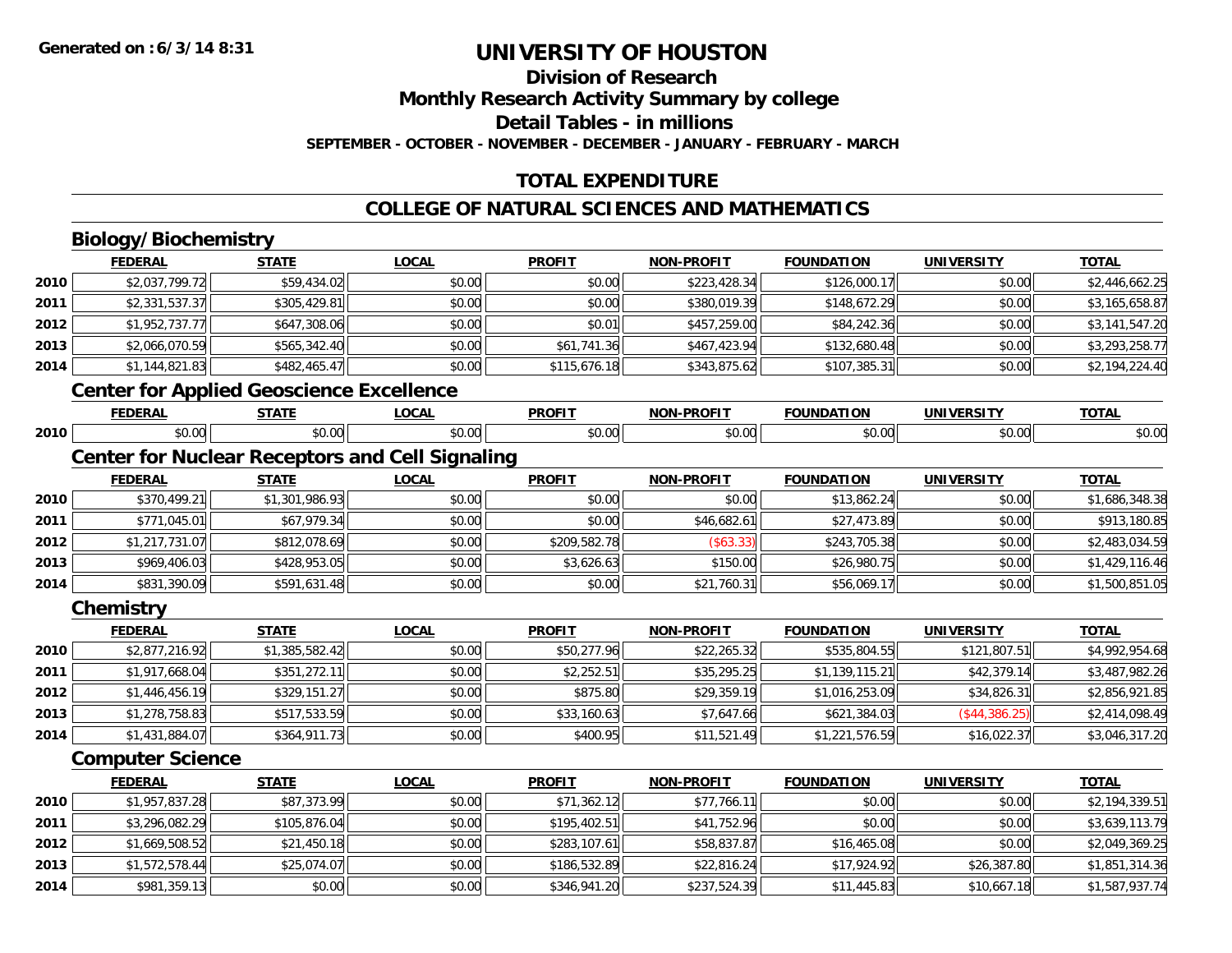### **Division of Research**

**Monthly Research Activity Summary by college**

**Detail Tables - in millions**

**SEPTEMBER - OCTOBER - NOVEMBER - DECEMBER - JANUARY - FEBRUARY - MARCH**

### **TOTAL EXPENDITURE**

### **COLLEGE OF NATURAL SCIENCES AND MATHEMATICS**

### **Biology/Biochemistry**

**2014**

|      | <b>FEDERAL</b>                                  | <b>STATE</b>   | <b>LOCAL</b>                                           | <b>PROFIT</b> | <b>NON-PROFIT</b> | <b>FOUNDATION</b> | <b>UNIVERSITY</b> | <b>TOTAL</b>   |
|------|-------------------------------------------------|----------------|--------------------------------------------------------|---------------|-------------------|-------------------|-------------------|----------------|
| 2010 | \$2,037,799.72                                  | \$59,434.02    | \$0.00                                                 | \$0.00        | \$223,428.34      | \$126,000.17      | \$0.00            | \$2,446,662.25 |
| 2011 | \$2,331,537.37                                  | \$305,429.81   | \$0.00                                                 | \$0.00        | \$380,019.39      | \$148,672.29      | \$0.00            | \$3,165,658.87 |
| 2012 | \$1,952,737.77                                  | \$647,308.06   | \$0.00                                                 | \$0.01        | \$457,259.00      | \$84,242.36       | \$0.00            | \$3,141,547.20 |
| 2013 | \$2,066,070.59                                  | \$565,342.40   | \$0.00                                                 | \$61,741.36   | \$467,423.94      | \$132,680.48      | \$0.00            | \$3,293,258.77 |
| 2014 | \$1,144,821.83                                  | \$482,465.47   | \$0.00                                                 | \$115,676.18  | \$343,875.62      | \$107,385.31      | \$0.00            | \$2,194,224.40 |
|      | <b>Center for Applied Geoscience Excellence</b> |                |                                                        |               |                   |                   |                   |                |
|      | <b>FEDERAL</b>                                  | <b>STATE</b>   | <b>LOCAL</b>                                           | <b>PROFIT</b> | <b>NON-PROFIT</b> | <b>FOUNDATION</b> | <b>UNIVERSITY</b> | <b>TOTAL</b>   |
| 2010 | \$0.00                                          | \$0.00         | \$0.00                                                 | \$0.00        | \$0.00            | \$0.00            | \$0.00            | \$0.00         |
|      |                                                 |                | <b>Center for Nuclear Receptors and Cell Signaling</b> |               |                   |                   |                   |                |
|      | <b>FEDERAL</b>                                  | <b>STATE</b>   | <b>LOCAL</b>                                           | <b>PROFIT</b> | <b>NON-PROFIT</b> | <b>FOUNDATION</b> | <b>UNIVERSITY</b> | <b>TOTAL</b>   |
| 2010 | \$370,499.21                                    | \$1,301,986.93 | \$0.00                                                 | \$0.00        | \$0.00            | \$13,862.24       | \$0.00            | \$1,686,348.38 |
| 2011 | \$771,045.01                                    | \$67,979.34    | \$0.00                                                 | \$0.00        | \$46,682.61       | \$27,473.89       | \$0.00            | \$913,180.85   |
| 2012 | \$1,217,731.07                                  | \$812,078.69   | \$0.00                                                 | \$209,582.78  | (\$63.33)         | \$243,705.38      | \$0.00            | \$2,483,034.59 |
| 2013 | \$969,406.03                                    | \$428,953.05   | \$0.00                                                 | \$3,626.63    | \$150.00          | \$26,980.75       | \$0.00            | \$1,429,116.46 |
| 2014 | \$831,390.09                                    | \$591,631.48   | \$0.00                                                 | \$0.00        | \$21,760.31       | \$56,069.17       | \$0.00            | \$1,500,851.05 |
|      | Chemistry                                       |                |                                                        |               |                   |                   |                   |                |
|      | <b>FEDERAL</b>                                  | <b>STATE</b>   | <b>LOCAL</b>                                           | <b>PROFIT</b> | NON-PROFIT        | <b>FOUNDATION</b> | <b>UNIVERSITY</b> | <b>TOTAL</b>   |
| 2010 | \$2,877,216.92                                  | \$1,385,582.42 | \$0.00                                                 | \$50,277.96   | \$22,265.32       | \$535,804.55      | \$121,807.51      | \$4,992,954.68 |
| 2011 | \$1,917,668.04                                  | \$351,272.11   | \$0.00                                                 | \$2,252.51    | \$35,295.25       | \$1,139,115.21    | \$42,379.14       | \$3,487,982.26 |
| 2012 | \$1,446,456.19                                  | \$329,151.27   | \$0.00                                                 | \$875.80      | \$29,359.19       | \$1,016,253.09    | \$34,826.31       | \$2,856,921.85 |
| 2013 | \$1,278,758.83                                  | \$517,533.59   | \$0.00                                                 | \$33,160.63   | \$7,647.66        | \$621,384.03      | (\$44,386.25)     | \$2,414,098.49 |
| 2014 | \$1,431,884.07                                  | \$364,911.73   | \$0.00                                                 | \$400.95      | \$11,521.49       | \$1,221,576.59    | \$16,022.37       | \$3,046,317.20 |
|      | <b>Computer Science</b>                         |                |                                                        |               |                   |                   |                   |                |
|      | <b>FEDERAL</b>                                  | <b>STATE</b>   | <b>LOCAL</b>                                           | <b>PROFIT</b> | <b>NON-PROFIT</b> | <b>FOUNDATION</b> | <b>UNIVERSITY</b> | <b>TOTAL</b>   |
| 2010 | \$1,957,837.28                                  | \$87,373.99    | \$0.00                                                 | \$71,362.12   | \$77,766.11       | \$0.00            | \$0.00            | \$2,194,339.51 |
| 2011 | \$3,296,082.29                                  | \$105,876.04   | \$0.00                                                 | \$195,402.51  | \$41,752.96       | \$0.00            | \$0.00            | \$3,639,113.79 |
| 2012 | \$1,669,508.52                                  | \$21,450.18    | \$0.00                                                 | \$283,107.61  | \$58,837.87       | \$16,465.08       | \$0.00            | \$2,049,369.25 |
| 2013 | \$1,572,578.44                                  | \$25,074.07    | \$0.00                                                 | \$186,532.89  | \$22,816.24       | \$17,924.92       | \$26,387.80       | \$1,851,314.36 |

3 \$1,572,578.44|| \$25,074.07|| \$0.00|| \$186,532.89|| \$2,816.24|| \$17,924.92|| \$26,387.80|| \$1,851,314.36|

4 \$981,359.13|| \$0.00|| \$0.00|| \$346,941.20|| \$237,524.39|| \$11,445.83|| \$10,667.18|| \$1,587,937.74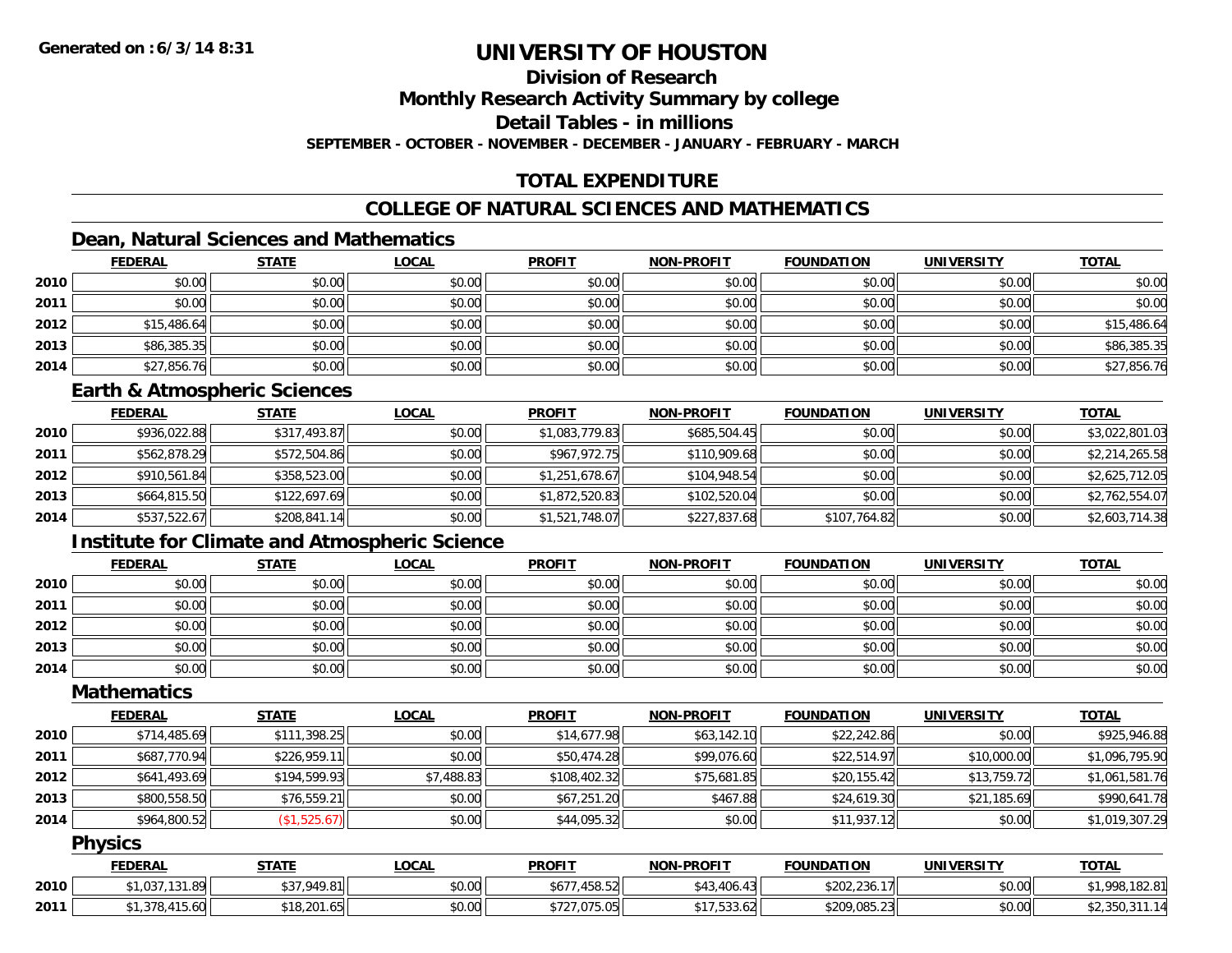### **Division of Research**

**Monthly Research Activity Summary by college**

**Detail Tables - in millions**

**SEPTEMBER - OCTOBER - NOVEMBER - DECEMBER - JANUARY - FEBRUARY - MARCH**

### **TOTAL EXPENDITURE**

### **COLLEGE OF NATURAL SCIENCES AND MATHEMATICS**

### **Dean, Natural Sciences and Mathematics**

|      | <b>FEDERAL</b> | <b>STATE</b> | <u>LOCAL</u> | <b>PROFIT</b> | <b>NON-PROFIT</b> | <b>FOUNDATION</b> | <b>UNIVERSITY</b> | <b>TOTAL</b> |
|------|----------------|--------------|--------------|---------------|-------------------|-------------------|-------------------|--------------|
| 2010 | \$0.00         | \$0.00       | \$0.00       | \$0.00        | \$0.00            | \$0.00            | \$0.00            | \$0.00       |
| 2011 | \$0.00         | \$0.00       | \$0.00       | \$0.00        | \$0.00            | \$0.00            | \$0.00            | \$0.00       |
| 2012 | \$15,486.64    | \$0.00       | \$0.00       | \$0.00        | \$0.00            | \$0.00            | \$0.00            | \$15,486.64  |
| 2013 | \$86,385.35    | \$0.00       | \$0.00       | \$0.00        | \$0.00            | \$0.00            | \$0.00            | \$86,385.35  |
| 2014 | \$27,856.76    | \$0.00       | \$0.00       | \$0.00        | \$0.00            | \$0.00            | \$0.00            | \$27,856.76  |

#### **Earth & Atmospheric Sciences**

|      | <b>FEDERAL</b> | <u>STATE</u> | <b>LOCAL</b> | <b>PROFIT</b>  | <b>NON-PROFIT</b> | <b>FOUNDATION</b> | <b>UNIVERSITY</b> | <b>TOTAL</b>   |
|------|----------------|--------------|--------------|----------------|-------------------|-------------------|-------------------|----------------|
| 2010 | \$936,022.88   | \$317,493.87 | \$0.00       | \$1,083,779.83 | \$685,504.45      | \$0.00            | \$0.00            | \$3,022,801.03 |
| 2011 | \$562,878.29   | \$572,504.86 | \$0.00       | \$967,972.75   | \$110,909.68      | \$0.00            | \$0.00            | \$2,214,265.58 |
| 2012 | \$910,561.84   | \$358,523.00 | \$0.00       | \$1,251,678.67 | \$104.948.54      | \$0.00            | \$0.00            | \$2,625,712.05 |
| 2013 | \$664,815.50   | \$122,697.69 | \$0.00       | \$1,872,520.83 | \$102,520.04      | \$0.00            | \$0.00            | \$2,762,554.07 |
| 2014 | \$537,522.67   | \$208,841.14 | \$0.00       | \$1,521,748.07 | \$227,837.68      | \$107,764.82      | \$0.00            | \$2,603,714.38 |

### **Institute for Climate and Atmospheric Science**

|      | <b>FEDERAL</b> | <b>STATE</b> | <b>LOCAL</b> | <b>PROFIT</b> | <b>NON-PROFIT</b> | <b>FOUNDATION</b> | <b>UNIVERSITY</b> | <b>TOTAL</b> |
|------|----------------|--------------|--------------|---------------|-------------------|-------------------|-------------------|--------------|
| 2010 | \$0.00         | \$0.00       | \$0.00       | \$0.00        | \$0.00            | \$0.00            | \$0.00            | \$0.00       |
| 2011 | \$0.00         | \$0.00       | \$0.00       | \$0.00        | \$0.00            | \$0.00            | \$0.00            | \$0.00       |
| 2012 | \$0.00         | \$0.00       | \$0.00       | \$0.00        | \$0.00            | \$0.00            | \$0.00            | \$0.00       |
| 2013 | \$0.00         | \$0.00       | \$0.00       | \$0.00        | \$0.00            | \$0.00            | \$0.00            | \$0.00       |
| 2014 | \$0.00         | \$0.00       | \$0.00       | \$0.00        | \$0.00            | \$0.00            | \$0.00            | \$0.00       |

### **Mathematics**

|      | <b>FEDERAL</b> | <b>STATE</b> | <b>LOCAL</b> | <b>PROFIT</b> | <b>NON-PROFIT</b> | <b>FOUNDATION</b> | <b>UNIVERSITY</b> | <b>TOTAL</b>   |
|------|----------------|--------------|--------------|---------------|-------------------|-------------------|-------------------|----------------|
| 2010 | \$714,485.69   | \$111,398.25 | \$0.00       | \$14,677.98   | \$63,142.10       | \$22,242.86       | \$0.00            | \$925,946.88   |
| 2011 | \$687,770.94   | \$226,959.11 | \$0.00       | \$50,474.28   | \$99,076.60       | \$22,514.97       | \$10,000.00       | \$1,096,795.90 |
| 2012 | \$641,493.69   | \$194,599.93 | \$7,488.83   | \$108,402.32  | \$75,681.85       | \$20,155.42       | \$13,759.72       | \$1,061,581.76 |
| 2013 | \$800,558.50   | \$76,559.21  | \$0.00       | \$67,251.20   | \$467.88          | \$24,619.30       | \$21,185.69       | \$990,641.78   |
| 2014 | \$964,800.52   | (\$1,525.67) | \$0.00       | \$44,095.32   | \$0.00            | \$11,937.12       | \$0.00            | \$1,019,307.29 |

### **Physics**

|      | <b>FEDERAL</b>       | STATE       | LOCAL  | <b>PROFIT</b>     | <b>NON-PROFIT</b>                | <b>FOUNDATION</b> | <b>UNIVERSITY</b> | <b>TOTAL</b>                     |
|------|----------------------|-------------|--------|-------------------|----------------------------------|-------------------|-------------------|----------------------------------|
| 2010 | .037.131.89<br>כט, ו | \$37.949.81 | \$0.00 | .458.52<br>\$677. | \$43,406.43                      | \$202,236.17      | \$0.00            | $^{\star}$ 1 009 192 91<br>102.O |
| 2011 | 1,378,415.60         | \$18,201.65 | \$0.00 | \$727,075.05      | $+47$ roo $\sqrt{2}$<br>1,533.02 | \$209,085.23      | \$0.00            | \$2,350.3                        |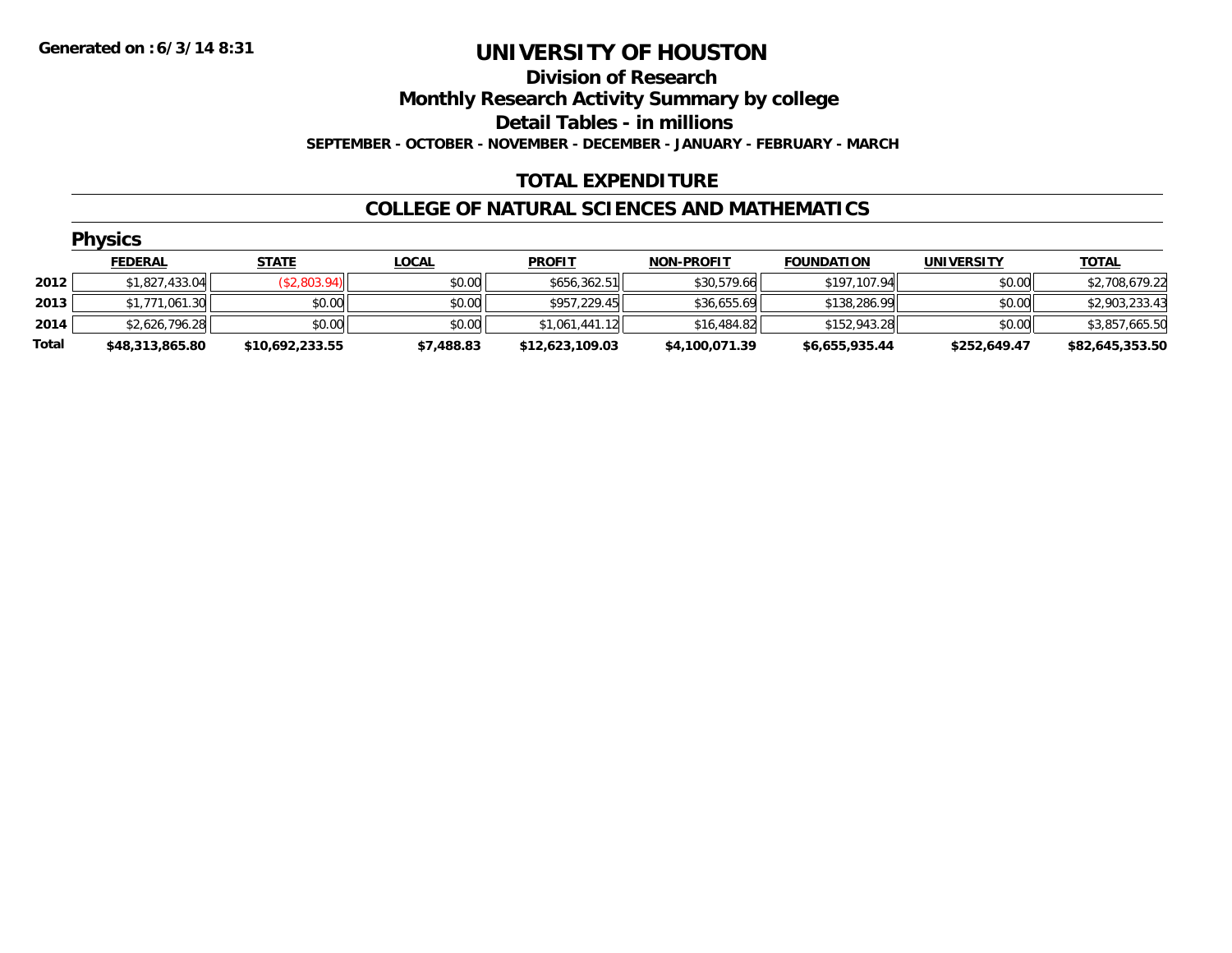**Division of Research**

**Monthly Research Activity Summary by college**

**Detail Tables - in millions**

**SEPTEMBER - OCTOBER - NOVEMBER - DECEMBER - JANUARY - FEBRUARY - MARCH**

### **TOTAL EXPENDITURE**

#### **COLLEGE OF NATURAL SCIENCES AND MATHEMATICS**

|       | <b>Physics</b>  |                 |              |                 |                   |                   |                   |                 |
|-------|-----------------|-----------------|--------------|-----------------|-------------------|-------------------|-------------------|-----------------|
|       | <b>FEDERAL</b>  | <b>STATE</b>    | <b>LOCAL</b> | <b>PROFIT</b>   | <b>NON-PROFIT</b> | <b>FOUNDATION</b> | <b>UNIVERSITY</b> | <b>TOTAL</b>    |
| 2012  | \$1,827,433.04  | (\$2,803.94)    | \$0.00       | \$656,362.51    | \$30,579.66       | \$197,107.94      | \$0.00            | \$2,708,679.22  |
| 2013  | \$1,771,061.30  | \$0.00          | \$0.00       | \$957,229.45    | \$36,655.69       | \$138,286.99      | \$0.00            | \$2,903,233.43  |
| 2014  | \$2,626,796.28  | \$0.00          | \$0.00       | \$1,061,441.12  | \$16,484.82       | \$152,943.28      | \$0.00            | \$3,857,665.50  |
| Total | \$48,313,865.80 | \$10,692,233.55 | \$7,488.83   | \$12,623,109.03 | \$4,100,071.39    | \$6,655,935.44    | \$252,649.47      | \$82,645,353.50 |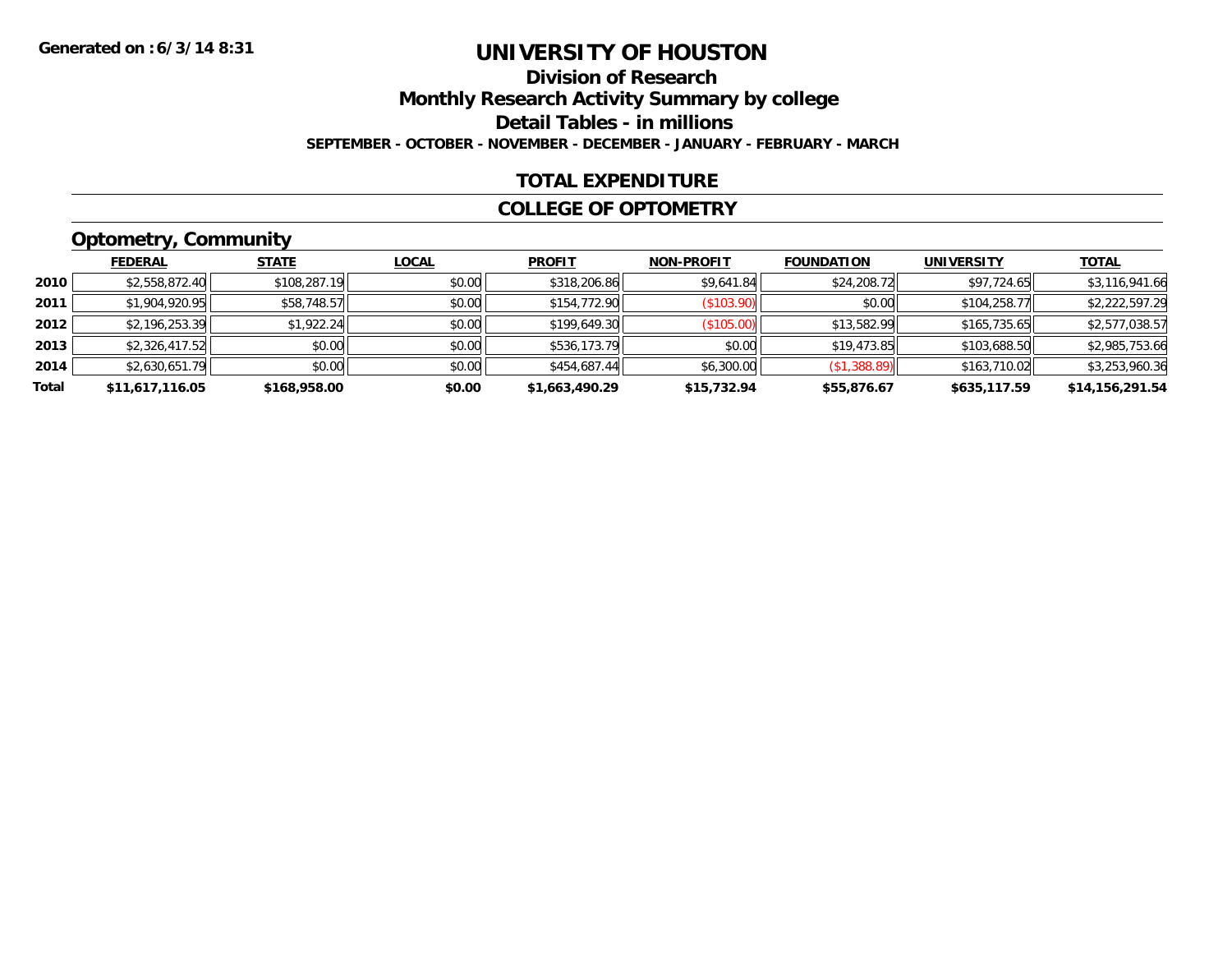# **Division of ResearchMonthly Research Activity Summary by college Detail Tables - in millions SEPTEMBER - OCTOBER - NOVEMBER - DECEMBER - JANUARY - FEBRUARY - MARCH**

#### **TOTAL EXPENDITURE**

#### **COLLEGE OF OPTOMETRY**

# **Optometry, Community**

|       | <b>FEDERAL</b>  | <b>STATE</b> | <b>LOCAL</b> | <b>PROFIT</b>  | <b>NON-PROFIT</b> | <b>FOUNDATION</b> | UNIVERSITY   | <b>TOTAL</b>    |
|-------|-----------------|--------------|--------------|----------------|-------------------|-------------------|--------------|-----------------|
| 2010  | \$2,558,872.40  | \$108,287.19 | \$0.00       | \$318,206.86   | \$9,641.84        | \$24,208.72       | \$97,724.65  | \$3,116,941.66  |
| 2011  | \$1,904,920.95  | \$58,748.57  | \$0.00       | \$154,772.90   | (\$103.90)        | \$0.00            | \$104,258.77 | \$2,222,597.29  |
| 2012  | \$2,196,253.39  | \$1,922.24   | \$0.00       | \$199,649.30   | (\$105.00)        | \$13,582.99       | \$165,735.65 | \$2,577,038.57  |
| 2013  | \$2,326,417.52  | \$0.00       | \$0.00       | \$536,173.79   | \$0.00            | \$19,473.85       | \$103,688.50 | \$2,985,753.66  |
| 2014  | \$2,630,651.79  | \$0.00       | \$0.00       | \$454,687.44   | \$6,300.00        | (\$1,388.89)      | \$163,710.02 | \$3,253,960.36  |
| Total | \$11,617,116.05 | \$168,958.00 | \$0.00       | \$1,663,490.29 | \$15,732.94       | \$55,876.67       | \$635,117.59 | \$14,156,291.54 |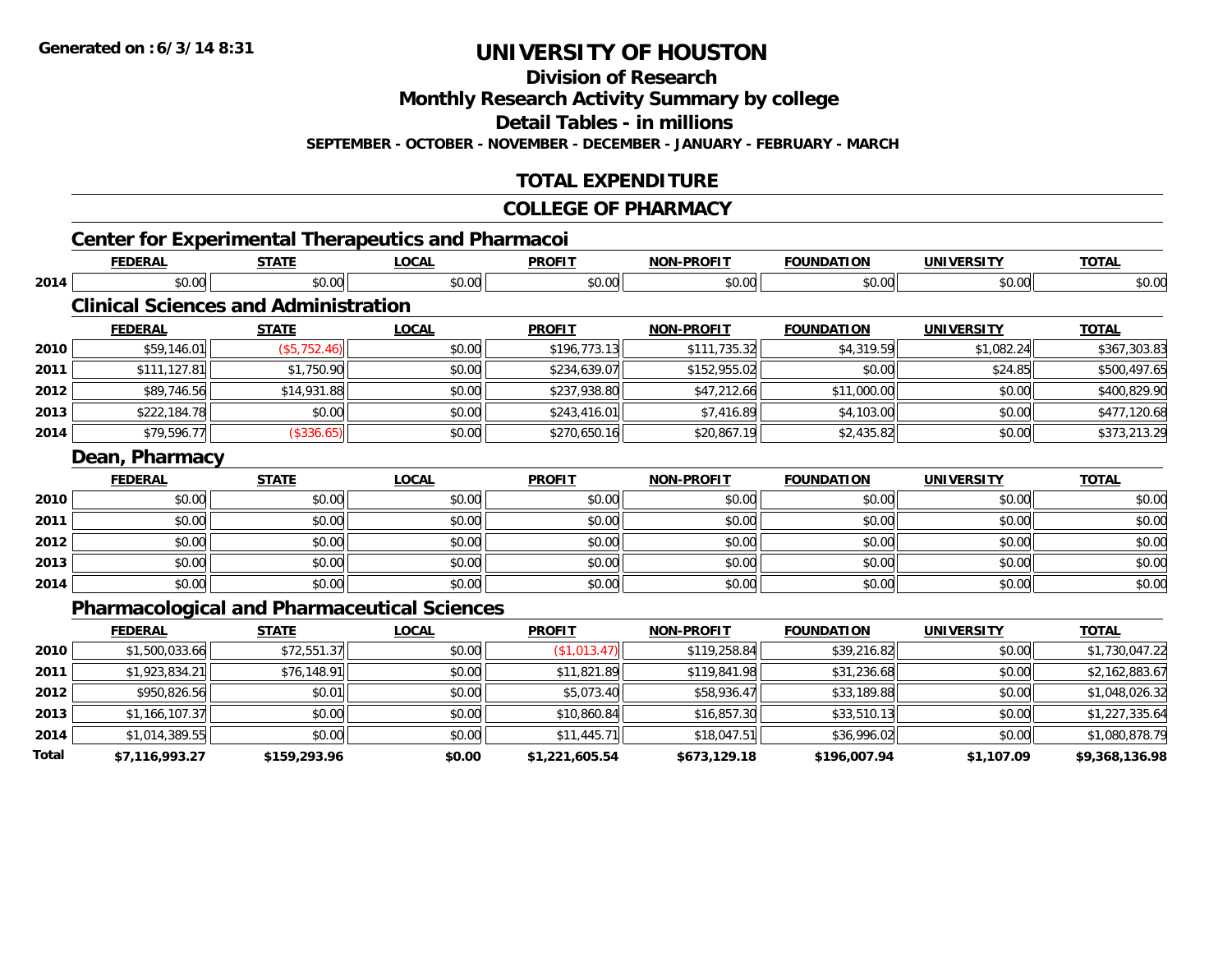**2014**

**Total**

# **UNIVERSITY OF HOUSTON**

**Division of Research**

**Monthly Research Activity Summary by college**

**Detail Tables - in millions**

**SEPTEMBER - OCTOBER - NOVEMBER - DECEMBER - JANUARY - FEBRUARY - MARCH**

## **TOTAL EXPENDITURE**

#### **COLLEGE OF PHARMACY**

4 \$1,014,389.55|| \$0.00|| \$0.00|| \$11,445.71|| \$18,047.51|| \$36,996.02|| \$0.00|| \$1,080,878.79|

**\$7,116,993.27 \$159,293.96 \$0.00 \$1,221,605.54 \$673,129.18 \$196,007.94 \$1,107.09 \$9,368,136.98**

**TOTAL** 

**TOTAL** 

**TOTAL** 

#### **Center for Experimental Therapeutics and Pharmacoi FEDERAL STATE LOCAL PROFIT NON-PROFIT FOUNDATION UNIVERSITY TOTAL2014**4 \$0.00 \$0.00 \$0.00 \$0.00 \$0.00 \$0.00 \$0.00 \$0.00 \$0.00 \$0.00 \$0.00 \$0.00 \$0.00 \$0.00 \$0.00 \$0.00 \$0.00 **Clinical Sciences and AdministrationFEDERAL STATE LOCAL PROFIT NON-PROFIT FOUNDATION UNIVERSITY TOTAL2010** \$59,146.01 (\$5,752.46) \$0.00 \$196,773.13 \$111,735.32 \$4,319.59 \$1,082.24 \$367,303.83 **2011**.500,497.65 || \$111,127.81|| \$1,750.90|| \$1,750.90|| \$0.00|| \$234,639.07|| \$152,955.02|| \$0.00|| \$0.00| **2012**2 | \$89,746.56|| \$14,931.88|| \$0.00|| \$237,938.80|| \$47,212.66| \$11,000.00|| \$0.00|| \$400,829.90| **2013** \$222,184.78 \$0.00 \$0.00 \$243,416.01 \$7,416.89 \$4,103.00 \$0.00 \$477,120.68 **2014** \$79,596.77 (\$336.65) \$0.00 \$270,650.16 \$20,867.19 \$2,435.82 \$0.00 \$373,213.29 **Dean, Pharmacy FEDERAL STATE LOCAL PROFIT NON-PROFIT FOUNDATION UNIVERSITY TOTAL2010**0 \$0.00 \$0.00 \$0.00 \$0.00 \$0.00 \$0.00 \$0.00 \$0.00 \$0.00 \$0.00 \$0.00 \$0.00 \$0.00 \$0.00 \$0.00 \$0.00 \$0.00 **2011** \$0.00 \$0.00 \$0.00 \$0.00 \$0.00 \$0.00 \$0.00 \$0.00 **2012**2 | \$0.00 \$0.00 \$0.00 \$0.00 \$0.00 \$0.00 \$0.00 \$0.00 \$0.00 \$0.00 \$0.00 \$0.00 \$0.00 \$0.00 \$0.00 \$0.00 \$0.00 **2013** \$0.00 \$0.00 \$0.00 \$0.00 \$0.00 \$0.00 \$0.00 \$0.00 **2014**4 \$0.00 | \$0.00 | \$0.00 | \$0.00 | \$0.00 | \$0.00 | \$0.00 | \$0 **Pharmacological and Pharmaceutical Sciences FEDERAL STATE LOCAL PROFIT NON-PROFIT FOUNDATION UNIVERSITY TOTAL2010**0 \$1,500,033.66|| \$72,551.37|| \$0.00|| (\$1,013.47)|| \$119,258.84|| \$39,216.82|| \$0.00|| \$1,730,047.22| **2011** \$1,923,834.21 \$76,148.91 \$0.00 \$11,821.89 \$119,841.98 \$31,236.68 \$0.00 \$2,162,883.67 **2012**2 | \$950,826.56|| \$0.01|| \$0.00|| \$0.00|| \$5,073.40|| \$58,936.47|| \$33,189.88|| \$0.00|| \$1,048,026.32| **2013** $\textbf{3} \quad \textbf{\textcolor{blue}{\textbf{51}},\textbf{166,107.37}}$   $\textbf{\textcolor{red}{\textbf{51}},\textbf{27,335.64}}$   $\textbf{\textcolor{red}{\textbf{50.00}}} \quad \textbf{\textcolor{red}{\textbf{51}},\textbf{80.00}}$   $\textbf{\textcolor{red}{\textbf{51}},\textbf{80.00}}$   $\textbf{\textcolor{red}{\textbf{51}},\textbf{857.30}}$   $\textbf{\textcolor{red}{\textbf{53}},\textbf{510.13}}$   $\textbf{\textcolor$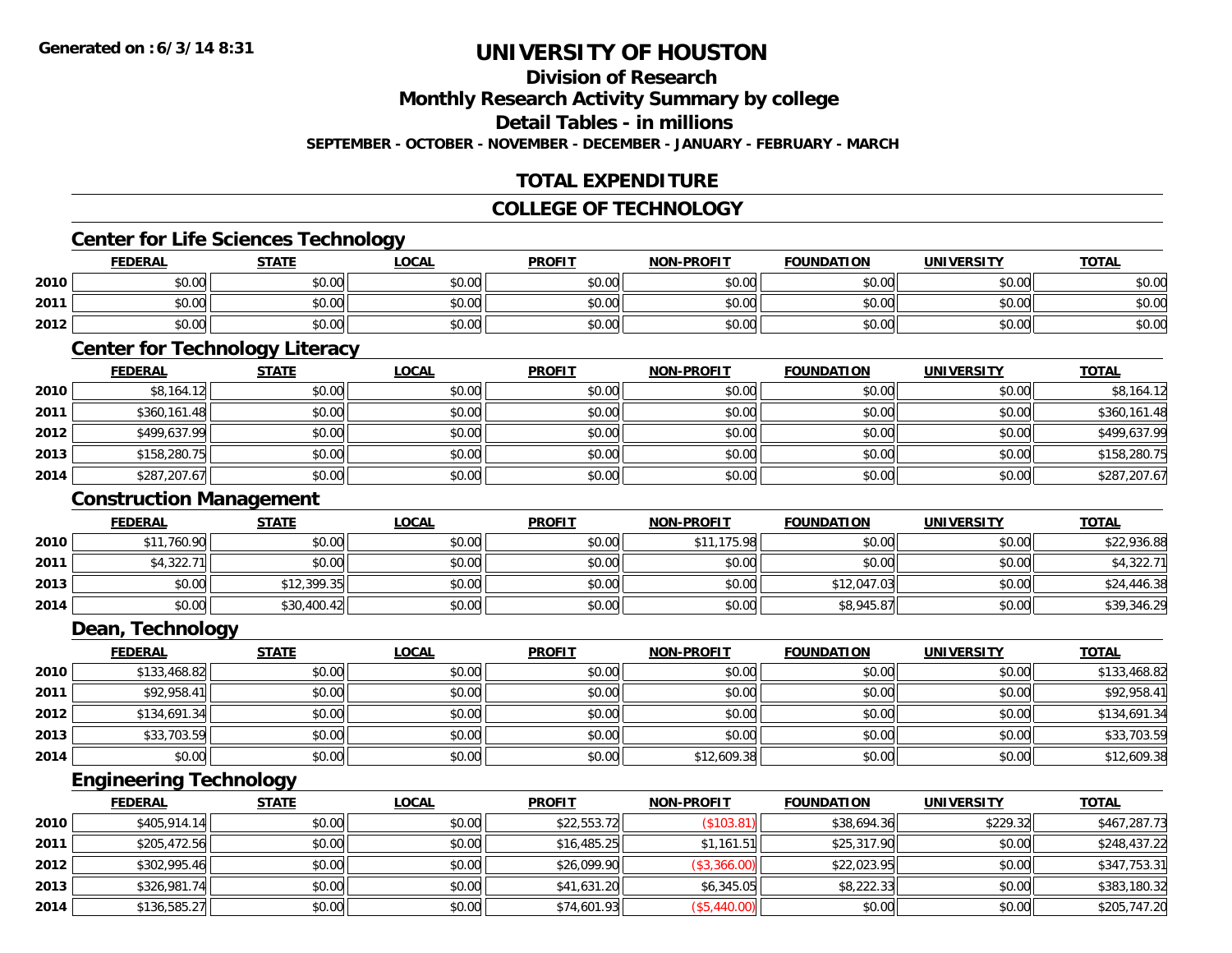# **Division of Research**

**Monthly Research Activity Summary by college**

**Detail Tables - in millions**

**SEPTEMBER - OCTOBER - NOVEMBER - DECEMBER - JANUARY - FEBRUARY - MARCH**

# **TOTAL EXPENDITURE**

#### **COLLEGE OF TECHNOLOGY**

### **Center for Life Sciences Technology**

|      | <b>FEDERAL</b>                        | <b>STATE</b> | <b>_OCAL</b> | <b>PROFIT</b> | <b>NON-PROFIT</b> | <b>FOUNDATION</b> | UNIVERSITY     | <b>TOTAL</b> |
|------|---------------------------------------|--------------|--------------|---------------|-------------------|-------------------|----------------|--------------|
| 2010 | $\uparrow$ $\wedge$ $\wedge$<br>JU.UU | \$0.00       | \$0.00       | \$0.00        | \$0.00            | \$0.00            | mn n¢<br>JU.UU | \$0.00       |
| 2011 | ልስ ሰሰ<br>JU.UU                        | \$0.00       | \$0.00       | \$0.00        | \$0.00            | \$0.00            | \$0.00         | \$0.00       |
| 2012 | ሶስ ሰስ<br>DU.UG                        | \$0.00       | \$0.00       | \$0.00        | \$0.00            | \$0.00            | \$0.00         | \$0.00       |

# **Center for Technology Literacy**

|      | <b>FEDERAL</b> | <b>STATE</b> | <u>LOCAL</u> | <b>PROFIT</b> | <b>NON-PROFIT</b> | <b>FOUNDATION</b> | <b>UNIVERSITY</b> | <b>TOTAL</b> |
|------|----------------|--------------|--------------|---------------|-------------------|-------------------|-------------------|--------------|
| 2010 | \$8,164.12     | \$0.00       | \$0.00       | \$0.00        | \$0.00            | \$0.00            | \$0.00            | \$8,164.12   |
| 2011 | \$360,161.48   | \$0.00       | \$0.00       | \$0.00        | \$0.00            | \$0.00            | \$0.00            | \$360,161.48 |
| 2012 | \$499,637.99   | \$0.00       | \$0.00       | \$0.00        | \$0.00            | \$0.00            | \$0.00            | \$499,637.99 |
| 2013 | \$158,280.75   | \$0.00       | \$0.00       | \$0.00        | \$0.00            | \$0.00            | \$0.00            | \$158,280.75 |
| 2014 | \$287,207.67   | \$0.00       | \$0.00       | \$0.00        | \$0.00            | \$0.00            | \$0.00            | \$287,207.67 |

#### **Construction Management**

|      | <b>FEDERAL</b> | <u>STATE</u> | <u>LOCAL</u> | <b>PROFIT</b> | <b>NON-PROFIT</b> | <b>FOUNDATION</b> | UNIVERSITY | <b>TOTAL</b> |
|------|----------------|--------------|--------------|---------------|-------------------|-------------------|------------|--------------|
| 2010 | \$11,760.90    | \$0.00       | \$0.00       | \$0.00        | \$11,175.98       | \$0.00            | \$0.00     | \$22,936.88  |
| 2011 | \$4,322.71     | \$0.00       | \$0.00       | \$0.00        | \$0.00            | \$0.00            | \$0.00     | \$4,322.71   |
| 2013 | \$0.00         | \$12,399.35  | \$0.00       | \$0.00        | \$0.00            | \$12,047.03       | \$0.00     | \$24,446.38  |
| 2014 | \$0.00         | \$30,400.42  | \$0.00       | \$0.00        | \$0.00            | \$8,945.87        | \$0.00     | \$39,346.29  |

### **Dean, Technology**

|      | <b>FEDERAL</b> | <b>STATE</b> | <u>LOCAL</u> | <b>PROFIT</b> | <b>NON-PROFIT</b> | <b>FOUNDATION</b> | <b>UNIVERSITY</b> | <b>TOTAL</b> |
|------|----------------|--------------|--------------|---------------|-------------------|-------------------|-------------------|--------------|
| 2010 | \$133,468.82   | \$0.00       | \$0.00       | \$0.00        | \$0.00            | \$0.00            | \$0.00            | \$133,468.82 |
| 2011 | \$92,958.41    | \$0.00       | \$0.00       | \$0.00        | \$0.00            | \$0.00            | \$0.00            | \$92,958.41  |
| 2012 | \$134,691.34   | \$0.00       | \$0.00       | \$0.00        | \$0.00            | \$0.00            | \$0.00            | \$134,691.34 |
| 2013 | \$33,703.59    | \$0.00       | \$0.00       | \$0.00        | \$0.00            | \$0.00            | \$0.00            | \$33,703.59  |
| 2014 | \$0.00         | \$0.00       | \$0.00       | \$0.00        | \$12,609.38       | \$0.00            | \$0.00            | \$12,609.38  |

# **Engineering Technology**

|      | <b>FEDERAL</b> | <u>STATE</u> | <b>LOCAL</b> | <b>PROFIT</b> | <b>NON-PROFIT</b> | <b>FOUNDATION</b> | <b>UNIVERSITY</b> | <b>TOTAL</b> |
|------|----------------|--------------|--------------|---------------|-------------------|-------------------|-------------------|--------------|
| 2010 | \$405,914.14   | \$0.00       | \$0.00       | \$22,553.72   | (\$103.81)        | \$38,694.36       | \$229.32          | \$467,287.73 |
| 2011 | \$205,472.56   | \$0.00       | \$0.00       | \$16,485.25   | \$1,161.51        | \$25,317.90       | \$0.00            | \$248,437.22 |
| 2012 | \$302,995.46   | \$0.00       | \$0.00       | \$26,099.90   | (\$3,366.00)      | \$22,023.95       | \$0.00            | \$347,753.31 |
| 2013 | \$326,981.74   | \$0.00       | \$0.00       | \$41,631.20   | \$6,345.05        | \$8,222.33        | \$0.00            | \$383,180.32 |
| 2014 | \$136,585.27   | \$0.00       | \$0.00       | \$74,601.93   | (\$5,440.00)      | \$0.00            | \$0.00            | \$205,747.20 |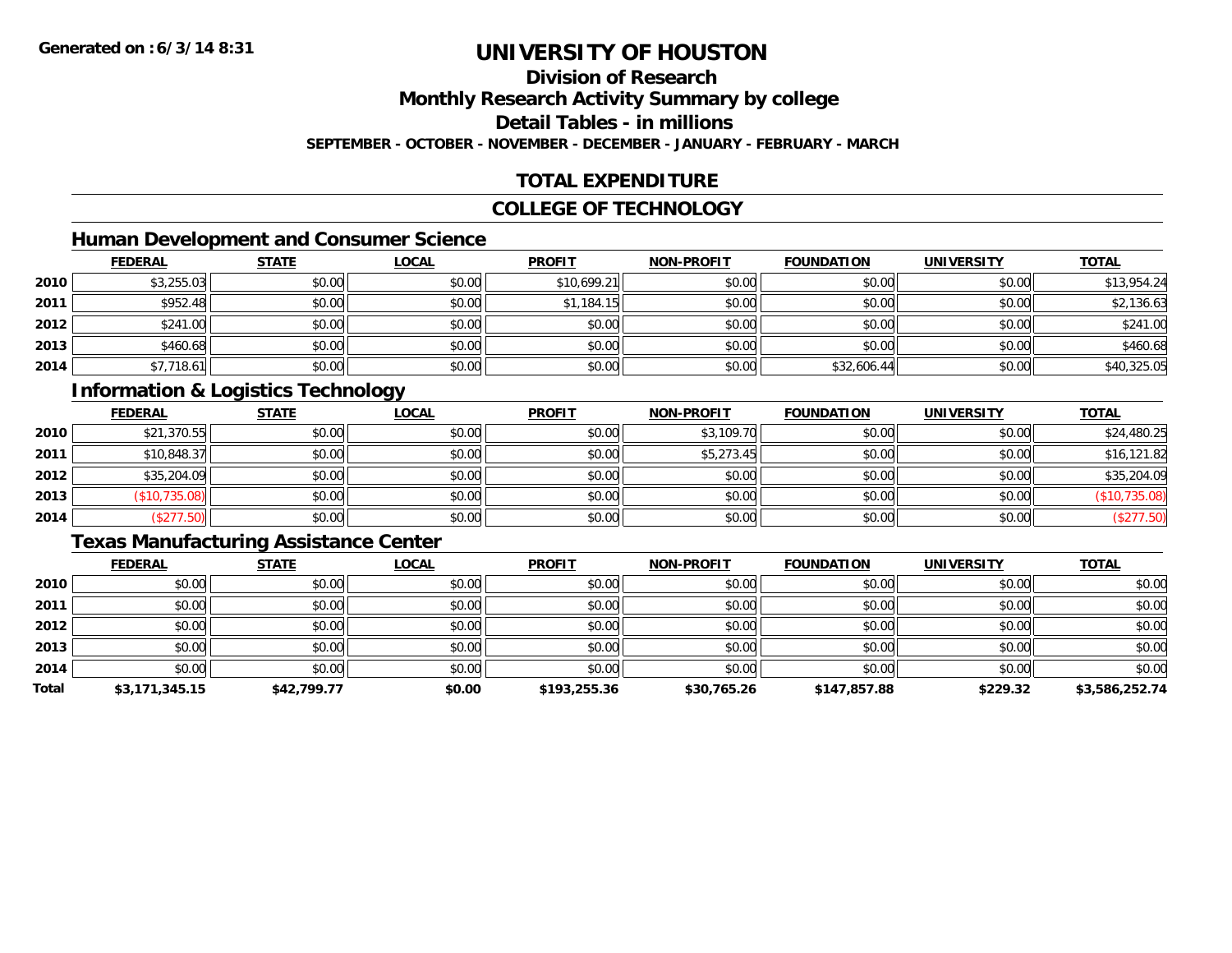# **Division of Research**

**Monthly Research Activity Summary by college**

**Detail Tables - in millions**

**SEPTEMBER - OCTOBER - NOVEMBER - DECEMBER - JANUARY - FEBRUARY - MARCH**

# **TOTAL EXPENDITURE**

#### **COLLEGE OF TECHNOLOGY**

# **Human Development and Consumer Science**

|      | <b>FEDERAL</b> | <b>STATE</b> | <b>LOCAL</b> | <b>PROFIT</b> | <b>NON-PROFIT</b> | <b>FOUNDATION</b> | <b>UNIVERSITY</b> | <b>TOTAL</b> |
|------|----------------|--------------|--------------|---------------|-------------------|-------------------|-------------------|--------------|
| 2010 | \$3,255.03     | \$0.00       | \$0.00       | \$10,699.21   | \$0.00            | \$0.00            | \$0.00            | \$13,954.24  |
| 2011 | \$952.48       | \$0.00       | \$0.00       | \$1,184.15    | \$0.00            | \$0.00            | \$0.00            | \$2,136.63   |
| 2012 | \$241.00       | \$0.00       | \$0.00       | \$0.00        | \$0.00            | \$0.00            | \$0.00            | \$241.00     |
| 2013 | \$460.68       | \$0.00       | \$0.00       | \$0.00        | \$0.00            | \$0.00            | \$0.00            | \$460.68     |
| 2014 | \$7,718.61     | \$0.00       | \$0.00       | \$0.00        | \$0.00            | \$32,606.44       | \$0.00            | \$40,325.05  |

# **Information & Logistics Technology**

|      | <b>FEDERAL</b> | <b>STATE</b> | <u>LOCAL</u> | <b>PROFIT</b> | <b>NON-PROFIT</b> | <b>FOUNDATION</b> | <b>UNIVERSITY</b> | <b>TOTAL</b>  |
|------|----------------|--------------|--------------|---------------|-------------------|-------------------|-------------------|---------------|
| 2010 | \$21,370.55    | \$0.00       | \$0.00       | \$0.00        | \$3,109.70        | \$0.00            | \$0.00            | \$24,480.25   |
| 2011 | \$10,848.37    | \$0.00       | \$0.00       | \$0.00        | \$5,273.45        | \$0.00            | \$0.00            | \$16,121.82   |
| 2012 | \$35,204.09    | \$0.00       | \$0.00       | \$0.00        | \$0.00            | \$0.00            | \$0.00            | \$35,204.09   |
| 2013 | \$10,735.08    | \$0.00       | \$0.00       | \$0.00        | \$0.00            | \$0.00            | \$0.00            | (\$10,735.08) |
| 2014 | \$277.50       | \$0.00       | \$0.00       | \$0.00        | \$0.00            | \$0.00            | \$0.00            | (\$277.50)    |

### **Texas Manufacturing Assistance Center**

|       | <b>FEDERAL</b> | <b>STATE</b> | <u>LOCAL</u> | <b>PROFIT</b> | <b>NON-PROFIT</b> | <b>FOUNDATION</b> | <b>UNIVERSITY</b> | <b>TOTAL</b>   |
|-------|----------------|--------------|--------------|---------------|-------------------|-------------------|-------------------|----------------|
| 2010  | \$0.00         | \$0.00       | \$0.00       | \$0.00        | \$0.00            | \$0.00            | \$0.00            | \$0.00         |
| 2011  | \$0.00         | \$0.00       | \$0.00       | \$0.00        | \$0.00            | \$0.00            | \$0.00            | \$0.00         |
| 2012  | \$0.00         | \$0.00       | \$0.00       | \$0.00        | \$0.00            | \$0.00            | \$0.00            | \$0.00         |
| 2013  | \$0.00         | \$0.00       | \$0.00       | \$0.00        | \$0.00            | \$0.00            | \$0.00            | \$0.00         |
| 2014  | \$0.00         | \$0.00       | \$0.00       | \$0.00        | \$0.00            | \$0.00            | \$0.00            | \$0.00         |
| Total | \$3,171,345.15 | \$42,799.77  | \$0.00       | \$193,255.36  | \$30,765.26       | \$147.857.88      | \$229.32          | \$3,586,252.74 |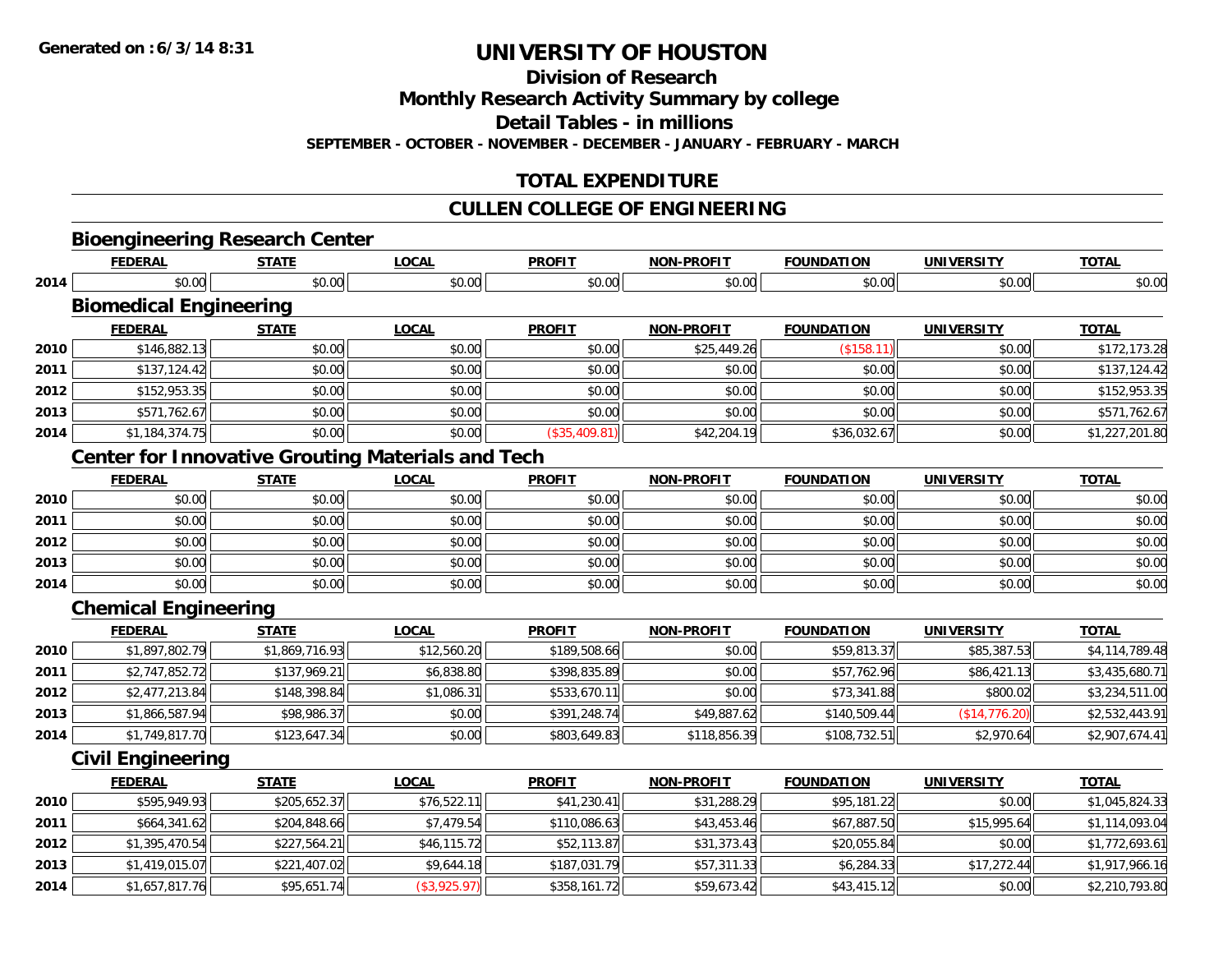**Division of Research**

**Monthly Research Activity Summary by college**

**Detail Tables - in millions**

**SEPTEMBER - OCTOBER - NOVEMBER - DECEMBER - JANUARY - FEBRUARY - MARCH**

# **TOTAL EXPENDITURE**

#### **CULLEN COLLEGE OF ENGINEERING**

**TOTAL** 

**TOTAL** 

**TOTAL** 

#### **Bioengineering Research Center FEDERAL STATE LOCAL PROFIT NON-PROFIT FOUNDATION UNIVERSITY TOTAL2014**4 \$0.00 \$0.00 \$0.00 \$0.00 \$0.00 \$0.00 \$0.00 \$0.00 \$0.00 \$0.00 \$0.00 \$0.00 \$0.00 \$0.00 \$0.00 \$0.00 \$0.00 **Biomedical Engineering FEDERAL STATE LOCAL PROFIT NON-PROFIT FOUNDATION UNIVERSITY TOTAL2010** $\textsf{[0]} \quad \textsf{[0]} \quad \textsf{[0]} \quad \textsf{[1]} \quad \textsf{[0]} \quad \textsf{[1]} \quad \textsf{[0]} \quad \textsf{[1]} \quad \textsf{[0]} \quad \textsf{[1]} \quad \textsf{[0]} \quad \textsf{[1]} \quad \textsf{[1]} \quad \textsf{[1]} \quad \textsf{[1]} \quad \textsf{[1]} \quad \textsf{[1]} \quad \textsf{[1]} \quad \textsf{[1]} \quad \textsf{[1]} \quad \textsf{[1]} \quad \textsf{[1]} \quad \textsf{[1]} \quad \textsf{[1]} \quad \textsf{$ **2011** \$137,124.42 \$0.00 \$0.00 \$0.00 \$0.00 \$0.00 \$0.00 \$137,124.42 **2012**2 | \$152,953.35|| \$0.00|| \$0.00|| \$0.00|| \$0.00|| \$0.00|| \$0.00|| \$152,953.35| **2013** \$571,762.67 \$0.00 \$0.00 \$0.00 \$0.00 \$0.00 \$0.00 \$571,762.67 **2014**4 \$1,184,374.75|| \$0.00|| \$0.00|| (\$35,409.81)|| \$42,204.19|| \$36,032.67|| \$0.00|| \$1,227,201.80| **Center for Innovative Grouting Materials and Tech FEDERAL STATE LOCAL PROFIT NON-PROFIT FOUNDATION UNIVERSITY TOTAL2010**0 \$0.00 \$0.00 \$0.00 \$0.00 \$0.00 \$0.00 \$0.00 \$0.00 \$0.00 \$0.00 \$0.00 \$0.00 \$0.00 \$0.00 \$0.00 \$0.00 \$0.00 **2011** \$0.00 \$0.00 \$0.00 \$0.00 \$0.00 \$0.00 \$0.00 \$0.00 **2012**2 | \$0.00 \$0.00 \$0.00 \$0.00 \$0.00 \$0.00 \$0.00 \$0.00 \$0.00 \$0.00 \$0.00 \$0.00 \$0.00 \$0.00 \$0.00 \$0.00 \$0.00 **2013** \$0.00 \$0.00 \$0.00 \$0.00 \$0.00 \$0.00 \$0.00 \$0.00 **2014**4 \$0.00 | \$0.00 | \$0.00 | \$0.00 | \$0.00 | \$0.00 | \$0.00 | \$0 **Chemical Engineering**

|      | <b>FEDERAL</b> | <u>STATE</u>   | <u>LOCAL</u> | <b>PROFIT</b> | <b>NON-PROFIT</b> | <b>FOUNDATION</b> | <b>UNIVERSITY</b> | <b>TOTAL</b>   |
|------|----------------|----------------|--------------|---------------|-------------------|-------------------|-------------------|----------------|
| 2010 | \$1,897,802.79 | \$1,869,716.93 | \$12,560.20  | \$189,508.66  | \$0.00            | \$59,813.37       | \$85,387.53       | \$4,114,789.48 |
| 2011 | \$2,747,852.72 | \$137,969.21   | \$6,838.80   | \$398,835.89  | \$0.00            | \$57,762.96       | \$86,421.13       | \$3,435,680.71 |
| 2012 | \$2,477,213.84 | \$148,398.84   | \$1,086.31   | \$533,670.11  | \$0.00            | \$73,341.88       | \$800.02          | \$3,234,511.00 |
| 2013 | \$1,866,587.94 | \$98,986.37    | \$0.00       | \$391,248.74  | \$49,887.62       | \$140,509.44      | (S14, 776.20)     | \$2,532,443.91 |
| 2014 | \$1,749,817.70 | \$123,647.34   | \$0.00       | \$803,649.83  | \$118,856.39      | \$108,732.51      | \$2,970.64        | \$2,907,674.41 |

#### **Civil Engineering**

|      | <b>FEDERAL</b> | <b>STATE</b> | <b>LOCAL</b> | <b>PROFIT</b> | <b>NON-PROFIT</b> | <b>FOUNDATION</b> | <b>UNIVERSITY</b> | <b>TOTAL</b>   |
|------|----------------|--------------|--------------|---------------|-------------------|-------------------|-------------------|----------------|
| 2010 | \$595,949.93   | \$205,652.37 | \$76,522.11  | \$41,230.41   | \$31,288.29       | \$95,181.22       | \$0.00            | \$1,045,824.33 |
| 2011 | \$664,341.62   | \$204,848.66 | \$7,479.54   | \$110,086.63  | \$43,453.46       | \$67,887.50       | \$15,995.64       | \$1,114,093.04 |
| 2012 | \$1,395,470.54 | \$227,564.21 | \$46,115.72  | \$52,113.87   | \$31,373.43       | \$20,055.84       | \$0.00            | \$1,772,693.61 |
| 2013 | \$1,419,015.07 | \$221,407.02 | \$9,644.18   | \$187,031.79  | \$57,311.33       | \$6,284.33        | \$17,272.44       | \$1,917,966.16 |
| 2014 | \$1,657,817.76 | \$95,651.74  | (\$3,925.97) | \$358,161.72  | \$59,673.42       | \$43,415.12       | \$0.00            | \$2,210,793.80 |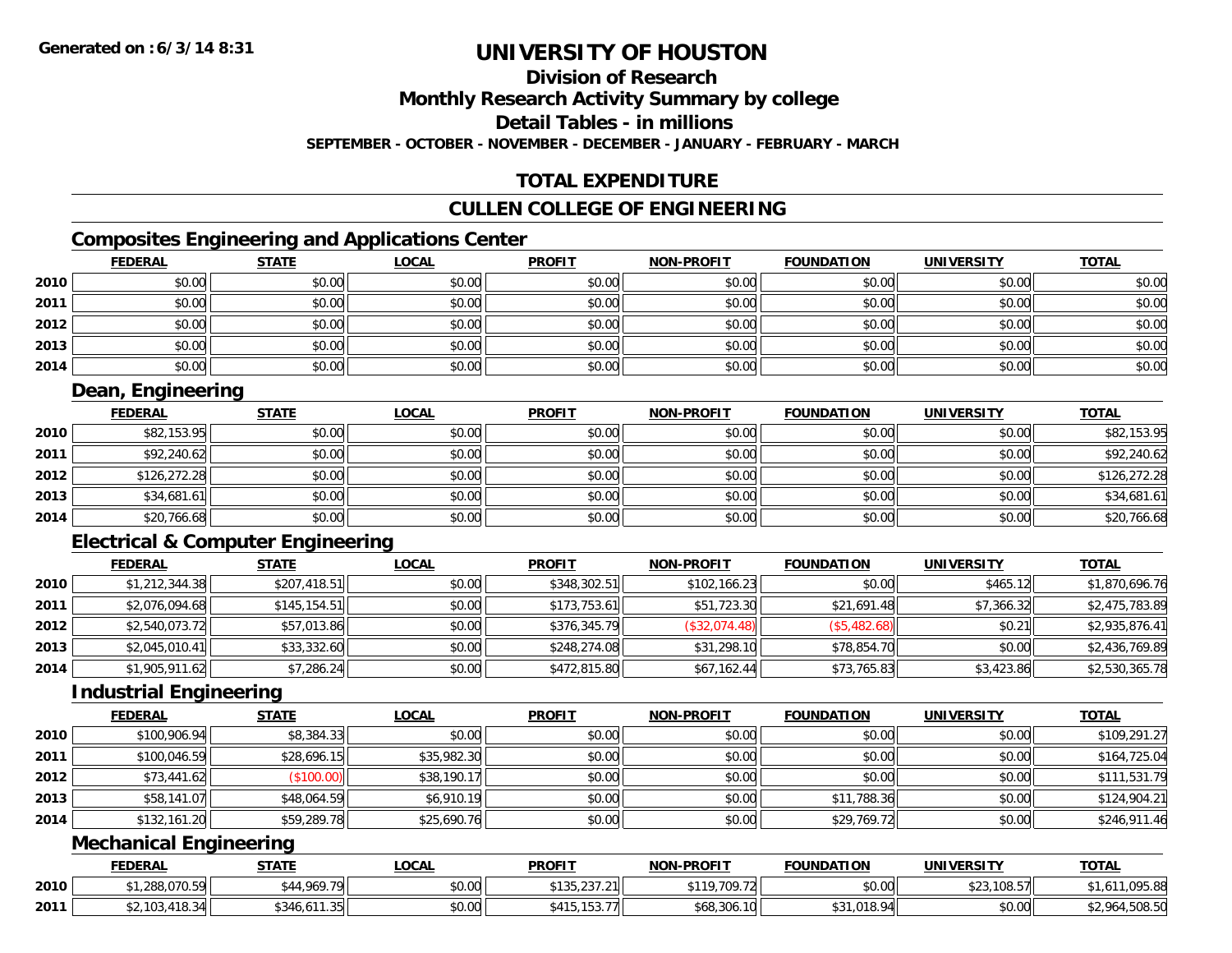# **Division of Research**

**Monthly Research Activity Summary by college**

**Detail Tables - in millions**

**SEPTEMBER - OCTOBER - NOVEMBER - DECEMBER - JANUARY - FEBRUARY - MARCH**

# **TOTAL EXPENDITURE**

### **CULLEN COLLEGE OF ENGINEERING**

# **Composites Engineering and Applications Center**

|      | <b>FEDERAL</b> | <b>STATE</b> | <u>LOCAL</u> | <b>PROFIT</b> | <b>NON-PROFIT</b> | <b>FOUNDATION</b> | <b>UNIVERSITY</b> | <b>TOTAL</b> |
|------|----------------|--------------|--------------|---------------|-------------------|-------------------|-------------------|--------------|
| 2010 | \$0.00         | \$0.00       | \$0.00       | \$0.00        | \$0.00            | \$0.00            | \$0.00            | \$0.00       |
| 2011 | \$0.00         | \$0.00       | \$0.00       | \$0.00        | \$0.00            | \$0.00            | \$0.00            | \$0.00       |
| 2012 | \$0.00         | \$0.00       | \$0.00       | \$0.00        | \$0.00            | \$0.00            | \$0.00            | \$0.00       |
| 2013 | \$0.00         | \$0.00       | \$0.00       | \$0.00        | \$0.00            | \$0.00            | \$0.00            | \$0.00       |
| 2014 | \$0.00         | \$0.00       | \$0.00       | \$0.00        | \$0.00            | \$0.00            | \$0.00            | \$0.00       |

# **Dean, Engineering**

|      | <u>FEDERAL</u> | <b>STATE</b> | <u>LOCAL</u> | <b>PROFIT</b> | <b>NON-PROFIT</b> | <b>FOUNDATION</b> | <b>UNIVERSITY</b> | <b>TOTAL</b> |
|------|----------------|--------------|--------------|---------------|-------------------|-------------------|-------------------|--------------|
| 2010 | \$82,153.95    | \$0.00       | \$0.00       | \$0.00        | \$0.00            | \$0.00            | \$0.00            | \$82,153.95  |
| 2011 | \$92,240.62    | \$0.00       | \$0.00       | \$0.00        | \$0.00            | \$0.00            | \$0.00            | \$92,240.62  |
| 2012 | \$126,272.28   | \$0.00       | \$0.00       | \$0.00        | \$0.00            | \$0.00            | \$0.00            | \$126,272.28 |
| 2013 | \$34,681.61    | \$0.00       | \$0.00       | \$0.00        | \$0.00            | \$0.00            | \$0.00            | \$34,681.61  |
| 2014 | \$20,766.68    | \$0.00       | \$0.00       | \$0.00        | \$0.00            | \$0.00            | \$0.00            | \$20,766.68  |

# **Electrical & Computer Engineering**

|      | <b>FEDERAL</b> | <b>STATE</b>  | <u>LOCAL</u> | <b>PROFIT</b> | <b>NON-PROFIT</b> | <b>FOUNDATION</b> | <b>UNIVERSITY</b> | <b>TOTAL</b>   |
|------|----------------|---------------|--------------|---------------|-------------------|-------------------|-------------------|----------------|
| 2010 | \$1,212,344.38 | \$207,418.51  | \$0.00       | \$348,302.51  | \$102,166.23      | \$0.00            | \$465.12          | \$1,870,696.76 |
| 2011 | \$2,076,094.68 | \$145, 154.51 | \$0.00       | \$173,753.61  | \$51,723.30       | \$21,691.48       | \$7.366.32        | \$2,475,783.89 |
| 2012 | \$2,540,073.72 | \$57,013.86   | \$0.00       | \$376,345.79  | (\$32,074.48)     | (\$5,482.68)      | \$0.21            | \$2,935,876.41 |
| 2013 | \$2,045,010.41 | \$33,332.60   | \$0.00       | \$248,274.08  | \$31,298.10       | \$78,854.70       | \$0.00            | \$2,436,769.89 |
| 2014 | \$1,905,911.62 | \$7,286.24    | \$0.00       | \$472,815.80  | \$67,162.44       | \$73,765.83       | \$3,423.86        | \$2,530,365.78 |

### **Industrial Engineering**

|      | <b>FEDERAL</b> | <b>STATE</b> | <b>LOCAL</b> | <b>PROFIT</b> | <b>NON-PROFIT</b> | <b>FOUNDATION</b> | <b>UNIVERSITY</b> | <b>TOTAL</b> |
|------|----------------|--------------|--------------|---------------|-------------------|-------------------|-------------------|--------------|
| 2010 | \$100,906.94   | \$8,384.33   | \$0.00       | \$0.00        | \$0.00            | \$0.00            | \$0.00            | \$109,291.27 |
| 2011 | \$100,046.59   | \$28,696.15  | \$35,982.30  | \$0.00        | \$0.00            | \$0.00            | \$0.00            | \$164,725.04 |
| 2012 | \$73,441.62    | \$100.00     | \$38,190.17  | \$0.00        | \$0.00            | \$0.00            | \$0.00            | \$111,531.79 |
| 2013 | \$58,141.07    | \$48,064.59  | \$6,910.19   | \$0.00        | \$0.00            | \$11,788.36       | \$0.00            | \$124,904.21 |
| 2014 | \$132,161.20   | \$59,289.78  | \$25,690.76  | \$0.00        | \$0.00            | \$29,769.72       | \$0.00            | \$246,911.46 |

## **Mechanical Engineering**

|      | <b>FEDERAI</b>      | <b>STATE</b>                            | <b>_OCAL</b> | <b>PROFIT</b>                                     | NON-PROFIT                    | <b>FOUNDATION</b> | UNIVERSITY       | <b>TOTAI</b>                    |
|------|---------------------|-----------------------------------------|--------------|---------------------------------------------------|-------------------------------|-------------------|------------------|---------------------------------|
| 2010 | ,,,,,,,,,,          | 1.969.79                                | \$0.00       | $\sim$ $\sim$ $\sim$<br><b>¢12I</b><br>135.237.21 | <b>¢110</b><br>700.70<br>w    | \$0.00            | ,108.57<br>ن ے ب | $\Omega$<br>, אא.ל9ט,           |
| 2011 | \$2.103<br>$\Omega$ | \$346<br>$\sim$ $\sim$<br>en.<br>نداد ا | \$0.00       | $\cdots$<br><b>¢</b> 11<br>.                      | $\Omega$<br>. 10<br>\$68.306. |                   | \$0.00           | $\sim$ $\sim$ $\sim$<br>,5U6.Jl |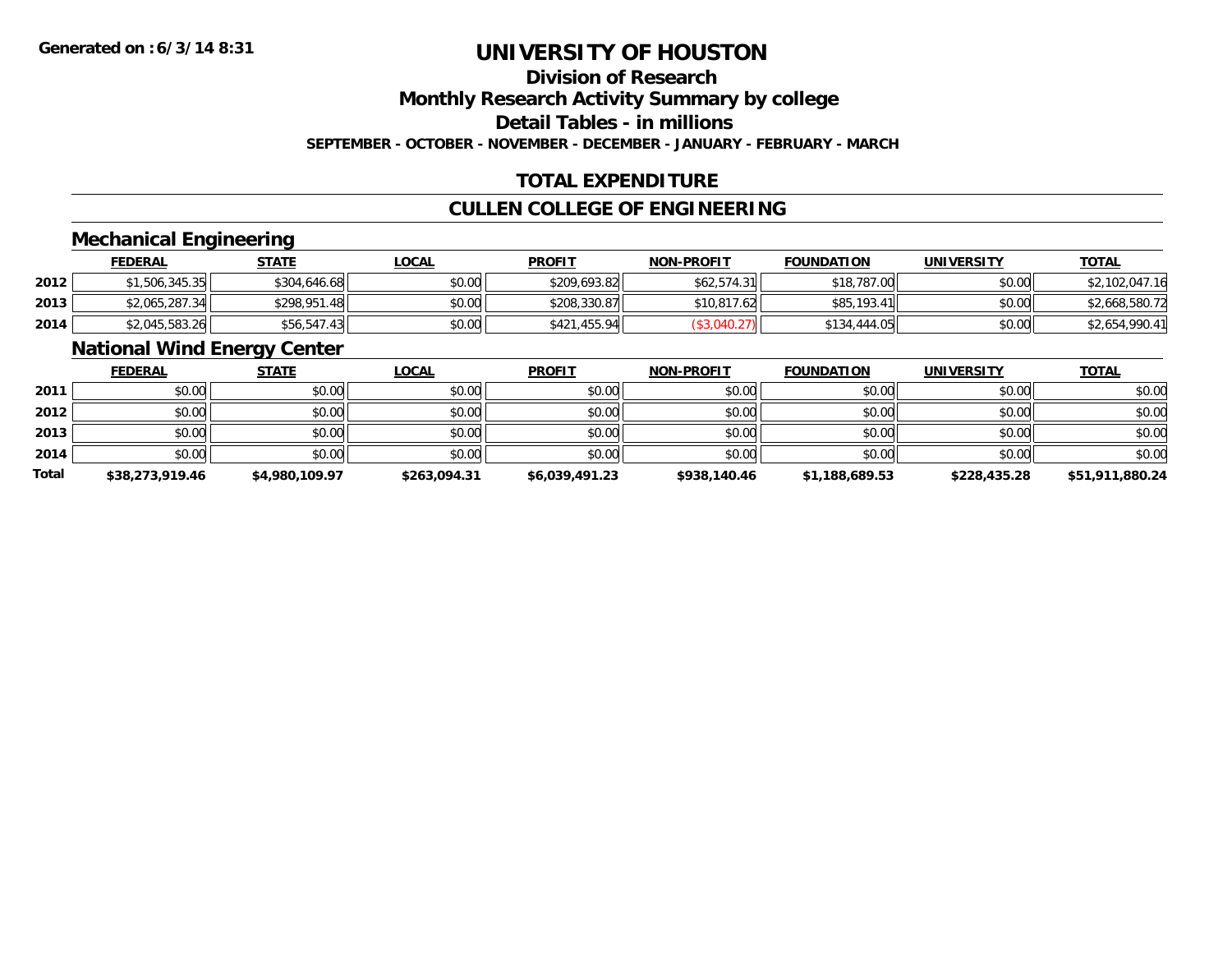# **Division of Research**

**Monthly Research Activity Summary by college**

**Detail Tables - in millions**

**SEPTEMBER - OCTOBER - NOVEMBER - DECEMBER - JANUARY - FEBRUARY - MARCH**

# **TOTAL EXPENDITURE**

### **CULLEN COLLEGE OF ENGINEERING**

### **Mechanical Engineering**

|      | <b>FEDERAL</b> | <u>STATE</u> | <u>LOCAL</u> | <b>PROFIT</b> | <b>NON-PROFIT</b> | <b>FOUNDATION</b> | <b>UNIVERSITY</b> | <b>TOTAL</b>   |
|------|----------------|--------------|--------------|---------------|-------------------|-------------------|-------------------|----------------|
| 2012 | \$1,506,345.35 | \$304,646.68 | \$0.00       | \$209,693.82  | \$62,574.31       | \$18,787.00       | \$0.00            | \$2,102,047.16 |
| 2013 | \$2,065,287.34 | \$298,951.48 | \$0.00       | \$208,330.87  | \$10,817.62       | \$85,193.41       | \$0.00            | \$2,668,580.72 |
| 2014 | \$2,045,583.26 | \$56,547.43  | \$0.00       | \$421,455.94  |                   | \$134,444.05      | \$0.00            | \$2,654,990.41 |

### **National Wind Energy Center**

|              | <b>FEDERAL</b>  | <b>STATE</b>   | <u>LOCAL</u> | <b>PROFIT</b>  | <b>NON-PROFIT</b> | <b>FOUNDATION</b> | <b>UNIVERSITY</b> | <b>TOTAL</b>    |
|--------------|-----------------|----------------|--------------|----------------|-------------------|-------------------|-------------------|-----------------|
| 2011         | \$0.00          | \$0.00         | \$0.00       | \$0.00         | \$0.00            | \$0.00            | \$0.00            | \$0.00          |
| 2012         | \$0.00          | \$0.00         | \$0.00       | \$0.00         | \$0.00            | \$0.00            | \$0.00            | \$0.00          |
| 2013         | \$0.00          | \$0.00         | \$0.00       | \$0.00         | \$0.00            | \$0.00            | \$0.00            | \$0.00          |
| 2014         | \$0.00          | \$0.00         | \$0.00       | \$0.00         | \$0.00            | \$0.00            | \$0.00            | \$0.00          |
| <b>Total</b> | \$38,273,919.46 | \$4,980,109.97 | \$263,094.31 | \$6,039,491.23 | \$938,140.46      | \$1,188,689.53    | \$228,435.28      | \$51,911,880.24 |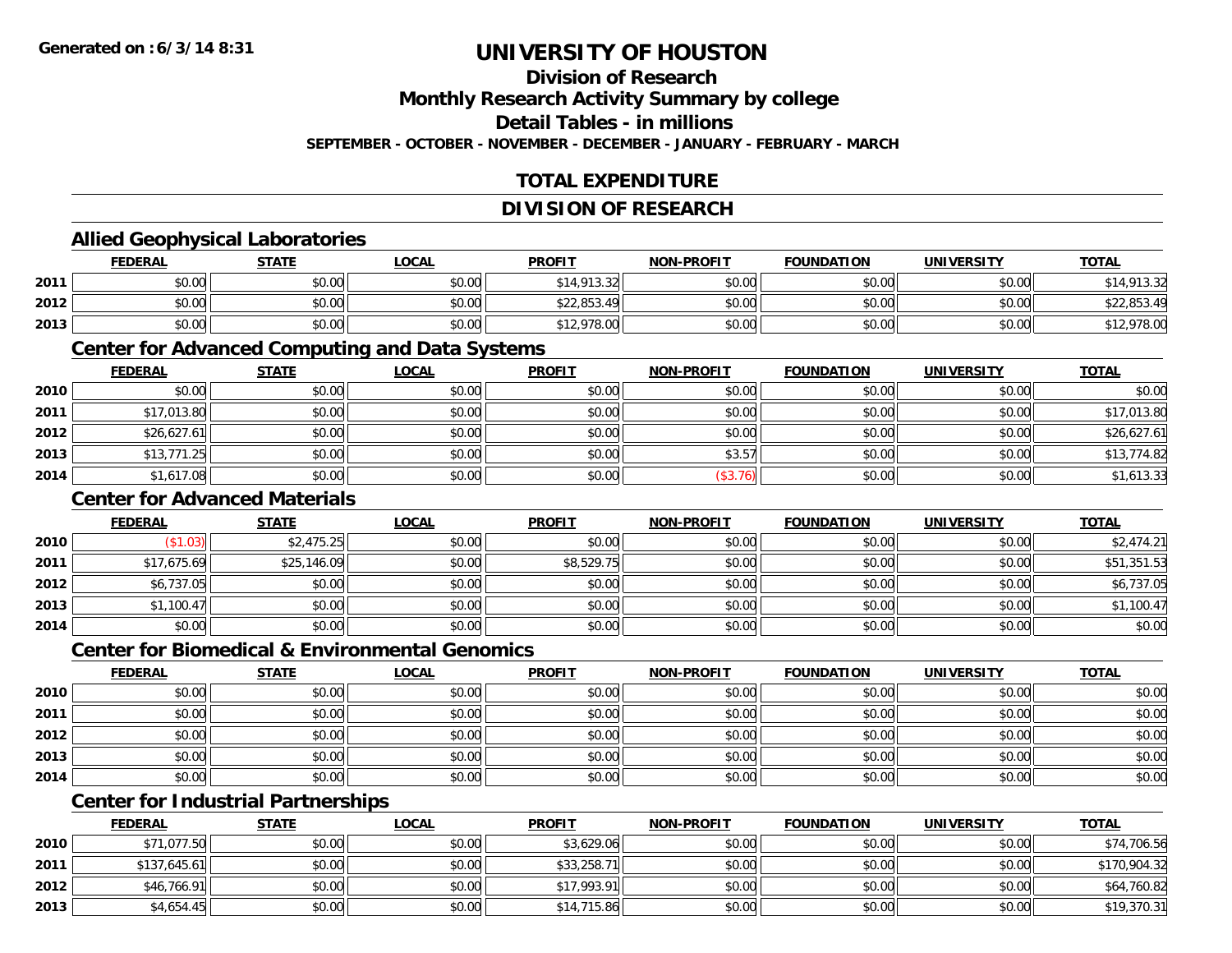# **Division of Research**

**Monthly Research Activity Summary by college**

**Detail Tables - in millions**

**SEPTEMBER - OCTOBER - NOVEMBER - DECEMBER - JANUARY - FEBRUARY - MARCH**

# **TOTAL EXPENDITURE**

#### **DIVISION OF RESEARCH**

### **Allied Geophysical Laboratories**

|      | <b>FEDERAL</b> | <u>STATE</u> | <u>LOCAL</u> | <b>PROFIT</b> | <b>NON-PROFIT</b> | <b>FOUNDATION</b> | UNIVERSITY | <b>TOTAL</b>         |
|------|----------------|--------------|--------------|---------------|-------------------|-------------------|------------|----------------------|
| 2011 | \$0.00         | \$0.00       | \$0.00       | \$14,913.32   | \$0.00            | \$0.00            | \$0.00     | \$14,913.32<br>১। 4. |
| 2012 | \$0.00         | \$0.00       | \$0.00       | \$22,853.49   | \$0.00            | \$0.00            | \$0.00     | \$22,853.49          |
| 2013 | \$0.00         | \$0.00       | \$0.00       | \$12,978.00   | \$0.00            | \$0.00            | \$0.00     | \$12,978.00          |

#### **Center for Advanced Computing and Data Systems**

|      | <u>FEDERAL</u> | <u>STATE</u> | <u>LOCAL</u> | <b>PROFIT</b> | <b>NON-PROFIT</b> | <b>FOUNDATION</b> | <b>UNIVERSITY</b> | <b>TOTAL</b> |
|------|----------------|--------------|--------------|---------------|-------------------|-------------------|-------------------|--------------|
| 2010 | \$0.00         | \$0.00       | \$0.00       | \$0.00        | \$0.00            | \$0.00            | \$0.00            | \$0.00       |
| 2011 | \$17,013.80    | \$0.00       | \$0.00       | \$0.00        | \$0.00            | \$0.00            | \$0.00            | \$17,013.80  |
| 2012 | \$26,627.61    | \$0.00       | \$0.00       | \$0.00        | \$0.00            | \$0.00            | \$0.00            | \$26,627.61  |
| 2013 | \$13,771.25    | \$0.00       | \$0.00       | \$0.00        | \$3.57            | \$0.00            | \$0.00            | \$13,774.82  |
| 2014 | \$1,617.08     | \$0.00       | \$0.00       | \$0.00        | (\$3.76)          | \$0.00            | \$0.00            | \$1,613.33   |

### **Center for Advanced Materials**

|      | <b>FEDERAL</b> | <b>STATE</b> | <u>LOCAL</u> | <b>PROFIT</b> | <b>NON-PROFIT</b> | <b>FOUNDATION</b> | <b>UNIVERSITY</b> | <b>TOTAL</b> |
|------|----------------|--------------|--------------|---------------|-------------------|-------------------|-------------------|--------------|
| 2010 | (\$1.03)       | \$2,475.25   | \$0.00       | \$0.00        | \$0.00            | \$0.00            | \$0.00            | \$2,474.21   |
| 2011 | \$17,675.69    | \$25,146.09  | \$0.00       | \$8,529.75    | \$0.00            | \$0.00            | \$0.00            | \$51,351.53  |
| 2012 | \$6,737.05     | \$0.00       | \$0.00       | \$0.00        | \$0.00            | \$0.00            | \$0.00            | \$6,737.05   |
| 2013 | \$1,100.47     | \$0.00       | \$0.00       | \$0.00        | \$0.00            | \$0.00            | \$0.00            | \$1,100.47   |
| 2014 | \$0.00         | \$0.00       | \$0.00       | \$0.00        | \$0.00            | \$0.00            | \$0.00            | \$0.00       |

#### **Center for Biomedical & Environmental Genomics**

|      | <u>FEDERAL</u> | <b>STATE</b> | <b>LOCAL</b> | <b>PROFIT</b> | <b>NON-PROFIT</b> | <b>FOUNDATION</b> | <b>UNIVERSITY</b> | <b>TOTAL</b> |
|------|----------------|--------------|--------------|---------------|-------------------|-------------------|-------------------|--------------|
| 2010 | \$0.00         | \$0.00       | \$0.00       | \$0.00        | \$0.00            | \$0.00            | \$0.00            | \$0.00       |
| 2011 | \$0.00         | \$0.00       | \$0.00       | \$0.00        | \$0.00            | \$0.00            | \$0.00            | \$0.00       |
| 2012 | \$0.00         | \$0.00       | \$0.00       | \$0.00        | \$0.00            | \$0.00            | \$0.00            | \$0.00       |
| 2013 | \$0.00         | \$0.00       | \$0.00       | \$0.00        | \$0.00            | \$0.00            | \$0.00            | \$0.00       |
| 2014 | \$0.00         | \$0.00       | \$0.00       | \$0.00        | \$0.00            | \$0.00            | \$0.00            | \$0.00       |

# **Center for Industrial Partnerships**

|      | <b>FEDERAL</b> | <b>STATE</b> | <u>LOCAL</u> | <b>PROFIT</b> | <b>NON-PROFIT</b> | <b>FOUNDATION</b> | <b>UNIVERSITY</b> | <b>TOTAL</b> |
|------|----------------|--------------|--------------|---------------|-------------------|-------------------|-------------------|--------------|
| 2010 | \$71,077.50    | \$0.00       | \$0.00       | \$3,629.06    | \$0.00            | \$0.00            | \$0.00            | \$74,706.56  |
| 2011 | \$137,645.61   | \$0.00       | \$0.00       | \$33,258.71   | \$0.00            | \$0.00            | \$0.00            | \$170,904.32 |
| 2012 | \$46,766.91    | \$0.00       | \$0.00       | \$17,993.91   | \$0.00            | \$0.00            | \$0.00            | \$64,760.82  |
| 2013 | \$4,654.45     | \$0.00       | \$0.00       | \$14,715.86   | \$0.00            | \$0.00            | \$0.00            | \$19,370.31  |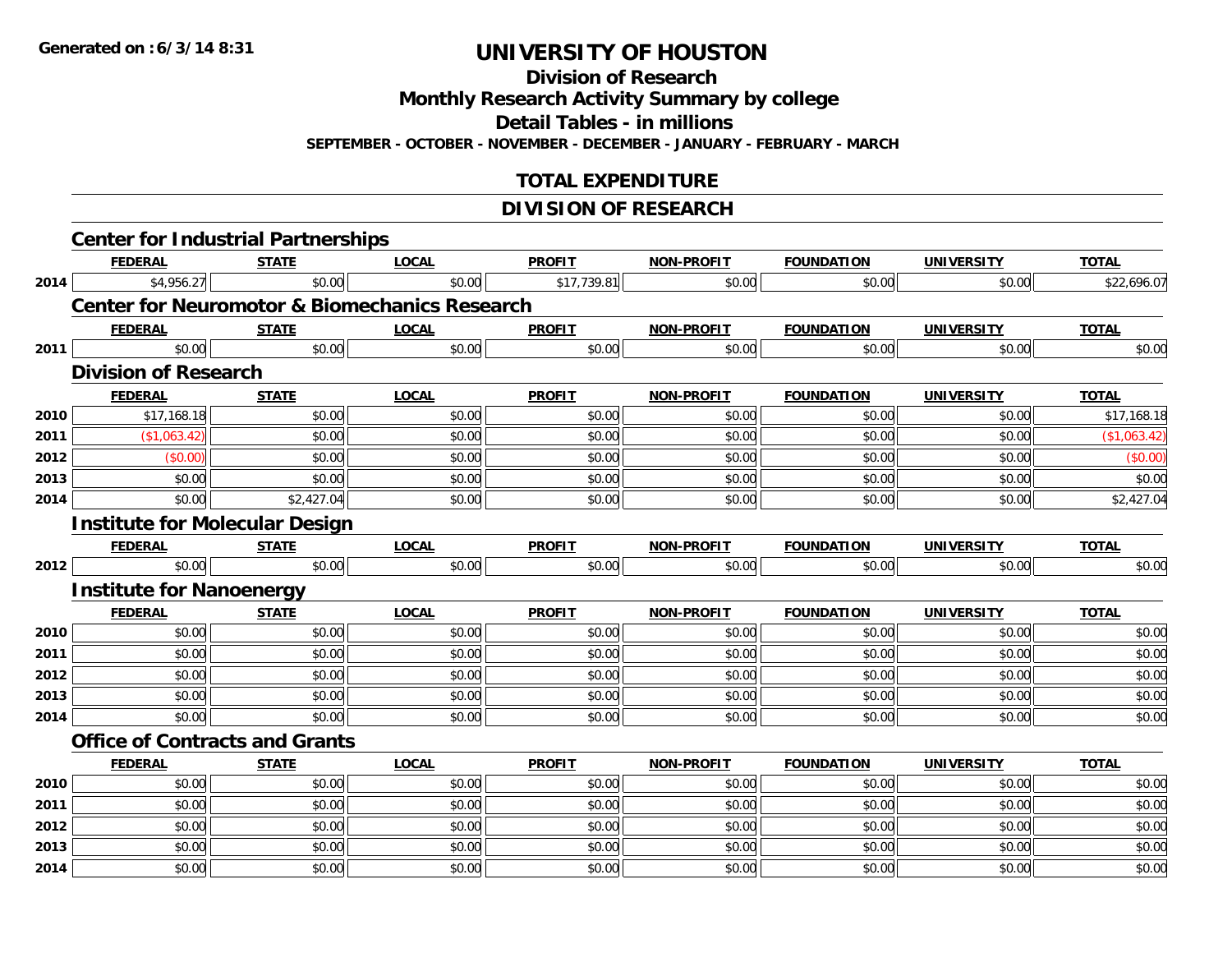**Division of Research**

**Monthly Research Activity Summary by college**

**Detail Tables - in millions**

**SEPTEMBER - OCTOBER - NOVEMBER - DECEMBER - JANUARY - FEBRUARY - MARCH**

# **TOTAL EXPENDITURE**

#### **DIVISION OF RESEARCH**

|      | <b>Center for Industrial Partnerships</b>                |              |              |               |                   |                   |                   |              |
|------|----------------------------------------------------------|--------------|--------------|---------------|-------------------|-------------------|-------------------|--------------|
|      | <b>FEDERAL</b>                                           | <b>STATE</b> | <b>LOCAL</b> | <b>PROFIT</b> | <b>NON-PROFIT</b> | <b>FOUNDATION</b> | <b>UNIVERSITY</b> | <b>TOTAL</b> |
| 2014 | \$4,956.27                                               | \$0.00       | \$0.00       | \$17,739.81   | \$0.00            | \$0.00            | \$0.00            | \$22,696.07  |
|      | <b>Center for Neuromotor &amp; Biomechanics Research</b> |              |              |               |                   |                   |                   |              |
|      | <b>FEDERAL</b>                                           | <b>STATE</b> | <b>LOCAL</b> | <b>PROFIT</b> | <b>NON-PROFIT</b> | <b>FOUNDATION</b> | <b>UNIVERSITY</b> | <b>TOTAL</b> |
| 2011 | \$0.00                                                   | \$0.00       | \$0.00       | \$0.00        | \$0.00            | \$0.00            | \$0.00            | \$0.00       |
|      | <b>Division of Research</b>                              |              |              |               |                   |                   |                   |              |
|      | <b>FEDERAL</b>                                           | <b>STATE</b> | <b>LOCAL</b> | <b>PROFIT</b> | <b>NON-PROFIT</b> | <b>FOUNDATION</b> | <b>UNIVERSITY</b> | <b>TOTAL</b> |
| 2010 | \$17,168.18                                              | \$0.00       | \$0.00       | \$0.00        | \$0.00            | \$0.00            | \$0.00            | \$17,168.18  |
| 2011 | (\$1,063.42)                                             | \$0.00       | \$0.00       | \$0.00        | \$0.00            | \$0.00            | \$0.00            | (\$1,063.42) |
| 2012 | (\$0.00)                                                 | \$0.00       | \$0.00       | \$0.00        | \$0.00            | \$0.00            | \$0.00            | (\$0.00)     |
| 2013 | \$0.00                                                   | \$0.00       | \$0.00       | \$0.00        | \$0.00            | \$0.00            | \$0.00            | \$0.00       |
| 2014 | \$0.00                                                   | \$2,427.04   | \$0.00       | \$0.00        | \$0.00            | \$0.00            | \$0.00            | \$2,427.04   |
|      | <b>Institute for Molecular Design</b>                    |              |              |               |                   |                   |                   |              |
|      | <b>FEDERAL</b>                                           | <b>STATE</b> | <b>LOCAL</b> | <b>PROFIT</b> | <b>NON-PROFIT</b> | <b>FOUNDATION</b> | <b>UNIVERSITY</b> | <b>TOTAL</b> |
| 2012 | \$0.00                                                   | \$0.00       | \$0.00       | \$0.00        | \$0.00            | \$0.00            | \$0.00            | \$0.00       |
|      | <b>Institute for Nanoenergy</b>                          |              |              |               |                   |                   |                   |              |
|      | <b>FEDERAL</b>                                           | <b>STATE</b> | <b>LOCAL</b> | <b>PROFIT</b> | NON-PROFIT        | <b>FOUNDATION</b> | <b>UNIVERSITY</b> | <b>TOTAL</b> |
| 2010 | \$0.00                                                   | \$0.00       | \$0.00       | \$0.00        | \$0.00            | \$0.00            | \$0.00            | \$0.00       |
| 2011 | \$0.00                                                   | \$0.00       | \$0.00       | \$0.00        | \$0.00            | \$0.00            | \$0.00            | \$0.00       |
| 2012 | \$0.00                                                   | \$0.00       | \$0.00       | \$0.00        | \$0.00            | \$0.00            | \$0.00            | \$0.00       |
| 2013 | \$0.00                                                   | \$0.00       | \$0.00       | \$0.00        | \$0.00            | \$0.00            | \$0.00            | \$0.00       |
| 2014 | \$0.00                                                   | \$0.00       | \$0.00       | \$0.00        | \$0.00            | \$0.00            | \$0.00            | \$0.00       |
|      | <b>Office of Contracts and Grants</b>                    |              |              |               |                   |                   |                   |              |
|      | <b>FEDERAL</b>                                           | <b>STATE</b> | <b>LOCAL</b> | <b>PROFIT</b> | <b>NON-PROFIT</b> | <b>FOUNDATION</b> | <b>UNIVERSITY</b> | <b>TOTAL</b> |
| 2010 | \$0.00                                                   | \$0.00       | \$0.00       | \$0.00        | \$0.00            | \$0.00            | \$0.00            | \$0.00       |
| 2011 | \$0.00                                                   | \$0.00       | \$0.00       | \$0.00        | \$0.00            | \$0.00            | \$0.00            | \$0.00       |
| 2012 | \$0.00                                                   | \$0.00       | \$0.00       | \$0.00        | \$0.00            | \$0.00            | \$0.00            | \$0.00       |
| 2013 | \$0.00                                                   | \$0.00       | \$0.00       | \$0.00        | \$0.00            | \$0.00            | \$0.00            | \$0.00       |
| 2014 | \$0.00                                                   | \$0.00       | \$0.00       | \$0.00        | \$0.00            | \$0.00            | \$0.00            | \$0.00       |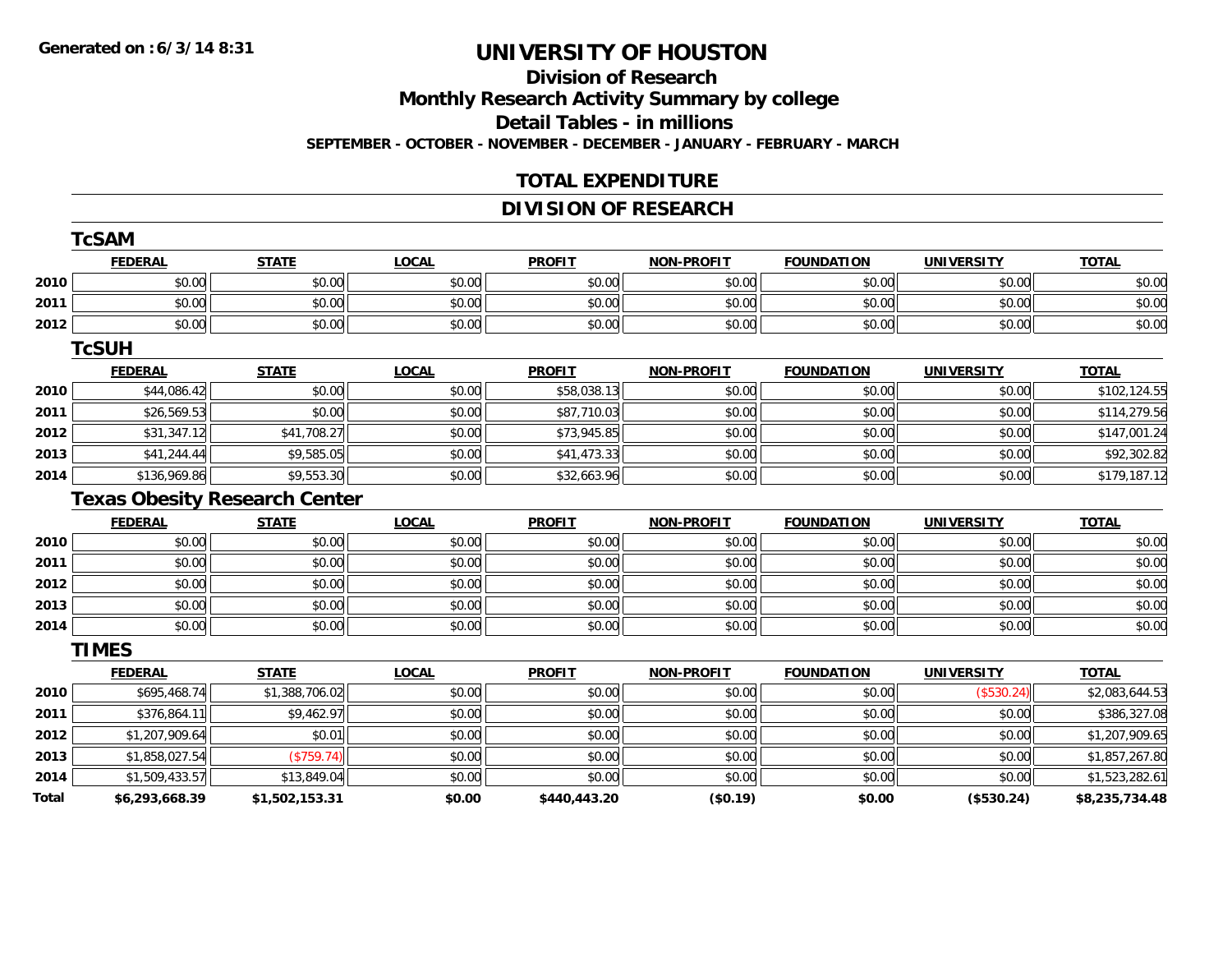# **Division of ResearchMonthly Research Activity Summary by college Detail Tables - in millions SEPTEMBER - OCTOBER - NOVEMBER - DECEMBER - JANUARY - FEBRUARY - MARCH**

### **TOTAL EXPENDITURE**

### **DIVISION OF RESEARCH**

|              | <b>TcSAM</b>                         |                |              |               |                   |                   |                   |                |
|--------------|--------------------------------------|----------------|--------------|---------------|-------------------|-------------------|-------------------|----------------|
|              | <b>FEDERAL</b>                       | <b>STATE</b>   | <b>LOCAL</b> | <b>PROFIT</b> | <b>NON-PROFIT</b> | <b>FOUNDATION</b> | <b>UNIVERSITY</b> | <b>TOTAL</b>   |
| 2010         | \$0.00                               | \$0.00         | \$0.00       | \$0.00        | \$0.00            | \$0.00            | \$0.00            | \$0.00         |
| 2011         | \$0.00                               | \$0.00         | \$0.00       | \$0.00        | \$0.00            | \$0.00            | \$0.00            | \$0.00         |
| 2012         | \$0.00                               | \$0.00         | \$0.00       | \$0.00        | \$0.00            | \$0.00            | \$0.00            | \$0.00         |
|              | <b>TcSUH</b>                         |                |              |               |                   |                   |                   |                |
|              | <b>FEDERAL</b>                       | <b>STATE</b>   | <b>LOCAL</b> | <b>PROFIT</b> | <b>NON-PROFIT</b> | <b>FOUNDATION</b> | <b>UNIVERSITY</b> | <b>TOTAL</b>   |
| 2010         | \$44,086.42                          | \$0.00         | \$0.00       | \$58,038.13   | \$0.00            | \$0.00            | \$0.00            | \$102,124.55   |
| 2011         | \$26,569.53                          | \$0.00         | \$0.00       | \$87,710.03   | \$0.00            | \$0.00            | \$0.00            | \$114,279.56   |
| 2012         | \$31,347.12                          | \$41,708.27    | \$0.00       | \$73,945.85   | \$0.00            | \$0.00            | \$0.00            | \$147,001.24   |
| 2013         | \$41,244.44                          | \$9,585.05     | \$0.00       | \$41,473.33   | \$0.00            | \$0.00            | \$0.00            | \$92,302.82    |
| 2014         | \$136,969.86                         | \$9,553.30     | \$0.00       | \$32,663.96   | \$0.00            | \$0.00            | \$0.00            | \$179,187.12   |
|              | <b>Texas Obesity Research Center</b> |                |              |               |                   |                   |                   |                |
|              | <b>FEDERAL</b>                       | <b>STATE</b>   | <b>LOCAL</b> | <b>PROFIT</b> | <b>NON-PROFIT</b> | <b>FOUNDATION</b> | <b>UNIVERSITY</b> | <b>TOTAL</b>   |
| 2010         | \$0.00                               | \$0.00         | \$0.00       | \$0.00        | \$0.00            | \$0.00            | \$0.00            | \$0.00         |
| 2011         | \$0.00                               | \$0.00         | \$0.00       | \$0.00        | \$0.00            | \$0.00            | \$0.00            | \$0.00         |
| 2012         | \$0.00                               | \$0.00         | \$0.00       | \$0.00        | \$0.00            | \$0.00            | \$0.00            | \$0.00         |
| 2013         | \$0.00                               | \$0.00         | \$0.00       | \$0.00        | \$0.00            | \$0.00            | \$0.00            | \$0.00         |
| 2014         | \$0.00                               | \$0.00         | \$0.00       | \$0.00        | \$0.00            | \$0.00            | \$0.00            | \$0.00         |
|              | <b>TIMES</b>                         |                |              |               |                   |                   |                   |                |
|              | <b>FEDERAL</b>                       | <b>STATE</b>   | <b>LOCAL</b> | <b>PROFIT</b> | <b>NON-PROFIT</b> | <b>FOUNDATION</b> | <b>UNIVERSITY</b> | <b>TOTAL</b>   |
| 2010         | \$695,468.74                         | \$1,388,706.02 | \$0.00       | \$0.00        | \$0.00            | \$0.00            | (\$530.24)        | \$2,083,644.53 |
| 2011         | \$376,864.11                         | \$9,462.97     | \$0.00       | \$0.00        | \$0.00            | \$0.00            | \$0.00            | \$386,327.08   |
| 2012         | \$1,207,909.64                       | \$0.01         | \$0.00       | \$0.00        | \$0.00            | \$0.00            | \$0.00            | \$1,207,909.65 |
| 2013         | \$1,858,027.54                       | (\$759.74)     | \$0.00       | \$0.00        | \$0.00            | \$0.00            | \$0.00            | \$1,857,267.80 |
| 2014         | \$1,509,433.57                       | \$13,849.04    | \$0.00       | \$0.00        | \$0.00            | \$0.00            | \$0.00            | \$1,523,282.61 |
| <b>Total</b> | \$6,293,668.39                       | \$1,502,153.31 | \$0.00       | \$440,443.20  | (\$0.19)          | \$0.00            | (\$530.24)        | \$8,235,734.48 |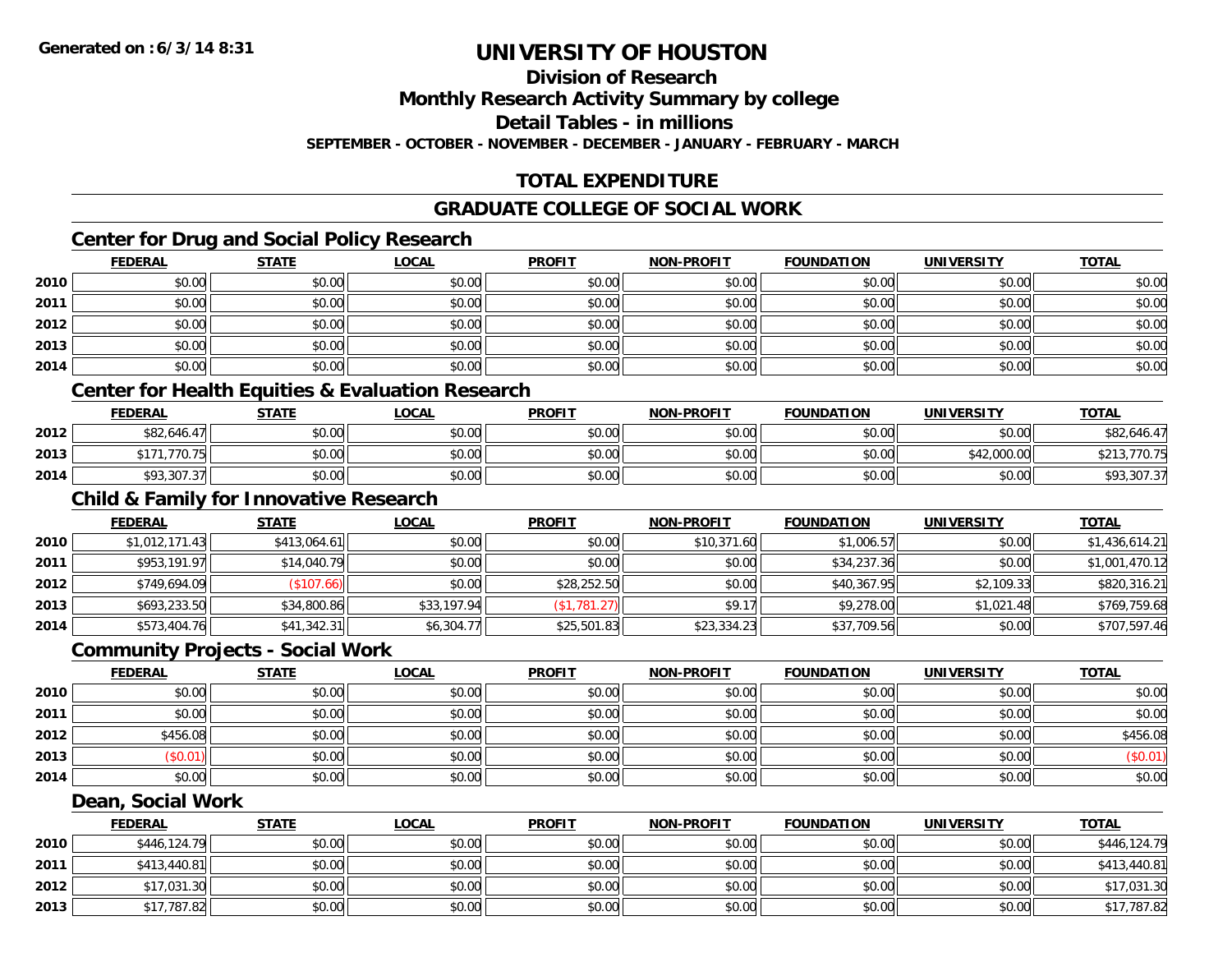**Division of Research**

**Monthly Research Activity Summary by college**

**Detail Tables - in millions**

**SEPTEMBER - OCTOBER - NOVEMBER - DECEMBER - JANUARY - FEBRUARY - MARCH**

# **TOTAL EXPENDITURE**

### **GRADUATE COLLEGE OF SOCIAL WORK**

# **Center for Drug and Social Policy Research**

|      | <b>FEDERAL</b> | <b>STATE</b> | <b>LOCAL</b> | <b>PROFIT</b> | <b>NON-PROFIT</b> | <b>FOUNDATION</b> | <b>UNIVERSITY</b> | <b>TOTAL</b> |
|------|----------------|--------------|--------------|---------------|-------------------|-------------------|-------------------|--------------|
| 2010 | \$0.00         | \$0.00       | \$0.00       | \$0.00        | \$0.00            | \$0.00            | \$0.00            | \$0.00       |
| 2011 | \$0.00         | \$0.00       | \$0.00       | \$0.00        | \$0.00            | \$0.00            | \$0.00            | \$0.00       |
| 2012 | \$0.00         | \$0.00       | \$0.00       | \$0.00        | \$0.00            | \$0.00            | \$0.00            | \$0.00       |
| 2013 | \$0.00         | \$0.00       | \$0.00       | \$0.00        | \$0.00            | \$0.00            | \$0.00            | \$0.00       |
| 2014 | \$0.00         | \$0.00       | \$0.00       | \$0.00        | \$0.00            | \$0.00            | \$0.00            | \$0.00       |

### **Center for Health Equities & Evaluation Research**

|      | <b>FEDERAL</b>    | <b>STATE</b> | <u>LOCAL</u> | <b>PROFIT</b> | <b>NON-PROFIT</b> | <b>FOUNDATION</b> | UNIVERSITY  | <b>TOTAL</b>     |
|------|-------------------|--------------|--------------|---------------|-------------------|-------------------|-------------|------------------|
| 2012 | \$82,646.4<br>471 | \$0.00       | \$0.00       | \$0.00        | \$0.00            | \$0.00            | \$0.00      | \$82,646.47      |
| 2013 | .770.75           | \$0.00       | \$0.00       | \$0.00        | \$0.00            | \$0.00            | \$42,000.00 | .770.75<br>0.015 |
| 2014 | \$93,307.37       | \$0.00       | \$0.00       | \$0.00        | \$0.00            | \$0.00            | \$0.00      | \$93,307.37      |

### **Child & Family for Innovative Research**

|      | <b>FEDERAL</b> | <b>STATE</b> | <b>LOCAL</b> | <b>PROFIT</b> | <b>NON-PROFIT</b> | <b>FOUNDATION</b> | <b>UNIVERSITY</b> | <u>TOTAL</u>   |
|------|----------------|--------------|--------------|---------------|-------------------|-------------------|-------------------|----------------|
| 2010 | \$1,012,171.43 | \$413,064.61 | \$0.00       | \$0.00        | \$10,371.60       | \$1,006.57        | \$0.00            | \$1,436,614.21 |
| 2011 | \$953,191.97   | \$14,040.79  | \$0.00       | \$0.00        | \$0.00            | \$34,237.36       | \$0.00            | \$1,001,470.12 |
| 2012 | \$749,694.09   | (\$107.66)   | \$0.00       | \$28,252.50   | \$0.00            | \$40,367.95       | \$2,109.33        | \$820,316.21   |
| 2013 | \$693,233.50   | \$34,800.86  | \$33,197.94  | (S1, 781.27)  | \$9.17            | \$9,278.00        | \$1,021.48        | \$769,759.68   |
| 2014 | \$573,404.76   | \$41,342.31  | \$6,304.77   | \$25,501.83   | \$23,334.23       | \$37,709.56       | \$0.00            | \$707,597.46   |

#### **Community Projects - Social Work**

|      | <u>FEDERAL</u> | <b>STATE</b> | <u>LOCAL</u> | <b>PROFIT</b> | <b>NON-PROFIT</b> | <b>FOUNDATION</b> | <b>UNIVERSITY</b> | <b>TOTAL</b> |
|------|----------------|--------------|--------------|---------------|-------------------|-------------------|-------------------|--------------|
| 2010 | \$0.00         | \$0.00       | \$0.00       | \$0.00        | \$0.00            | \$0.00            | \$0.00            | \$0.00       |
| 2011 | \$0.00         | \$0.00       | \$0.00       | \$0.00        | \$0.00            | \$0.00            | \$0.00            | \$0.00       |
| 2012 | \$456.08       | \$0.00       | \$0.00       | \$0.00        | \$0.00            | \$0.00            | \$0.00            | \$456.08     |
| 2013 | \$0.01)        | \$0.00       | \$0.00       | \$0.00        | \$0.00            | \$0.00            | \$0.00            | (\$0.01)     |
| 2014 | \$0.00         | \$0.00       | \$0.00       | \$0.00        | \$0.00            | \$0.00            | \$0.00            | \$0.00       |

#### **Dean, Social Work**

|      | <b>FEDERAL</b> | <b>STATE</b> | <u>LOCAL</u> | <b>PROFIT</b> | <b>NON-PROFIT</b> | <b>FOUNDATION</b> | <b>UNIVERSITY</b> | <b>TOTAL</b> |
|------|----------------|--------------|--------------|---------------|-------------------|-------------------|-------------------|--------------|
| 2010 | \$446,124.79   | \$0.00       | \$0.00       | \$0.00        | \$0.00            | \$0.00            | \$0.00            | \$446,124.79 |
| 2011 | \$413,440.81   | \$0.00       | \$0.00       | \$0.00        | \$0.00            | \$0.00            | \$0.00            | \$413,440.81 |
| 2012 | \$17,031.30    | \$0.00       | \$0.00       | \$0.00        | \$0.00            | \$0.00            | \$0.00            | \$17,031.30  |
| 2013 | \$17,787.82    | \$0.00       | \$0.00       | \$0.00        | \$0.00            | \$0.00            | \$0.00            | \$17,787.82  |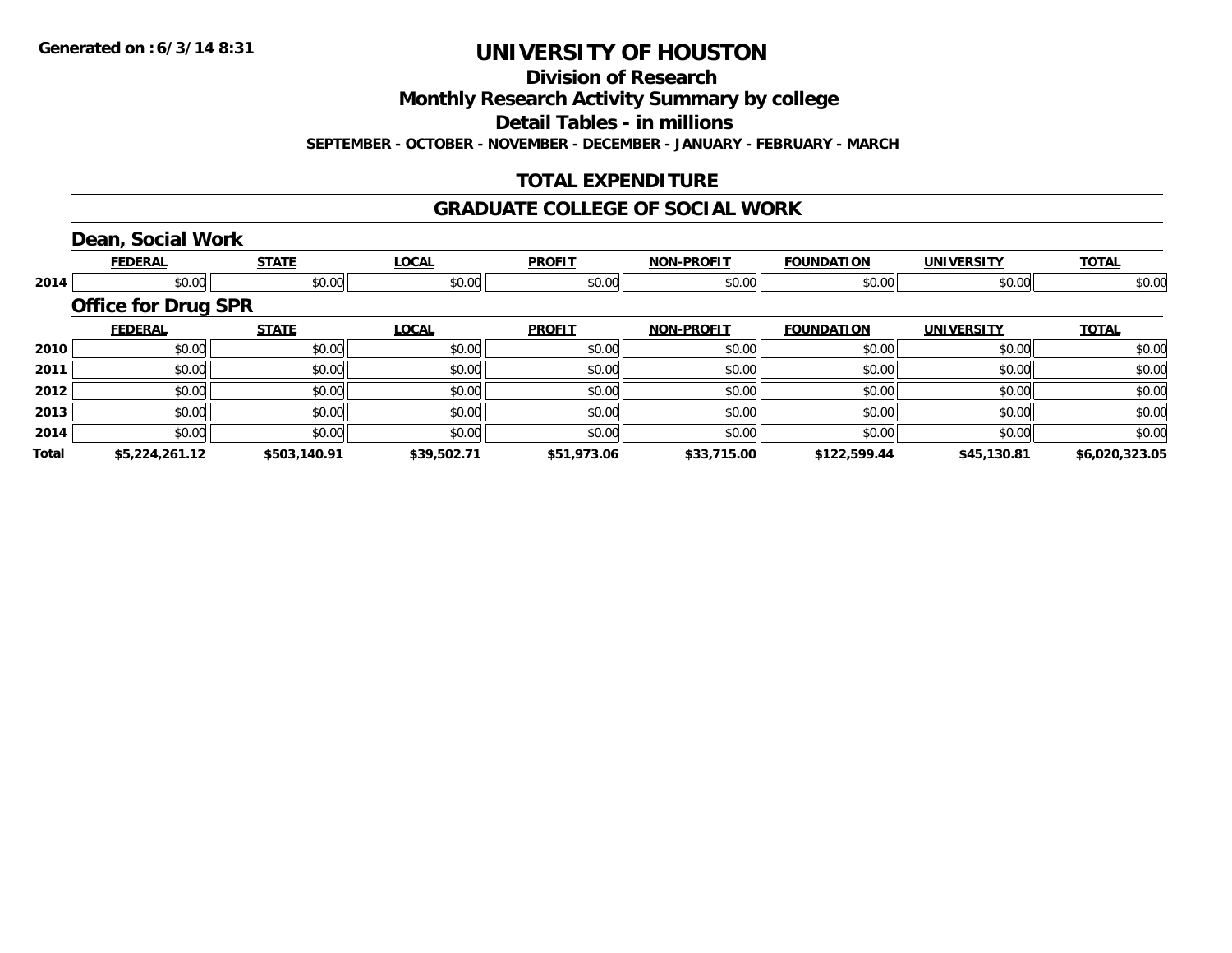**Division of Research**

**Monthly Research Activity Summary by college**

**Detail Tables - in millions**

**SEPTEMBER - OCTOBER - NOVEMBER - DECEMBER - JANUARY - FEBRUARY - MARCH**

## **TOTAL EXPENDITURE**

#### **GRADUATE COLLEGE OF SOCIAL WORK**

# **Dean, Social Work**

|              | <b>FEDERAL</b>             | <b>STATE</b> | <b>LOCAL</b> | <b>PROFIT</b> | <b>NON-PROFIT</b> | <b>FOUNDATION</b> | <b>UNIVERSITY</b> | <b>TOTAL</b>   |
|--------------|----------------------------|--------------|--------------|---------------|-------------------|-------------------|-------------------|----------------|
| 2014         | \$0.00                     | \$0.00       | \$0.00       | \$0.00        | \$0.00            | \$0.00            | \$0.00            | \$0.00         |
|              | <b>Office for Drug SPR</b> |              |              |               |                   |                   |                   |                |
|              | <b>FEDERAL</b>             | <b>STATE</b> | <b>LOCAL</b> | <b>PROFIT</b> | <b>NON-PROFIT</b> | <b>FOUNDATION</b> | <b>UNIVERSITY</b> | <b>TOTAL</b>   |
| 2010         | \$0.00                     | \$0.00       | \$0.00       | \$0.00        | \$0.00            | \$0.00            | \$0.00            | \$0.00         |
| 2011         | \$0.00                     | \$0.00       | \$0.00       | \$0.00        | \$0.00            | \$0.00            | \$0.00            | \$0.00         |
| 2012         | \$0.00                     | \$0.00       | \$0.00       | \$0.00        | \$0.00            | \$0.00            | \$0.00            | \$0.00         |
| 2013         | \$0.00                     | \$0.00       | \$0.00       | \$0.00        | \$0.00            | \$0.00            | \$0.00            | \$0.00         |
| 2014         | \$0.00                     | \$0.00       | \$0.00       | \$0.00        | \$0.00            | \$0.00            | \$0.00            | \$0.00         |
| <b>Total</b> | \$5,224,261.12             | \$503,140.91 | \$39,502.71  | \$51,973.06   | \$33,715.00       | \$122,599.44      | \$45,130.81       | \$6,020,323.05 |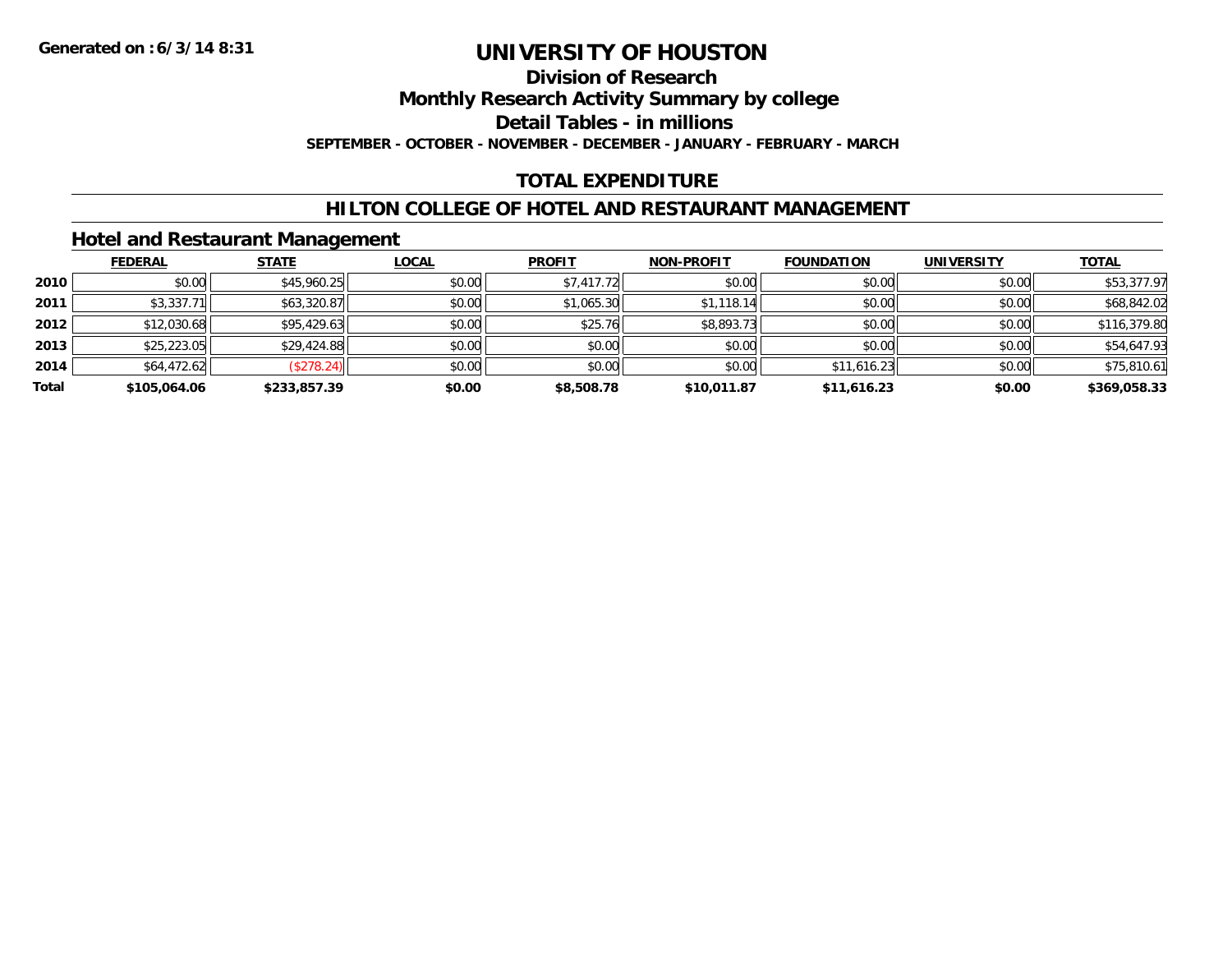# **Division of Research**

**Monthly Research Activity Summary by college**

**Detail Tables - in millions**

**SEPTEMBER - OCTOBER - NOVEMBER - DECEMBER - JANUARY - FEBRUARY - MARCH**

# **TOTAL EXPENDITURE**

### **HILTON COLLEGE OF HOTEL AND RESTAURANT MANAGEMENT**

### **Hotel and Restaurant Management**

|       | <b>FEDERAL</b> | <b>STATE</b> | <b>LOCAL</b> | <b>PROFIT</b> | <b>NON-PROFIT</b> | <b>FOUNDATION</b> | <b>UNIVERSITY</b> | <b>TOTAL</b> |
|-------|----------------|--------------|--------------|---------------|-------------------|-------------------|-------------------|--------------|
| 2010  | \$0.00         | \$45,960.25  | \$0.00       | \$7,417.72    | \$0.00            | \$0.00            | \$0.00            | \$53,377.97  |
| 2011  | \$3,337.71     | \$63,320.87  | \$0.00       | \$1,065.30    | \$1,118.14        | \$0.00            | \$0.00            | \$68,842.02  |
| 2012  | \$12,030.68    | \$95,429.63  | \$0.00       | \$25.76       | \$8,893.73        | \$0.00            | \$0.00            | \$116,379.80 |
| 2013  | \$25,223.05    | \$29,424.88  | \$0.00       | \$0.00        | \$0.00            | \$0.00            | \$0.00            | \$54,647.93  |
| 2014  | \$64,472.62    | (\$278.24)   | \$0.00       | \$0.00        | \$0.00            | \$11,616.23       | \$0.00            | \$75,810.61  |
| Total | \$105,064.06   | \$233,857.39 | \$0.00       | \$8,508.78    | \$10,011.87       | \$11,616.23       | \$0.00            | \$369,058.33 |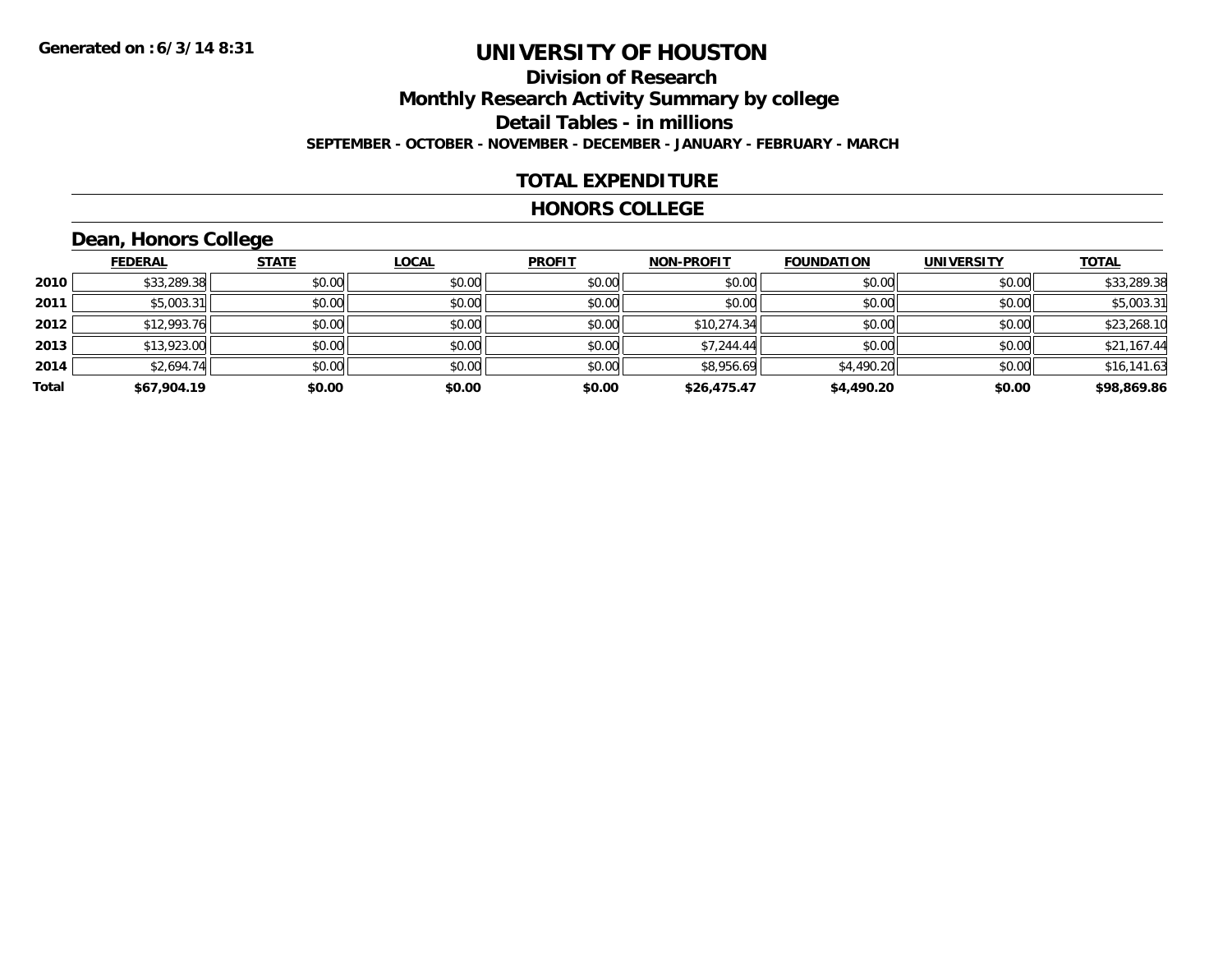# **Division of ResearchMonthly Research Activity Summary by college Detail Tables - in millions SEPTEMBER - OCTOBER - NOVEMBER - DECEMBER - JANUARY - FEBRUARY - MARCH**

### **TOTAL EXPENDITURE**

#### **HONORS COLLEGE**

# **Dean, Honors College**

|       |                | $\sim$       |              |               |                   |                   |                   |              |
|-------|----------------|--------------|--------------|---------------|-------------------|-------------------|-------------------|--------------|
|       | <u>FEDERAL</u> | <b>STATE</b> | <b>LOCAL</b> | <b>PROFIT</b> | <b>NON-PROFIT</b> | <b>FOUNDATION</b> | <b>UNIVERSITY</b> | <b>TOTAL</b> |
| 2010  | \$33,289.38    | \$0.00       | \$0.00       | \$0.00        | \$0.00            | \$0.00            | \$0.00            | \$33,289.38  |
| 2011  | \$5,003.31     | \$0.00       | \$0.00       | \$0.00        | \$0.00            | \$0.00            | \$0.00            | \$5,003.31   |
| 2012  | \$12,993.76    | \$0.00       | \$0.00       | \$0.00        | \$10,274.34       | \$0.00            | \$0.00            | \$23,268.10  |
| 2013  | \$13,923.00    | \$0.00       | \$0.00       | \$0.00        | \$7,244.44        | \$0.00            | \$0.00            | \$21,167.44  |
| 2014  | \$2,694.74     | \$0.00       | \$0.00       | \$0.00        | \$8,956.69        | \$4,490.20        | \$0.00            | \$16,141.63  |
| Total | \$67,904.19    | \$0.00       | \$0.00       | \$0.00        | \$26,475.47       | \$4,490.20        | \$0.00            | \$98,869.86  |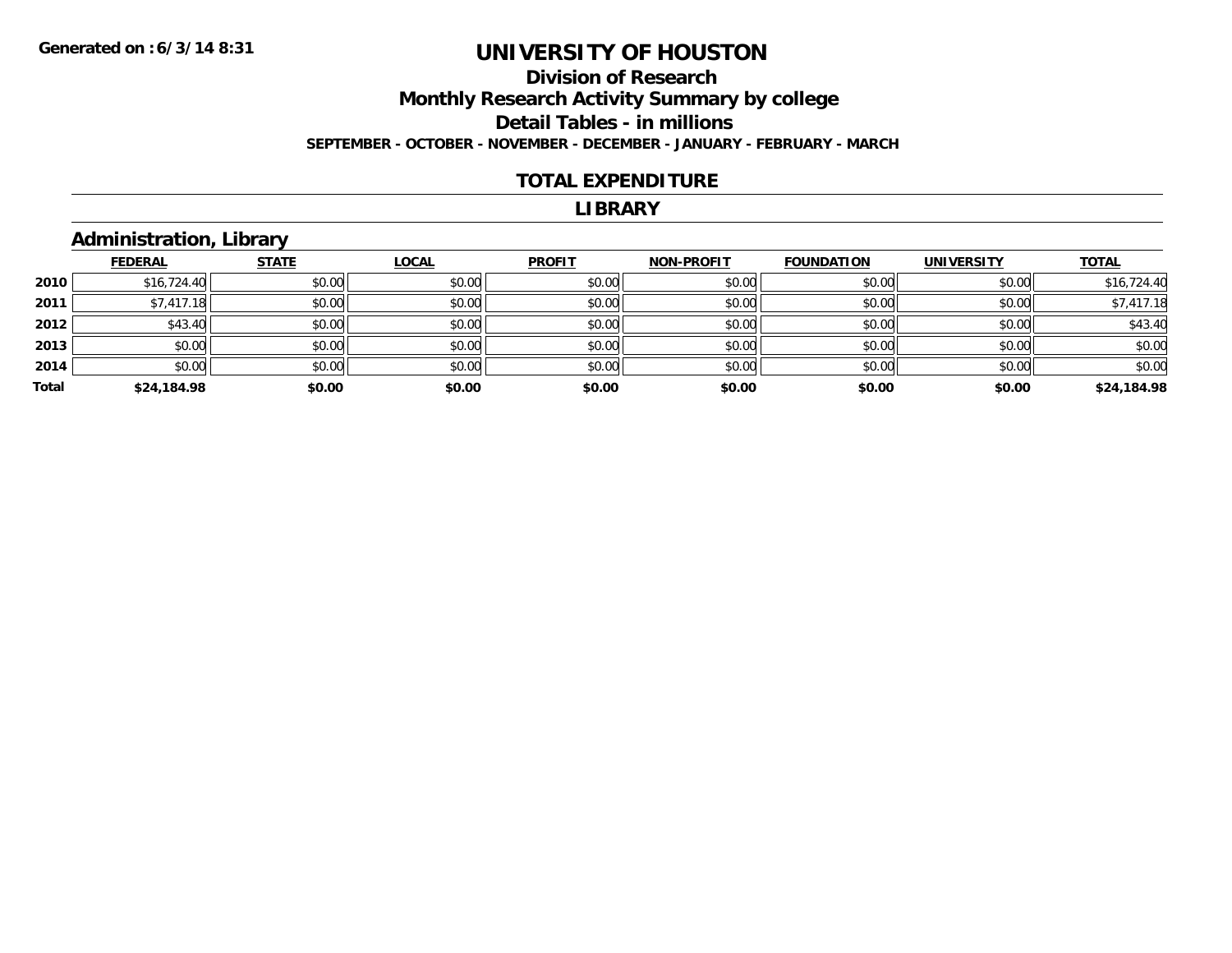### **Division of Research Monthly Research Activity Summary by college Detail Tables - in millions SEPTEMBER - OCTOBER - NOVEMBER - DECEMBER - JANUARY - FEBRUARY - MARCH**

#### **TOTAL EXPENDITURE**

#### **LIBRARY**

# **Administration, Library**

|       | <b>FEDERAL</b> | <b>STATE</b> | <b>LOCAL</b> | <b>PROFIT</b> | <b>NON-PROFIT</b> | <b>FOUNDATION</b> | <b>UNIVERSITY</b> | <b>TOTAL</b> |
|-------|----------------|--------------|--------------|---------------|-------------------|-------------------|-------------------|--------------|
| 2010  | \$16,724.40    | \$0.00       | \$0.00       | \$0.00        | \$0.00            | \$0.00            | \$0.00            | \$16,724.40  |
| 2011  | \$7,417.18     | \$0.00       | \$0.00       | \$0.00        | \$0.00            | \$0.00            | \$0.00            | \$7,417.18   |
| 2012  | \$43.40        | \$0.00       | \$0.00       | \$0.00        | \$0.00            | \$0.00            | \$0.00            | \$43.40      |
| 2013  | \$0.00         | \$0.00       | \$0.00       | \$0.00        | \$0.00            | \$0.00            | \$0.00            | \$0.00       |
| 2014  | \$0.00         | \$0.00       | \$0.00       | \$0.00        | \$0.00            | \$0.00            | \$0.00            | \$0.00       |
| Total | \$24,184.98    | \$0.00       | \$0.00       | \$0.00        | \$0.00            | \$0.00            | \$0.00            | \$24,184.98  |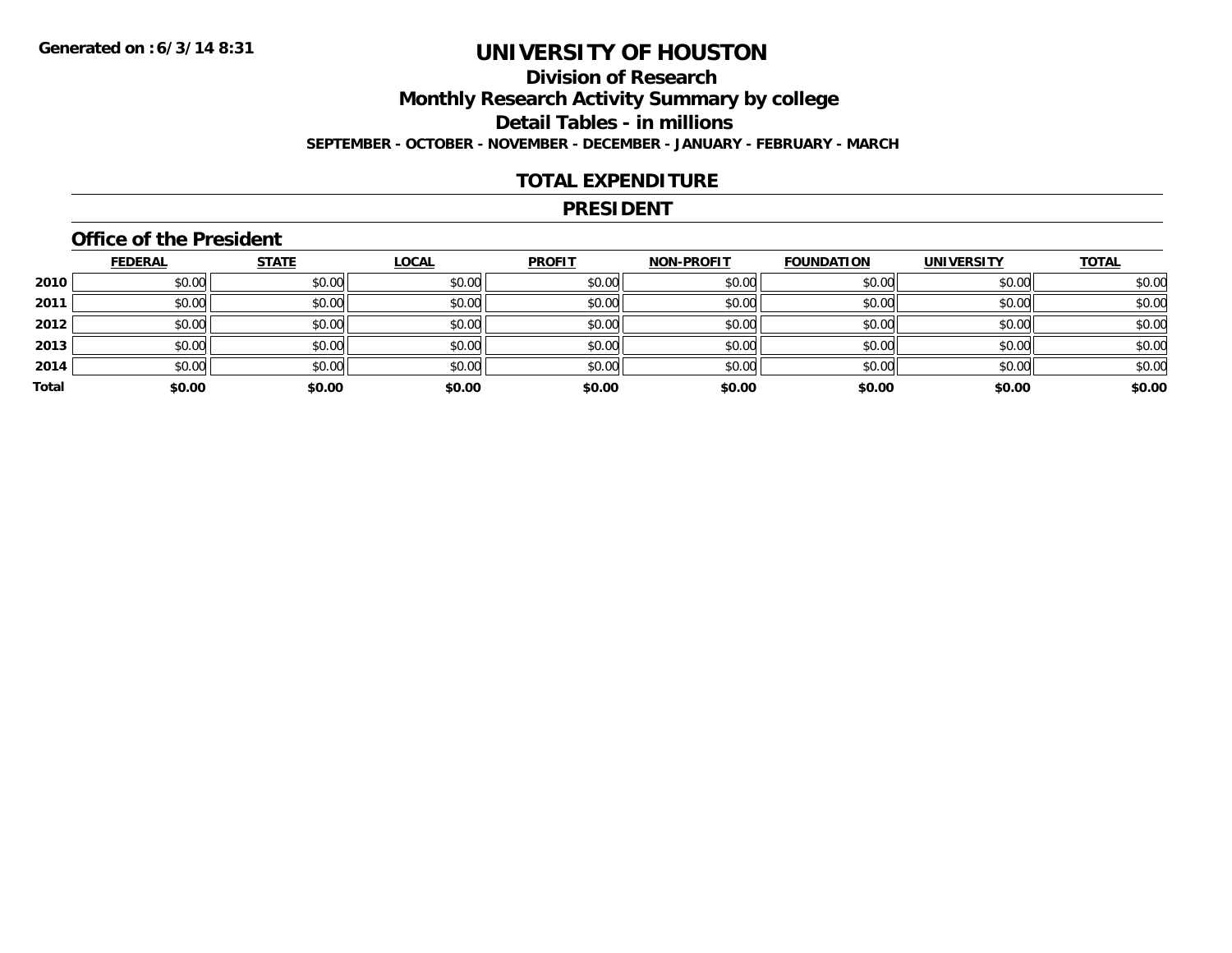# **Division of ResearchMonthly Research Activity Summary by college Detail Tables - in millions SEPTEMBER - OCTOBER - NOVEMBER - DECEMBER - JANUARY - FEBRUARY - MARCH**

#### **TOTAL EXPENDITURE**

#### **PRESIDENT**

### **Office of the President**

|       | <b>FEDERAL</b> | <b>STATE</b> | <b>LOCAL</b> | <b>PROFIT</b> | <b>NON-PROFIT</b> | <b>FOUNDATION</b> | <b>UNIVERSITY</b> | <b>TOTAL</b> |
|-------|----------------|--------------|--------------|---------------|-------------------|-------------------|-------------------|--------------|
| 2010  | \$0.00         | \$0.00       | \$0.00       | \$0.00        | \$0.00            | \$0.00            | \$0.00            | \$0.00       |
| 2011  | \$0.00         | \$0.00       | \$0.00       | \$0.00        | \$0.00            | \$0.00            | \$0.00            | \$0.00       |
| 2012  | \$0.00         | \$0.00       | \$0.00       | \$0.00        | \$0.00            | \$0.00            | \$0.00            | \$0.00       |
| 2013  | \$0.00         | \$0.00       | \$0.00       | \$0.00        | \$0.00            | \$0.00            | \$0.00            | \$0.00       |
| 2014  | \$0.00         | \$0.00       | \$0.00       | \$0.00        | \$0.00            | \$0.00            | \$0.00            | \$0.00       |
| Total | \$0.00         | \$0.00       | \$0.00       | \$0.00        | \$0.00            | \$0.00            | \$0.00            | \$0.00       |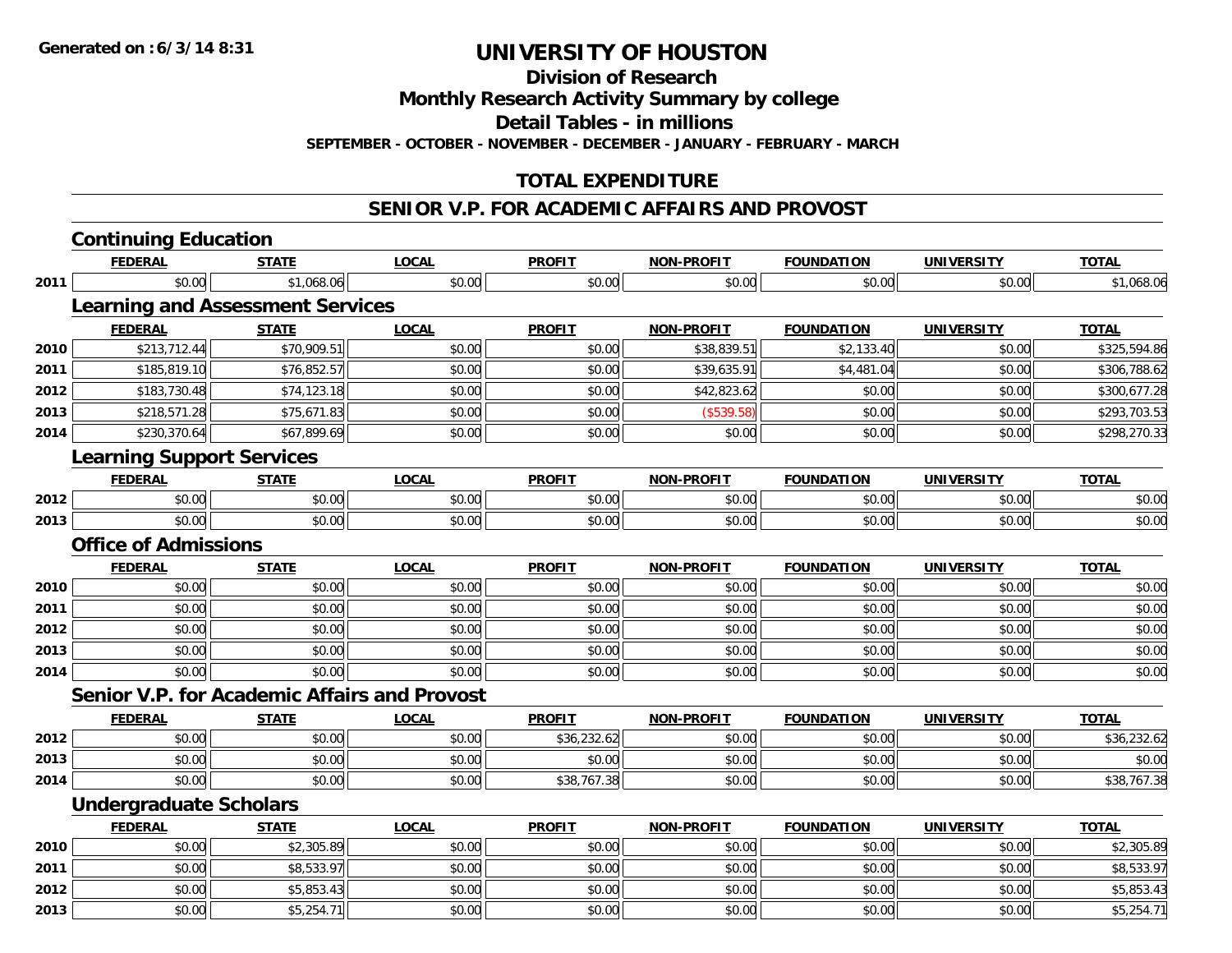**Division of Research**

**Monthly Research Activity Summary by college**

**Detail Tables - in millions**

**SEPTEMBER - OCTOBER - NOVEMBER - DECEMBER - JANUARY - FEBRUARY - MARCH**

## **TOTAL EXPENDITURE**

#### **SENIOR V.P. FOR ACADEMIC AFFAIRS AND PROVOST**

|      | <b>Continuing Education</b>                         |              |              |                   |                   |                   |                   |              |
|------|-----------------------------------------------------|--------------|--------------|-------------------|-------------------|-------------------|-------------------|--------------|
|      | <b>FEDERAL</b>                                      | <b>STATE</b> | <b>LOCAL</b> | <b>PROFIT</b>     | <b>NON-PROFIT</b> | <b>FOUNDATION</b> | <b>UNIVERSITY</b> | <b>TOTAL</b> |
| 2011 | \$0.00                                              | \$1,068.06   | \$0.00       | \$0.00            | \$0.00            | \$0.00            | \$0.00            | \$1,068.06   |
|      | <b>Learning and Assessment Services</b>             |              |              |                   |                   |                   |                   |              |
|      | <b>FEDERAL</b>                                      | <b>STATE</b> | <b>LOCAL</b> | <b>PROFIT</b>     | <b>NON-PROFIT</b> | <b>FOUNDATION</b> | <b>UNIVERSITY</b> | <b>TOTAL</b> |
| 2010 | \$213,712.44                                        | \$70,909.51  | \$0.00       | \$0.00            | \$38,839.51       | \$2,133.40        | \$0.00            | \$325,594.86 |
| 2011 | \$185,819.10                                        | \$76,852.57  | \$0.00       | \$0.00            | \$39,635.91       | \$4,481.04        | \$0.00            | \$306,788.62 |
| 2012 | \$183,730.48                                        | \$74,123.18  | \$0.00       | \$0.00            | \$42,823.62       | \$0.00            | \$0.00            | \$300,677.28 |
| 2013 | \$218,571.28                                        | \$75,671.83  | \$0.00       | \$0.00            | (\$539.58)        | \$0.00            | \$0.00            | \$293,703.53 |
| 2014 | \$230,370.64                                        | \$67,899.69  | \$0.00       | \$0.00            | \$0.00            | \$0.00            | \$0.00            | \$298,270.33 |
|      | <b>Learning Support Services</b>                    |              |              |                   |                   |                   |                   |              |
|      | <b>FEDERAL</b>                                      | <b>STATE</b> | <b>LOCAL</b> | <b>PROFIT</b>     | NON-PROFIT        | <b>FOUNDATION</b> | <b>UNIVERSITY</b> | <b>TOTAL</b> |
| 2012 | \$0.00                                              | \$0.00       | \$0.00       | \$0.00            | \$0.00            | \$0.00            | \$0.00            | \$0.00       |
| 2013 | \$0.00                                              | \$0.00       | \$0.00       | $\frac{1}{2}0.00$ | \$0.00            | \$0.00            | \$0.00            | \$0.00       |
|      | <b>Office of Admissions</b>                         |              |              |                   |                   |                   |                   |              |
|      | <b>FEDERAL</b>                                      | <b>STATE</b> | <b>LOCAL</b> | <b>PROFIT</b>     | <b>NON-PROFIT</b> | <b>FOUNDATION</b> | <b>UNIVERSITY</b> | <b>TOTAL</b> |
| 2010 | \$0.00                                              | \$0.00       | \$0.00       | \$0.00            | \$0.00            | \$0.00            | \$0.00            | \$0.00       |
| 2011 | \$0.00                                              | \$0.00       | \$0.00       | \$0.00            | \$0.00            | \$0.00            | \$0.00            | \$0.00       |
| 2012 | \$0.00                                              | \$0.00       | \$0.00       | \$0.00            | \$0.00            | \$0.00            | \$0.00            | \$0.00       |
| 2013 | \$0.00                                              | \$0.00       | \$0.00       | \$0.00            | \$0.00            | \$0.00            | \$0.00            | \$0.00       |
| 2014 | \$0.00                                              | \$0.00       | \$0.00       | \$0.00            | \$0.00            | \$0.00            | \$0.00            | \$0.00       |
|      | <b>Senior V.P. for Academic Affairs and Provost</b> |              |              |                   |                   |                   |                   |              |
|      | <b>FEDERAL</b>                                      | <b>STATE</b> | <b>LOCAL</b> | <b>PROFIT</b>     | <b>NON-PROFIT</b> | <b>FOUNDATION</b> | <b>UNIVERSITY</b> | <b>TOTAL</b> |
| 2012 | \$0.00                                              | \$0.00       | \$0.00       | \$36,232.62       | \$0.00            | \$0.00            | \$0.00            | \$36,232.62  |
| 2013 | \$0.00                                              | \$0.00       | \$0.00       | \$0.00            | \$0.00            | \$0.00            | \$0.00            | \$0.00       |
| 2014 | \$0.00                                              | \$0.00       | \$0.00       | \$38,767.38       | \$0.00            | \$0.00            | \$0.00            | \$38,767.38  |
|      | <b>Undergraduate Scholars</b>                       |              |              |                   |                   |                   |                   |              |
|      | <b>FEDERAL</b>                                      | <b>STATE</b> | <b>LOCAL</b> | <b>PROFIT</b>     | <b>NON-PROFIT</b> | <b>FOUNDATION</b> | <b>UNIVERSITY</b> | <b>TOTAL</b> |
| 2010 | \$0.00                                              | \$2,305.89   | \$0.00       | \$0.00            | \$0.00            | \$0.00            | \$0.00            | \$2,305.89   |
| 2011 | \$0.00                                              | \$8,533.97   | \$0.00       | \$0.00            | \$0.00            | \$0.00            | \$0.00            | \$8,533.97   |
| 2012 | \$0.00                                              | \$5,853.43   | \$0.00       | \$0.00            | \$0.00            | \$0.00            | \$0.00            | \$5,853.43   |
| 2013 | \$0.00                                              | \$5,254.71   | \$0.00       | \$0.00            | \$0.00            | \$0.00            | \$0.00            | \$5,254.71   |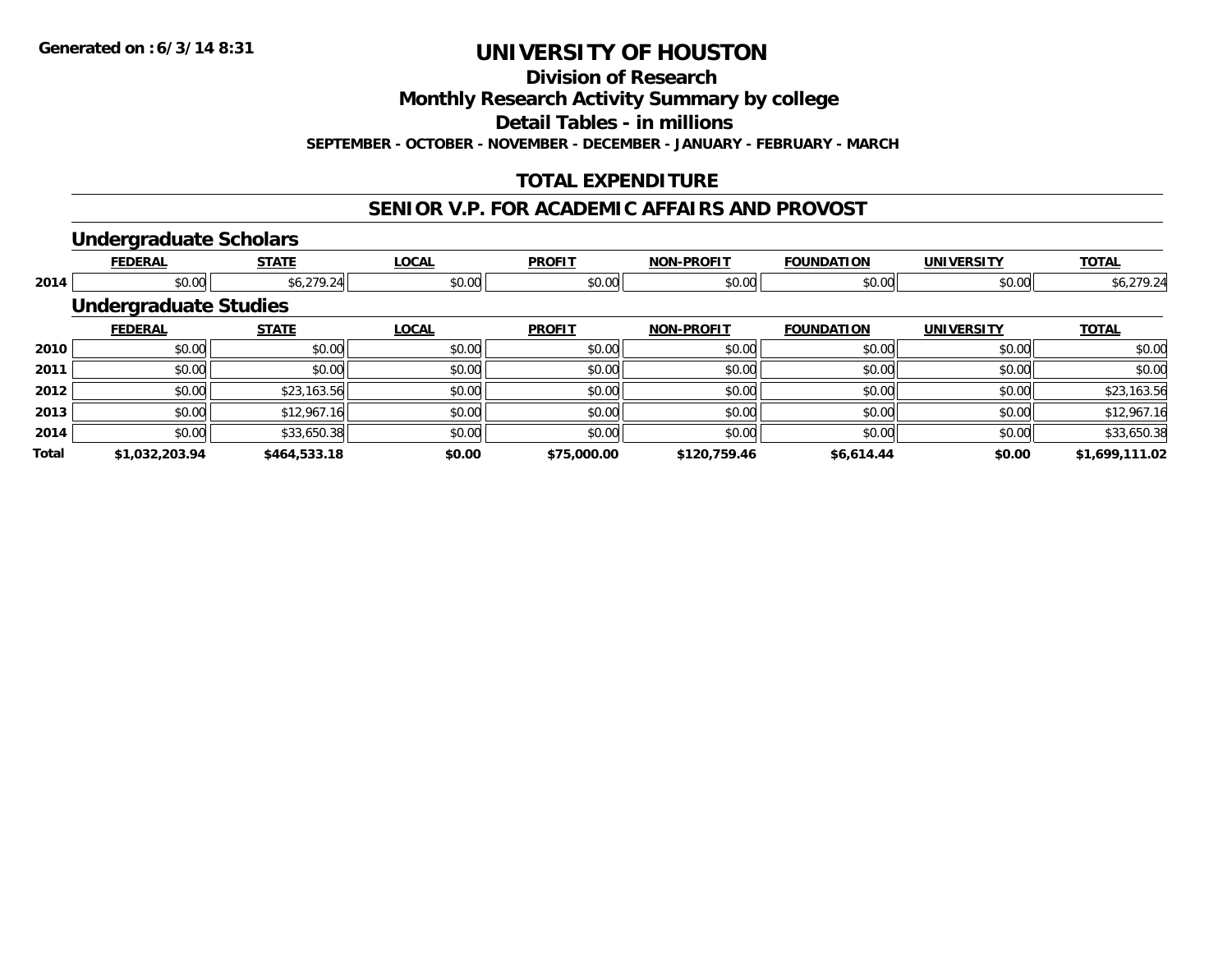**Division of Research**

**Monthly Research Activity Summary by college**

**Detail Tables - in millions**

**SEPTEMBER - OCTOBER - NOVEMBER - DECEMBER - JANUARY - FEBRUARY - MARCH**

# **TOTAL EXPENDITURE**

#### **SENIOR V.P. FOR ACADEMIC AFFAIRS AND PROVOST**

#### **Undergraduate Scholars**

|              | <b>FEDERAL</b>               | <b>STATE</b> | <b>LOCAL</b> | <b>PROFIT</b> | <b>NON-PROFIT</b> | <b>FOUNDATION</b> | <b>UNIVERSITY</b> | <b>TOTAL</b>   |
|--------------|------------------------------|--------------|--------------|---------------|-------------------|-------------------|-------------------|----------------|
| 2014         | \$0.00                       | \$6,279.24   | \$0.00       | \$0.00        | \$0.00            | \$0.00            | \$0.00            | \$6,279.24     |
|              | <b>Undergraduate Studies</b> |              |              |               |                   |                   |                   |                |
|              | <b>FEDERAL</b>               | <b>STATE</b> | <b>LOCAL</b> | <b>PROFIT</b> | <b>NON-PROFIT</b> | <b>FOUNDATION</b> | <b>UNIVERSITY</b> | <b>TOTAL</b>   |
| 2010         | \$0.00                       | \$0.00       | \$0.00       | \$0.00        | \$0.00            | \$0.00            | \$0.00            | \$0.00         |
| 2011         | \$0.00                       | \$0.00       | \$0.00       | \$0.00        | \$0.00            | \$0.00            | \$0.00            | \$0.00         |
| 2012         | \$0.00                       | \$23,163.56  | \$0.00       | \$0.00        | \$0.00            | \$0.00            | \$0.00            | \$23,163.56    |
| 2013         | \$0.00                       | \$12,967.16  | \$0.00       | \$0.00        | \$0.00            | \$0.00            | \$0.00            | \$12,967.16    |
| 2014         | \$0.00                       | \$33,650.38  | \$0.00       | \$0.00        | \$0.00            | \$0.00            | \$0.00            | \$33,650.38    |
| <b>Total</b> | \$1,032,203.94               | \$464,533.18 | \$0.00       | \$75,000.00   | \$120,759.46      | \$6,614.44        | \$0.00            | \$1,699,111.02 |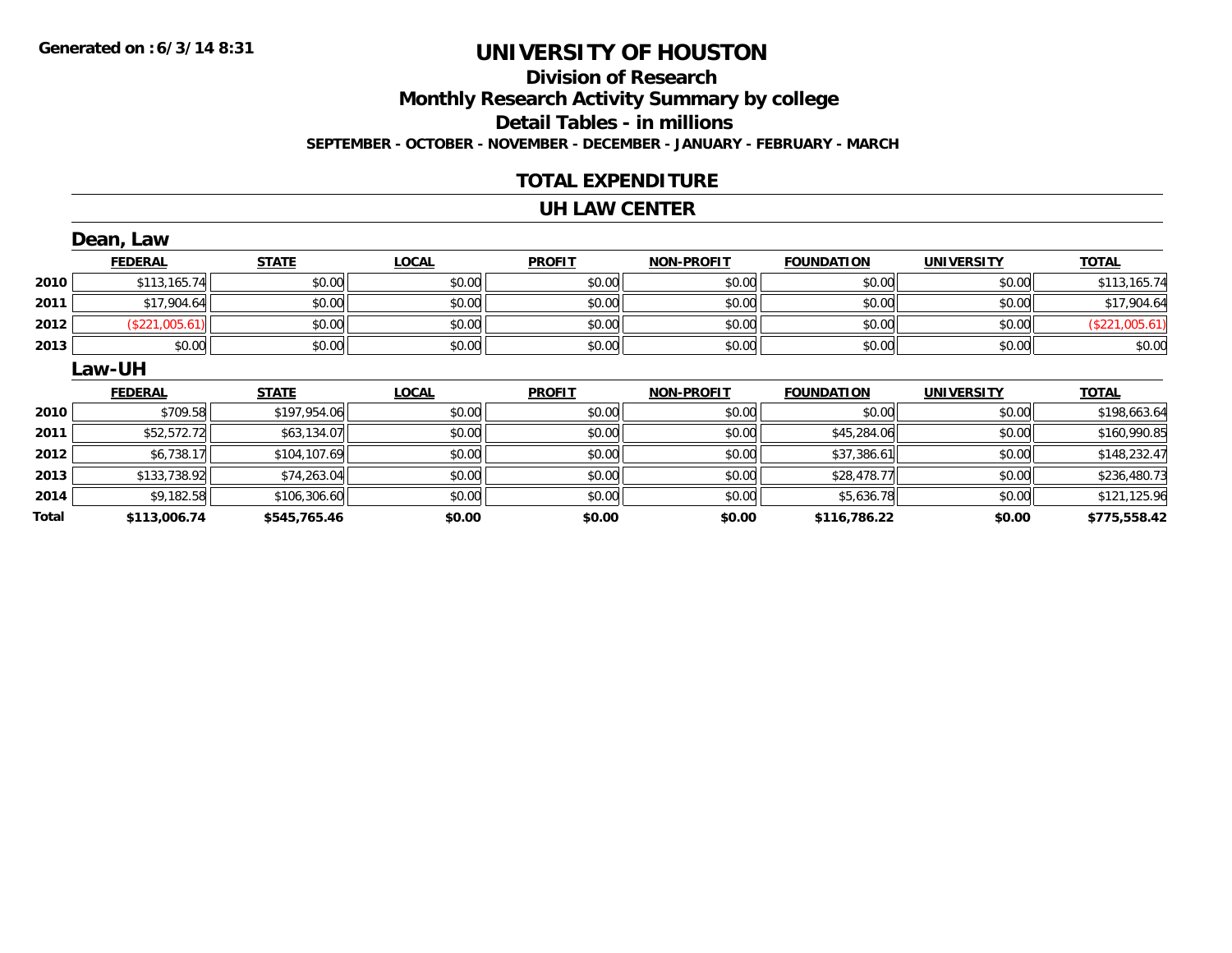# **Division of ResearchMonthly Research Activity Summary by college Detail Tables - in millions SEPTEMBER - OCTOBER - NOVEMBER - DECEMBER - JANUARY - FEBRUARY - MARCH**

### **TOTAL EXPENDITURE**

#### **UH LAW CENTER**

|       | Dean, Law      |              |              |               |                   |                   |                   |                |
|-------|----------------|--------------|--------------|---------------|-------------------|-------------------|-------------------|----------------|
|       | <b>FEDERAL</b> | <b>STATE</b> | <b>LOCAL</b> | <b>PROFIT</b> | <b>NON-PROFIT</b> | <b>FOUNDATION</b> | <b>UNIVERSITY</b> | <b>TOTAL</b>   |
| 2010  | \$113,165.74   | \$0.00       | \$0.00       | \$0.00        | \$0.00            | \$0.00            | \$0.00            | \$113,165.74   |
| 2011  | \$17,904.64    | \$0.00       | \$0.00       | \$0.00        | \$0.00            | \$0.00            | \$0.00            | \$17,904.64    |
| 2012  | (\$221,005.61) | \$0.00       | \$0.00       | \$0.00        | \$0.00            | \$0.00            | \$0.00            | (\$221,005.61) |
| 2013  | \$0.00         | \$0.00       | \$0.00       | \$0.00        | \$0.00            | \$0.00            | \$0.00            | \$0.00         |
|       | Law-UH         |              |              |               |                   |                   |                   |                |
|       | <b>FEDERAL</b> | <b>STATE</b> | <b>LOCAL</b> | <b>PROFIT</b> | <b>NON-PROFIT</b> | <b>FOUNDATION</b> | <b>UNIVERSITY</b> | <b>TOTAL</b>   |
| 2010  | \$709.58       | \$197,954.06 | \$0.00       | \$0.00        | \$0.00            | \$0.00            | \$0.00            | \$198,663.64   |
| 2011  | \$52,572.72    | \$63,134.07  | \$0.00       | \$0.00        | \$0.00            | \$45,284.06       | \$0.00            | \$160,990.85   |
| 2012  | \$6,738.17     | \$104,107.69 | \$0.00       | \$0.00        | \$0.00            | \$37,386.61       | \$0.00            | \$148,232.47   |
| 2013  | \$133,738.92   | \$74,263.04  | \$0.00       | \$0.00        | \$0.00            | \$28,478.77       | \$0.00            | \$236,480.73   |
| 2014  | \$9,182.58     | \$106,306.60 | \$0.00       | \$0.00        | \$0.00            | \$5,636.78        | \$0.00            | \$121,125.96   |
| Total | \$113,006.74   | \$545,765.46 | \$0.00       | \$0.00        | \$0.00            | \$116,786.22      | \$0.00            | \$775,558.42   |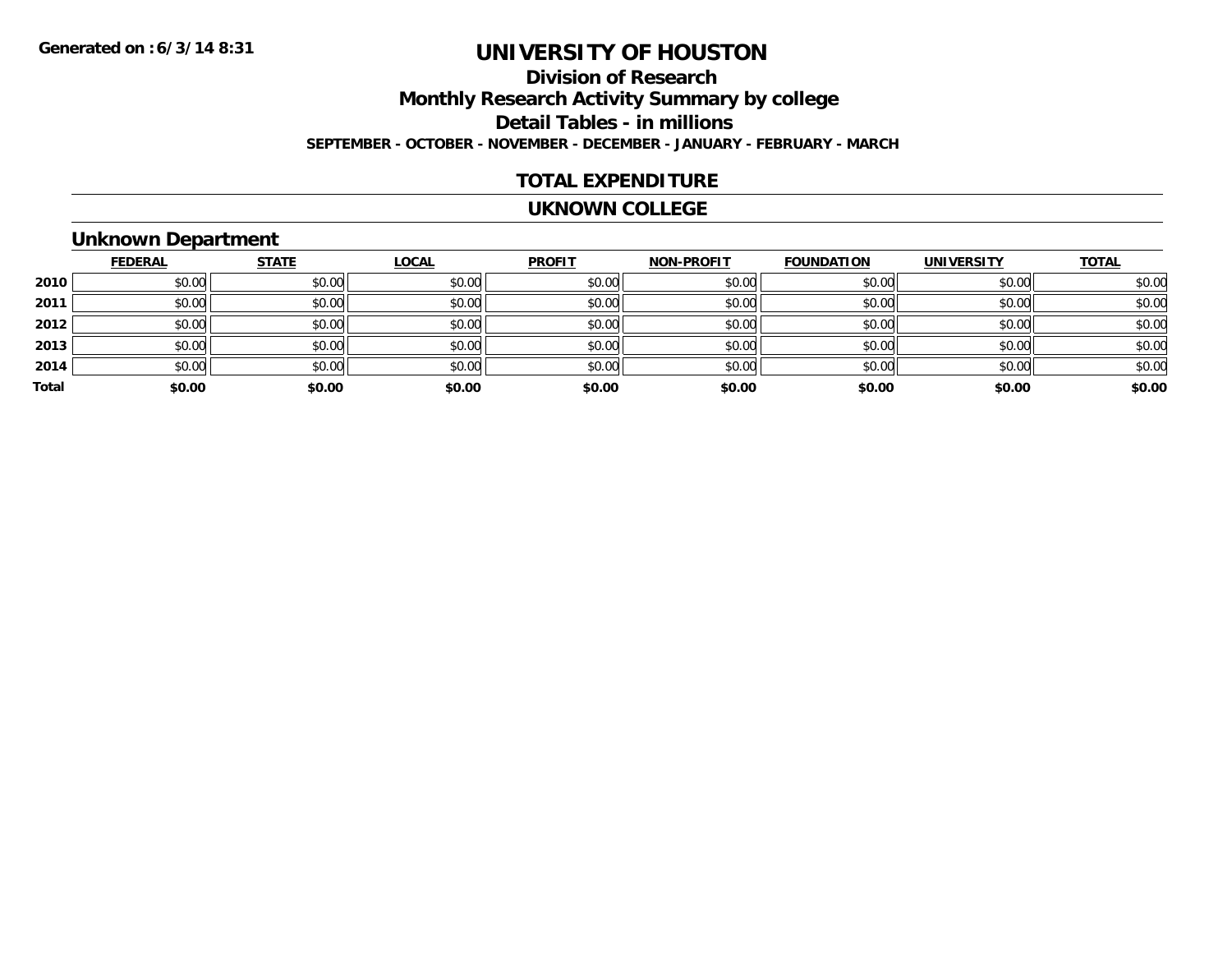# **Division of ResearchMonthly Research Activity Summary by college Detail Tables - in millions SEPTEMBER - OCTOBER - NOVEMBER - DECEMBER - JANUARY - FEBRUARY - MARCH**

### **TOTAL EXPENDITURE**

#### **UKNOWN COLLEGE**

# **Unknown Department**

|       | <b>FEDERAL</b> | <b>STATE</b> | <b>LOCAL</b> | <b>PROFIT</b> | <b>NON-PROFIT</b> | <b>FOUNDATION</b> | <b>UNIVERSITY</b> | <b>TOTAL</b> |
|-------|----------------|--------------|--------------|---------------|-------------------|-------------------|-------------------|--------------|
| 2010  | \$0.00         | \$0.00       | \$0.00       | \$0.00        | \$0.00            | \$0.00            | \$0.00            | \$0.00       |
| 2011  | \$0.00         | \$0.00       | \$0.00       | \$0.00        | \$0.00            | \$0.00            | \$0.00            | \$0.00       |
| 2012  | \$0.00         | \$0.00       | \$0.00       | \$0.00        | \$0.00            | \$0.00            | \$0.00            | \$0.00       |
| 2013  | \$0.00         | \$0.00       | \$0.00       | \$0.00        | \$0.00            | \$0.00            | \$0.00            | \$0.00       |
| 2014  | \$0.00         | \$0.00       | \$0.00       | \$0.00        | \$0.00            | \$0.00            | \$0.00            | \$0.00       |
| Total | \$0.00         | \$0.00       | \$0.00       | \$0.00        | \$0.00            | \$0.00            | \$0.00            | \$0.00       |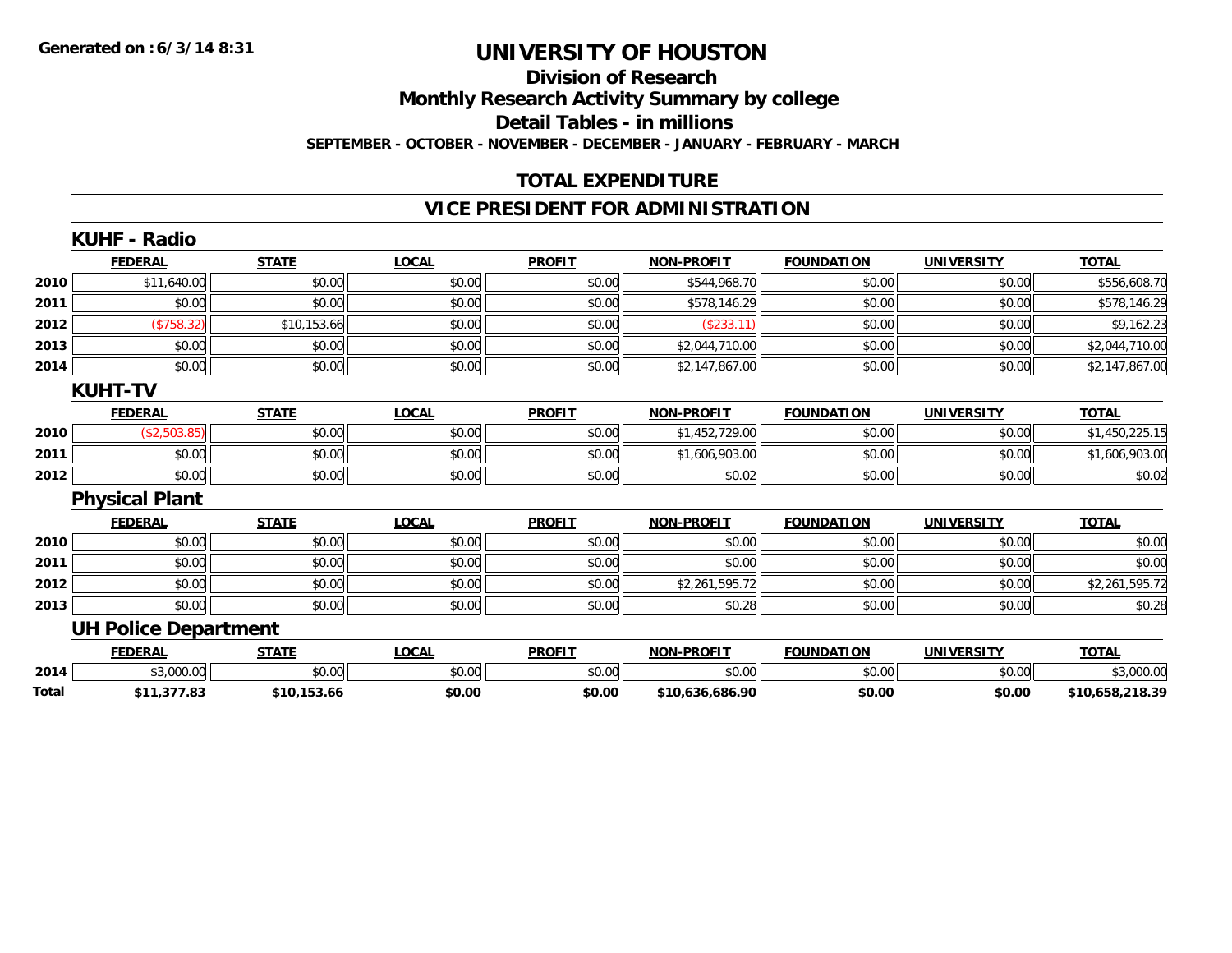### **Division of Research Monthly Research Activity Summary by college Detail Tables - in millions SEPTEMBER - OCTOBER - NOVEMBER - DECEMBER - JANUARY - FEBRUARY - MARCH**

### **TOTAL EXPENDITURE**

### **VICE PRESIDENT FOR ADMINISTRATION**

|       | <b>KUHF - Radio</b>         |              |              |               |                   |                   |                   |                 |
|-------|-----------------------------|--------------|--------------|---------------|-------------------|-------------------|-------------------|-----------------|
|       | <b>FEDERAL</b>              | <b>STATE</b> | <b>LOCAL</b> | <b>PROFIT</b> | <b>NON-PROFIT</b> | <b>FOUNDATION</b> | <b>UNIVERSITY</b> | <b>TOTAL</b>    |
| 2010  | \$11,640.00                 | \$0.00       | \$0.00       | \$0.00        | \$544,968.70      | \$0.00            | \$0.00            | \$556,608.70    |
| 2011  | \$0.00                      | \$0.00       | \$0.00       | \$0.00        | \$578,146.29      | \$0.00            | \$0.00            | \$578,146.29    |
| 2012  | (\$758.32)                  | \$10,153.66  | \$0.00       | \$0.00        | (\$233.11)        | \$0.00            | \$0.00            | \$9,162.23      |
| 2013  | \$0.00                      | \$0.00       | \$0.00       | \$0.00        | \$2,044,710.00    | \$0.00            | \$0.00            | \$2,044,710.00  |
| 2014  | \$0.00                      | \$0.00       | \$0.00       | \$0.00        | \$2,147,867.00    | \$0.00            | \$0.00            | \$2,147,867.00  |
|       | <b>KUHT-TV</b>              |              |              |               |                   |                   |                   |                 |
|       | <b>FEDERAL</b>              | <b>STATE</b> | <b>LOCAL</b> | <b>PROFIT</b> | <b>NON-PROFIT</b> | <b>FOUNDATION</b> | <b>UNIVERSITY</b> | <b>TOTAL</b>    |
| 2010  | (\$2,503.85)                | \$0.00       | \$0.00       | \$0.00        | \$1,452,729.00    | \$0.00            | \$0.00            | \$1,450,225.15  |
| 2011  | \$0.00                      | \$0.00       | \$0.00       | \$0.00        | \$1,606,903.00    | \$0.00            | \$0.00            | \$1,606,903.00  |
| 2012  | \$0.00                      | \$0.00       | \$0.00       | \$0.00        | \$0.02            | \$0.00            | \$0.00            | \$0.02          |
|       | <b>Physical Plant</b>       |              |              |               |                   |                   |                   |                 |
|       | <b>FEDERAL</b>              | <b>STATE</b> | <b>LOCAL</b> | <b>PROFIT</b> | <b>NON-PROFIT</b> | <b>FOUNDATION</b> | <b>UNIVERSITY</b> | <b>TOTAL</b>    |
| 2010  | \$0.00                      | \$0.00       | \$0.00       | \$0.00        | \$0.00            | \$0.00            | \$0.00            | \$0.00          |
| 2011  | \$0.00                      | \$0.00       | \$0.00       | \$0.00        | \$0.00            | \$0.00            | \$0.00            | \$0.00          |
| 2012  | \$0.00                      | \$0.00       | \$0.00       | \$0.00        | \$2,261,595.72    | \$0.00            | \$0.00            | \$2,261,595.72  |
| 2013  | \$0.00                      | \$0.00       | \$0.00       | \$0.00        | \$0.28            | \$0.00            | \$0.00            | \$0.28          |
|       | <b>UH Police Department</b> |              |              |               |                   |                   |                   |                 |
|       | <b>FEDERAL</b>              | <b>STATE</b> | <b>LOCAL</b> | <b>PROFIT</b> | <b>NON-PROFIT</b> | <b>FOUNDATION</b> | <b>UNIVERSITY</b> | <b>TOTAL</b>    |
| 2014  | \$3,000.00                  | \$0.00       | \$0.00       | \$0.00        | \$0.00            | \$0.00            | \$0.00            | \$3,000.00      |
| Total | \$11,377.83                 | \$10,153.66  | \$0.00       | \$0.00        | \$10,636,686.90   | \$0.00            | \$0.00            | \$10,658,218.39 |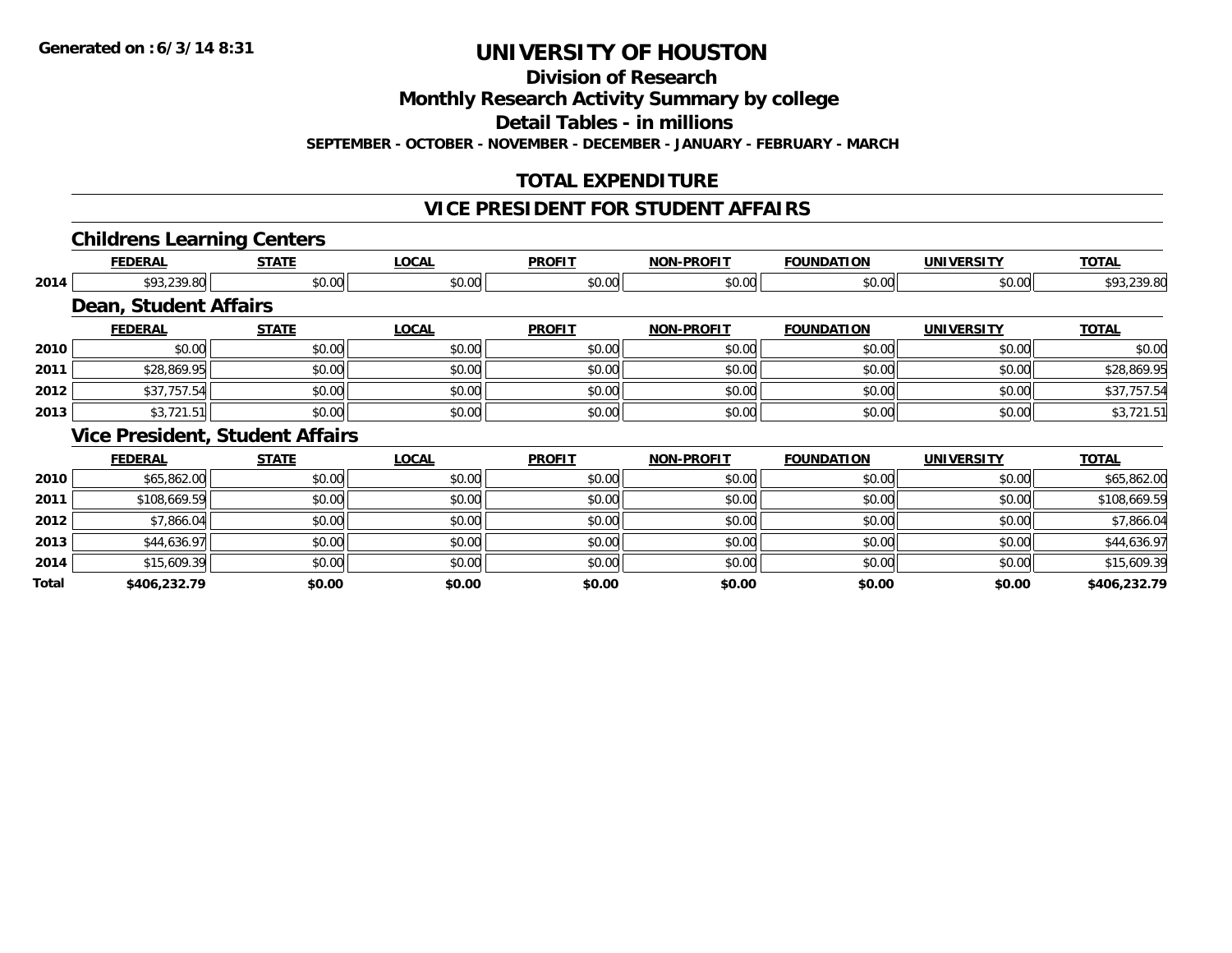**Division of Research**

**Monthly Research Activity Summary by college**

**Detail Tables - in millions**

**SEPTEMBER - OCTOBER - NOVEMBER - DECEMBER - JANUARY - FEBRUARY - MARCH**

# **TOTAL EXPENDITURE**

# **VICE PRESIDENT FOR STUDENT AFFAIRS**

### **Childrens Learning Centers**

|       | <b>FEDERAL</b>                         | <b>STATE</b> | <b>LOCAL</b> | <b>PROFIT</b> | <b>NON-PROFIT</b> | <b>FOUNDATION</b> | <b>UNIVERSITY</b> | <b>TOTAL</b> |
|-------|----------------------------------------|--------------|--------------|---------------|-------------------|-------------------|-------------------|--------------|
| 2014  | \$93,239.80                            | \$0.00       | \$0.00       | \$0.00        | \$0.00            | \$0.00            | \$0.00            | \$93,239.80  |
|       | <b>Dean, Student Affairs</b>           |              |              |               |                   |                   |                   |              |
|       | <b>FEDERAL</b>                         | <b>STATE</b> | <b>LOCAL</b> | <b>PROFIT</b> | <b>NON-PROFIT</b> | <b>FOUNDATION</b> | <b>UNIVERSITY</b> | <b>TOTAL</b> |
| 2010  | \$0.00                                 | \$0.00       | \$0.00       | \$0.00        | \$0.00            | \$0.00            | \$0.00            | \$0.00       |
| 2011  | \$28,869.95                            | \$0.00       | \$0.00       | \$0.00        | \$0.00            | \$0.00            | \$0.00            | \$28,869.95  |
| 2012  | \$37,757.54                            | \$0.00       | \$0.00       | \$0.00        | \$0.00            | \$0.00            | \$0.00            | \$37,757.54  |
| 2013  | \$3,721.51                             | \$0.00       | \$0.00       | \$0.00        | \$0.00            | \$0.00            | \$0.00            | \$3,721.51   |
|       | <b>Vice President, Student Affairs</b> |              |              |               |                   |                   |                   |              |
|       | <b>FEDERAL</b>                         | <b>STATE</b> | <b>LOCAL</b> | <b>PROFIT</b> | <b>NON-PROFIT</b> | <b>FOUNDATION</b> | <b>UNIVERSITY</b> | <b>TOTAL</b> |
| 2010  | \$65,862.00                            | \$0.00       | \$0.00       | \$0.00        | \$0.00            | \$0.00            | \$0.00            | \$65,862.00  |
| 2011  | \$108,669.59                           | \$0.00       | \$0.00       | \$0.00        | \$0.00            | \$0.00            | \$0.00            | \$108,669.59 |
| 2012  | \$7,866.04                             | \$0.00       | \$0.00       | \$0.00        | \$0.00            | \$0.00            | \$0.00            | \$7,866.04   |
| 2013  | \$44,636.97                            | \$0.00       | \$0.00       | \$0.00        | \$0.00            | \$0.00            | \$0.00            | \$44,636.97  |
| 2014  | \$15,609.39                            | \$0.00       | \$0.00       | \$0.00        | \$0.00            | \$0.00            | \$0.00            | \$15,609.39  |
| Total | \$406,232.79                           | \$0.00       | \$0.00       | \$0.00        | \$0.00            | \$0.00            | \$0.00            | \$406,232.79 |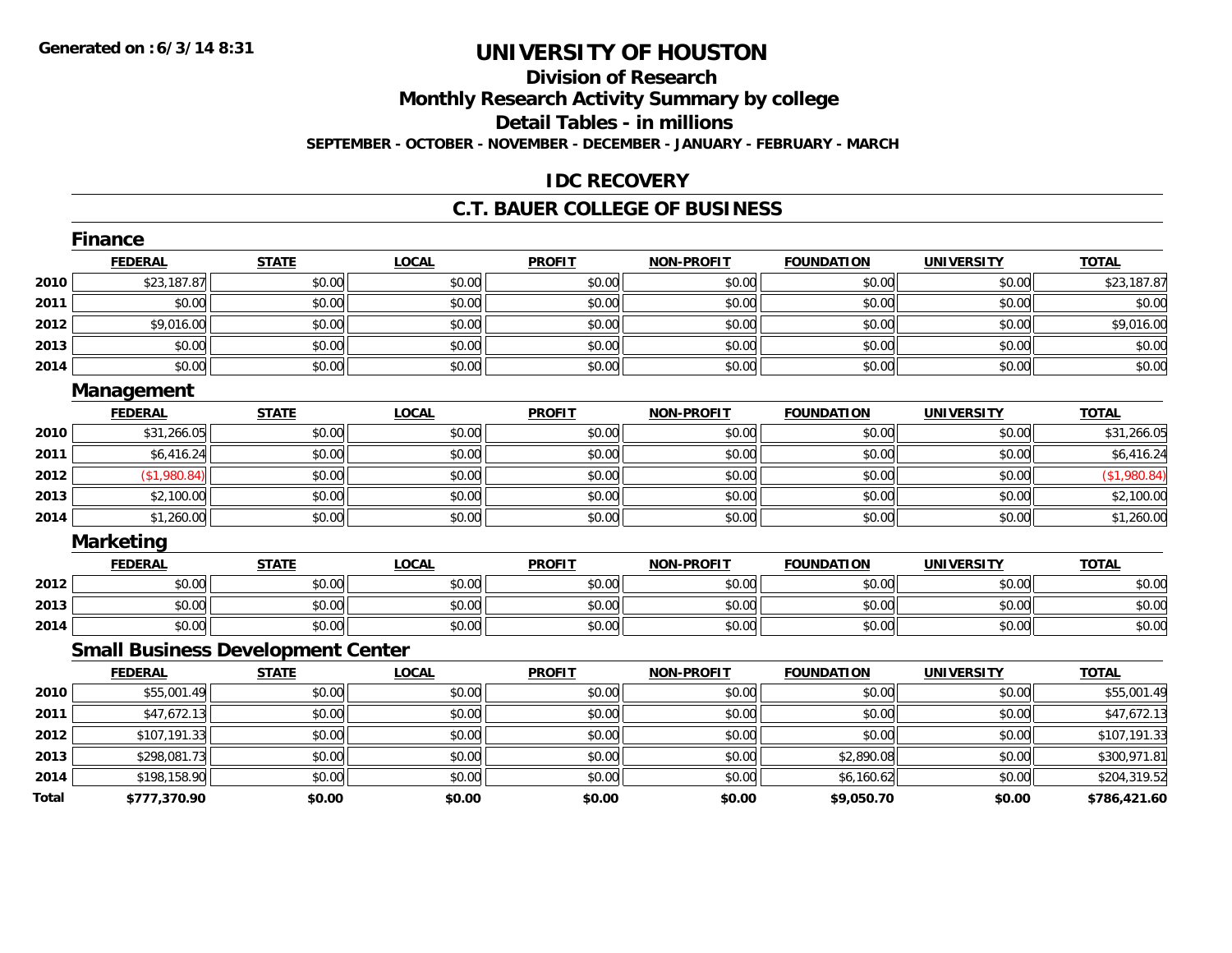## **Division of ResearchMonthly Research Activity Summary by college Detail Tables - in millions SEPTEMBER - OCTOBER - NOVEMBER - DECEMBER - JANUARY - FEBRUARY - MARCH**

#### **IDC RECOVERY**

#### **C.T. BAUER COLLEGE OF BUSINESS**

|       | <b>Finance</b>                           |              |              |               |                   |                   |                   |              |
|-------|------------------------------------------|--------------|--------------|---------------|-------------------|-------------------|-------------------|--------------|
|       | <b>FEDERAL</b>                           | <b>STATE</b> | <b>LOCAL</b> | <b>PROFIT</b> | <b>NON-PROFIT</b> | <b>FOUNDATION</b> | <b>UNIVERSITY</b> | <b>TOTAL</b> |
| 2010  | \$23,187.87                              | \$0.00       | \$0.00       | \$0.00        | \$0.00            | \$0.00            | \$0.00            | \$23,187.87  |
| 2011  | \$0.00                                   | \$0.00       | \$0.00       | \$0.00        | \$0.00            | \$0.00            | \$0.00            | \$0.00       |
| 2012  | \$9,016.00                               | \$0.00       | \$0.00       | \$0.00        | \$0.00            | \$0.00            | \$0.00            | \$9,016.00   |
| 2013  | \$0.00                                   | \$0.00       | \$0.00       | \$0.00        | \$0.00            | \$0.00            | \$0.00            | \$0.00       |
| 2014  | \$0.00                                   | \$0.00       | \$0.00       | \$0.00        | \$0.00            | \$0.00            | \$0.00            | \$0.00       |
|       | <b>Management</b>                        |              |              |               |                   |                   |                   |              |
|       | <b>FEDERAL</b>                           | <b>STATE</b> | <b>LOCAL</b> | <b>PROFIT</b> | <b>NON-PROFIT</b> | <b>FOUNDATION</b> | <b>UNIVERSITY</b> | <b>TOTAL</b> |
| 2010  | \$31,266.05                              | \$0.00       | \$0.00       | \$0.00        | \$0.00            | \$0.00            | \$0.00            | \$31,266.05  |
| 2011  | \$6,416.24                               | \$0.00       | \$0.00       | \$0.00        | \$0.00            | \$0.00            | \$0.00            | \$6,416.24   |
| 2012  | \$1,980.84)                              | \$0.00       | \$0.00       | \$0.00        | \$0.00            | \$0.00            | \$0.00            | (\$1,980.84) |
| 2013  | \$2,100.00                               | \$0.00       | \$0.00       | \$0.00        | \$0.00            | \$0.00            | \$0.00            | \$2,100.00   |
| 2014  | \$1,260.00                               | \$0.00       | \$0.00       | \$0.00        | \$0.00            | \$0.00            | \$0.00            | \$1,260.00   |
|       | <b>Marketing</b>                         |              |              |               |                   |                   |                   |              |
|       | <b>FEDERAL</b>                           | <b>STATE</b> | <b>LOCAL</b> | <b>PROFIT</b> | <b>NON-PROFIT</b> | <b>FOUNDATION</b> | <b>UNIVERSITY</b> | <b>TOTAL</b> |
| 2012  | \$0.00                                   | \$0.00       | \$0.00       | \$0.00        | \$0.00            | \$0.00            | \$0.00            | \$0.00       |
| 2013  | \$0.00                                   | \$0.00       | \$0.00       | \$0.00        | \$0.00            | \$0.00            | \$0.00            | \$0.00       |
| 2014  | \$0.00                                   | \$0.00       | \$0.00       | \$0.00        | \$0.00            | \$0.00            | \$0.00            | \$0.00       |
|       | <b>Small Business Development Center</b> |              |              |               |                   |                   |                   |              |
|       | <b>FEDERAL</b>                           | <b>STATE</b> | <b>LOCAL</b> | <b>PROFIT</b> | <b>NON-PROFIT</b> | <b>FOUNDATION</b> | <b>UNIVERSITY</b> | <b>TOTAL</b> |
| 2010  | \$55,001.49                              | \$0.00       | \$0.00       | \$0.00        | \$0.00            | \$0.00            | \$0.00            | \$55,001.49  |
| 2011  | \$47,672.13                              | \$0.00       | \$0.00       | \$0.00        | \$0.00            | \$0.00            | \$0.00            | \$47,672.13  |
| 2012  | \$107,191.33                             | \$0.00       | \$0.00       | \$0.00        | \$0.00            | \$0.00            | \$0.00            | \$107,191.33 |
| 2013  | \$298,081.73                             | \$0.00       | \$0.00       | \$0.00        | \$0.00            | \$2,890.08        | \$0.00            | \$300,971.81 |
| 2014  | \$198,158.90                             | \$0.00       | \$0.00       | \$0.00        | \$0.00            | \$6,160.62        | \$0.00            | \$204,319.52 |
| Total | \$777,370.90                             | \$0.00       | \$0.00       | \$0.00        | \$0.00            | \$9,050.70        | \$0.00            | \$786,421.60 |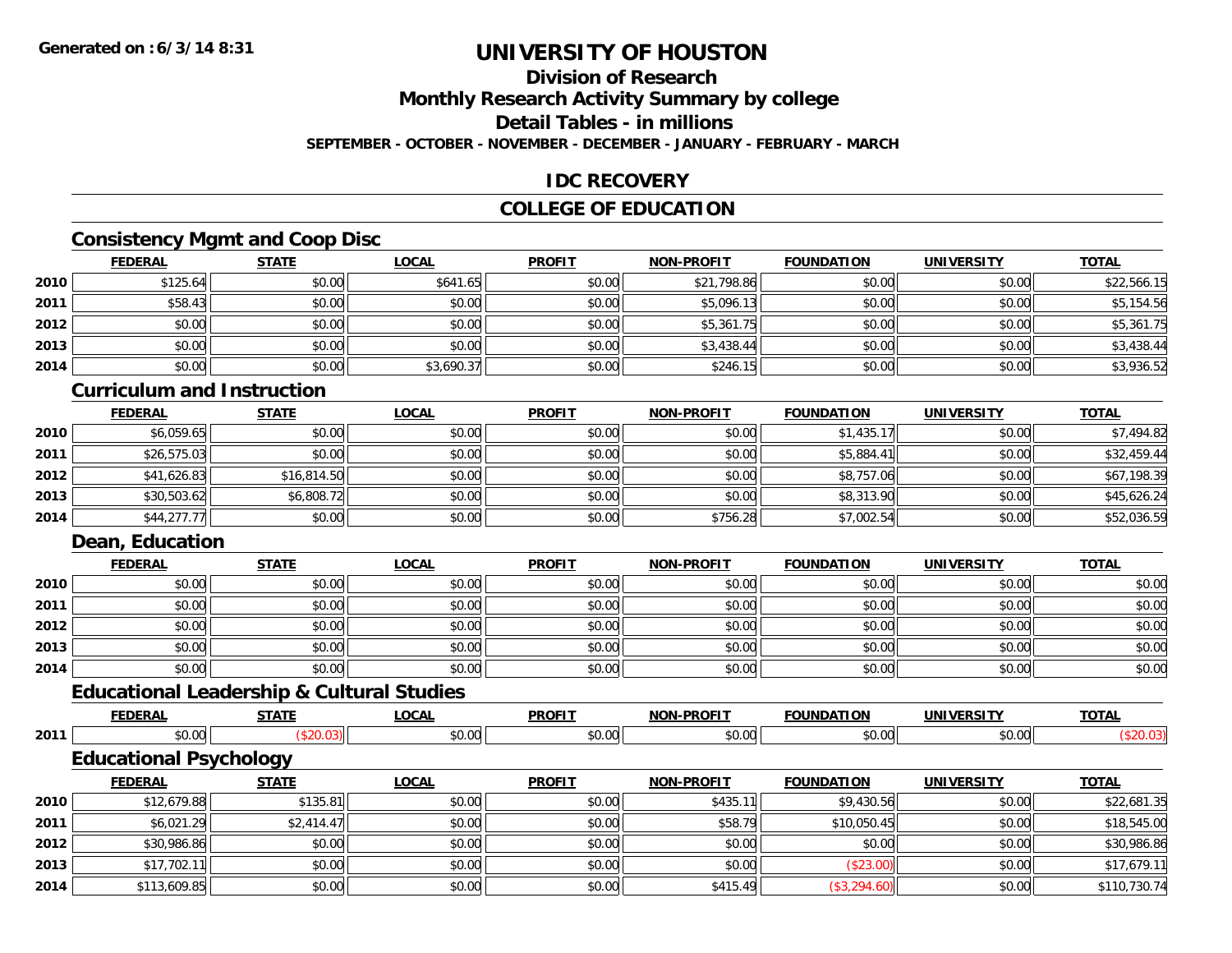# **Division of Research**

**Monthly Research Activity Summary by college**

**Detail Tables - in millions**

**SEPTEMBER - OCTOBER - NOVEMBER - DECEMBER - JANUARY - FEBRUARY - MARCH**

### **IDC RECOVERY**

### **COLLEGE OF EDUCATION**

# **Consistency Mgmt and Coop Disc**

|      | <u>FEDERAL</u> | <b>STATE</b> | <u>LOCAL</u> | <b>PROFIT</b> | <b>NON-PROFIT</b> | <b>FOUNDATION</b> | <b>UNIVERSITY</b> | <u>TOTAL</u> |
|------|----------------|--------------|--------------|---------------|-------------------|-------------------|-------------------|--------------|
| 2010 | \$125.64       | \$0.00       | \$641.65     | \$0.00        | \$21,798.86       | \$0.00            | \$0.00            | \$22,566.15  |
| 2011 | \$58.43        | \$0.00       | \$0.00       | \$0.00        | \$5,096.13        | \$0.00            | \$0.00            | \$5,154.56   |
| 2012 | \$0.00         | \$0.00       | \$0.00       | \$0.00        | \$5,361.75        | \$0.00            | \$0.00            | \$5,361.75   |
| 2013 | \$0.00         | \$0.00       | \$0.00       | \$0.00        | \$3,438.44        | \$0.00            | \$0.00            | \$3,438.44   |
| 2014 | \$0.00         | \$0.00       | \$3,690.37   | \$0.00        | \$246.15          | \$0.00            | \$0.00            | \$3,936.52   |

#### **Curriculum and Instruction**

|      | <u>FEDERAL</u> | <b>STATE</b> | <u>LOCAL</u> | <b>PROFIT</b> | <b>NON-PROFIT</b> | <b>FOUNDATION</b> | <b>UNIVERSITY</b> | <b>TOTAL</b> |
|------|----------------|--------------|--------------|---------------|-------------------|-------------------|-------------------|--------------|
| 2010 | \$6,059.65     | \$0.00       | \$0.00       | \$0.00        | \$0.00            | \$1,435.17        | \$0.00            | \$7,494.82   |
| 2011 | \$26,575.03    | \$0.00       | \$0.00       | \$0.00        | \$0.00            | \$5,884.41        | \$0.00            | \$32,459.44  |
| 2012 | \$41,626.83    | \$16,814.50  | \$0.00       | \$0.00        | \$0.00            | \$8,757.06        | \$0.00            | \$67,198.39  |
| 2013 | \$30,503.62    | \$6,808.72   | \$0.00       | \$0.00        | \$0.00            | \$8,313.90        | \$0.00            | \$45,626.24  |
| 2014 | \$44,277.77    | \$0.00       | \$0.00       | \$0.00        | \$756.28          | \$7,002.54        | \$0.00            | \$52,036.59  |

### **Dean, Education**

|      | <b>FEDERAL</b> | <b>STATE</b> | <u>LOCAL</u> | <b>PROFIT</b> | <b>NON-PROFIT</b> | <b>FOUNDATION</b> | <b>UNIVERSITY</b> | <b>TOTAL</b> |
|------|----------------|--------------|--------------|---------------|-------------------|-------------------|-------------------|--------------|
| 2010 | \$0.00         | \$0.00       | \$0.00       | \$0.00        | \$0.00            | \$0.00            | \$0.00            | \$0.00       |
| 2011 | \$0.00         | \$0.00       | \$0.00       | \$0.00        | \$0.00            | \$0.00            | \$0.00            | \$0.00       |
| 2012 | \$0.00         | \$0.00       | \$0.00       | \$0.00        | \$0.00            | \$0.00            | \$0.00            | \$0.00       |
| 2013 | \$0.00         | \$0.00       | \$0.00       | \$0.00        | \$0.00            | \$0.00            | \$0.00            | \$0.00       |
| 2014 | \$0.00         | \$0.00       | \$0.00       | \$0.00        | \$0.00            | \$0.00            | \$0.00            | \$0.00       |

# **Educational Leadership & Cultural Studies**

|      | <b>FEDERAL</b>                | <b>STATE</b> | <u>LOCAL</u> | <b>PROFIT</b> | <b>NON-PROFIT</b> | <b>FOUNDATION</b> | UNIVERSITY | <b>TOTAL</b> |
|------|-------------------------------|--------------|--------------|---------------|-------------------|-------------------|------------|--------------|
| 2011 | \$0.00                        | (\$20.03)    | \$0.00       | \$0.00        | \$0.00            | \$0.00            | \$0.00     | (\$20.03)    |
|      | <b>Educational Psychology</b> |              |              |               |                   |                   |            |              |
|      | <b>FEDERAL</b>                | <u>STATE</u> | <u>LOCAL</u> | <b>PROFIT</b> | <b>NON-PROFIT</b> | <b>FOUNDATION</b> | UNIVERSITY | <b>TOTAL</b> |
| 2010 | \$12,679.88                   | \$135.81     | \$0.00       | \$0.00        | \$435.11          | \$9,430.56        | \$0.00     | \$22,681.35  |

| 2010 | \$12,679.88  | \$135.81   | \$0.00 | \$0.00 | \$435.11 | \$9,430.56   | \$0.00 | \$22,681.35  |
|------|--------------|------------|--------|--------|----------|--------------|--------|--------------|
| 2011 | \$6,021.29   | \$2,414.47 | \$0.00 | \$0.00 | \$58.79  | \$10,050.45  | \$0.00 | \$18,545.00  |
| 2012 | \$30,986.86  | \$0.00     | \$0.00 | \$0.00 | \$0.00   | \$0.00       | \$0.00 | \$30,986.86  |
| 2013 | \$17,702.11  | \$0.00     | \$0.00 | \$0.00 | \$0.00   | \$23.00      | \$0.00 | \$17,679.11  |
| 2014 | \$113,609.85 | \$0.00     | \$0.00 | \$0.00 | \$415.49 | (\$3,294.60) | \$0.00 | \$110,730.74 |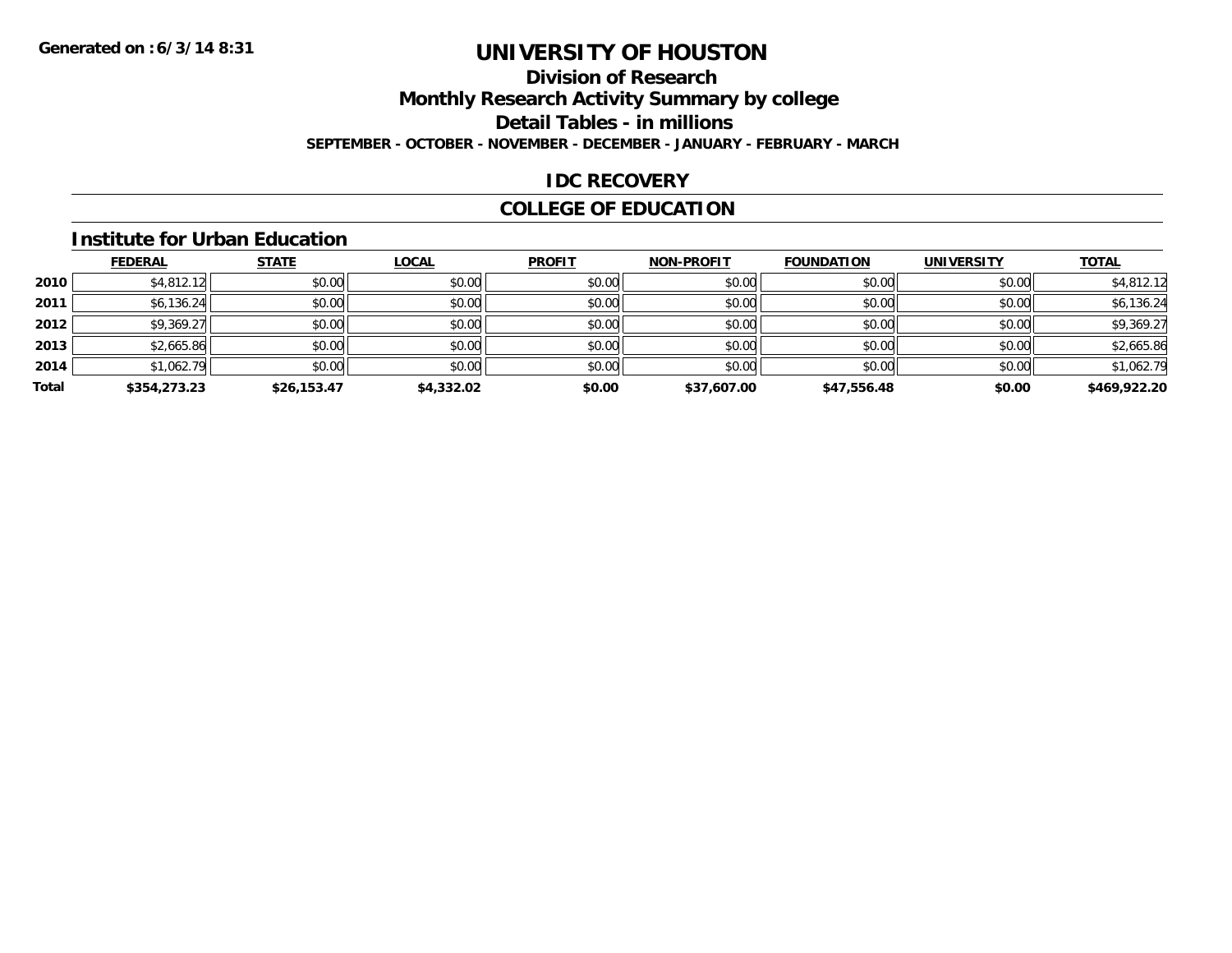# **Division of Research**

**Monthly Research Activity Summary by college**

**Detail Tables - in millions**

**SEPTEMBER - OCTOBER - NOVEMBER - DECEMBER - JANUARY - FEBRUARY - MARCH**

# **IDC RECOVERY**

# **COLLEGE OF EDUCATION**

#### **Institute for Urban Education**

|       | <b>FEDERAL</b> | <b>STATE</b> | <b>LOCAL</b> | <b>PROFIT</b> | <b>NON-PROFIT</b> | <b>FOUNDATION</b> | <b>UNIVERSITY</b> | <b>TOTAL</b> |
|-------|----------------|--------------|--------------|---------------|-------------------|-------------------|-------------------|--------------|
| 2010  | \$4,812.12     | \$0.00       | \$0.00       | \$0.00        | \$0.00            | \$0.00            | \$0.00            | \$4,812.12   |
| 2011  | \$6,136.24     | \$0.00       | \$0.00       | \$0.00        | \$0.00            | \$0.00            | \$0.00            | \$6,136.24   |
| 2012  | \$9,369.27     | \$0.00       | \$0.00       | \$0.00        | \$0.00            | \$0.00            | \$0.00            | \$9,369.27   |
| 2013  | \$2,665.86     | \$0.00       | \$0.00       | \$0.00        | \$0.00            | \$0.00            | \$0.00            | \$2,665.86   |
| 2014  | \$1,062.79     | \$0.00       | \$0.00       | \$0.00        | \$0.00            | \$0.00            | \$0.00            | \$1,062.79   |
| Total | \$354,273.23   | \$26,153.47  | \$4,332.02   | \$0.00        | \$37,607.00       | \$47,556.48       | \$0.00            | \$469,922.20 |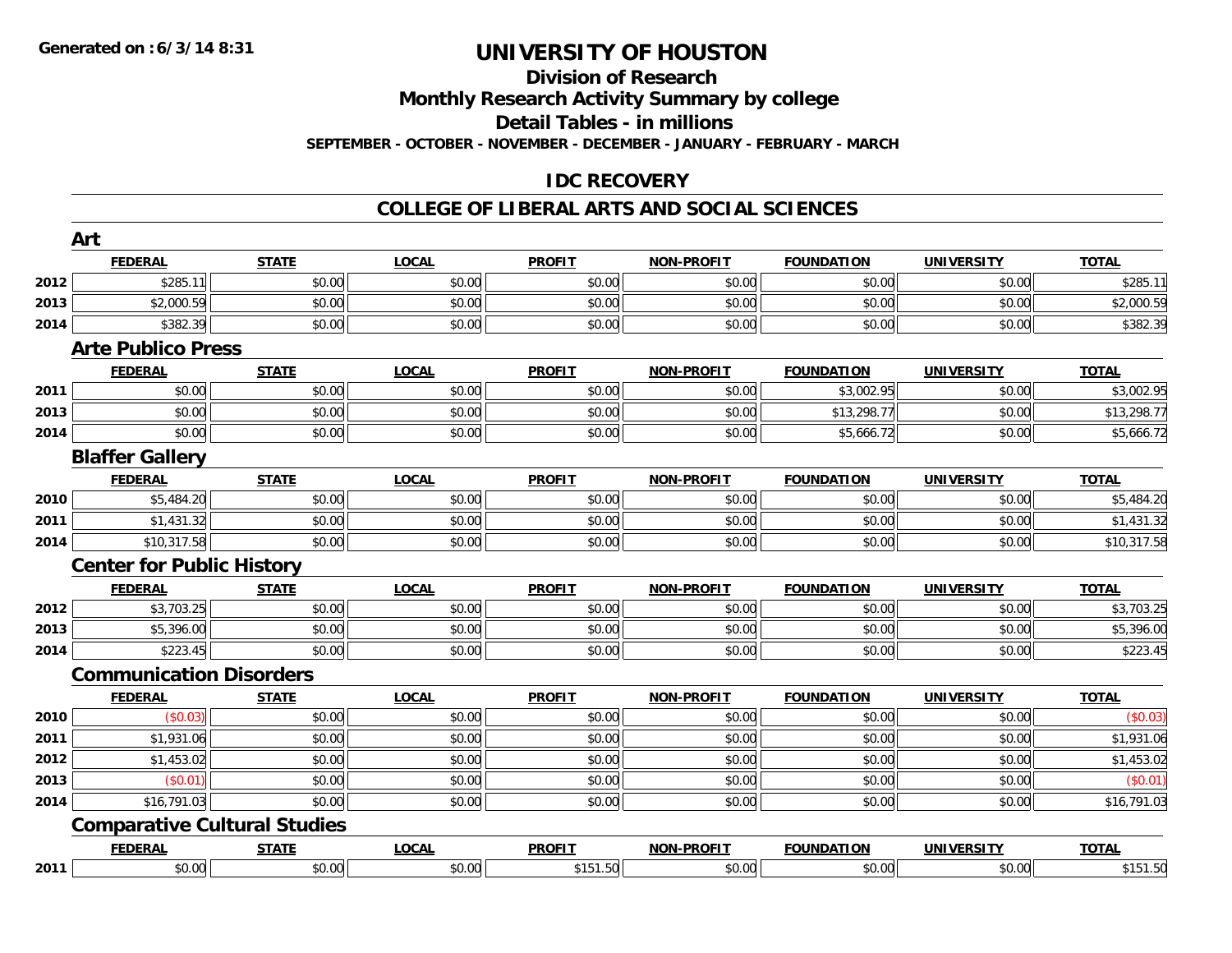#### **Division of Research**

**Monthly Research Activity Summary by college**

**Detail Tables - in millions**

**SEPTEMBER - OCTOBER - NOVEMBER - DECEMBER - JANUARY - FEBRUARY - MARCH**

## **IDC RECOVERY**

#### **COLLEGE OF LIBERAL ARTS AND SOCIAL SCIENCES**

|      | <b>FEDERAL</b>                      | <b>STATE</b> | <b>LOCAL</b> | <b>PROFIT</b> | <b>NON-PROFIT</b> | <b>FOUNDATION</b> | <b>UNIVERSITY</b> | <b>TOTAL</b> |
|------|-------------------------------------|--------------|--------------|---------------|-------------------|-------------------|-------------------|--------------|
| 2012 | \$285.11                            | \$0.00       | \$0.00       | \$0.00        | \$0.00            | \$0.00            | \$0.00            | \$285.11     |
| 2013 | \$2,000.59                          | \$0.00       | \$0.00       | \$0.00        | \$0.00            | \$0.00            | \$0.00            | \$2,000.59   |
| 2014 | \$382.39                            | \$0.00       | \$0.00       | \$0.00        | \$0.00            | \$0.00            | \$0.00            | \$382.39     |
|      | <b>Arte Publico Press</b>           |              |              |               |                   |                   |                   |              |
|      | <b>FEDERAL</b>                      | <b>STATE</b> | <b>LOCAL</b> | <b>PROFIT</b> | <b>NON-PROFIT</b> | <b>FOUNDATION</b> | <b>UNIVERSITY</b> | <b>TOTAL</b> |
| 2011 | \$0.00                              | \$0.00       | \$0.00       | \$0.00        | \$0.00            | \$3,002.95        | \$0.00            | \$3,002.95   |
| 2013 | \$0.00                              | \$0.00       | \$0.00       | \$0.00        | \$0.00            | \$13,298.77       | \$0.00            | \$13,298.77  |
| 2014 | \$0.00                              | \$0.00       | \$0.00       | \$0.00        | \$0.00            | \$5,666.72        | \$0.00            | \$5,666.72   |
|      | <b>Blaffer Gallery</b>              |              |              |               |                   |                   |                   |              |
|      | <b>FEDERAL</b>                      | <b>STATE</b> | <b>LOCAL</b> | <b>PROFIT</b> | <b>NON-PROFIT</b> | <b>FOUNDATION</b> | <b>UNIVERSITY</b> | <b>TOTAL</b> |
| 2010 | \$5,484.20                          | \$0.00       | \$0.00       | \$0.00        | \$0.00            | \$0.00            | \$0.00            | \$5,484.20   |
| 2011 | \$1,431.32                          | \$0.00       | \$0.00       | \$0.00        | \$0.00            | \$0.00            | \$0.00            | \$1,431.32   |
| 2014 | \$10,317.58                         | \$0.00       | \$0.00       | \$0.00        | \$0.00            | \$0.00            | \$0.00            | \$10,317.58  |
|      | <b>Center for Public History</b>    |              |              |               |                   |                   |                   |              |
|      | <b>FEDERAL</b>                      | <b>STATE</b> | <b>LOCAL</b> | <b>PROFIT</b> | <b>NON-PROFIT</b> | <b>FOUNDATION</b> | <b>UNIVERSITY</b> | <b>TOTAL</b> |
| 2012 | \$3,703.25                          | \$0.00       | \$0.00       | \$0.00        | \$0.00            | \$0.00            | \$0.00            | \$3,703.25   |
| 2013 | \$5,396.00                          | \$0.00       | \$0.00       | \$0.00        | \$0.00            | \$0.00            | \$0.00            | \$5,396.00   |
| 2014 | \$223.45                            | \$0.00       | \$0.00       | \$0.00        | \$0.00            | \$0.00            | \$0.00            | \$223.45     |
|      | <b>Communication Disorders</b>      |              |              |               |                   |                   |                   |              |
|      | <b>FEDERAL</b>                      | <b>STATE</b> | <b>LOCAL</b> | <b>PROFIT</b> | <b>NON-PROFIT</b> | <b>FOUNDATION</b> | <b>UNIVERSITY</b> | <b>TOTAL</b> |
| 2010 | (\$0.03)                            | \$0.00       | \$0.00       | \$0.00        | \$0.00            | \$0.00            | \$0.00            | (\$0.03)     |
| 2011 | \$1,931.06                          | \$0.00       | \$0.00       | \$0.00        | \$0.00            | \$0.00            | \$0.00            | \$1,931.06   |
| 2012 | \$1,453.02                          | \$0.00       | \$0.00       | \$0.00        | \$0.00            | \$0.00            | \$0.00            | \$1,453.02   |
| 2013 | (S0.01)                             | \$0.00       | \$0.00       | \$0.00        | \$0.00            | \$0.00            | \$0.00            | (\$0.01)     |
| 2014 | \$16,791.03                         | \$0.00       | \$0.00       | \$0.00        | \$0.00            | \$0.00            | \$0.00            | \$16,791.03  |
|      |                                     |              |              |               |                   |                   |                   |              |
|      | <b>Comparative Cultural Studies</b> |              |              |               |                   |                   |                   |              |
|      | <b>FEDERAL</b>                      | <b>STATE</b> | <b>LOCAL</b> | <b>PROFIT</b> | <b>NON-PROFIT</b> | <b>FOUNDATION</b> | <b>UNIVERSITY</b> | <b>TOTAL</b> |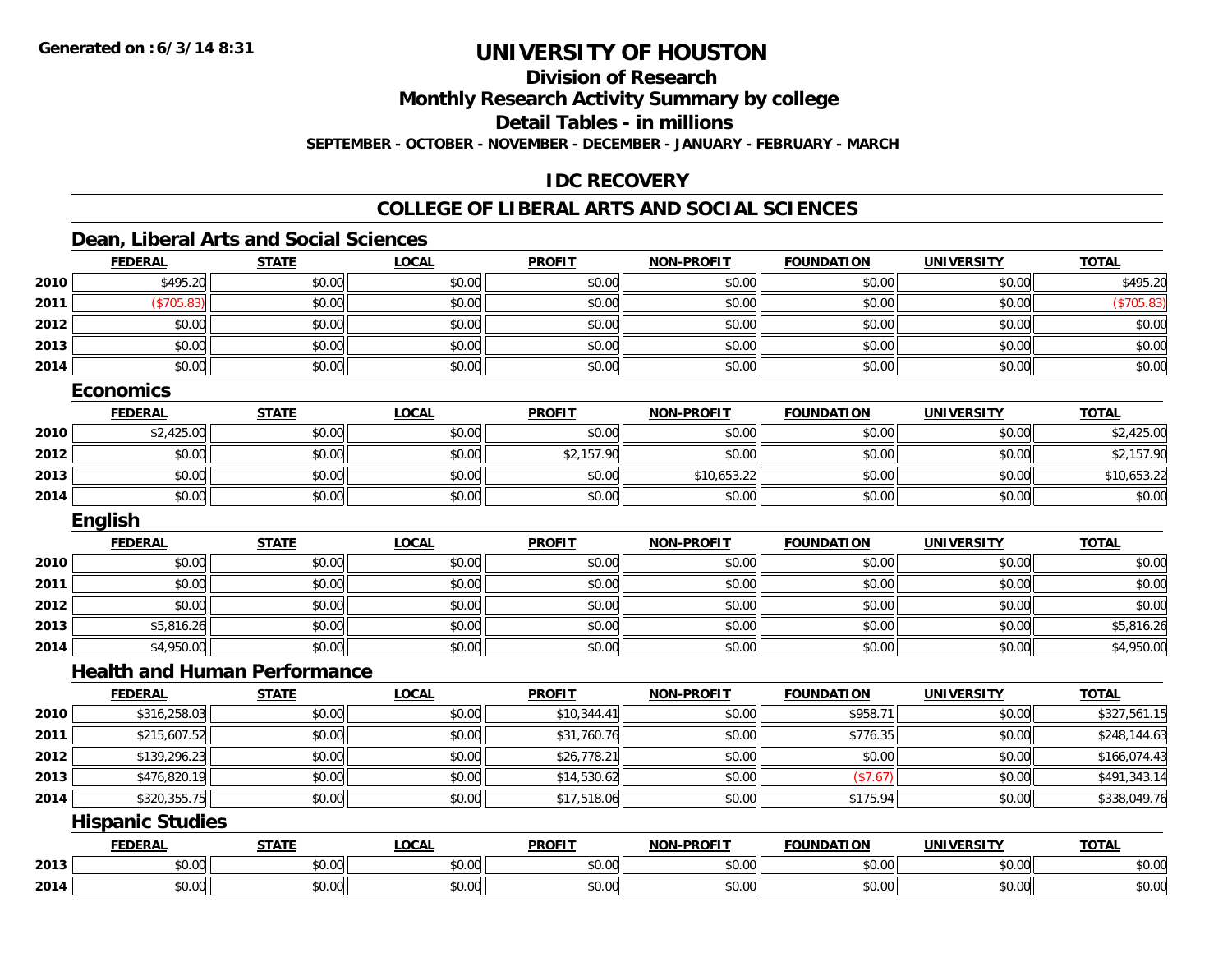# **Division of Research**

**Monthly Research Activity Summary by college**

**Detail Tables - in millions**

**SEPTEMBER - OCTOBER - NOVEMBER - DECEMBER - JANUARY - FEBRUARY - MARCH**

### **IDC RECOVERY**

#### **COLLEGE OF LIBERAL ARTS AND SOCIAL SCIENCES**

### **Dean, Liberal Arts and Social Sciences**

|      | <b>FEDERAL</b>                      | <b>STATE</b> | <b>LOCAL</b> | <b>PROFIT</b> | <b>NON-PROFIT</b> | <b>FOUNDATION</b> | <b>UNIVERSITY</b> | <b>TOTAL</b> |
|------|-------------------------------------|--------------|--------------|---------------|-------------------|-------------------|-------------------|--------------|
| 2010 | \$495.20                            | \$0.00       | \$0.00       | \$0.00        | \$0.00            | \$0.00            | \$0.00            | \$495.20     |
| 2011 | (\$705.83)                          | \$0.00       | \$0.00       | \$0.00        | \$0.00            | \$0.00            | \$0.00            | (\$705.83)   |
| 2012 | \$0.00                              | \$0.00       | \$0.00       | \$0.00        | \$0.00            | \$0.00            | \$0.00            | \$0.00       |
| 2013 | \$0.00                              | \$0.00       | \$0.00       | \$0.00        | \$0.00            | \$0.00            | \$0.00            | \$0.00       |
| 2014 | \$0.00                              | \$0.00       | \$0.00       | \$0.00        | \$0.00            | \$0.00            | \$0.00            | \$0.00       |
|      | <b>Economics</b>                    |              |              |               |                   |                   |                   |              |
|      | <b>FEDERAL</b>                      | <b>STATE</b> | <b>LOCAL</b> | <b>PROFIT</b> | <b>NON-PROFIT</b> | <b>FOUNDATION</b> | <b>UNIVERSITY</b> | <b>TOTAL</b> |
| 2010 | \$2,425.00                          | \$0.00       | \$0.00       | \$0.00        | \$0.00            | \$0.00            | \$0.00            | \$2,425.00   |
| 2012 | \$0.00                              | \$0.00       | \$0.00       | \$2,157.90    | \$0.00            | \$0.00            | \$0.00            | \$2,157.90   |
| 2013 | \$0.00                              | \$0.00       | \$0.00       | \$0.00        | \$10,653.22       | \$0.00            | \$0.00            | \$10,653.22  |
| 2014 | \$0.00                              | \$0.00       | \$0.00       | \$0.00        | \$0.00            | \$0.00            | \$0.00            | \$0.00       |
|      | English                             |              |              |               |                   |                   |                   |              |
|      | <b>FEDERAL</b>                      | <b>STATE</b> | <b>LOCAL</b> | <b>PROFIT</b> | <b>NON-PROFIT</b> | <b>FOUNDATION</b> | <b>UNIVERSITY</b> | <b>TOTAL</b> |
| 2010 | \$0.00                              | \$0.00       | \$0.00       | \$0.00        | \$0.00            | \$0.00            | \$0.00            | \$0.00       |
| 2011 | \$0.00                              | \$0.00       | \$0.00       | \$0.00        | \$0.00            | \$0.00            | \$0.00            | \$0.00       |
| 2012 | \$0.00                              | \$0.00       | \$0.00       | \$0.00        | \$0.00            | \$0.00            | \$0.00            | \$0.00       |
| 2013 | \$5,816.26                          | \$0.00       | \$0.00       | \$0.00        | \$0.00            | \$0.00            | \$0.00            | \$5,816.26   |
| 2014 | \$4,950.00                          | \$0.00       | \$0.00       | \$0.00        | \$0.00            | \$0.00            | \$0.00            | \$4,950.00   |
|      | <b>Health and Human Performance</b> |              |              |               |                   |                   |                   |              |
|      | <b>FEDERAL</b>                      | <b>STATE</b> | <b>LOCAL</b> | <b>PROFIT</b> | <b>NON-PROFIT</b> | <b>FOUNDATION</b> | <b>UNIVERSITY</b> | <b>TOTAL</b> |
| 2010 | \$316,258.03                        | \$0.00       | \$0.00       | \$10,344.41   | \$0.00            | \$958.71          | \$0.00            | \$327,561.15 |
| 2011 | \$215,607.52                        | \$0.00       | \$0.00       | \$31,760.76   | \$0.00            | \$776.35          | \$0.00            | \$248,144.63 |
| 2012 | \$139,296.23                        | \$0.00       | \$0.00       | \$26,778.21   | \$0.00            | \$0.00            | \$0.00            | \$166,074.43 |
| 2013 | \$476,820.19                        | \$0.00       | \$0.00       | \$14,530.62   | \$0.00            | (\$7.67)          | \$0.00            | \$491,343.14 |
| 2014 | \$320,355.75                        | \$0.00       | \$0.00       | \$17,518.06   | \$0.00            | \$175.94          | \$0.00            | \$338,049.76 |
|      | <b>Hispanic Studies</b>             |              |              |               |                   |                   |                   |              |
|      | <b>FEDERAL</b>                      | <b>STATE</b> | <b>LOCAL</b> | <b>PROFIT</b> | <b>NON-PROFIT</b> | <b>FOUNDATION</b> | <b>UNIVERSITY</b> | <b>TOTAL</b> |
| 2013 | \$0.00                              | \$0.00       | \$0.00       | \$0.00        | \$0.00            | \$0.00            | \$0.00            | \$0.00       |
| 2014 | \$0.00                              | \$0.00       | \$0.00       | \$0.00        | \$0.00            | \$0.00            | \$0.00            | \$0.00       |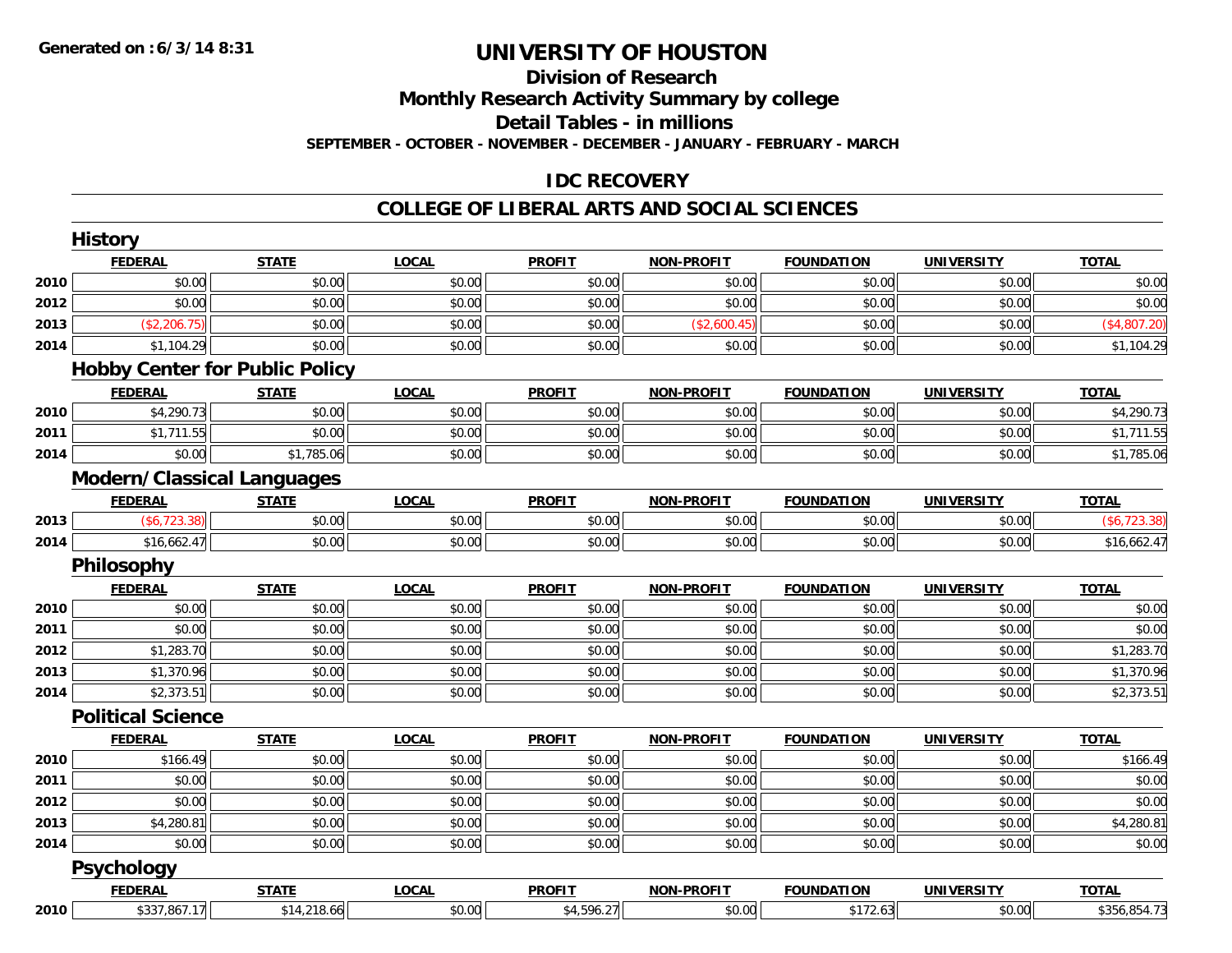#### **Division of Research Monthly Research Activity Summary by college**

**Detail Tables - in millions**

**SEPTEMBER - OCTOBER - NOVEMBER - DECEMBER - JANUARY - FEBRUARY - MARCH**

# **IDC RECOVERY**

### **COLLEGE OF LIBERAL ARTS AND SOCIAL SCIENCES**

|      | <b>History</b>                    |                                       |              |               |                   |                   |                   |                 |
|------|-----------------------------------|---------------------------------------|--------------|---------------|-------------------|-------------------|-------------------|-----------------|
|      | <b>FEDERAL</b>                    | <b>STATE</b>                          | <b>LOCAL</b> | <b>PROFIT</b> | <b>NON-PROFIT</b> | <b>FOUNDATION</b> | <b>UNIVERSITY</b> | <b>TOTAL</b>    |
| 2010 | \$0.00                            | \$0.00                                | \$0.00       | \$0.00        | \$0.00            | \$0.00            | \$0.00            | \$0.00          |
| 2012 | \$0.00                            | \$0.00                                | \$0.00       | \$0.00        | \$0.00            | \$0.00            | \$0.00            | \$0.00          |
| 2013 | (\$2,206.75)                      | \$0.00                                | \$0.00       | \$0.00        | (\$2,600.45)      | \$0.00            | \$0.00            | (\$4,807.20)    |
| 2014 | \$1,104.29                        | \$0.00                                | \$0.00       | \$0.00        | \$0.00            | \$0.00            | \$0.00            | \$1,104.29      |
|      |                                   | <b>Hobby Center for Public Policy</b> |              |               |                   |                   |                   |                 |
|      | <b>FEDERAL</b>                    | <b>STATE</b>                          | <b>LOCAL</b> | <b>PROFIT</b> | <b>NON-PROFIT</b> | <b>FOUNDATION</b> | <b>UNIVERSITY</b> | <b>TOTAL</b>    |
| 2010 | \$4,290.73                        | \$0.00                                | \$0.00       | \$0.00        | \$0.00            | \$0.00            | \$0.00            | \$4,290.73      |
| 2011 | \$1,711.55                        | \$0.00                                | \$0.00       | \$0.00        | \$0.00            | \$0.00            | \$0.00            | \$1,711.55      |
| 2014 | \$0.00                            | \$1,785.06                            | \$0.00       | \$0.00        | \$0.00            | \$0.00            | \$0.00            | \$1,785.06      |
|      | <b>Modern/Classical Languages</b> |                                       |              |               |                   |                   |                   |                 |
|      | <b>FEDERAL</b>                    | <b>STATE</b>                          | <b>LOCAL</b> | <b>PROFIT</b> | <b>NON-PROFIT</b> | <b>FOUNDATION</b> | <b>UNIVERSITY</b> | <b>TOTAL</b>    |
| 2013 | (\$6,723.38)                      | \$0.00                                | \$0.00       | \$0.00        | \$0.00            | \$0.00            | \$0.00            | $($ \$6,723.38) |
| 2014 | \$16,662.47                       | \$0.00                                | \$0.00       | \$0.00        | \$0.00            | \$0.00            | \$0.00            | \$16,662.47     |
|      | <b>Philosophy</b>                 |                                       |              |               |                   |                   |                   |                 |
|      | <b>FEDERAL</b>                    | <b>STATE</b>                          | <b>LOCAL</b> | <b>PROFIT</b> | <b>NON-PROFIT</b> | <b>FOUNDATION</b> | <b>UNIVERSITY</b> | <b>TOTAL</b>    |
| 2010 | \$0.00                            | \$0.00                                | \$0.00       | \$0.00        | \$0.00            | \$0.00            | \$0.00            | \$0.00          |
| 2011 | \$0.00                            | \$0.00                                | \$0.00       | \$0.00        | \$0.00            | \$0.00            | \$0.00            | \$0.00          |
| 2012 | \$1,283.70                        | \$0.00                                | \$0.00       | \$0.00        | \$0.00            | \$0.00            | \$0.00            | \$1,283.70      |
| 2013 | \$1,370.96                        | \$0.00                                | \$0.00       | \$0.00        | \$0.00            | \$0.00            | \$0.00            | \$1,370.96      |
| 2014 | \$2,373.51                        | \$0.00                                | \$0.00       | \$0.00        | \$0.00            | \$0.00            | \$0.00            | \$2,373.51      |
|      | <b>Political Science</b>          |                                       |              |               |                   |                   |                   |                 |
|      | <b>FEDERAL</b>                    | <b>STATE</b>                          | <b>LOCAL</b> | <b>PROFIT</b> | NON-PROFIT        | <b>FOUNDATION</b> | <b>UNIVERSITY</b> | <b>TOTAL</b>    |
| 2010 | \$166.49                          | \$0.00                                | \$0.00       | \$0.00        | \$0.00            | \$0.00            | \$0.00            | \$166.49        |
| 2011 | \$0.00                            | \$0.00                                | \$0.00       | \$0.00        | \$0.00            | \$0.00            | \$0.00            | \$0.00          |
| 2012 | \$0.00                            | \$0.00                                | \$0.00       | \$0.00        | \$0.00            | \$0.00            | \$0.00            | \$0.00          |
| 2013 | \$4,280.81                        | \$0.00                                | \$0.00       | \$0.00        | \$0.00            | \$0.00            | \$0.00            | \$4,280.81      |
| 2014 | \$0.00                            | \$0.00                                | \$0.00       | \$0.00        | \$0.00            | \$0.00            | \$0.00            | \$0.00          |
|      | <b>Psychology</b>                 |                                       |              |               |                   |                   |                   |                 |
|      | <b>FEDERAL</b>                    | <b>STATE</b>                          | <b>LOCAL</b> | <b>PROFIT</b> | <b>NON-PROFIT</b> | <b>FOUNDATION</b> | <b>UNIVERSITY</b> | <b>TOTAL</b>    |
| 2010 | \$337,867.17                      | \$14,218.66                           | \$0.00       | \$4,596.27    | \$0.00            | \$172.63          | \$0.00            | \$356,854.73    |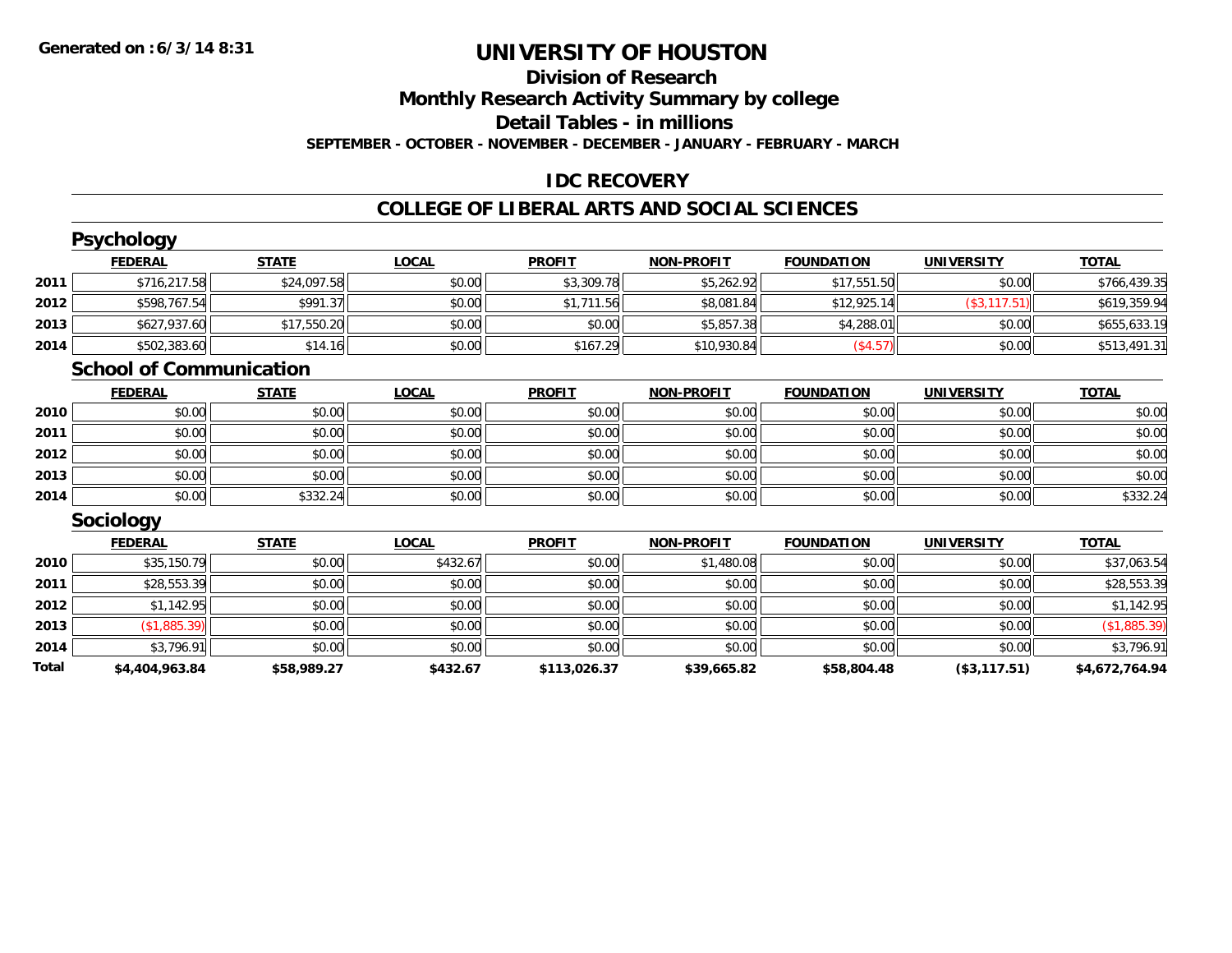#### **Division of Research Monthly Research Activity Summary by college Detail Tables - in millions SEPTEMBER - OCTOBER - NOVEMBER - DECEMBER - JANUARY - FEBRUARY - MARCH**

### **IDC RECOVERY**

#### **COLLEGE OF LIBERAL ARTS AND SOCIAL SCIENCES**

|       | <b>Psychology</b>              |              |              |               |                   |                   |                   |                |
|-------|--------------------------------|--------------|--------------|---------------|-------------------|-------------------|-------------------|----------------|
|       | <b>FEDERAL</b>                 | <b>STATE</b> | <b>LOCAL</b> | <b>PROFIT</b> | <b>NON-PROFIT</b> | <b>FOUNDATION</b> | <b>UNIVERSITY</b> | <b>TOTAL</b>   |
| 2011  | \$716,217.58                   | \$24,097.58  | \$0.00       | \$3,309.78    | \$5,262.92        | \$17,551.50       | \$0.00            | \$766,439.35   |
| 2012  | \$598,767.54                   | \$991.37     | \$0.00       | \$1,711.56    | \$8,081.84        | \$12,925.14       | (\$3, 117.51)     | \$619,359.94   |
| 2013  | \$627,937.60                   | \$17,550.20  | \$0.00       | \$0.00        | \$5,857.38        | \$4,288.01        | \$0.00            | \$655,633.19   |
| 2014  | \$502,383.60                   | \$14.16      | \$0.00       | \$167.29      | \$10,930.84       | (\$4.57)          | \$0.00            | \$513,491.31   |
|       | <b>School of Communication</b> |              |              |               |                   |                   |                   |                |
|       | <b>FEDERAL</b>                 | <b>STATE</b> | <b>LOCAL</b> | <b>PROFIT</b> | <b>NON-PROFIT</b> | <b>FOUNDATION</b> | <b>UNIVERSITY</b> | <b>TOTAL</b>   |
| 2010  | \$0.00                         | \$0.00       | \$0.00       | \$0.00        | \$0.00            | \$0.00            | \$0.00            | \$0.00         |
| 2011  | \$0.00                         | \$0.00       | \$0.00       | \$0.00        | \$0.00            | \$0.00            | \$0.00            | \$0.00         |
| 2012  | \$0.00                         | \$0.00       | \$0.00       | \$0.00        | \$0.00            | \$0.00            | \$0.00            | \$0.00         |
| 2013  | \$0.00                         | \$0.00       | \$0.00       | \$0.00        | \$0.00            | \$0.00            | \$0.00            | \$0.00         |
| 2014  | \$0.00                         | \$332.24     | \$0.00       | \$0.00        | \$0.00            | \$0.00            | \$0.00            | \$332.24       |
|       | <b>Sociology</b>               |              |              |               |                   |                   |                   |                |
|       | <b>FEDERAL</b>                 | <b>STATE</b> | <b>LOCAL</b> | <b>PROFIT</b> | <b>NON-PROFIT</b> | <b>FOUNDATION</b> | <b>UNIVERSITY</b> | <b>TOTAL</b>   |
| 2010  | \$35,150.79                    | \$0.00       | \$432.67     | \$0.00        | \$1,480.08        | \$0.00            | \$0.00            | \$37,063.54    |
| 2011  | \$28,553.39                    | \$0.00       | \$0.00       | \$0.00        | \$0.00            | \$0.00            | \$0.00            | \$28,553.39    |
| 2012  | \$1,142.95                     | \$0.00       | \$0.00       | \$0.00        | \$0.00            | \$0.00            | \$0.00            | \$1,142.95     |
| 2013  | (\$1,885.39)                   | \$0.00       | \$0.00       | \$0.00        | \$0.00            | \$0.00            | \$0.00            | (\$1,885.39)   |
| 2014  | \$3,796.91                     | \$0.00       | \$0.00       | \$0.00        | \$0.00            | \$0.00            | \$0.00            | \$3,796.91     |
| Total | \$4,404,963.84                 | \$58,989.27  | \$432.67     | \$113,026.37  | \$39,665.82       | \$58,804.48       | (\$3,117.51)      | \$4,672,764.94 |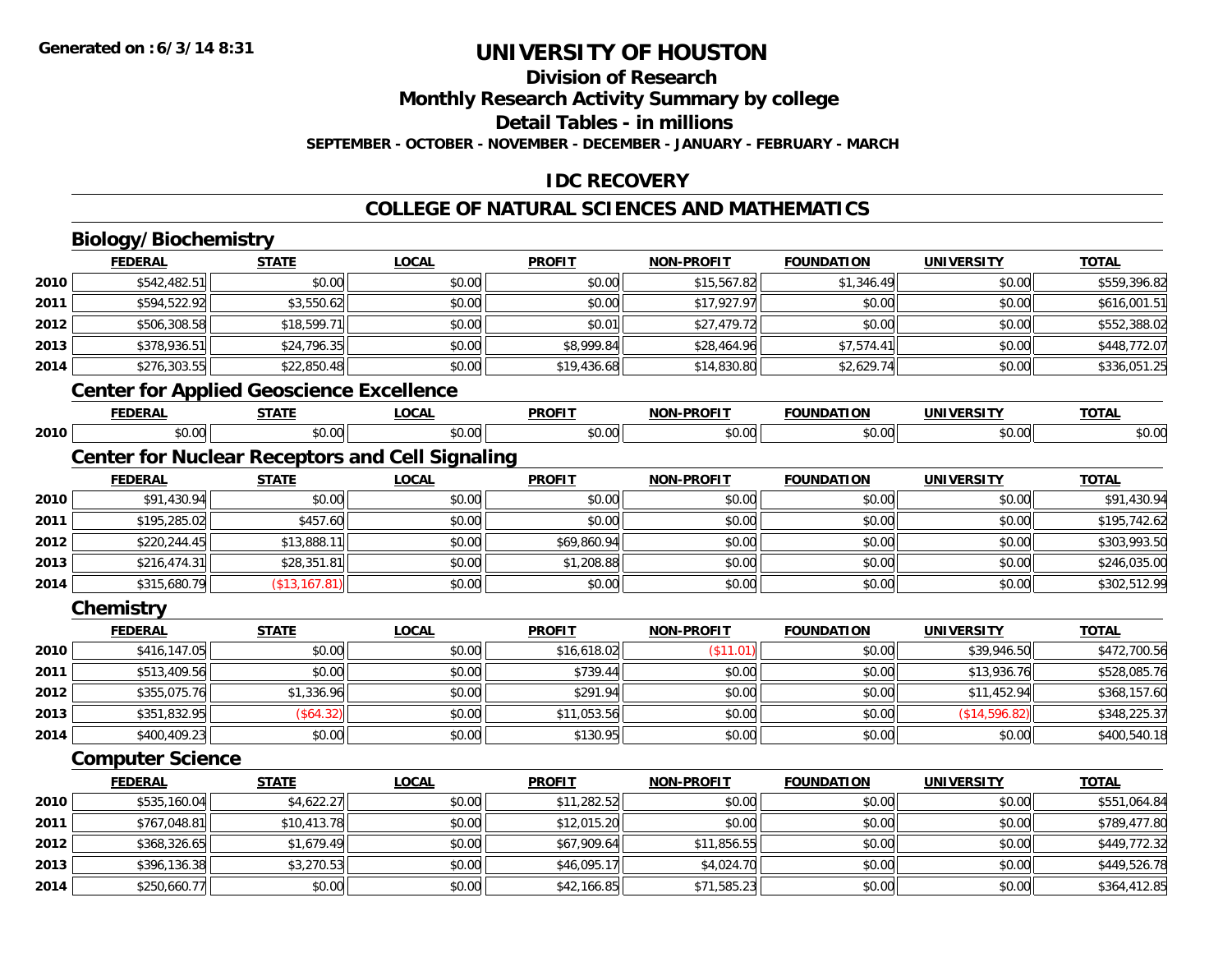# **Division of Research**

**Monthly Research Activity Summary by college**

**Detail Tables - in millions**

**SEPTEMBER - OCTOBER - NOVEMBER - DECEMBER - JANUARY - FEBRUARY - MARCH**

### **IDC RECOVERY**

#### **COLLEGE OF NATURAL SCIENCES AND MATHEMATICS**

# **Biology/Biochemistry**

**2014**

|      | <b>FEDERAL</b>          | <b>STATE</b>                                    | <b>LOCAL</b>                                           | <b>PROFIT</b> | <b>NON-PROFIT</b> | <b>FOUNDATION</b> | <b>UNIVERSITY</b> | <b>TOTAL</b> |
|------|-------------------------|-------------------------------------------------|--------------------------------------------------------|---------------|-------------------|-------------------|-------------------|--------------|
| 2010 | \$542,482.51            | \$0.00                                          | \$0.00                                                 | \$0.00        | \$15,567.82       | \$1,346.49        | \$0.00            | \$559,396.82 |
| 2011 | \$594,522.92            | \$3,550.62                                      | \$0.00                                                 | \$0.00        | \$17,927.97       | \$0.00            | \$0.00            | \$616,001.51 |
| 2012 | \$506,308.58            | \$18,599.71                                     | \$0.00                                                 | \$0.01        | \$27,479.72       | \$0.00            | \$0.00            | \$552,388.02 |
| 2013 | \$378,936.51            | \$24,796.35                                     | \$0.00                                                 | \$8,999.84    | \$28,464.96       | \$7,574.41        | \$0.00            | \$448,772.07 |
| 2014 | \$276,303.55            | \$22,850.48                                     | \$0.00                                                 | \$19,436.68   | \$14,830.80       | \$2,629.74        | \$0.00            | \$336,051.25 |
|      |                         | <b>Center for Applied Geoscience Excellence</b> |                                                        |               |                   |                   |                   |              |
|      | <b>FEDERAL</b>          | <b>STATE</b>                                    | <b>LOCAL</b>                                           | <b>PROFIT</b> | <b>NON-PROFIT</b> | <b>FOUNDATION</b> | <b>UNIVERSITY</b> | <b>TOTAL</b> |
| 2010 | \$0.00                  | \$0.00                                          | \$0.00                                                 | \$0.00        | \$0.00            | \$0.00            | \$0.00            | \$0.00       |
|      |                         |                                                 | <b>Center for Nuclear Receptors and Cell Signaling</b> |               |                   |                   |                   |              |
|      | <b>FEDERAL</b>          | <b>STATE</b>                                    | <b>LOCAL</b>                                           | <b>PROFIT</b> | <b>NON-PROFIT</b> | <b>FOUNDATION</b> | <b>UNIVERSITY</b> | <b>TOTAL</b> |
| 2010 | \$91,430.94             | \$0.00                                          | \$0.00                                                 | \$0.00        | \$0.00            | \$0.00            | \$0.00            | \$91,430.94  |
| 2011 | \$195,285.02            | \$457.60                                        | \$0.00                                                 | \$0.00        | \$0.00            | \$0.00            | \$0.00            | \$195,742.62 |
| 2012 | \$220,244.45            | \$13,888.11                                     | \$0.00                                                 | \$69,860.94   | \$0.00            | \$0.00            | \$0.00            | \$303,993.50 |
| 2013 | \$216,474.31            | \$28,351.81                                     | \$0.00                                                 | \$1,208.88    | \$0.00            | \$0.00            | \$0.00            | \$246,035.00 |
| 2014 | \$315,680.79            | (\$13,167.81)                                   | \$0.00                                                 | \$0.00        | \$0.00            | \$0.00            | \$0.00            | \$302,512.99 |
|      | Chemistry               |                                                 |                                                        |               |                   |                   |                   |              |
|      | <b>FEDERAL</b>          | <b>STATE</b>                                    | <b>LOCAL</b>                                           | <b>PROFIT</b> | <b>NON-PROFIT</b> | <b>FOUNDATION</b> | <b>UNIVERSITY</b> | <b>TOTAL</b> |
| 2010 | \$416,147.05            | \$0.00                                          | \$0.00                                                 | \$16,618.02   | (\$11.01)         | \$0.00            | \$39,946.50       | \$472,700.56 |
| 2011 | \$513,409.56            | \$0.00                                          | \$0.00                                                 | \$739.44      | \$0.00            | \$0.00            | \$13,936.76       | \$528,085.76 |
| 2012 | \$355,075.76            | \$1,336.96                                      | \$0.00                                                 | \$291.94      | \$0.00            | \$0.00            | \$11,452.94       | \$368,157.60 |
| 2013 | \$351,832.95            | (\$64.32)                                       | \$0.00                                                 | \$11,053.56   | \$0.00            | \$0.00            | (\$14,596.82)     | \$348,225.37 |
| 2014 | \$400,409.23            | \$0.00                                          | \$0.00                                                 | \$130.95      | \$0.00            | \$0.00            | \$0.00            | \$400,540.18 |
|      | <b>Computer Science</b> |                                                 |                                                        |               |                   |                   |                   |              |
|      | <b>FEDERAL</b>          | <b>STATE</b>                                    | <b>LOCAL</b>                                           | <b>PROFIT</b> | <b>NON-PROFIT</b> | <b>FOUNDATION</b> | <b>UNIVERSITY</b> | <b>TOTAL</b> |
| 2010 | \$535,160.04            | \$4,622.27                                      | \$0.00                                                 | \$11,282.52   | \$0.00            | \$0.00            | \$0.00            | \$551,064.84 |
| 2011 | \$767,048.81            | \$10,413.78                                     | \$0.00                                                 | \$12,015.20   | \$0.00            | \$0.00            | \$0.00            | \$789,477.80 |
| 2012 | \$368,326.65            | \$1,679.49                                      | \$0.00                                                 | \$67,909.64   | \$11,856.55       | \$0.00            | \$0.00            | \$449,772.32 |
| 2013 | \$396,136.38            | \$3,270.53                                      | \$0.00                                                 | \$46,095.17   | \$4,024.70        | \$0.00            | \$0.00            | \$449,526.78 |

\$250,660.77 \$0.00 \$0.00 \$42,166.85 \$71,585.23 \$0.00 \$0.00 \$364,412.85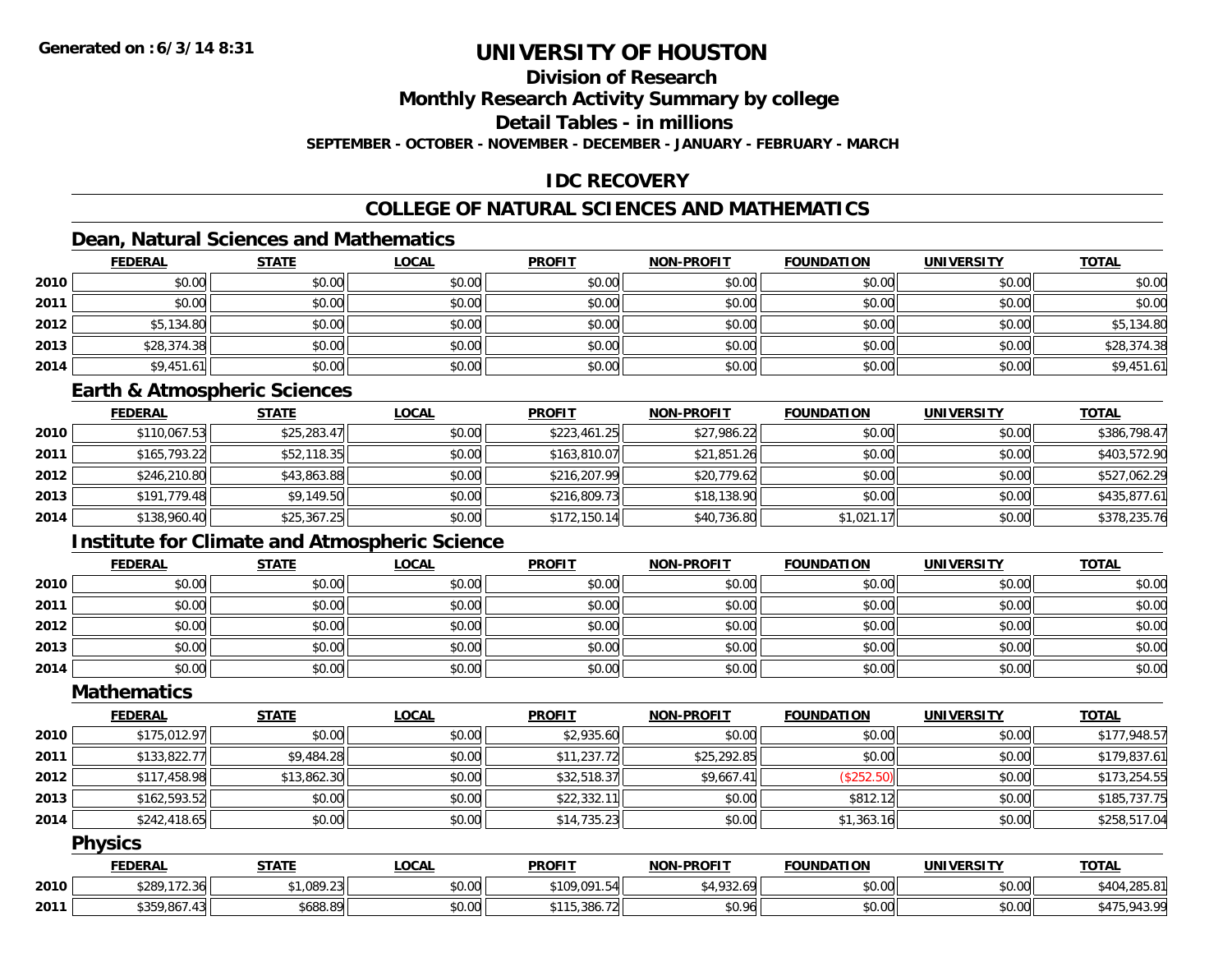# **Division of Research**

**Monthly Research Activity Summary by college**

**Detail Tables - in millions**

**SEPTEMBER - OCTOBER - NOVEMBER - DECEMBER - JANUARY - FEBRUARY - MARCH**

# **IDC RECOVERY**

# **COLLEGE OF NATURAL SCIENCES AND MATHEMATICS**

# **Dean, Natural Sciences and Mathematics**

|      | <b>FEDERAL</b> | <b>STATE</b> | <u>LOCAL</u> | <b>PROFIT</b> | <b>NON-PROFIT</b> | <b>FOUNDATION</b> | <b>UNIVERSITY</b> | <b>TOTAL</b> |
|------|----------------|--------------|--------------|---------------|-------------------|-------------------|-------------------|--------------|
| 2010 | \$0.00         | \$0.00       | \$0.00       | \$0.00        | \$0.00            | \$0.00            | \$0.00            | \$0.00       |
| 2011 | \$0.00         | \$0.00       | \$0.00       | \$0.00        | \$0.00            | \$0.00            | \$0.00            | \$0.00       |
| 2012 | \$5,134.80     | \$0.00       | \$0.00       | \$0.00        | \$0.00            | \$0.00            | \$0.00            | \$5,134.80   |
| 2013 | \$28,374.38    | \$0.00       | \$0.00       | \$0.00        | \$0.00            | \$0.00            | \$0.00            | \$28,374.38  |
| 2014 | \$9,451.61     | \$0.00       | \$0.00       | \$0.00        | \$0.00            | \$0.00            | \$0.00            | \$9,451.61   |

### **Earth & Atmospheric Sciences**

|      | <b>FEDERAL</b> | <b>STATE</b> | <b>LOCAL</b> | <b>PROFIT</b> | <b>NON-PROFIT</b> | <b>FOUNDATION</b> | <b>UNIVERSITY</b> | <b>TOTAL</b> |
|------|----------------|--------------|--------------|---------------|-------------------|-------------------|-------------------|--------------|
| 2010 | \$110,067.53   | \$25,283.47  | \$0.00       | \$223,461.25  | \$27,986.22       | \$0.00            | \$0.00            | \$386,798.47 |
| 2011 | \$165,793.22   | \$52,118.35  | \$0.00       | \$163,810.07  | \$21,851.26       | \$0.00            | \$0.00            | \$403,572.90 |
| 2012 | \$246,210.80   | \$43,863.88  | \$0.00       | \$216,207.99  | \$20,779.62       | \$0.00            | \$0.00            | \$527,062.29 |
| 2013 | \$191,779.48   | \$9,149.50   | \$0.00       | \$216,809.73  | \$18,138.90       | \$0.00            | \$0.00            | \$435,877.61 |
| 2014 | \$138,960.40   | \$25,367.25  | \$0.00       | \$172,150.14  | \$40,736.80       | \$1,021.17        | \$0.00            | \$378,235.76 |

### **Institute for Climate and Atmospheric Science**

|      | <b>FEDERAL</b> | <b>STATE</b> | <b>LOCAL</b> | <b>PROFIT</b> | <b>NON-PROFIT</b> | <b>FOUNDATION</b> | <b>UNIVERSITY</b> | <b>TOTAL</b> |
|------|----------------|--------------|--------------|---------------|-------------------|-------------------|-------------------|--------------|
| 2010 | \$0.00         | \$0.00       | \$0.00       | \$0.00        | \$0.00            | \$0.00            | \$0.00            | \$0.00       |
| 2011 | \$0.00         | \$0.00       | \$0.00       | \$0.00        | \$0.00            | \$0.00            | \$0.00            | \$0.00       |
| 2012 | \$0.00         | \$0.00       | \$0.00       | \$0.00        | \$0.00            | \$0.00            | \$0.00            | \$0.00       |
| 2013 | \$0.00         | \$0.00       | \$0.00       | \$0.00        | \$0.00            | \$0.00            | \$0.00            | \$0.00       |
| 2014 | \$0.00         | \$0.00       | \$0.00       | \$0.00        | \$0.00            | \$0.00            | \$0.00            | \$0.00       |

### **Mathematics**

|      | <b>FEDERAL</b> | <u>STATE</u> | <b>LOCAL</b> | <b>PROFIT</b> | <b>NON-PROFIT</b> | <b>FOUNDATION</b> | UNIVERSITY | <b>TOTAL</b> |
|------|----------------|--------------|--------------|---------------|-------------------|-------------------|------------|--------------|
| 2010 | \$175,012.97   | \$0.00       | \$0.00       | \$2,935.60    | \$0.00            | \$0.00            | \$0.00     | \$177,948.57 |
| 2011 | \$133,822.77   | \$9,484.28   | \$0.00       | \$11,237.72   | \$25,292.85       | \$0.00            | \$0.00     | \$179,837.61 |
| 2012 | \$117,458.98   | \$13,862.30  | \$0.00       | \$32,518.37   | \$9,667.41        | (\$252.50)        | \$0.00     | \$173,254.55 |
| 2013 | \$162,593.52   | \$0.00       | \$0.00       | \$22,332.11   | \$0.00            | \$812.12          | \$0.00     | \$185,737.75 |
| 2014 | \$242,418.65   | \$0.00       | \$0.00       | \$14,735.23   | \$0.00            | \$1,363.16        | \$0.00     | \$258,517.04 |

#### **Physics**

|      | <b>FEDERAL</b> | <b>STATE</b> | <b>LOCAL</b> | <b>PROFIT</b>              | <b>NON-PROFIT</b>          | <b>FOUNDATION</b> | UNIVERSITY | <b>TOTAL</b>                  |
|------|----------------|--------------|--------------|----------------------------|----------------------------|-------------------|------------|-------------------------------|
| 2010 | \$289,172.36   | \$1,089.23   | \$0.00       | \$109.091.5<br>571<br>71.J | <b>¢ 1 0 2 2</b><br>732.69 | \$0.00            | \$0.00     | $+285.81$<br>t 1 r            |
| 2011 | \$359,867.43   | \$688.89     | \$0.00       | 15.386.72<br><b>6111</b>   | \$0.96                     | \$0.00            | \$0.00     | 042.00<br>$-943.7.$<br>\$475. |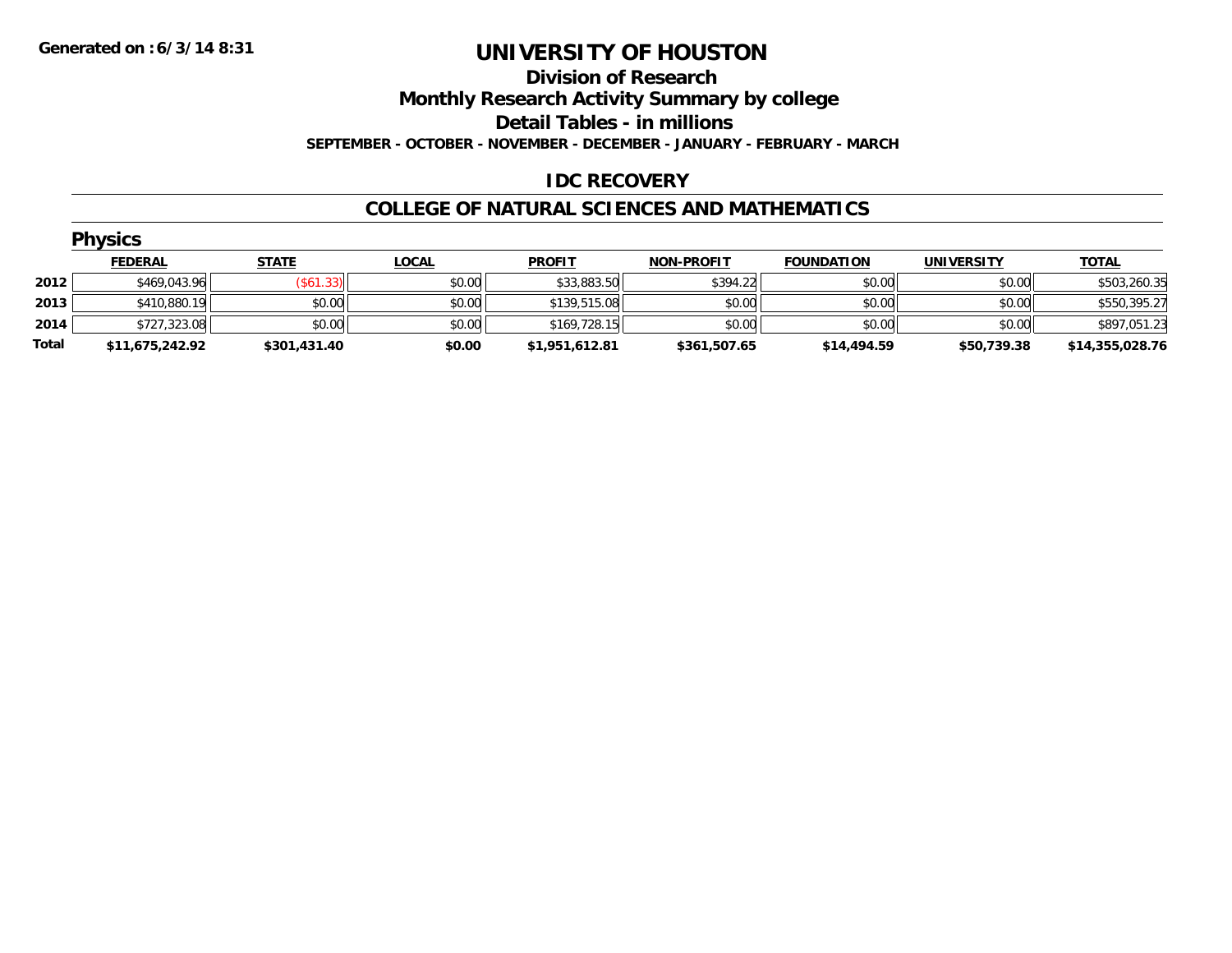#### **Division of Research**

**Monthly Research Activity Summary by college**

**Detail Tables - in millions**

**SEPTEMBER - OCTOBER - NOVEMBER - DECEMBER - JANUARY - FEBRUARY - MARCH**

### **IDC RECOVERY**

#### **COLLEGE OF NATURAL SCIENCES AND MATHEMATICS**

|       | <b>Physics</b>  |                  |              |                |                   |                   |                   |                 |  |  |  |
|-------|-----------------|------------------|--------------|----------------|-------------------|-------------------|-------------------|-----------------|--|--|--|
|       | <b>FEDERAL</b>  | <b>STATE</b>     | <u>LOCAL</u> | <b>PROFIT</b>  | <b>NON-PROFIT</b> | <b>FOUNDATION</b> | <b>UNIVERSITY</b> | <b>TOTAL</b>    |  |  |  |
| 2012  | \$469,043.96    | $($ \$61.33) $ $ | \$0.00       | \$33,883.50    | \$394.22          | \$0.00            | \$0.00            | \$503,260.35    |  |  |  |
| 2013  | \$410,880.19    | \$0.00           | \$0.00       | \$139,515.08   | \$0.00            | \$0.00            | \$0.00            | \$550,395.27    |  |  |  |
| 2014  | \$727,323.08    | \$0.00           | \$0.00       | \$169,728.15   | \$0.00            | \$0.00            | \$0.00            | \$897,051.23    |  |  |  |
| Total | \$11,675,242.92 | \$301,431.40     | \$0.00       | \$1,951,612.81 | \$361,507.65      | \$14,494.59       | \$50,739.38       | \$14,355,028.76 |  |  |  |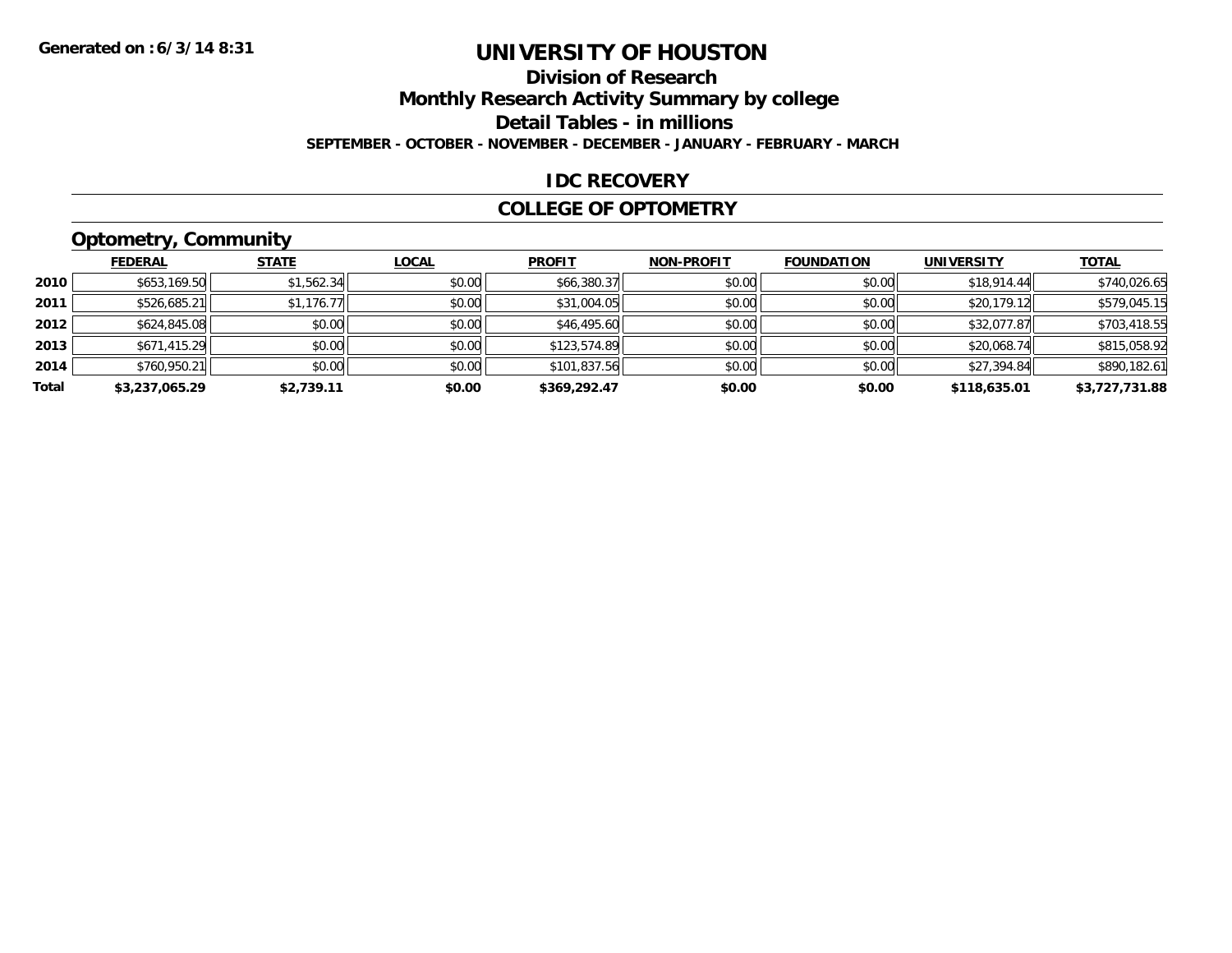# **Division of Research**

**Monthly Research Activity Summary by college**

**Detail Tables - in millions**

**SEPTEMBER - OCTOBER - NOVEMBER - DECEMBER - JANUARY - FEBRUARY - MARCH**

### **IDC RECOVERY**

#### **COLLEGE OF OPTOMETRY**

# **Optometry, Community**

|       | <b>FEDERAL</b> | <b>STATE</b> | <b>LOCAL</b> | <b>PROFIT</b> | <b>NON-PROFIT</b> | <b>FOUNDATION</b> | <b>UNIVERSITY</b> | <b>TOTAL</b>   |
|-------|----------------|--------------|--------------|---------------|-------------------|-------------------|-------------------|----------------|
| 2010  | \$653,169.50   | \$1,562.34   | \$0.00       | \$66,380.37   | \$0.00            | \$0.00            | \$18,914.44       | \$740,026.65   |
| 2011  | \$526,685.21   | \$1,176.77   | \$0.00       | \$31,004.05   | \$0.00            | \$0.00            | \$20,179.12       | \$579,045.15   |
| 2012  | \$624,845.08   | \$0.00       | \$0.00       | \$46,495.60   | \$0.00            | \$0.00            | \$32,077.87       | \$703,418.55   |
| 2013  | \$671,415.29   | \$0.00       | \$0.00       | \$123,574.89  | \$0.00            | \$0.00            | \$20,068.74       | \$815,058.92   |
| 2014  | \$760,950.21   | \$0.00       | \$0.00       | \$101,837.56  | \$0.00            | \$0.00            | \$27,394.84       | \$890,182.61   |
| Total | \$3,237,065.29 | \$2,739.11   | \$0.00       | \$369,292.47  | \$0.00            | \$0.00            | \$118,635.01      | \$3,727,731.88 |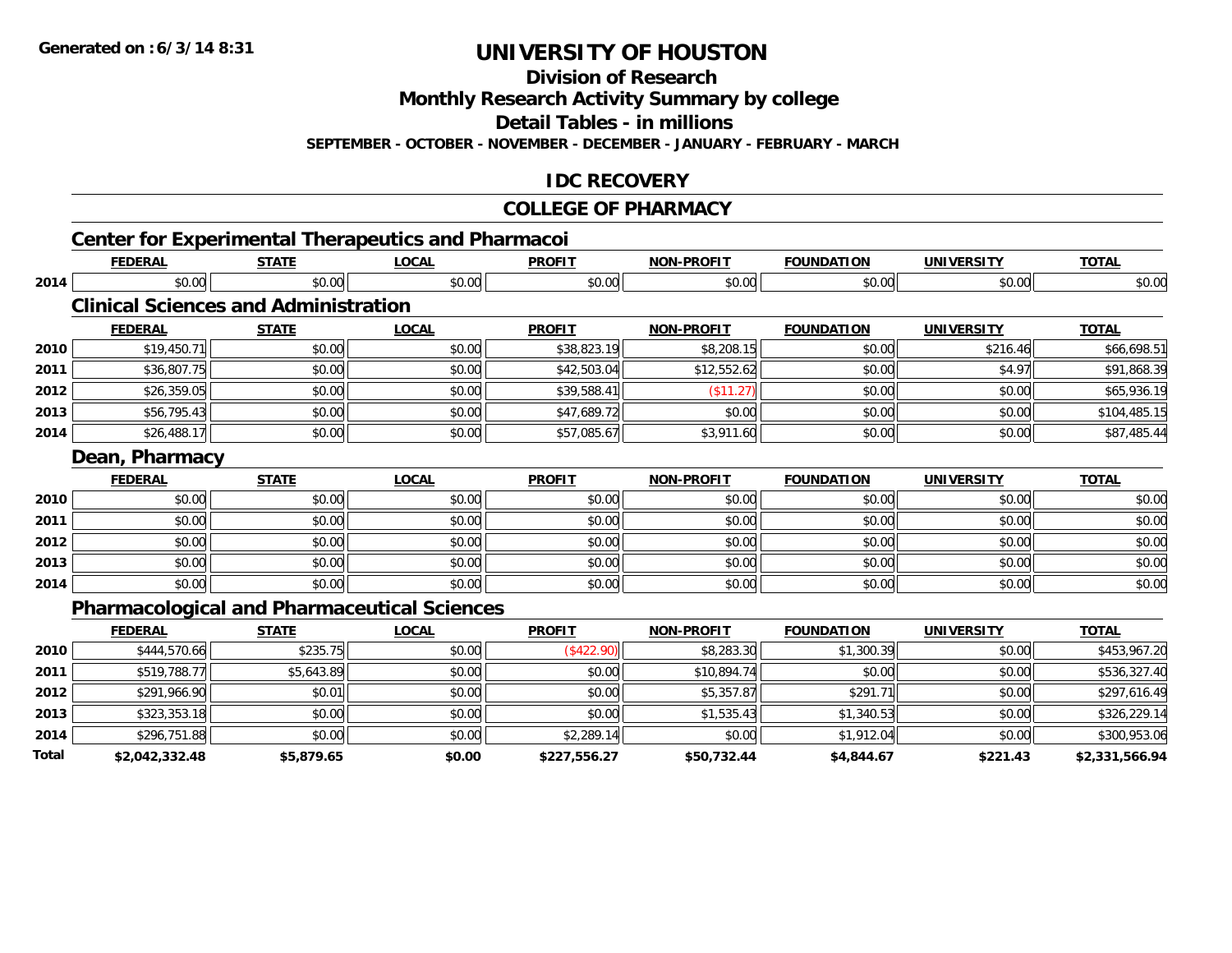**Division of Research**

**Monthly Research Activity Summary by college**

**Detail Tables - in millions**

**SEPTEMBER - OCTOBER - NOVEMBER - DECEMBER - JANUARY - FEBRUARY - MARCH**

### **IDC RECOVERY**

#### **COLLEGE OF PHARMACY**

|       | <b>FEDERAL</b> | <b>STATE</b>                                | <b>LOCAL</b>                                       | <b>PROFIT</b> | <b>NON-PROFIT</b> | <b>FOUNDATION</b> | <b>UNIVERSITY</b> | <b>TOTAL</b>   |
|-------|----------------|---------------------------------------------|----------------------------------------------------|---------------|-------------------|-------------------|-------------------|----------------|
| 2014  | \$0.00         | \$0.00                                      | \$0.00                                             | \$0.00        | \$0.00            | \$0.00            | \$0.00            | \$0.00         |
|       |                | <b>Clinical Sciences and Administration</b> |                                                    |               |                   |                   |                   |                |
|       | <b>FEDERAL</b> | <b>STATE</b>                                | <b>LOCAL</b>                                       | <b>PROFIT</b> | <b>NON-PROFIT</b> | <b>FOUNDATION</b> | <b>UNIVERSITY</b> | <b>TOTAL</b>   |
| 2010  | \$19,450.71    | \$0.00                                      | \$0.00                                             | \$38,823.19   | \$8,208.15        | \$0.00            | \$216.46          | \$66,698.51    |
| 2011  | \$36,807.75    | \$0.00                                      | \$0.00                                             | \$42,503.04   | \$12,552.62       | \$0.00            | \$4.97            | \$91,868.39    |
| 2012  | \$26,359.05    | \$0.00                                      | \$0.00                                             | \$39,588.41   | (\$11.27)         | \$0.00            | \$0.00            | \$65,936.19    |
| 2013  | \$56,795.43    | \$0.00                                      | \$0.00                                             | \$47,689.72   | \$0.00            | \$0.00            | \$0.00            | \$104,485.15   |
| 2014  | \$26,488.17    | \$0.00                                      | \$0.00                                             | \$57,085.67   | \$3,911.60        | \$0.00            | \$0.00            | \$87,485.44    |
|       | Dean, Pharmacy |                                             |                                                    |               |                   |                   |                   |                |
|       | <b>FEDERAL</b> | <b>STATE</b>                                | <b>LOCAL</b>                                       | <b>PROFIT</b> | <b>NON-PROFIT</b> | <b>FOUNDATION</b> | <b>UNIVERSITY</b> | <b>TOTAL</b>   |
| 2010  | \$0.00         | \$0.00                                      | \$0.00                                             | \$0.00        | \$0.00            | \$0.00            | \$0.00            | \$0.00         |
| 2011  | \$0.00         | \$0.00                                      | \$0.00                                             | \$0.00        | \$0.00            | \$0.00            | \$0.00            | \$0.00         |
| 2012  | \$0.00         | \$0.00                                      | \$0.00                                             | \$0.00        | \$0.00            | \$0.00            | \$0.00            | \$0.00         |
| 2013  | \$0.00         | \$0.00                                      | \$0.00                                             | \$0.00        | \$0.00            | \$0.00            | \$0.00            | \$0.00         |
| 2014  | \$0.00         | \$0.00                                      | \$0.00                                             | \$0.00        | \$0.00            | \$0.00            | \$0.00            | \$0.00         |
|       |                |                                             | <b>Pharmacological and Pharmaceutical Sciences</b> |               |                   |                   |                   |                |
|       | <b>FEDERAL</b> | <b>STATE</b>                                | <b>LOCAL</b>                                       | <b>PROFIT</b> | <b>NON-PROFIT</b> | <b>FOUNDATION</b> | <b>UNIVERSITY</b> | <b>TOTAL</b>   |
| 2010  | \$444,570.66   | \$235.75                                    | \$0.00                                             | (\$422.90)    | \$8,283.30        | \$1,300.39        | \$0.00            | \$453,967.20   |
| 2011  | \$519,788.77   | \$5,643.89                                  | \$0.00                                             | \$0.00        | \$10,894.74       | \$0.00            | \$0.00            | \$536,327.40   |
| 2012  | \$291,966.90   | \$0.01                                      | \$0.00                                             | \$0.00        | \$5,357.87        | \$291.71          | \$0.00            | \$297,616.49   |
| 2013  | \$323,353.18   | \$0.00                                      | \$0.00                                             | \$0.00        | \$1,535.43        | \$1,340.53        | \$0.00            | \$326,229.14   |
| 2014  | \$296,751.88   | \$0.00                                      | \$0.00                                             | \$2,289.14    | \$0.00            | \$1,912.04        | \$0.00            | \$300,953.06   |
| Total | \$2,042,332.48 | \$5,879.65                                  | \$0.00                                             | \$227,556.27  | \$50,732.44       | \$4,844.67        | \$221.43          | \$2,331,566.94 |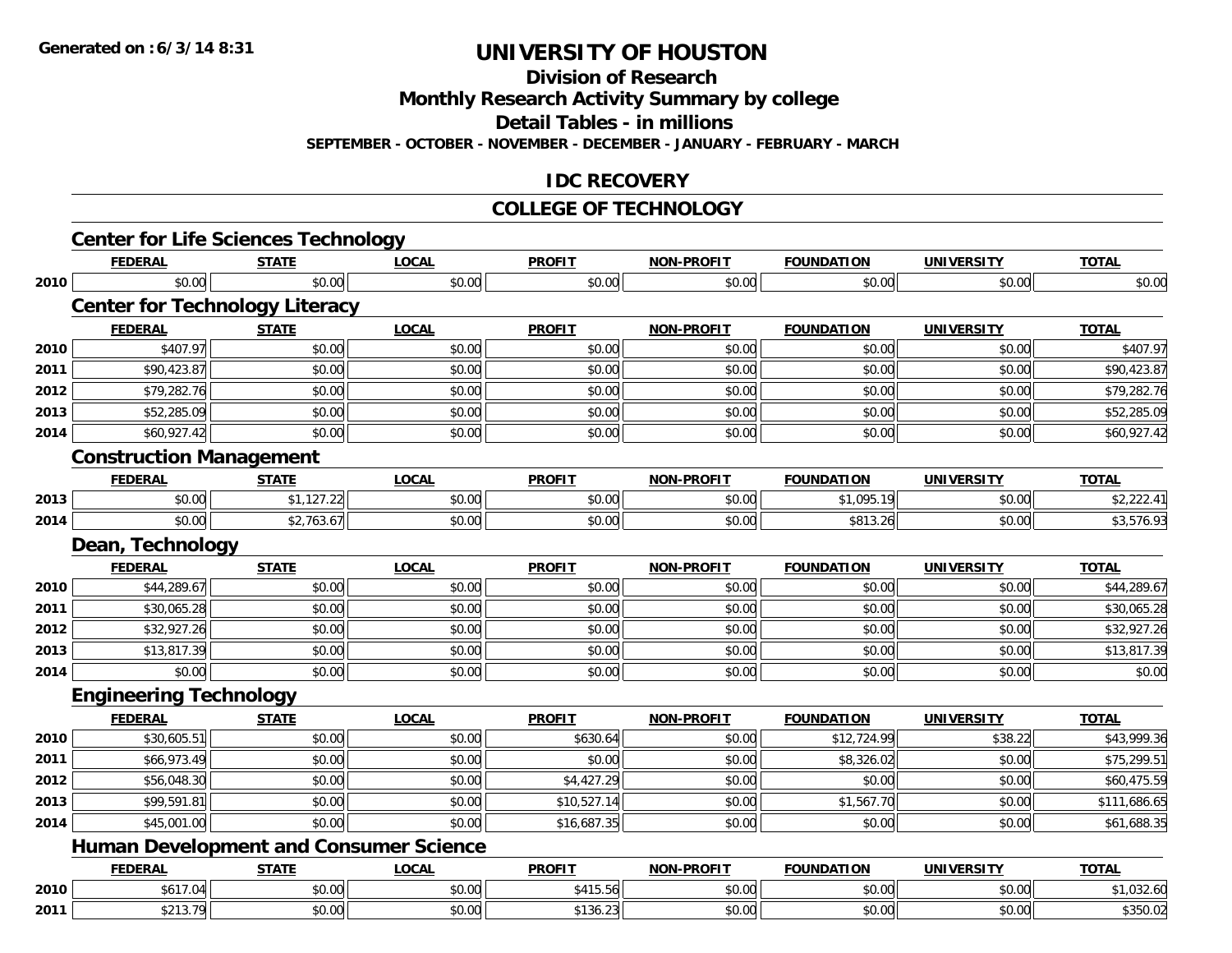**Division of Research**

**Monthly Research Activity Summary by college**

**Detail Tables - in millions**

**SEPTEMBER - OCTOBER - NOVEMBER - DECEMBER - JANUARY - FEBRUARY - MARCH**

### **IDC RECOVERY**

#### **COLLEGE OF TECHNOLOGY**

|      | <b>Center for Life Sciences Technology</b> |              |                                               |               |                   |                   |                   |              |
|------|--------------------------------------------|--------------|-----------------------------------------------|---------------|-------------------|-------------------|-------------------|--------------|
|      | <b>FEDERAL</b>                             | <b>STATE</b> | <b>LOCAL</b>                                  | <b>PROFIT</b> | <b>NON-PROFIT</b> | <b>FOUNDATION</b> | <b>UNIVERSITY</b> | <b>TOTAL</b> |
| 2010 | \$0.00                                     | \$0.00       | \$0.00                                        | \$0.00        | \$0.00            | \$0.00            | \$0.00            | \$0.00       |
|      | <b>Center for Technology Literacy</b>      |              |                                               |               |                   |                   |                   |              |
|      | <b>FEDERAL</b>                             | <b>STATE</b> | <b>LOCAL</b>                                  | <b>PROFIT</b> | <b>NON-PROFIT</b> | <b>FOUNDATION</b> | <b>UNIVERSITY</b> | <b>TOTAL</b> |
| 2010 | \$407.97                                   | \$0.00       | \$0.00                                        | \$0.00        | \$0.00            | \$0.00            | \$0.00            | \$407.97     |
| 2011 | \$90,423.87                                | \$0.00       | \$0.00                                        | \$0.00        | \$0.00            | \$0.00            | \$0.00            | \$90,423.87  |
| 2012 | \$79,282.76                                | \$0.00       | \$0.00                                        | \$0.00        | \$0.00            | \$0.00            | \$0.00            | \$79,282.76  |
| 2013 | \$52,285.09                                | \$0.00       | \$0.00                                        | \$0.00        | \$0.00            | \$0.00            | \$0.00            | \$52,285.09  |
| 2014 | \$60,927.42                                | \$0.00       | \$0.00                                        | \$0.00        | \$0.00            | \$0.00            | \$0.00            | \$60,927.42  |
|      | <b>Construction Management</b>             |              |                                               |               |                   |                   |                   |              |
|      | <b>FEDERAL</b>                             | <b>STATE</b> | <b>LOCAL</b>                                  | <b>PROFIT</b> | <b>NON-PROFIT</b> | <b>FOUNDATION</b> | <b>UNIVERSITY</b> | <b>TOTAL</b> |
| 2013 | \$0.00                                     | \$1,127.22   | \$0.00                                        | \$0.00        | \$0.00            | \$1,095.19        | \$0.00            | \$2,222.41   |
| 2014 | \$0.00                                     | \$2,763.67   | \$0.00                                        | \$0.00        | \$0.00            | \$813.26          | \$0.00            | \$3,576.93   |
|      | Dean, Technology                           |              |                                               |               |                   |                   |                   |              |
|      | <b>FEDERAL</b>                             | <b>STATE</b> | <b>LOCAL</b>                                  | <b>PROFIT</b> | <b>NON-PROFIT</b> | <b>FOUNDATION</b> | <b>UNIVERSITY</b> | <b>TOTAL</b> |
| 2010 | \$44,289.67                                | \$0.00       | \$0.00                                        | \$0.00        | \$0.00            | \$0.00            | \$0.00            | \$44,289.67  |
| 2011 | \$30,065.28                                | \$0.00       | \$0.00                                        | \$0.00        | \$0.00            | \$0.00            | \$0.00            | \$30,065.28  |
| 2012 | \$32,927.26                                | \$0.00       | \$0.00                                        | \$0.00        | \$0.00            | \$0.00            | \$0.00            | \$32,927.26  |
| 2013 | \$13,817.39                                | \$0.00       | \$0.00                                        | \$0.00        | \$0.00            | \$0.00            | \$0.00            | \$13,817.39  |
| 2014 | \$0.00                                     | \$0.00       | \$0.00                                        | \$0.00        | \$0.00            | \$0.00            | \$0.00            | \$0.00       |
|      | <b>Engineering Technology</b>              |              |                                               |               |                   |                   |                   |              |
|      | <b>FEDERAL</b>                             | <b>STATE</b> | <b>LOCAL</b>                                  | <b>PROFIT</b> | <b>NON-PROFIT</b> | <b>FOUNDATION</b> | <b>UNIVERSITY</b> | <b>TOTAL</b> |
| 2010 | \$30,605.51                                | \$0.00       | \$0.00                                        | \$630.64      | \$0.00            | \$12,724.99       | \$38.22           | \$43,999.36  |
| 2011 | \$66,973.49                                | \$0.00       | \$0.00                                        | \$0.00        | \$0.00            | \$8,326.02        | \$0.00            | \$75,299.51  |
| 2012 | \$56,048.30                                | \$0.00       | \$0.00                                        | \$4,427.29    | \$0.00            | \$0.00            | \$0.00            | \$60,475.59  |
| 2013 | \$99,591.81                                | \$0.00       | \$0.00                                        | \$10,527.14   | \$0.00            | \$1,567.70        | \$0.00            | \$111,686.65 |
| 2014 | \$45,001.00                                | \$0.00       | \$0.00                                        | \$16,687.35   | \$0.00            | \$0.00            | \$0.00            | \$61,688.35  |
|      |                                            |              | <b>Human Development and Consumer Science</b> |               |                   |                   |                   |              |
|      | <b>FEDERAL</b>                             | <b>STATE</b> | <b>LOCAL</b>                                  | <b>PROFIT</b> | <b>NON-PROFIT</b> | <b>FOUNDATION</b> | <b>UNIVERSITY</b> | <b>TOTAL</b> |
| 2010 | \$617.04                                   | \$0.00       | \$0.00                                        | \$415.56      | \$0.00            | \$0.00            | \$0.00            | \$1,032.60   |
| 2011 | \$213.79                                   | \$0.00       | \$0.00                                        | \$136.23      | \$0.00            | \$0.00            | \$0.00            | \$350.02     |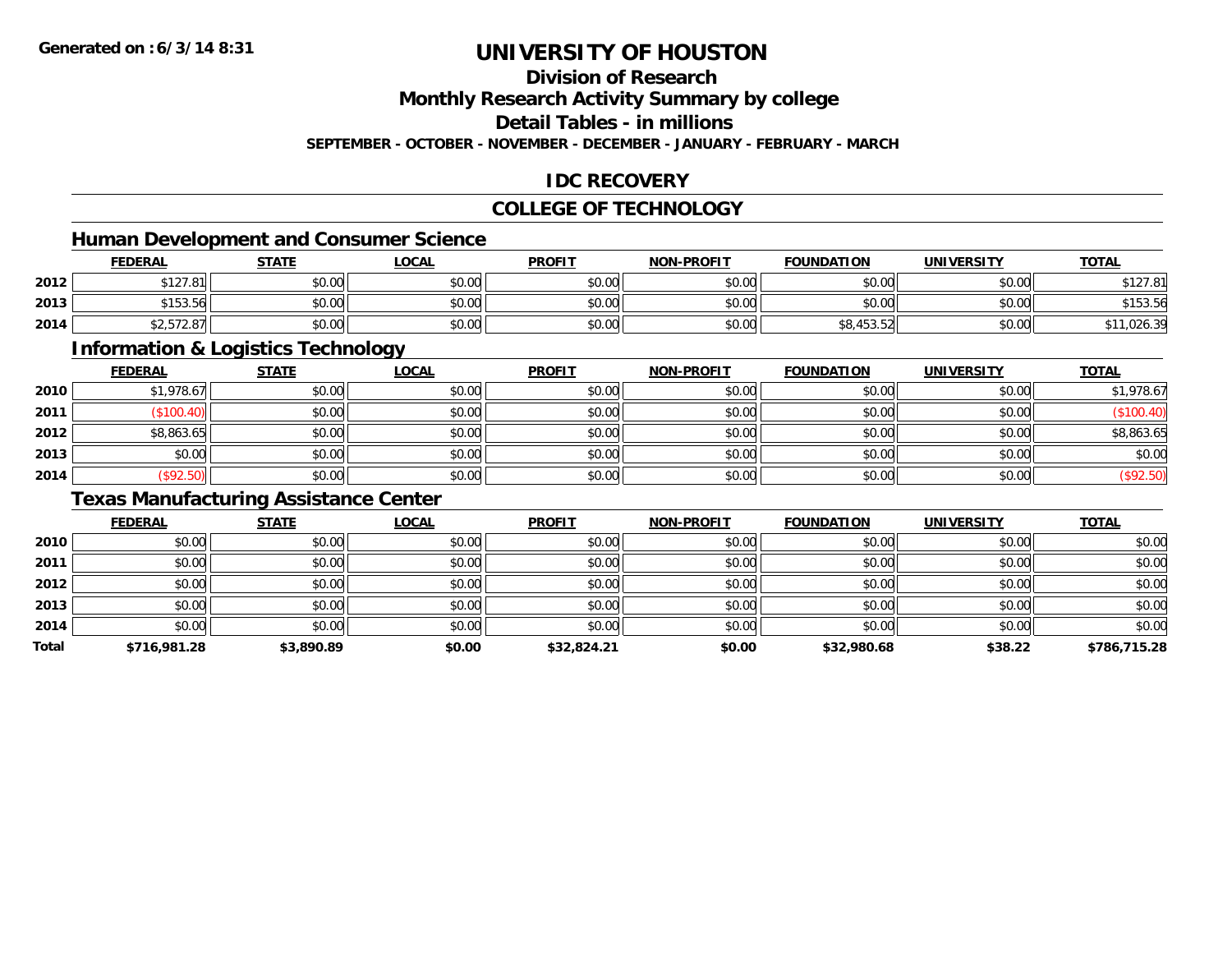# **Division of Research**

**Monthly Research Activity Summary by college**

**Detail Tables - in millions**

**SEPTEMBER - OCTOBER - NOVEMBER - DECEMBER - JANUARY - FEBRUARY - MARCH**

### **IDC RECOVERY**

### **COLLEGE OF TECHNOLOGY**

# **Human Development and Consumer Science**

|      | <b>FEDERAL</b>                            | <b>STATE</b> | <b>_OCAL</b> | <b>PROFIT</b> | <b>NON-PROFIT</b> | <b>FOUNDATION</b> | UNIVERSITY | <b>TOTAL</b>            |
|------|-------------------------------------------|--------------|--------------|---------------|-------------------|-------------------|------------|-------------------------|
| 2012 | 0.10701<br>312/01                         | \$0.00       | \$0.00       | \$0.00        | \$0.00            | ደስ ሰሰ<br>DU.UU    | \$0.00     | $AA$ $A$ $A$            |
| 2013 | A<br>Y 153.561                            | \$0.00       | \$0.00       | \$0.00        | \$0.00            | \$0.00            | \$0.00     | <b>C15256</b><br>יט.טני |
| 2014 | $\sim$ $ \sim$ $\sim$<br>42, J I Z.O / II | \$0.00       | \$0.00       | \$0.00        | \$0.00            | ャロッサリコ・コー         | \$0.00     | 0.0100<br>1,026.3       |

<u> 1980 - Johann Stoff, deutscher Stoffen und der Stoffen und der Stoffen und der Stoffen und der Stoffen und de</u>

### **Information & Logistics Technology**

|      | <b>FEDERAL</b> | <b>STATE</b> | <u>LOCAL</u> | <b>PROFIT</b> | <b>NON-PROFIT</b> | <b>FOUNDATION</b> | <b>UNIVERSITY</b> | <b>TOTAL</b> |
|------|----------------|--------------|--------------|---------------|-------------------|-------------------|-------------------|--------------|
| 2010 | \$1,978.67     | \$0.00       | \$0.00       | \$0.00        | \$0.00            | \$0.00            | \$0.00            | \$1,978.67   |
| 2011 | \$100.40       | \$0.00       | \$0.00       | \$0.00        | \$0.00            | \$0.00            | \$0.00            | (\$100.40)   |
| 2012 | \$8,863.65     | \$0.00       | \$0.00       | \$0.00        | \$0.00            | \$0.00            | \$0.00            | \$8,863.65   |
| 2013 | \$0.00         | \$0.00       | \$0.00       | \$0.00        | \$0.00            | \$0.00            | \$0.00            | \$0.00       |
| 2014 | \$92.50        | \$0.00       | \$0.00       | \$0.00        | \$0.00            | \$0.00            | \$0.00            | \$92.50      |

### **Texas Manufacturing Assistance Center**

|       | <b>FEDERAL</b> | <b>STATE</b> | <b>LOCAL</b> | <b>PROFIT</b> | <b>NON-PROFIT</b> | <b>FOUNDATION</b> | <b>UNIVERSITY</b> | <b>TOTAL</b> |
|-------|----------------|--------------|--------------|---------------|-------------------|-------------------|-------------------|--------------|
| 2010  | \$0.00         | \$0.00       | \$0.00       | \$0.00        | \$0.00            | \$0.00            | \$0.00            | \$0.00       |
| 2011  | \$0.00         | \$0.00       | \$0.00       | \$0.00        | \$0.00            | \$0.00            | \$0.00            | \$0.00       |
| 2012  | \$0.00         | \$0.00       | \$0.00       | \$0.00        | \$0.00            | \$0.00            | \$0.00            | \$0.00       |
| 2013  | \$0.00         | \$0.00       | \$0.00       | \$0.00        | \$0.00            | \$0.00            | \$0.00            | \$0.00       |
| 2014  | \$0.00         | \$0.00       | \$0.00       | \$0.00        | \$0.00            | \$0.00            | \$0.00            | \$0.00       |
| Total | \$716,981.28   | \$3,890.89   | \$0.00       | \$32,824.21   | \$0.00            | \$32,980.68       | \$38.22           | \$786,715.28 |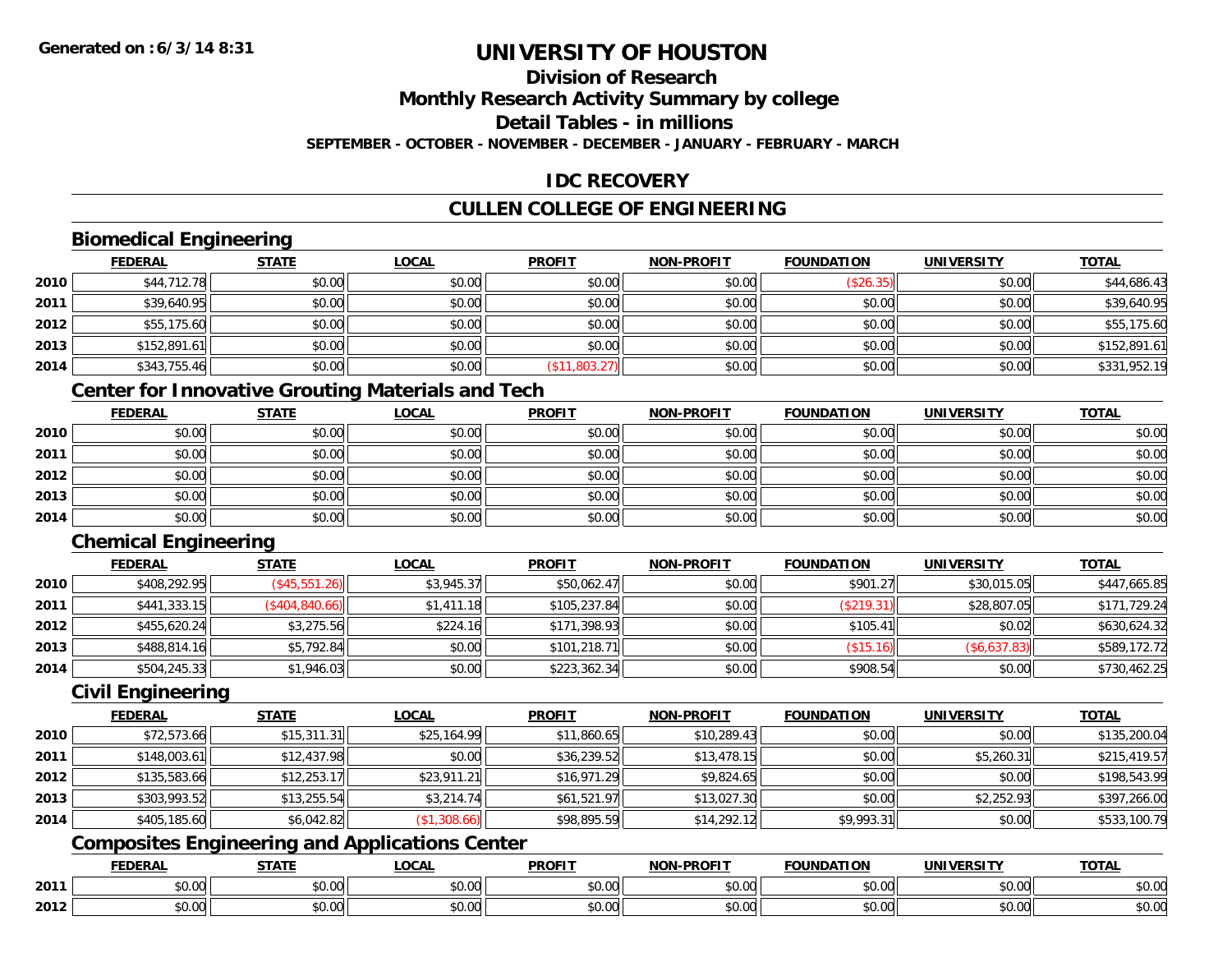# **Division of Research**

**Monthly Research Activity Summary by college**

**Detail Tables - in millions**

**SEPTEMBER - OCTOBER - NOVEMBER - DECEMBER - JANUARY - FEBRUARY - MARCH**

## **IDC RECOVERY**

## **CULLEN COLLEGE OF ENGINEERING**

## **Biomedical Engineering**

|      | <b>FEDERAL</b> | <b>STATE</b> | <b>LOCAL</b> | <b>PROFIT</b> | <b>NON-PROFIT</b> | <b>FOUNDATION</b> | <b>UNIVERSITY</b> | <b>TOTAL</b> |
|------|----------------|--------------|--------------|---------------|-------------------|-------------------|-------------------|--------------|
| 2010 | \$44,712.78    | \$0.00       | \$0.00       | \$0.00        | \$0.00            | (\$26.35)         | \$0.00            | \$44,686.43  |
| 2011 | \$39,640.95    | \$0.00       | \$0.00       | \$0.00        | \$0.00            | \$0.00            | \$0.00            | \$39,640.95  |
| 2012 | \$55,175.60    | \$0.00       | \$0.00       | \$0.00        | \$0.00            | \$0.00            | \$0.00            | \$55,175.60  |
| 2013 | \$152,891.61   | \$0.00       | \$0.00       | \$0.00        | \$0.00            | \$0.00            | \$0.00            | \$152,891.61 |
| 2014 | \$343,755.46   | \$0.00       | \$0.00       | (\$11,803.27) | \$0.00            | \$0.00            | \$0.00            | \$331,952.19 |

## **Center for Innovative Grouting Materials and Tech**

|      | <u>FEDERAL</u> | <b>STATE</b> | <b>LOCAL</b> | <b>PROFIT</b> | <b>NON-PROFIT</b> | <b>FOUNDATION</b> | <b>UNIVERSITY</b> | <b>TOTAL</b> |
|------|----------------|--------------|--------------|---------------|-------------------|-------------------|-------------------|--------------|
| 2010 | \$0.00         | \$0.00       | \$0.00       | \$0.00        | \$0.00            | \$0.00            | \$0.00            | \$0.00       |
| 2011 | \$0.00         | \$0.00       | \$0.00       | \$0.00        | \$0.00            | \$0.00            | \$0.00            | \$0.00       |
| 2012 | \$0.00         | \$0.00       | \$0.00       | \$0.00        | \$0.00            | \$0.00            | \$0.00            | \$0.00       |
| 2013 | \$0.00         | \$0.00       | \$0.00       | \$0.00        | \$0.00            | \$0.00            | \$0.00            | \$0.00       |
| 2014 | \$0.00         | \$0.00       | \$0.00       | \$0.00        | \$0.00            | \$0.00            | \$0.00            | \$0.00       |

## **Chemical Engineering**

|      | <b>FEDERAL</b> | <b>STATE</b>    | <b>LOCAL</b> | <b>PROFIT</b> | <b>NON-PROFIT</b> | <b>FOUNDATION</b> | <b>UNIVERSITY</b> | <b>TOTAL</b> |
|------|----------------|-----------------|--------------|---------------|-------------------|-------------------|-------------------|--------------|
| 2010 | \$408,292.95   | (S45, 551.26)   | \$3,945.37   | \$50,062.47   | \$0.00            | \$901.27          | \$30,015.05       | \$447,665.85 |
| 2011 | \$441,333.15   | (\$404, 840.66) | \$1,411.18   | \$105,237.84  | \$0.00            | (\$219.31)        | \$28,807.05       | \$171,729.24 |
| 2012 | \$455,620.24   | \$3,275.56      | \$224.16     | \$171,398.93  | \$0.00            | \$105.41          | \$0.02            | \$630,624.32 |
| 2013 | \$488,814.16   | \$5,792.84      | \$0.00       | \$101,218.71  | \$0.00            | (\$15.16)         | (\$6,637.83)      | \$589,172.72 |
| 2014 | \$504,245.33   | \$1,946.03      | \$0.00       | \$223,362.34  | \$0.00            | \$908.54          | \$0.00            | \$730,462.25 |

### **Civil Engineering**

|      | <b>FEDERAL</b> | <b>STATE</b> | <b>LOCAL</b> | <b>PROFIT</b> | <b>NON-PROFIT</b> | <b>FOUNDATION</b> | <b>UNIVERSITY</b> | <b>TOTAL</b> |
|------|----------------|--------------|--------------|---------------|-------------------|-------------------|-------------------|--------------|
| 2010 | \$72,573.66    | \$15,311.31  | \$25,164.99  | \$11,860.65   | \$10,289.43       | \$0.00            | \$0.00            | \$135,200.04 |
| 2011 | \$148,003.61   | \$12,437.98  | \$0.00       | \$36,239.52   | \$13,478.15       | \$0.00            | \$5,260.31        | \$215,419.57 |
| 2012 | \$135,583.66   | \$12,253.17  | \$23,911.21  | \$16,971.29   | \$9,824.65        | \$0.00            | \$0.00            | \$198,543.99 |
| 2013 | \$303,993.52   | \$13,255.54  | \$3,214.74   | \$61,521.97   | \$13,027.30       | \$0.00            | \$2,252.93        | \$397,266.00 |
| 2014 | \$405,185.60   | \$6,042.82   | (\$1,308.66) | \$98,895.59   | \$14,292.12       | \$9,993.31        | \$0.00            | \$533,100.79 |

## **Composites Engineering and Applications Center**

|      | <b>DERAL</b>                    | <b>CTATI</b>          | .OCAI                  | <b>PROFIT</b>         | <b>DDAEIT</b><br><b>NION</b> | .<br>ב נוחו<br>пом | - R.J.         | <b>TOTAL</b>                   |
|------|---------------------------------|-----------------------|------------------------|-----------------------|------------------------------|--------------------|----------------|--------------------------------|
| 2011 | $\sim$<br>. uu u                | $\overline{ }$<br>ט.ט | $\sim$ 00<br>pu.uu     | $\sim$ 00<br>ັ⊎ບ.ບບ,  | 0.00<br>PO.OO                | vv.vv              | 0.001<br>vv.vv | 0000<br>\$U.UU                 |
| 2012 | $\sim$ $\sim$<br>$\sim$<br>o.uu | しいい                   | $\sim$ $\sim$<br>vu.uu | $\sim$ 00<br>ັ້ນບ.ບເ∞ | 0.00<br>PO.OO                | JU.UU              | 0.00<br>PO.OO  | 0 <sup>0</sup><br><b>JU.UU</b> |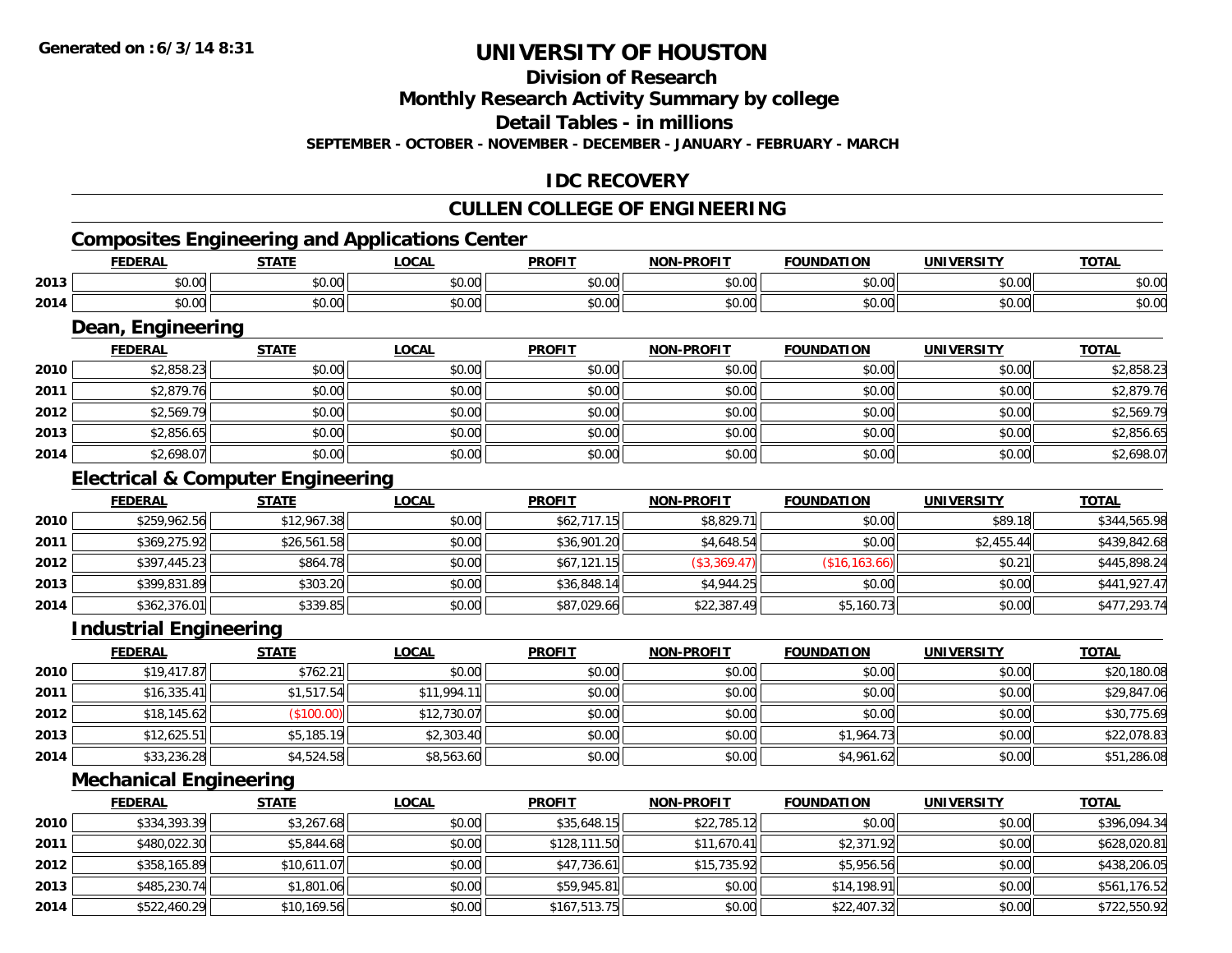## **Division of Research**

**Monthly Research Activity Summary by college**

**Detail Tables - in millions**

**SEPTEMBER - OCTOBER - NOVEMBER - DECEMBER - JANUARY - FEBRUARY - MARCH**

## **IDC RECOVERY**

## **CULLEN COLLEGE OF ENGINEERING**

# **Composites Engineering and Applications Center**

|      | <b>NEDAI</b><br>- R.P | <b>CTATE</b> | $\sim$<br>.UGAL | <b>PROFIT</b>                    | -PROFIT<br>NOM                              | <b>ATION</b><br>מרו | <b>IINIVEDSITV</b> | <b>TOTA</b>   |
|------|-----------------------|--------------|-----------------|----------------------------------|---------------------------------------------|---------------------|--------------------|---------------|
| 2013 | 0000                  | $\sim$ 00    | 0.00            | $\uparrow$ $\uparrow$ $\uparrow$ | $\sim$ 00                                   | $\sim$ 00           | $\sim$ 00          | $\sim$ $\sim$ |
|      | <b>DU.UU</b>          | טט.טע        | JU.UU           | JU.U                             | טט.טע                                       | טט.טע               | JU.UU              | DU.UU         |
| 2014 | 0000                  | $\sim$ 00    | 0.00            | 0 <sub>0</sub>                   | $\uparrow$ $\uparrow$ $\uparrow$ $\uparrow$ | $\sim$ 00           | $\sim$ 00          | $\sim$ $\sim$ |
|      | ,u.uu                 | JU.UU        | vu.vu           | vv.v                             | vv.vv                                       | טט.טע               | vu.vu              | ง∪.∪บ         |

### **Dean, Engineering**

|      | Dean, Engineering |              |              |               |                   |                   |                   |              |  |  |  |  |
|------|-------------------|--------------|--------------|---------------|-------------------|-------------------|-------------------|--------------|--|--|--|--|
|      | <b>FEDERAL</b>    | <b>STATE</b> | <b>LOCAL</b> | <b>PROFIT</b> | <b>NON-PROFIT</b> | <b>FOUNDATION</b> | <b>UNIVERSITY</b> | <b>TOTAL</b> |  |  |  |  |
| 2010 | \$2,858.23        | \$0.00       | \$0.00       | \$0.00        | \$0.00            | \$0.00            | \$0.00            | \$2,858.23   |  |  |  |  |
| 2011 | \$2,879.76        | \$0.00       | \$0.00       | \$0.00        | \$0.00            | \$0.00            | \$0.00            | \$2,879.76   |  |  |  |  |
| 2012 | \$2,569.79        | \$0.00       | \$0.00       | \$0.00        | \$0.00            | \$0.00            | \$0.00            | \$2,569.79   |  |  |  |  |
| 2013 | \$2,856.65        | \$0.00       | \$0.00       | \$0.00        | \$0.00            | \$0.00            | \$0.00            | \$2,856.65   |  |  |  |  |
| 2014 | \$2,698.07        | \$0.00       | \$0.00       | \$0.00        | \$0.00            | \$0.00            | \$0.00            | \$2,698.07   |  |  |  |  |

## **Electrical & Computer Engineering**

|      | <b>FEDERAL</b> | <b>STATE</b> | <u>LOCAL</u> | <b>PROFIT</b> | <b>NON-PROFIT</b> | <b>FOUNDATION</b> | UNIVERSITY | <b>TOTAL</b> |
|------|----------------|--------------|--------------|---------------|-------------------|-------------------|------------|--------------|
| 2010 | \$259,962.56   | \$12,967.38  | \$0.00       | \$62,717.15   | \$8,829.71        | \$0.00            | \$89.18    | \$344,565.98 |
| 2011 | \$369,275.92   | \$26,561.58  | \$0.00       | \$36,901.20   | \$4,648.54        | \$0.00            | \$2,455.44 | \$439,842.68 |
| 2012 | \$397,445.23   | \$864.78     | \$0.00       | \$67,121.15   | (\$3,369.47)      | (\$16, 163.66)    | \$0.21     | \$445,898.24 |
| 2013 | \$399,831.89   | \$303.20     | \$0.00       | \$36,848.14   | \$4,944.25        | \$0.00            | \$0.00     | \$441,927.47 |
| 2014 | \$362,376.01   | \$339.85     | \$0.00       | \$87,029.66   | \$22,387.49       | \$5,160.73        | \$0.00     | \$477,293.74 |

### **Industrial Engineering**

|      | <u>FEDERAL</u> | <b>STATE</b> | <u>LOCAL</u> | <b>PROFIT</b> | <b>NON-PROFIT</b> | <b>FOUNDATION</b> | <b>UNIVERSITY</b> | <b>TOTAL</b> |
|------|----------------|--------------|--------------|---------------|-------------------|-------------------|-------------------|--------------|
| 2010 | \$19,417.87    | \$762.21     | \$0.00       | \$0.00        | \$0.00            | \$0.00            | \$0.00            | \$20,180.08  |
| 2011 | \$16,335.41    | \$1,517.54   | \$11,994.11  | \$0.00        | \$0.00            | \$0.00            | \$0.00            | \$29,847.06  |
| 2012 | \$18,145.62    | (\$100.00)   | \$12,730.07  | \$0.00        | \$0.00            | \$0.00            | \$0.00            | \$30,775.69  |
| 2013 | \$12,625.51    | \$5,185.19   | \$2,303.40   | \$0.00        | \$0.00            | \$1,964.73        | \$0.00            | \$22,078.83  |
| 2014 | \$33,236.28    | \$4,524.58   | \$8,563.60   | \$0.00        | \$0.00            | \$4,961.62        | \$0.00            | \$51,286.08  |

## **Mechanical Engineering**

|      | <b>FEDERAL</b> | <b>STATE</b> | <b>LOCAL</b> | <b>PROFIT</b> | <b>NON-PROFIT</b> | <b>FOUNDATION</b> | <b>UNIVERSITY</b> | <u>TOTAL</u> |
|------|----------------|--------------|--------------|---------------|-------------------|-------------------|-------------------|--------------|
| 2010 | \$334,393.39   | \$3,267.68   | \$0.00       | \$35,648.15   | \$22,785.12       | \$0.00            | \$0.00            | \$396,094.34 |
| 2011 | \$480,022.30   | \$5,844.68   | \$0.00       | \$128,111.50  | \$11,670.41       | \$2,371.92        | \$0.00            | \$628,020.81 |
| 2012 | \$358,165.89   | \$10,611.07  | \$0.00       | \$47,736.61   | \$15,735.92       | \$5,956.56        | \$0.00            | \$438,206.05 |
| 2013 | \$485,230.74   | \$1,801.06   | \$0.00       | \$59,945.81   | \$0.00            | \$14,198.91       | \$0.00            | \$561,176.52 |
| 2014 | \$522,460.29   | \$10,169.56  | \$0.00       | \$167,513.75  | \$0.00            | \$22,407.32       | \$0.00            | \$722,550.92 |

<u> 1980 - Andrea Station Barbara, actor a component de la componentación de la componentación de la componentaci</u>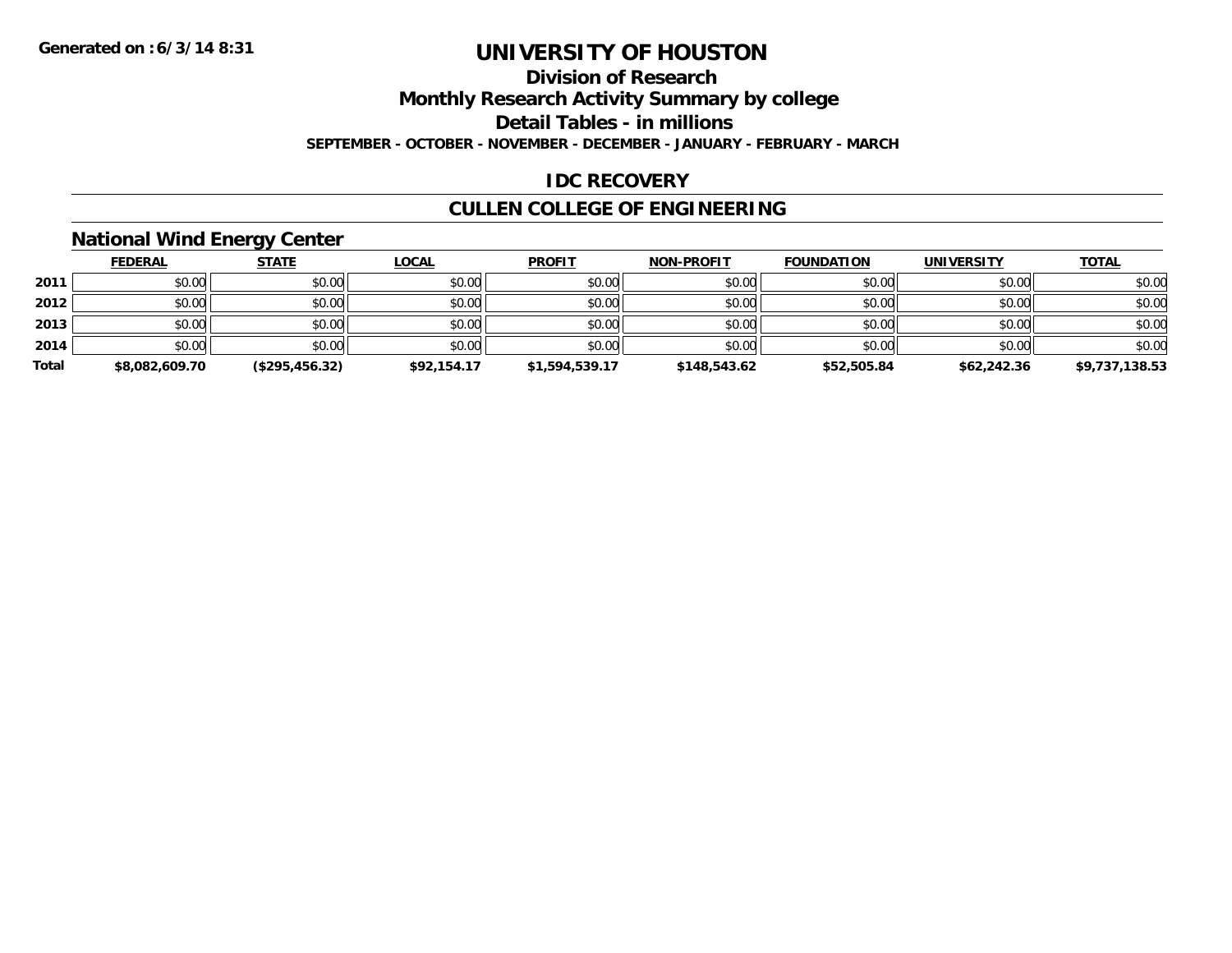## **Division of Research**

**Monthly Research Activity Summary by college**

**Detail Tables - in millions**

**SEPTEMBER - OCTOBER - NOVEMBER - DECEMBER - JANUARY - FEBRUARY - MARCH**

## **IDC RECOVERY**

# **CULLEN COLLEGE OF ENGINEERING**

### **National Wind Energy Center**

|       | <b>FEDERAL</b> | <b>STATE</b>   | <b>LOCAL</b> | <b>PROFIT</b>  | <b>NON-PROFIT</b> | <b>FOUNDATION</b> | <b>UNIVERSITY</b> | <b>TOTAL</b>   |
|-------|----------------|----------------|--------------|----------------|-------------------|-------------------|-------------------|----------------|
| 2011  | \$0.00         | \$0.00         | \$0.00       | \$0.00         | \$0.00            | \$0.00            | \$0.00            | \$0.00         |
| 2012  | \$0.00         | \$0.00         | \$0.00       | \$0.00         | \$0.00            | \$0.00            | \$0.00            | \$0.00         |
| 2013  | \$0.00         | \$0.00         | \$0.00       | \$0.00         | \$0.00            | \$0.00            | \$0.00            | \$0.00         |
| 2014  | \$0.00         | \$0.00         | \$0.00       | \$0.00         | \$0.00            | \$0.00            | \$0.00            | \$0.00         |
| Total | \$8,082,609.70 | (\$295,456.32) | \$92,154.17  | \$1,594,539.17 | \$148,543.62      | \$52,505.84       | \$62,242.36       | \$9,737,138.53 |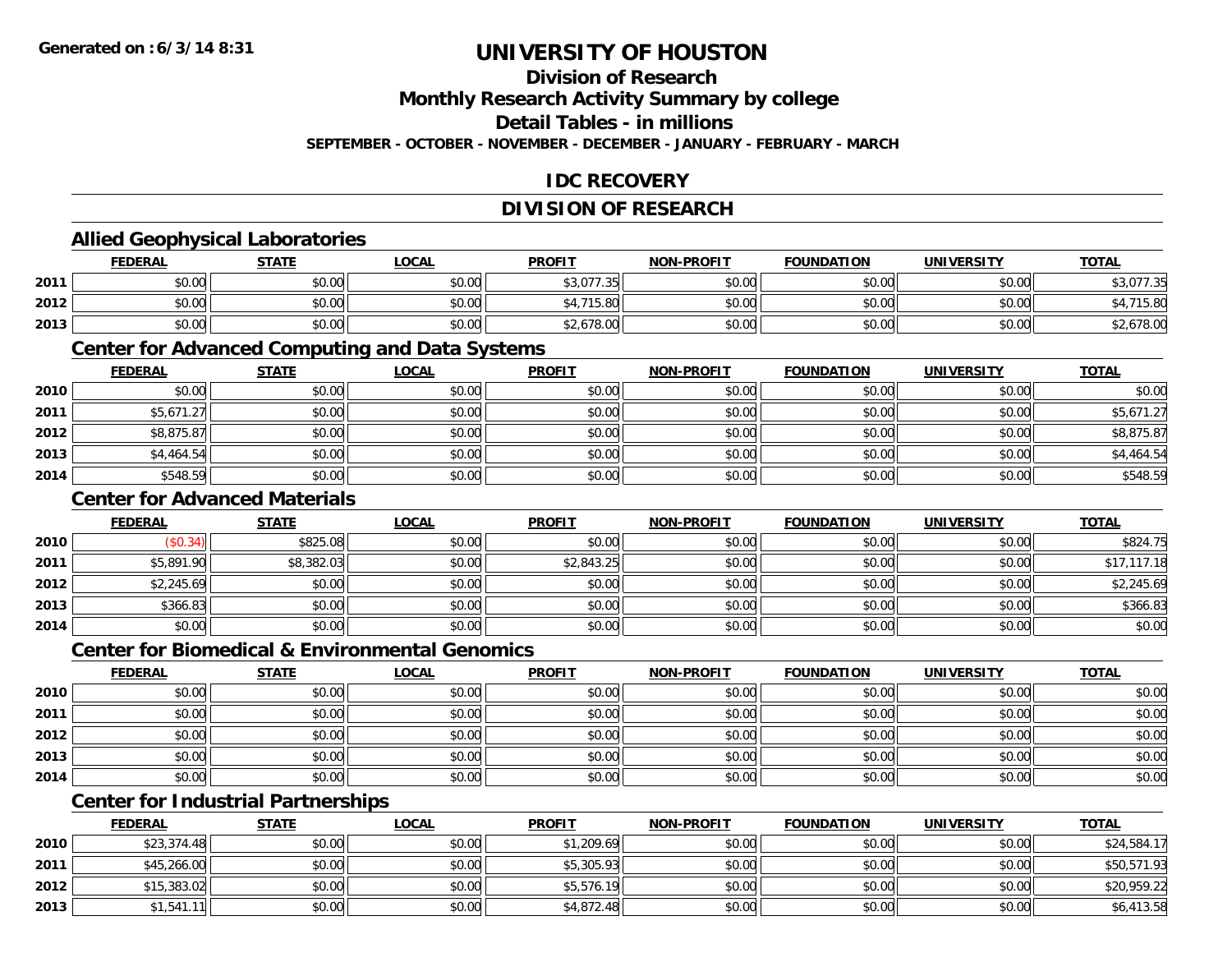## **Division of Research**

**Monthly Research Activity Summary by college**

**Detail Tables - in millions**

**SEPTEMBER - OCTOBER - NOVEMBER - DECEMBER - JANUARY - FEBRUARY - MARCH**

## **IDC RECOVERY**

## **DIVISION OF RESEARCH**

### **Allied Geophysical Laboratories**

|      | <b>FEDERAL</b> | <b>STATE</b>                                | <b>_OCAL</b>  | <b>PROFIT</b>     | <b>NON-PROFIT</b> | <b>FOUNDATION</b> | <b>UNIVERSITY</b> | <b>TOTAL</b> |
|------|----------------|---------------------------------------------|---------------|-------------------|-------------------|-------------------|-------------------|--------------|
| 2011 | \$0.00         | $\mathfrak{e}\cap\mathfrak{e}\cap$<br>JU.UU | \$0.00        | \$3,077.35<br>-26 | \$0.00            | \$0.00            | \$0.00            | 077.35<br>۰  |
| 2012 | \$0.00         | \$0.00                                      | 0.00<br>DU.UG | 74F               | \$0.00            | \$0.00            | \$0.00 l          | 15.80        |
| 2013 | \$0.00         | \$0.00                                      | \$0.00        | 2.678.00          | \$0.00            | \$0.00            | \$0.00            | \$2,678.00   |

### **Center for Advanced Computing and Data Systems**

|      | <b>FEDERAL</b> | <b>STATE</b> | <b>LOCAL</b> | <b>PROFIT</b> | <b>NON-PROFIT</b> | <b>FOUNDATION</b> | <b>UNIVERSITY</b> | <b>TOTAL</b> |
|------|----------------|--------------|--------------|---------------|-------------------|-------------------|-------------------|--------------|
| 2010 | \$0.00         | \$0.00       | \$0.00       | \$0.00        | \$0.00            | \$0.00            | \$0.00            | \$0.00       |
| 2011 | \$5,671.27     | \$0.00       | \$0.00       | \$0.00        | \$0.00            | \$0.00            | \$0.00            | \$5,671.27   |
| 2012 | \$8,875.87     | \$0.00       | \$0.00       | \$0.00        | \$0.00            | \$0.00            | \$0.00            | \$8,875.87   |
| 2013 | \$4,464.54     | \$0.00       | \$0.00       | \$0.00        | \$0.00            | \$0.00            | \$0.00            | \$4,464.54   |
| 2014 | \$548.59       | \$0.00       | \$0.00       | \$0.00        | \$0.00            | \$0.00            | \$0.00            | \$548.59     |

### **Center for Advanced Materials**

|      | <b>FEDERAL</b> | <b>STATE</b> | <u>LOCAL</u> | <b>PROFIT</b> | <b>NON-PROFIT</b> | <b>FOUNDATION</b> | <b>UNIVERSITY</b> | <b>TOTAL</b> |
|------|----------------|--------------|--------------|---------------|-------------------|-------------------|-------------------|--------------|
| 2010 | (\$0.34)       | \$825.08     | \$0.00       | \$0.00        | \$0.00            | \$0.00            | \$0.00            | \$824.75     |
| 2011 | \$5,891.90     | \$8,382.03   | \$0.00       | \$2,843.25    | \$0.00            | \$0.00            | \$0.00            | \$17,117.18  |
| 2012 | \$2,245.69     | \$0.00       | \$0.00       | \$0.00        | \$0.00            | \$0.00            | \$0.00            | \$2,245.69   |
| 2013 | \$366.83       | \$0.00       | \$0.00       | \$0.00        | \$0.00            | \$0.00            | \$0.00            | \$366.83     |
| 2014 | \$0.00         | \$0.00       | \$0.00       | \$0.00        | \$0.00            | \$0.00            | \$0.00            | \$0.00       |

#### **Center for Biomedical & Environmental Genomics**

|      | <u>FEDERAL</u> | <b>STATE</b> | <b>LOCAL</b> | <b>PROFIT</b> | NON-PROFIT | <b>FOUNDATION</b> | <b>UNIVERSITY</b> | <b>TOTAL</b> |
|------|----------------|--------------|--------------|---------------|------------|-------------------|-------------------|--------------|
| 2010 | \$0.00         | \$0.00       | \$0.00       | \$0.00        | \$0.00     | \$0.00            | \$0.00            | \$0.00       |
| 2011 | \$0.00         | \$0.00       | \$0.00       | \$0.00        | \$0.00     | \$0.00            | \$0.00            | \$0.00       |
| 2012 | \$0.00         | \$0.00       | \$0.00       | \$0.00        | \$0.00     | \$0.00            | \$0.00            | \$0.00       |
| 2013 | \$0.00         | \$0.00       | \$0.00       | \$0.00        | \$0.00     | \$0.00            | \$0.00            | \$0.00       |
| 2014 | \$0.00         | \$0.00       | \$0.00       | \$0.00        | \$0.00     | \$0.00            | \$0.00            | \$0.00       |

## **Center for Industrial Partnerships**

|      | <u>FEDERAL</u> | <b>STATE</b> | <b>LOCAL</b> | <b>PROFIT</b> | <b>NON-PROFIT</b> | <b>FOUNDATION</b> | <b>UNIVERSITY</b> | <b>TOTAL</b> |
|------|----------------|--------------|--------------|---------------|-------------------|-------------------|-------------------|--------------|
| 2010 | \$23,374.48    | \$0.00       | \$0.00       | \$1,209.69    | \$0.00            | \$0.00            | \$0.00            | \$24,584.17  |
| 2011 | \$45,266.00    | \$0.00       | \$0.00       | \$5,305.93    | \$0.00            | \$0.00            | \$0.00            | \$50,571.93  |
| 2012 | \$15,383.02    | \$0.00       | \$0.00       | \$5,576.19    | \$0.00            | \$0.00            | \$0.00            | \$20,959.22  |
| 2013 | \$1,541.11     | \$0.00       | \$0.00       | \$4,872.48    | \$0.00            | \$0.00            | \$0.00            | \$6,413.58   |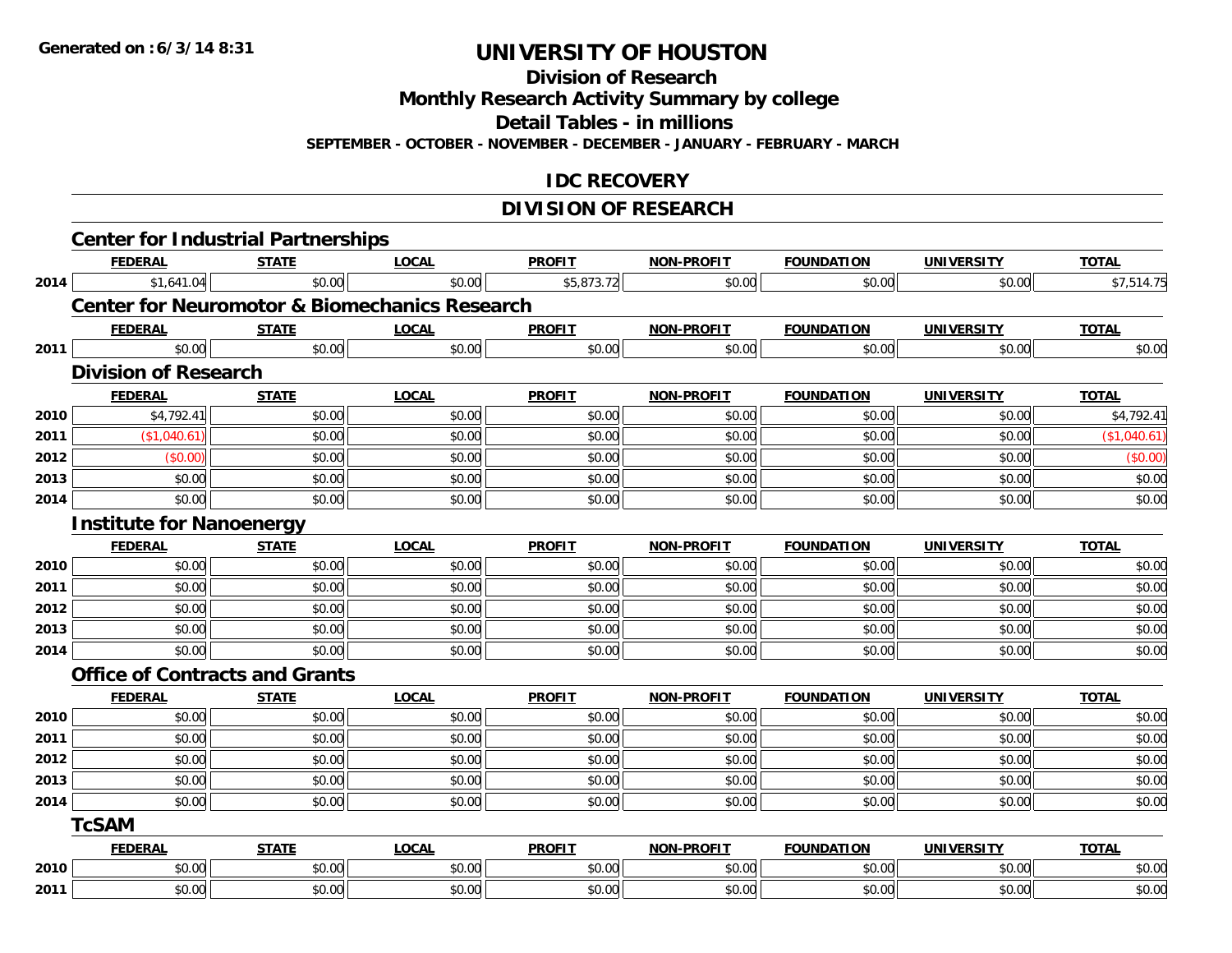**Division of Research**

**Monthly Research Activity Summary by college**

**Detail Tables - in millions**

**SEPTEMBER - OCTOBER - NOVEMBER - DECEMBER - JANUARY - FEBRUARY - MARCH**

## **IDC RECOVERY**

## **DIVISION OF RESEARCH**

| <b>FEDERAL</b> | <b>STATE</b> | <b>LOCAL</b>                                                                                                      | <b>PROFIT</b>                                       | NON-PROFIT                                                             | <b>FOUNDATION</b> | <b>UNIVERSITY</b> | <b>TOTAL</b> |
|----------------|--------------|-------------------------------------------------------------------------------------------------------------------|-----------------------------------------------------|------------------------------------------------------------------------|-------------------|-------------------|--------------|
|                |              |                                                                                                                   |                                                     | \$0.00                                                                 |                   | \$0.00            | \$7,514.75   |
|                |              |                                                                                                                   |                                                     |                                                                        |                   |                   |              |
| <b>FEDERAL</b> | <b>STATE</b> | <b>LOCAL</b>                                                                                                      | <b>PROFIT</b>                                       | NON-PROFIT                                                             | <b>FOUNDATION</b> | <b>UNIVERSITY</b> | <b>TOTAL</b> |
| \$0.00         | \$0.00       | \$0.00                                                                                                            | \$0.00                                              | \$0.00                                                                 | \$0.00            | \$0.00            | \$0.00       |
|                |              |                                                                                                                   |                                                     |                                                                        |                   |                   |              |
| <b>FEDERAL</b> | <b>STATE</b> | <b>LOCAL</b>                                                                                                      | <b>PROFIT</b>                                       | <b>NON-PROFIT</b>                                                      | <b>FOUNDATION</b> | <b>UNIVERSITY</b> | <b>TOTAL</b> |
| \$4,792.41     | \$0.00       | \$0.00                                                                                                            | \$0.00                                              | \$0.00                                                                 | \$0.00            | \$0.00            | \$4,792.41   |
| (\$1,040.61)   | \$0.00       | \$0.00                                                                                                            | \$0.00                                              | \$0.00                                                                 | \$0.00            | \$0.00            | (\$1,040.61) |
| (\$0.00)       | \$0.00       | \$0.00                                                                                                            | \$0.00                                              | \$0.00                                                                 | \$0.00            | \$0.00            | (\$0.00)     |
| \$0.00         | \$0.00       | \$0.00                                                                                                            | \$0.00                                              | \$0.00                                                                 | \$0.00            | \$0.00            | \$0.00       |
| \$0.00         | \$0.00       | \$0.00                                                                                                            | \$0.00                                              | \$0.00                                                                 | \$0.00            | \$0.00            | \$0.00       |
|                |              |                                                                                                                   |                                                     |                                                                        |                   |                   |              |
| <b>FEDERAL</b> | <b>STATE</b> | <b>LOCAL</b>                                                                                                      | <b>PROFIT</b>                                       | NON-PROFIT                                                             | <b>FOUNDATION</b> | <b>UNIVERSITY</b> | <b>TOTAL</b> |
| \$0.00         | \$0.00       | \$0.00                                                                                                            | \$0.00                                              | \$0.00                                                                 | \$0.00            | \$0.00            | \$0.00       |
| \$0.00         | \$0.00       | \$0.00                                                                                                            | \$0.00                                              | \$0.00                                                                 | \$0.00            | \$0.00            | \$0.00       |
| \$0.00         | \$0.00       | \$0.00                                                                                                            | \$0.00                                              | \$0.00                                                                 | \$0.00            | \$0.00            | \$0.00       |
| \$0.00         | \$0.00       | \$0.00                                                                                                            | \$0.00                                              | \$0.00                                                                 | \$0.00            | \$0.00            | \$0.00       |
| \$0.00         | \$0.00       | \$0.00                                                                                                            | \$0.00                                              | \$0.00                                                                 | \$0.00            | \$0.00            | \$0.00       |
|                |              |                                                                                                                   |                                                     |                                                                        |                   |                   |              |
| <b>FEDERAL</b> | <b>STATE</b> | <b>LOCAL</b>                                                                                                      | <b>PROFIT</b>                                       | <b>NON-PROFIT</b>                                                      | <b>FOUNDATION</b> | <b>UNIVERSITY</b> | <b>TOTAL</b> |
| \$0.00         | \$0.00       | \$0.00                                                                                                            | \$0.00                                              | \$0.00                                                                 | \$0.00            | \$0.00            | \$0.00       |
| \$0.00         | \$0.00       | \$0.00                                                                                                            | \$0.00                                              | \$0.00                                                                 | \$0.00            | \$0.00            | \$0.00       |
| \$0.00         | \$0.00       | \$0.00                                                                                                            | \$0.00                                              | \$0.00                                                                 | \$0.00            | \$0.00            | \$0.00       |
| \$0.00         | \$0.00       | \$0.00                                                                                                            | \$0.00                                              | \$0.00                                                                 | \$0.00            | \$0.00            | \$0.00       |
| \$0.00         | \$0.00       | \$0.00                                                                                                            | \$0.00                                              | \$0.00                                                                 | \$0.00            | \$0.00            | \$0.00       |
| <b>TcSAM</b>   |              |                                                                                                                   |                                                     |                                                                        |                   |                   |              |
| <b>FEDERAL</b> | <b>STATE</b> | <b>LOCAL</b>                                                                                                      | <b>PROFIT</b>                                       | <b>NON-PROFIT</b>                                                      | <b>FOUNDATION</b> | <b>UNIVERSITY</b> | <b>TOTAL</b> |
| \$0.00         | \$0.00       | \$0.00                                                                                                            | \$0.00                                              | \$0.00                                                                 | \$0.00            | \$0.00            | \$0.00       |
| \$0.00         | \$0.00       | \$0.00                                                                                                            | \$0.00                                              | \$0.00                                                                 | \$0.00            | \$0.00            | \$0.00       |
|                | \$1,641.04   | \$0.00<br><b>Division of Research</b><br><b>Institute for Nanoenergy</b><br><b>Office of Contracts and Grants</b> | <b>Center for Industrial Partnerships</b><br>\$0.00 | \$5,873.72<br><b>Center for Neuromotor &amp; Biomechanics Research</b> |                   | \$0.00            |              |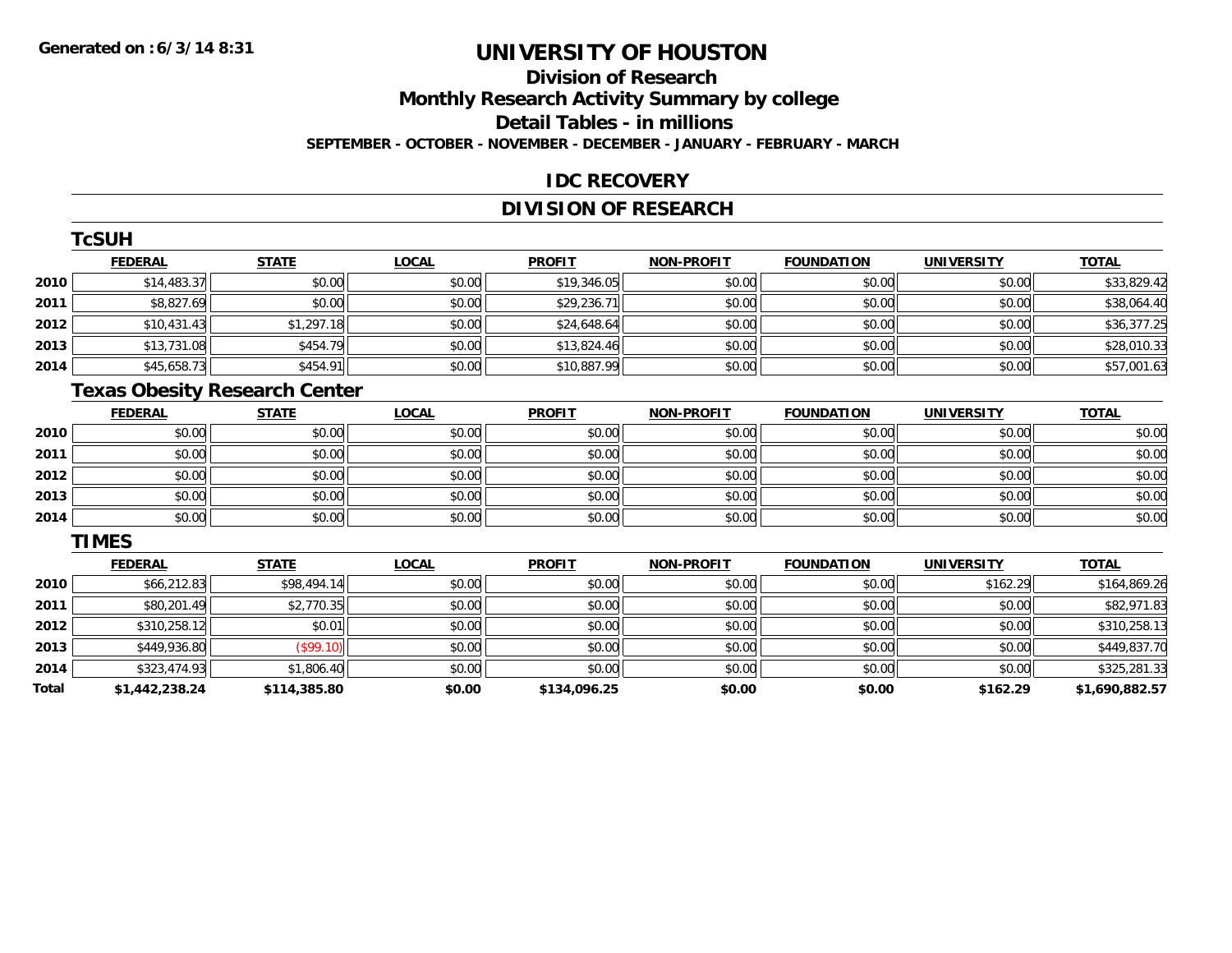## **Division of ResearchMonthly Research Activity Summary by college Detail Tables - in millions SEPTEMBER - OCTOBER - NOVEMBER - DECEMBER - JANUARY - FEBRUARY - MARCH**

### **IDC RECOVERY**

## **DIVISION OF RESEARCH**

|      | TcSUH          |                                      |              |               |                   |                   |                   |              |
|------|----------------|--------------------------------------|--------------|---------------|-------------------|-------------------|-------------------|--------------|
|      | <b>FEDERAL</b> | <b>STATE</b>                         | <b>LOCAL</b> | <b>PROFIT</b> | <b>NON-PROFIT</b> | <b>FOUNDATION</b> | <b>UNIVERSITY</b> | <b>TOTAL</b> |
| 2010 | \$14,483.37    | \$0.00                               | \$0.00       | \$19,346.05   | \$0.00            | \$0.00            | \$0.00            | \$33,829.42  |
| 2011 | \$8,827.69     | \$0.00                               | \$0.00       | \$29,236.71   | \$0.00            | \$0.00            | \$0.00            | \$38,064.40  |
| 2012 | \$10,431.43    | \$1,297.18                           | \$0.00       | \$24,648.64   | \$0.00            | \$0.00            | \$0.00            | \$36,377.25  |
| 2013 | \$13,731.08    | \$454.79                             | \$0.00       | \$13,824.46   | \$0.00            | \$0.00            | \$0.00            | \$28,010.33  |
| 2014 | \$45,658.73    | \$454.91                             | \$0.00       | \$10,887.99   | \$0.00            | \$0.00            | \$0.00            | \$57,001.63  |
|      |                | <b>Texas Obesity Research Center</b> |              |               |                   |                   |                   |              |
|      | <b>FEDERAL</b> | <b>STATE</b>                         | <b>LOCAL</b> | <b>PROFIT</b> | <b>NON-PROFIT</b> | <b>FOUNDATION</b> | <b>UNIVERSITY</b> | <b>TOTAL</b> |
| 2010 | \$0.00         | \$0.00                               | \$0.00       | \$0.00        | \$0.00            | \$0.00            | \$0.00            | \$0.00       |
| 2011 | \$0.00         | \$0.00                               | \$0.00       | \$0.00        | \$0.00            | \$0.00            | \$0.00            | \$0.00       |
| 2012 | \$0.00         | \$0.00                               | \$0.00       | \$0.00        | \$0.00            | \$0.00            | \$0.00            | \$0.00       |

| <b>2011</b> | NU.UU  | <b>DU.UG</b> | \$U.UU        | NU.UG  | \$U.UU | <b>SU.UU</b> | <b>BU.UU</b> | \$0.00 |
|-------------|--------|--------------|---------------|--------|--------|--------------|--------------|--------|
| 2012        | \$0.00 | \$0.00       | 4000<br>DU.UU | \$0.00 | \$0.00 | \$0.00       | \$0.00       | \$0.00 |
| 2013        | \$0.00 | \$0.00       | \$0.00        | \$0.00 | \$0.00 | \$0.00       | \$0.00       | \$0.00 |
| 2014        | \$0.00 | \$0.00       | \$0.00        | \$0.00 | \$0.00 | \$0.00       | \$0.00       | \$0.00 |

#### **TIMES**

|       | <b>FEDERAL</b> | <b>STATE</b> | <b>LOCAL</b> | <b>PROFIT</b> | <b>NON-PROFIT</b> | <b>FOUNDATION</b> | <b>UNIVERSITY</b> | <b>TOTAL</b>   |
|-------|----------------|--------------|--------------|---------------|-------------------|-------------------|-------------------|----------------|
| 2010  | \$66,212.83    | \$98,494.14  | \$0.00       | \$0.00        | \$0.00            | \$0.00            | \$162.29          | \$164,869.26   |
| 2011  | \$80,201.49    | \$2,770.35   | \$0.00       | \$0.00        | \$0.00            | \$0.00            | \$0.00            | \$82,971.83    |
| 2012  | \$310,258.12   | \$0.01       | \$0.00       | \$0.00        | \$0.00            | \$0.00            | \$0.00            | \$310,258.13   |
| 2013  | \$449,936.80   | (\$99.10)    | \$0.00       | \$0.00        | \$0.00            | \$0.00            | \$0.00            | \$449,837.70   |
| 2014  | \$323,474.93   | \$1,806.40   | \$0.00       | \$0.00        | \$0.00            | \$0.00            | \$0.00            | \$325,281.33   |
| Total | \$1,442,238.24 | \$114,385.80 | \$0.00       | \$134,096.25  | \$0.00            | \$0.00            | \$162.29          | \$1,690,882.57 |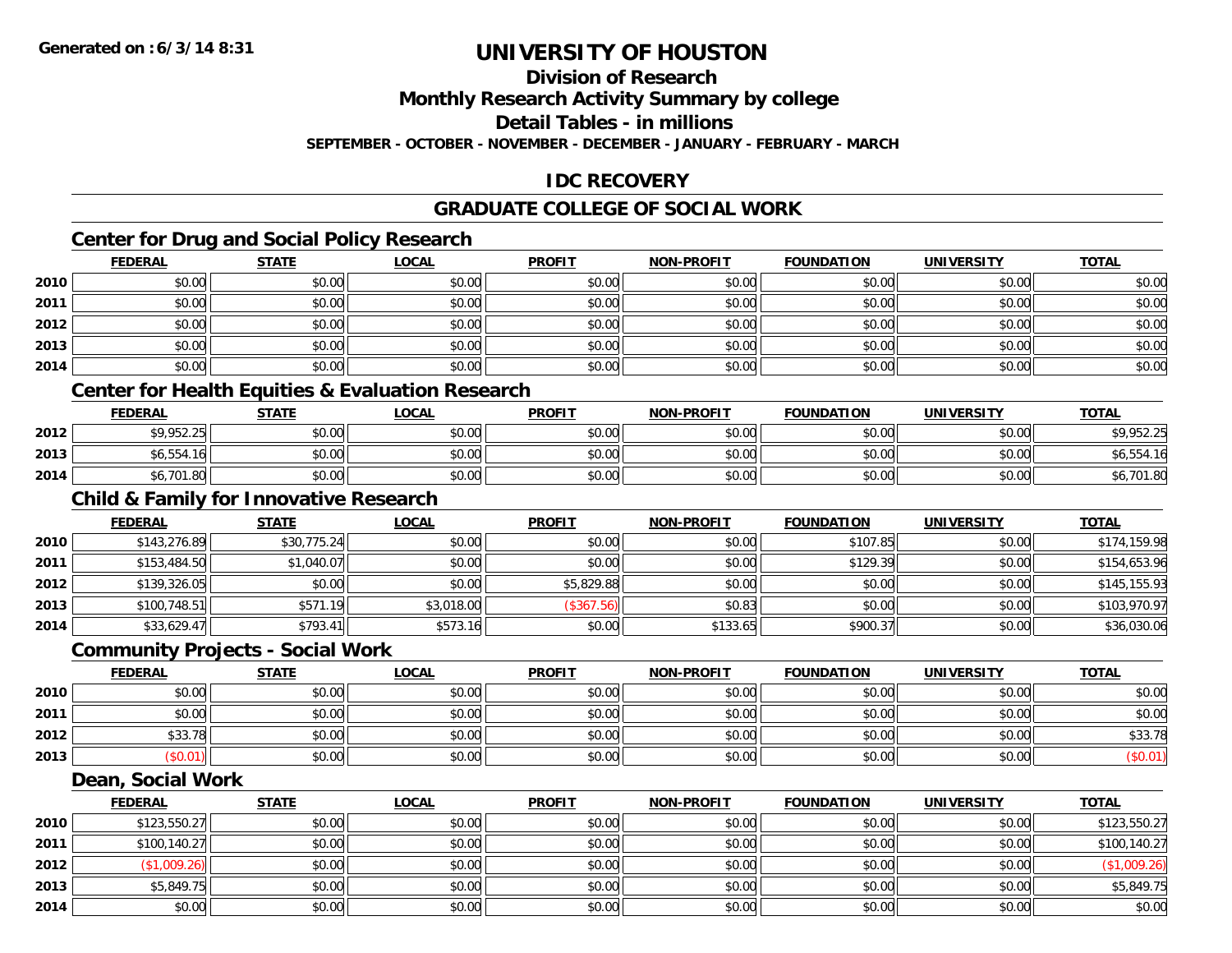## **Division of Research**

**Monthly Research Activity Summary by college**

**Detail Tables - in millions**

**SEPTEMBER - OCTOBER - NOVEMBER - DECEMBER - JANUARY - FEBRUARY - MARCH**

## **IDC RECOVERY**

## **GRADUATE COLLEGE OF SOCIAL WORK**

## **Center for Drug and Social Policy Research**

|      | <b>FEDERAL</b> | <b>STATE</b> | <u>LOCAL</u> | <b>PROFIT</b> | <b>NON-PROFIT</b> | <b>FOUNDATION</b> | <b>UNIVERSITY</b> | <b>TOTAL</b> |
|------|----------------|--------------|--------------|---------------|-------------------|-------------------|-------------------|--------------|
| 2010 | \$0.00         | \$0.00       | \$0.00       | \$0.00        | \$0.00            | \$0.00            | \$0.00            | \$0.00       |
| 2011 | \$0.00         | \$0.00       | \$0.00       | \$0.00        | \$0.00            | \$0.00            | \$0.00            | \$0.00       |
| 2012 | \$0.00         | \$0.00       | \$0.00       | \$0.00        | \$0.00            | \$0.00            | \$0.00            | \$0.00       |
| 2013 | \$0.00         | \$0.00       | \$0.00       | \$0.00        | \$0.00            | \$0.00            | \$0.00            | \$0.00       |
| 2014 | \$0.00         | \$0.00       | \$0.00       | \$0.00        | \$0.00            | \$0.00            | \$0.00            | \$0.00       |

### **Center for Health Equities & Evaluation Research**

|      | <b>FEDERAL</b> | <b>STATE</b> | <u>LOCAL</u> | <b>PROFIT</b> | <b>NON-PROFIT</b> | <b>FOUNDATION</b> | UNIVERSITY | <b>TOTAL</b> |
|------|----------------|--------------|--------------|---------------|-------------------|-------------------|------------|--------------|
| 2012 | \$9,952.25     | \$0.00       | \$0.00       | \$0.00        | \$0.00            | \$0.00            | \$0.00     | \$9,952.25   |
| 2013 | $$6,554$ $$7$  | \$0.00       | \$0.00       | \$0.00        | \$0.00            | \$0.00            | \$0.00     | 54.16        |
| 2014 | 6.701ه<br>L.8U | \$0.00       | \$0.00       | \$0.00        | \$0.00            | \$0.00            | \$0.00     | 6,701.80     |

## **Child & Family for Innovative Research**

|      | <b>FEDERAL</b> | <u>STATE</u> | <u>LOCAL</u> | <b>PROFIT</b> | <b>NON-PROFIT</b> | <b>FOUNDATION</b> | <b>UNIVERSITY</b> | <b>TOTAL</b> |
|------|----------------|--------------|--------------|---------------|-------------------|-------------------|-------------------|--------------|
| 2010 | \$143,276.89   | \$30,775.24  | \$0.00       | \$0.00        | \$0.00            | \$107.85          | \$0.00            | \$174,159.98 |
| 2011 | \$153,484.50   | \$1,040.07   | \$0.00       | \$0.00        | \$0.00            | \$129.39          | \$0.00            | \$154,653.96 |
| 2012 | \$139,326.05   | \$0.00       | \$0.00       | \$5,829.88    | \$0.00            | \$0.00            | \$0.00            | \$145,155.93 |
| 2013 | \$100.748.51   | \$571.19     | \$3,018.00   | (\$367.56)    | \$0.83            | \$0.00            | \$0.00            | \$103.970.97 |
| 2014 | \$33,629.47    | \$793.41     | \$573.16     | \$0.00        | \$133.65          | \$900.37          | \$0.00            | \$36,030.06  |

#### **Community Projects - Social Work**

|      | <b>FEDERAL</b> | <b>STATE</b> | <b>LOCAL</b> | <b>PROFIT</b> | <b>NON-PROFIT</b> | <b>FOUNDATION</b> | UNIVERSITY | <b>TOTAL</b> |
|------|----------------|--------------|--------------|---------------|-------------------|-------------------|------------|--------------|
| 2010 | \$0.00         | \$0.00       | \$0.00       | \$0.00        | \$0.00            | \$0.00            | \$0.00     | \$0.00       |
| 2011 | \$0.00         | \$0.00       | \$0.00       | \$0.00        | \$0.00            | \$0.00            | \$0.00     | \$0.00       |
| 2012 | \$33.78        | \$0.00       | \$0.00       | \$0.00        | \$0.00            | \$0.00            | \$0.00     | \$33.78      |
| 2013 | \$0.01         | \$0.00       | \$0.00       | \$0.00        | \$0.00            | \$0.00            | \$0.00     | (\$0.01)     |

#### **Dean, Social Work**

|      | <u>FEDERAL</u> | <b>STATE</b> | <b>LOCAL</b> | <b>PROFIT</b> | <b>NON-PROFIT</b> | <b>FOUNDATION</b> | <b>UNIVERSITY</b> | <b>TOTAL</b> |
|------|----------------|--------------|--------------|---------------|-------------------|-------------------|-------------------|--------------|
| 2010 | \$123,550.27   | \$0.00       | \$0.00       | \$0.00        | \$0.00            | \$0.00            | \$0.00            | \$123,550.27 |
| 2011 | \$100,140.27   | \$0.00       | \$0.00       | \$0.00        | \$0.00            | \$0.00            | \$0.00            | \$100,140.27 |
| 2012 | \$1,009.26     | \$0.00       | \$0.00       | \$0.00        | \$0.00            | \$0.00            | \$0.00            | (\$1,009.26) |
| 2013 | \$5,849.75     | \$0.00       | \$0.00       | \$0.00        | \$0.00            | \$0.00            | \$0.00            | \$5,849.75   |
| 2014 | \$0.00         | \$0.00       | \$0.00       | \$0.00        | \$0.00            | \$0.00            | \$0.00            | \$0.00       |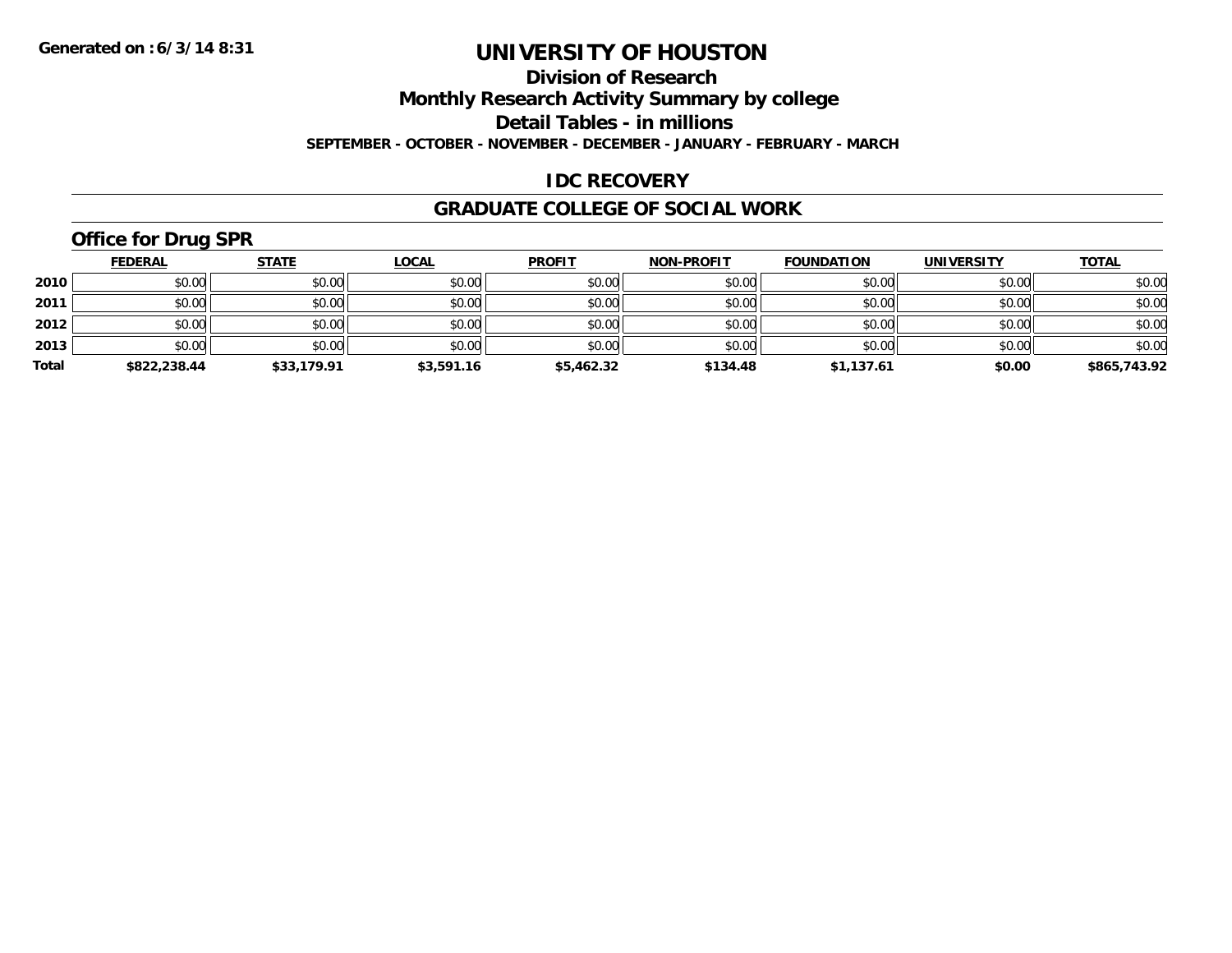#### **Division of Research**

**Monthly Research Activity Summary by college**

**Detail Tables - in millions**

**SEPTEMBER - OCTOBER - NOVEMBER - DECEMBER - JANUARY - FEBRUARY - MARCH**

## **IDC RECOVERY**

### **GRADUATE COLLEGE OF SOCIAL WORK**

# **Office for Drug SPR**

|       | <b>FEDERAL</b> | <b>STATE</b> | <b>LOCAL</b> | <b>PROFIT</b> | <b>NON-PROFIT</b> | <b>FOUNDATION</b> | <b>UNIVERSITY</b> | <b>TOTAL</b> |
|-------|----------------|--------------|--------------|---------------|-------------------|-------------------|-------------------|--------------|
| 2010  | \$0.00         | \$0.00       | \$0.00       | \$0.00        | \$0.00            | \$0.00            | \$0.00            | \$0.00       |
| 2011  | \$0.00         | \$0.00       | \$0.00       | \$0.00        | \$0.00            | \$0.00            | \$0.00            | \$0.00       |
| 2012  | \$0.00         | \$0.00       | \$0.00       | \$0.00        | \$0.00            | \$0.00            | \$0.00            | \$0.00       |
| 2013  | \$0.00         | \$0.00       | \$0.00       | \$0.00        | \$0.00            | \$0.00            | \$0.00            | \$0.00       |
| Total | \$822,238.44   | \$33,179.91  | \$3,591.16   | \$5,462.32    | \$134.48          | \$1,137.61        | \$0.00            | \$865,743.92 |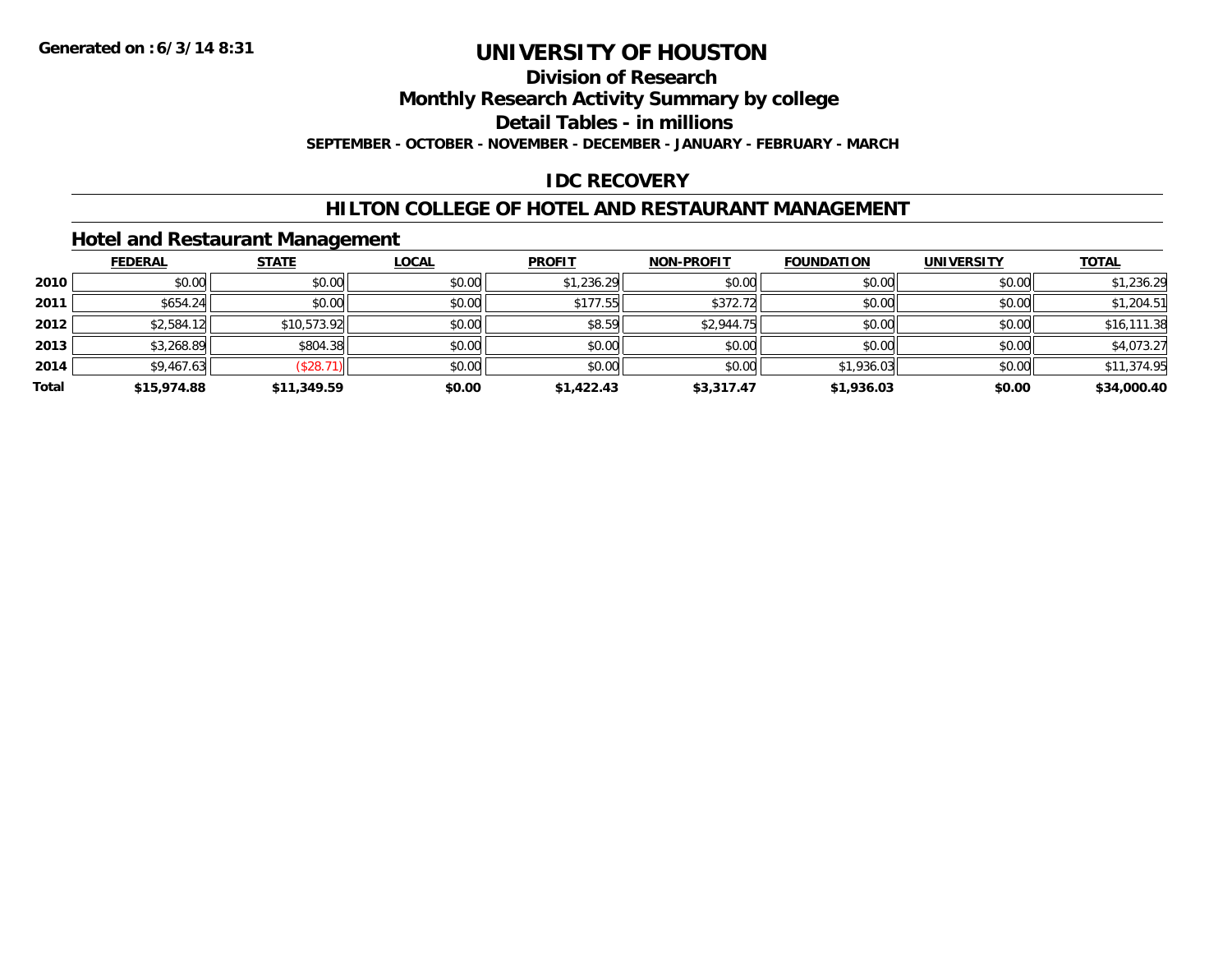## **Division of Research**

**Monthly Research Activity Summary by college**

**Detail Tables - in millions**

**SEPTEMBER - OCTOBER - NOVEMBER - DECEMBER - JANUARY - FEBRUARY - MARCH**

## **IDC RECOVERY**

## **HILTON COLLEGE OF HOTEL AND RESTAURANT MANAGEMENT**

## **Hotel and Restaurant Management**

|       | <b>FEDERAL</b> | <b>STATE</b> | <u>LOCAL</u> | <b>PROFIT</b> | <b>NON-PROFIT</b> | <b>FOUNDATION</b> | <b>UNIVERSITY</b> | <b>TOTAL</b> |
|-------|----------------|--------------|--------------|---------------|-------------------|-------------------|-------------------|--------------|
| 2010  | \$0.00         | \$0.00       | \$0.00       | \$1,236.29    | \$0.00            | \$0.00            | \$0.00            | \$1,236.29   |
| 2011  | \$654.24       | \$0.00       | \$0.00       | \$177.55      | \$372.72          | \$0.00            | \$0.00            | \$1,204.51   |
| 2012  | \$2,584.12     | \$10,573.92  | \$0.00       | \$8.59        | \$2,944.75        | \$0.00            | \$0.00            | \$16,111.38  |
| 2013  | \$3,268.89     | \$804.38     | \$0.00       | \$0.00        | \$0.00            | \$0.00            | \$0.00            | \$4,073.27   |
| 2014  | \$9,467.63     | (\$28.71)    | \$0.00       | \$0.00        | \$0.00            | \$1,936.03        | \$0.00            | \$11,374.95  |
| Total | \$15,974.88    | \$11,349.59  | \$0.00       | \$1,422.43    | \$3,317.47        | \$1,936.03        | \$0.00            | \$34,000.40  |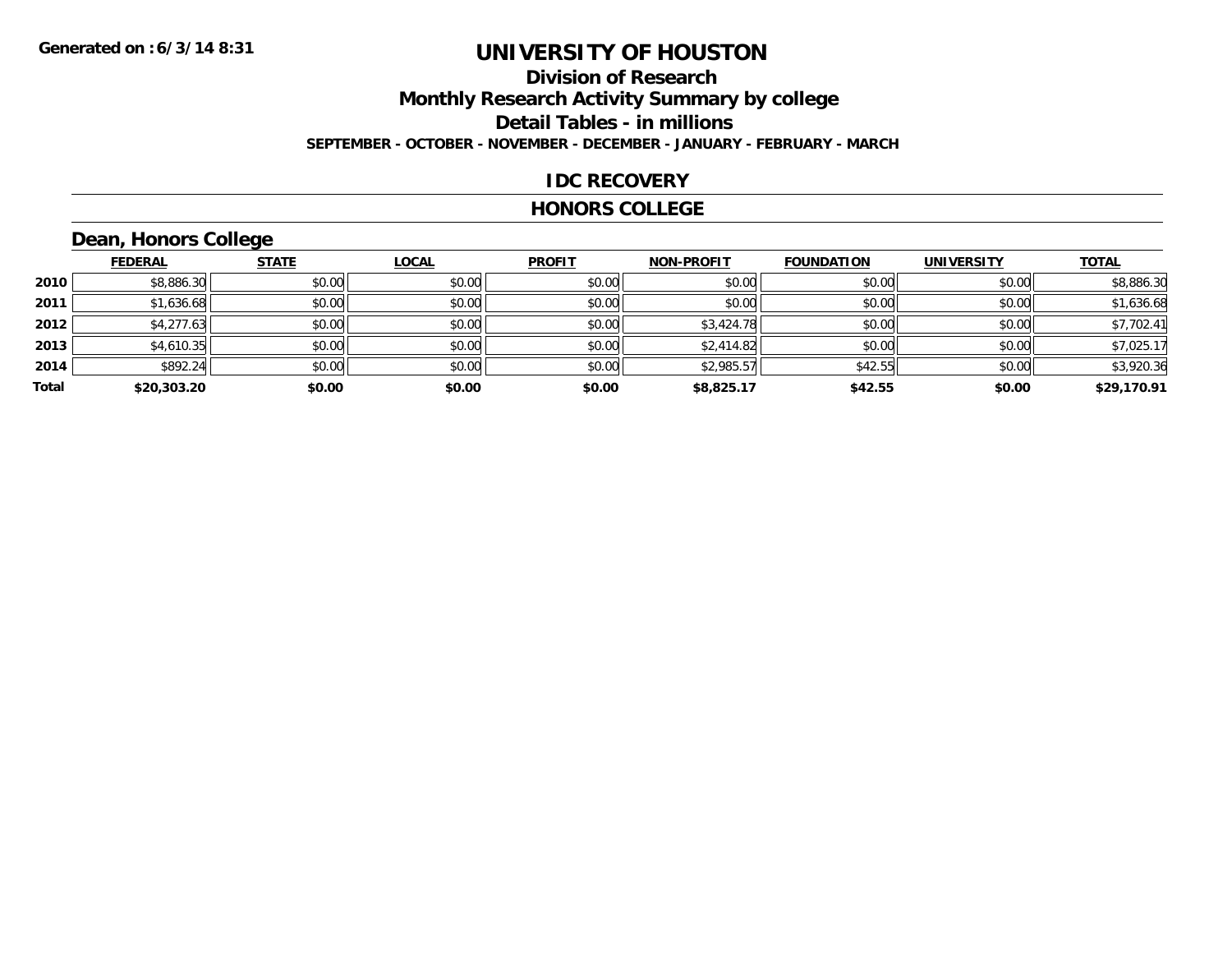## **Division of ResearchMonthly Research Activity Summary by college Detail Tables - in millions SEPTEMBER - OCTOBER - NOVEMBER - DECEMBER - JANUARY - FEBRUARY - MARCH**

### **IDC RECOVERY**

### **HONORS COLLEGE**

# **Dean, Honors College**

|       | <b>FEDERAL</b> | <b>STATE</b> | <b>LOCAL</b> | <b>PROFIT</b> | <b>NON-PROFIT</b> | <b>FOUNDATION</b> | <b>UNIVERSITY</b> | <b>TOTAL</b> |
|-------|----------------|--------------|--------------|---------------|-------------------|-------------------|-------------------|--------------|
| 2010  | \$8,886.30     | \$0.00       | \$0.00       | \$0.00        | \$0.00            | \$0.00            | \$0.00            | \$8,886.30   |
| 2011  | \$1,636.68     | \$0.00       | \$0.00       | \$0.00        | \$0.00            | \$0.00            | \$0.00            | \$1,636.68   |
| 2012  | \$4,277.63     | \$0.00       | \$0.00       | \$0.00        | \$3,424.78        | \$0.00            | \$0.00            | \$7,702.41   |
| 2013  | \$4,610.35     | \$0.00       | \$0.00       | \$0.00        | \$2,414.82        | \$0.00            | \$0.00            | \$7,025.17   |
| 2014  | \$892.24       | \$0.00       | \$0.00       | \$0.00        | \$2,985.57        | \$42.55           | \$0.00            | \$3,920.36   |
| Total | \$20,303.20    | \$0.00       | \$0.00       | \$0.00        | \$8,825.17        | \$42.55           | \$0.00            | \$29,170.91  |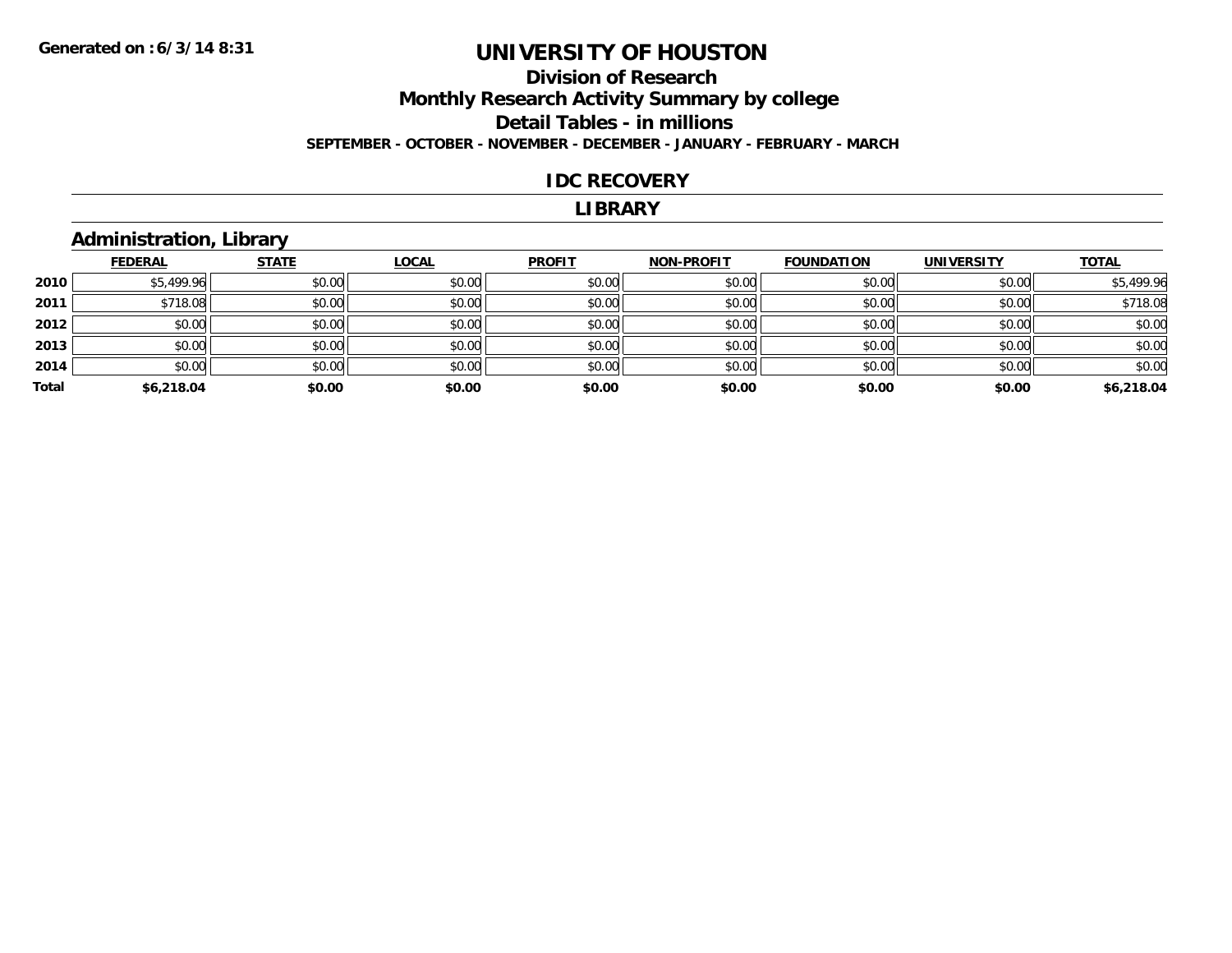## **Division of Research Monthly Research Activity Summary by college Detail Tables - in millions SEPTEMBER - OCTOBER - NOVEMBER - DECEMBER - JANUARY - FEBRUARY - MARCH**

### **IDC RECOVERY**

#### **LIBRARY**

## **Administration, Library**

|       | <b>FEDERAL</b> | <b>STATE</b> | <b>LOCAL</b> | <b>PROFIT</b> | <b>NON-PROFIT</b> | <b>FOUNDATION</b> | <b>UNIVERSITY</b> | <b>TOTAL</b> |
|-------|----------------|--------------|--------------|---------------|-------------------|-------------------|-------------------|--------------|
| 2010  | \$5,499.96     | \$0.00       | \$0.00       | \$0.00        | \$0.00            | \$0.00            | \$0.00            | \$5,499.96   |
| 2011  | \$718.08       | \$0.00       | \$0.00       | \$0.00        | \$0.00            | \$0.00            | \$0.00            | \$718.08     |
| 2012  | \$0.00         | \$0.00       | \$0.00       | \$0.00        | \$0.00            | \$0.00            | \$0.00            | \$0.00       |
| 2013  | \$0.00         | \$0.00       | \$0.00       | \$0.00        | \$0.00            | \$0.00            | \$0.00            | \$0.00       |
| 2014  | \$0.00         | \$0.00       | \$0.00       | \$0.00        | \$0.00            | \$0.00            | \$0.00            | \$0.00       |
| Total | \$6,218.04     | \$0.00       | \$0.00       | \$0.00        | \$0.00            | \$0.00            | \$0.00            | \$6,218.04   |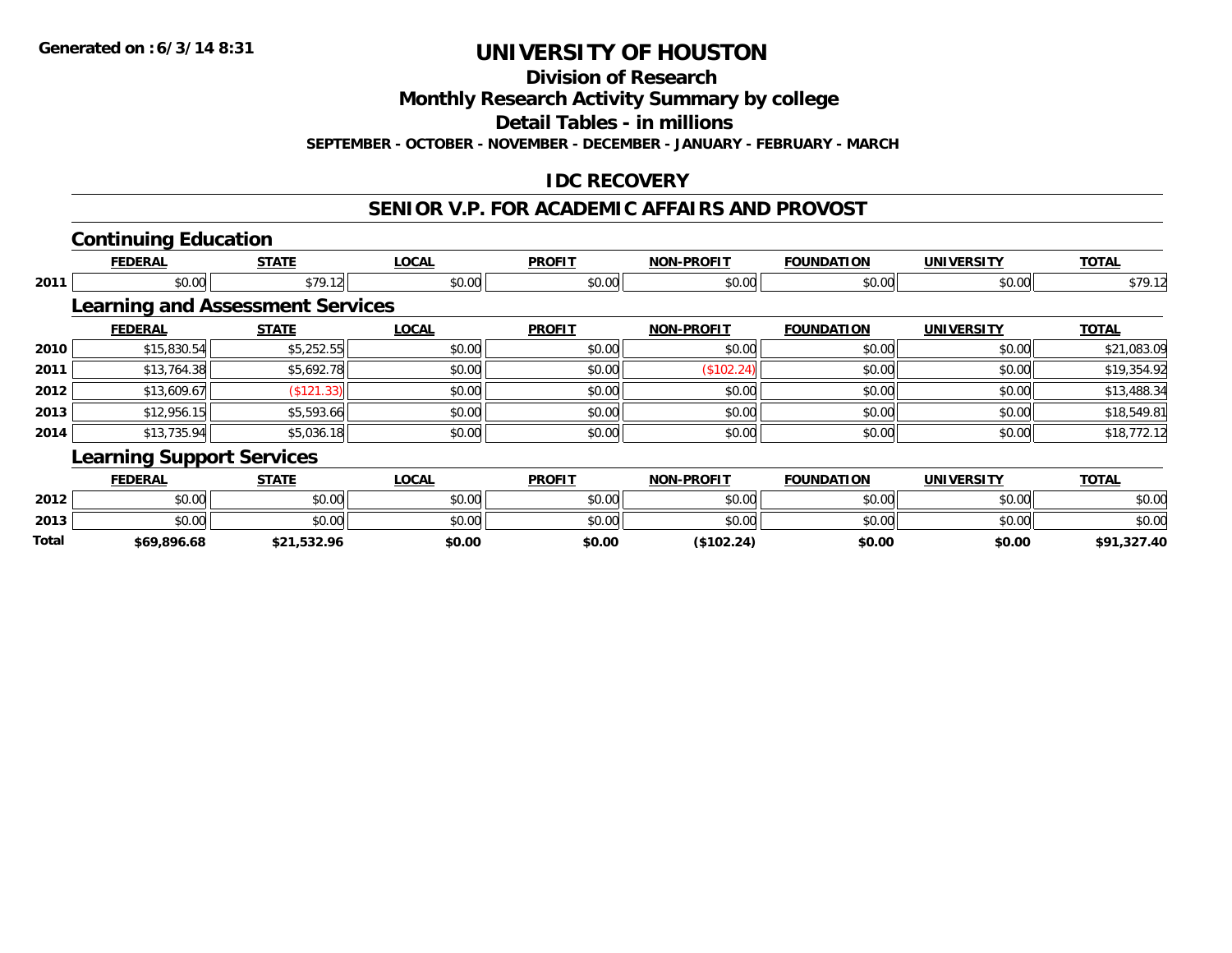**Division of Research**

**Monthly Research Activity Summary by college**

**Detail Tables - in millions**

**SEPTEMBER - OCTOBER - NOVEMBER - DECEMBER - JANUARY - FEBRUARY - MARCH**

## **IDC RECOVERY**

### **SENIOR V.P. FOR ACADEMIC AFFAIRS AND PROVOST**

## **Continuing Education**

|      | <b>FEDERAL</b>                          | <b>STATE</b> | <b>LOCAL</b> | <b>PROFIT</b> | <b>NON-PROFIT</b> | <b>FOUNDATION</b> | <b>UNIVERSITY</b> | <b>TOTAL</b> |
|------|-----------------------------------------|--------------|--------------|---------------|-------------------|-------------------|-------------------|--------------|
| 2011 | \$0.00                                  | \$79.12      | \$0.00       | \$0.00        | \$0.00            | \$0.00            | \$0.00            | \$79.12      |
|      | <b>Learning and Assessment Services</b> |              |              |               |                   |                   |                   |              |
|      | <b>FEDERAL</b>                          | <b>STATE</b> | <b>LOCAL</b> | <b>PROFIT</b> | <b>NON-PROFIT</b> | <b>FOUNDATION</b> | <b>UNIVERSITY</b> | <b>TOTAL</b> |
| 2010 | \$15,830.54                             | \$5,252.55   | \$0.00       | \$0.00        | \$0.00            | \$0.00            | \$0.00            | \$21,083.09  |
| 2011 | \$13,764.38                             | \$5,692.78   | \$0.00       | \$0.00        | (\$102.24)        | \$0.00            | \$0.00            | \$19,354.92  |
| 2012 | \$13,609.67                             | (\$121.33)   | \$0.00       | \$0.00        | \$0.00            | \$0.00            | \$0.00            | \$13,488.34  |
| 2013 | \$12,956.15                             | \$5,593.66   | \$0.00       | \$0.00        | \$0.00            | \$0.00            | \$0.00            | \$18,549.81  |
| 2014 | \$13,735.94                             | \$5,036.18   | \$0.00       | \$0.00        | \$0.00            | \$0.00            | \$0.00            | \$18,772.12  |
|      | <b>Learning Support Services</b>        |              |              |               |                   |                   |                   |              |
|      | <b>FEDERAL</b>                          | <b>STATE</b> | <b>LOCAL</b> | <b>PROFIT</b> | <b>NON-PROFIT</b> | <b>FOUNDATION</b> | <b>UNIVERSITY</b> | <b>TOTAL</b> |

| <b>Total</b> | \$69,896.68 | \$21,532.96 | \$0.00 | \$0.00 | (\$102.24) | \$0.00 | \$0.00 | ,327.40<br>\$91 |
|--------------|-------------|-------------|--------|--------|------------|--------|--------|-----------------|
| 2013         | \$0.00      | \$0.00      | \$0.00 | \$0.00 | \$0.00     | \$0.00 | \$0.00 | \$0.00          |
| 2012         | \$0.00      | \$0.00      | \$0.00 | \$0.00 | \$0.00     | \$0.00 | \$0.00 | \$0.00          |
|              |             |             |        |        |            |        |        |                 |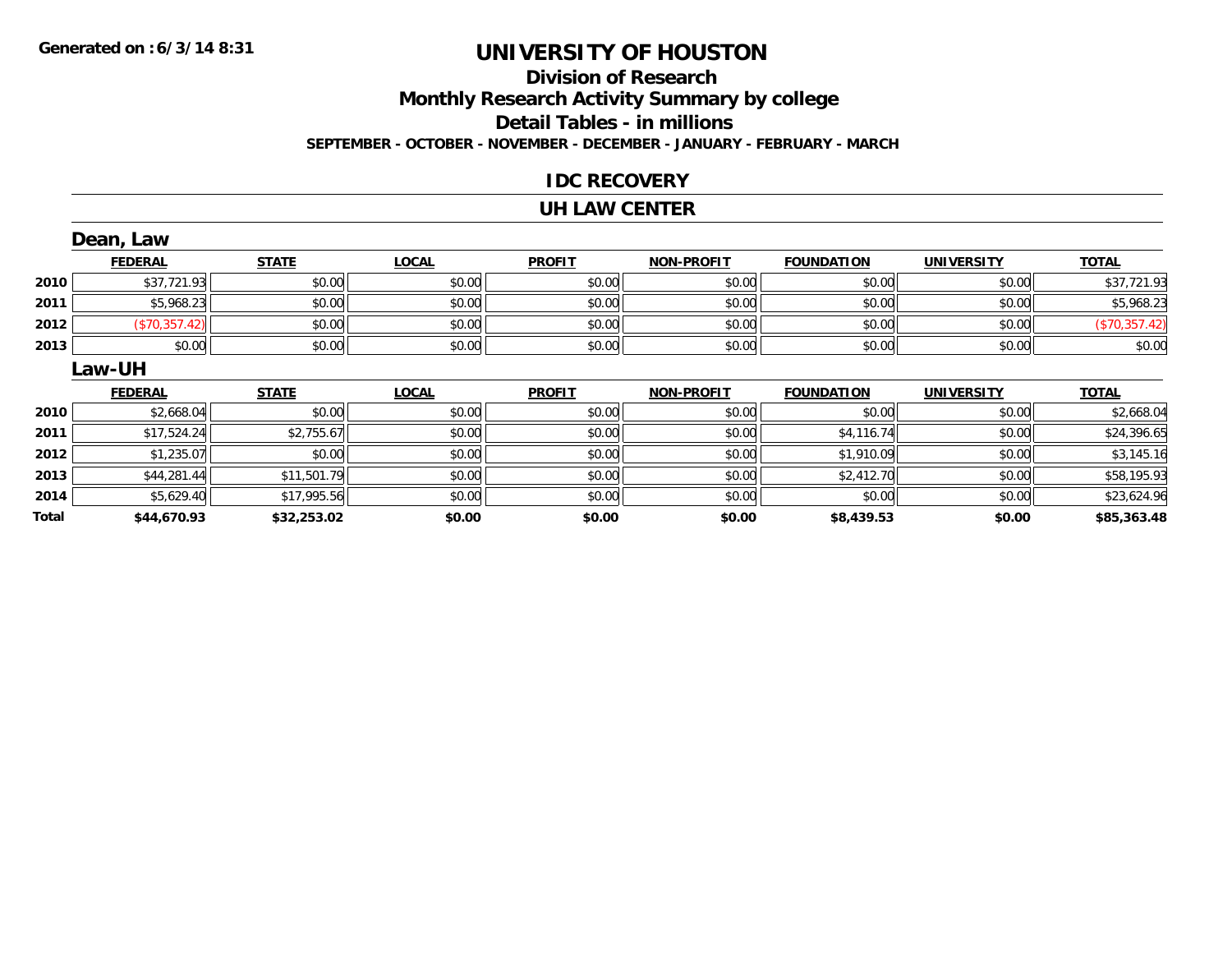### **Division of Research Monthly Research Activity Summary by college Detail Tables - in millions SEPTEMBER - OCTOBER - NOVEMBER - DECEMBER - JANUARY - FEBRUARY - MARCH**

### **IDC RECOVERY**

### **UH LAW CENTER**

|       | Dean, Law      |              |              |               |                   |                   |                   |               |
|-------|----------------|--------------|--------------|---------------|-------------------|-------------------|-------------------|---------------|
|       | <b>FEDERAL</b> | <b>STATE</b> | <b>LOCAL</b> | <b>PROFIT</b> | <b>NON-PROFIT</b> | <b>FOUNDATION</b> | <b>UNIVERSITY</b> | <b>TOTAL</b>  |
| 2010  | \$37,721.93    | \$0.00       | \$0.00       | \$0.00        | \$0.00            | \$0.00            | \$0.00            | \$37,721.93   |
| 2011  | \$5,968.23     | \$0.00       | \$0.00       | \$0.00        | \$0.00            | \$0.00            | \$0.00            | \$5,968.23    |
| 2012  | (\$70,357.42)  | \$0.00       | \$0.00       | \$0.00        | \$0.00            | \$0.00            | \$0.00            | (\$70,357.42) |
| 2013  | \$0.00         | \$0.00       | \$0.00       | \$0.00        | \$0.00            | \$0.00            | \$0.00            | \$0.00        |
|       | Law-UH         |              |              |               |                   |                   |                   |               |
|       | <b>FEDERAL</b> | <b>STATE</b> | <b>LOCAL</b> | <b>PROFIT</b> | <b>NON-PROFIT</b> | <b>FOUNDATION</b> | <b>UNIVERSITY</b> | <b>TOTAL</b>  |
| 2010  | \$2,668.04     | \$0.00       | \$0.00       | \$0.00        | \$0.00            | \$0.00            | \$0.00            | \$2,668.04    |
| 2011  | \$17,524.24    | \$2,755.67   | \$0.00       | \$0.00        | \$0.00            | \$4,116.74        | \$0.00            | \$24,396.65   |
| 2012  | \$1,235.07     | \$0.00       | \$0.00       | \$0.00        | \$0.00            | \$1,910.09        | \$0.00            | \$3,145.16    |
| 2013  | \$44,281.44    | \$11,501.79  | \$0.00       | \$0.00        | \$0.00            | \$2,412.70        | \$0.00            | \$58,195.93   |
| 2014  | \$5,629.40     | \$17,995.56  | \$0.00       | \$0.00        | \$0.00            | \$0.00            | \$0.00            | \$23,624.96   |
| Total | \$44,670.93    | \$32,253.02  | \$0.00       | \$0.00        | \$0.00            | \$8,439.53        | \$0.00            | \$85,363.48   |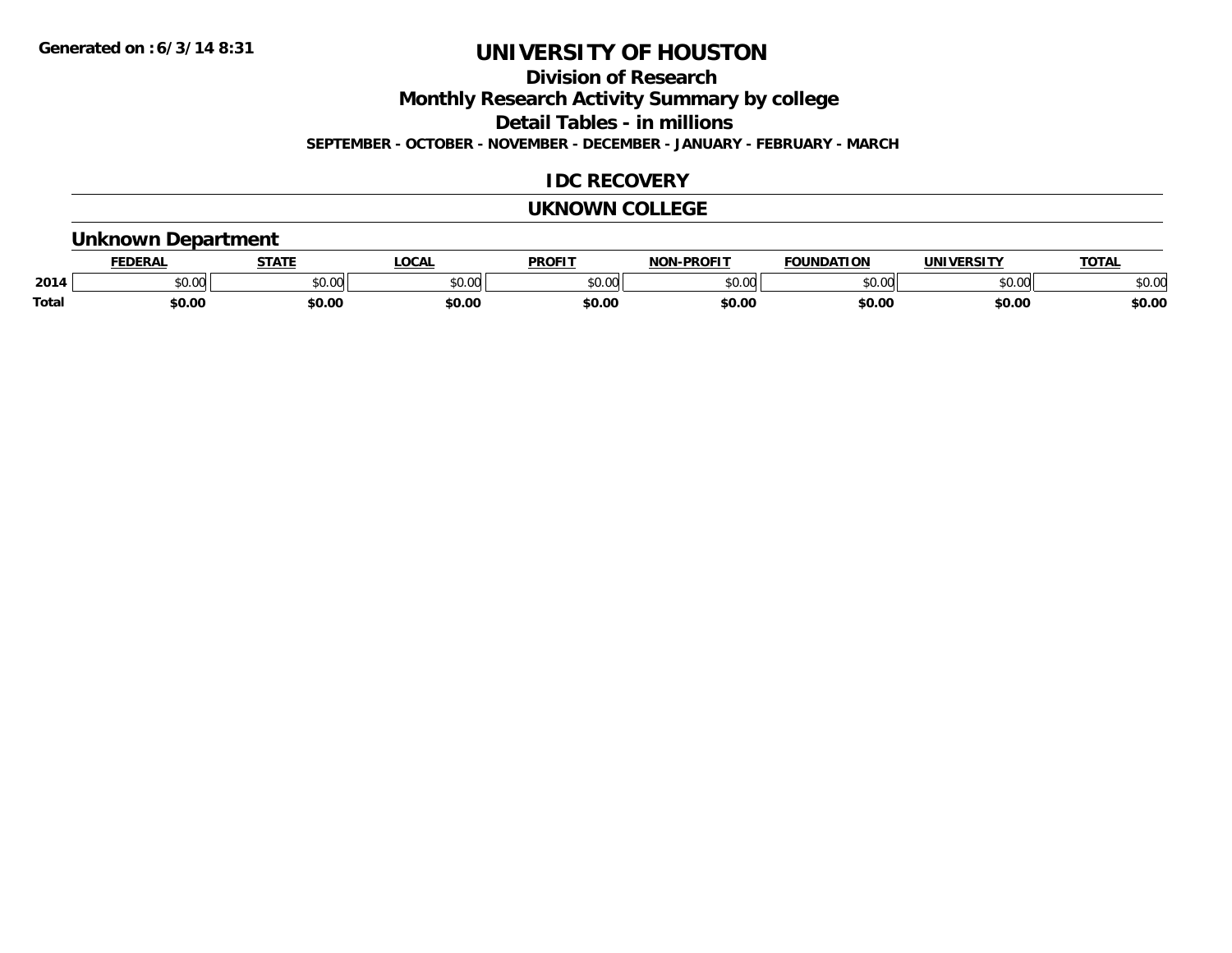**Division of Research**

**Monthly Research Activity Summary by college**

**Detail Tables - in millions**

**SEPTEMBER - OCTOBER - NOVEMBER - DECEMBER - JANUARY - FEBRUARY - MARCH**

## **IDC RECOVERY**

### **UKNOWN COLLEGE**

### **Unknown Department**

|              | <b>EDERAI</b> | <b>CTATE</b>    | <b>OCAL</b> | <b>PROFIT</b> | <b>-PROFI1</b><br>81 A B | <b>FOUNDATION</b> | UNIVERSITY | TOTA.  |
|--------------|---------------|-----------------|-------------|---------------|--------------------------|-------------------|------------|--------|
| 2014         | 0.00<br>JU.UU | 0000<br>ູນບ.ບພ. | \$0.00      | 0000<br>JU.UU | $\sim$ 00<br>ט.טע        | 0000<br>u.uu      | \$0.00     | \$0.00 |
| <b>Total</b> | \$0.00        | \$0.00          | \$0.00      | \$0.00        | \$0.00                   | \$0.00            | \$0.00     | \$0.00 |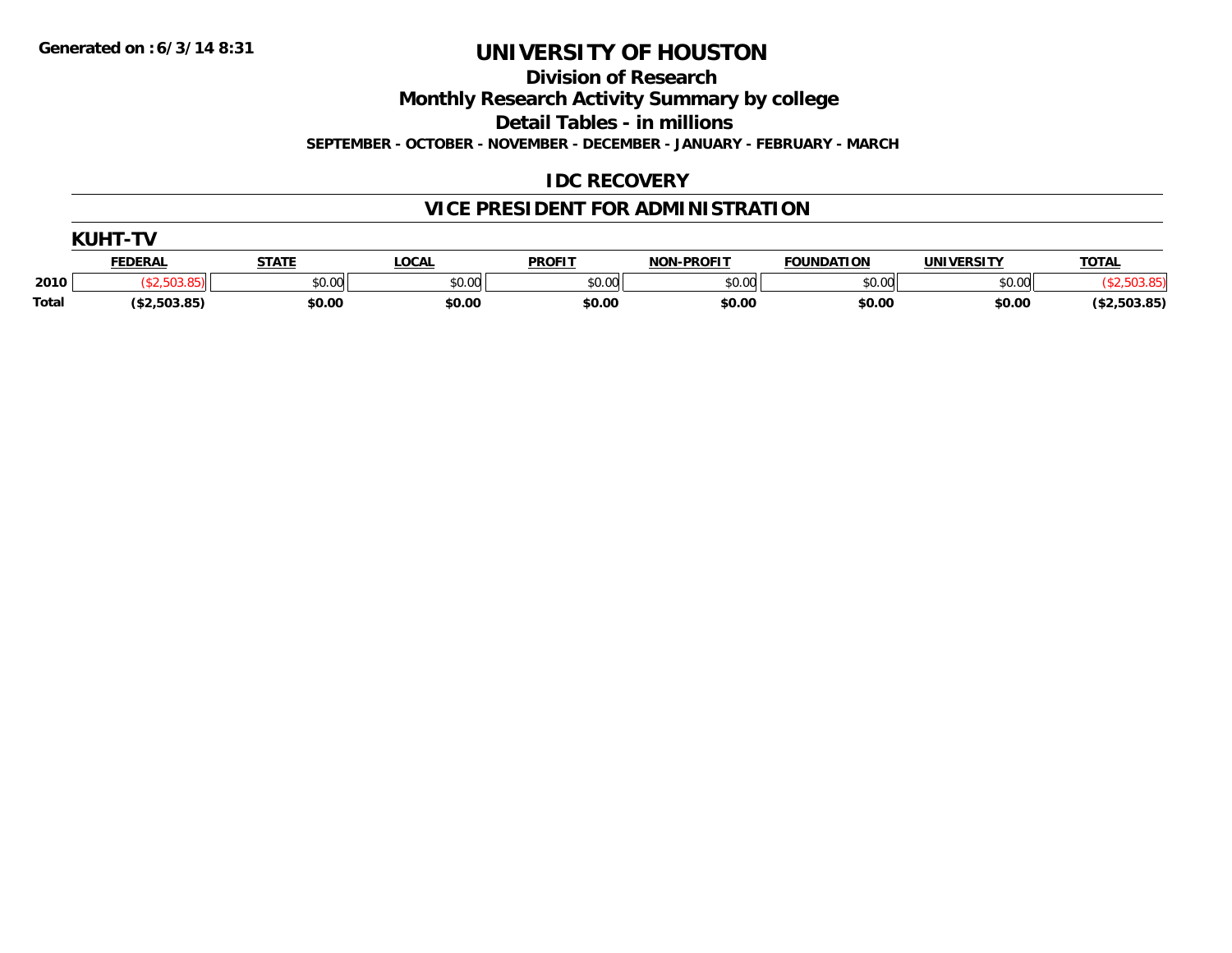**Division of Research**

**Monthly Research Activity Summary by college**

**Detail Tables - in millions**

**SEPTEMBER - OCTOBER - NOVEMBER - DECEMBER - JANUARY - FEBRUARY - MARCH**

## **IDC RECOVERY**

# **VICE PRESIDENT FOR ADMINISTRATION**

|              | . <i>.</i> <del>. .</del> |              |        |               |                   |                   |            |              |
|--------------|---------------------------|--------------|--------|---------------|-------------------|-------------------|------------|--------------|
|              | <b>FEDERAL</b>            | <b>STATE</b> | LOCAL  | <b>PROFIT</b> | <b>NON-PROFIT</b> | <b>FOUNDATION</b> | UNIVERSITY | <b>TOTAL</b> |
| 2010         |                           | \$0.00       | \$0.00 | \$0.00        | \$0.00            | \$0.00            | \$0.00     |              |
| <b>Total</b> | ( \$2,503.85)             | \$0.00       | \$0.00 | \$0.00        | \$0.00            | \$0.00            | \$0.00     | (\$2,503.85) |